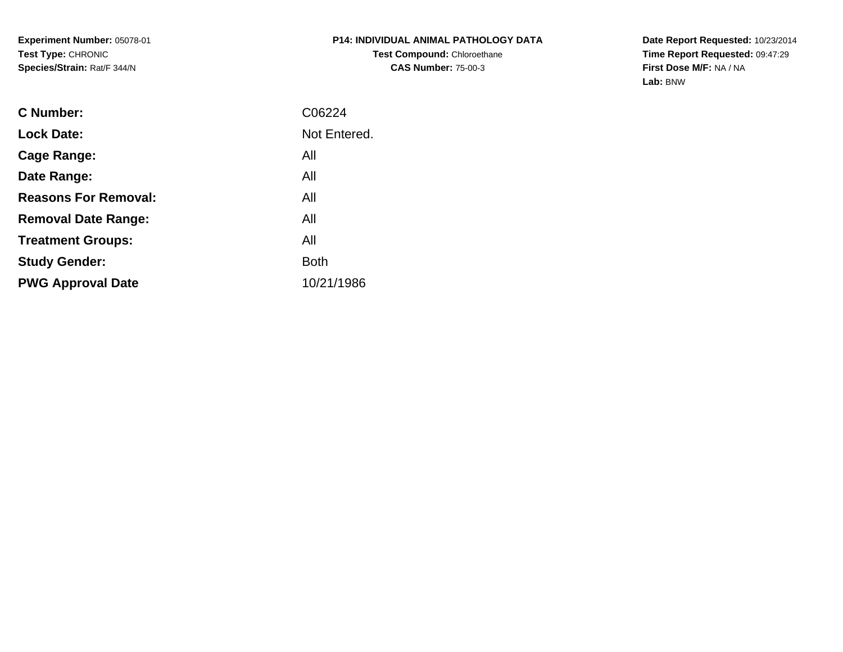**Experiment Number:** 05078-01**Test Type:** CHRONIC**Species/Strain:** Rat/F 344/N

**Date Report Requested:** 10/23/2014 **Time Report Requested:** 09:47:29**First Dose M/F:** NA / NA**Lab:** BNW

| <b>C</b> Number:            | C06224       |
|-----------------------------|--------------|
| <b>Lock Date:</b>           | Not Entered. |
| Cage Range:                 | All          |
| Date Range:                 | All          |
| <b>Reasons For Removal:</b> | All          |
| <b>Removal Date Range:</b>  | All          |
| <b>Treatment Groups:</b>    | All          |
| <b>Study Gender:</b>        | <b>Both</b>  |
| <b>PWG Approval Date</b>    | 10/21/1986   |
|                             |              |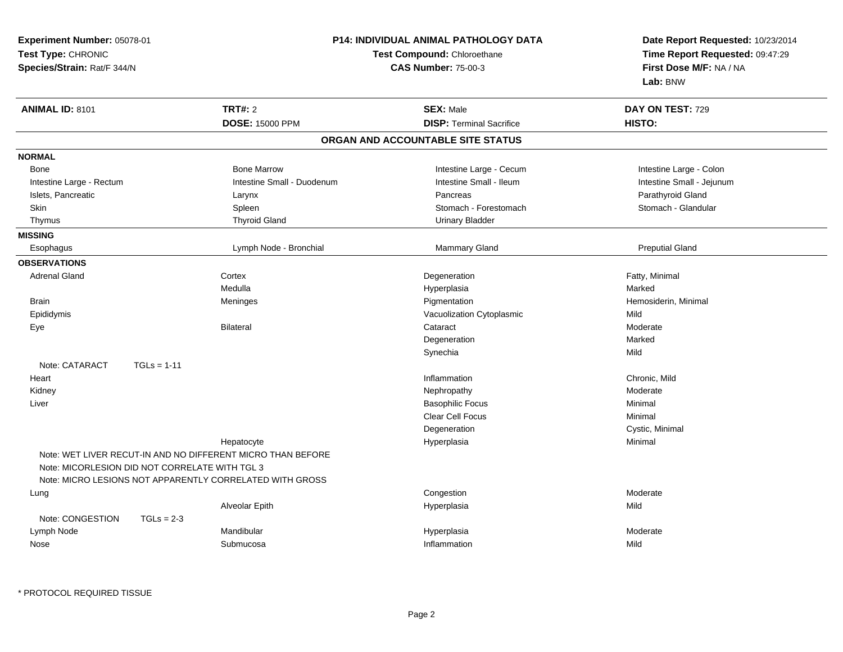| <b>Experiment Number: 05078-01</b><br>Test Type: CHRONIC<br>Species/Strain: Rat/F 344/N                                                                                   | P14: INDIVIDUAL ANIMAL PATHOLOGY DATA<br>Test Compound: Chloroethane<br><b>CAS Number: 75-00-3</b> | Date Report Requested: 10/23/2014<br>Time Report Requested: 09:47:29<br>First Dose M/F: NA / NA<br>Lab: BNW |
|---------------------------------------------------------------------------------------------------------------------------------------------------------------------------|----------------------------------------------------------------------------------------------------|-------------------------------------------------------------------------------------------------------------|
| <b>TRT#: 2</b><br>ANIMAL ID: 8101                                                                                                                                         | <b>SEX: Male</b>                                                                                   | DAY ON TEST: 729                                                                                            |
| <b>DOSE: 15000 PPM</b>                                                                                                                                                    | <b>DISP: Terminal Sacrifice</b>                                                                    | HISTO:                                                                                                      |
|                                                                                                                                                                           | ORGAN AND ACCOUNTABLE SITE STATUS                                                                  |                                                                                                             |
| <b>NORMAL</b>                                                                                                                                                             |                                                                                                    |                                                                                                             |
| <b>Bone Marrow</b><br>Bone                                                                                                                                                | Intestine Large - Cecum                                                                            | Intestine Large - Colon                                                                                     |
| Intestine Small - Duodenum<br>Intestine Large - Rectum                                                                                                                    | Intestine Small - Ileum                                                                            | Intestine Small - Jejunum                                                                                   |
| Islets, Pancreatic<br>Larynx                                                                                                                                              | Pancreas                                                                                           | Parathyroid Gland                                                                                           |
| <b>Skin</b><br>Spleen                                                                                                                                                     | Stomach - Forestomach                                                                              | Stomach - Glandular                                                                                         |
| <b>Thyroid Gland</b><br>Thymus                                                                                                                                            | <b>Urinary Bladder</b>                                                                             |                                                                                                             |
| <b>MISSING</b>                                                                                                                                                            |                                                                                                    |                                                                                                             |
| Esophagus<br>Lymph Node - Bronchial                                                                                                                                       | Mammary Gland                                                                                      | <b>Preputial Gland</b>                                                                                      |
| <b>OBSERVATIONS</b>                                                                                                                                                       |                                                                                                    |                                                                                                             |
| <b>Adrenal Gland</b><br>Cortex                                                                                                                                            | Degeneration                                                                                       | Fatty, Minimal                                                                                              |
| Medulla                                                                                                                                                                   | Hyperplasia                                                                                        | Marked                                                                                                      |
| <b>Brain</b><br>Meninges                                                                                                                                                  | Pigmentation                                                                                       | Hemosiderin, Minimal                                                                                        |
| Epididymis                                                                                                                                                                | Vacuolization Cytoplasmic                                                                          | Mild                                                                                                        |
| Eye<br><b>Bilateral</b>                                                                                                                                                   | Cataract                                                                                           | Moderate                                                                                                    |
|                                                                                                                                                                           | Degeneration                                                                                       | Marked                                                                                                      |
|                                                                                                                                                                           | Synechia                                                                                           | Mild                                                                                                        |
| Note: CATARACT<br>$TGLs = 1-11$                                                                                                                                           |                                                                                                    |                                                                                                             |
| Heart                                                                                                                                                                     | Inflammation                                                                                       | Chronic, Mild                                                                                               |
| Kidney                                                                                                                                                                    | Nephropathy                                                                                        | Moderate                                                                                                    |
| Liver                                                                                                                                                                     | <b>Basophilic Focus</b>                                                                            | Minimal                                                                                                     |
|                                                                                                                                                                           | Clear Cell Focus                                                                                   | Minimal                                                                                                     |
|                                                                                                                                                                           | Degeneration                                                                                       | Cystic, Minimal                                                                                             |
| Hepatocyte                                                                                                                                                                | Hyperplasia                                                                                        | Minimal                                                                                                     |
| Note: WET LIVER RECUT-IN AND NO DIFFERENT MICRO THAN BEFORE<br>Note: MICORLESION DID NOT CORRELATE WITH TGL 3<br>Note: MICRO LESIONS NOT APPARENTLY CORRELATED WITH GROSS |                                                                                                    |                                                                                                             |
| Lung                                                                                                                                                                      | Congestion                                                                                         | Moderate                                                                                                    |
| Alveolar Epith                                                                                                                                                            | Hyperplasia                                                                                        | Mild                                                                                                        |
| Note: CONGESTION<br>$TGLs = 2-3$                                                                                                                                          |                                                                                                    |                                                                                                             |
| Mandibular<br>Lymph Node                                                                                                                                                  | Hyperplasia                                                                                        | Moderate                                                                                                    |
| Submucosa<br>Nose                                                                                                                                                         | Inflammation                                                                                       | Mild                                                                                                        |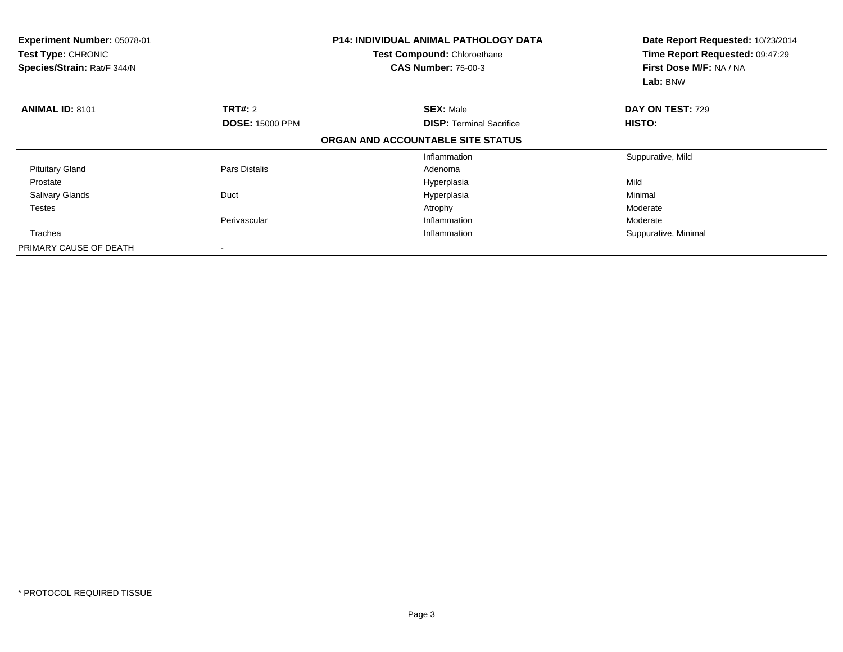| <b>Experiment Number: 05078-01</b><br>Test Type: CHRONIC<br>Species/Strain: Rat/F 344/N |                        | <b>P14: INDIVIDUAL ANIMAL PATHOLOGY DATA</b><br>Test Compound: Chloroethane<br><b>CAS Number: 75-00-3</b> | Date Report Requested: 10/23/2014<br>Time Report Requested: 09:47:29<br>First Dose M/F: NA / NA<br>Lab: BNW |
|-----------------------------------------------------------------------------------------|------------------------|-----------------------------------------------------------------------------------------------------------|-------------------------------------------------------------------------------------------------------------|
| <b>ANIMAL ID: 8101</b>                                                                  | TRT#: 2                | <b>SEX: Male</b>                                                                                          | DAY ON TEST: 729                                                                                            |
|                                                                                         | <b>DOSE: 15000 PPM</b> | <b>DISP:</b> Terminal Sacrifice                                                                           | HISTO:                                                                                                      |
|                                                                                         |                        | ORGAN AND ACCOUNTABLE SITE STATUS                                                                         |                                                                                                             |
|                                                                                         |                        | Inflammation                                                                                              | Suppurative, Mild                                                                                           |
| <b>Pituitary Gland</b>                                                                  | Pars Distalis          | Adenoma                                                                                                   |                                                                                                             |
| Prostate                                                                                |                        | Hyperplasia                                                                                               | Mild                                                                                                        |
| <b>Salivary Glands</b>                                                                  | Duct                   | Hyperplasia                                                                                               | Minimal                                                                                                     |
| <b>Testes</b>                                                                           |                        | Atrophy                                                                                                   | Moderate                                                                                                    |
|                                                                                         | Perivascular           | Inflammation                                                                                              | Moderate                                                                                                    |
| Trachea                                                                                 |                        | Inflammation                                                                                              | Suppurative, Minimal                                                                                        |
| PRIMARY CAUSE OF DEATH                                                                  |                        |                                                                                                           |                                                                                                             |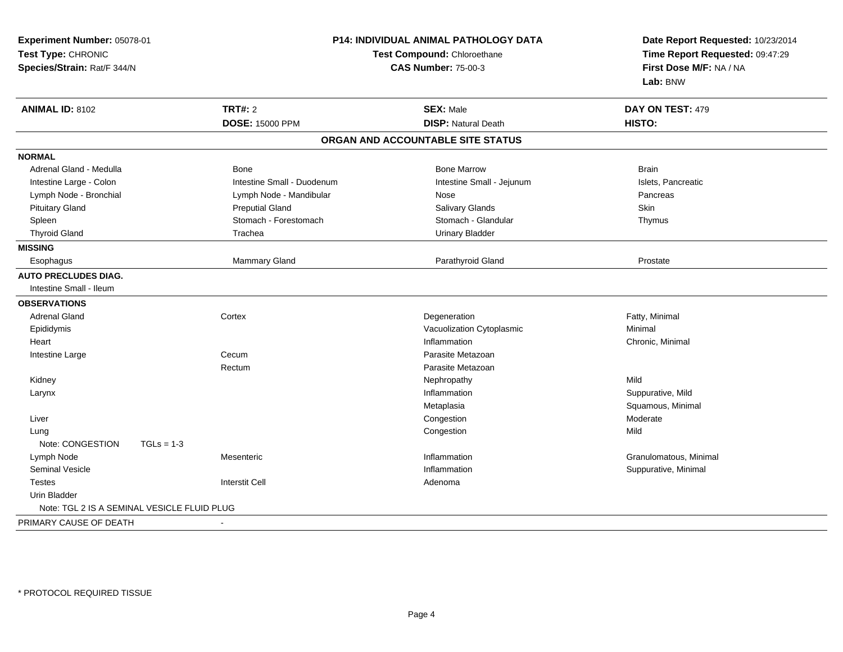| Experiment Number: 05078-01<br>Test Type: CHRONIC<br>Species/Strain: Rat/F 344/N |                                          | P14: INDIVIDUAL ANIMAL PATHOLOGY DATA<br>Test Compound: Chloroethane<br><b>CAS Number: 75-00-3</b> |                                                | Date Report Requested: 10/23/2014<br>Time Report Requested: 09:47:29<br>First Dose M/F: NA / NA<br>Lab: BNW |
|----------------------------------------------------------------------------------|------------------------------------------|----------------------------------------------------------------------------------------------------|------------------------------------------------|-------------------------------------------------------------------------------------------------------------|
| <b>ANIMAL ID: 8102</b>                                                           | <b>TRT#: 2</b><br><b>DOSE: 15000 PPM</b> |                                                                                                    | <b>SEX: Male</b><br><b>DISP: Natural Death</b> | DAY ON TEST: 479<br>HISTO:                                                                                  |
|                                                                                  |                                          |                                                                                                    | ORGAN AND ACCOUNTABLE SITE STATUS              |                                                                                                             |
| <b>NORMAL</b>                                                                    |                                          |                                                                                                    |                                                |                                                                                                             |
| Adrenal Gland - Medulla                                                          | Bone                                     |                                                                                                    | <b>Bone Marrow</b>                             | <b>Brain</b>                                                                                                |
| Intestine Large - Colon                                                          |                                          | Intestine Small - Duodenum                                                                         | Intestine Small - Jejunum                      | Islets, Pancreatic                                                                                          |
| Lymph Node - Bronchial                                                           | Lymph Node - Mandibular                  |                                                                                                    | Nose                                           | Pancreas                                                                                                    |
| <b>Pituitary Gland</b>                                                           | <b>Preputial Gland</b>                   |                                                                                                    | Salivary Glands                                | Skin                                                                                                        |
| Spleen                                                                           | Stomach - Forestomach                    |                                                                                                    | Stomach - Glandular                            | Thymus                                                                                                      |
| <b>Thyroid Gland</b>                                                             | Trachea                                  |                                                                                                    | <b>Urinary Bladder</b>                         |                                                                                                             |
| <b>MISSING</b>                                                                   |                                          |                                                                                                    |                                                |                                                                                                             |
| Esophagus                                                                        | Mammary Gland                            |                                                                                                    | Parathyroid Gland                              | Prostate                                                                                                    |
| <b>AUTO PRECLUDES DIAG.</b>                                                      |                                          |                                                                                                    |                                                |                                                                                                             |
| Intestine Small - Ileum                                                          |                                          |                                                                                                    |                                                |                                                                                                             |
| <b>OBSERVATIONS</b>                                                              |                                          |                                                                                                    |                                                |                                                                                                             |
| <b>Adrenal Gland</b>                                                             | Cortex                                   |                                                                                                    | Degeneration                                   | Fatty, Minimal                                                                                              |
| Epididymis                                                                       |                                          |                                                                                                    | Vacuolization Cytoplasmic                      | Minimal                                                                                                     |
| Heart                                                                            |                                          |                                                                                                    | Inflammation                                   | Chronic, Minimal                                                                                            |
| Intestine Large                                                                  | Cecum                                    |                                                                                                    | Parasite Metazoan                              |                                                                                                             |
|                                                                                  | Rectum                                   |                                                                                                    | Parasite Metazoan                              |                                                                                                             |
| Kidney                                                                           |                                          |                                                                                                    | Nephropathy                                    | Mild                                                                                                        |
| Larynx                                                                           |                                          |                                                                                                    | Inflammation                                   | Suppurative, Mild                                                                                           |
|                                                                                  |                                          |                                                                                                    | Metaplasia                                     | Squamous, Minimal                                                                                           |
| Liver                                                                            |                                          |                                                                                                    | Congestion                                     | Moderate                                                                                                    |
| Lung                                                                             |                                          |                                                                                                    | Congestion                                     | Mild                                                                                                        |
| Note: CONGESTION                                                                 | $TGLs = 1-3$                             |                                                                                                    |                                                |                                                                                                             |
| Lymph Node                                                                       | Mesenteric                               |                                                                                                    | Inflammation                                   | Granulomatous, Minimal                                                                                      |
| <b>Seminal Vesicle</b>                                                           |                                          |                                                                                                    | Inflammation                                   | Suppurative, Minimal                                                                                        |
| Testes                                                                           | <b>Interstit Cell</b>                    |                                                                                                    | Adenoma                                        |                                                                                                             |
| Urin Bladder                                                                     |                                          |                                                                                                    |                                                |                                                                                                             |
| Note: TGL 2 IS A SEMINAL VESICLE FLUID PLUG                                      |                                          |                                                                                                    |                                                |                                                                                                             |
| PRIMARY CAUSE OF DEATH                                                           |                                          |                                                                                                    |                                                |                                                                                                             |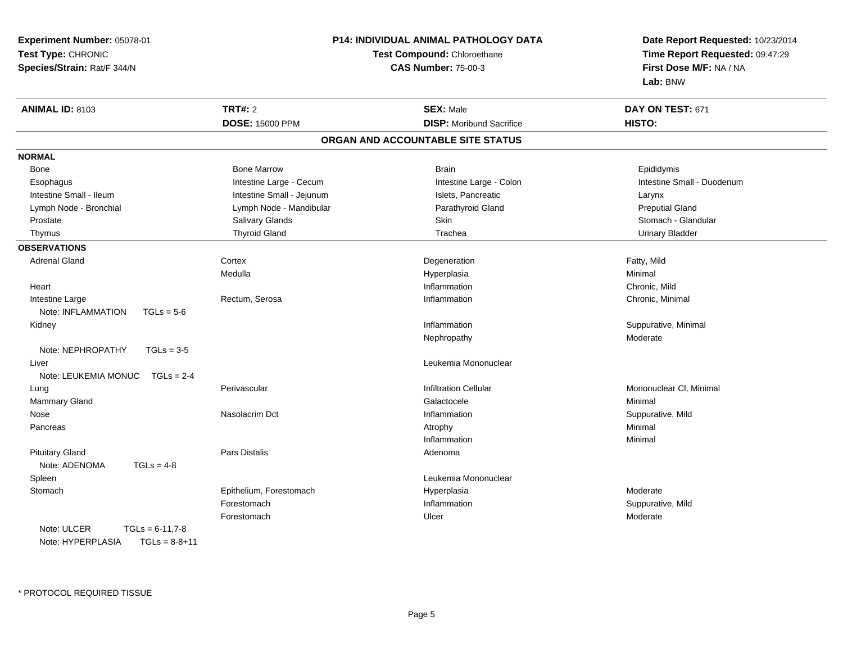**Experiment Number:** 05078-01**Test Type:** CHRONIC **Species/Strain:** Rat/F 344/N**P14: INDIVIDUAL ANIMAL PATHOLOGY DATATest Compound:** Chloroethane**CAS Number:** 75-00-3**Date Report Requested:** 10/23/2014**Time Report Requested:** 09:47:29**First Dose M/F:** NA / NA**Lab:** BNW**ANIMAL ID:** 8103**TRT#:** 2 **SEX:** Male **DAY ON TEST:** 671 **DOSE:** 15000 PPM**DISP:** Moribund Sacrifice **HISTO: ORGAN AND ACCOUNTABLE SITE STATUSNORMAL**Bone Bone Bone Marrow Bone Harrow Brain Brain Brain Brain Brain Brain Brain Brain Brain Brain Brain Brain Brain Brain Esophagus **Intestine Large - Cecum** Intestine Large - Cecum Intestine Large - Colon Intestine Small - Duodenum Intestine Small - Ileum Larynx Intestine Small - Jejunum Intestine Small - Jejunum Islets, Pancreatic Larynx **Preputial Gland** Lymph Node - Bronchial **Lymph Node - Mandibular Parathyroid Gland Preputial Preputial Preputial Preputial Prepu** Stomach - Glandular Prostate Subsetter Schloster Schloster Schloster Schloster Skin Stomach - Glandular Stomach - Glandular Stomach - Glandular Thymus Thyroid Gland Trachea Urinary Bladder**OBSERVATIONS** Adrenal Glandd Cortex Cortex and Cortex and Cortex and Degeneration Cortex and Degeneration of the Early, Mild Medulla Hyperplasia Minimal Heartt the contract of the contract of the contract of the contract of the contract of the contract of the contract of the contract of the contract of the contract of the contract of the contract of the contract of the contract Inflammation **Chronic, Mild**<br>
Inflammation **Chronic, Minimum Chronic, Minimum Chronic**, Mini Intestine Large Rectum, Serosa Inflammation Chronic, Minimal Note: INFLAMMATION TGLs = 5-6 Kidneyy the control of the control of the control of the control of the control of the control of the control of the control of the control of the control of the control of the control of the control of the control of the contro Inflammation **Suppurative, Minimal** Nephropathy ModerateNote: NEPHROPATHY TGLs = 3-5 Liver Leukemia Mononuclear Note: LEUKEMIA MONUC TGLs = 2-4 Lung Perivascular Infiltration Cellular Mononuclear Cl, Minimal Mammary Glandd and the control of the control of the control of the Galactocele control of the Minimal of Minimal of the control of the control of the control of the control of the control of the control of the control of the control o Nose Nasolacrim Dct Inflammation Suppurative, Mild Pancreass the control of the control of the control of the control of the control of the control of the control of the control of the control of the control of the control of the control of the control of the control of the contro Inflammationn and a basic control of the Minimal Pituitary Glandd and the contract of Pars Distalis and the contract of Adenoma and Adenoma and the Adenoma and the Adenoma and  $\lambda$ Note: ADENOMA TGLs = 4-8 Spleen Leukemia Mononuclear **Stomach** Epithelium, Forestomach **Epithelium, Forestomach Moderate** Hyperplasia<br>Forestomach **Moderate** Inflammation Moderate Inflammation ForestomachInflammation **Suppurative, Mild**<br>
Ulcer Moderate Moderate Forestomachh and the Ulcer the Ulcer of the Moderate of the Moderate of the Moderate of the Moderate of the Moderate of the Moderate of the Moderate of the Moderate of the Moderate of the Moderate of the Moderate of the Moderate of t Note: ULCER  $TGLs = 6-11,7-8$  $TGLs = 8-8+11$ Note: HYPERPLASIA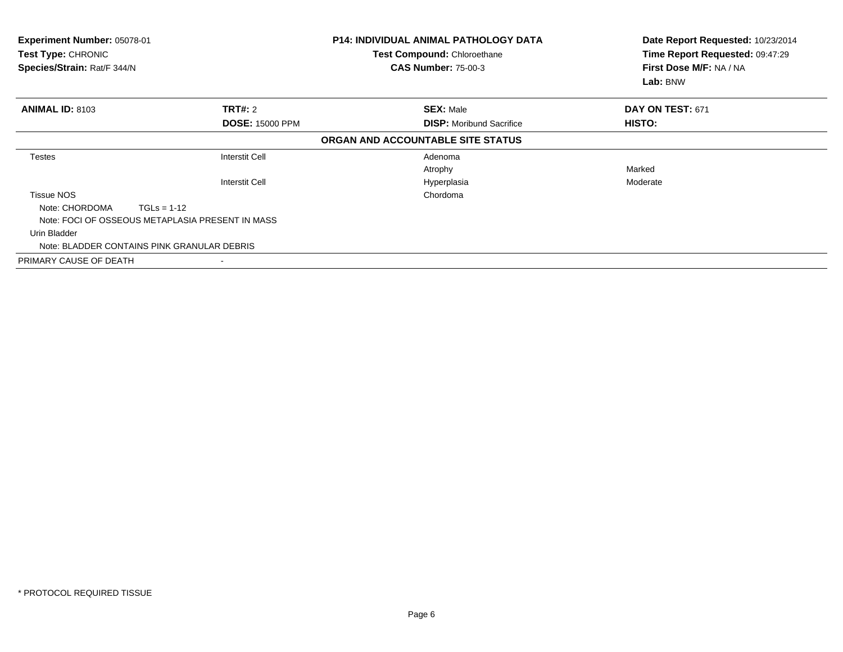| <b>Experiment Number: 05078-01</b><br>Test Type: CHRONIC<br>Species/Strain: Rat/F 344/N |                                                  | <b>P14: INDIVIDUAL ANIMAL PATHOLOGY DATA</b><br><b>Test Compound: Chloroethane</b><br><b>CAS Number: 75-00-3</b> | Date Report Requested: 10/23/2014<br>Time Report Requested: 09:47:29<br>First Dose M/F: NA / NA<br>Lab: BNW |
|-----------------------------------------------------------------------------------------|--------------------------------------------------|------------------------------------------------------------------------------------------------------------------|-------------------------------------------------------------------------------------------------------------|
| <b>ANIMAL ID: 8103</b>                                                                  | <b>TRT#: 2</b>                                   | <b>SEX: Male</b>                                                                                                 | DAY ON TEST: 671                                                                                            |
|                                                                                         | <b>DOSE: 15000 PPM</b>                           | <b>DISP:</b> Moribund Sacrifice                                                                                  | HISTO:                                                                                                      |
|                                                                                         |                                                  | ORGAN AND ACCOUNTABLE SITE STATUS                                                                                |                                                                                                             |
| Testes                                                                                  | Interstit Cell                                   | Adenoma                                                                                                          |                                                                                                             |
|                                                                                         |                                                  | Atrophy                                                                                                          | Marked                                                                                                      |
|                                                                                         | Interstit Cell                                   | Hyperplasia                                                                                                      | Moderate                                                                                                    |
| Tissue NOS                                                                              |                                                  | Chordoma                                                                                                         |                                                                                                             |
| Note: CHORDOMA                                                                          | $TGLs = 1-12$                                    |                                                                                                                  |                                                                                                             |
|                                                                                         | Note: FOCI OF OSSEOUS METAPLASIA PRESENT IN MASS |                                                                                                                  |                                                                                                             |
| Urin Bladder                                                                            |                                                  |                                                                                                                  |                                                                                                             |
|                                                                                         | Note: BLADDER CONTAINS PINK GRANULAR DEBRIS      |                                                                                                                  |                                                                                                             |
| PRIMARY CAUSE OF DEATH                                                                  |                                                  |                                                                                                                  |                                                                                                             |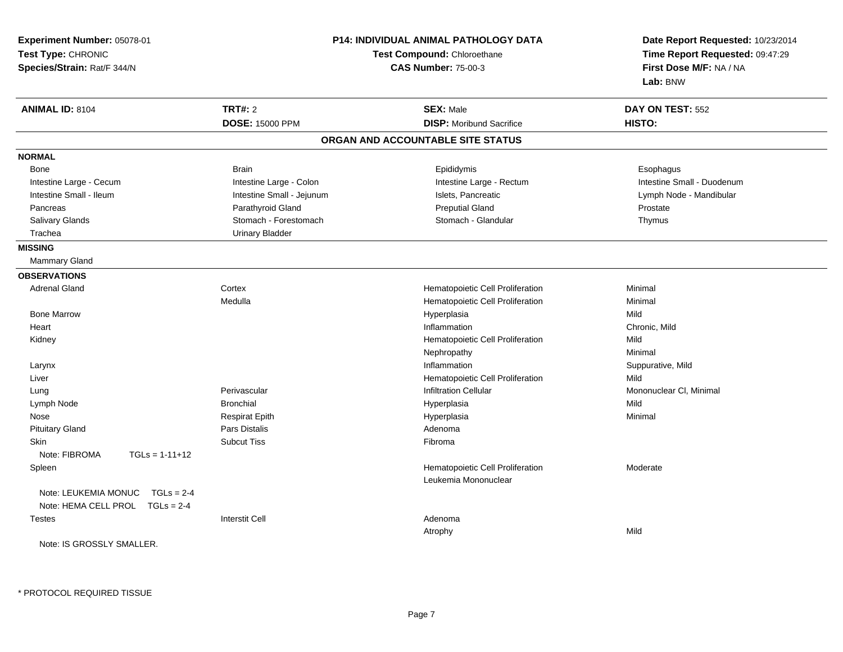| Experiment Number: 05078-01          |                             | <b>P14: INDIVIDUAL ANIMAL PATHOLOGY DATA</b> | Date Report Requested: 10/23/2014 |  |
|--------------------------------------|-----------------------------|----------------------------------------------|-----------------------------------|--|
| Test Type: CHRONIC                   | Test Compound: Chloroethane |                                              | Time Report Requested: 09:47:29   |  |
| Species/Strain: Rat/F 344/N          |                             | <b>CAS Number: 75-00-3</b>                   | First Dose M/F: NA / NA           |  |
|                                      |                             |                                              | Lab: BNW                          |  |
| <b>ANIMAL ID: 8104</b>               | <b>TRT#: 2</b>              | <b>SEX: Male</b>                             | DAY ON TEST: 552                  |  |
|                                      | <b>DOSE: 15000 PPM</b>      | <b>DISP:</b> Moribund Sacrifice              | HISTO:                            |  |
|                                      |                             | ORGAN AND ACCOUNTABLE SITE STATUS            |                                   |  |
| <b>NORMAL</b>                        |                             |                                              |                                   |  |
| Bone                                 | <b>Brain</b>                | Epididymis                                   | Esophagus                         |  |
| Intestine Large - Cecum              | Intestine Large - Colon     | Intestine Large - Rectum                     | Intestine Small - Duodenum        |  |
| Intestine Small - Ileum              | Intestine Small - Jejunum   | Islets, Pancreatic                           | Lymph Node - Mandibular           |  |
| Pancreas                             | Parathyroid Gland           | <b>Preputial Gland</b>                       | Prostate                          |  |
| Salivary Glands                      | Stomach - Forestomach       | Stomach - Glandular                          | Thymus                            |  |
| Trachea                              | <b>Urinary Bladder</b>      |                                              |                                   |  |
| <b>MISSING</b>                       |                             |                                              |                                   |  |
| Mammary Gland                        |                             |                                              |                                   |  |
| <b>OBSERVATIONS</b>                  |                             |                                              |                                   |  |
| <b>Adrenal Gland</b>                 | Cortex                      | Hematopoietic Cell Proliferation             | Minimal                           |  |
|                                      | Medulla                     | Hematopoietic Cell Proliferation             | Minimal                           |  |
| <b>Bone Marrow</b>                   |                             | Hyperplasia                                  | Mild                              |  |
| Heart                                |                             | Inflammation                                 | Chronic, Mild                     |  |
| Kidney                               |                             | Hematopoietic Cell Proliferation             | Mild                              |  |
|                                      |                             | Nephropathy                                  | Minimal                           |  |
| Larynx                               |                             | Inflammation                                 | Suppurative, Mild                 |  |
| Liver                                |                             | Hematopoietic Cell Proliferation             | Mild                              |  |
| Lung                                 | Perivascular                | <b>Infiltration Cellular</b>                 | Mononuclear CI, Minimal           |  |
| Lymph Node                           | <b>Bronchial</b>            | Hyperplasia                                  | Mild                              |  |
| Nose                                 | <b>Respirat Epith</b>       | Hyperplasia                                  | Minimal                           |  |
| <b>Pituitary Gland</b>               | <b>Pars Distalis</b>        | Adenoma                                      |                                   |  |
| Skin                                 | <b>Subcut Tiss</b>          | Fibroma                                      |                                   |  |
| Note: FIBROMA<br>$TGLs = 1-11+12$    |                             |                                              |                                   |  |
| Spleen                               |                             | Hematopoietic Cell Proliferation             | Moderate                          |  |
|                                      |                             | Leukemia Mononuclear                         |                                   |  |
| Note: LEUKEMIA MONUC<br>$TGLs = 2-4$ |                             |                                              |                                   |  |
| Note: HEMA CELL PROL TGLs = 2-4      |                             |                                              |                                   |  |
| <b>Testes</b>                        | <b>Interstit Cell</b>       | Adenoma                                      |                                   |  |
|                                      |                             | Atrophy                                      | Mild                              |  |
| Note: IS GROSSLY SMALLER.            |                             |                                              |                                   |  |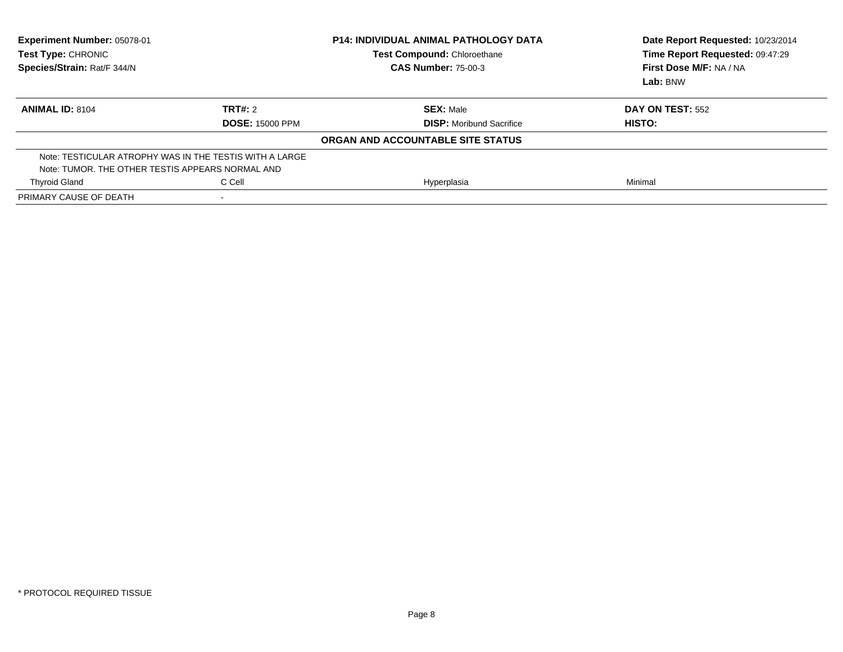| <b>Experiment Number: 05078-01</b><br>Test Type: CHRONIC<br>Species/Strain: Rat/F 344/N |                        | <b>P14: INDIVIDUAL ANIMAL PATHOLOGY DATA</b><br><b>Test Compound: Chloroethane</b><br><b>CAS Number: 75-00-3</b> | Date Report Requested: 10/23/2014<br>Time Report Requested: 09:47:29<br>First Dose M/F: NA / NA<br>Lab: BNW |
|-----------------------------------------------------------------------------------------|------------------------|------------------------------------------------------------------------------------------------------------------|-------------------------------------------------------------------------------------------------------------|
| <b>ANIMAL ID: 8104</b>                                                                  | <b>TRT#: 2</b>         | <b>SEX: Male</b>                                                                                                 | <b>DAY ON TEST: 552</b>                                                                                     |
|                                                                                         | <b>DOSE: 15000 PPM</b> | <b>DISP:</b> Moribund Sacrifice                                                                                  | HISTO:                                                                                                      |
|                                                                                         |                        | ORGAN AND ACCOUNTABLE SITE STATUS                                                                                |                                                                                                             |
| Note: TESTICULAR ATROPHY WAS IN THE TESTIS WITH A LARGE                                 |                        |                                                                                                                  |                                                                                                             |
| Note: TUMOR. THE OTHER TESTIS APPEARS NORMAL AND                                        |                        |                                                                                                                  |                                                                                                             |
| <b>Thyroid Gland</b>                                                                    | C Cell                 | Hyperplasia                                                                                                      | Minimal                                                                                                     |
| PRIMARY CAUSE OF DEATH                                                                  |                        |                                                                                                                  |                                                                                                             |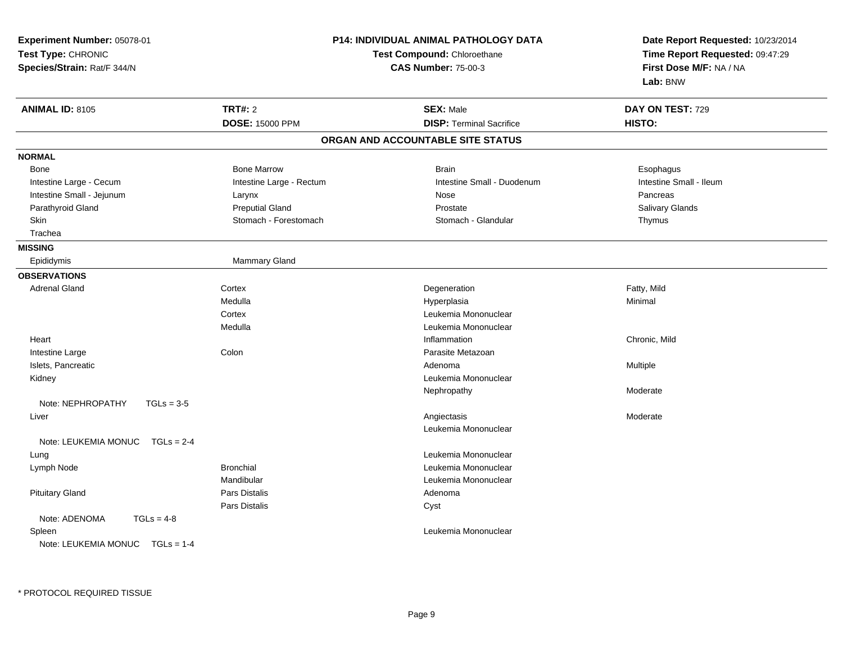| Experiment Number: 05078-01<br>Test Type: CHRONIC<br>Species/Strain: Rat/F 344/N |                          | <b>P14: INDIVIDUAL ANIMAL PATHOLOGY DATA</b><br>Test Compound: Chloroethane<br><b>CAS Number: 75-00-3</b> | Date Report Requested: 10/23/2014<br>Time Report Requested: 09:47:29<br>First Dose M/F: NA / NA<br>Lab: BNW |
|----------------------------------------------------------------------------------|--------------------------|-----------------------------------------------------------------------------------------------------------|-------------------------------------------------------------------------------------------------------------|
| <b>ANIMAL ID: 8105</b>                                                           | <b>TRT#: 2</b>           | <b>SEX: Male</b>                                                                                          | DAY ON TEST: 729                                                                                            |
|                                                                                  | <b>DOSE: 15000 PPM</b>   | <b>DISP: Terminal Sacrifice</b>                                                                           | HISTO:                                                                                                      |
|                                                                                  |                          | ORGAN AND ACCOUNTABLE SITE STATUS                                                                         |                                                                                                             |
| <b>NORMAL</b>                                                                    |                          |                                                                                                           |                                                                                                             |
| Bone                                                                             | <b>Bone Marrow</b>       | <b>Brain</b>                                                                                              | Esophagus                                                                                                   |
| Intestine Large - Cecum                                                          | Intestine Large - Rectum | Intestine Small - Duodenum                                                                                | Intestine Small - Ileum                                                                                     |
| Intestine Small - Jejunum                                                        | Larynx                   | Nose                                                                                                      | Pancreas                                                                                                    |
| Parathyroid Gland                                                                | <b>Preputial Gland</b>   | Prostate                                                                                                  | Salivary Glands                                                                                             |
| Skin                                                                             | Stomach - Forestomach    | Stomach - Glandular                                                                                       | Thymus                                                                                                      |
| Trachea                                                                          |                          |                                                                                                           |                                                                                                             |
| <b>MISSING</b>                                                                   |                          |                                                                                                           |                                                                                                             |
| Epididymis                                                                       | Mammary Gland            |                                                                                                           |                                                                                                             |
| <b>OBSERVATIONS</b>                                                              |                          |                                                                                                           |                                                                                                             |
| <b>Adrenal Gland</b>                                                             | Cortex                   | Degeneration                                                                                              | Fatty, Mild                                                                                                 |
|                                                                                  | Medulla                  | Hyperplasia                                                                                               | Minimal                                                                                                     |
|                                                                                  | Cortex                   | Leukemia Mononuclear                                                                                      |                                                                                                             |
|                                                                                  | Medulla                  | Leukemia Mononuclear                                                                                      |                                                                                                             |
| Heart                                                                            |                          | Inflammation                                                                                              | Chronic, Mild                                                                                               |
| Intestine Large                                                                  | Colon                    | Parasite Metazoan                                                                                         |                                                                                                             |
| Islets, Pancreatic                                                               |                          | Adenoma                                                                                                   | Multiple                                                                                                    |
| Kidney                                                                           |                          | Leukemia Mononuclear                                                                                      |                                                                                                             |
|                                                                                  |                          | Nephropathy                                                                                               | Moderate                                                                                                    |
| Note: NEPHROPATHY<br>$TGLs = 3-5$                                                |                          |                                                                                                           |                                                                                                             |
| Liver                                                                            |                          | Angiectasis                                                                                               | Moderate                                                                                                    |
|                                                                                  |                          | Leukemia Mononuclear                                                                                      |                                                                                                             |
| Note: LEUKEMIA MONUC<br>$TGLs = 2-4$                                             |                          |                                                                                                           |                                                                                                             |
| Lung                                                                             |                          | Leukemia Mononuclear                                                                                      |                                                                                                             |
| Lymph Node                                                                       | <b>Bronchial</b>         | Leukemia Mononuclear                                                                                      |                                                                                                             |
|                                                                                  | Mandibular               | Leukemia Mononuclear                                                                                      |                                                                                                             |
| <b>Pituitary Gland</b>                                                           | <b>Pars Distalis</b>     | Adenoma                                                                                                   |                                                                                                             |
|                                                                                  | <b>Pars Distalis</b>     | Cyst                                                                                                      |                                                                                                             |
| Note: ADENOMA<br>$TGLs = 4-8$<br>Spleen<br>Note: LEUKEMIA MONUC $TGLs = 1-4$     |                          | Leukemia Mononuclear                                                                                      |                                                                                                             |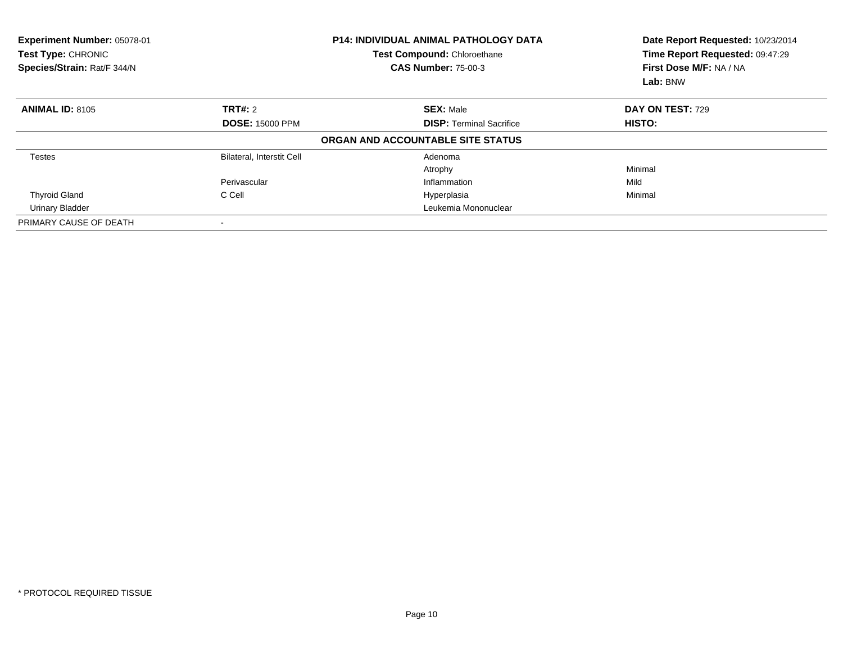| Experiment Number: 05078-01<br>Test Type: CHRONIC<br>Species/Strain: Rat/F 344/N |                           | <b>P14: INDIVIDUAL ANIMAL PATHOLOGY DATA</b><br>Test Compound: Chloroethane<br><b>CAS Number: 75-00-3</b> | Date Report Requested: 10/23/2014<br>Time Report Requested: 09:47:29<br>First Dose M/F: NA / NA<br>Lab: BNW |
|----------------------------------------------------------------------------------|---------------------------|-----------------------------------------------------------------------------------------------------------|-------------------------------------------------------------------------------------------------------------|
| <b>ANIMAL ID: 8105</b>                                                           | TRT#: 2                   | <b>SEX: Male</b>                                                                                          | DAY ON TEST: 729                                                                                            |
|                                                                                  | <b>DOSE: 15000 PPM</b>    | <b>DISP:</b> Terminal Sacrifice                                                                           | <b>HISTO:</b>                                                                                               |
|                                                                                  |                           | ORGAN AND ACCOUNTABLE SITE STATUS                                                                         |                                                                                                             |
| <b>Testes</b>                                                                    | Bilateral, Interstit Cell | Adenoma                                                                                                   |                                                                                                             |
|                                                                                  |                           | Atrophy                                                                                                   | Minimal                                                                                                     |
|                                                                                  | Perivascular              | Inflammation                                                                                              | Mild                                                                                                        |
| <b>Thyroid Gland</b>                                                             | C Cell                    | Hyperplasia                                                                                               | Minimal                                                                                                     |
| <b>Urinary Bladder</b>                                                           |                           | Leukemia Mononuclear                                                                                      |                                                                                                             |
| PRIMARY CAUSE OF DEATH                                                           |                           |                                                                                                           |                                                                                                             |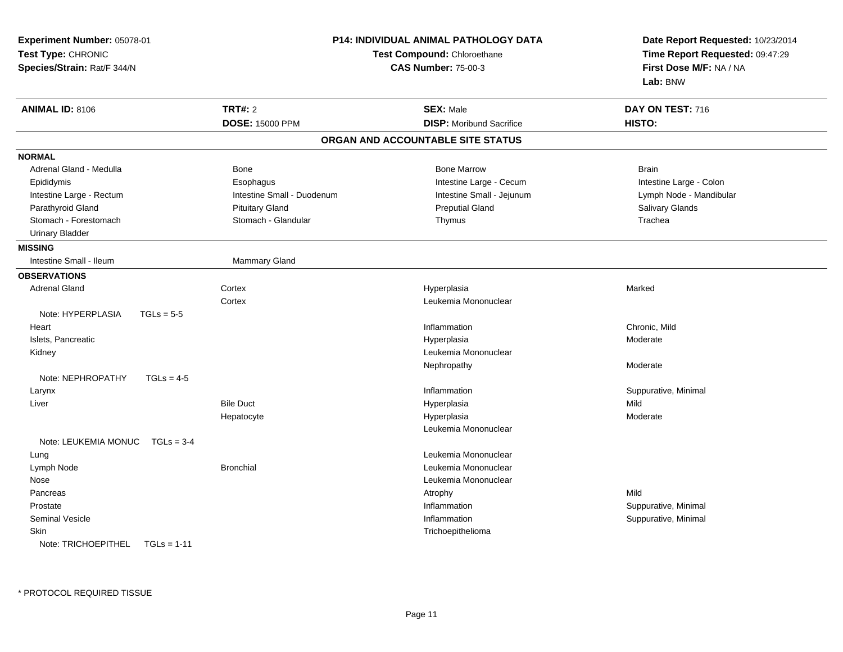| Experiment Number: 05078-01          |                            | <b>P14: INDIVIDUAL ANIMAL PATHOLOGY DATA</b> | Date Report Requested: 10/23/2014                          |
|--------------------------------------|----------------------------|----------------------------------------------|------------------------------------------------------------|
| Test Type: CHRONIC                   |                            | Test Compound: Chloroethane                  | Time Report Requested: 09:47:29<br>First Dose M/F: NA / NA |
| Species/Strain: Rat/F 344/N          |                            | <b>CAS Number: 75-00-3</b>                   |                                                            |
|                                      |                            |                                              | Lab: BNW                                                   |
| <b>ANIMAL ID: 8106</b>               | <b>TRT#: 2</b>             | <b>SEX: Male</b>                             | DAY ON TEST: 716                                           |
|                                      | <b>DOSE: 15000 PPM</b>     | <b>DISP:</b> Moribund Sacrifice              | HISTO:                                                     |
|                                      |                            | ORGAN AND ACCOUNTABLE SITE STATUS            |                                                            |
| <b>NORMAL</b>                        |                            |                                              |                                                            |
| Adrenal Gland - Medulla              | Bone                       | <b>Bone Marrow</b>                           | <b>Brain</b>                                               |
| Epididymis                           | Esophagus                  | Intestine Large - Cecum                      | Intestine Large - Colon                                    |
| Intestine Large - Rectum             | Intestine Small - Duodenum | Intestine Small - Jejunum                    | Lymph Node - Mandibular                                    |
| Parathyroid Gland                    | <b>Pituitary Gland</b>     | <b>Preputial Gland</b>                       | Salivary Glands                                            |
| Stomach - Forestomach                | Stomach - Glandular        | Thymus                                       | Trachea                                                    |
| <b>Urinary Bladder</b>               |                            |                                              |                                                            |
| <b>MISSING</b>                       |                            |                                              |                                                            |
| Intestine Small - Ileum              | Mammary Gland              |                                              |                                                            |
| <b>OBSERVATIONS</b>                  |                            |                                              |                                                            |
| <b>Adrenal Gland</b>                 | Cortex                     | Hyperplasia                                  | Marked                                                     |
|                                      | Cortex                     | Leukemia Mononuclear                         |                                                            |
| Note: HYPERPLASIA<br>$TGLs = 5-5$    |                            |                                              |                                                            |
| Heart                                |                            | Inflammation                                 | Chronic, Mild                                              |
| Islets, Pancreatic                   |                            | Hyperplasia                                  | Moderate                                                   |
| Kidney                               |                            | Leukemia Mononuclear                         |                                                            |
|                                      |                            | Nephropathy                                  | Moderate                                                   |
| Note: NEPHROPATHY<br>$TGLs = 4-5$    |                            |                                              |                                                            |
| Larynx                               |                            | Inflammation                                 | Suppurative, Minimal                                       |
| Liver                                | <b>Bile Duct</b>           | Hyperplasia                                  | Mild                                                       |
|                                      | Hepatocyte                 | Hyperplasia                                  | Moderate                                                   |
|                                      |                            | Leukemia Mononuclear                         |                                                            |
| Note: LEUKEMIA MONUC<br>$TGLs = 3-4$ |                            |                                              |                                                            |
| Lung                                 |                            | Leukemia Mononuclear                         |                                                            |
| Lymph Node                           | <b>Bronchial</b>           | Leukemia Mononuclear                         |                                                            |
| Nose                                 |                            | Leukemia Mononuclear                         |                                                            |
| Pancreas                             |                            | Atrophy                                      | Mild                                                       |
| Prostate                             |                            | Inflammation                                 | Suppurative, Minimal                                       |
| <b>Seminal Vesicle</b>               |                            | Inflammation                                 | Suppurative, Minimal                                       |
| Skin                                 |                            | Trichoepithelioma                            |                                                            |
| Note: TRICHOEPITHEL<br>$TGLs = 1-11$ |                            |                                              |                                                            |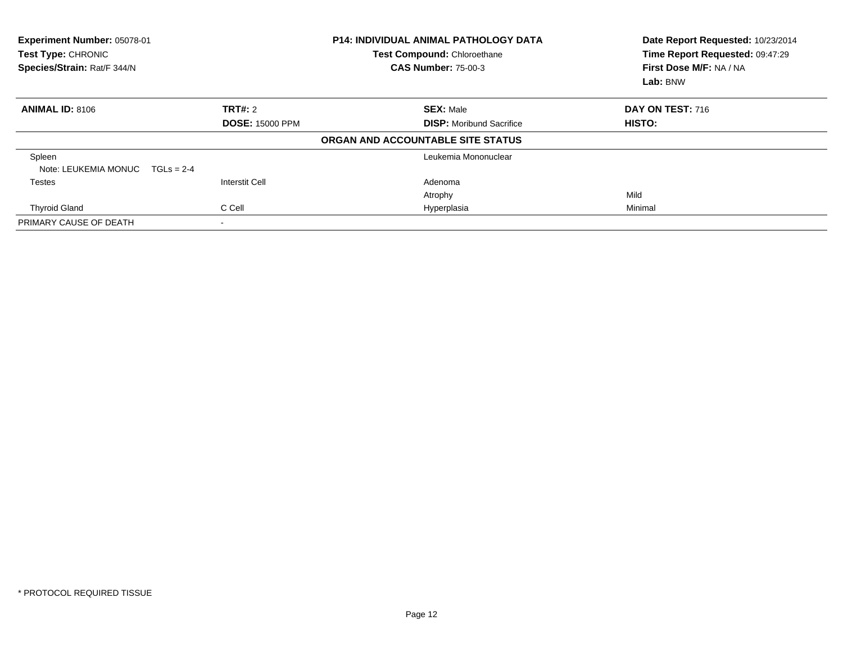| Experiment Number: 05078-01<br>Test Type: CHRONIC<br>Species/Strain: Rat/F 344/N |                        | <b>P14: INDIVIDUAL ANIMAL PATHOLOGY DATA</b><br>Test Compound: Chloroethane<br><b>CAS Number: 75-00-3</b> | Date Report Requested: 10/23/2014<br>Time Report Requested: 09:47:29<br>First Dose M/F: NA / NA<br>Lab: BNW |
|----------------------------------------------------------------------------------|------------------------|-----------------------------------------------------------------------------------------------------------|-------------------------------------------------------------------------------------------------------------|
| <b>ANIMAL ID: 8106</b>                                                           | <b>TRT#:</b> 2         | <b>SEX: Male</b>                                                                                          | DAY ON TEST: 716                                                                                            |
|                                                                                  | <b>DOSE: 15000 PPM</b> | <b>DISP:</b> Moribund Sacrifice                                                                           | <b>HISTO:</b>                                                                                               |
|                                                                                  |                        | ORGAN AND ACCOUNTABLE SITE STATUS                                                                         |                                                                                                             |
| Spleen<br>Note: LEUKEMIA MONUC                                                   | $TGLs = 2-4$           | Leukemia Mononuclear                                                                                      |                                                                                                             |
| Testes                                                                           | <b>Interstit Cell</b>  | Adenoma                                                                                                   |                                                                                                             |
|                                                                                  |                        | Atrophy                                                                                                   | Mild                                                                                                        |
| <b>Thyroid Gland</b>                                                             | C Cell                 | Hyperplasia                                                                                               | Minimal                                                                                                     |
| PRIMARY CAUSE OF DEATH                                                           |                        |                                                                                                           |                                                                                                             |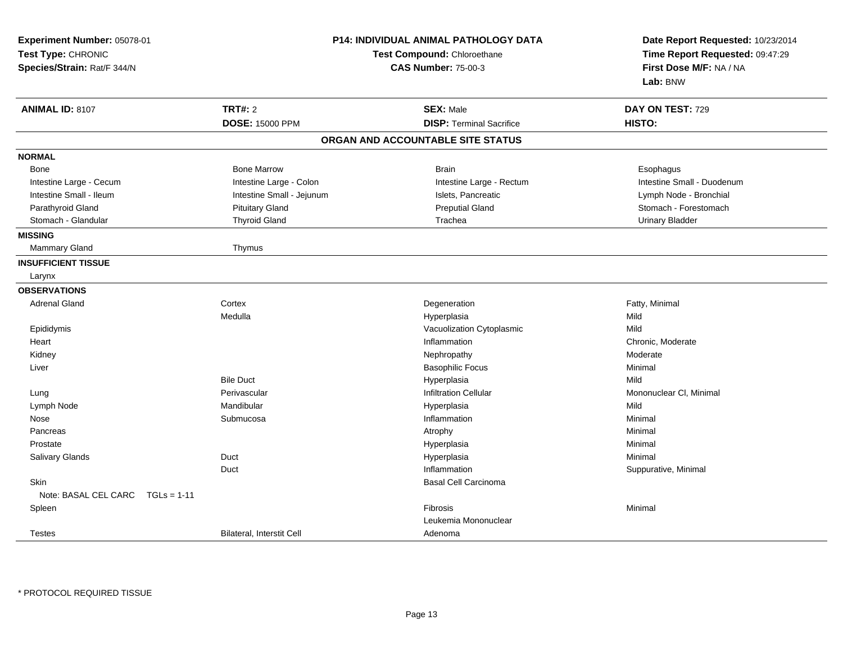| Experiment Number: 05078-01<br>Test Type: CHRONIC<br>Species/Strain: Rat/F 344/N | <b>P14: INDIVIDUAL ANIMAL PATHOLOGY DATA</b><br>Test Compound: Chloroethane<br><b>CAS Number: 75-00-3</b> |                                   | Date Report Requested: 10/23/2014<br>Time Report Requested: 09:47:29<br>First Dose M/F: NA / NA<br>Lab: BNW |  |
|----------------------------------------------------------------------------------|-----------------------------------------------------------------------------------------------------------|-----------------------------------|-------------------------------------------------------------------------------------------------------------|--|
| <b>ANIMAL ID: 8107</b>                                                           | TRT#: 2                                                                                                   | <b>SEX: Male</b>                  | DAY ON TEST: 729                                                                                            |  |
|                                                                                  | <b>DOSE: 15000 PPM</b>                                                                                    | <b>DISP: Terminal Sacrifice</b>   | HISTO:                                                                                                      |  |
|                                                                                  |                                                                                                           | ORGAN AND ACCOUNTABLE SITE STATUS |                                                                                                             |  |
| <b>NORMAL</b>                                                                    |                                                                                                           |                                   |                                                                                                             |  |
| Bone                                                                             | <b>Bone Marrow</b>                                                                                        | <b>Brain</b>                      | Esophagus                                                                                                   |  |
| Intestine Large - Cecum                                                          | Intestine Large - Colon                                                                                   | Intestine Large - Rectum          | Intestine Small - Duodenum                                                                                  |  |
| Intestine Small - Ileum                                                          | Intestine Small - Jejunum                                                                                 | Islets, Pancreatic                | Lymph Node - Bronchial                                                                                      |  |
| Parathyroid Gland                                                                | <b>Pituitary Gland</b>                                                                                    | <b>Preputial Gland</b>            | Stomach - Forestomach                                                                                       |  |
| Stomach - Glandular                                                              | <b>Thyroid Gland</b>                                                                                      | Trachea                           | <b>Urinary Bladder</b>                                                                                      |  |
| <b>MISSING</b>                                                                   |                                                                                                           |                                   |                                                                                                             |  |
| Mammary Gland                                                                    | Thymus                                                                                                    |                                   |                                                                                                             |  |
| <b>INSUFFICIENT TISSUE</b>                                                       |                                                                                                           |                                   |                                                                                                             |  |
| Larynx                                                                           |                                                                                                           |                                   |                                                                                                             |  |
| <b>OBSERVATIONS</b>                                                              |                                                                                                           |                                   |                                                                                                             |  |
| <b>Adrenal Gland</b>                                                             | Cortex                                                                                                    | Degeneration                      | Fatty, Minimal                                                                                              |  |
|                                                                                  | Medulla                                                                                                   | Hyperplasia                       | Mild                                                                                                        |  |
| Epididymis                                                                       |                                                                                                           | Vacuolization Cytoplasmic         | Mild                                                                                                        |  |
| Heart                                                                            |                                                                                                           | Inflammation                      | Chronic, Moderate                                                                                           |  |
| Kidney                                                                           |                                                                                                           | Nephropathy                       | Moderate                                                                                                    |  |
| Liver                                                                            |                                                                                                           | <b>Basophilic Focus</b>           | Minimal                                                                                                     |  |
|                                                                                  | <b>Bile Duct</b>                                                                                          | Hyperplasia                       | Mild                                                                                                        |  |
| Lung                                                                             | Perivascular                                                                                              | Infiltration Cellular             | Mononuclear CI, Minimal                                                                                     |  |
| Lymph Node                                                                       | Mandibular                                                                                                | Hyperplasia                       | Mild                                                                                                        |  |
| Nose                                                                             | Submucosa                                                                                                 | Inflammation                      | Minimal                                                                                                     |  |
| Pancreas                                                                         |                                                                                                           | Atrophy                           | Minimal                                                                                                     |  |
| Prostate                                                                         |                                                                                                           | Hyperplasia                       | Minimal                                                                                                     |  |
| Salivary Glands                                                                  | Duct                                                                                                      | Hyperplasia                       | Minimal                                                                                                     |  |
|                                                                                  | Duct                                                                                                      | Inflammation                      | Suppurative, Minimal                                                                                        |  |
| <b>Skin</b>                                                                      |                                                                                                           | <b>Basal Cell Carcinoma</b>       |                                                                                                             |  |
| Note: BASAL CEL CARC TGLs = 1-11                                                 |                                                                                                           |                                   |                                                                                                             |  |
| Spleen                                                                           |                                                                                                           | Fibrosis                          | Minimal                                                                                                     |  |
|                                                                                  |                                                                                                           | Leukemia Mononuclear              |                                                                                                             |  |
| <b>Testes</b>                                                                    | Bilateral, Interstit Cell                                                                                 | Adenoma                           |                                                                                                             |  |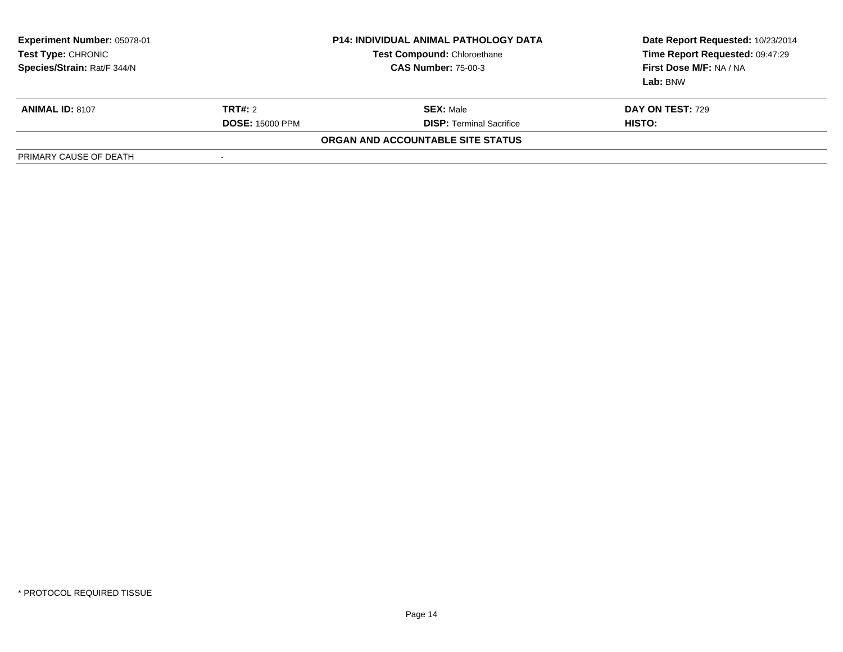| <b>Experiment Number: 05078-01</b><br>Test Type: CHRONIC<br>Species/Strain: Rat/F 344/N | <b>P14: INDIVIDUAL ANIMAL PATHOLOGY DATA</b><br><b>Test Compound: Chloroethane</b><br><b>CAS Number: 75-00-3</b> |                                   | Date Report Requested: 10/23/2014<br>Time Report Requested: 09:47:29<br>First Dose M/F: NA / NA<br>Lab: BNW |
|-----------------------------------------------------------------------------------------|------------------------------------------------------------------------------------------------------------------|-----------------------------------|-------------------------------------------------------------------------------------------------------------|
| <b>ANIMAL ID: 8107</b>                                                                  | TRT#: 2                                                                                                          | <b>SEX: Male</b>                  | <b>DAY ON TEST: 729</b>                                                                                     |
|                                                                                         | <b>DOSE: 15000 PPM</b>                                                                                           | <b>DISP: Terminal Sacrifice</b>   | HISTO:                                                                                                      |
|                                                                                         |                                                                                                                  | ORGAN AND ACCOUNTABLE SITE STATUS |                                                                                                             |
| PRIMARY CAUSE OF DEATH                                                                  |                                                                                                                  |                                   |                                                                                                             |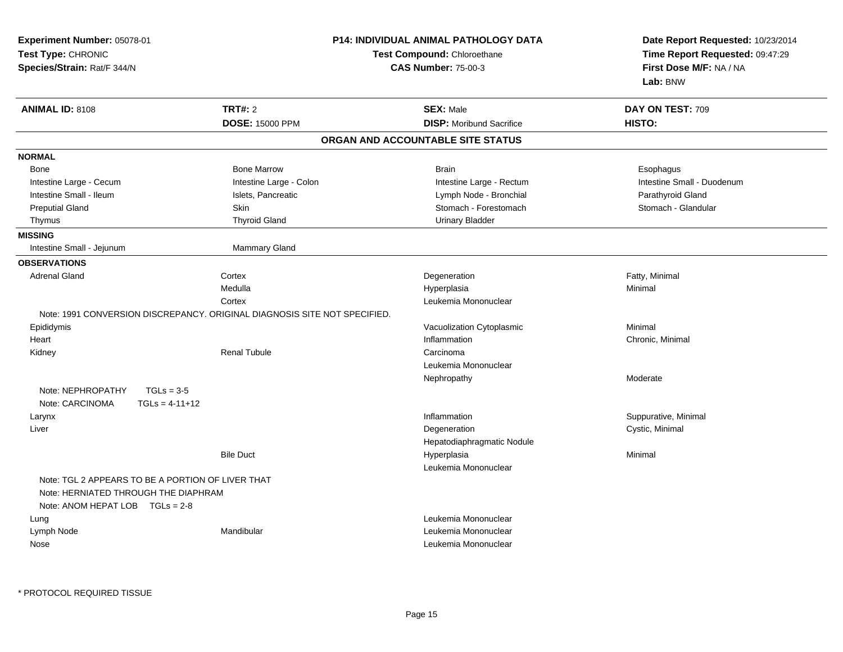| Experiment Number: 05078-01<br>Test Type: CHRONIC<br>Species/Strain: Rat/F 344/N                                             |                                          | P14: INDIVIDUAL ANIMAL PATHOLOGY DATA<br>Test Compound: Chloroethane<br><b>CAS Number: 75-00-3</b> | Date Report Requested: 10/23/2014<br>Time Report Requested: 09:47:29<br>First Dose M/F: NA / NA<br>Lab: BNW |
|------------------------------------------------------------------------------------------------------------------------------|------------------------------------------|----------------------------------------------------------------------------------------------------|-------------------------------------------------------------------------------------------------------------|
| <b>ANIMAL ID: 8108</b>                                                                                                       | <b>TRT#: 2</b><br><b>DOSE: 15000 PPM</b> | <b>SEX: Male</b><br><b>DISP:</b> Moribund Sacrifice                                                | DAY ON TEST: 709<br>HISTO:                                                                                  |
|                                                                                                                              |                                          | ORGAN AND ACCOUNTABLE SITE STATUS                                                                  |                                                                                                             |
| <b>NORMAL</b>                                                                                                                |                                          |                                                                                                    |                                                                                                             |
| Bone                                                                                                                         | <b>Bone Marrow</b>                       | <b>Brain</b>                                                                                       | Esophagus                                                                                                   |
| Intestine Large - Cecum                                                                                                      | Intestine Large - Colon                  | Intestine Large - Rectum                                                                           | Intestine Small - Duodenum                                                                                  |
| Intestine Small - Ileum                                                                                                      | Islets, Pancreatic                       | Lymph Node - Bronchial                                                                             | Parathyroid Gland                                                                                           |
| <b>Preputial Gland</b>                                                                                                       | Skin                                     | Stomach - Forestomach                                                                              | Stomach - Glandular                                                                                         |
| Thymus                                                                                                                       | <b>Thyroid Gland</b>                     | <b>Urinary Bladder</b>                                                                             |                                                                                                             |
| <b>MISSING</b>                                                                                                               |                                          |                                                                                                    |                                                                                                             |
| Intestine Small - Jejunum                                                                                                    | Mammary Gland                            |                                                                                                    |                                                                                                             |
| <b>OBSERVATIONS</b>                                                                                                          |                                          |                                                                                                    |                                                                                                             |
| <b>Adrenal Gland</b>                                                                                                         | Cortex                                   | Degeneration                                                                                       | Fatty, Minimal                                                                                              |
|                                                                                                                              | Medulla                                  | Hyperplasia                                                                                        | Minimal                                                                                                     |
|                                                                                                                              | Cortex                                   | Leukemia Mononuclear                                                                               |                                                                                                             |
| Note: 1991 CONVERSION DISCREPANCY, ORIGINAL DIAGNOSIS SITE NOT SPECIFIED.                                                    |                                          |                                                                                                    |                                                                                                             |
| Epididymis                                                                                                                   |                                          | Vacuolization Cytoplasmic                                                                          | Minimal                                                                                                     |
| Heart                                                                                                                        |                                          | Inflammation                                                                                       | Chronic, Minimal                                                                                            |
| Kidney                                                                                                                       | <b>Renal Tubule</b>                      | Carcinoma                                                                                          |                                                                                                             |
|                                                                                                                              |                                          | Leukemia Mononuclear                                                                               |                                                                                                             |
|                                                                                                                              |                                          | Nephropathy                                                                                        | Moderate                                                                                                    |
| $TGLs = 3-5$<br>Note: NEPHROPATHY                                                                                            |                                          |                                                                                                    |                                                                                                             |
| Note: CARCINOMA<br>$TGLS = 4-11+12$                                                                                          |                                          |                                                                                                    |                                                                                                             |
| Larynx                                                                                                                       |                                          | Inflammation                                                                                       | Suppurative, Minimal                                                                                        |
| Liver                                                                                                                        |                                          | Degeneration                                                                                       | Cystic, Minimal                                                                                             |
|                                                                                                                              |                                          | Hepatodiaphragmatic Nodule                                                                         |                                                                                                             |
|                                                                                                                              | <b>Bile Duct</b>                         | Hyperplasia                                                                                        | Minimal                                                                                                     |
|                                                                                                                              |                                          | Leukemia Mononuclear                                                                               |                                                                                                             |
| Note: TGL 2 APPEARS TO BE A PORTION OF LIVER THAT<br>Note: HERNIATED THROUGH THE DIAPHRAM<br>Note: ANOM HEPAT LOB TGLs = 2-8 |                                          |                                                                                                    |                                                                                                             |
| Lung                                                                                                                         |                                          | Leukemia Mononuclear                                                                               |                                                                                                             |
| Lymph Node                                                                                                                   | Mandibular                               | Leukemia Mononuclear                                                                               |                                                                                                             |
| Nose                                                                                                                         |                                          | Leukemia Mononuclear                                                                               |                                                                                                             |
|                                                                                                                              |                                          |                                                                                                    |                                                                                                             |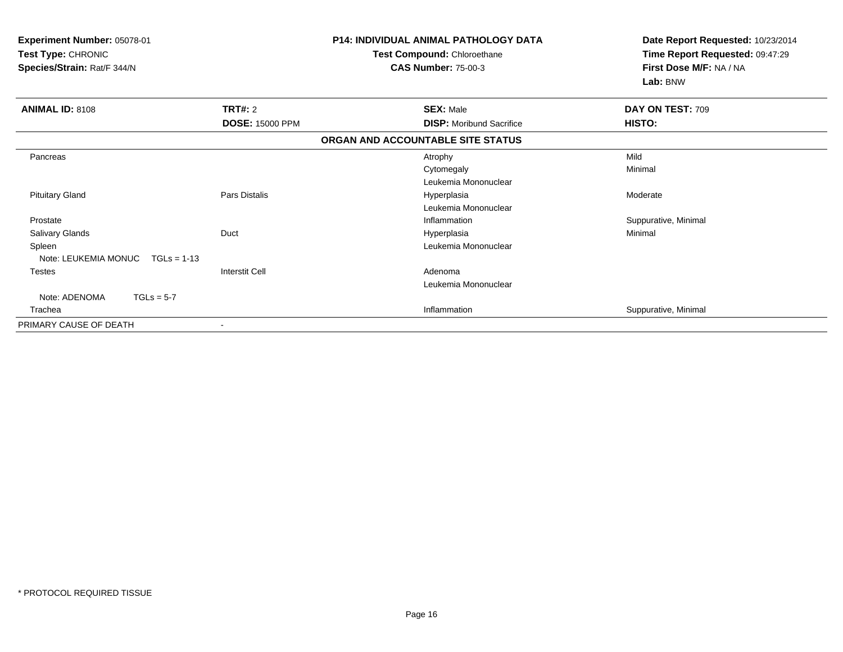| Experiment Number: 05078-01<br>Test Type: CHRONIC<br>Species/Strain: Rat/F 344/N |                        | <b>P14: INDIVIDUAL ANIMAL PATHOLOGY DATA</b><br>Test Compound: Chloroethane<br><b>CAS Number: 75-00-3</b> | Date Report Requested: 10/23/2014<br>Time Report Requested: 09:47:29<br>First Dose M/F: NA / NA<br>Lab: BNW |  |
|----------------------------------------------------------------------------------|------------------------|-----------------------------------------------------------------------------------------------------------|-------------------------------------------------------------------------------------------------------------|--|
| <b>ANIMAL ID: 8108</b>                                                           | <b>TRT#: 2</b>         | <b>SEX: Male</b>                                                                                          | DAY ON TEST: 709                                                                                            |  |
|                                                                                  | <b>DOSE: 15000 PPM</b> | <b>DISP:</b> Moribund Sacrifice                                                                           | HISTO:                                                                                                      |  |
|                                                                                  |                        | ORGAN AND ACCOUNTABLE SITE STATUS                                                                         |                                                                                                             |  |
| Pancreas                                                                         |                        | Atrophy                                                                                                   | Mild                                                                                                        |  |
|                                                                                  |                        | Cytomegaly                                                                                                | Minimal                                                                                                     |  |
|                                                                                  |                        | Leukemia Mononuclear                                                                                      |                                                                                                             |  |
| <b>Pituitary Gland</b>                                                           | Pars Distalis          | Hyperplasia                                                                                               | Moderate                                                                                                    |  |
|                                                                                  |                        | Leukemia Mononuclear                                                                                      |                                                                                                             |  |
| Prostate                                                                         |                        | Inflammation                                                                                              | Suppurative, Minimal                                                                                        |  |
| <b>Salivary Glands</b>                                                           | Duct                   | Hyperplasia                                                                                               | Minimal                                                                                                     |  |
| Spleen                                                                           |                        | Leukemia Mononuclear                                                                                      |                                                                                                             |  |
| Note: LEUKEMIA MONUC<br>$TGLs = 1-13$                                            |                        |                                                                                                           |                                                                                                             |  |
| <b>Testes</b>                                                                    | Interstit Cell         | Adenoma                                                                                                   |                                                                                                             |  |
|                                                                                  |                        | Leukemia Mononuclear                                                                                      |                                                                                                             |  |
| Note: ADENOMA<br>$TGLs = 5-7$                                                    |                        |                                                                                                           |                                                                                                             |  |
| Trachea                                                                          |                        | Inflammation                                                                                              | Suppurative, Minimal                                                                                        |  |
| PRIMARY CAUSE OF DEATH                                                           |                        |                                                                                                           |                                                                                                             |  |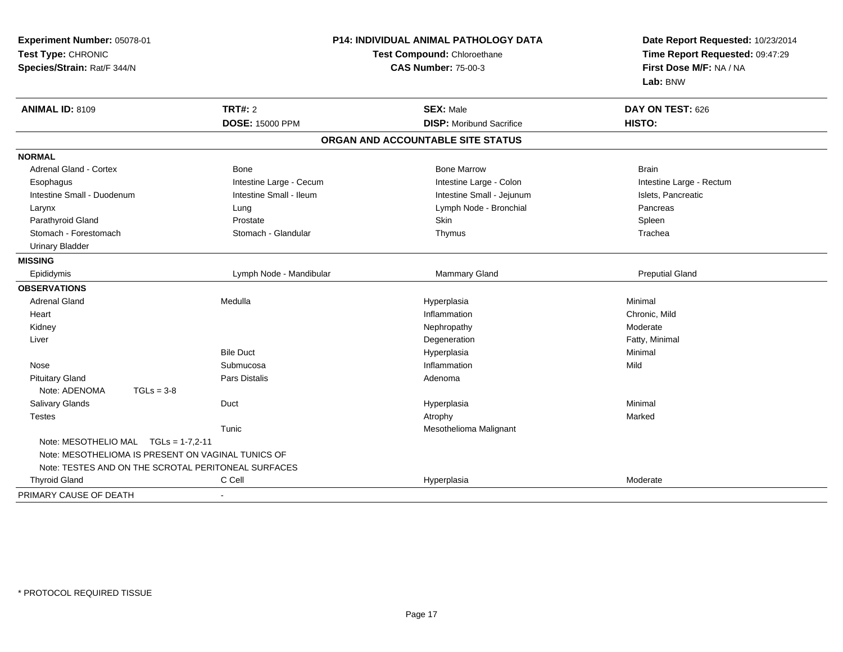| <b>P14: INDIVIDUAL ANIMAL PATHOLOGY DATA</b><br>Experiment Number: 05078-01<br>Test Type: CHRONIC<br>Test Compound: Chloroethane<br>Species/Strain: Rat/F 344/N<br><b>CAS Number: 75-00-3</b> |                         |                                   | Date Report Requested: 10/23/2014<br>Time Report Requested: 09:47:29<br>First Dose M/F: NA / NA<br>Lab: BNW |
|-----------------------------------------------------------------------------------------------------------------------------------------------------------------------------------------------|-------------------------|-----------------------------------|-------------------------------------------------------------------------------------------------------------|
| <b>ANIMAL ID: 8109</b>                                                                                                                                                                        | TRT#: 2                 | <b>SEX: Male</b>                  | DAY ON TEST: 626                                                                                            |
|                                                                                                                                                                                               | <b>DOSE: 15000 PPM</b>  | <b>DISP:</b> Moribund Sacrifice   | HISTO:                                                                                                      |
|                                                                                                                                                                                               |                         | ORGAN AND ACCOUNTABLE SITE STATUS |                                                                                                             |
| <b>NORMAL</b>                                                                                                                                                                                 |                         |                                   |                                                                                                             |
| <b>Adrenal Gland - Cortex</b>                                                                                                                                                                 | <b>Bone</b>             | <b>Bone Marrow</b>                | <b>Brain</b>                                                                                                |
| Esophagus                                                                                                                                                                                     | Intestine Large - Cecum | Intestine Large - Colon           | Intestine Large - Rectum                                                                                    |
| Intestine Small - Duodenum                                                                                                                                                                    | Intestine Small - Ileum | Intestine Small - Jejunum         | Islets, Pancreatic                                                                                          |
| Larynx                                                                                                                                                                                        | Lung                    | Lymph Node - Bronchial            | Pancreas                                                                                                    |
| Parathyroid Gland                                                                                                                                                                             | Prostate                | Skin                              | Spleen                                                                                                      |
| Stomach - Forestomach                                                                                                                                                                         | Stomach - Glandular     | Thymus                            | Trachea                                                                                                     |
| <b>Urinary Bladder</b>                                                                                                                                                                        |                         |                                   |                                                                                                             |
| <b>MISSING</b>                                                                                                                                                                                |                         |                                   |                                                                                                             |
| Epididymis                                                                                                                                                                                    | Lymph Node - Mandibular | Mammary Gland                     | <b>Preputial Gland</b>                                                                                      |
| <b>OBSERVATIONS</b>                                                                                                                                                                           |                         |                                   |                                                                                                             |
| <b>Adrenal Gland</b>                                                                                                                                                                          | Medulla                 | Hyperplasia                       | Minimal                                                                                                     |
| Heart                                                                                                                                                                                         |                         | Inflammation                      | Chronic, Mild                                                                                               |
| Kidney                                                                                                                                                                                        |                         | Nephropathy                       | Moderate                                                                                                    |
| Liver                                                                                                                                                                                         |                         | Degeneration                      | Fatty, Minimal                                                                                              |
|                                                                                                                                                                                               | <b>Bile Duct</b>        | Hyperplasia                       | Minimal                                                                                                     |
| Nose                                                                                                                                                                                          | Submucosa               | Inflammation                      | Mild                                                                                                        |
| <b>Pituitary Gland</b>                                                                                                                                                                        | Pars Distalis           | Adenoma                           |                                                                                                             |
| Note: ADENOMA<br>$TGLs = 3-8$                                                                                                                                                                 |                         |                                   |                                                                                                             |
| Salivary Glands                                                                                                                                                                               | Duct                    | Hyperplasia                       | Minimal                                                                                                     |
| <b>Testes</b>                                                                                                                                                                                 |                         | Atrophy                           | Marked                                                                                                      |
|                                                                                                                                                                                               | Tunic                   | Mesothelioma Malignant            |                                                                                                             |
| Note: MESOTHELIO MAL TGLs = 1-7,2-11<br>Note: MESOTHELIOMA IS PRESENT ON VAGINAL TUNICS OF                                                                                                    |                         |                                   |                                                                                                             |
| Note: TESTES AND ON THE SCROTAL PERITONEAL SURFACES                                                                                                                                           |                         |                                   |                                                                                                             |
| <b>Thyroid Gland</b>                                                                                                                                                                          | C Cell                  | Hyperplasia                       | Moderate                                                                                                    |
| PRIMARY CAUSE OF DEATH                                                                                                                                                                        | $\blacksquare$          |                                   |                                                                                                             |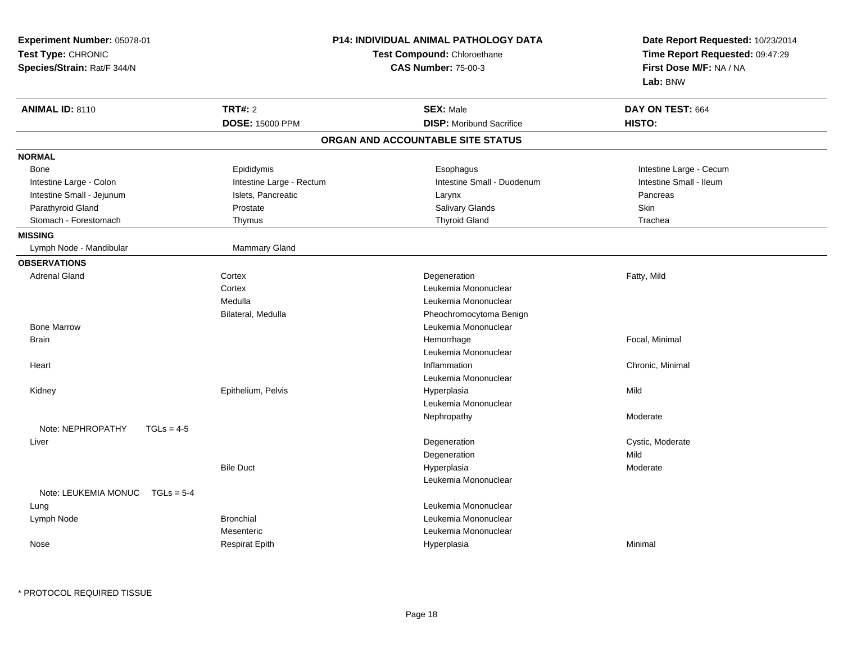| Experiment Number: 05078-01<br>Test Type: CHRONIC<br>Species/Strain: Rat/F 344/N |                          | <b>P14: INDIVIDUAL ANIMAL PATHOLOGY DATA</b><br>Test Compound: Chloroethane<br><b>CAS Number: 75-00-3</b> | Date Report Requested: 10/23/2014<br>Time Report Requested: 09:47:29<br>First Dose M/F: NA / NA<br>Lab: BNW |
|----------------------------------------------------------------------------------|--------------------------|-----------------------------------------------------------------------------------------------------------|-------------------------------------------------------------------------------------------------------------|
| <b>ANIMAL ID: 8110</b>                                                           | <b>TRT#: 2</b>           | <b>SEX: Male</b>                                                                                          | DAY ON TEST: 664                                                                                            |
|                                                                                  | <b>DOSE: 15000 PPM</b>   | <b>DISP:</b> Moribund Sacrifice                                                                           | HISTO:                                                                                                      |
|                                                                                  |                          | ORGAN AND ACCOUNTABLE SITE STATUS                                                                         |                                                                                                             |
| <b>NORMAL</b>                                                                    |                          |                                                                                                           |                                                                                                             |
| Bone                                                                             | Epididymis               | Esophagus                                                                                                 | Intestine Large - Cecum                                                                                     |
| Intestine Large - Colon                                                          | Intestine Large - Rectum | Intestine Small - Duodenum                                                                                | Intestine Small - Ileum                                                                                     |
| Intestine Small - Jejunum                                                        | Islets, Pancreatic       | Larynx                                                                                                    | Pancreas                                                                                                    |
| Parathyroid Gland                                                                | Prostate                 | Salivary Glands                                                                                           | Skin                                                                                                        |
| Stomach - Forestomach                                                            | Thymus                   | <b>Thyroid Gland</b>                                                                                      | Trachea                                                                                                     |
| <b>MISSING</b>                                                                   |                          |                                                                                                           |                                                                                                             |
| Lymph Node - Mandibular                                                          | Mammary Gland            |                                                                                                           |                                                                                                             |
| <b>OBSERVATIONS</b>                                                              |                          |                                                                                                           |                                                                                                             |
| <b>Adrenal Gland</b>                                                             | Cortex                   | Degeneration                                                                                              | Fatty, Mild                                                                                                 |
|                                                                                  | Cortex                   | Leukemia Mononuclear                                                                                      |                                                                                                             |
|                                                                                  | Medulla                  | Leukemia Mononuclear                                                                                      |                                                                                                             |
|                                                                                  | Bilateral, Medulla       | Pheochromocytoma Benign                                                                                   |                                                                                                             |
| <b>Bone Marrow</b>                                                               |                          | Leukemia Mononuclear                                                                                      |                                                                                                             |
| <b>Brain</b>                                                                     |                          | Hemorrhage                                                                                                | Focal, Minimal                                                                                              |
|                                                                                  |                          | Leukemia Mononuclear                                                                                      |                                                                                                             |
| Heart                                                                            |                          | Inflammation                                                                                              | Chronic, Minimal                                                                                            |
|                                                                                  |                          | Leukemia Mononuclear                                                                                      |                                                                                                             |
| Kidney                                                                           | Epithelium, Pelvis       | Hyperplasia                                                                                               | Mild                                                                                                        |
|                                                                                  |                          | Leukemia Mononuclear                                                                                      |                                                                                                             |
|                                                                                  |                          | Nephropathy                                                                                               | Moderate                                                                                                    |
| Note: NEPHROPATHY<br>$TGLs = 4-5$                                                |                          |                                                                                                           |                                                                                                             |
| Liver                                                                            |                          | Degeneration                                                                                              | Cystic, Moderate                                                                                            |
|                                                                                  |                          | Degeneration                                                                                              | Mild                                                                                                        |
|                                                                                  | <b>Bile Duct</b>         | Hyperplasia                                                                                               | Moderate                                                                                                    |
| Note: LEUKEMIA MONUC<br>$TGLs = 5-4$                                             |                          | Leukemia Mononuclear                                                                                      |                                                                                                             |
| Lung                                                                             |                          | Leukemia Mononuclear                                                                                      |                                                                                                             |
| Lymph Node                                                                       | <b>Bronchial</b>         | Leukemia Mononuclear                                                                                      |                                                                                                             |
|                                                                                  | Mesenteric               | Leukemia Mononuclear                                                                                      |                                                                                                             |
| Nose                                                                             | <b>Respirat Epith</b>    | Hyperplasia                                                                                               | Minimal                                                                                                     |
|                                                                                  |                          |                                                                                                           |                                                                                                             |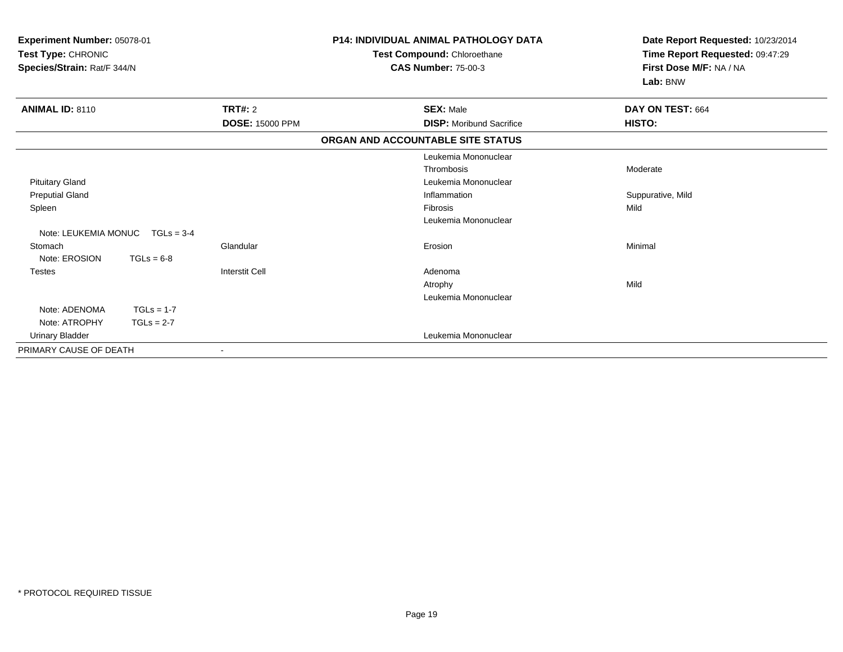| Experiment Number: 05078-01<br>Test Type: CHRONIC<br>Species/Strain: Rat/F 344/N |              | <b>P14: INDIVIDUAL ANIMAL PATHOLOGY DATA</b><br>Test Compound: Chloroethane<br><b>CAS Number: 75-00-3</b> | Date Report Requested: 10/23/2014<br>Time Report Requested: 09:47:29<br>First Dose M/F: NA / NA<br>Lab: BNW |                   |
|----------------------------------------------------------------------------------|--------------|-----------------------------------------------------------------------------------------------------------|-------------------------------------------------------------------------------------------------------------|-------------------|
| <b>ANIMAL ID: 8110</b>                                                           |              | TRT#: 2                                                                                                   | <b>SEX: Male</b>                                                                                            | DAY ON TEST: 664  |
|                                                                                  |              | <b>DOSE: 15000 PPM</b>                                                                                    | <b>DISP:</b> Moribund Sacrifice                                                                             | HISTO:            |
|                                                                                  |              |                                                                                                           | ORGAN AND ACCOUNTABLE SITE STATUS                                                                           |                   |
|                                                                                  |              |                                                                                                           | Leukemia Mononuclear                                                                                        |                   |
|                                                                                  |              |                                                                                                           | Thrombosis                                                                                                  | Moderate          |
| <b>Pituitary Gland</b>                                                           |              |                                                                                                           | Leukemia Mononuclear                                                                                        |                   |
| <b>Preputial Gland</b>                                                           |              |                                                                                                           | Inflammation                                                                                                | Suppurative, Mild |
| Spleen                                                                           |              |                                                                                                           | <b>Fibrosis</b>                                                                                             | Mild              |
|                                                                                  |              |                                                                                                           | Leukemia Mononuclear                                                                                        |                   |
| Note: LEUKEMIA MONUC                                                             | $TGLs = 3-4$ |                                                                                                           |                                                                                                             |                   |
| Stomach                                                                          |              | Glandular                                                                                                 | Erosion                                                                                                     | Minimal           |
| Note: EROSION                                                                    | $TGLs = 6-8$ |                                                                                                           |                                                                                                             |                   |
| <b>Testes</b>                                                                    |              | <b>Interstit Cell</b>                                                                                     | Adenoma                                                                                                     |                   |
|                                                                                  |              |                                                                                                           | Atrophy                                                                                                     | Mild              |
|                                                                                  |              |                                                                                                           | Leukemia Mononuclear                                                                                        |                   |
| Note: ADENOMA                                                                    | $TGLs = 1-7$ |                                                                                                           |                                                                                                             |                   |
| Note: ATROPHY                                                                    | $TGLs = 2-7$ |                                                                                                           |                                                                                                             |                   |
| Urinary Bladder                                                                  |              |                                                                                                           | Leukemia Mononuclear                                                                                        |                   |
| PRIMARY CAUSE OF DEATH                                                           |              | $\blacksquare$                                                                                            |                                                                                                             |                   |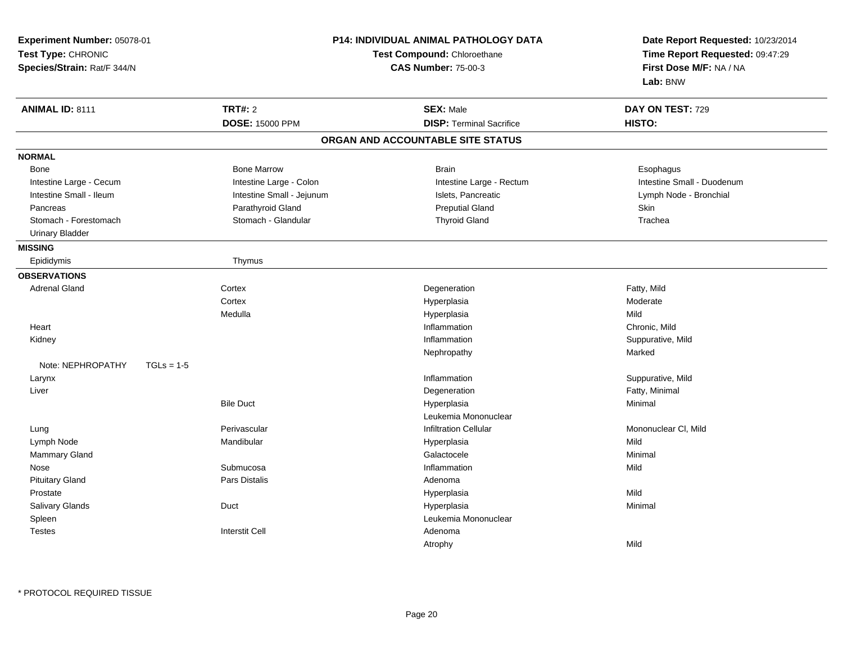| Experiment Number: 05078-01<br>Test Type: CHRONIC<br>Species/Strain: Rat/F 344/N |                           | P14: INDIVIDUAL ANIMAL PATHOLOGY DATA<br>Test Compound: Chloroethane<br><b>CAS Number: 75-00-3</b> | Date Report Requested: 10/23/2014<br>Time Report Requested: 09:47:29<br>First Dose M/F: NA / NA<br>Lab: BNW |
|----------------------------------------------------------------------------------|---------------------------|----------------------------------------------------------------------------------------------------|-------------------------------------------------------------------------------------------------------------|
| <b>ANIMAL ID: 8111</b>                                                           | <b>TRT#: 2</b>            | <b>SEX: Male</b>                                                                                   | DAY ON TEST: 729                                                                                            |
|                                                                                  | <b>DOSE: 15000 PPM</b>    | <b>DISP: Terminal Sacrifice</b>                                                                    | HISTO:                                                                                                      |
|                                                                                  |                           | ORGAN AND ACCOUNTABLE SITE STATUS                                                                  |                                                                                                             |
| <b>NORMAL</b>                                                                    |                           |                                                                                                    |                                                                                                             |
| <b>Bone</b>                                                                      | <b>Bone Marrow</b>        | <b>Brain</b>                                                                                       | Esophagus                                                                                                   |
| Intestine Large - Cecum                                                          | Intestine Large - Colon   | Intestine Large - Rectum                                                                           | Intestine Small - Duodenum                                                                                  |
| Intestine Small - Ileum                                                          | Intestine Small - Jejunum | Islets, Pancreatic                                                                                 | Lymph Node - Bronchial                                                                                      |
| Pancreas                                                                         | Parathyroid Gland         | <b>Preputial Gland</b>                                                                             | <b>Skin</b>                                                                                                 |
| Stomach - Forestomach                                                            | Stomach - Glandular       | <b>Thyroid Gland</b>                                                                               | Trachea                                                                                                     |
| <b>Urinary Bladder</b>                                                           |                           |                                                                                                    |                                                                                                             |
| <b>MISSING</b>                                                                   |                           |                                                                                                    |                                                                                                             |
| Epididymis                                                                       | Thymus                    |                                                                                                    |                                                                                                             |
| <b>OBSERVATIONS</b>                                                              |                           |                                                                                                    |                                                                                                             |
| <b>Adrenal Gland</b>                                                             | Cortex                    | Degeneration                                                                                       | Fatty, Mild                                                                                                 |
|                                                                                  | Cortex                    | Hyperplasia                                                                                        | Moderate                                                                                                    |
|                                                                                  | Medulla                   | Hyperplasia                                                                                        | Mild                                                                                                        |
| Heart                                                                            |                           | Inflammation                                                                                       | Chronic, Mild                                                                                               |
| Kidney                                                                           |                           | Inflammation                                                                                       | Suppurative, Mild                                                                                           |
|                                                                                  |                           | Nephropathy                                                                                        | Marked                                                                                                      |
| Note: NEPHROPATHY<br>$TGLs = 1-5$                                                |                           |                                                                                                    |                                                                                                             |
| Larynx                                                                           |                           | Inflammation                                                                                       | Suppurative, Mild                                                                                           |
| Liver                                                                            |                           | Degeneration                                                                                       | Fatty, Minimal                                                                                              |
|                                                                                  | <b>Bile Duct</b>          | Hyperplasia                                                                                        | Minimal                                                                                                     |
|                                                                                  |                           | Leukemia Mononuclear                                                                               |                                                                                                             |
| Lung                                                                             | Perivascular              | <b>Infiltration Cellular</b>                                                                       | Mononuclear CI, Mild                                                                                        |
| Lymph Node                                                                       | Mandibular                | Hyperplasia                                                                                        | Mild                                                                                                        |
| Mammary Gland                                                                    |                           | Galactocele                                                                                        | Minimal                                                                                                     |
| Nose                                                                             | Submucosa                 | Inflammation                                                                                       | Mild                                                                                                        |
| <b>Pituitary Gland</b>                                                           | <b>Pars Distalis</b>      | Adenoma                                                                                            |                                                                                                             |
| Prostate                                                                         |                           | Hyperplasia                                                                                        | Mild                                                                                                        |
| Salivary Glands                                                                  | Duct                      | Hyperplasia                                                                                        | Minimal                                                                                                     |
| Spleen                                                                           |                           | Leukemia Mononuclear                                                                               |                                                                                                             |
| <b>Testes</b>                                                                    | <b>Interstit Cell</b>     | Adenoma                                                                                            |                                                                                                             |
|                                                                                  |                           | Atrophy                                                                                            | Mild                                                                                                        |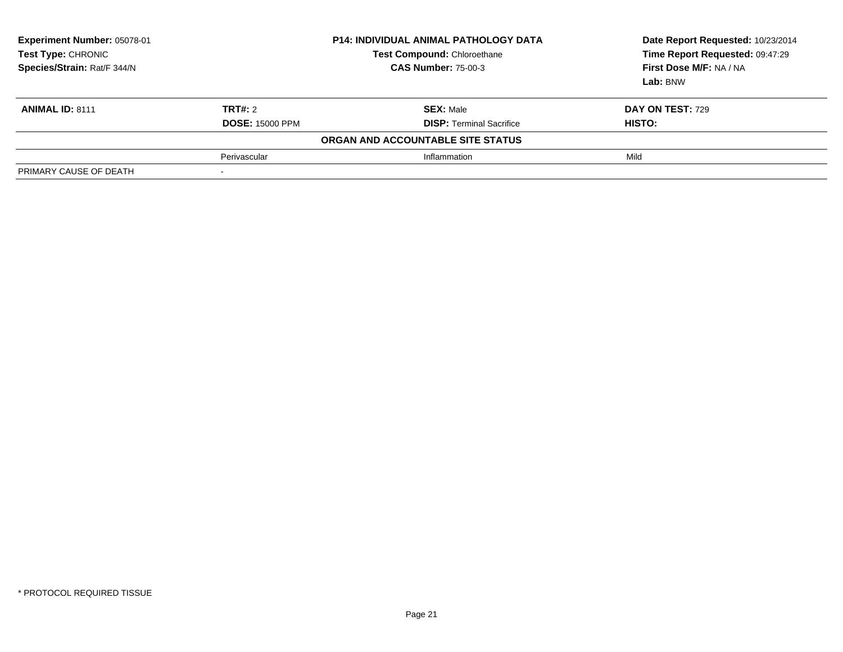| Experiment Number: 05078-01<br>Test Type: CHRONIC<br>Species/Strain: Rat/F 344/N | <b>P14: INDIVIDUAL ANIMAL PATHOLOGY DATA</b><br>Test Compound: Chloroethane<br><b>CAS Number: 75-00-3</b> |                                                     | Date Report Requested: 10/23/2014<br>Time Report Requested: 09:47:29<br>First Dose M/F: NA / NA<br>Lab: BNW |  |
|----------------------------------------------------------------------------------|-----------------------------------------------------------------------------------------------------------|-----------------------------------------------------|-------------------------------------------------------------------------------------------------------------|--|
| <b>ANIMAL ID: 8111</b>                                                           | <b>TRT#:</b> 2<br><b>DOSE: 15000 PPM</b>                                                                  | <b>SEX: Male</b><br><b>DISP: Terminal Sacrifice</b> | <b>DAY ON TEST: 729</b><br>HISTO:                                                                           |  |
|                                                                                  |                                                                                                           | ORGAN AND ACCOUNTABLE SITE STATUS                   |                                                                                                             |  |
|                                                                                  | Perivascular                                                                                              | Inflammation                                        | Mild                                                                                                        |  |
| PRIMARY CAUSE OF DEATH                                                           |                                                                                                           |                                                     |                                                                                                             |  |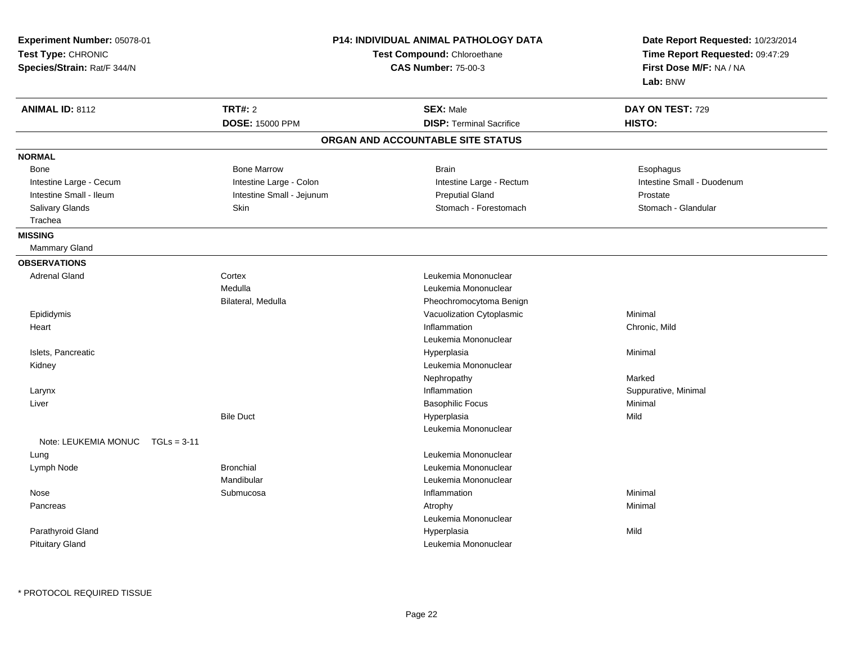| Experiment Number: 05078-01                       |                           | <b>P14: INDIVIDUAL ANIMAL PATHOLOGY DATA</b>                     |                            |
|---------------------------------------------------|---------------------------|------------------------------------------------------------------|----------------------------|
| Test Type: CHRONIC<br>Species/Strain: Rat/F 344/N |                           | <b>Test Compound: Chloroethane</b><br><b>CAS Number: 75-00-3</b> |                            |
| <b>ANIMAL ID: 8112</b>                            | <b>TRT#: 2</b>            | <b>SEX: Male</b>                                                 | DAY ON TEST: 729           |
|                                                   |                           | <b>DISP: Terminal Sacrifice</b>                                  | HISTO:                     |
|                                                   | <b>DOSE: 15000 PPM</b>    |                                                                  |                            |
|                                                   |                           | ORGAN AND ACCOUNTABLE SITE STATUS                                |                            |
| <b>NORMAL</b>                                     |                           |                                                                  |                            |
| <b>Bone</b>                                       | <b>Bone Marrow</b>        | <b>Brain</b>                                                     | Esophagus                  |
| Intestine Large - Cecum                           | Intestine Large - Colon   | Intestine Large - Rectum                                         | Intestine Small - Duodenum |
| Intestine Small - Ileum                           | Intestine Small - Jejunum | <b>Preputial Gland</b>                                           | Prostate                   |
| Salivary Glands                                   | Skin                      | Stomach - Forestomach                                            | Stomach - Glandular        |
| Trachea                                           |                           |                                                                  |                            |
| <b>MISSING</b>                                    |                           |                                                                  |                            |
| <b>Mammary Gland</b>                              |                           |                                                                  |                            |
| <b>OBSERVATIONS</b>                               |                           |                                                                  |                            |
| <b>Adrenal Gland</b>                              | Cortex                    | Leukemia Mononuclear                                             |                            |
|                                                   | Medulla                   | Leukemia Mononuclear                                             |                            |
|                                                   | Bilateral, Medulla        | Pheochromocytoma Benign                                          |                            |
| Epididymis                                        |                           | Vacuolization Cytoplasmic                                        | Minimal                    |
| Heart                                             |                           | Inflammation                                                     | Chronic, Mild              |
|                                                   |                           | Leukemia Mononuclear                                             |                            |
| Islets, Pancreatic                                |                           | Hyperplasia                                                      | Minimal                    |
| Kidney                                            |                           | Leukemia Mononuclear                                             |                            |
|                                                   |                           | Nephropathy                                                      | Marked                     |
| Larynx                                            |                           | Inflammation                                                     | Suppurative, Minimal       |
| Liver                                             |                           | <b>Basophilic Focus</b>                                          | Minimal                    |
|                                                   | <b>Bile Duct</b>          | Hyperplasia                                                      | Mild                       |
|                                                   |                           | Leukemia Mononuclear                                             |                            |
| Note: LEUKEMIA MONUC<br>$TGLs = 3-11$             |                           |                                                                  |                            |
| Lung                                              |                           | Leukemia Mononuclear                                             |                            |
| Lymph Node                                        | <b>Bronchial</b>          | Leukemia Mononuclear                                             |                            |
|                                                   | Mandibular                | Leukemia Mononuclear                                             |                            |
| Nose                                              | Submucosa                 | Inflammation                                                     | Minimal                    |
| Pancreas                                          |                           | Atrophy                                                          | Minimal                    |
|                                                   |                           | Leukemia Mononuclear                                             |                            |
| Parathyroid Gland                                 |                           | Hyperplasia                                                      | Mild                       |
| <b>Pituitary Gland</b>                            |                           | Leukemia Mononuclear                                             |                            |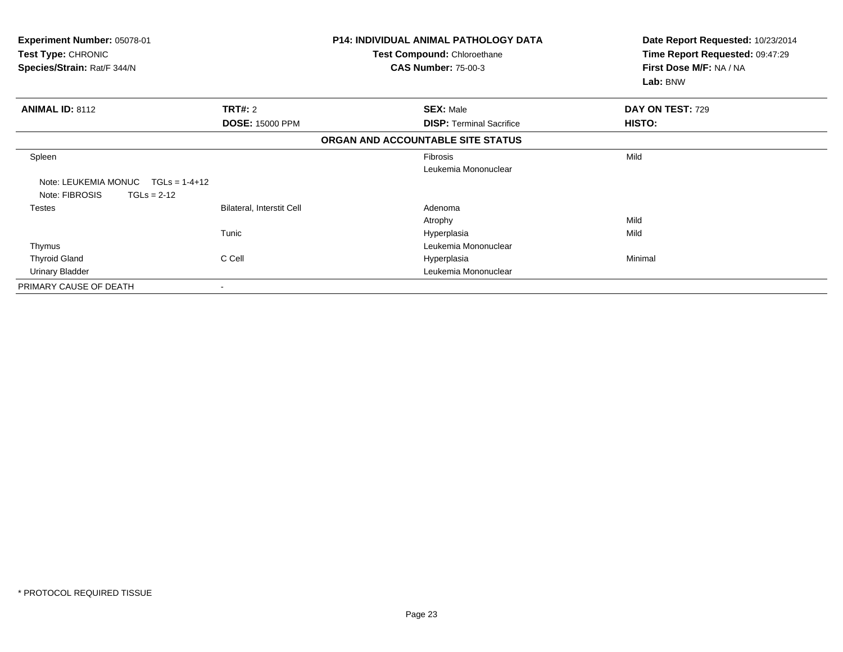| Experiment Number: 05078-01<br>Test Type: CHRONIC<br>Species/Strain: Rat/F 344/N |  | Date Report Requested: 10/23/2014<br>Time Report Requested: 09:47:29<br>First Dose M/F: NA / NA<br>Lab: BNW                                                                                                                                                                                                                                          |
|----------------------------------------------------------------------------------|--|------------------------------------------------------------------------------------------------------------------------------------------------------------------------------------------------------------------------------------------------------------------------------------------------------------------------------------------------------|
| TRT#: 2                                                                          |  | DAY ON TEST: 729                                                                                                                                                                                                                                                                                                                                     |
| <b>DOSE: 15000 PPM</b>                                                           |  | <b>HISTO:</b>                                                                                                                                                                                                                                                                                                                                        |
|                                                                                  |  |                                                                                                                                                                                                                                                                                                                                                      |
|                                                                                  |  | Mild                                                                                                                                                                                                                                                                                                                                                 |
|                                                                                  |  |                                                                                                                                                                                                                                                                                                                                                      |
|                                                                                  |  |                                                                                                                                                                                                                                                                                                                                                      |
| <b>Bilateral, Interstit Cell</b>                                                 |  |                                                                                                                                                                                                                                                                                                                                                      |
|                                                                                  |  | Mild                                                                                                                                                                                                                                                                                                                                                 |
| Tunic                                                                            |  | Mild                                                                                                                                                                                                                                                                                                                                                 |
|                                                                                  |  |                                                                                                                                                                                                                                                                                                                                                      |
| C Cell                                                                           |  | Minimal                                                                                                                                                                                                                                                                                                                                              |
|                                                                                  |  |                                                                                                                                                                                                                                                                                                                                                      |
|                                                                                  |  |                                                                                                                                                                                                                                                                                                                                                      |
|                                                                                  |  | <b>P14: INDIVIDUAL ANIMAL PATHOLOGY DATA</b><br><b>Test Compound: Chloroethane</b><br><b>CAS Number: 75-00-3</b><br><b>SEX: Male</b><br><b>DISP: Terminal Sacrifice</b><br>ORGAN AND ACCOUNTABLE SITE STATUS<br>Fibrosis<br>Leukemia Mononuclear<br>Adenoma<br>Atrophy<br>Hyperplasia<br>Leukemia Mononuclear<br>Hyperplasia<br>Leukemia Mononuclear |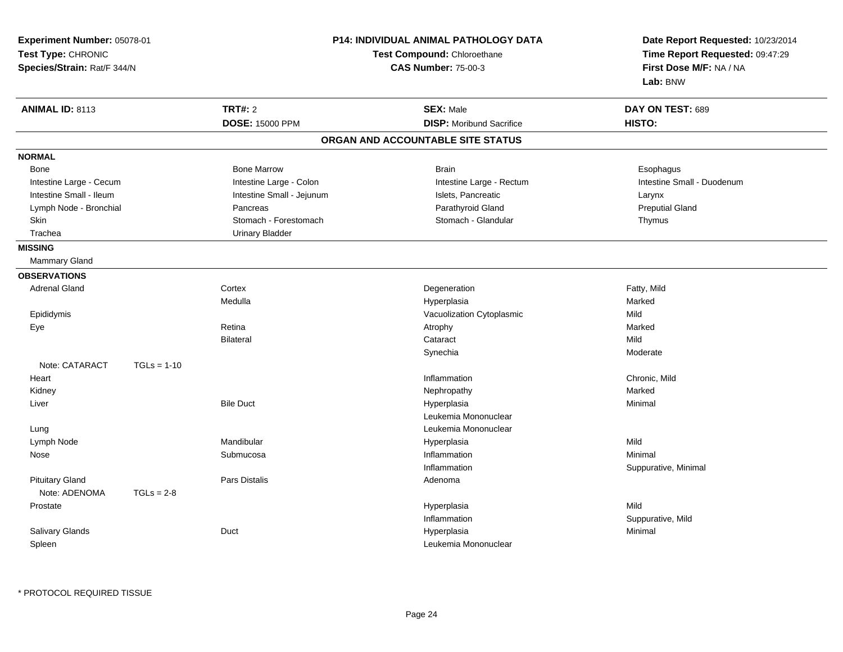| Experiment Number: 05078-01<br>Test Type: CHRONIC<br>Species/Strain: Rat/F 344/N |               | <b>P14: INDIVIDUAL ANIMAL PATHOLOGY DATA</b><br>Test Compound: Chloroethane<br><b>CAS Number: 75-00-3</b> |                                   | Date Report Requested: 10/23/2014<br>Time Report Requested: 09:47:29<br>First Dose M/F: NA / NA<br>Lab: BNW |  |
|----------------------------------------------------------------------------------|---------------|-----------------------------------------------------------------------------------------------------------|-----------------------------------|-------------------------------------------------------------------------------------------------------------|--|
| <b>ANIMAL ID: 8113</b>                                                           |               | <b>TRT#: 2</b>                                                                                            | <b>SEX: Male</b>                  | DAY ON TEST: 689                                                                                            |  |
|                                                                                  |               | <b>DOSE: 15000 PPM</b>                                                                                    | <b>DISP:</b> Moribund Sacrifice   | HISTO:                                                                                                      |  |
|                                                                                  |               |                                                                                                           | ORGAN AND ACCOUNTABLE SITE STATUS |                                                                                                             |  |
| <b>NORMAL</b>                                                                    |               |                                                                                                           |                                   |                                                                                                             |  |
| <b>Bone</b>                                                                      |               | <b>Bone Marrow</b>                                                                                        | <b>Brain</b>                      | Esophagus                                                                                                   |  |
| Intestine Large - Cecum                                                          |               | Intestine Large - Colon                                                                                   | Intestine Large - Rectum          | Intestine Small - Duodenum                                                                                  |  |
| Intestine Small - Ileum                                                          |               | Intestine Small - Jejunum                                                                                 | Islets, Pancreatic                | Larynx                                                                                                      |  |
| Lymph Node - Bronchial                                                           |               | Pancreas                                                                                                  | Parathyroid Gland                 | <b>Preputial Gland</b>                                                                                      |  |
| Skin                                                                             |               | Stomach - Forestomach                                                                                     | Stomach - Glandular               | Thymus                                                                                                      |  |
| Trachea                                                                          |               | <b>Urinary Bladder</b>                                                                                    |                                   |                                                                                                             |  |
| <b>MISSING</b>                                                                   |               |                                                                                                           |                                   |                                                                                                             |  |
| Mammary Gland                                                                    |               |                                                                                                           |                                   |                                                                                                             |  |
| <b>OBSERVATIONS</b>                                                              |               |                                                                                                           |                                   |                                                                                                             |  |
| <b>Adrenal Gland</b>                                                             |               | Cortex                                                                                                    | Degeneration                      | Fatty, Mild                                                                                                 |  |
|                                                                                  |               | Medulla                                                                                                   | Hyperplasia                       | Marked                                                                                                      |  |
| Epididymis                                                                       |               |                                                                                                           | Vacuolization Cytoplasmic         | Mild                                                                                                        |  |
| Eye                                                                              |               | Retina                                                                                                    | Atrophy                           | Marked                                                                                                      |  |
|                                                                                  |               | <b>Bilateral</b>                                                                                          | Cataract                          | Mild                                                                                                        |  |
|                                                                                  |               |                                                                                                           | Synechia                          | Moderate                                                                                                    |  |
| Note: CATARACT                                                                   | $TGLs = 1-10$ |                                                                                                           |                                   |                                                                                                             |  |
| Heart                                                                            |               |                                                                                                           | Inflammation                      | Chronic, Mild                                                                                               |  |
| Kidney                                                                           |               |                                                                                                           | Nephropathy                       | Marked                                                                                                      |  |
| Liver                                                                            |               | <b>Bile Duct</b>                                                                                          | Hyperplasia                       | Minimal                                                                                                     |  |
|                                                                                  |               |                                                                                                           | Leukemia Mononuclear              |                                                                                                             |  |
| Lung                                                                             |               |                                                                                                           | Leukemia Mononuclear              |                                                                                                             |  |
| Lymph Node                                                                       |               | Mandibular                                                                                                | Hyperplasia                       | Mild                                                                                                        |  |
| Nose                                                                             |               | Submucosa                                                                                                 | Inflammation                      | Minimal                                                                                                     |  |
|                                                                                  |               |                                                                                                           | Inflammation                      | Suppurative, Minimal                                                                                        |  |
| <b>Pituitary Gland</b>                                                           |               | Pars Distalis                                                                                             | Adenoma                           |                                                                                                             |  |
| Note: ADENOMA                                                                    | $TGLs = 2-8$  |                                                                                                           |                                   |                                                                                                             |  |
| Prostate                                                                         |               |                                                                                                           | Hyperplasia                       | Mild                                                                                                        |  |
|                                                                                  |               |                                                                                                           | Inflammation                      | Suppurative, Mild                                                                                           |  |
| Salivary Glands                                                                  |               | Duct                                                                                                      | Hyperplasia                       | Minimal                                                                                                     |  |
| Spleen                                                                           |               |                                                                                                           | Leukemia Mononuclear              |                                                                                                             |  |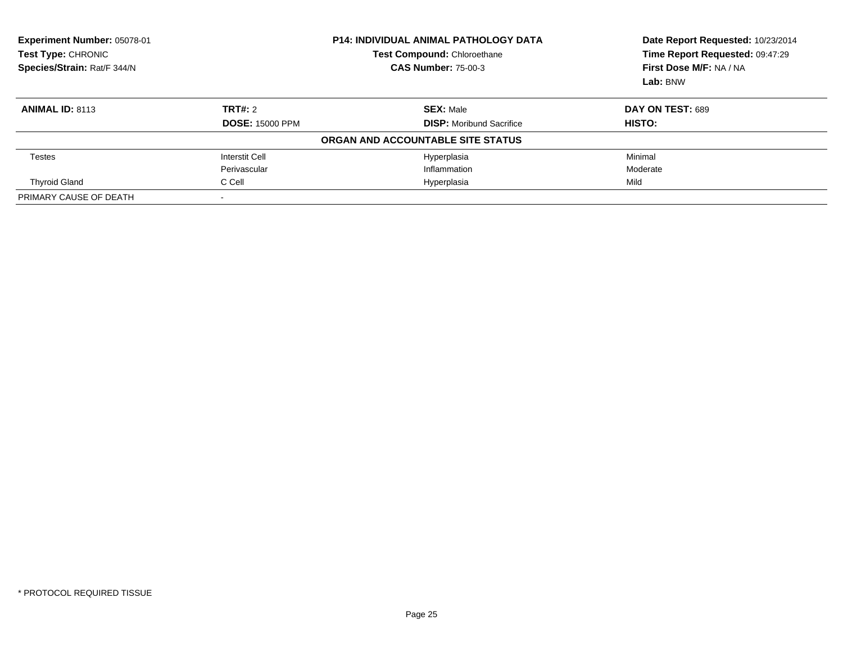| Experiment Number: 05078-01<br>Test Type: CHRONIC<br>Species/Strain: Rat/F 344/N | <b>P14: INDIVIDUAL ANIMAL PATHOLOGY DATA</b><br>Test Compound: Chloroethane<br><b>CAS Number: 75-00-3</b> |                                   | Date Report Requested: 10/23/2014<br>Time Report Requested: 09:47:29<br>First Dose M/F: NA / NA<br>Lab: BNW |  |
|----------------------------------------------------------------------------------|-----------------------------------------------------------------------------------------------------------|-----------------------------------|-------------------------------------------------------------------------------------------------------------|--|
| <b>ANIMAL ID: 8113</b>                                                           | TRT#: 2                                                                                                   | <b>SEX: Male</b>                  | DAY ON TEST: 689                                                                                            |  |
|                                                                                  | <b>DOSE: 15000 PPM</b>                                                                                    | <b>DISP:</b> Moribund Sacrifice   | <b>HISTO:</b>                                                                                               |  |
|                                                                                  |                                                                                                           | ORGAN AND ACCOUNTABLE SITE STATUS |                                                                                                             |  |
| Testes                                                                           | <b>Interstit Cell</b>                                                                                     | Hyperplasia                       | Minimal                                                                                                     |  |
|                                                                                  | Perivascular                                                                                              | Inflammation                      | Moderate                                                                                                    |  |
| <b>Thyroid Gland</b>                                                             | C Cell                                                                                                    | Hyperplasia                       | Mild                                                                                                        |  |
| PRIMARY CAUSE OF DEATH                                                           |                                                                                                           |                                   |                                                                                                             |  |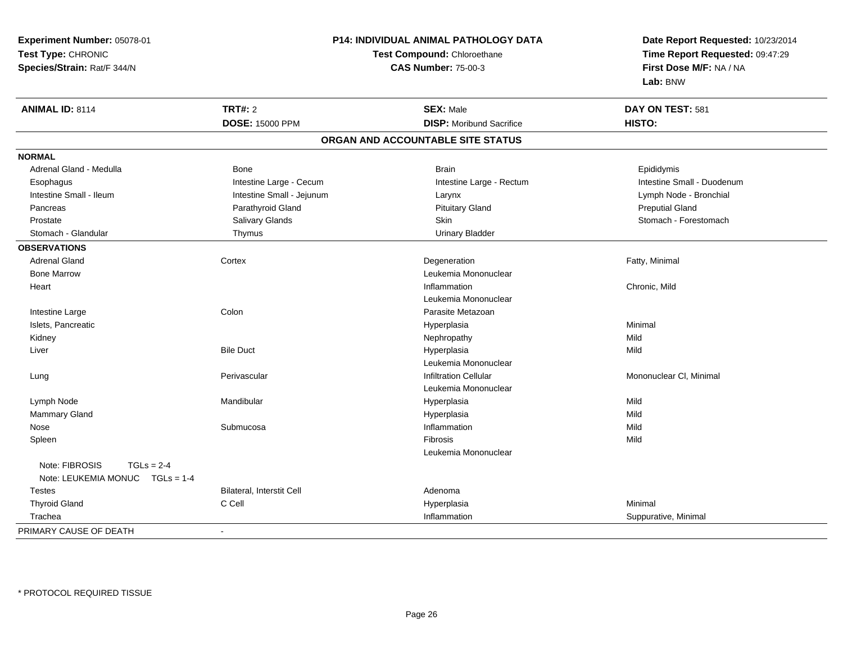| Experiment Number: 05078-01     |                           | P14: INDIVIDUAL ANIMAL PATHOLOGY DATA                          | Date Report Requested: 10/23/2014 |
|---------------------------------|---------------------------|----------------------------------------------------------------|-----------------------------------|
| Test Type: CHRONIC              |                           | Test Compound: Chloroethane<br>Time Report Requested: 09:47:29 |                                   |
| Species/Strain: Rat/F 344/N     |                           | <b>CAS Number: 75-00-3</b>                                     | First Dose M/F: NA / NA           |
|                                 |                           |                                                                | Lab: BNW                          |
| <b>ANIMAL ID: 8114</b>          | <b>TRT#: 2</b>            | <b>SEX: Male</b>                                               | DAY ON TEST: 581                  |
|                                 | <b>DOSE: 15000 PPM</b>    | <b>DISP:</b> Moribund Sacrifice                                | HISTO:                            |
|                                 |                           | ORGAN AND ACCOUNTABLE SITE STATUS                              |                                   |
| <b>NORMAL</b>                   |                           |                                                                |                                   |
| Adrenal Gland - Medulla         | Bone                      | <b>Brain</b>                                                   | Epididymis                        |
| Esophagus                       | Intestine Large - Cecum   | Intestine Large - Rectum                                       | Intestine Small - Duodenum        |
| Intestine Small - Ileum         | Intestine Small - Jejunum | Larynx                                                         | Lymph Node - Bronchial            |
| Pancreas                        | Parathyroid Gland         | <b>Pituitary Gland</b>                                         | <b>Preputial Gland</b>            |
| Prostate                        | Salivary Glands           | <b>Skin</b>                                                    | Stomach - Forestomach             |
| Stomach - Glandular             | Thymus                    | <b>Urinary Bladder</b>                                         |                                   |
| <b>OBSERVATIONS</b>             |                           |                                                                |                                   |
| <b>Adrenal Gland</b>            | Cortex                    | Degeneration                                                   | Fatty, Minimal                    |
| <b>Bone Marrow</b>              |                           | Leukemia Mononuclear                                           |                                   |
| Heart                           |                           | Inflammation                                                   | Chronic, Mild                     |
|                                 |                           | Leukemia Mononuclear                                           |                                   |
| Intestine Large                 | Colon                     | Parasite Metazoan                                              |                                   |
| Islets, Pancreatic              |                           | Hyperplasia                                                    | Minimal                           |
| Kidney                          |                           | Nephropathy                                                    | Mild                              |
| Liver                           | <b>Bile Duct</b>          | Hyperplasia                                                    | Mild                              |
|                                 |                           | Leukemia Mononuclear                                           |                                   |
| Lung                            | Perivascular              | <b>Infiltration Cellular</b>                                   | Mononuclear CI, Minimal           |
|                                 |                           | Leukemia Mononuclear                                           |                                   |
| Lymph Node                      | Mandibular                | Hyperplasia                                                    | Mild                              |
| Mammary Gland                   |                           | Hyperplasia                                                    | Mild                              |
| Nose                            | Submucosa                 | Inflammation                                                   | Mild                              |
| Spleen                          |                           | Fibrosis                                                       | Mild                              |
|                                 |                           | Leukemia Mononuclear                                           |                                   |
| Note: FIBROSIS<br>$TGLs = 2-4$  |                           |                                                                |                                   |
| Note: LEUKEMIA MONUC TGLs = 1-4 |                           |                                                                |                                   |
| <b>Testes</b>                   | Bilateral, Interstit Cell | Adenoma                                                        |                                   |
| <b>Thyroid Gland</b>            | C Cell                    | Hyperplasia                                                    | Minimal                           |
| Trachea                         |                           | Inflammation                                                   | Suppurative, Minimal              |
| PRIMARY CAUSE OF DEATH          | $\blacksquare$            |                                                                |                                   |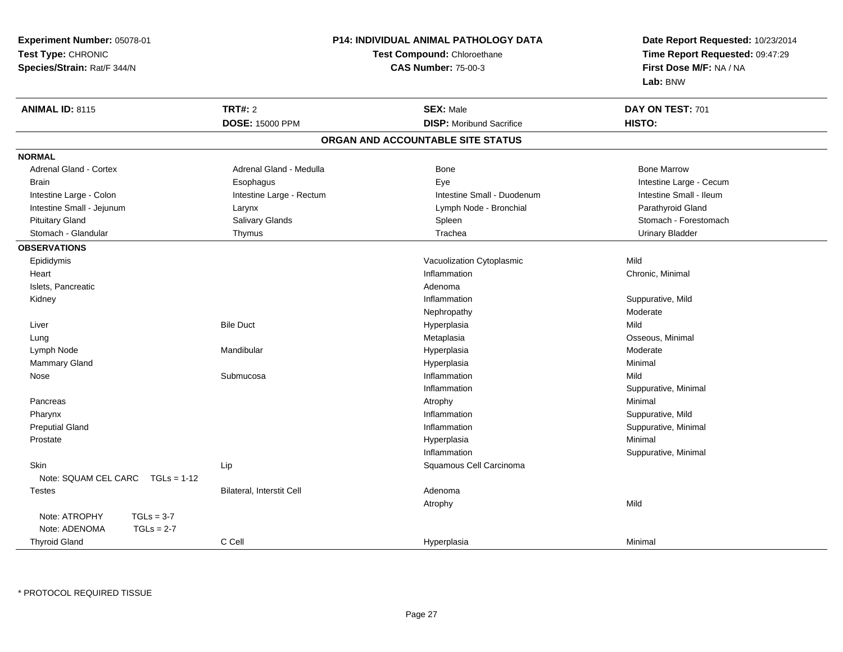| Experiment Number: 05078-01           |                           | <b>P14: INDIVIDUAL ANIMAL PATHOLOGY DATA</b> | Date Report Requested: 10/23/2014<br>Time Report Requested: 09:47:29<br>First Dose M/F: NA / NA |  |
|---------------------------------------|---------------------------|----------------------------------------------|-------------------------------------------------------------------------------------------------|--|
| Test Type: CHRONIC                    |                           | Test Compound: Chloroethane                  |                                                                                                 |  |
| Species/Strain: Rat/F 344/N           |                           | <b>CAS Number: 75-00-3</b>                   |                                                                                                 |  |
|                                       |                           |                                              | Lab: BNW                                                                                        |  |
| <b>ANIMAL ID: 8115</b>                | <b>TRT#: 2</b>            | <b>SEX: Male</b>                             | DAY ON TEST: 701                                                                                |  |
|                                       | <b>DOSE: 15000 PPM</b>    | <b>DISP: Moribund Sacrifice</b>              | HISTO:                                                                                          |  |
|                                       |                           | ORGAN AND ACCOUNTABLE SITE STATUS            |                                                                                                 |  |
| <b>NORMAL</b>                         |                           |                                              |                                                                                                 |  |
| <b>Adrenal Gland - Cortex</b>         | Adrenal Gland - Medulla   | Bone                                         | <b>Bone Marrow</b>                                                                              |  |
| <b>Brain</b>                          | Esophagus                 | Eye                                          | Intestine Large - Cecum                                                                         |  |
| Intestine Large - Colon               | Intestine Large - Rectum  | Intestine Small - Duodenum                   | Intestine Small - Ileum                                                                         |  |
| Intestine Small - Jejunum             | Larynx                    | Lymph Node - Bronchial                       | Parathyroid Gland                                                                               |  |
| <b>Pituitary Gland</b>                | Salivary Glands           | Spleen                                       | Stomach - Forestomach                                                                           |  |
| Stomach - Glandular                   | Thymus                    | Trachea                                      | <b>Urinary Bladder</b>                                                                          |  |
| <b>OBSERVATIONS</b>                   |                           |                                              |                                                                                                 |  |
| Epididymis                            |                           | Vacuolization Cytoplasmic                    | Mild                                                                                            |  |
| Heart                                 |                           | Inflammation                                 | Chronic, Minimal                                                                                |  |
| Islets, Pancreatic                    |                           | Adenoma                                      |                                                                                                 |  |
| Kidney                                |                           | Inflammation                                 | Suppurative, Mild                                                                               |  |
|                                       |                           | Nephropathy                                  | Moderate                                                                                        |  |
| Liver                                 | <b>Bile Duct</b>          | Hyperplasia                                  | Mild                                                                                            |  |
| Lung                                  |                           | Metaplasia                                   | Osseous, Minimal                                                                                |  |
| Lymph Node                            | Mandibular                | Hyperplasia                                  | Moderate                                                                                        |  |
| Mammary Gland                         |                           | Hyperplasia                                  | Minimal                                                                                         |  |
| Nose                                  | Submucosa                 | Inflammation                                 | Mild                                                                                            |  |
|                                       |                           | Inflammation                                 | Suppurative, Minimal                                                                            |  |
| Pancreas                              |                           | Atrophy                                      | Minimal                                                                                         |  |
| Pharynx                               |                           | Inflammation                                 | Suppurative, Mild                                                                               |  |
| <b>Preputial Gland</b>                |                           | Inflammation                                 | Suppurative, Minimal                                                                            |  |
| Prostate                              |                           | Hyperplasia                                  | Minimal                                                                                         |  |
|                                       |                           | Inflammation                                 | Suppurative, Minimal                                                                            |  |
| Skin                                  | Lip                       | Squamous Cell Carcinoma                      |                                                                                                 |  |
| Note: SQUAM CEL CARC<br>$TGLs = 1-12$ |                           |                                              |                                                                                                 |  |
| <b>Testes</b>                         | Bilateral, Interstit Cell | Adenoma                                      |                                                                                                 |  |
|                                       |                           | Atrophy                                      | Mild                                                                                            |  |
| $TGLs = 3-7$<br>Note: ATROPHY         |                           |                                              |                                                                                                 |  |
| Note: ADENOMA<br>$TGLS = 2-7$         |                           |                                              |                                                                                                 |  |
| <b>Thyroid Gland</b>                  | C Cell                    | Hyperplasia                                  | Minimal                                                                                         |  |

\* PROTOCOL REQUIRED TISSUE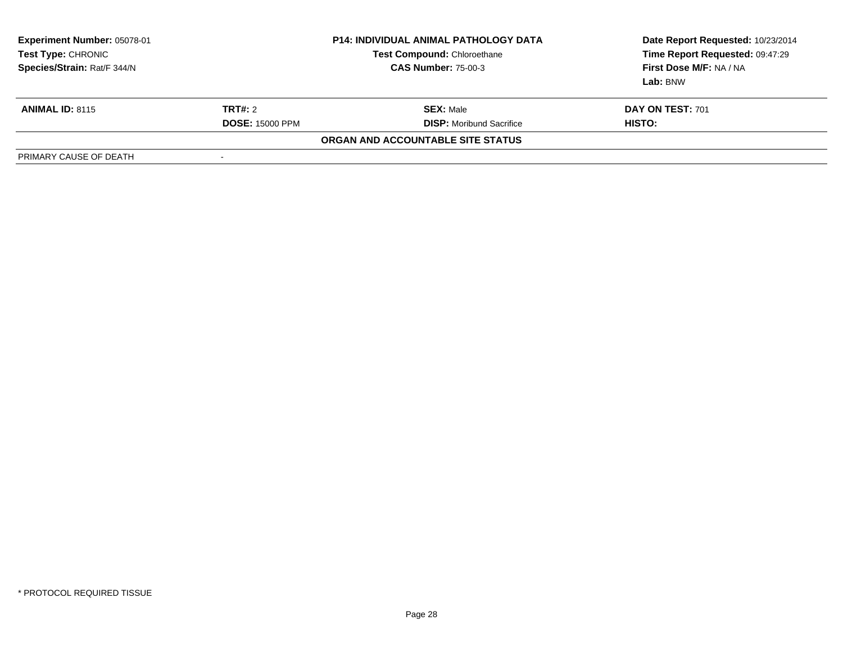| Experiment Number: 05078-01<br>Test Type: CHRONIC<br>Species/Strain: Rat/F 344/N | <b>P14: INDIVIDUAL ANIMAL PATHOLOGY DATA</b><br><b>Test Compound: Chloroethane</b><br><b>CAS Number: 75-00-3</b> |                                   | Date Report Requested: 10/23/2014<br>Time Report Requested: 09:47:29<br>First Dose M/F: NA / NA<br>Lab: BNW |
|----------------------------------------------------------------------------------|------------------------------------------------------------------------------------------------------------------|-----------------------------------|-------------------------------------------------------------------------------------------------------------|
| <b>ANIMAL ID: 8115</b>                                                           | <b>TRT#:</b> 2                                                                                                   | <b>SEX: Male</b>                  | DAY ON TEST: 701                                                                                            |
|                                                                                  | <b>DOSE: 15000 PPM</b>                                                                                           | <b>DISP:</b> Moribund Sacrifice   | HISTO:                                                                                                      |
|                                                                                  |                                                                                                                  | ORGAN AND ACCOUNTABLE SITE STATUS |                                                                                                             |
| PRIMARY CAUSE OF DEATH                                                           | $\overline{\phantom{a}}$                                                                                         |                                   |                                                                                                             |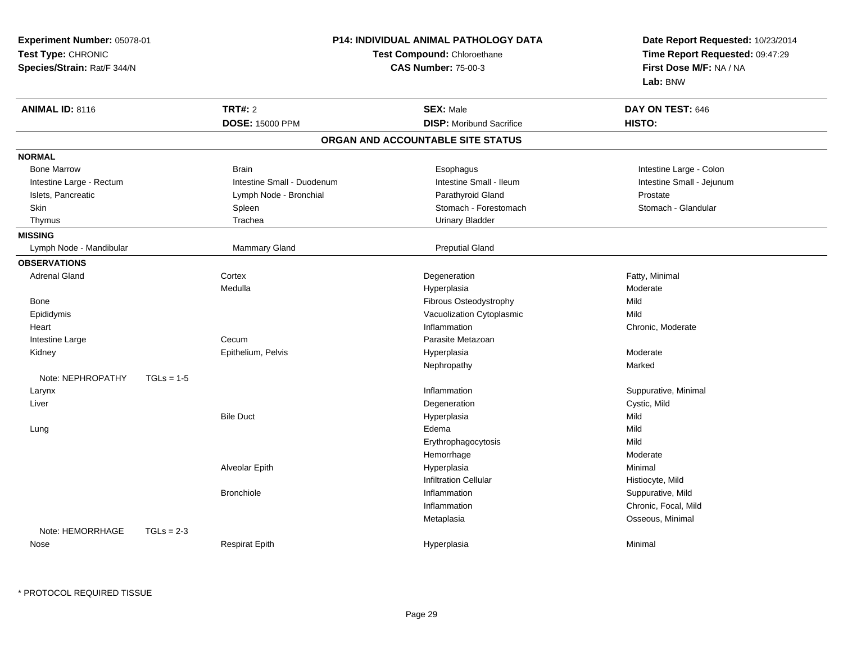| Experiment Number: 05078-01       |                            | P14: INDIVIDUAL ANIMAL PATHOLOGY DATA | Date Report Requested: 10/23/2014                          |  |
|-----------------------------------|----------------------------|---------------------------------------|------------------------------------------------------------|--|
| Test Type: CHRONIC                |                            | Test Compound: Chloroethane           |                                                            |  |
| Species/Strain: Rat/F 344/N       |                            | <b>CAS Number: 75-00-3</b>            | Time Report Requested: 09:47:29<br>First Dose M/F: NA / NA |  |
|                                   |                            |                                       | Lab: BNW                                                   |  |
| <b>ANIMAL ID: 8116</b>            | <b>TRT#: 2</b>             | <b>SEX: Male</b>                      | DAY ON TEST: 646                                           |  |
|                                   | <b>DOSE: 15000 PPM</b>     | <b>DISP:</b> Moribund Sacrifice       | HISTO:                                                     |  |
|                                   |                            | ORGAN AND ACCOUNTABLE SITE STATUS     |                                                            |  |
| <b>NORMAL</b>                     |                            |                                       |                                                            |  |
| <b>Bone Marrow</b>                | <b>Brain</b>               | Esophagus                             | Intestine Large - Colon                                    |  |
| Intestine Large - Rectum          | Intestine Small - Duodenum | Intestine Small - Ileum               | Intestine Small - Jejunum                                  |  |
| Islets, Pancreatic                | Lymph Node - Bronchial     | Parathyroid Gland                     | Prostate                                                   |  |
| Skin                              | Spleen                     | Stomach - Forestomach                 | Stomach - Glandular                                        |  |
| Thymus                            | Trachea                    | <b>Urinary Bladder</b>                |                                                            |  |
| <b>MISSING</b>                    |                            |                                       |                                                            |  |
| Lymph Node - Mandibular           | Mammary Gland              | <b>Preputial Gland</b>                |                                                            |  |
| <b>OBSERVATIONS</b>               |                            |                                       |                                                            |  |
| <b>Adrenal Gland</b>              | Cortex                     | Degeneration                          | Fatty, Minimal                                             |  |
|                                   | Medulla                    | Hyperplasia                           | Moderate                                                   |  |
| <b>Bone</b>                       |                            | Fibrous Osteodystrophy                | Mild                                                       |  |
| Epididymis                        |                            | Vacuolization Cytoplasmic             | Mild                                                       |  |
| Heart                             |                            | Inflammation                          | Chronic, Moderate                                          |  |
| Intestine Large                   | Cecum                      | Parasite Metazoan                     |                                                            |  |
| Kidney                            | Epithelium, Pelvis         | Hyperplasia                           | Moderate                                                   |  |
|                                   |                            | Nephropathy                           | Marked                                                     |  |
| Note: NEPHROPATHY<br>$TGLs = 1-5$ |                            |                                       |                                                            |  |
| Larynx                            |                            | Inflammation                          | Suppurative, Minimal                                       |  |
| Liver                             |                            | Degeneration                          | Cystic, Mild                                               |  |
|                                   | <b>Bile Duct</b>           | Hyperplasia                           | Mild                                                       |  |
| Lung                              |                            | Edema                                 | Mild                                                       |  |
|                                   |                            | Erythrophagocytosis                   | Mild                                                       |  |
|                                   |                            | Hemorrhage                            | Moderate                                                   |  |
|                                   | Alveolar Epith             | Hyperplasia                           | Minimal                                                    |  |
|                                   |                            | <b>Infiltration Cellular</b>          | Histiocyte, Mild                                           |  |
|                                   | <b>Bronchiole</b>          | Inflammation                          | Suppurative, Mild                                          |  |
|                                   |                            | Inflammation                          | Chronic, Focal, Mild                                       |  |
|                                   |                            | Metaplasia                            | Osseous, Minimal                                           |  |
| Note: HEMORRHAGE<br>$TGLs = 2-3$  |                            |                                       |                                                            |  |
| Nose                              | <b>Respirat Epith</b>      | Hyperplasia                           | Minimal                                                    |  |
|                                   |                            |                                       |                                                            |  |

\* PROTOCOL REQUIRED TISSUE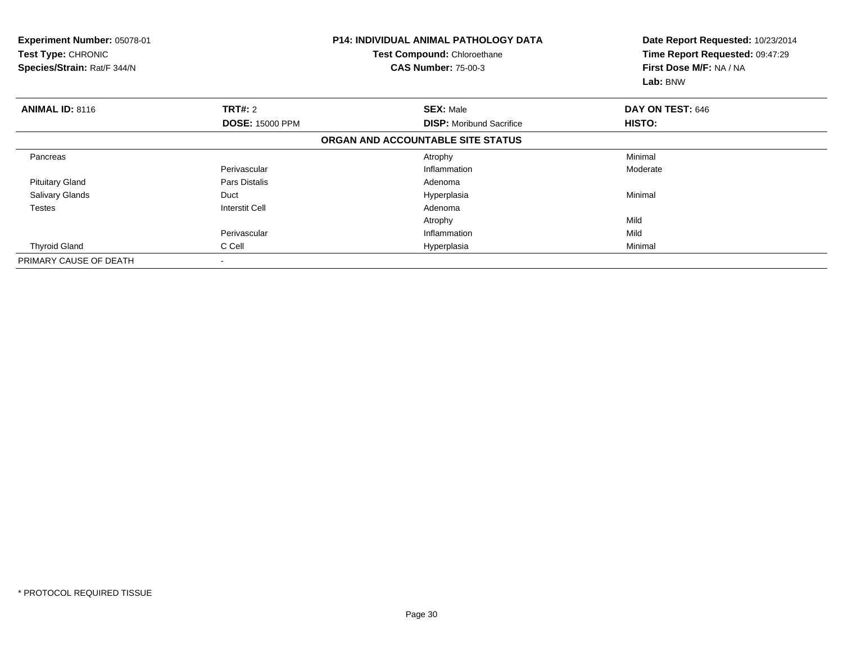| Experiment Number: 05078-01<br><b>Test Type: CHRONIC</b><br>Species/Strain: Rat/F 344/N |                        | <b>P14: INDIVIDUAL ANIMAL PATHOLOGY DATA</b><br>Test Compound: Chloroethane<br><b>CAS Number: 75-00-3</b> | Date Report Requested: 10/23/2014<br>Time Report Requested: 09:47:29<br>First Dose M/F: NA / NA<br>Lab: BNW |  |
|-----------------------------------------------------------------------------------------|------------------------|-----------------------------------------------------------------------------------------------------------|-------------------------------------------------------------------------------------------------------------|--|
| <b>ANIMAL ID: 8116</b>                                                                  | <b>TRT#: 2</b>         | <b>SEX: Male</b>                                                                                          | DAY ON TEST: 646                                                                                            |  |
|                                                                                         | <b>DOSE: 15000 PPM</b> | <b>DISP:</b> Moribund Sacrifice                                                                           | HISTO:                                                                                                      |  |
|                                                                                         |                        | ORGAN AND ACCOUNTABLE SITE STATUS                                                                         |                                                                                                             |  |
| Pancreas                                                                                |                        | Atrophy                                                                                                   | Minimal                                                                                                     |  |
|                                                                                         | Perivascular           | Inflammation                                                                                              | Moderate                                                                                                    |  |
| <b>Pituitary Gland</b>                                                                  | Pars Distalis          | Adenoma                                                                                                   |                                                                                                             |  |
| <b>Salivary Glands</b>                                                                  | Duct                   | Hyperplasia                                                                                               | Minimal                                                                                                     |  |
| <b>Testes</b>                                                                           | Interstit Cell         | Adenoma                                                                                                   |                                                                                                             |  |
|                                                                                         |                        | Atrophy                                                                                                   | Mild                                                                                                        |  |
|                                                                                         | Perivascular           | Inflammation                                                                                              | Mild                                                                                                        |  |
| <b>Thyroid Gland</b>                                                                    | C Cell                 | Hyperplasia                                                                                               | Minimal                                                                                                     |  |
| PRIMARY CAUSE OF DEATH                                                                  |                        |                                                                                                           |                                                                                                             |  |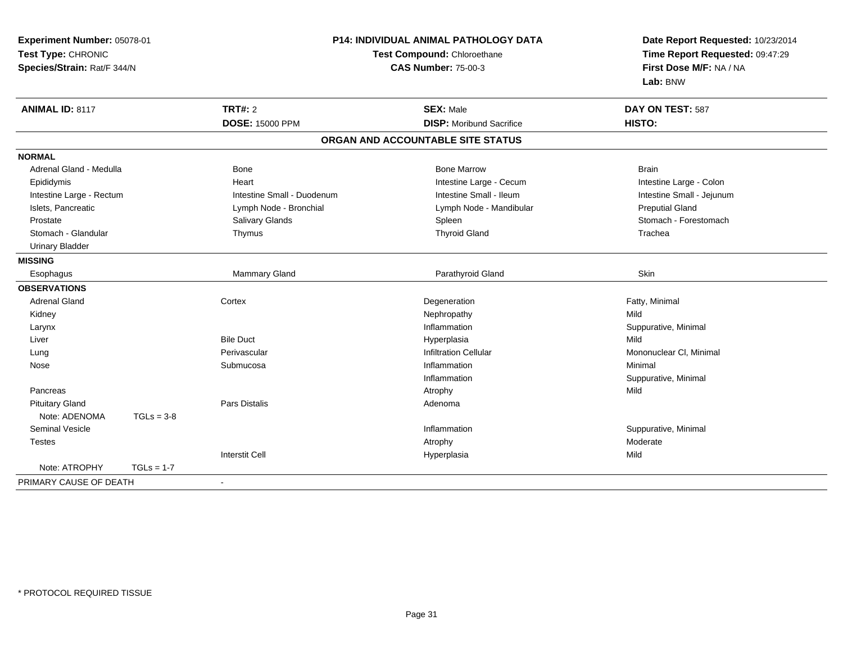| Experiment Number: 05078-01                       |              | P14: INDIVIDUAL ANIMAL PATHOLOGY DATA |                                   | Date Report Requested: 10/23/2014 |
|---------------------------------------------------|--------------|---------------------------------------|-----------------------------------|-----------------------------------|
| Test Type: CHRONIC<br>Species/Strain: Rat/F 344/N |              | Test Compound: Chloroethane           |                                   | Time Report Requested: 09:47:29   |
|                                                   |              |                                       | <b>CAS Number: 75-00-3</b>        | First Dose M/F: NA / NA           |
|                                                   |              |                                       |                                   | Lab: BNW                          |
| <b>ANIMAL ID: 8117</b>                            |              | <b>TRT#: 2</b>                        | <b>SEX: Male</b>                  | DAY ON TEST: 587                  |
|                                                   |              | <b>DOSE: 15000 PPM</b>                | <b>DISP:</b> Moribund Sacrifice   | HISTO:                            |
|                                                   |              |                                       | ORGAN AND ACCOUNTABLE SITE STATUS |                                   |
| <b>NORMAL</b>                                     |              |                                       |                                   |                                   |
| Adrenal Gland - Medulla                           |              | <b>Bone</b>                           | <b>Bone Marrow</b>                | <b>Brain</b>                      |
| Epididymis                                        |              | Heart                                 | Intestine Large - Cecum           | Intestine Large - Colon           |
| Intestine Large - Rectum                          |              | Intestine Small - Duodenum            | Intestine Small - Ileum           | Intestine Small - Jejunum         |
| Islets, Pancreatic                                |              | Lymph Node - Bronchial                | Lymph Node - Mandibular           | <b>Preputial Gland</b>            |
| Prostate                                          |              | Salivary Glands                       | Spleen                            | Stomach - Forestomach             |
| Stomach - Glandular                               |              | Thymus                                | <b>Thyroid Gland</b>              | Trachea                           |
| <b>Urinary Bladder</b>                            |              |                                       |                                   |                                   |
| <b>MISSING</b>                                    |              |                                       |                                   |                                   |
| Esophagus                                         |              | <b>Mammary Gland</b>                  | Parathyroid Gland                 | Skin                              |
| <b>OBSERVATIONS</b>                               |              |                                       |                                   |                                   |
| <b>Adrenal Gland</b>                              |              | Cortex                                | Degeneration                      | Fatty, Minimal                    |
| Kidney                                            |              |                                       | Nephropathy                       | Mild                              |
| Larynx                                            |              |                                       | Inflammation                      | Suppurative, Minimal              |
| Liver                                             |              | <b>Bile Duct</b>                      | Hyperplasia                       | Mild                              |
| Lung                                              |              | Perivascular                          | <b>Infiltration Cellular</b>      | Mononuclear CI, Minimal           |
| Nose                                              |              | Submucosa                             | Inflammation                      | Minimal                           |
|                                                   |              |                                       | Inflammation                      | Suppurative, Minimal              |
| Pancreas                                          |              |                                       | Atrophy                           | Mild                              |
| <b>Pituitary Gland</b>                            |              | Pars Distalis                         | Adenoma                           |                                   |
| Note: ADENOMA                                     | $TGLs = 3-8$ |                                       |                                   |                                   |
| Seminal Vesicle                                   |              |                                       | Inflammation                      | Suppurative, Minimal              |
| Testes                                            |              |                                       | Atrophy                           | Moderate                          |
|                                                   |              | <b>Interstit Cell</b>                 | Hyperplasia                       | Mild                              |
| Note: ATROPHY                                     | $TGLs = 1-7$ |                                       |                                   |                                   |
| PRIMARY CAUSE OF DEATH                            |              | $\blacksquare$                        |                                   |                                   |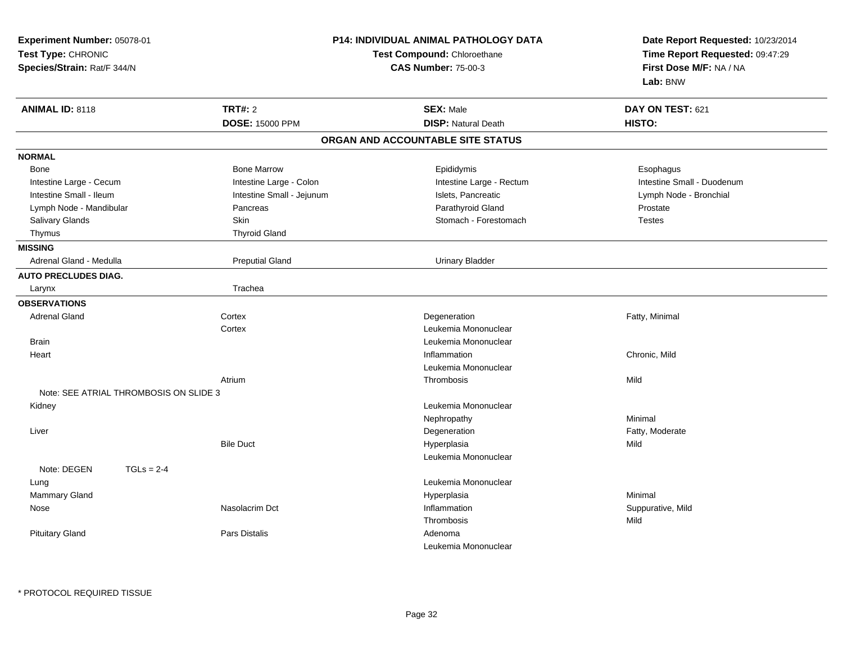| Experiment Number: 05078-01<br>Test Type: CHRONIC<br>Species/Strain: Rat/F 344/N |                           | P14: INDIVIDUAL ANIMAL PATHOLOGY DATA<br>Test Compound: Chloroethane<br><b>CAS Number: 75-00-3</b> | Date Report Requested: 10/23/2014<br>Time Report Requested: 09:47:29<br>First Dose M/F: NA / NA<br>Lab: BNW |
|----------------------------------------------------------------------------------|---------------------------|----------------------------------------------------------------------------------------------------|-------------------------------------------------------------------------------------------------------------|
| <b>ANIMAL ID: 8118</b>                                                           | <b>TRT#: 2</b>            | <b>SEX: Male</b>                                                                                   | DAY ON TEST: 621                                                                                            |
|                                                                                  | <b>DOSE: 15000 PPM</b>    | <b>DISP: Natural Death</b>                                                                         | HISTO:                                                                                                      |
|                                                                                  |                           | ORGAN AND ACCOUNTABLE SITE STATUS                                                                  |                                                                                                             |
| <b>NORMAL</b>                                                                    |                           |                                                                                                    |                                                                                                             |
| Bone                                                                             | <b>Bone Marrow</b>        | Epididymis                                                                                         | Esophagus                                                                                                   |
| Intestine Large - Cecum                                                          | Intestine Large - Colon   | Intestine Large - Rectum                                                                           | Intestine Small - Duodenum                                                                                  |
| Intestine Small - Ileum                                                          | Intestine Small - Jejunum | Islets, Pancreatic                                                                                 | Lymph Node - Bronchial                                                                                      |
| Lymph Node - Mandibular                                                          | Pancreas                  | Parathyroid Gland                                                                                  | Prostate                                                                                                    |
| <b>Salivary Glands</b>                                                           | Skin                      | Stomach - Forestomach                                                                              | <b>Testes</b>                                                                                               |
| Thymus                                                                           | <b>Thyroid Gland</b>      |                                                                                                    |                                                                                                             |
| <b>MISSING</b>                                                                   |                           |                                                                                                    |                                                                                                             |
| Adrenal Gland - Medulla                                                          | <b>Preputial Gland</b>    | <b>Urinary Bladder</b>                                                                             |                                                                                                             |
| <b>AUTO PRECLUDES DIAG.</b>                                                      |                           |                                                                                                    |                                                                                                             |
| Larynx                                                                           | Trachea                   |                                                                                                    |                                                                                                             |
| <b>OBSERVATIONS</b>                                                              |                           |                                                                                                    |                                                                                                             |
| <b>Adrenal Gland</b>                                                             | Cortex                    | Degeneration                                                                                       | Fatty, Minimal                                                                                              |
|                                                                                  | Cortex                    | Leukemia Mononuclear                                                                               |                                                                                                             |
| <b>Brain</b>                                                                     |                           | Leukemia Mononuclear                                                                               |                                                                                                             |
| Heart                                                                            |                           | Inflammation                                                                                       | Chronic, Mild                                                                                               |
|                                                                                  |                           | Leukemia Mononuclear                                                                               |                                                                                                             |
|                                                                                  | Atrium                    | Thrombosis                                                                                         | Mild                                                                                                        |
| Note: SEE ATRIAL THROMBOSIS ON SLIDE 3                                           |                           |                                                                                                    |                                                                                                             |
| Kidney                                                                           |                           | Leukemia Mononuclear                                                                               |                                                                                                             |
|                                                                                  |                           | Nephropathy                                                                                        | Minimal                                                                                                     |
| Liver                                                                            |                           | Degeneration                                                                                       | Fatty, Moderate                                                                                             |
|                                                                                  | <b>Bile Duct</b>          | Hyperplasia                                                                                        | Mild                                                                                                        |
|                                                                                  |                           | Leukemia Mononuclear                                                                               |                                                                                                             |
| Note: DEGEN<br>$TGLs = 2-4$                                                      |                           |                                                                                                    |                                                                                                             |
| Lung                                                                             |                           | Leukemia Mononuclear                                                                               |                                                                                                             |
| Mammary Gland                                                                    |                           | Hyperplasia                                                                                        | Minimal                                                                                                     |
| Nose                                                                             | Nasolacrim Dct            | Inflammation                                                                                       | Suppurative, Mild                                                                                           |
|                                                                                  |                           | Thrombosis                                                                                         | Mild                                                                                                        |
| <b>Pituitary Gland</b>                                                           | Pars Distalis             | Adenoma                                                                                            |                                                                                                             |
|                                                                                  |                           | Leukemia Mononuclear                                                                               |                                                                                                             |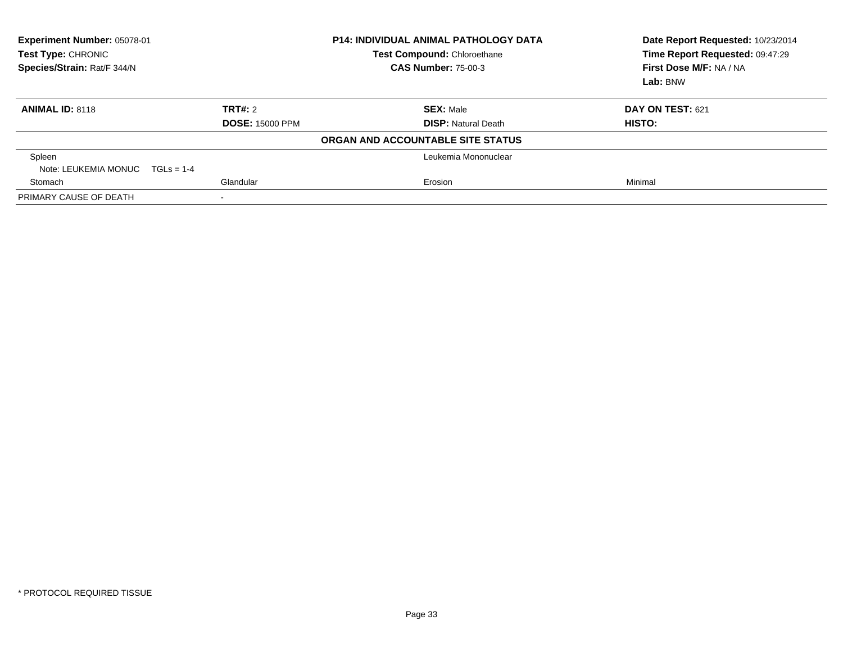| Experiment Number: 05078-01<br>Test Type: CHRONIC<br>Species/Strain: Rat/F 344/N |                        | <b>P14: INDIVIDUAL ANIMAL PATHOLOGY DATA</b><br>Test Compound: Chloroethane<br><b>CAS Number: 75-00-3</b> | Date Report Requested: 10/23/2014<br>Time Report Requested: 09:47:29<br>First Dose M/F: NA / NA<br>Lab: BNW |
|----------------------------------------------------------------------------------|------------------------|-----------------------------------------------------------------------------------------------------------|-------------------------------------------------------------------------------------------------------------|
| <b>ANIMAL ID: 8118</b>                                                           | TRT#: 2                | <b>SEX: Male</b>                                                                                          | DAY ON TEST: 621                                                                                            |
|                                                                                  | <b>DOSE: 15000 PPM</b> | <b>DISP:</b> Natural Death                                                                                | HISTO:                                                                                                      |
|                                                                                  |                        | ORGAN AND ACCOUNTABLE SITE STATUS                                                                         |                                                                                                             |
| Spleen                                                                           |                        | Leukemia Mononuclear                                                                                      |                                                                                                             |
| Note: LEUKEMIA MONUC $TGLs = 1-4$                                                |                        |                                                                                                           |                                                                                                             |
| Stomach                                                                          | Glandular              | Erosion                                                                                                   | Minimal                                                                                                     |
| PRIMARY CAUSE OF DEATH                                                           |                        |                                                                                                           |                                                                                                             |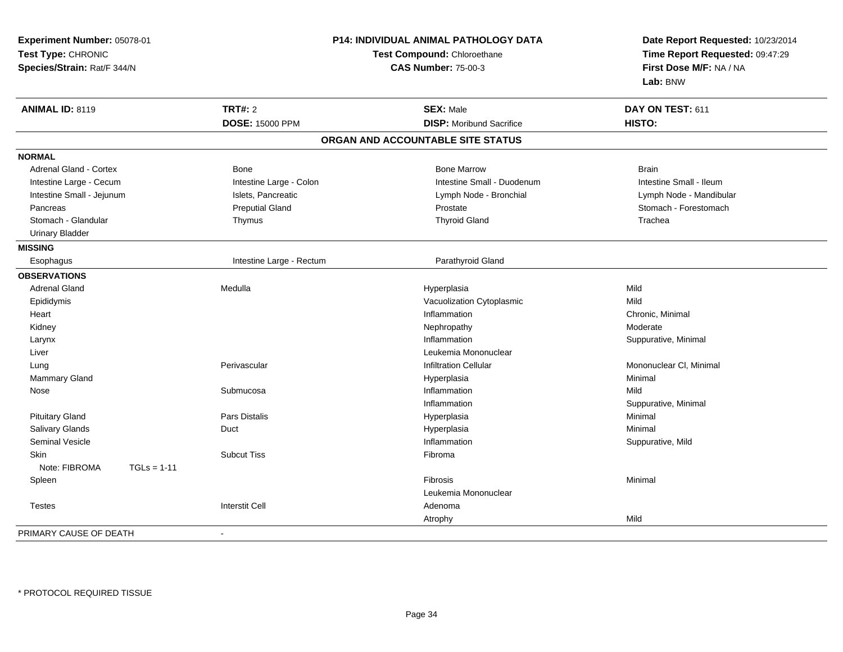| Experiment Number: 05078-01<br>Test Type: CHRONIC<br>Species/Strain: Rat/F 344/N |                          | <b>P14: INDIVIDUAL ANIMAL PATHOLOGY DATA</b><br>Test Compound: Chloroethane<br><b>CAS Number: 75-00-3</b> | Date Report Requested: 10/23/2014<br>Time Report Requested: 09:47:29<br>First Dose M/F: NA / NA<br>Lab: BNW |
|----------------------------------------------------------------------------------|--------------------------|-----------------------------------------------------------------------------------------------------------|-------------------------------------------------------------------------------------------------------------|
| <b>ANIMAL ID: 8119</b>                                                           | <b>TRT#: 2</b>           | <b>SEX: Male</b>                                                                                          | DAY ON TEST: 611                                                                                            |
|                                                                                  | <b>DOSE: 15000 PPM</b>   | <b>DISP:</b> Moribund Sacrifice                                                                           | HISTO:                                                                                                      |
|                                                                                  |                          | ORGAN AND ACCOUNTABLE SITE STATUS                                                                         |                                                                                                             |
| <b>NORMAL</b>                                                                    |                          |                                                                                                           |                                                                                                             |
| Adrenal Gland - Cortex                                                           | <b>Bone</b>              | <b>Bone Marrow</b>                                                                                        | <b>Brain</b>                                                                                                |
| Intestine Large - Cecum                                                          | Intestine Large - Colon  | Intestine Small - Duodenum                                                                                | Intestine Small - Ileum                                                                                     |
| Intestine Small - Jejunum                                                        | Islets, Pancreatic       | Lymph Node - Bronchial                                                                                    | Lymph Node - Mandibular                                                                                     |
| Pancreas                                                                         | <b>Preputial Gland</b>   | Prostate                                                                                                  | Stomach - Forestomach                                                                                       |
| Stomach - Glandular                                                              | Thymus                   | <b>Thyroid Gland</b>                                                                                      | Trachea                                                                                                     |
| <b>Urinary Bladder</b>                                                           |                          |                                                                                                           |                                                                                                             |
| <b>MISSING</b>                                                                   |                          |                                                                                                           |                                                                                                             |
| Esophagus                                                                        | Intestine Large - Rectum | Parathyroid Gland                                                                                         |                                                                                                             |
| <b>OBSERVATIONS</b>                                                              |                          |                                                                                                           |                                                                                                             |
| <b>Adrenal Gland</b>                                                             | Medulla                  | Hyperplasia                                                                                               | Mild                                                                                                        |
| Epididymis                                                                       |                          | Vacuolization Cytoplasmic                                                                                 | Mild                                                                                                        |
| Heart                                                                            |                          | Inflammation                                                                                              | Chronic, Minimal                                                                                            |
| Kidney                                                                           |                          | Nephropathy                                                                                               | Moderate                                                                                                    |
| Larynx                                                                           |                          | Inflammation                                                                                              | Suppurative, Minimal                                                                                        |
| Liver                                                                            |                          | Leukemia Mononuclear                                                                                      |                                                                                                             |
| Lung                                                                             | Perivascular             | <b>Infiltration Cellular</b>                                                                              | Mononuclear CI, Minimal                                                                                     |
| Mammary Gland                                                                    |                          | Hyperplasia                                                                                               | Minimal                                                                                                     |
| Nose                                                                             | Submucosa                | Inflammation                                                                                              | Mild                                                                                                        |
|                                                                                  |                          | Inflammation                                                                                              | Suppurative, Minimal                                                                                        |
| <b>Pituitary Gland</b>                                                           | <b>Pars Distalis</b>     | Hyperplasia                                                                                               | Minimal                                                                                                     |
| Salivary Glands                                                                  | Duct                     | Hyperplasia                                                                                               | Minimal                                                                                                     |
| Seminal Vesicle                                                                  |                          | Inflammation                                                                                              | Suppurative, Mild                                                                                           |
| <b>Skin</b>                                                                      | <b>Subcut Tiss</b>       | Fibroma                                                                                                   |                                                                                                             |
| Note: FIBROMA<br>$TGLs = 1-11$                                                   |                          |                                                                                                           |                                                                                                             |
| Spleen                                                                           |                          | Fibrosis                                                                                                  | Minimal                                                                                                     |
|                                                                                  |                          | Leukemia Mononuclear                                                                                      |                                                                                                             |
| <b>Testes</b>                                                                    | <b>Interstit Cell</b>    | Adenoma                                                                                                   |                                                                                                             |
|                                                                                  |                          | Atrophy                                                                                                   | Mild                                                                                                        |
| PRIMARY CAUSE OF DEATH                                                           |                          |                                                                                                           |                                                                                                             |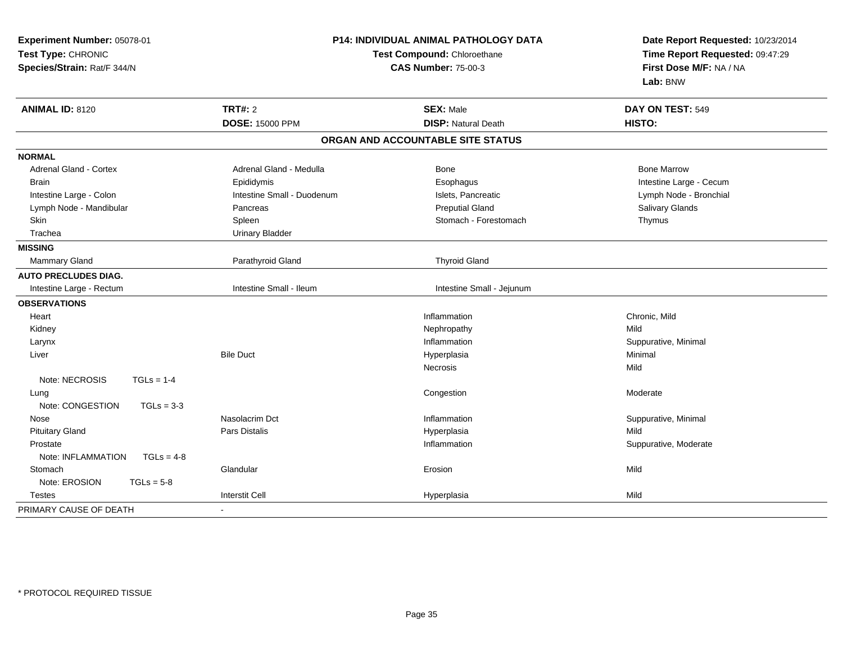| Experiment Number: 05078-01<br>Test Type: CHRONIC<br>Species/Strain: Rat/F 344/N |                            | P14: INDIVIDUAL ANIMAL PATHOLOGY DATA<br>Date Report Requested: 10/23/2014<br>Test Compound: Chloroethane<br>Time Report Requested: 09:47:29<br>First Dose M/F: NA / NA<br><b>CAS Number: 75-00-3</b><br>Lab: BNW |                         |
|----------------------------------------------------------------------------------|----------------------------|-------------------------------------------------------------------------------------------------------------------------------------------------------------------------------------------------------------------|-------------------------|
| <b>ANIMAL ID: 8120</b>                                                           | <b>TRT#: 2</b>             | <b>SEX: Male</b>                                                                                                                                                                                                  | DAY ON TEST: 549        |
|                                                                                  | <b>DOSE: 15000 PPM</b>     | <b>DISP: Natural Death</b>                                                                                                                                                                                        | HISTO:                  |
|                                                                                  |                            | ORGAN AND ACCOUNTABLE SITE STATUS                                                                                                                                                                                 |                         |
| <b>NORMAL</b>                                                                    |                            |                                                                                                                                                                                                                   |                         |
| Adrenal Gland - Cortex                                                           | Adrenal Gland - Medulla    | Bone                                                                                                                                                                                                              | <b>Bone Marrow</b>      |
| <b>Brain</b>                                                                     | Epididymis                 | Esophagus                                                                                                                                                                                                         | Intestine Large - Cecum |
| Intestine Large - Colon                                                          | Intestine Small - Duodenum | Islets, Pancreatic                                                                                                                                                                                                | Lymph Node - Bronchial  |
| Lymph Node - Mandibular                                                          | Pancreas                   | <b>Preputial Gland</b>                                                                                                                                                                                            | Salivary Glands         |
| <b>Skin</b>                                                                      | Spleen                     | Stomach - Forestomach                                                                                                                                                                                             | Thymus                  |
| Trachea                                                                          | <b>Urinary Bladder</b>     |                                                                                                                                                                                                                   |                         |
| <b>MISSING</b>                                                                   |                            |                                                                                                                                                                                                                   |                         |
| Mammary Gland                                                                    | Parathyroid Gland          | <b>Thyroid Gland</b>                                                                                                                                                                                              |                         |
| <b>AUTO PRECLUDES DIAG.</b>                                                      |                            |                                                                                                                                                                                                                   |                         |
| Intestine Large - Rectum                                                         | Intestine Small - Ileum    | Intestine Small - Jejunum                                                                                                                                                                                         |                         |
| <b>OBSERVATIONS</b>                                                              |                            |                                                                                                                                                                                                                   |                         |
| Heart                                                                            |                            | Inflammation                                                                                                                                                                                                      | Chronic, Mild           |
| Kidney                                                                           |                            | Nephropathy                                                                                                                                                                                                       | Mild                    |
| Larynx                                                                           |                            | Inflammation                                                                                                                                                                                                      | Suppurative, Minimal    |
| Liver                                                                            | <b>Bile Duct</b>           | Hyperplasia                                                                                                                                                                                                       | Minimal                 |
|                                                                                  |                            | <b>Necrosis</b>                                                                                                                                                                                                   | Mild                    |
| Note: NECROSIS<br>$TGLs = 1-4$                                                   |                            |                                                                                                                                                                                                                   |                         |
| Lung                                                                             |                            | Congestion                                                                                                                                                                                                        | Moderate                |
| Note: CONGESTION<br>$TGLs = 3-3$                                                 |                            |                                                                                                                                                                                                                   |                         |
| Nose                                                                             | Nasolacrim Dct             | Inflammation                                                                                                                                                                                                      | Suppurative, Minimal    |
| <b>Pituitary Gland</b>                                                           | <b>Pars Distalis</b>       | Hyperplasia                                                                                                                                                                                                       | Mild                    |
| Prostate                                                                         |                            | Inflammation                                                                                                                                                                                                      | Suppurative, Moderate   |
| Note: INFLAMMATION<br>$TGLs = 4-8$                                               |                            |                                                                                                                                                                                                                   |                         |
| Stomach                                                                          | Glandular                  | Erosion                                                                                                                                                                                                           | Mild                    |
| Note: EROSION<br>$TGLs = 5-8$                                                    |                            |                                                                                                                                                                                                                   |                         |
| <b>Testes</b>                                                                    | <b>Interstit Cell</b>      | Hyperplasia                                                                                                                                                                                                       | Mild                    |
| PRIMARY CAUSE OF DEATH                                                           |                            |                                                                                                                                                                                                                   |                         |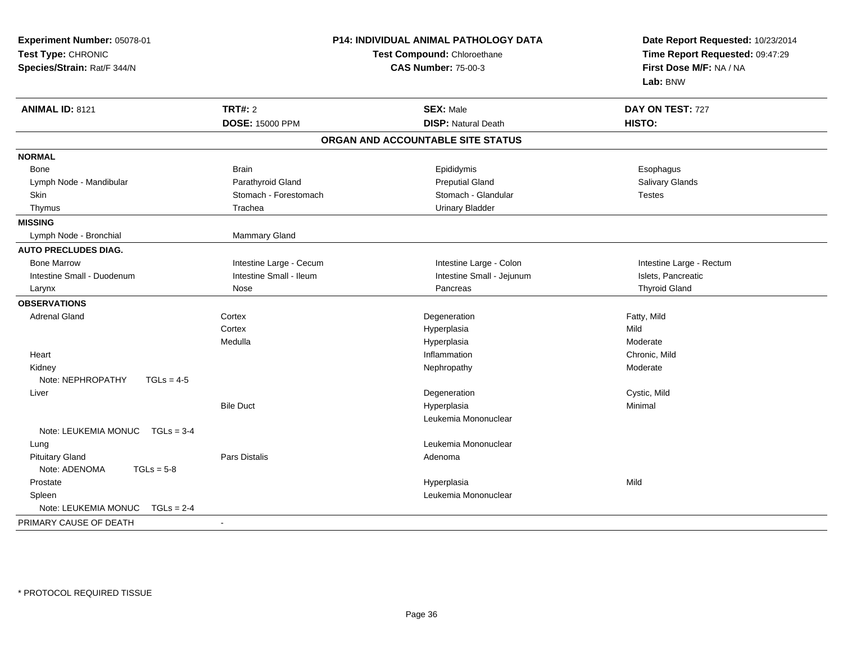| Experiment Number: 05078-01          |                             | P14: INDIVIDUAL ANIMAL PATHOLOGY DATA | Date Report Requested: 10/23/2014 |  |
|--------------------------------------|-----------------------------|---------------------------------------|-----------------------------------|--|
| Test Type: CHRONIC                   | Test Compound: Chloroethane |                                       | Time Report Requested: 09:47:29   |  |
| Species/Strain: Rat/F 344/N          |                             | <b>CAS Number: 75-00-3</b>            | First Dose M/F: NA / NA           |  |
|                                      |                             |                                       | Lab: BNW                          |  |
| <b>ANIMAL ID: 8121</b>               | <b>TRT#: 2</b>              | <b>SEX: Male</b>                      | DAY ON TEST: 727                  |  |
|                                      | <b>DOSE: 15000 PPM</b>      | <b>DISP: Natural Death</b>            | HISTO:                            |  |
|                                      |                             | ORGAN AND ACCOUNTABLE SITE STATUS     |                                   |  |
| <b>NORMAL</b>                        |                             |                                       |                                   |  |
| Bone                                 | <b>Brain</b>                | Epididymis                            | Esophagus                         |  |
| Lymph Node - Mandibular              | Parathyroid Gland           | <b>Preputial Gland</b>                | Salivary Glands                   |  |
| Skin                                 | Stomach - Forestomach       | Stomach - Glandular                   | <b>Testes</b>                     |  |
| Thymus                               | Trachea                     | <b>Urinary Bladder</b>                |                                   |  |
| <b>MISSING</b>                       |                             |                                       |                                   |  |
| Lymph Node - Bronchial               | Mammary Gland               |                                       |                                   |  |
| <b>AUTO PRECLUDES DIAG.</b>          |                             |                                       |                                   |  |
| <b>Bone Marrow</b>                   | Intestine Large - Cecum     | Intestine Large - Colon               | Intestine Large - Rectum          |  |
| Intestine Small - Duodenum           | Intestine Small - Ileum     | Intestine Small - Jejunum             | Islets, Pancreatic                |  |
| Larynx                               | Nose                        | Pancreas                              | <b>Thyroid Gland</b>              |  |
| <b>OBSERVATIONS</b>                  |                             |                                       |                                   |  |
| <b>Adrenal Gland</b>                 | Cortex                      | Degeneration                          | Fatty, Mild                       |  |
|                                      | Cortex                      | Hyperplasia                           | Mild                              |  |
|                                      | Medulla                     | Hyperplasia                           | Moderate                          |  |
| Heart                                |                             | Inflammation                          | Chronic, Mild                     |  |
| Kidney                               |                             | Nephropathy                           | Moderate                          |  |
| Note: NEPHROPATHY<br>$TGLs = 4-5$    |                             |                                       |                                   |  |
| Liver                                |                             | Degeneration                          | Cystic, Mild                      |  |
|                                      | <b>Bile Duct</b>            | Hyperplasia                           | Minimal                           |  |
|                                      |                             | Leukemia Mononuclear                  |                                   |  |
| Note: LEUKEMIA MONUC<br>$TGLs = 3-4$ |                             |                                       |                                   |  |
| Lung                                 |                             | Leukemia Mononuclear                  |                                   |  |
| <b>Pituitary Gland</b>               | Pars Distalis               | Adenoma                               |                                   |  |
| Note: ADENOMA<br>$TGLs = 5-8$        |                             |                                       |                                   |  |
| Prostate                             |                             | Hyperplasia                           | Mild                              |  |
| Spleen                               |                             | Leukemia Mononuclear                  |                                   |  |
| Note: LEUKEMIA MONUC<br>$TGLs = 2-4$ |                             |                                       |                                   |  |
| PRIMARY CAUSE OF DEATH               | $\blacksquare$              |                                       |                                   |  |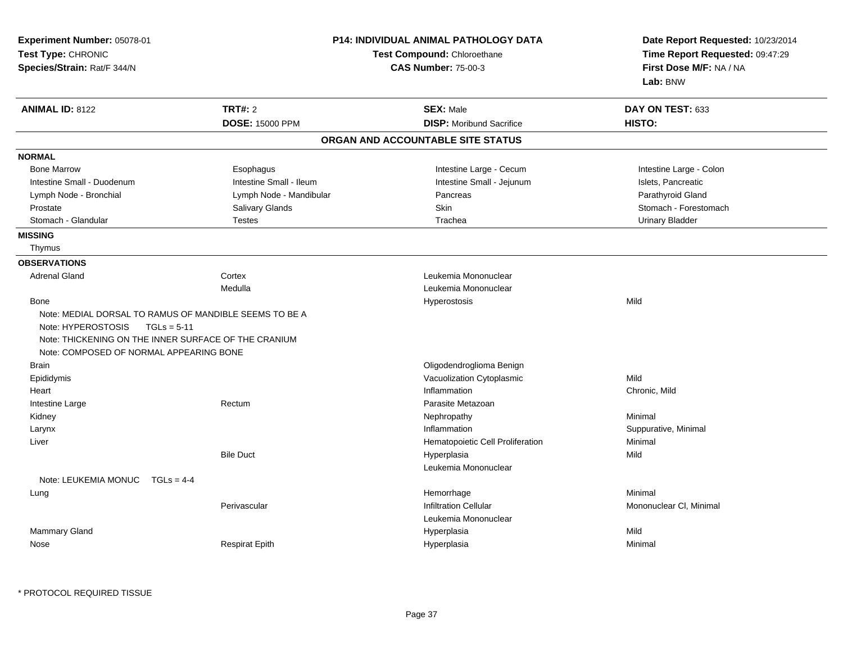| Test Type: CHRONIC<br>Species/Strain: Rat/F 344/N      |                         | <b>P14: INDIVIDUAL ANIMAL PATHOLOGY DATA</b><br>Test Compound: Chloroethane<br><b>CAS Number: 75-00-3</b> |                         |
|--------------------------------------------------------|-------------------------|-----------------------------------------------------------------------------------------------------------|-------------------------|
| <b>ANIMAL ID: 8122</b>                                 | <b>TRT#: 2</b>          | <b>SEX: Male</b>                                                                                          | DAY ON TEST: 633        |
|                                                        | <b>DOSE: 15000 PPM</b>  | <b>DISP:</b> Moribund Sacrifice                                                                           | HISTO:                  |
|                                                        |                         | ORGAN AND ACCOUNTABLE SITE STATUS                                                                         |                         |
| <b>NORMAL</b>                                          |                         |                                                                                                           |                         |
| <b>Bone Marrow</b>                                     | Esophagus               | Intestine Large - Cecum                                                                                   | Intestine Large - Colon |
| Intestine Small - Duodenum                             | Intestine Small - Ileum | Intestine Small - Jejunum                                                                                 | Islets, Pancreatic      |
| Lymph Node - Bronchial                                 | Lymph Node - Mandibular | Pancreas                                                                                                  | Parathyroid Gland       |
| Prostate                                               | Salivary Glands         | Skin                                                                                                      | Stomach - Forestomach   |
| Stomach - Glandular                                    | <b>Testes</b>           | Trachea                                                                                                   | <b>Urinary Bladder</b>  |
| <b>MISSING</b>                                         |                         |                                                                                                           |                         |
| Thymus                                                 |                         |                                                                                                           |                         |
| <b>OBSERVATIONS</b>                                    |                         |                                                                                                           |                         |
| <b>Adrenal Gland</b>                                   | Cortex                  | Leukemia Mononuclear                                                                                      |                         |
|                                                        | Medulla                 | Leukemia Mononuclear                                                                                      |                         |
| <b>Bone</b>                                            |                         | Hyperostosis                                                                                              | Mild                    |
| Note: MEDIAL DORSAL TO RAMUS OF MANDIBLE SEEMS TO BE A |                         |                                                                                                           |                         |
| Note: HYPEROSTOSIS<br>$TGLs = 5-11$                    |                         |                                                                                                           |                         |
|                                                        |                         |                                                                                                           |                         |
| Note: THICKENING ON THE INNER SURFACE OF THE CRANIUM   |                         |                                                                                                           |                         |
| Note: COMPOSED OF NORMAL APPEARING BONE                |                         |                                                                                                           |                         |
|                                                        |                         |                                                                                                           |                         |
| <b>Brain</b>                                           |                         | Oligodendroglioma Benign                                                                                  |                         |
| Epididymis                                             |                         | Vacuolization Cytoplasmic                                                                                 | Mild                    |
| Heart                                                  | Rectum                  | Inflammation                                                                                              | Chronic, Mild           |
| Intestine Large                                        |                         | Parasite Metazoan                                                                                         |                         |
| Kidney                                                 |                         | Nephropathy<br>Inflammation                                                                               | Minimal                 |
| Larynx                                                 |                         |                                                                                                           | Suppurative, Minimal    |
| Liver                                                  | <b>Bile Duct</b>        | Hematopoietic Cell Proliferation                                                                          | Minimal<br>Mild         |
|                                                        |                         | Hyperplasia<br>Leukemia Mononuclear                                                                       |                         |
| Note: LEUKEMIA MONUC TGLs = 4-4                        |                         |                                                                                                           |                         |
| Lung                                                   |                         | Hemorrhage                                                                                                | Minimal                 |
|                                                        | Perivascular            | <b>Infiltration Cellular</b>                                                                              |                         |
|                                                        |                         | Leukemia Mononuclear                                                                                      | Mononuclear CI, Minimal |
| Mammary Gland                                          |                         | Hyperplasia                                                                                               | Mild                    |

\* PROTOCOL REQUIRED TISSUE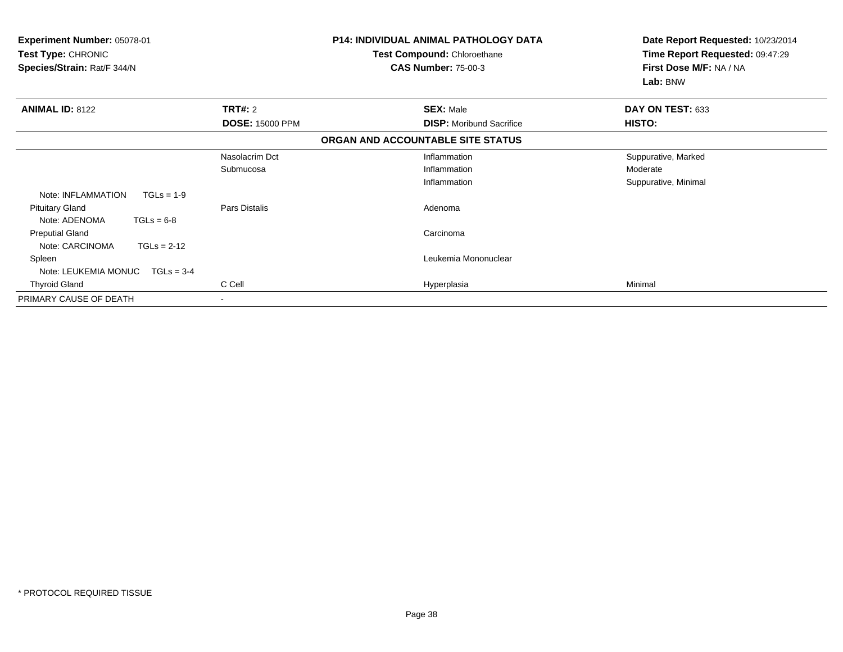| <b>Experiment Number: 05078-01</b><br>Test Type: CHRONIC<br>Species/Strain: Rat/F 344/N |                        | <b>P14: INDIVIDUAL ANIMAL PATHOLOGY DATA</b><br>Test Compound: Chloroethane<br><b>CAS Number: 75-00-3</b> | Date Report Requested: 10/23/2014<br>Time Report Requested: 09:47:29<br>First Dose M/F: NA / NA<br>Lab: BNW |
|-----------------------------------------------------------------------------------------|------------------------|-----------------------------------------------------------------------------------------------------------|-------------------------------------------------------------------------------------------------------------|
| <b>ANIMAL ID: 8122</b>                                                                  | <b>TRT#: 2</b>         | <b>SEX: Male</b>                                                                                          | DAY ON TEST: 633                                                                                            |
|                                                                                         | <b>DOSE: 15000 PPM</b> | <b>DISP:</b> Moribund Sacrifice                                                                           | HISTO:                                                                                                      |
|                                                                                         |                        | ORGAN AND ACCOUNTABLE SITE STATUS                                                                         |                                                                                                             |
|                                                                                         | Nasolacrim Dct         | Inflammation                                                                                              | Suppurative, Marked                                                                                         |
|                                                                                         | Submucosa              | Inflammation                                                                                              | Moderate                                                                                                    |
|                                                                                         |                        | Inflammation                                                                                              | Suppurative, Minimal                                                                                        |
| Note: INFLAMMATION<br>$TGLs = 1-9$                                                      |                        |                                                                                                           |                                                                                                             |
| <b>Pituitary Gland</b>                                                                  | Pars Distalis          | Adenoma                                                                                                   |                                                                                                             |
| Note: ADENOMA<br>$TGLs = 6-8$                                                           |                        |                                                                                                           |                                                                                                             |
| <b>Preputial Gland</b>                                                                  |                        | Carcinoma                                                                                                 |                                                                                                             |
| Note: CARCINOMA<br>$TGLs = 2-12$                                                        |                        |                                                                                                           |                                                                                                             |
| Spleen                                                                                  |                        | Leukemia Mononuclear                                                                                      |                                                                                                             |
| Note: LEUKEMIA MONUC<br>$TGLs = 3-4$                                                    |                        |                                                                                                           |                                                                                                             |
| <b>Thyroid Gland</b>                                                                    | C Cell                 | Hyperplasia                                                                                               | Minimal                                                                                                     |
| PRIMARY CAUSE OF DEATH                                                                  |                        |                                                                                                           |                                                                                                             |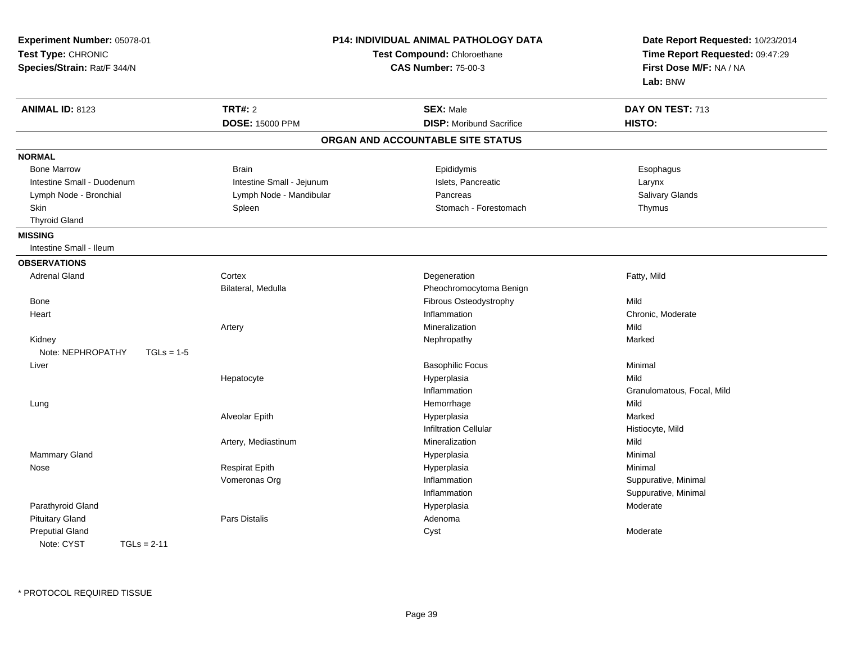| Experiment Number: 05078-01<br>Test Type: CHRONIC<br>Species/Strain: Rat/F 344/N |                           | P14: INDIVIDUAL ANIMAL PATHOLOGY DATA<br>Test Compound: Chloroethane<br><b>CAS Number: 75-00-3</b> | Date Report Requested: 10/23/2014<br>Time Report Requested: 09:47:29<br>First Dose M/F: NA / NA<br>Lab: BNW |  |
|----------------------------------------------------------------------------------|---------------------------|----------------------------------------------------------------------------------------------------|-------------------------------------------------------------------------------------------------------------|--|
| <b>ANIMAL ID: 8123</b>                                                           | <b>TRT#: 2</b>            | <b>SEX: Male</b>                                                                                   | DAY ON TEST: 713                                                                                            |  |
|                                                                                  | <b>DOSE: 15000 PPM</b>    | <b>DISP:</b> Moribund Sacrifice                                                                    | HISTO:                                                                                                      |  |
|                                                                                  |                           | ORGAN AND ACCOUNTABLE SITE STATUS                                                                  |                                                                                                             |  |
| <b>NORMAL</b>                                                                    |                           |                                                                                                    |                                                                                                             |  |
| <b>Bone Marrow</b>                                                               | <b>Brain</b>              | Epididymis                                                                                         | Esophagus                                                                                                   |  |
| Intestine Small - Duodenum                                                       | Intestine Small - Jejunum | Islets, Pancreatic                                                                                 | Larynx                                                                                                      |  |
| Lymph Node - Bronchial                                                           | Lymph Node - Mandibular   | Pancreas                                                                                           | Salivary Glands                                                                                             |  |
| <b>Skin</b>                                                                      | Spleen                    | Stomach - Forestomach                                                                              | Thymus                                                                                                      |  |
| <b>Thyroid Gland</b>                                                             |                           |                                                                                                    |                                                                                                             |  |
| <b>MISSING</b>                                                                   |                           |                                                                                                    |                                                                                                             |  |
| Intestine Small - Ileum                                                          |                           |                                                                                                    |                                                                                                             |  |
| <b>OBSERVATIONS</b>                                                              |                           |                                                                                                    |                                                                                                             |  |
| <b>Adrenal Gland</b>                                                             | Cortex                    | Degeneration                                                                                       | Fatty, Mild                                                                                                 |  |
|                                                                                  | Bilateral, Medulla        | Pheochromocytoma Benign                                                                            |                                                                                                             |  |
| Bone                                                                             |                           | Fibrous Osteodystrophy                                                                             | Mild                                                                                                        |  |
| Heart                                                                            |                           | Inflammation                                                                                       | Chronic, Moderate                                                                                           |  |
|                                                                                  | Artery                    | Mineralization                                                                                     | Mild                                                                                                        |  |
| Kidney                                                                           |                           | Nephropathy                                                                                        | Marked                                                                                                      |  |
| Note: NEPHROPATHY<br>$TGLs = 1-5$                                                |                           |                                                                                                    |                                                                                                             |  |
| Liver                                                                            |                           | <b>Basophilic Focus</b>                                                                            | Minimal                                                                                                     |  |
|                                                                                  | Hepatocyte                | Hyperplasia                                                                                        | Mild                                                                                                        |  |
|                                                                                  |                           | Inflammation                                                                                       | Granulomatous, Focal, Mild                                                                                  |  |
| Lung                                                                             |                           | Hemorrhage                                                                                         | Mild                                                                                                        |  |
|                                                                                  | Alveolar Epith            | Hyperplasia                                                                                        | Marked                                                                                                      |  |
|                                                                                  |                           | <b>Infiltration Cellular</b>                                                                       | Histiocyte, Mild                                                                                            |  |
|                                                                                  | Artery, Mediastinum       | Mineralization                                                                                     | Mild                                                                                                        |  |
| Mammary Gland                                                                    |                           | Hyperplasia                                                                                        | Minimal                                                                                                     |  |
| Nose                                                                             | <b>Respirat Epith</b>     | Hyperplasia                                                                                        | Minimal                                                                                                     |  |
|                                                                                  | Vomeronas Org             | Inflammation                                                                                       | Suppurative, Minimal                                                                                        |  |
|                                                                                  |                           | Inflammation                                                                                       | Suppurative, Minimal                                                                                        |  |
| Parathyroid Gland                                                                |                           | Hyperplasia                                                                                        | Moderate                                                                                                    |  |
| <b>Pituitary Gland</b>                                                           | Pars Distalis             | Adenoma                                                                                            |                                                                                                             |  |
| <b>Preputial Gland</b>                                                           |                           | Cyst                                                                                               | Moderate                                                                                                    |  |
| Note: CYST<br>$TGLs = 2-11$                                                      |                           |                                                                                                    |                                                                                                             |  |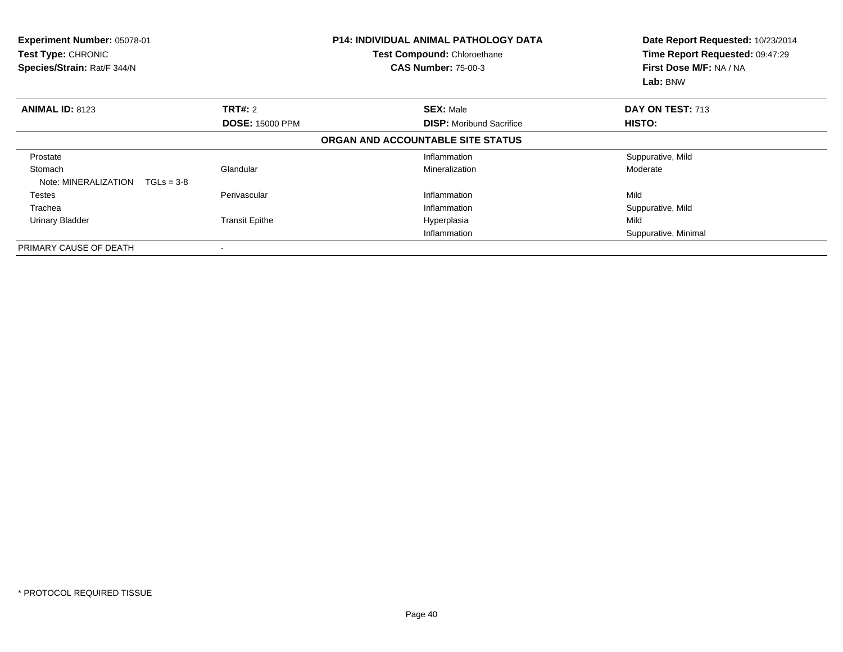| Experiment Number: 05078-01<br>Test Type: CHRONIC<br>Species/Strain: Rat/F 344/N |                        | <b>P14: INDIVIDUAL ANIMAL PATHOLOGY DATA</b><br>Test Compound: Chloroethane<br><b>CAS Number: 75-00-3</b> | Date Report Requested: 10/23/2014<br>Time Report Requested: 09:47:29<br>First Dose M/F: NA / NA<br>Lab: BNW |
|----------------------------------------------------------------------------------|------------------------|-----------------------------------------------------------------------------------------------------------|-------------------------------------------------------------------------------------------------------------|
| <b>ANIMAL ID: 8123</b>                                                           | TRT#: 2                | <b>SEX: Male</b>                                                                                          | DAY ON TEST: 713                                                                                            |
|                                                                                  | <b>DOSE: 15000 PPM</b> | <b>DISP:</b> Moribund Sacrifice                                                                           | <b>HISTO:</b>                                                                                               |
|                                                                                  |                        | ORGAN AND ACCOUNTABLE SITE STATUS                                                                         |                                                                                                             |
| Prostate                                                                         |                        | Inflammation                                                                                              | Suppurative, Mild                                                                                           |
| Stomach<br>Note: MINERALIZATION<br>$TGLs = 3-8$                                  | Glandular              | Mineralization                                                                                            | Moderate                                                                                                    |
| Testes                                                                           | Perivascular           | Inflammation                                                                                              | Mild                                                                                                        |
| Trachea                                                                          |                        | Inflammation                                                                                              | Suppurative, Mild                                                                                           |
| <b>Urinary Bladder</b>                                                           | <b>Transit Epithe</b>  | Hyperplasia                                                                                               | Mild                                                                                                        |
|                                                                                  |                        | Inflammation                                                                                              | Suppurative, Minimal                                                                                        |
| PRIMARY CAUSE OF DEATH                                                           |                        |                                                                                                           |                                                                                                             |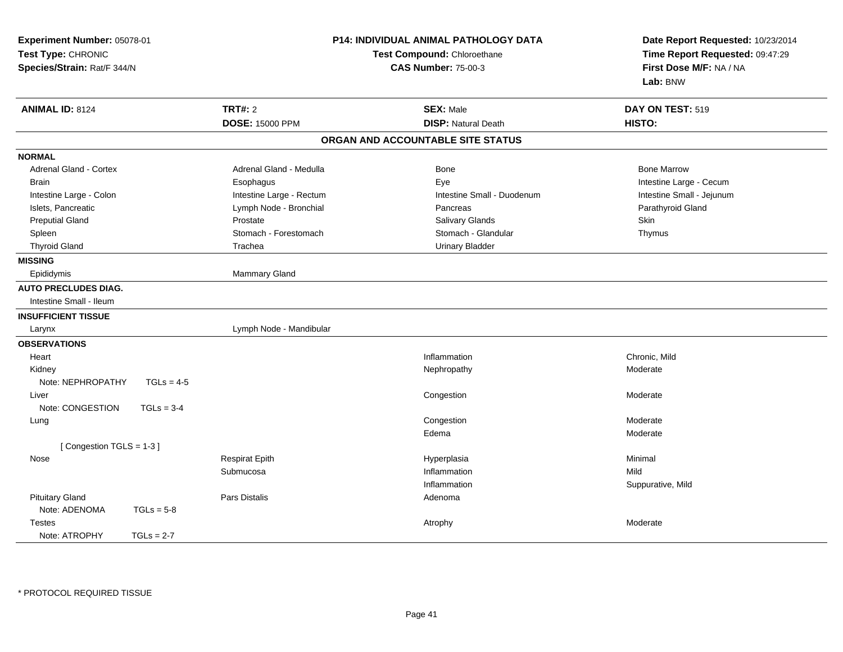| Experiment Number: 05078-01<br>Test Type: CHRONIC<br>Species/Strain: Rat/F 344/N |                          | P14: INDIVIDUAL ANIMAL PATHOLOGY DATA<br>Test Compound: Chloroethane<br><b>CAS Number: 75-00-3</b> | Date Report Requested: 10/23/2014<br>Time Report Requested: 09:47:29<br>First Dose M/F: NA / NA<br>Lab: BNW |  |
|----------------------------------------------------------------------------------|--------------------------|----------------------------------------------------------------------------------------------------|-------------------------------------------------------------------------------------------------------------|--|
| <b>ANIMAL ID: 8124</b>                                                           | <b>TRT#: 2</b>           | <b>SEX: Male</b>                                                                                   | DAY ON TEST: 519                                                                                            |  |
|                                                                                  | <b>DOSE: 15000 PPM</b>   | <b>DISP: Natural Death</b>                                                                         | HISTO:                                                                                                      |  |
|                                                                                  |                          | ORGAN AND ACCOUNTABLE SITE STATUS                                                                  |                                                                                                             |  |
| <b>NORMAL</b>                                                                    |                          |                                                                                                    |                                                                                                             |  |
| Adrenal Gland - Cortex                                                           | Adrenal Gland - Medulla  | Bone                                                                                               | <b>Bone Marrow</b>                                                                                          |  |
| <b>Brain</b>                                                                     | Esophagus                | Eye                                                                                                | Intestine Large - Cecum                                                                                     |  |
| Intestine Large - Colon                                                          | Intestine Large - Rectum | Intestine Small - Duodenum                                                                         | Intestine Small - Jejunum                                                                                   |  |
| Islets, Pancreatic                                                               | Lymph Node - Bronchial   | Pancreas                                                                                           | Parathyroid Gland                                                                                           |  |
| <b>Preputial Gland</b>                                                           | Prostate                 | Salivary Glands                                                                                    | Skin                                                                                                        |  |
| Spleen                                                                           | Stomach - Forestomach    | Stomach - Glandular                                                                                | Thymus                                                                                                      |  |
| <b>Thyroid Gland</b>                                                             | Trachea                  | <b>Urinary Bladder</b>                                                                             |                                                                                                             |  |
| <b>MISSING</b>                                                                   |                          |                                                                                                    |                                                                                                             |  |
| Epididymis                                                                       | Mammary Gland            |                                                                                                    |                                                                                                             |  |
| <b>AUTO PRECLUDES DIAG.</b>                                                      |                          |                                                                                                    |                                                                                                             |  |
| Intestine Small - Ileum                                                          |                          |                                                                                                    |                                                                                                             |  |
| <b>INSUFFICIENT TISSUE</b>                                                       |                          |                                                                                                    |                                                                                                             |  |
| Larynx                                                                           | Lymph Node - Mandibular  |                                                                                                    |                                                                                                             |  |
| <b>OBSERVATIONS</b>                                                              |                          |                                                                                                    |                                                                                                             |  |
| Heart                                                                            |                          | Inflammation                                                                                       | Chronic, Mild                                                                                               |  |
| Kidney                                                                           |                          | Nephropathy                                                                                        | Moderate                                                                                                    |  |
| Note: NEPHROPATHY<br>$TGLs = 4-5$                                                |                          |                                                                                                    |                                                                                                             |  |
| Liver                                                                            |                          | Congestion                                                                                         | Moderate                                                                                                    |  |
| Note: CONGESTION<br>$TGLs = 3-4$                                                 |                          |                                                                                                    |                                                                                                             |  |
| Lung                                                                             |                          | Congestion                                                                                         | Moderate                                                                                                    |  |
|                                                                                  |                          | Edema                                                                                              | Moderate                                                                                                    |  |
| [Congestion TGLS = 1-3]                                                          |                          |                                                                                                    |                                                                                                             |  |
| Nose                                                                             | <b>Respirat Epith</b>    | Hyperplasia                                                                                        | Minimal                                                                                                     |  |
|                                                                                  | Submucosa                | Inflammation                                                                                       | Mild                                                                                                        |  |
|                                                                                  |                          | Inflammation                                                                                       | Suppurative, Mild                                                                                           |  |
| <b>Pituitary Gland</b>                                                           | <b>Pars Distalis</b>     | Adenoma                                                                                            |                                                                                                             |  |
| Note: ADENOMA<br>$TGLs = 5-8$                                                    |                          |                                                                                                    |                                                                                                             |  |
| <b>Testes</b>                                                                    |                          | Atrophy                                                                                            | Moderate                                                                                                    |  |
| Note: ATROPHY<br>$TGLs = 2-7$                                                    |                          |                                                                                                    |                                                                                                             |  |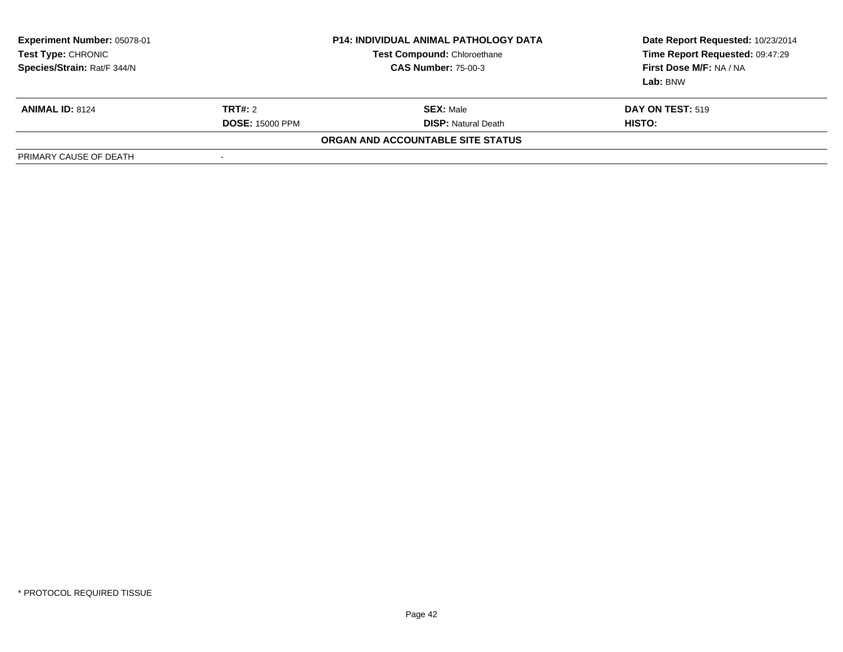| <b>Experiment Number: 05078-01</b><br>Test Type: CHRONIC<br>Species/Strain: Rat/F 344/N |                        | <b>P14: INDIVIDUAL ANIMAL PATHOLOGY DATA</b><br><b>Test Compound: Chloroethane</b><br><b>CAS Number: 75-00-3</b> | Date Report Requested: 10/23/2014<br>Time Report Requested: 09:47:29<br>First Dose M/F: NA / NA<br>Lab: BNW |
|-----------------------------------------------------------------------------------------|------------------------|------------------------------------------------------------------------------------------------------------------|-------------------------------------------------------------------------------------------------------------|
| <b>ANIMAL ID: 8124</b>                                                                  | <b>TRT#: 2</b>         | <b>SEX:</b> Male                                                                                                 | <b>DAY ON TEST: 519</b>                                                                                     |
|                                                                                         | <b>DOSE: 15000 PPM</b> | <b>DISP:</b> Natural Death                                                                                       | HISTO:                                                                                                      |
|                                                                                         |                        | <b>ORGAN AND ACCOUNTABLE SITE STATUS</b>                                                                         |                                                                                                             |
| PRIMARY CAUSE OF DEATH                                                                  |                        |                                                                                                                  |                                                                                                             |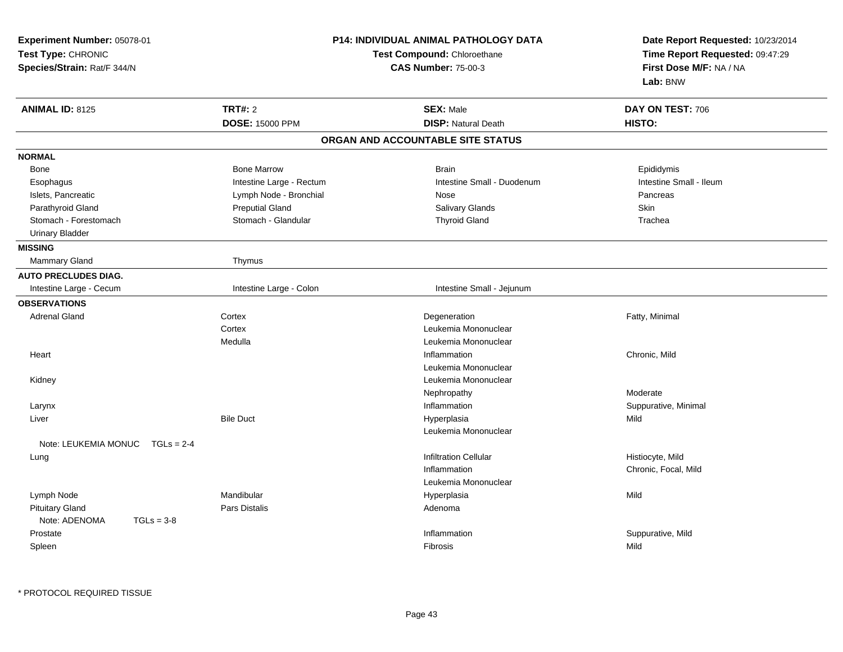| Experiment Number: 05078-01<br>Test Type: CHRONIC<br>Species/Strain: Rat/F 344/N |                          | P14: INDIVIDUAL ANIMAL PATHOLOGY DATA<br>Test Compound: Chloroethane<br><b>CAS Number: 75-00-3</b> | Date Report Requested: 10/23/2014<br>Time Report Requested: 09:47:29<br>First Dose M/F: NA / NA<br>Lab: BNW |  |
|----------------------------------------------------------------------------------|--------------------------|----------------------------------------------------------------------------------------------------|-------------------------------------------------------------------------------------------------------------|--|
| <b>ANIMAL ID: 8125</b>                                                           | <b>TRT#: 2</b>           | <b>SEX: Male</b>                                                                                   | DAY ON TEST: 706                                                                                            |  |
|                                                                                  | <b>DOSE: 15000 PPM</b>   | <b>DISP: Natural Death</b>                                                                         | HISTO:                                                                                                      |  |
|                                                                                  |                          | ORGAN AND ACCOUNTABLE SITE STATUS                                                                  |                                                                                                             |  |
| <b>NORMAL</b>                                                                    |                          |                                                                                                    |                                                                                                             |  |
| Bone                                                                             | <b>Bone Marrow</b>       | <b>Brain</b>                                                                                       | Epididymis                                                                                                  |  |
| Esophagus                                                                        | Intestine Large - Rectum | Intestine Small - Duodenum                                                                         | Intestine Small - Ileum                                                                                     |  |
| Islets, Pancreatic                                                               | Lymph Node - Bronchial   | Nose                                                                                               | Pancreas                                                                                                    |  |
| Parathyroid Gland                                                                | <b>Preputial Gland</b>   | Salivary Glands                                                                                    | Skin                                                                                                        |  |
| Stomach - Forestomach                                                            | Stomach - Glandular      | <b>Thyroid Gland</b>                                                                               | Trachea                                                                                                     |  |
| <b>Urinary Bladder</b>                                                           |                          |                                                                                                    |                                                                                                             |  |
| <b>MISSING</b>                                                                   |                          |                                                                                                    |                                                                                                             |  |
| Mammary Gland                                                                    | Thymus                   |                                                                                                    |                                                                                                             |  |
| <b>AUTO PRECLUDES DIAG.</b>                                                      |                          |                                                                                                    |                                                                                                             |  |
| Intestine Large - Cecum                                                          | Intestine Large - Colon  | Intestine Small - Jejunum                                                                          |                                                                                                             |  |
| <b>OBSERVATIONS</b>                                                              |                          |                                                                                                    |                                                                                                             |  |
| <b>Adrenal Gland</b>                                                             | Cortex                   | Degeneration                                                                                       | Fatty, Minimal                                                                                              |  |
|                                                                                  | Cortex                   | Leukemia Mononuclear                                                                               |                                                                                                             |  |
|                                                                                  | Medulla                  | Leukemia Mononuclear                                                                               |                                                                                                             |  |
| Heart                                                                            |                          | Inflammation                                                                                       | Chronic, Mild                                                                                               |  |
|                                                                                  |                          | Leukemia Mononuclear                                                                               |                                                                                                             |  |
| Kidney                                                                           |                          | Leukemia Mononuclear                                                                               |                                                                                                             |  |
|                                                                                  |                          | Nephropathy                                                                                        | Moderate                                                                                                    |  |
| Larynx                                                                           |                          | Inflammation                                                                                       | Suppurative, Minimal                                                                                        |  |
| Liver                                                                            | <b>Bile Duct</b>         | Hyperplasia                                                                                        | Mild                                                                                                        |  |
|                                                                                  |                          | Leukemia Mononuclear                                                                               |                                                                                                             |  |
| Note: LEUKEMIA MONUC<br>$TGLs = 2-4$                                             |                          |                                                                                                    |                                                                                                             |  |
| Lung                                                                             |                          | <b>Infiltration Cellular</b>                                                                       | Histiocyte, Mild                                                                                            |  |
|                                                                                  |                          | Inflammation                                                                                       | Chronic, Focal, Mild                                                                                        |  |
|                                                                                  |                          | Leukemia Mononuclear                                                                               |                                                                                                             |  |
| Lymph Node                                                                       | Mandibular               | Hyperplasia                                                                                        | Mild                                                                                                        |  |
| <b>Pituitary Gland</b>                                                           | Pars Distalis            | Adenoma                                                                                            |                                                                                                             |  |
| Note: ADENOMA<br>$TGLs = 3-8$                                                    |                          |                                                                                                    |                                                                                                             |  |
| Prostate                                                                         |                          | Inflammation                                                                                       | Suppurative, Mild                                                                                           |  |
| Spleen                                                                           |                          | Fibrosis                                                                                           | Mild                                                                                                        |  |

\* PROTOCOL REQUIRED TISSUE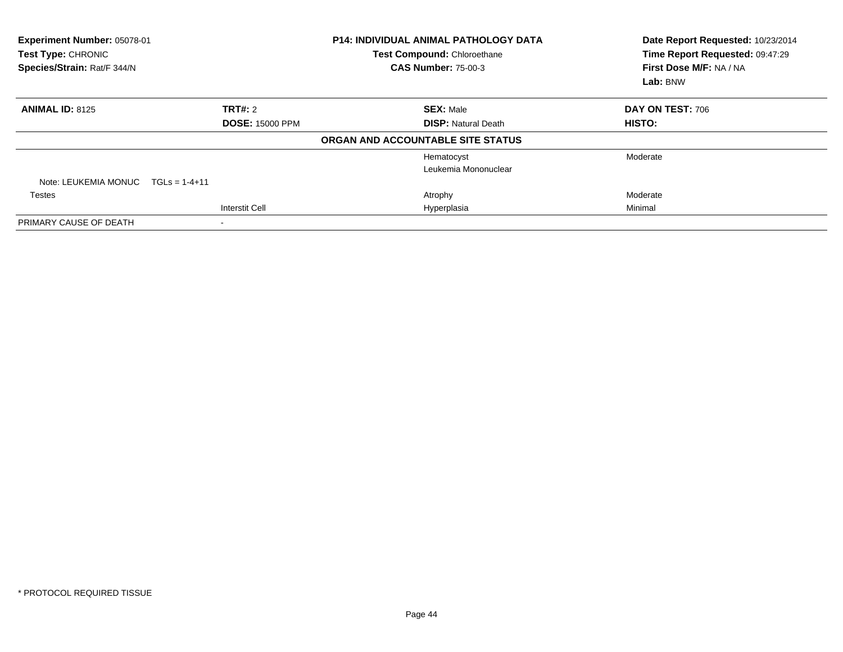| Experiment Number: 05078-01<br>Test Type: CHRONIC<br>Species/Strain: Rat/F 344/N |                        | <b>P14: INDIVIDUAL ANIMAL PATHOLOGY DATA</b><br>Test Compound: Chloroethane<br><b>CAS Number: 75-00-3</b> | Date Report Requested: 10/23/2014<br>Time Report Requested: 09:47:29<br>First Dose M/F: NA / NA<br>Lab: BNW |
|----------------------------------------------------------------------------------|------------------------|-----------------------------------------------------------------------------------------------------------|-------------------------------------------------------------------------------------------------------------|
| <b>ANIMAL ID: 8125</b>                                                           | <b>TRT#: 2</b>         | <b>SEX: Male</b>                                                                                          | DAY ON TEST: 706                                                                                            |
|                                                                                  | <b>DOSE: 15000 PPM</b> | <b>DISP: Natural Death</b>                                                                                | HISTO:                                                                                                      |
|                                                                                  |                        | ORGAN AND ACCOUNTABLE SITE STATUS                                                                         |                                                                                                             |
|                                                                                  |                        | Hematocyst                                                                                                | Moderate                                                                                                    |
|                                                                                  |                        | Leukemia Mononuclear                                                                                      |                                                                                                             |
| Note: LEUKEMIA MONUC                                                             | $TGLs = 1-4+11$        |                                                                                                           |                                                                                                             |
| Testes                                                                           |                        | Atrophy                                                                                                   | Moderate                                                                                                    |
|                                                                                  | <b>Interstit Cell</b>  | Hyperplasia                                                                                               | Minimal                                                                                                     |
| PRIMARY CAUSE OF DEATH                                                           |                        |                                                                                                           |                                                                                                             |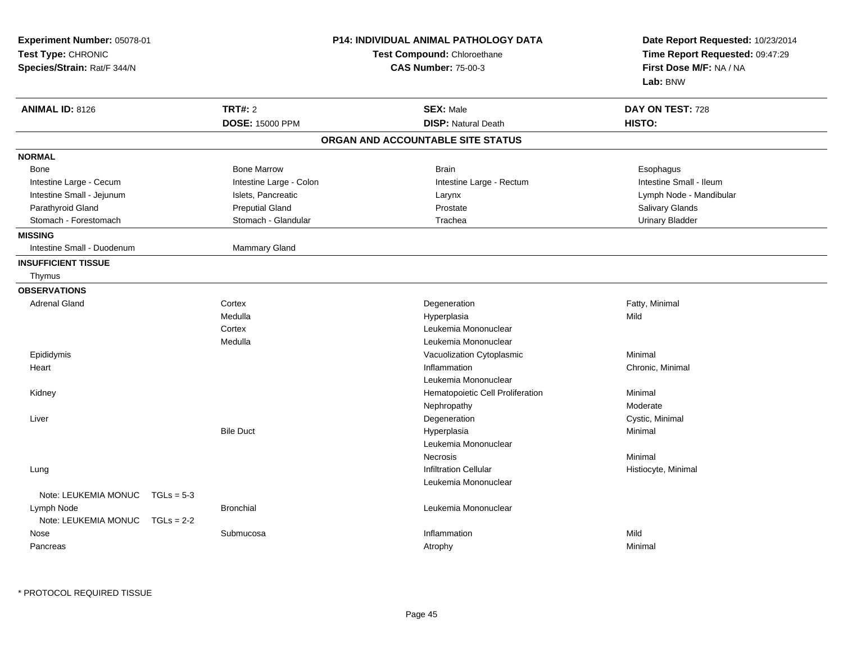| <b>TRT#: 2</b><br><b>ANIMAL ID: 8126</b><br><b>SEX: Male</b><br>DAY ON TEST: 728<br><b>DOSE: 15000 PPM</b><br><b>DISP: Natural Death</b><br>HISTO:<br>ORGAN AND ACCOUNTABLE SITE STATUS<br><b>NORMAL</b><br><b>Bone Marrow</b><br><b>Brain</b><br>Esophagus<br>Bone<br>Intestine Large - Colon<br>Intestine Small - Ileum<br>Intestine Large - Cecum<br>Intestine Large - Rectum<br>Intestine Small - Jejunum<br>Islets, Pancreatic<br>Lymph Node - Mandibular<br>Larynx<br><b>Preputial Gland</b><br>Parathyroid Gland<br>Prostate<br>Salivary Glands<br>Stomach - Forestomach<br>Stomach - Glandular<br>Trachea<br><b>Urinary Bladder</b><br>Intestine Small - Duodenum<br>Mammary Gland<br><b>INSUFFICIENT TISSUE</b><br>Thymus<br><b>OBSERVATIONS</b><br><b>Adrenal Gland</b><br>Cortex<br>Degeneration<br>Fatty, Minimal<br>Medulla<br>Mild<br>Hyperplasia<br>Cortex<br>Leukemia Mononuclear<br>Medulla<br>Leukemia Mononuclear<br>Epididymis<br>Minimal<br>Vacuolization Cytoplasmic<br>Inflammation<br>Chronic, Minimal<br>Heart<br>Leukemia Mononuclear<br>Minimal<br>Kidney<br>Hematopoietic Cell Proliferation<br>Moderate<br>Nephropathy<br>Cystic, Minimal<br>Liver<br>Degeneration<br><b>Bile Duct</b><br>Minimal<br>Hyperplasia<br>Leukemia Mononuclear<br>Minimal<br>Necrosis<br><b>Infiltration Cellular</b><br>Histiocyte, Minimal<br>Lung<br>Leukemia Mononuclear<br>Note: LEUKEMIA MONUC<br>$TGLs = 5-3$<br><b>Bronchial</b><br>Leukemia Mononuclear<br>Lymph Node<br>Note: LEUKEMIA MONUC TGLs = 2-2<br>Mild<br>Submucosa<br>Inflammation<br>Nose | Experiment Number: 05078-01<br>Test Type: CHRONIC<br>Species/Strain: Rat/F 344/N | P14: INDIVIDUAL ANIMAL PATHOLOGY DATA<br>Test Compound: Chloroethane<br><b>CAS Number: 75-00-3</b> | Date Report Requested: 10/23/2014<br>Time Report Requested: 09:47:29<br>First Dose M/F: NA / NA<br>Lab: BNW |  |
|-----------------------------------------------------------------------------------------------------------------------------------------------------------------------------------------------------------------------------------------------------------------------------------------------------------------------------------------------------------------------------------------------------------------------------------------------------------------------------------------------------------------------------------------------------------------------------------------------------------------------------------------------------------------------------------------------------------------------------------------------------------------------------------------------------------------------------------------------------------------------------------------------------------------------------------------------------------------------------------------------------------------------------------------------------------------------------------------------------------------------------------------------------------------------------------------------------------------------------------------------------------------------------------------------------------------------------------------------------------------------------------------------------------------------------------------------------------------------------------------------------------------------------------------------------------------------|----------------------------------------------------------------------------------|----------------------------------------------------------------------------------------------------|-------------------------------------------------------------------------------------------------------------|--|
|                                                                                                                                                                                                                                                                                                                                                                                                                                                                                                                                                                                                                                                                                                                                                                                                                                                                                                                                                                                                                                                                                                                                                                                                                                                                                                                                                                                                                                                                                                                                                                       |                                                                                  |                                                                                                    |                                                                                                             |  |
|                                                                                                                                                                                                                                                                                                                                                                                                                                                                                                                                                                                                                                                                                                                                                                                                                                                                                                                                                                                                                                                                                                                                                                                                                                                                                                                                                                                                                                                                                                                                                                       |                                                                                  |                                                                                                    |                                                                                                             |  |
|                                                                                                                                                                                                                                                                                                                                                                                                                                                                                                                                                                                                                                                                                                                                                                                                                                                                                                                                                                                                                                                                                                                                                                                                                                                                                                                                                                                                                                                                                                                                                                       |                                                                                  |                                                                                                    |                                                                                                             |  |
|                                                                                                                                                                                                                                                                                                                                                                                                                                                                                                                                                                                                                                                                                                                                                                                                                                                                                                                                                                                                                                                                                                                                                                                                                                                                                                                                                                                                                                                                                                                                                                       |                                                                                  |                                                                                                    |                                                                                                             |  |
|                                                                                                                                                                                                                                                                                                                                                                                                                                                                                                                                                                                                                                                                                                                                                                                                                                                                                                                                                                                                                                                                                                                                                                                                                                                                                                                                                                                                                                                                                                                                                                       |                                                                                  |                                                                                                    |                                                                                                             |  |
|                                                                                                                                                                                                                                                                                                                                                                                                                                                                                                                                                                                                                                                                                                                                                                                                                                                                                                                                                                                                                                                                                                                                                                                                                                                                                                                                                                                                                                                                                                                                                                       |                                                                                  |                                                                                                    |                                                                                                             |  |
|                                                                                                                                                                                                                                                                                                                                                                                                                                                                                                                                                                                                                                                                                                                                                                                                                                                                                                                                                                                                                                                                                                                                                                                                                                                                                                                                                                                                                                                                                                                                                                       |                                                                                  |                                                                                                    |                                                                                                             |  |
|                                                                                                                                                                                                                                                                                                                                                                                                                                                                                                                                                                                                                                                                                                                                                                                                                                                                                                                                                                                                                                                                                                                                                                                                                                                                                                                                                                                                                                                                                                                                                                       |                                                                                  |                                                                                                    |                                                                                                             |  |
|                                                                                                                                                                                                                                                                                                                                                                                                                                                                                                                                                                                                                                                                                                                                                                                                                                                                                                                                                                                                                                                                                                                                                                                                                                                                                                                                                                                                                                                                                                                                                                       |                                                                                  |                                                                                                    |                                                                                                             |  |
|                                                                                                                                                                                                                                                                                                                                                                                                                                                                                                                                                                                                                                                                                                                                                                                                                                                                                                                                                                                                                                                                                                                                                                                                                                                                                                                                                                                                                                                                                                                                                                       | <b>MISSING</b>                                                                   |                                                                                                    |                                                                                                             |  |
|                                                                                                                                                                                                                                                                                                                                                                                                                                                                                                                                                                                                                                                                                                                                                                                                                                                                                                                                                                                                                                                                                                                                                                                                                                                                                                                                                                                                                                                                                                                                                                       |                                                                                  |                                                                                                    |                                                                                                             |  |
|                                                                                                                                                                                                                                                                                                                                                                                                                                                                                                                                                                                                                                                                                                                                                                                                                                                                                                                                                                                                                                                                                                                                                                                                                                                                                                                                                                                                                                                                                                                                                                       |                                                                                  |                                                                                                    |                                                                                                             |  |
|                                                                                                                                                                                                                                                                                                                                                                                                                                                                                                                                                                                                                                                                                                                                                                                                                                                                                                                                                                                                                                                                                                                                                                                                                                                                                                                                                                                                                                                                                                                                                                       |                                                                                  |                                                                                                    |                                                                                                             |  |
|                                                                                                                                                                                                                                                                                                                                                                                                                                                                                                                                                                                                                                                                                                                                                                                                                                                                                                                                                                                                                                                                                                                                                                                                                                                                                                                                                                                                                                                                                                                                                                       |                                                                                  |                                                                                                    |                                                                                                             |  |
|                                                                                                                                                                                                                                                                                                                                                                                                                                                                                                                                                                                                                                                                                                                                                                                                                                                                                                                                                                                                                                                                                                                                                                                                                                                                                                                                                                                                                                                                                                                                                                       |                                                                                  |                                                                                                    |                                                                                                             |  |
|                                                                                                                                                                                                                                                                                                                                                                                                                                                                                                                                                                                                                                                                                                                                                                                                                                                                                                                                                                                                                                                                                                                                                                                                                                                                                                                                                                                                                                                                                                                                                                       |                                                                                  |                                                                                                    |                                                                                                             |  |
|                                                                                                                                                                                                                                                                                                                                                                                                                                                                                                                                                                                                                                                                                                                                                                                                                                                                                                                                                                                                                                                                                                                                                                                                                                                                                                                                                                                                                                                                                                                                                                       |                                                                                  |                                                                                                    |                                                                                                             |  |
|                                                                                                                                                                                                                                                                                                                                                                                                                                                                                                                                                                                                                                                                                                                                                                                                                                                                                                                                                                                                                                                                                                                                                                                                                                                                                                                                                                                                                                                                                                                                                                       |                                                                                  |                                                                                                    |                                                                                                             |  |
|                                                                                                                                                                                                                                                                                                                                                                                                                                                                                                                                                                                                                                                                                                                                                                                                                                                                                                                                                                                                                                                                                                                                                                                                                                                                                                                                                                                                                                                                                                                                                                       |                                                                                  |                                                                                                    |                                                                                                             |  |
|                                                                                                                                                                                                                                                                                                                                                                                                                                                                                                                                                                                                                                                                                                                                                                                                                                                                                                                                                                                                                                                                                                                                                                                                                                                                                                                                                                                                                                                                                                                                                                       |                                                                                  |                                                                                                    |                                                                                                             |  |
|                                                                                                                                                                                                                                                                                                                                                                                                                                                                                                                                                                                                                                                                                                                                                                                                                                                                                                                                                                                                                                                                                                                                                                                                                                                                                                                                                                                                                                                                                                                                                                       |                                                                                  |                                                                                                    |                                                                                                             |  |
|                                                                                                                                                                                                                                                                                                                                                                                                                                                                                                                                                                                                                                                                                                                                                                                                                                                                                                                                                                                                                                                                                                                                                                                                                                                                                                                                                                                                                                                                                                                                                                       |                                                                                  |                                                                                                    |                                                                                                             |  |
|                                                                                                                                                                                                                                                                                                                                                                                                                                                                                                                                                                                                                                                                                                                                                                                                                                                                                                                                                                                                                                                                                                                                                                                                                                                                                                                                                                                                                                                                                                                                                                       |                                                                                  |                                                                                                    |                                                                                                             |  |
|                                                                                                                                                                                                                                                                                                                                                                                                                                                                                                                                                                                                                                                                                                                                                                                                                                                                                                                                                                                                                                                                                                                                                                                                                                                                                                                                                                                                                                                                                                                                                                       |                                                                                  |                                                                                                    |                                                                                                             |  |
|                                                                                                                                                                                                                                                                                                                                                                                                                                                                                                                                                                                                                                                                                                                                                                                                                                                                                                                                                                                                                                                                                                                                                                                                                                                                                                                                                                                                                                                                                                                                                                       |                                                                                  |                                                                                                    |                                                                                                             |  |
|                                                                                                                                                                                                                                                                                                                                                                                                                                                                                                                                                                                                                                                                                                                                                                                                                                                                                                                                                                                                                                                                                                                                                                                                                                                                                                                                                                                                                                                                                                                                                                       |                                                                                  |                                                                                                    |                                                                                                             |  |
|                                                                                                                                                                                                                                                                                                                                                                                                                                                                                                                                                                                                                                                                                                                                                                                                                                                                                                                                                                                                                                                                                                                                                                                                                                                                                                                                                                                                                                                                                                                                                                       |                                                                                  |                                                                                                    |                                                                                                             |  |
|                                                                                                                                                                                                                                                                                                                                                                                                                                                                                                                                                                                                                                                                                                                                                                                                                                                                                                                                                                                                                                                                                                                                                                                                                                                                                                                                                                                                                                                                                                                                                                       |                                                                                  |                                                                                                    |                                                                                                             |  |
|                                                                                                                                                                                                                                                                                                                                                                                                                                                                                                                                                                                                                                                                                                                                                                                                                                                                                                                                                                                                                                                                                                                                                                                                                                                                                                                                                                                                                                                                                                                                                                       |                                                                                  |                                                                                                    |                                                                                                             |  |
|                                                                                                                                                                                                                                                                                                                                                                                                                                                                                                                                                                                                                                                                                                                                                                                                                                                                                                                                                                                                                                                                                                                                                                                                                                                                                                                                                                                                                                                                                                                                                                       |                                                                                  |                                                                                                    |                                                                                                             |  |
|                                                                                                                                                                                                                                                                                                                                                                                                                                                                                                                                                                                                                                                                                                                                                                                                                                                                                                                                                                                                                                                                                                                                                                                                                                                                                                                                                                                                                                                                                                                                                                       |                                                                                  |                                                                                                    |                                                                                                             |  |
|                                                                                                                                                                                                                                                                                                                                                                                                                                                                                                                                                                                                                                                                                                                                                                                                                                                                                                                                                                                                                                                                                                                                                                                                                                                                                                                                                                                                                                                                                                                                                                       |                                                                                  |                                                                                                    |                                                                                                             |  |
|                                                                                                                                                                                                                                                                                                                                                                                                                                                                                                                                                                                                                                                                                                                                                                                                                                                                                                                                                                                                                                                                                                                                                                                                                                                                                                                                                                                                                                                                                                                                                                       |                                                                                  |                                                                                                    |                                                                                                             |  |
|                                                                                                                                                                                                                                                                                                                                                                                                                                                                                                                                                                                                                                                                                                                                                                                                                                                                                                                                                                                                                                                                                                                                                                                                                                                                                                                                                                                                                                                                                                                                                                       | Pancreas                                                                         | Atrophy                                                                                            | Minimal                                                                                                     |  |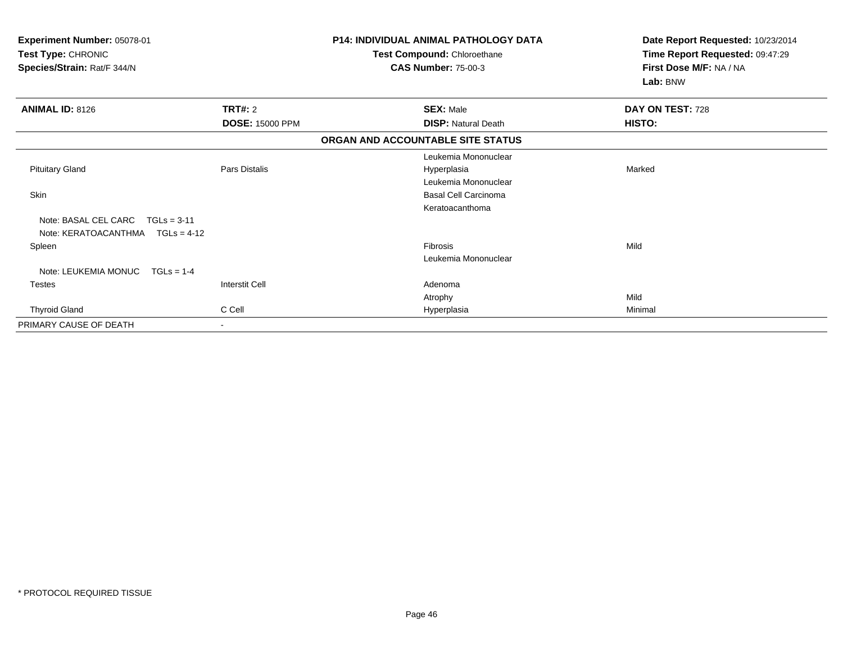| Experiment Number: 05078-01<br>Test Type: CHRONIC<br>Species/Strain: Rat/F 344/N |                        | <b>P14: INDIVIDUAL ANIMAL PATHOLOGY DATA</b><br>Test Compound: Chloroethane<br><b>CAS Number: 75-00-3</b> |                            | Date Report Requested: 10/23/2014<br>Time Report Requested: 09:47:29<br>First Dose M/F: NA / NA<br>Lab: BNW |
|----------------------------------------------------------------------------------|------------------------|-----------------------------------------------------------------------------------------------------------|----------------------------|-------------------------------------------------------------------------------------------------------------|
| <b>ANIMAL ID: 8126</b>                                                           | TRT#: 2                |                                                                                                           | <b>SEX: Male</b>           | DAY ON TEST: 728                                                                                            |
|                                                                                  | <b>DOSE: 15000 PPM</b> |                                                                                                           | <b>DISP: Natural Death</b> | HISTO:                                                                                                      |
|                                                                                  |                        | ORGAN AND ACCOUNTABLE SITE STATUS                                                                         |                            |                                                                                                             |
|                                                                                  |                        |                                                                                                           | Leukemia Mononuclear       |                                                                                                             |
| <b>Pituitary Gland</b>                                                           | <b>Pars Distalis</b>   |                                                                                                           | Hyperplasia                | Marked                                                                                                      |
|                                                                                  |                        |                                                                                                           | Leukemia Mononuclear       |                                                                                                             |
| Skin                                                                             |                        |                                                                                                           | Basal Cell Carcinoma       |                                                                                                             |
|                                                                                  |                        |                                                                                                           | Keratoacanthoma            |                                                                                                             |
| Note: BASAL CEL CARC<br>$TGLs = 3-11$<br>Note: KERATOACANTHMA<br>$TGLs = 4-12$   |                        |                                                                                                           |                            |                                                                                                             |
| Spleen                                                                           |                        |                                                                                                           | Fibrosis                   | Mild                                                                                                        |
|                                                                                  |                        |                                                                                                           | Leukemia Mononuclear       |                                                                                                             |
| Note: LEUKEMIA MONUC<br>$TGLs = 1-4$                                             |                        |                                                                                                           |                            |                                                                                                             |
| <b>Testes</b>                                                                    | <b>Interstit Cell</b>  |                                                                                                           | Adenoma                    |                                                                                                             |
|                                                                                  |                        |                                                                                                           | Atrophy                    | Mild                                                                                                        |
| <b>Thyroid Gland</b>                                                             | C Cell                 |                                                                                                           | Hyperplasia                | Minimal                                                                                                     |
| PRIMARY CAUSE OF DEATH                                                           |                        |                                                                                                           |                            |                                                                                                             |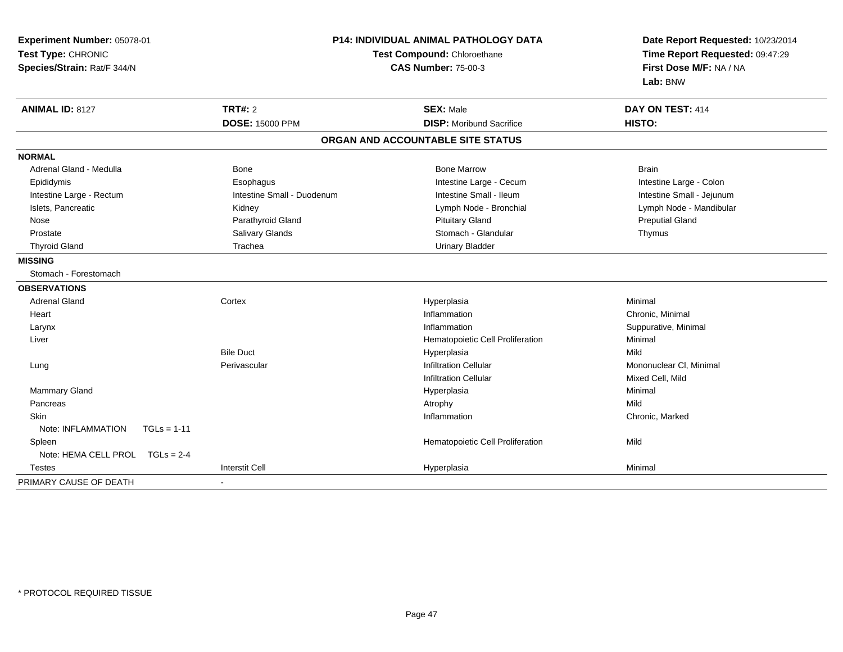| Experiment Number: 05078-01<br>Test Type: CHRONIC<br>Species/Strain: Rat/F 344/N |                            | <b>P14: INDIVIDUAL ANIMAL PATHOLOGY DATA</b><br>Test Compound: Chloroethane<br><b>CAS Number: 75-00-3</b> |                           |
|----------------------------------------------------------------------------------|----------------------------|-----------------------------------------------------------------------------------------------------------|---------------------------|
| <b>ANIMAL ID: 8127</b>                                                           | <b>TRT#: 2</b>             | <b>SEX: Male</b>                                                                                          | DAY ON TEST: 414          |
|                                                                                  | <b>DOSE: 15000 PPM</b>     | <b>DISP: Moribund Sacrifice</b>                                                                           | HISTO:                    |
|                                                                                  |                            | ORGAN AND ACCOUNTABLE SITE STATUS                                                                         |                           |
| <b>NORMAL</b>                                                                    |                            |                                                                                                           |                           |
| Adrenal Gland - Medulla                                                          | Bone                       | <b>Bone Marrow</b>                                                                                        | <b>Brain</b>              |
| Epididymis                                                                       | Esophagus                  | Intestine Large - Cecum                                                                                   | Intestine Large - Colon   |
| Intestine Large - Rectum                                                         | Intestine Small - Duodenum | Intestine Small - Ileum                                                                                   | Intestine Small - Jejunum |
| Islets, Pancreatic                                                               | Kidney                     | Lymph Node - Bronchial                                                                                    | Lymph Node - Mandibular   |
| Nose                                                                             | Parathyroid Gland          | <b>Pituitary Gland</b>                                                                                    | <b>Preputial Gland</b>    |
| Prostate                                                                         | Salivary Glands            | Stomach - Glandular                                                                                       | Thymus                    |
| <b>Thyroid Gland</b>                                                             | Trachea                    | <b>Urinary Bladder</b>                                                                                    |                           |
| <b>MISSING</b>                                                                   |                            |                                                                                                           |                           |
| Stomach - Forestomach                                                            |                            |                                                                                                           |                           |
| <b>OBSERVATIONS</b>                                                              |                            |                                                                                                           |                           |
| <b>Adrenal Gland</b>                                                             | Cortex                     | Hyperplasia                                                                                               | Minimal                   |
| Heart                                                                            |                            | Inflammation                                                                                              | Chronic, Minimal          |
| Larynx                                                                           |                            | Inflammation                                                                                              | Suppurative, Minimal      |
| Liver                                                                            |                            | Hematopoietic Cell Proliferation                                                                          | Minimal                   |
|                                                                                  | <b>Bile Duct</b>           | Hyperplasia                                                                                               | Mild                      |
| Lung                                                                             | Perivascular               | <b>Infiltration Cellular</b>                                                                              | Mononuclear CI, Minimal   |
|                                                                                  |                            | <b>Infiltration Cellular</b>                                                                              | Mixed Cell, Mild          |
| <b>Mammary Gland</b>                                                             |                            | Hyperplasia                                                                                               | Minimal                   |
| Pancreas                                                                         |                            | Atrophy                                                                                                   | Mild                      |
| <b>Skin</b>                                                                      |                            | Inflammation                                                                                              | Chronic, Marked           |
| Note: INFLAMMATION<br>$TGLs = 1-11$                                              |                            |                                                                                                           |                           |
| Spleen                                                                           |                            | Hematopoietic Cell Proliferation                                                                          | Mild                      |
| Note: HEMA CELL PROL<br>$TGLs = 2-4$                                             |                            |                                                                                                           |                           |
| <b>Testes</b>                                                                    | <b>Interstit Cell</b>      | Hyperplasia                                                                                               | Minimal                   |
| PRIMARY CAUSE OF DEATH                                                           |                            |                                                                                                           |                           |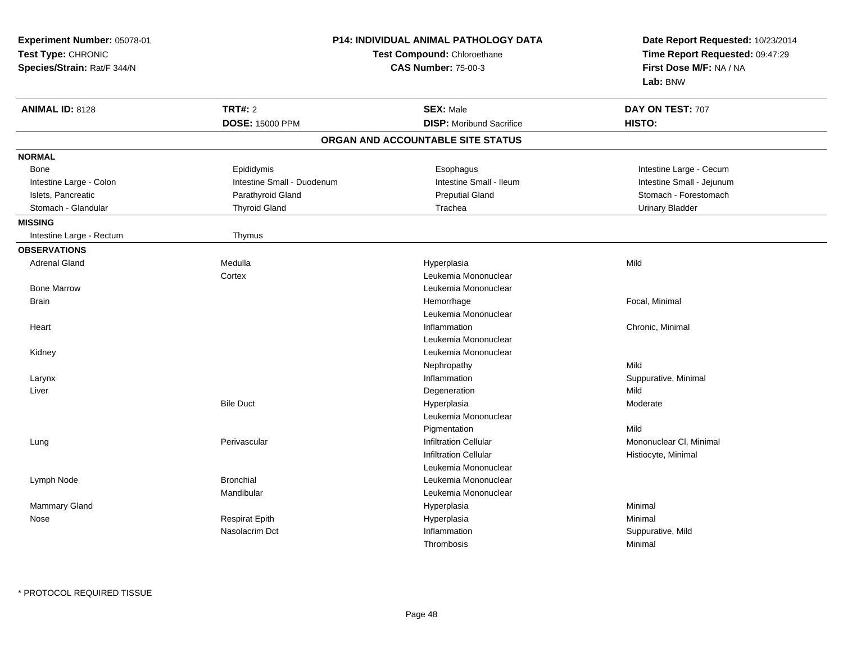| Experiment Number: 05078-01                       |                            | <b>P14: INDIVIDUAL ANIMAL PATHOLOGY DATA</b>              | Date Report Requested: 10/23/2014<br>Time Report Requested: 09:47:29 |
|---------------------------------------------------|----------------------------|-----------------------------------------------------------|----------------------------------------------------------------------|
| Test Type: CHRONIC<br>Species/Strain: Rat/F 344/N |                            | Test Compound: Chloroethane<br><b>CAS Number: 75-00-3</b> |                                                                      |
| <b>ANIMAL ID: 8128</b>                            | <b>TRT#: 2</b>             | <b>SEX: Male</b>                                          | DAY ON TEST: 707                                                     |
|                                                   | DOSE: 15000 PPM            | <b>DISP:</b> Moribund Sacrifice                           | HISTO:                                                               |
|                                                   |                            | ORGAN AND ACCOUNTABLE SITE STATUS                         |                                                                      |
| <b>NORMAL</b>                                     |                            |                                                           |                                                                      |
| Bone                                              | Epididymis                 | Esophagus                                                 | Intestine Large - Cecum                                              |
| Intestine Large - Colon                           | Intestine Small - Duodenum | Intestine Small - Ileum                                   | Intestine Small - Jejunum                                            |
| Islets, Pancreatic                                | Parathyroid Gland          | <b>Preputial Gland</b>                                    | Stomach - Forestomach                                                |
| Stomach - Glandular                               | <b>Thyroid Gland</b>       | Trachea                                                   | <b>Urinary Bladder</b>                                               |
| <b>MISSING</b>                                    |                            |                                                           |                                                                      |
| Intestine Large - Rectum                          | Thymus                     |                                                           |                                                                      |
| <b>OBSERVATIONS</b>                               |                            |                                                           |                                                                      |
| <b>Adrenal Gland</b>                              | Medulla                    | Hyperplasia                                               | Mild                                                                 |
|                                                   | Cortex                     | Leukemia Mononuclear                                      |                                                                      |
| <b>Bone Marrow</b>                                |                            | Leukemia Mononuclear                                      |                                                                      |
| <b>Brain</b>                                      |                            | Hemorrhage                                                | Focal, Minimal                                                       |
|                                                   |                            | Leukemia Mononuclear                                      |                                                                      |
| Heart                                             |                            | Inflammation                                              | Chronic, Minimal                                                     |
|                                                   |                            | Leukemia Mononuclear                                      |                                                                      |
| Kidney                                            |                            | Leukemia Mononuclear                                      |                                                                      |
|                                                   |                            | Nephropathy                                               | Mild                                                                 |
| Larynx                                            |                            | Inflammation                                              | Suppurative, Minimal                                                 |
| Liver                                             |                            | Degeneration                                              | Mild                                                                 |
|                                                   | <b>Bile Duct</b>           | Hyperplasia                                               | Moderate                                                             |
|                                                   |                            | Leukemia Mononuclear                                      |                                                                      |
|                                                   |                            | Pigmentation                                              | Mild                                                                 |
| Lung                                              | Perivascular               | <b>Infiltration Cellular</b>                              | Mononuclear CI, Minimal                                              |
|                                                   |                            | <b>Infiltration Cellular</b>                              | Histiocyte, Minimal                                                  |
|                                                   |                            | Leukemia Mononuclear                                      |                                                                      |
| Lymph Node                                        | <b>Bronchial</b>           | Leukemia Mononuclear                                      |                                                                      |
|                                                   | Mandibular                 | Leukemia Mononuclear                                      |                                                                      |
| <b>Mammary Gland</b>                              |                            | Hyperplasia                                               | Minimal                                                              |
| Nose                                              | <b>Respirat Epith</b>      | Hyperplasia                                               | Minimal                                                              |
|                                                   | Nasolacrim Dct             | Inflammation                                              | Suppurative, Mild                                                    |
|                                                   |                            | Thrombosis                                                | Minimal                                                              |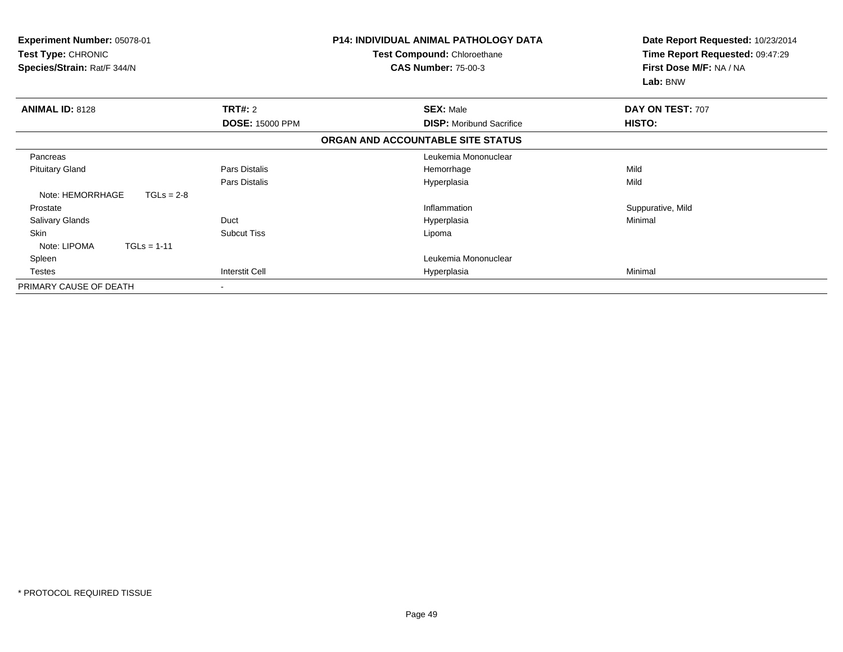| Experiment Number: 05078-01<br>Test Type: CHRONIC<br>Species/Strain: Rat/F 344/N |                        | <b>P14: INDIVIDUAL ANIMAL PATHOLOGY DATA</b><br><b>Test Compound: Chloroethane</b><br><b>CAS Number: 75-00-3</b> |                                 | Date Report Requested: 10/23/2014<br>Time Report Requested: 09:47:29<br>First Dose M/F: NA / NA<br>Lab: BNW |
|----------------------------------------------------------------------------------|------------------------|------------------------------------------------------------------------------------------------------------------|---------------------------------|-------------------------------------------------------------------------------------------------------------|
| <b>ANIMAL ID: 8128</b>                                                           | TRT#: 2                | <b>SEX: Male</b>                                                                                                 |                                 | DAY ON TEST: 707                                                                                            |
|                                                                                  | <b>DOSE: 15000 PPM</b> |                                                                                                                  | <b>DISP:</b> Moribund Sacrifice | HISTO:                                                                                                      |
|                                                                                  |                        | ORGAN AND ACCOUNTABLE SITE STATUS                                                                                |                                 |                                                                                                             |
| Pancreas                                                                         |                        |                                                                                                                  | Leukemia Mononuclear            |                                                                                                             |
| <b>Pituitary Gland</b>                                                           | Pars Distalis          | Hemorrhage                                                                                                       |                                 | Mild                                                                                                        |
|                                                                                  | Pars Distalis          | Hyperplasia                                                                                                      |                                 | Mild                                                                                                        |
| Note: HEMORRHAGE<br>$TGLs = 2-8$                                                 |                        |                                                                                                                  |                                 |                                                                                                             |
| Prostate                                                                         |                        | Inflammation                                                                                                     |                                 | Suppurative, Mild                                                                                           |
| Salivary Glands                                                                  | Duct                   | Hyperplasia                                                                                                      |                                 | Minimal                                                                                                     |
| Skin                                                                             | <b>Subcut Tiss</b>     | Lipoma                                                                                                           |                                 |                                                                                                             |
| Note: LIPOMA<br>$TGLs = 1-11$                                                    |                        |                                                                                                                  |                                 |                                                                                                             |
| Spleen                                                                           |                        |                                                                                                                  | Leukemia Mononuclear            |                                                                                                             |
| Testes                                                                           | Interstit Cell         | Hyperplasia                                                                                                      |                                 | Minimal                                                                                                     |
| PRIMARY CAUSE OF DEATH                                                           |                        |                                                                                                                  |                                 |                                                                                                             |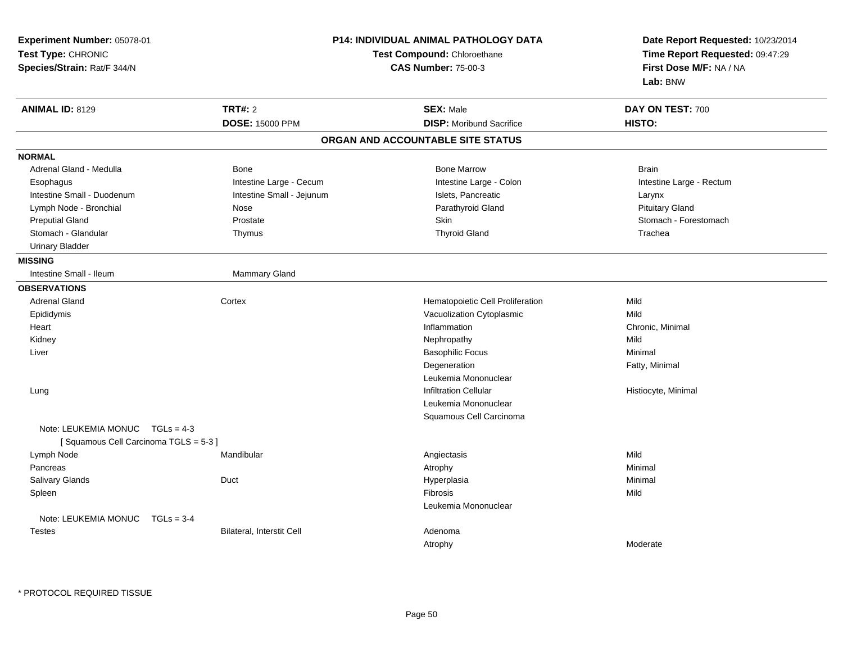| Experiment Number: 05078-01<br>Test Type: CHRONIC<br>Species/Strain: Rat/F 344/N |                           | P14: INDIVIDUAL ANIMAL PATHOLOGY DATA<br>Test Compound: Chloroethane<br><b>CAS Number: 75-00-3</b> | Date Report Requested: 10/23/2014<br>Time Report Requested: 09:47:29<br>First Dose M/F: NA / NA<br>Lab: BNW |
|----------------------------------------------------------------------------------|---------------------------|----------------------------------------------------------------------------------------------------|-------------------------------------------------------------------------------------------------------------|
| <b>ANIMAL ID: 8129</b>                                                           | <b>TRT#: 2</b>            | <b>SEX: Male</b>                                                                                   | DAY ON TEST: 700                                                                                            |
|                                                                                  | <b>DOSE: 15000 PPM</b>    | <b>DISP:</b> Moribund Sacrifice                                                                    | HISTO:                                                                                                      |
|                                                                                  |                           | ORGAN AND ACCOUNTABLE SITE STATUS                                                                  |                                                                                                             |
| <b>NORMAL</b>                                                                    |                           |                                                                                                    |                                                                                                             |
| Adrenal Gland - Medulla                                                          | Bone                      | <b>Bone Marrow</b>                                                                                 | <b>Brain</b>                                                                                                |
| Esophagus                                                                        | Intestine Large - Cecum   | Intestine Large - Colon                                                                            | Intestine Large - Rectum                                                                                    |
| Intestine Small - Duodenum                                                       | Intestine Small - Jejunum | Islets, Pancreatic                                                                                 | Larynx                                                                                                      |
| Lymph Node - Bronchial                                                           | Nose                      | Parathyroid Gland                                                                                  | <b>Pituitary Gland</b>                                                                                      |
| <b>Preputial Gland</b>                                                           | Prostate                  | Skin                                                                                               | Stomach - Forestomach                                                                                       |
| Stomach - Glandular                                                              | Thymus                    | <b>Thyroid Gland</b>                                                                               | Trachea                                                                                                     |
| <b>Urinary Bladder</b>                                                           |                           |                                                                                                    |                                                                                                             |
| <b>MISSING</b>                                                                   |                           |                                                                                                    |                                                                                                             |
| Intestine Small - Ileum                                                          | <b>Mammary Gland</b>      |                                                                                                    |                                                                                                             |
| <b>OBSERVATIONS</b>                                                              |                           |                                                                                                    |                                                                                                             |
| <b>Adrenal Gland</b>                                                             | Cortex                    | Hematopoietic Cell Proliferation                                                                   | Mild                                                                                                        |
| Epididymis                                                                       |                           | Vacuolization Cytoplasmic                                                                          | Mild                                                                                                        |
| Heart                                                                            |                           | Inflammation                                                                                       | Chronic, Minimal                                                                                            |
| Kidney                                                                           |                           | Nephropathy                                                                                        | Mild                                                                                                        |
| Liver                                                                            |                           | <b>Basophilic Focus</b>                                                                            | Minimal                                                                                                     |
|                                                                                  |                           | Degeneration                                                                                       | Fatty, Minimal                                                                                              |
|                                                                                  |                           | Leukemia Mononuclear                                                                               |                                                                                                             |
| Lung                                                                             |                           | <b>Infiltration Cellular</b>                                                                       | Histiocyte, Minimal                                                                                         |
|                                                                                  |                           | Leukemia Mononuclear                                                                               |                                                                                                             |
|                                                                                  |                           | Squamous Cell Carcinoma                                                                            |                                                                                                             |
| Note: LEUKEMIA MONUC TGLs = 4-3<br>[Squamous Cell Carcinoma TGLS = 5-3]          |                           |                                                                                                    |                                                                                                             |
| Lymph Node                                                                       | Mandibular                | Angiectasis                                                                                        | Mild                                                                                                        |
| Pancreas                                                                         |                           | Atrophy                                                                                            | Minimal                                                                                                     |
| Salivary Glands                                                                  | Duct                      | Hyperplasia                                                                                        | Minimal                                                                                                     |
| Spleen                                                                           |                           | Fibrosis                                                                                           | Mild                                                                                                        |
|                                                                                  |                           | Leukemia Mononuclear                                                                               |                                                                                                             |
| Note: LEUKEMIA MONUC<br>$TGLs = 3-4$                                             |                           |                                                                                                    |                                                                                                             |
| <b>Testes</b>                                                                    | Bilateral, Interstit Cell | Adenoma                                                                                            |                                                                                                             |
|                                                                                  |                           | Atrophy                                                                                            | Moderate                                                                                                    |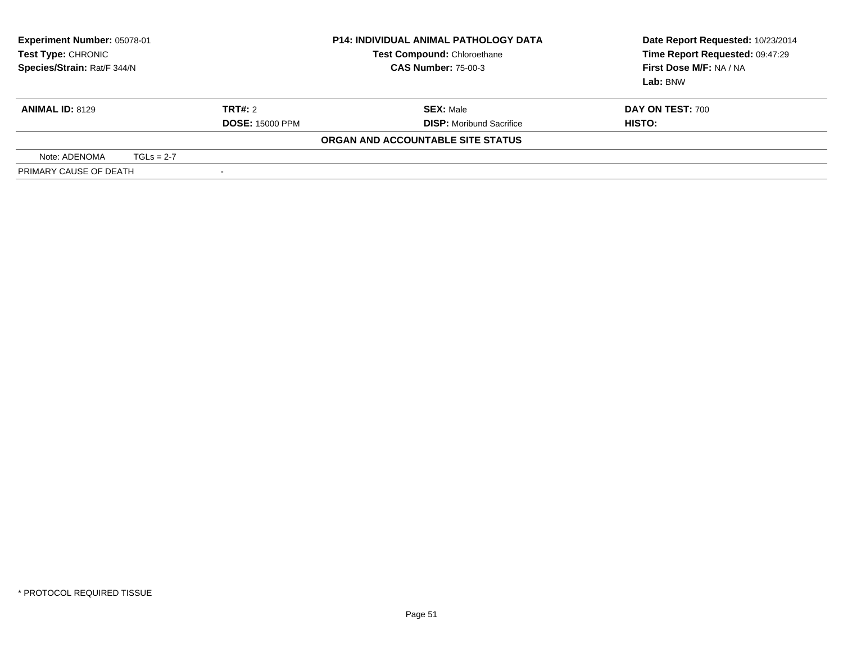| <b>Experiment Number: 05078-01</b><br>Test Type: CHRONIC<br>Species/Strain: Rat/F 344/N |              | <b>P14: INDIVIDUAL ANIMAL PATHOLOGY DATA</b><br>Test Compound: Chloroethane<br><b>CAS Number: 75-00-3</b> | Date Report Requested: 10/23/2014<br>Time Report Requested: 09:47:29<br>First Dose M/F: NA / NA<br>Lab: BNW |                            |
|-----------------------------------------------------------------------------------------|--------------|-----------------------------------------------------------------------------------------------------------|-------------------------------------------------------------------------------------------------------------|----------------------------|
| <b>ANIMAL ID: 8129</b>                                                                  |              | TRT#: 2<br><b>DOSE: 15000 PPM</b>                                                                         | <b>SEX: Male</b><br><b>DISP:</b> Moribund Sacrifice                                                         | DAY ON TEST: 700<br>HISTO: |
|                                                                                         |              |                                                                                                           | ORGAN AND ACCOUNTABLE SITE STATUS                                                                           |                            |
| Note: ADENOMA                                                                           | $TGLs = 2-7$ |                                                                                                           |                                                                                                             |                            |
| PRIMARY CAUSE OF DEATH                                                                  |              | $\overline{\phantom{a}}$                                                                                  |                                                                                                             |                            |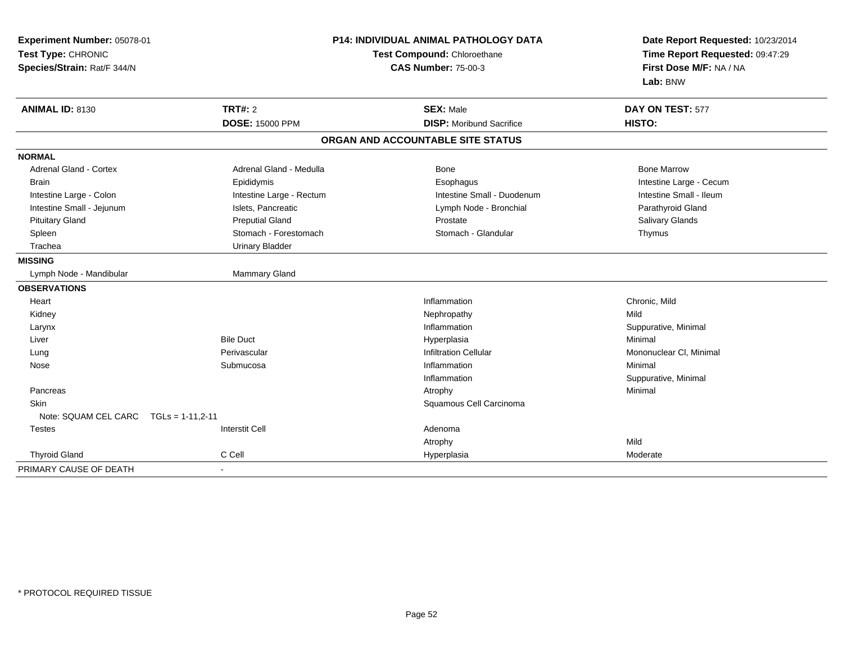| Experiment Number: 05078-01<br>Test Type: CHRONIC<br>Species/Strain: Rat/F 344/N |                          | P14: INDIVIDUAL ANIMAL PATHOLOGY DATA<br>Test Compound: Chloroethane<br><b>CAS Number: 75-00-3</b> | Date Report Requested: 10/23/2014<br>Time Report Requested: 09:47:29<br>First Dose M/F: NA / NA<br>Lab: BNW |  |
|----------------------------------------------------------------------------------|--------------------------|----------------------------------------------------------------------------------------------------|-------------------------------------------------------------------------------------------------------------|--|
| <b>ANIMAL ID: 8130</b>                                                           | <b>TRT#: 2</b>           | <b>SEX: Male</b>                                                                                   | DAY ON TEST: 577                                                                                            |  |
|                                                                                  | <b>DOSE: 15000 PPM</b>   | <b>DISP:</b> Moribund Sacrifice                                                                    | HISTO:                                                                                                      |  |
|                                                                                  |                          | ORGAN AND ACCOUNTABLE SITE STATUS                                                                  |                                                                                                             |  |
| <b>NORMAL</b>                                                                    |                          |                                                                                                    |                                                                                                             |  |
| Adrenal Gland - Cortex                                                           | Adrenal Gland - Medulla  | Bone                                                                                               | <b>Bone Marrow</b>                                                                                          |  |
| <b>Brain</b>                                                                     | Epididymis               | Esophagus                                                                                          | Intestine Large - Cecum                                                                                     |  |
| Intestine Large - Colon                                                          | Intestine Large - Rectum | Intestine Small - Duodenum                                                                         | Intestine Small - Ileum                                                                                     |  |
| Intestine Small - Jejunum                                                        | Islets, Pancreatic       | Lymph Node - Bronchial                                                                             | Parathyroid Gland                                                                                           |  |
| <b>Pituitary Gland</b>                                                           | <b>Preputial Gland</b>   | Prostate                                                                                           | Salivary Glands                                                                                             |  |
| Spleen                                                                           | Stomach - Forestomach    | Stomach - Glandular                                                                                | Thymus                                                                                                      |  |
| Trachea                                                                          | <b>Urinary Bladder</b>   |                                                                                                    |                                                                                                             |  |
| <b>MISSING</b>                                                                   |                          |                                                                                                    |                                                                                                             |  |
| Lymph Node - Mandibular                                                          | Mammary Gland            |                                                                                                    |                                                                                                             |  |
| <b>OBSERVATIONS</b>                                                              |                          |                                                                                                    |                                                                                                             |  |
| Heart                                                                            |                          | Inflammation                                                                                       | Chronic, Mild                                                                                               |  |
| Kidney                                                                           |                          | Nephropathy                                                                                        | Mild                                                                                                        |  |
| Larynx                                                                           |                          | Inflammation                                                                                       | Suppurative, Minimal                                                                                        |  |
| Liver                                                                            | <b>Bile Duct</b>         | Hyperplasia                                                                                        | Minimal                                                                                                     |  |
| Lung                                                                             | Perivascular             | <b>Infiltration Cellular</b>                                                                       | Mononuclear CI, Minimal                                                                                     |  |
| Nose                                                                             | Submucosa                | Inflammation                                                                                       | Minimal                                                                                                     |  |
|                                                                                  |                          | Inflammation                                                                                       | Suppurative, Minimal                                                                                        |  |
| Pancreas                                                                         |                          | Atrophy                                                                                            | Minimal                                                                                                     |  |
| Skin                                                                             |                          | Squamous Cell Carcinoma                                                                            |                                                                                                             |  |
| Note: SQUAM CEL CARC<br>$TGLs = 1-11.2-11$                                       |                          |                                                                                                    |                                                                                                             |  |
| <b>Testes</b>                                                                    | <b>Interstit Cell</b>    | Adenoma                                                                                            |                                                                                                             |  |
|                                                                                  |                          | Atrophy                                                                                            | Mild                                                                                                        |  |
| <b>Thyroid Gland</b>                                                             | C Cell                   | Hyperplasia                                                                                        | Moderate                                                                                                    |  |
| PRIMARY CAUSE OF DEATH                                                           |                          |                                                                                                    |                                                                                                             |  |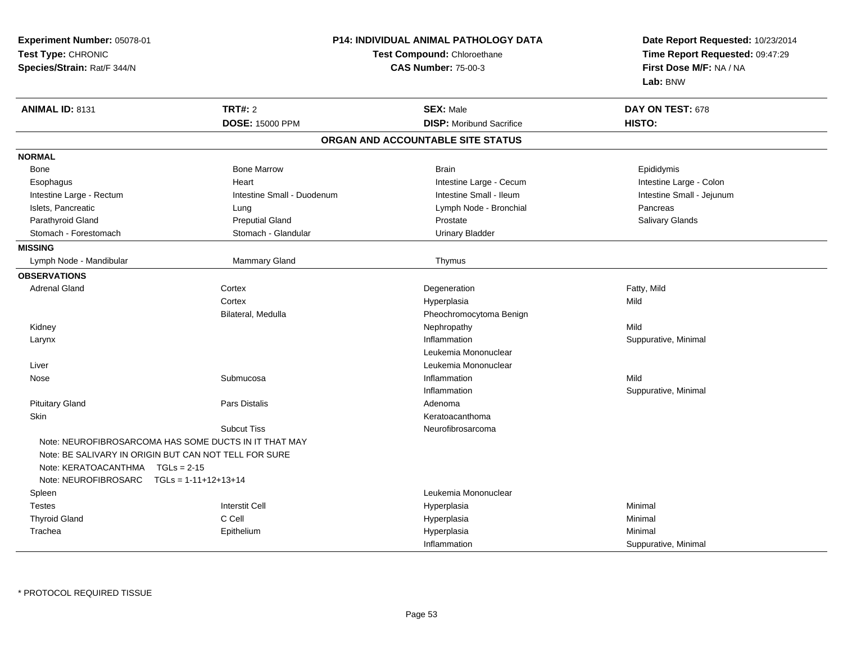| Experiment Number: 05078-01                           |                            | P14: INDIVIDUAL ANIMAL PATHOLOGY DATA |                                 |  |
|-------------------------------------------------------|----------------------------|---------------------------------------|---------------------------------|--|
| Test Type: CHRONIC                                    |                            | Test Compound: Chloroethane           | Time Report Requested: 09:47:29 |  |
| Species/Strain: Rat/F 344/N                           |                            | <b>CAS Number: 75-00-3</b>            | First Dose M/F: NA / NA         |  |
|                                                       |                            |                                       | Lab: BNW                        |  |
| <b>ANIMAL ID: 8131</b>                                | <b>TRT#: 2</b>             | <b>SEX: Male</b>                      | DAY ON TEST: 678                |  |
|                                                       | <b>DOSE: 15000 PPM</b>     | <b>DISP:</b> Moribund Sacrifice       | HISTO:                          |  |
|                                                       |                            | ORGAN AND ACCOUNTABLE SITE STATUS     |                                 |  |
| <b>NORMAL</b>                                         |                            |                                       |                                 |  |
| Bone                                                  | <b>Bone Marrow</b>         | <b>Brain</b>                          | Epididymis                      |  |
| Esophagus                                             | Heart                      | Intestine Large - Cecum               | Intestine Large - Colon         |  |
| Intestine Large - Rectum                              | Intestine Small - Duodenum | Intestine Small - Ileum               | Intestine Small - Jejunum       |  |
| Islets, Pancreatic                                    | Lung                       | Lymph Node - Bronchial                | Pancreas                        |  |
| Parathyroid Gland                                     | <b>Preputial Gland</b>     | Prostate                              | Salivary Glands                 |  |
| Stomach - Forestomach                                 | Stomach - Glandular        | <b>Urinary Bladder</b>                |                                 |  |
| <b>MISSING</b>                                        |                            |                                       |                                 |  |
| Lymph Node - Mandibular                               | Mammary Gland              | Thymus                                |                                 |  |
| <b>OBSERVATIONS</b>                                   |                            |                                       |                                 |  |
| <b>Adrenal Gland</b>                                  | Cortex                     | Degeneration                          | Fatty, Mild                     |  |
|                                                       | Cortex                     | Hyperplasia                           | Mild                            |  |
|                                                       | Bilateral, Medulla         | Pheochromocytoma Benign               |                                 |  |
| Kidney                                                |                            | Nephropathy                           | Mild                            |  |
| Larynx                                                |                            | Inflammation                          | Suppurative, Minimal            |  |
|                                                       |                            | Leukemia Mononuclear                  |                                 |  |
| Liver                                                 |                            | Leukemia Mononuclear                  |                                 |  |
| Nose                                                  | Submucosa                  | Inflammation                          | Mild                            |  |
|                                                       |                            | Inflammation                          | Suppurative, Minimal            |  |
| <b>Pituitary Gland</b>                                | Pars Distalis              | Adenoma                               |                                 |  |
| Skin                                                  |                            | Keratoacanthoma                       |                                 |  |
|                                                       | <b>Subcut Tiss</b>         | Neurofibrosarcoma                     |                                 |  |
| Note: NEUROFIBROSARCOMA HAS SOME DUCTS IN IT THAT MAY |                            |                                       |                                 |  |
| Note: BE SALIVARY IN ORIGIN BUT CAN NOT TELL FOR SURE |                            |                                       |                                 |  |
| Note: KERATOACANTHMA TGLs = 2-15                      |                            |                                       |                                 |  |
| Note: NEUROFIBROSARC TGLs = 1-11+12+13+14             |                            |                                       |                                 |  |
| Spleen                                                |                            | Leukemia Mononuclear                  |                                 |  |
| Testes                                                | <b>Interstit Cell</b>      | Hyperplasia                           | Minimal                         |  |
| <b>Thyroid Gland</b>                                  | C Cell                     | Hyperplasia                           | Minimal                         |  |
| Trachea                                               | Epithelium                 | Hyperplasia                           | Minimal                         |  |
|                                                       |                            | Inflammation                          | Suppurative, Minimal            |  |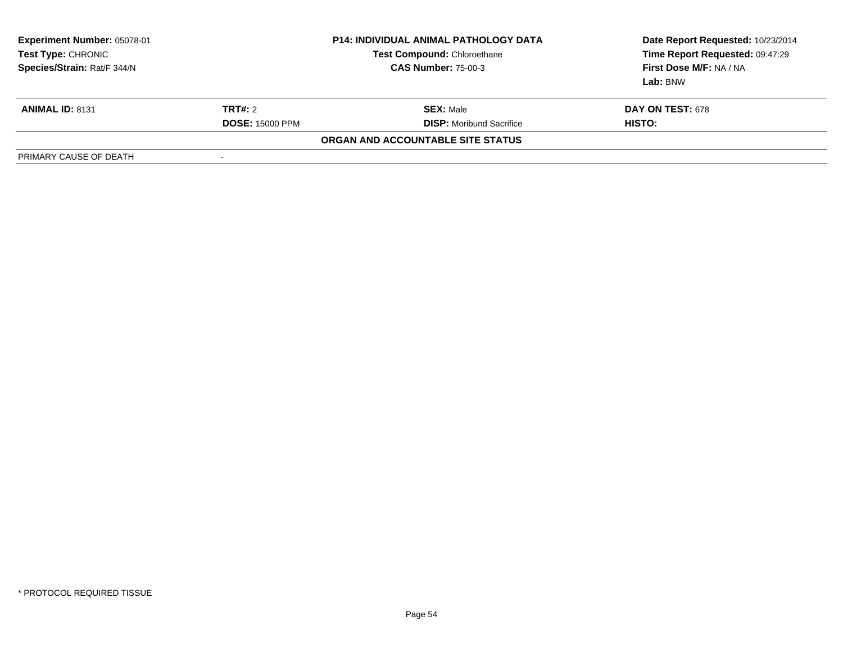| Experiment Number: 05078-01<br>Test Type: CHRONIC<br>Species/Strain: Rat/F 344/N |                        | <b>P14: INDIVIDUAL ANIMAL PATHOLOGY DATA</b><br>Test Compound: Chloroethane<br><b>CAS Number: 75-00-3</b> | Date Report Requested: 10/23/2014<br>Time Report Requested: 09:47:29<br>First Dose M/F: NA / NA<br>Lab: BNW |
|----------------------------------------------------------------------------------|------------------------|-----------------------------------------------------------------------------------------------------------|-------------------------------------------------------------------------------------------------------------|
| <b>ANIMAL ID: 8131</b>                                                           | <b>TRT#:</b> 2         | <b>SEX:</b> Male                                                                                          | <b>DAY ON TEST: 678</b>                                                                                     |
|                                                                                  | <b>DOSE: 15000 PPM</b> | <b>DISP:</b> Moribund Sacrifice                                                                           | HISTO:                                                                                                      |
|                                                                                  |                        | ORGAN AND ACCOUNTABLE SITE STATUS                                                                         |                                                                                                             |
| PRIMARY CAUSE OF DEATH                                                           | $\,$                   |                                                                                                           |                                                                                                             |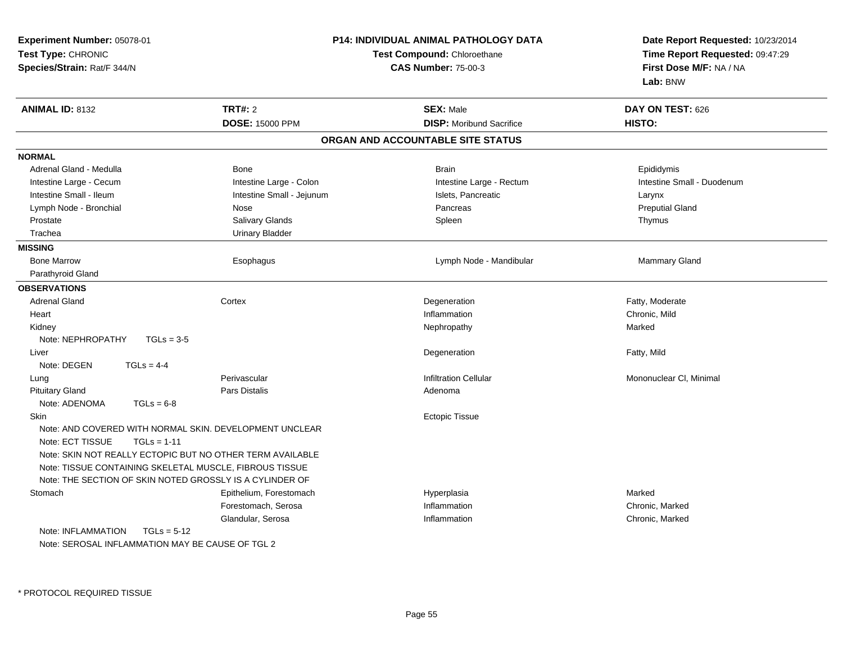| Experiment Number: 05078-01<br>Test Type: CHRONIC<br>Species/Strain: Rat/F 344/N                                                                          |                           | P14: INDIVIDUAL ANIMAL PATHOLOGY DATA<br>Test Compound: Chloroethane<br><b>CAS Number: 75-00-3</b> | Date Report Requested: 10/23/2014<br>Time Report Requested: 09:47:29<br>First Dose M/F: NA / NA<br>Lab: BNW |
|-----------------------------------------------------------------------------------------------------------------------------------------------------------|---------------------------|----------------------------------------------------------------------------------------------------|-------------------------------------------------------------------------------------------------------------|
| <b>ANIMAL ID: 8132</b>                                                                                                                                    | <b>TRT#: 2</b>            | <b>SEX: Male</b>                                                                                   | DAY ON TEST: 626                                                                                            |
|                                                                                                                                                           | <b>DOSE: 15000 PPM</b>    | <b>DISP:</b> Moribund Sacrifice                                                                    | HISTO:                                                                                                      |
|                                                                                                                                                           |                           | ORGAN AND ACCOUNTABLE SITE STATUS                                                                  |                                                                                                             |
| <b>NORMAL</b>                                                                                                                                             |                           |                                                                                                    |                                                                                                             |
| Adrenal Gland - Medulla                                                                                                                                   | Bone                      | <b>Brain</b>                                                                                       | Epididymis                                                                                                  |
| Intestine Large - Cecum                                                                                                                                   | Intestine Large - Colon   | Intestine Large - Rectum                                                                           | Intestine Small - Duodenum                                                                                  |
| Intestine Small - Ileum                                                                                                                                   | Intestine Small - Jejunum | Islets, Pancreatic                                                                                 | Larynx                                                                                                      |
| Lymph Node - Bronchial                                                                                                                                    | Nose                      | Pancreas                                                                                           | <b>Preputial Gland</b>                                                                                      |
| Prostate                                                                                                                                                  | <b>Salivary Glands</b>    | Spleen                                                                                             | Thymus                                                                                                      |
| Trachea                                                                                                                                                   | <b>Urinary Bladder</b>    |                                                                                                    |                                                                                                             |
| <b>MISSING</b>                                                                                                                                            |                           |                                                                                                    |                                                                                                             |
| <b>Bone Marrow</b>                                                                                                                                        | Esophagus                 | Lymph Node - Mandibular                                                                            | Mammary Gland                                                                                               |
| Parathyroid Gland                                                                                                                                         |                           |                                                                                                    |                                                                                                             |
| <b>OBSERVATIONS</b>                                                                                                                                       |                           |                                                                                                    |                                                                                                             |
| <b>Adrenal Gland</b>                                                                                                                                      | Cortex                    | Degeneration                                                                                       | Fatty, Moderate                                                                                             |
| Heart                                                                                                                                                     |                           | Inflammation                                                                                       | Chronic, Mild                                                                                               |
| Kidney                                                                                                                                                    |                           | Nephropathy                                                                                        | Marked                                                                                                      |
| Note: NEPHROPATHY<br>$TGLs = 3-5$                                                                                                                         |                           |                                                                                                    |                                                                                                             |
| Liver                                                                                                                                                     |                           | Degeneration                                                                                       | Fatty, Mild                                                                                                 |
| Note: DEGEN<br>$TGLs = 4-4$                                                                                                                               |                           |                                                                                                    |                                                                                                             |
| Lung                                                                                                                                                      | Perivascular              | <b>Infiltration Cellular</b>                                                                       | Mononuclear CI, Minimal                                                                                     |
| <b>Pituitary Gland</b>                                                                                                                                    | Pars Distalis             | Adenoma                                                                                            |                                                                                                             |
| Note: ADENOMA<br>$TGLs = 6-8$                                                                                                                             |                           |                                                                                                    |                                                                                                             |
| Skin                                                                                                                                                      |                           | <b>Ectopic Tissue</b>                                                                              |                                                                                                             |
| Note: AND COVERED WITH NORMAL SKIN. DEVELOPMENT UNCLEAR<br>Note: ECT TISSUE<br>$TGLs = 1-11$<br>Note: SKIN NOT REALLY ECTOPIC BUT NO OTHER TERM AVAILABLE |                           |                                                                                                    |                                                                                                             |
| Note: TISSUE CONTAINING SKELETAL MUSCLE, FIBROUS TISSUE                                                                                                   |                           |                                                                                                    |                                                                                                             |
| Note: THE SECTION OF SKIN NOTED GROSSLY IS A CYLINDER OF                                                                                                  |                           |                                                                                                    |                                                                                                             |
| Stomach                                                                                                                                                   | Epithelium, Forestomach   | Hyperplasia                                                                                        | Marked                                                                                                      |
|                                                                                                                                                           | Forestomach, Serosa       | Inflammation                                                                                       | Chronic, Marked                                                                                             |
|                                                                                                                                                           | Glandular, Serosa         | Inflammation                                                                                       | Chronic, Marked                                                                                             |
| Note: INFLAMMATION<br>$TGLs = 5-12$                                                                                                                       |                           |                                                                                                    |                                                                                                             |
| Note: SEROSAL INFLAMMATION MAY BE CAUSE OF TGL 2                                                                                                          |                           |                                                                                                    |                                                                                                             |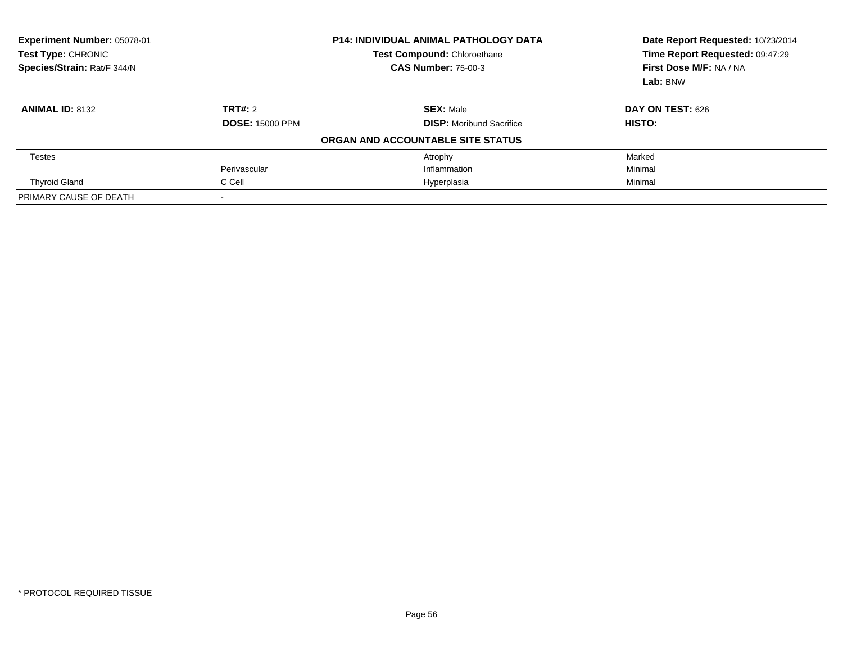| Experiment Number: 05078-01<br><b>Test Type: CHRONIC</b><br>Species/Strain: Rat/F 344/N |                        | <b>P14: INDIVIDUAL ANIMAL PATHOLOGY DATA</b><br><b>Test Compound: Chloroethane</b><br><b>CAS Number: 75-00-3</b> | Date Report Requested: 10/23/2014<br>Time Report Requested: 09:47:29<br>First Dose M/F: NA / NA<br>Lab: BNW |  |
|-----------------------------------------------------------------------------------------|------------------------|------------------------------------------------------------------------------------------------------------------|-------------------------------------------------------------------------------------------------------------|--|
| <b>ANIMAL ID: 8132</b>                                                                  | TRT#: 2                | <b>SEX: Male</b>                                                                                                 | <b>DAY ON TEST: 626</b>                                                                                     |  |
|                                                                                         | <b>DOSE: 15000 PPM</b> | <b>DISP:</b> Moribund Sacrifice                                                                                  | HISTO:                                                                                                      |  |
|                                                                                         |                        | ORGAN AND ACCOUNTABLE SITE STATUS                                                                                |                                                                                                             |  |
| Testes                                                                                  |                        | Atrophy                                                                                                          | Marked                                                                                                      |  |
|                                                                                         | Perivascular           | Inflammation                                                                                                     | Minimal                                                                                                     |  |
| <b>Thyroid Gland</b>                                                                    | C Cell                 | Hyperplasia                                                                                                      | Minimal                                                                                                     |  |
| PRIMARY CAUSE OF DEATH                                                                  |                        |                                                                                                                  |                                                                                                             |  |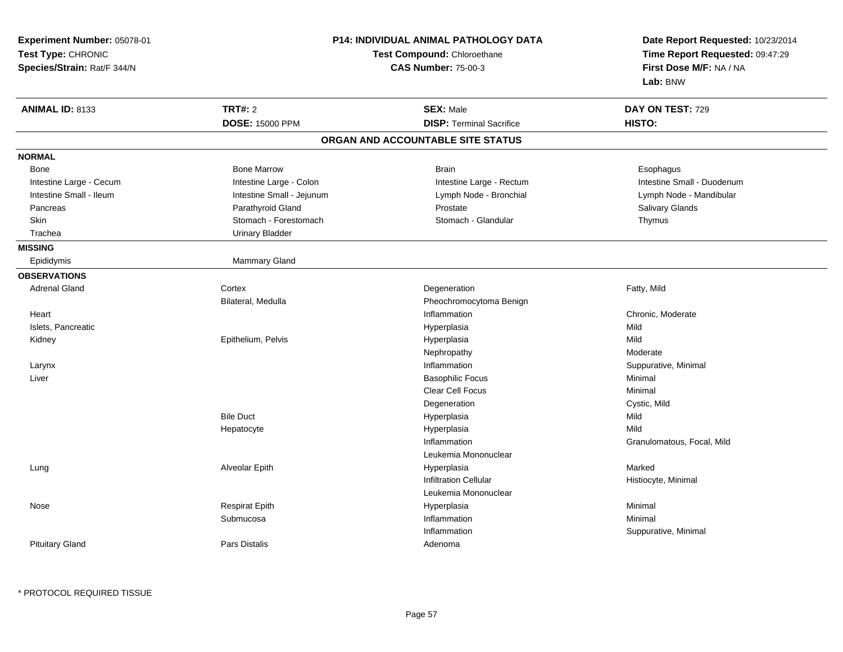| <b>Experiment Number: 05078-01</b><br>Test Type: CHRONIC<br>Species/Strain: Rat/F 344/N | <b>P14: INDIVIDUAL ANIMAL PATHOLOGY DATA</b><br>Test Compound: Chloroethane<br><b>CAS Number: 75-00-3</b> |                                                     | Date Report Requested: 10/23/2014<br>Time Report Requested: 09:47:29<br>First Dose M/F: NA / NA<br>Lab: BNW |  |
|-----------------------------------------------------------------------------------------|-----------------------------------------------------------------------------------------------------------|-----------------------------------------------------|-------------------------------------------------------------------------------------------------------------|--|
| <b>ANIMAL ID: 8133</b>                                                                  | <b>TRT#: 2</b><br><b>DOSE: 15000 PPM</b>                                                                  | <b>SEX: Male</b><br><b>DISP: Terminal Sacrifice</b> | DAY ON TEST: 729<br>HISTO:                                                                                  |  |
|                                                                                         |                                                                                                           | ORGAN AND ACCOUNTABLE SITE STATUS                   |                                                                                                             |  |
|                                                                                         |                                                                                                           |                                                     |                                                                                                             |  |
| <b>NORMAL</b>                                                                           |                                                                                                           |                                                     |                                                                                                             |  |
| Bone                                                                                    | <b>Bone Marrow</b>                                                                                        | <b>Brain</b>                                        | Esophagus                                                                                                   |  |
| Intestine Large - Cecum                                                                 | Intestine Large - Colon                                                                                   | Intestine Large - Rectum                            | Intestine Small - Duodenum                                                                                  |  |
| Intestine Small - Ileum<br>Pancreas                                                     | Intestine Small - Jejunum<br>Parathyroid Gland                                                            | Lymph Node - Bronchial<br>Prostate                  | Lymph Node - Mandibular                                                                                     |  |
| Skin                                                                                    | Stomach - Forestomach                                                                                     | Stomach - Glandular                                 | Salivary Glands                                                                                             |  |
| Trachea                                                                                 | <b>Urinary Bladder</b>                                                                                    |                                                     | Thymus                                                                                                      |  |
|                                                                                         |                                                                                                           |                                                     |                                                                                                             |  |
| <b>MISSING</b>                                                                          |                                                                                                           |                                                     |                                                                                                             |  |
| Epididymis                                                                              | Mammary Gland                                                                                             |                                                     |                                                                                                             |  |
| <b>OBSERVATIONS</b>                                                                     |                                                                                                           |                                                     |                                                                                                             |  |
| <b>Adrenal Gland</b>                                                                    | Cortex                                                                                                    | Degeneration                                        | Fatty, Mild                                                                                                 |  |
|                                                                                         | Bilateral, Medulla                                                                                        | Pheochromocytoma Benign                             |                                                                                                             |  |
| Heart                                                                                   |                                                                                                           | Inflammation                                        | Chronic, Moderate                                                                                           |  |
| Islets, Pancreatic                                                                      |                                                                                                           | Hyperplasia                                         | Mild                                                                                                        |  |
| Kidney                                                                                  | Epithelium, Pelvis                                                                                        | Hyperplasia                                         | Mild                                                                                                        |  |
|                                                                                         |                                                                                                           | Nephropathy                                         | Moderate                                                                                                    |  |
| Larynx                                                                                  |                                                                                                           | Inflammation                                        | Suppurative, Minimal                                                                                        |  |
| Liver                                                                                   |                                                                                                           | <b>Basophilic Focus</b>                             | Minimal                                                                                                     |  |
|                                                                                         |                                                                                                           | Clear Cell Focus                                    | Minimal                                                                                                     |  |
|                                                                                         |                                                                                                           | Degeneration                                        | Cystic, Mild                                                                                                |  |
|                                                                                         | <b>Bile Duct</b>                                                                                          | Hyperplasia                                         | Mild                                                                                                        |  |
|                                                                                         | Hepatocyte                                                                                                | Hyperplasia                                         | Mild                                                                                                        |  |
|                                                                                         |                                                                                                           | Inflammation                                        | Granulomatous, Focal, Mild                                                                                  |  |
|                                                                                         |                                                                                                           | Leukemia Mononuclear                                |                                                                                                             |  |
| Lung                                                                                    | Alveolar Epith                                                                                            | Hyperplasia                                         | Marked                                                                                                      |  |
|                                                                                         |                                                                                                           | <b>Infiltration Cellular</b>                        | Histiocyte, Minimal                                                                                         |  |
|                                                                                         |                                                                                                           | Leukemia Mononuclear                                |                                                                                                             |  |
| Nose                                                                                    | <b>Respirat Epith</b>                                                                                     | Hyperplasia                                         | Minimal                                                                                                     |  |
|                                                                                         | Submucosa                                                                                                 | Inflammation                                        | Minimal                                                                                                     |  |
|                                                                                         |                                                                                                           | Inflammation                                        | Suppurative, Minimal                                                                                        |  |
| <b>Pituitary Gland</b>                                                                  | Pars Distalis                                                                                             | Adenoma                                             |                                                                                                             |  |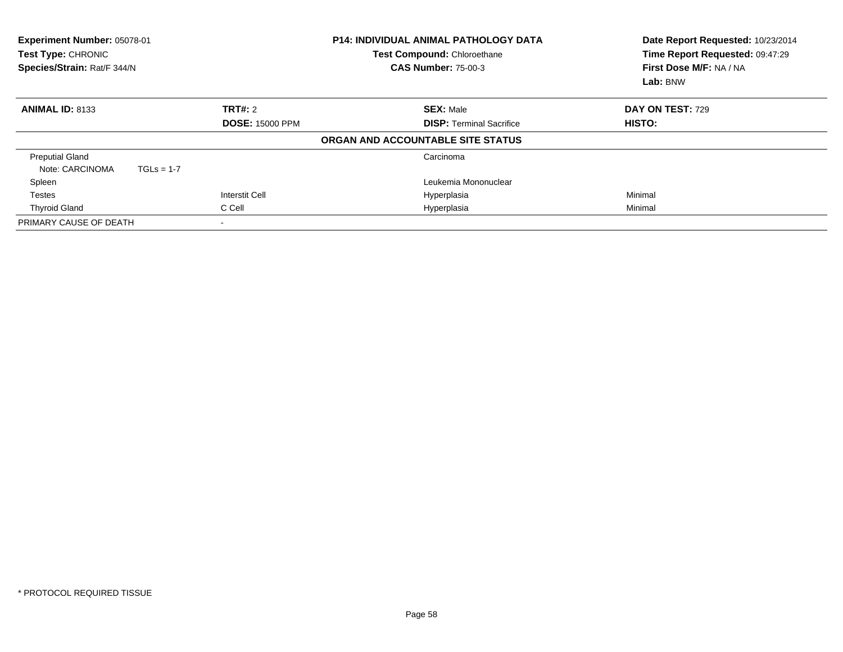| Experiment Number: 05078-01<br><b>P14: INDIVIDUAL ANIMAL PATHOLOGY DATA</b><br>Test Compound: Chloroethane<br>Test Type: CHRONIC<br>Species/Strain: Rat/F 344/N<br><b>CAS Number: 75-00-3</b> |              |                          | Date Report Requested: 10/23/2014<br>Time Report Requested: 09:47:29<br>First Dose M/F: NA / NA<br>Lab: BNW |                                   |                  |
|-----------------------------------------------------------------------------------------------------------------------------------------------------------------------------------------------|--------------|--------------------------|-------------------------------------------------------------------------------------------------------------|-----------------------------------|------------------|
| <b>ANIMAL ID: 8133</b>                                                                                                                                                                        |              | TRT#: 2                  |                                                                                                             | <b>SEX: Male</b>                  | DAY ON TEST: 729 |
|                                                                                                                                                                                               |              | <b>DOSE: 15000 PPM</b>   |                                                                                                             | <b>DISP:</b> Terminal Sacrifice   | HISTO:           |
|                                                                                                                                                                                               |              |                          |                                                                                                             | ORGAN AND ACCOUNTABLE SITE STATUS |                  |
| <b>Preputial Gland</b>                                                                                                                                                                        |              |                          |                                                                                                             | Carcinoma                         |                  |
| Note: CARCINOMA                                                                                                                                                                               | $TGLs = 1-7$ |                          |                                                                                                             |                                   |                  |
| Spleen                                                                                                                                                                                        |              |                          |                                                                                                             | Leukemia Mononuclear              |                  |
| <b>Testes</b>                                                                                                                                                                                 |              | Interstit Cell           |                                                                                                             | Hyperplasia                       | Minimal          |
| <b>Thyroid Gland</b>                                                                                                                                                                          |              | C Cell                   |                                                                                                             | Hyperplasia                       | Minimal          |
| PRIMARY CAUSE OF DEATH                                                                                                                                                                        |              | $\overline{\phantom{a}}$ |                                                                                                             |                                   |                  |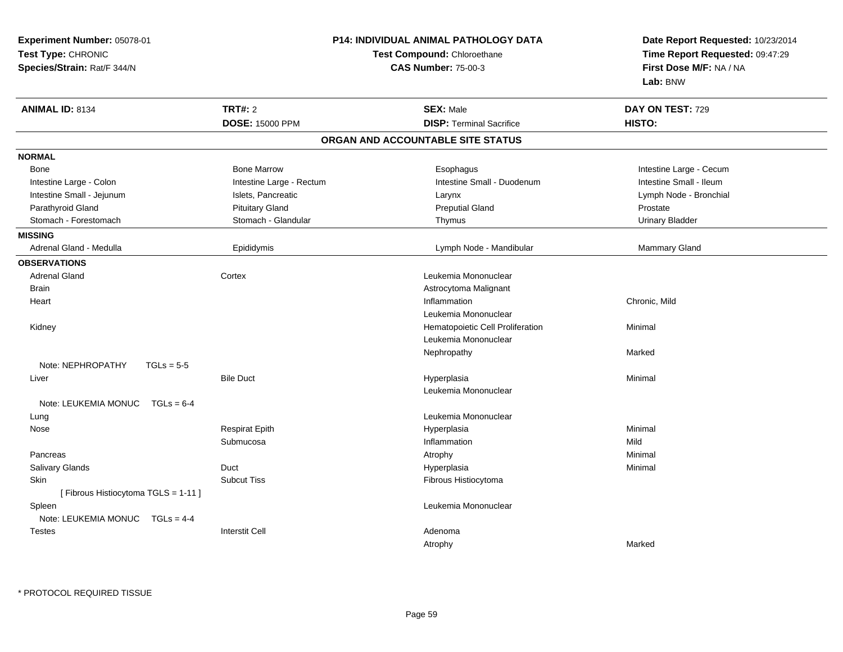| <b>Experiment Number: 05078-01</b><br>Test Type: CHRONIC<br>Species/Strain: Rat/F 344/N |                          | <b>P14: INDIVIDUAL ANIMAL PATHOLOGY DATA</b><br>Test Compound: Chloroethane<br><b>CAS Number: 75-00-3</b> | Date Report Requested: 10/23/2014<br>Time Report Requested: 09:47:29<br>First Dose M/F: NA / NA<br>Lab: BNW |  |
|-----------------------------------------------------------------------------------------|--------------------------|-----------------------------------------------------------------------------------------------------------|-------------------------------------------------------------------------------------------------------------|--|
| <b>ANIMAL ID: 8134</b>                                                                  | <b>TRT#: 2</b>           | <b>SEX: Male</b>                                                                                          | DAY ON TEST: 729                                                                                            |  |
|                                                                                         | <b>DOSE: 15000 PPM</b>   | <b>DISP: Terminal Sacrifice</b>                                                                           | HISTO:                                                                                                      |  |
|                                                                                         |                          | ORGAN AND ACCOUNTABLE SITE STATUS                                                                         |                                                                                                             |  |
| <b>NORMAL</b>                                                                           |                          |                                                                                                           |                                                                                                             |  |
| <b>Bone</b>                                                                             | <b>Bone Marrow</b>       | Esophagus                                                                                                 | Intestine Large - Cecum                                                                                     |  |
| Intestine Large - Colon                                                                 | Intestine Large - Rectum | Intestine Small - Duodenum                                                                                | Intestine Small - Ileum                                                                                     |  |
| Intestine Small - Jejunum                                                               | Islets, Pancreatic       | Larynx                                                                                                    | Lymph Node - Bronchial                                                                                      |  |
| Parathyroid Gland                                                                       | <b>Pituitary Gland</b>   | <b>Preputial Gland</b>                                                                                    | Prostate                                                                                                    |  |
| Stomach - Forestomach                                                                   | Stomach - Glandular      | Thymus                                                                                                    | <b>Urinary Bladder</b>                                                                                      |  |
| <b>MISSING</b>                                                                          |                          |                                                                                                           |                                                                                                             |  |
| Adrenal Gland - Medulla                                                                 | Epididymis               | Lymph Node - Mandibular                                                                                   | Mammary Gland                                                                                               |  |
| <b>OBSERVATIONS</b>                                                                     |                          |                                                                                                           |                                                                                                             |  |
| <b>Adrenal Gland</b>                                                                    | Cortex                   | Leukemia Mononuclear                                                                                      |                                                                                                             |  |
| <b>Brain</b>                                                                            |                          | Astrocytoma Malignant                                                                                     |                                                                                                             |  |
| Heart                                                                                   |                          | Inflammation                                                                                              | Chronic, Mild                                                                                               |  |
|                                                                                         |                          | Leukemia Mononuclear                                                                                      |                                                                                                             |  |
| Kidney                                                                                  |                          | Hematopoietic Cell Proliferation                                                                          | Minimal                                                                                                     |  |
|                                                                                         |                          | Leukemia Mononuclear                                                                                      |                                                                                                             |  |
|                                                                                         |                          | Nephropathy                                                                                               | Marked                                                                                                      |  |
| Note: NEPHROPATHY<br>$TGLs = 5-5$                                                       |                          |                                                                                                           |                                                                                                             |  |
| Liver                                                                                   | <b>Bile Duct</b>         | Hyperplasia                                                                                               | Minimal                                                                                                     |  |
|                                                                                         |                          | Leukemia Mononuclear                                                                                      |                                                                                                             |  |
| Note: LEUKEMIA MONUC TGLs = 6-4                                                         |                          |                                                                                                           |                                                                                                             |  |
| Lung                                                                                    |                          | Leukemia Mononuclear                                                                                      |                                                                                                             |  |
| Nose                                                                                    | <b>Respirat Epith</b>    | Hyperplasia                                                                                               | Minimal                                                                                                     |  |
|                                                                                         | Submucosa                | Inflammation                                                                                              | Mild                                                                                                        |  |
| Pancreas                                                                                |                          | Atrophy                                                                                                   | Minimal                                                                                                     |  |
| Salivary Glands                                                                         | Duct                     | Hyperplasia                                                                                               | Minimal                                                                                                     |  |
| Skin                                                                                    | <b>Subcut Tiss</b>       | Fibrous Histiocytoma                                                                                      |                                                                                                             |  |
| [Fibrous Histiocytoma TGLS = 1-11]                                                      |                          |                                                                                                           |                                                                                                             |  |
| Spleen                                                                                  |                          | Leukemia Mononuclear                                                                                      |                                                                                                             |  |
| Note: LEUKEMIA MONUC TGLs = 4-4                                                         |                          |                                                                                                           |                                                                                                             |  |
| <b>Testes</b>                                                                           | <b>Interstit Cell</b>    | Adenoma                                                                                                   |                                                                                                             |  |
|                                                                                         |                          | Atrophy                                                                                                   | Marked                                                                                                      |  |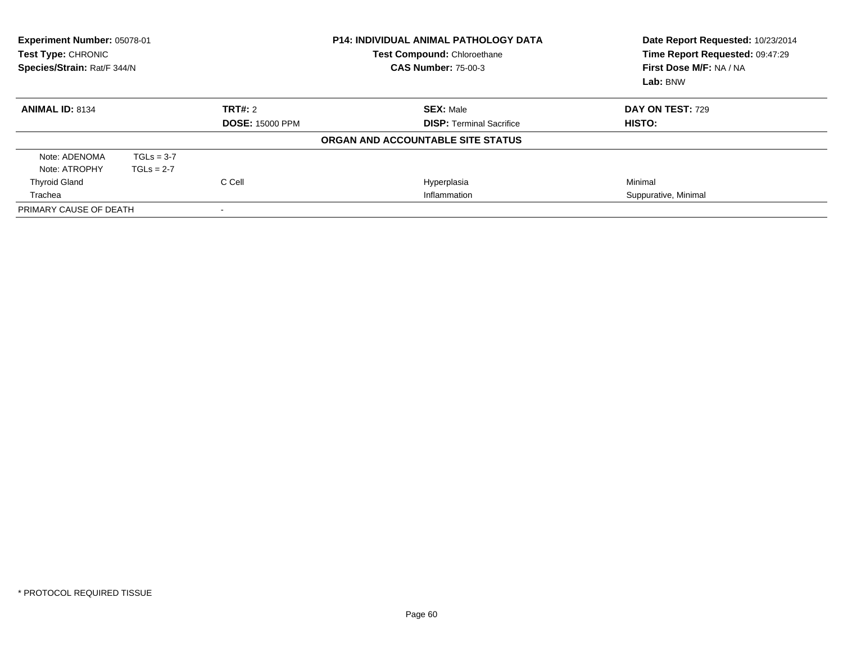| Test Type: CHRONIC     | Experiment Number: 05078-01<br><b>P14: INDIVIDUAL ANIMAL PATHOLOGY DATA</b><br><b>Test Compound: Chloroethane</b><br>Species/Strain: Rat/F 344/N<br><b>CAS Number: 75-00-3</b> |                        |                                   | Date Report Requested: 10/23/2014<br>Time Report Requested: 09:47:29<br>First Dose M/F: NA / NA<br>Lab: BNW |
|------------------------|--------------------------------------------------------------------------------------------------------------------------------------------------------------------------------|------------------------|-----------------------------------|-------------------------------------------------------------------------------------------------------------|
| <b>ANIMAL ID: 8134</b> |                                                                                                                                                                                | <b>TRT#:</b> 2         | <b>SEX: Male</b>                  | <b>DAY ON TEST: 729</b>                                                                                     |
|                        |                                                                                                                                                                                | <b>DOSE: 15000 PPM</b> | <b>DISP: Terminal Sacrifice</b>   | HISTO:                                                                                                      |
|                        |                                                                                                                                                                                |                        | ORGAN AND ACCOUNTABLE SITE STATUS |                                                                                                             |
| Note: ADENOMA          | $TGLs = 3-7$                                                                                                                                                                   |                        |                                   |                                                                                                             |
| Note: ATROPHY          | $TGLs = 2-7$                                                                                                                                                                   |                        |                                   |                                                                                                             |
| <b>Thyroid Gland</b>   |                                                                                                                                                                                | C Cell                 | Hyperplasia                       | Minimal                                                                                                     |
| Trachea                |                                                                                                                                                                                |                        | Inflammation                      | Suppurative, Minimal                                                                                        |
| PRIMARY CAUSE OF DEATH |                                                                                                                                                                                |                        |                                   |                                                                                                             |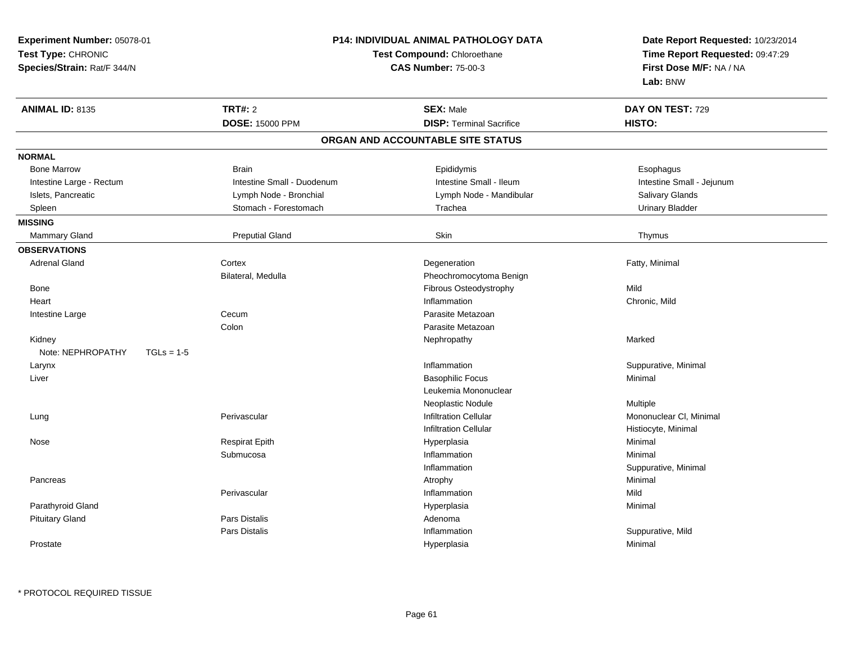**Experiment Number:** 05078-01**Test Type:** CHRONIC **Species/Strain:** Rat/F 344/N**P14: INDIVIDUAL ANIMAL PATHOLOGY DATATest Compound:** Chloroethane**CAS Number:** 75-00-3**Date Report Requested:** 10/23/2014**Time Report Requested:** 09:47:29**First Dose M/F:** NA / NA**Lab:** BNW**ANIMAL ID:** 8135 **TRT#:** <sup>2</sup> **SEX:** Male **DAY ON TEST:** <sup>729</sup> **DOSE:** 15000 PPM**DISP:** Terminal Sacrifice **HISTO: ORGAN AND ACCOUNTABLE SITE STATUSNORMALBone Marrow** Bone Marrow Brain Epididymis Esophagus Intestine Large - Rectum Intestine Small - Duodenum Intestine Small - Ileum Intestine Small - JejunumIslets, Pancreatic **Salivary Glands** Lymph Node - Bronchial Lymph Note - Mandibular Clands Salivary Glands **Urinary Bladder** Spleen Stomach - Forestomach Crossen and Trachea Urinary Blader Stomach - Forestomach Crossen and Trachea **MISSING**Mammary Gland Mammary Gland Preputial Gland Skin Thymus**OBSERVATIONS** Adrenal Glandd and the Cortex Cortex of the Cortex of the Cortex of the Cortex of the Cortex of the Degeneration of the Cortex of the Cortex of the Degeneration of the Cortex of the Cortex of the Cortex of the Cortex of the Cortex of t Bilateral, MedullaPheochromocytoma Benign<br>Fibrous Osteodystrophy Bone Fibrous Osteodystrophy Mild **Heart** t the contract of the contract of the contract of the contract of the contract of the contract of the contract of the contract of the contract of the contract of the contract of the contract of the contract of the contract Inflammation **Chronic, Mild**  Intestine Largee Cecum Cecum **Contract Contract Contract Contract Contract Contract Contract Contract Contract Contract Contract Contract Contract Contract Contract Contract Contract Contract Contract Contract Contract Contract Contract Contract** ColonParasite Metazoan<br>Nephropathy Kidneyy the controller of the controller of the controller of the Marked Marked of the Marked Marked of the Marked o Note:  $NFPHROPATHY$   $TGIs = 1-5$  Larynx**x** and the contract of the contract of the contract of the contract of the contract of the contract of the contract of the contract of the contract of the contract of the contract of the contract of the contract of the co Inflammation **Exercise Suppurative, Minimal**<br>
Basophilic Focus Liver Basophilic Focuss Minimal Leukemia MononuclearNeoplastic NoduleNeoplastic Nodule<br>
1991 - Multiple Municipal Mononuclear Cl. Minimal<br>
Mononuclear Cl. Minimal Lung Perivascular Infiltration Cellular Mononuclear Cl, Minimal Infiltration Cellular Histiocyte, Minimal Nose Respirat Epith Hyperplasia Minimal Submucosaa and the control of the control of the control of the control of the control of the control of the control of the control of the control of the control of the control of the control of the control of the control of the co InflammationSuppurative, Minimal<br>Minimal Pancreass and the control of the control of the control of the control of the control of the control of the control of the control of the control of the control of the control of the control of the control of the control of the co Perivascular Inflammationn Mild Parathyroid Glandd and the control of the control of the control of the Hyperplasia and the control of the Minimal of the control of the control of the control of the control of the control of the control of the control of the control of t Pituitary Glandd and the set of the Pars Distalis and the Second Adenomal Adenomal Second Second Pars Distaller and Adenomal S Pars Distalis InflammationInflammation **Example 2018** Suppurative, Mild<br>
Hyperplasia **Milanguration Suppuration**<br>
Minimal Prostatee and the state of the state of the state of the Hyperplasia and the Minimal Minimal Section 1, 1996, 1997, 19<br>The state of the state of the state of the state of the state of the state of the state of the state of the st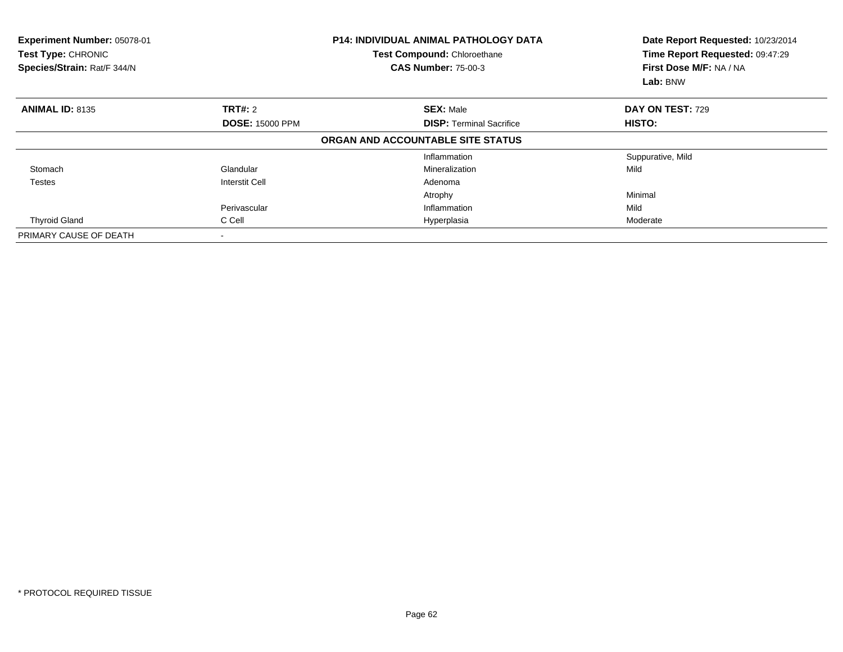| Experiment Number: 05078-01<br><b>Test Type: CHRONIC</b><br>Species/Strain: Rat/F 344/N |                          | <b>P14: INDIVIDUAL ANIMAL PATHOLOGY DATA</b><br>Test Compound: Chloroethane<br><b>CAS Number: 75-00-3</b> | Date Report Requested: 10/23/2014<br>Time Report Requested: 09:47:29<br>First Dose M/F: NA / NA<br>Lab: BNW |  |
|-----------------------------------------------------------------------------------------|--------------------------|-----------------------------------------------------------------------------------------------------------|-------------------------------------------------------------------------------------------------------------|--|
| <b>ANIMAL ID: 8135</b>                                                                  | <b>TRT#: 2</b>           | <b>SEX: Male</b>                                                                                          | DAY ON TEST: 729                                                                                            |  |
|                                                                                         | <b>DOSE: 15000 PPM</b>   | <b>DISP:</b> Terminal Sacrifice                                                                           | HISTO:                                                                                                      |  |
|                                                                                         |                          | ORGAN AND ACCOUNTABLE SITE STATUS                                                                         |                                                                                                             |  |
|                                                                                         |                          | Inflammation                                                                                              | Suppurative, Mild                                                                                           |  |
| Stomach                                                                                 | Glandular                | Mineralization                                                                                            | Mild                                                                                                        |  |
| <b>Testes</b>                                                                           | <b>Interstit Cell</b>    | Adenoma                                                                                                   |                                                                                                             |  |
|                                                                                         |                          | Atrophy                                                                                                   | Minimal                                                                                                     |  |
|                                                                                         | Perivascular             | Inflammation                                                                                              | Mild                                                                                                        |  |
| <b>Thyroid Gland</b>                                                                    | C Cell                   | Hyperplasia                                                                                               | Moderate                                                                                                    |  |
| PRIMARY CAUSE OF DEATH                                                                  | $\overline{\phantom{a}}$ |                                                                                                           |                                                                                                             |  |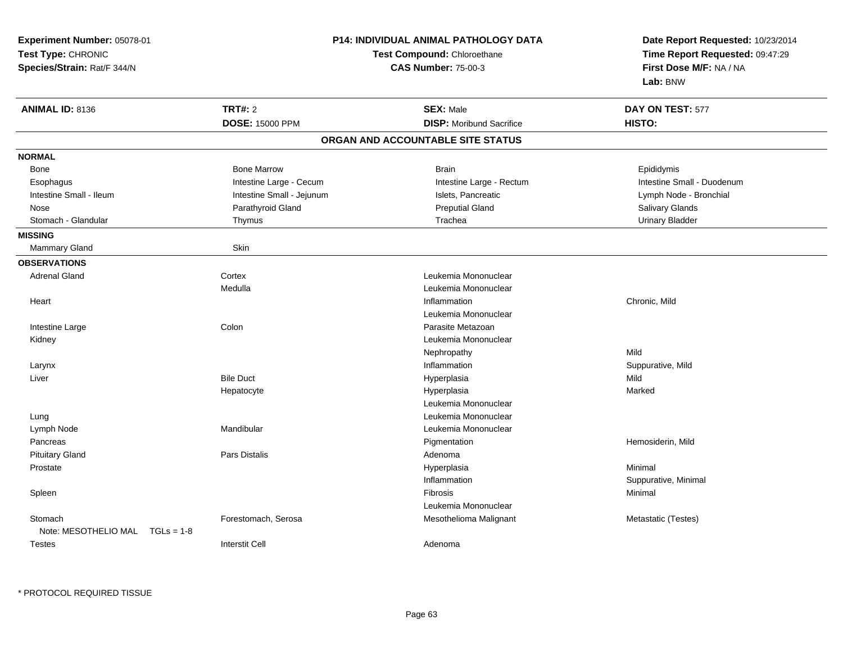| Experiment Number: 05078-01          |                           | <b>P14: INDIVIDUAL ANIMAL PATHOLOGY DATA</b> | Date Report Requested: 10/23/2014                          |  |
|--------------------------------------|---------------------------|----------------------------------------------|------------------------------------------------------------|--|
| Test Type: CHRONIC                   |                           | Test Compound: Chloroethane                  | Time Report Requested: 09:47:29<br>First Dose M/F: NA / NA |  |
| Species/Strain: Rat/F 344/N          |                           | <b>CAS Number: 75-00-3</b>                   |                                                            |  |
|                                      |                           |                                              | Lab: BNW                                                   |  |
| <b>ANIMAL ID: 8136</b>               | <b>TRT#: 2</b>            | <b>SEX: Male</b>                             | DAY ON TEST: 577                                           |  |
|                                      | <b>DOSE: 15000 PPM</b>    | <b>DISP:</b> Moribund Sacrifice              | HISTO:                                                     |  |
|                                      |                           | ORGAN AND ACCOUNTABLE SITE STATUS            |                                                            |  |
| <b>NORMAL</b>                        |                           |                                              |                                                            |  |
| Bone                                 | <b>Bone Marrow</b>        | <b>Brain</b>                                 | Epididymis                                                 |  |
| Esophagus                            | Intestine Large - Cecum   | Intestine Large - Rectum                     | Intestine Small - Duodenum                                 |  |
| Intestine Small - Ileum              | Intestine Small - Jejunum | Islets, Pancreatic                           | Lymph Node - Bronchial                                     |  |
| Nose                                 | Parathyroid Gland         | <b>Preputial Gland</b>                       | Salivary Glands                                            |  |
| Stomach - Glandular                  | Thymus                    | Trachea                                      | <b>Urinary Bladder</b>                                     |  |
| <b>MISSING</b>                       |                           |                                              |                                                            |  |
| Mammary Gland                        | Skin                      |                                              |                                                            |  |
| <b>OBSERVATIONS</b>                  |                           |                                              |                                                            |  |
| <b>Adrenal Gland</b>                 | Cortex                    | Leukemia Mononuclear                         |                                                            |  |
|                                      | Medulla                   | Leukemia Mononuclear                         |                                                            |  |
| Heart                                |                           | Inflammation                                 | Chronic, Mild                                              |  |
|                                      |                           | Leukemia Mononuclear                         |                                                            |  |
| Intestine Large                      | Colon                     | Parasite Metazoan                            |                                                            |  |
| Kidney                               |                           | Leukemia Mononuclear                         |                                                            |  |
|                                      |                           | Nephropathy                                  | Mild                                                       |  |
| Larynx                               |                           | Inflammation                                 | Suppurative, Mild                                          |  |
| Liver                                | <b>Bile Duct</b>          | Hyperplasia                                  | Mild                                                       |  |
|                                      | Hepatocyte                | Hyperplasia                                  | Marked                                                     |  |
|                                      |                           | Leukemia Mononuclear                         |                                                            |  |
| Lung                                 |                           | Leukemia Mononuclear                         |                                                            |  |
| Lymph Node                           | Mandibular                | Leukemia Mononuclear                         |                                                            |  |
| Pancreas                             |                           | Pigmentation                                 | Hemosiderin, Mild                                          |  |
| <b>Pituitary Gland</b>               | Pars Distalis             | Adenoma                                      |                                                            |  |
| Prostate                             |                           | Hyperplasia                                  | Minimal                                                    |  |
|                                      |                           | Inflammation                                 | Suppurative, Minimal                                       |  |
| Spleen                               |                           | Fibrosis                                     | Minimal                                                    |  |
|                                      |                           | Leukemia Mononuclear                         |                                                            |  |
| Stomach                              | Forestomach, Serosa       | Mesothelioma Malignant                       | Metastatic (Testes)                                        |  |
| Note: MESOTHELIO MAL<br>$TGLs = 1-8$ |                           |                                              |                                                            |  |
| <b>Testes</b>                        | <b>Interstit Cell</b>     | Adenoma                                      |                                                            |  |
|                                      |                           |                                              |                                                            |  |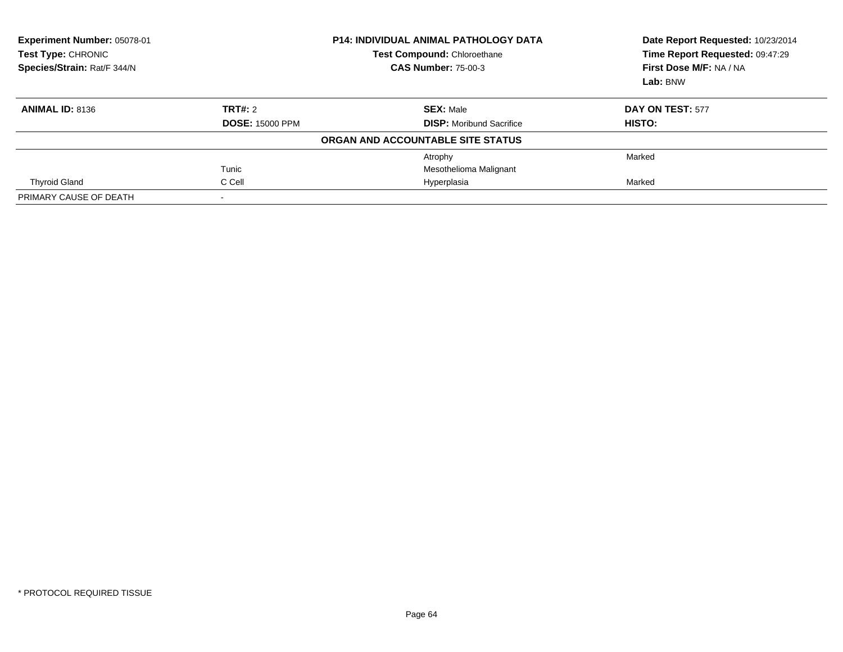| Experiment Number: 05078-01<br><b>Test Type: CHRONIC</b><br>Species/Strain: Rat/F 344/N | <b>P14: INDIVIDUAL ANIMAL PATHOLOGY DATA</b><br><b>Test Compound: Chloroethane</b><br><b>CAS Number: 75-00-3</b> |                                   | Date Report Requested: 10/23/2014<br>Time Report Requested: 09:47:29<br>First Dose M/F: NA / NA<br>Lab: BNW |
|-----------------------------------------------------------------------------------------|------------------------------------------------------------------------------------------------------------------|-----------------------------------|-------------------------------------------------------------------------------------------------------------|
| <b>ANIMAL ID: 8136</b>                                                                  | <b>TRT#: 2</b>                                                                                                   | <b>SEX: Male</b>                  | <b>DAY ON TEST: 577</b>                                                                                     |
|                                                                                         | <b>DOSE: 15000 PPM</b>                                                                                           | <b>DISP:</b> Moribund Sacrifice   | HISTO:                                                                                                      |
|                                                                                         |                                                                                                                  | ORGAN AND ACCOUNTABLE SITE STATUS |                                                                                                             |
|                                                                                         |                                                                                                                  | Atrophy                           | Marked                                                                                                      |
|                                                                                         | Tunic                                                                                                            | Mesothelioma Malignant            |                                                                                                             |
| <b>Thyroid Gland</b>                                                                    | C Cell                                                                                                           | Hyperplasia                       | Marked                                                                                                      |
| PRIMARY CAUSE OF DEATH                                                                  |                                                                                                                  |                                   |                                                                                                             |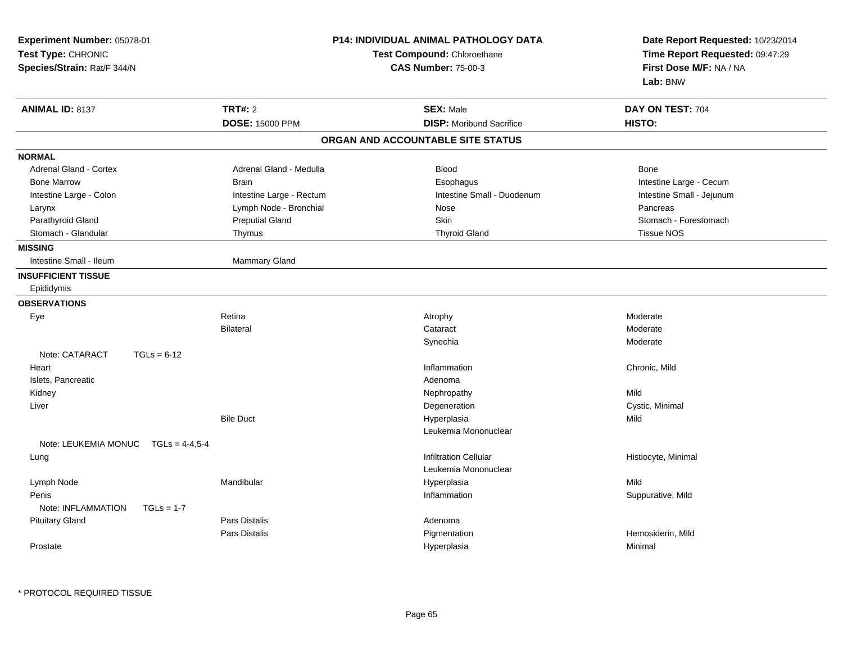| Experiment Number: 05078-01<br>Test Type: CHRONIC<br>Species/Strain: Rat/F 344/N |                          | <b>P14: INDIVIDUAL ANIMAL PATHOLOGY DATA</b><br>Test Compound: Chloroethane<br><b>CAS Number: 75-00-3</b> | Date Report Requested: 10/23/2014<br>Time Report Requested: 09:47:29<br>First Dose M/F: NA / NA<br>Lab: BNW |  |
|----------------------------------------------------------------------------------|--------------------------|-----------------------------------------------------------------------------------------------------------|-------------------------------------------------------------------------------------------------------------|--|
| <b>ANIMAL ID: 8137</b>                                                           | <b>TRT#: 2</b>           | <b>SEX: Male</b>                                                                                          | DAY ON TEST: 704                                                                                            |  |
|                                                                                  | <b>DOSE: 15000 PPM</b>   | <b>DISP:</b> Moribund Sacrifice                                                                           | HISTO:                                                                                                      |  |
|                                                                                  |                          | ORGAN AND ACCOUNTABLE SITE STATUS                                                                         |                                                                                                             |  |
| <b>NORMAL</b>                                                                    |                          |                                                                                                           |                                                                                                             |  |
| <b>Adrenal Gland - Cortex</b>                                                    | Adrenal Gland - Medulla  | <b>Blood</b>                                                                                              | Bone                                                                                                        |  |
| <b>Bone Marrow</b>                                                               | <b>Brain</b>             | Esophagus                                                                                                 | Intestine Large - Cecum                                                                                     |  |
| Intestine Large - Colon                                                          | Intestine Large - Rectum | Intestine Small - Duodenum                                                                                | Intestine Small - Jejunum                                                                                   |  |
| Larynx                                                                           | Lymph Node - Bronchial   | Nose                                                                                                      | Pancreas                                                                                                    |  |
| Parathyroid Gland                                                                | <b>Preputial Gland</b>   | Skin                                                                                                      | Stomach - Forestomach                                                                                       |  |
| Stomach - Glandular                                                              | Thymus                   | <b>Thyroid Gland</b>                                                                                      | <b>Tissue NOS</b>                                                                                           |  |
| <b>MISSING</b>                                                                   |                          |                                                                                                           |                                                                                                             |  |
| Intestine Small - Ileum                                                          | Mammary Gland            |                                                                                                           |                                                                                                             |  |
| <b>INSUFFICIENT TISSUE</b>                                                       |                          |                                                                                                           |                                                                                                             |  |
| Epididymis                                                                       |                          |                                                                                                           |                                                                                                             |  |
| <b>OBSERVATIONS</b>                                                              |                          |                                                                                                           |                                                                                                             |  |
| Eye                                                                              | Retina                   | Atrophy                                                                                                   | Moderate                                                                                                    |  |
|                                                                                  | <b>Bilateral</b>         | Cataract                                                                                                  | Moderate                                                                                                    |  |
|                                                                                  |                          | Synechia                                                                                                  | Moderate                                                                                                    |  |
| Note: CATARACT<br>$TGLs = 6-12$                                                  |                          |                                                                                                           |                                                                                                             |  |
| Heart                                                                            |                          | Inflammation                                                                                              | Chronic, Mild                                                                                               |  |
| Islets, Pancreatic                                                               |                          | Adenoma                                                                                                   |                                                                                                             |  |
| Kidney                                                                           |                          | Nephropathy                                                                                               | Mild                                                                                                        |  |
| Liver                                                                            |                          | Degeneration                                                                                              | Cystic, Minimal                                                                                             |  |
|                                                                                  | <b>Bile Duct</b>         | Hyperplasia                                                                                               | Mild                                                                                                        |  |
|                                                                                  |                          | Leukemia Mononuclear                                                                                      |                                                                                                             |  |
| Note: LEUKEMIA MONUC<br>$TGLs = 4.4.5-4$                                         |                          |                                                                                                           |                                                                                                             |  |
| Lung                                                                             |                          | <b>Infiltration Cellular</b>                                                                              | Histiocyte, Minimal                                                                                         |  |
|                                                                                  |                          | Leukemia Mononuclear                                                                                      |                                                                                                             |  |
| Lymph Node                                                                       | Mandibular               | Hyperplasia                                                                                               | Mild                                                                                                        |  |
| Penis                                                                            |                          | Inflammation                                                                                              | Suppurative, Mild                                                                                           |  |
| Note: INFLAMMATION<br>$TGLs = 1-7$                                               |                          |                                                                                                           |                                                                                                             |  |
| <b>Pituitary Gland</b>                                                           | <b>Pars Distalis</b>     | Adenoma                                                                                                   |                                                                                                             |  |
|                                                                                  | Pars Distalis            | Pigmentation                                                                                              | Hemosiderin, Mild                                                                                           |  |
| Prostate                                                                         |                          | Hyperplasia                                                                                               | Minimal                                                                                                     |  |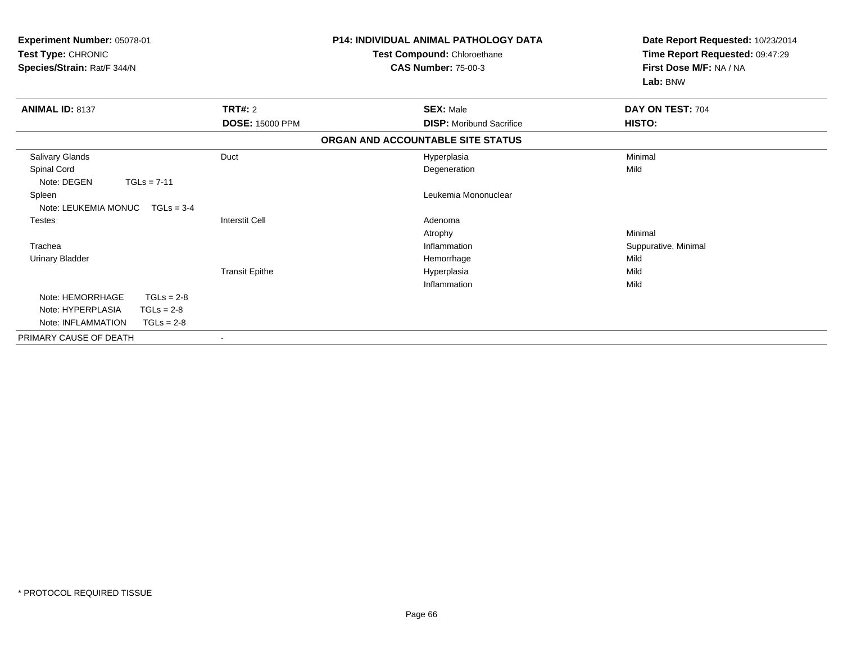| Experiment Number: 05078-01<br>Test Type: CHRONIC<br>Species/Strain: Rat/F 344/N |               |                        | <b>P14: INDIVIDUAL ANIMAL PATHOLOGY DATA</b><br>Test Compound: Chloroethane<br><b>CAS Number: 75-00-3</b> |                                   | Date Report Requested: 10/23/2014<br>Time Report Requested: 09:47:29<br>First Dose M/F: NA / NA<br>Lab: BNW |  |
|----------------------------------------------------------------------------------|---------------|------------------------|-----------------------------------------------------------------------------------------------------------|-----------------------------------|-------------------------------------------------------------------------------------------------------------|--|
| <b>ANIMAL ID: 8137</b>                                                           |               | <b>TRT#: 2</b>         |                                                                                                           | <b>SEX: Male</b>                  | DAY ON TEST: 704                                                                                            |  |
|                                                                                  |               | <b>DOSE: 15000 PPM</b> |                                                                                                           | <b>DISP:</b> Moribund Sacrifice   | <b>HISTO:</b>                                                                                               |  |
|                                                                                  |               |                        |                                                                                                           | ORGAN AND ACCOUNTABLE SITE STATUS |                                                                                                             |  |
| Salivary Glands                                                                  |               | Duct                   |                                                                                                           | Hyperplasia                       | Minimal                                                                                                     |  |
| Spinal Cord                                                                      |               |                        |                                                                                                           | Degeneration                      | Mild                                                                                                        |  |
| Note: DEGEN                                                                      | $TGLs = 7-11$ |                        |                                                                                                           |                                   |                                                                                                             |  |
| Spleen                                                                           |               |                        |                                                                                                           | Leukemia Mononuclear              |                                                                                                             |  |
| Note: LEUKEMIA MONUC                                                             | $TGLs = 3-4$  |                        |                                                                                                           |                                   |                                                                                                             |  |
| <b>Testes</b>                                                                    |               | <b>Interstit Cell</b>  |                                                                                                           | Adenoma                           |                                                                                                             |  |
|                                                                                  |               |                        |                                                                                                           | Atrophy                           | Minimal                                                                                                     |  |
| Trachea                                                                          |               |                        |                                                                                                           | Inflammation                      | Suppurative, Minimal                                                                                        |  |
| <b>Urinary Bladder</b>                                                           |               |                        |                                                                                                           | Hemorrhage                        | Mild                                                                                                        |  |
|                                                                                  |               | <b>Transit Epithe</b>  |                                                                                                           | Hyperplasia                       | Mild                                                                                                        |  |
|                                                                                  |               |                        |                                                                                                           | Inflammation                      | Mild                                                                                                        |  |
| Note: HEMORRHAGE                                                                 | $TGLs = 2-8$  |                        |                                                                                                           |                                   |                                                                                                             |  |
| Note: HYPERPLASIA                                                                | $TGLs = 2-8$  |                        |                                                                                                           |                                   |                                                                                                             |  |
| Note: INFLAMMATION                                                               | $TGLs = 2-8$  |                        |                                                                                                           |                                   |                                                                                                             |  |
| PRIMARY CAUSE OF DEATH                                                           |               | $\blacksquare$         |                                                                                                           |                                   |                                                                                                             |  |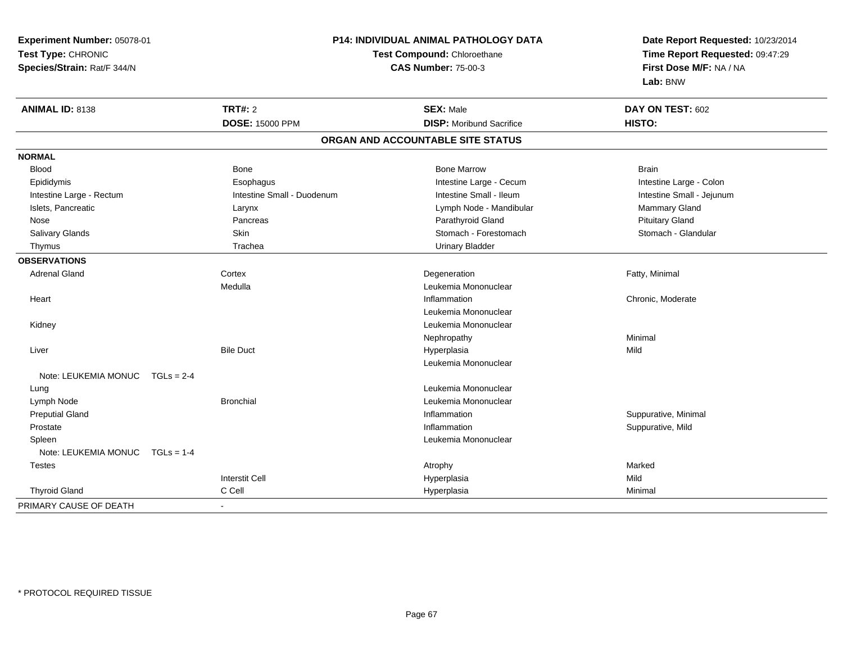**Experiment Number:** 05078-01**Test Type:** CHRONIC **Species/Strain:** Rat/F 344/N**P14: INDIVIDUAL ANIMAL PATHOLOGY DATATest Compound:** Chloroethane**CAS Number:** 75-00-3**Date Report Requested:** 10/23/2014**Time Report Requested:** 09:47:29**First Dose M/F:** NA / NA**Lab:** BNW**ANIMAL ID:** 8138**TRT#:** 2 **SEX:** Male **DAY ON TEST:** 602 **DOSE:** 15000 PPM**DISP:** Moribund Sacrifice **HISTO: ORGAN AND ACCOUNTABLE SITE STATUSNORMALBlood**  Blood Bone Bone Marrow BrainIntestine Large - Colon Epididymis **Example 20 Example 20 Example 20 Example 20 Example 20 Example 20 Example 20 Example 20 Example 20 Example 20 Example 20 Example 20 Example 20 Example 20 Example 20 Example 20 Example 20 Example 20 Example 20 E** Intestine Small - Jejunum Intestine Large - Rectum **Intestine Small - Duodenum** Intestine Small - Ileum Intestine Small - Ileum Islets, Pancreatic **Commary Gland Commary Clarynx** Larynx Commart Commart Commart Commart Commart Commart Commart Nose Pancreas Parathyroid Gland Pituitary GlandStomach - Glandular Salivary Glands **Skin** Skin Skin Stomach - Forestomach - Stomach - Stomach - Stomach - Stomach - Glandular Stomach - Glandular Stomach - Stomach - Stomach - Stomach - Stomach - Stomach - Stomach - Stomach - Stomach - Stoma Thymus Trachea Urinary Bladder**OBSERVATIONS** Adrenal Glandd and the Cortex Cortex of the Cortex of the Cortex of the Cortex of the Cortex of the Degeneration of the Cortex of the Cortex of the Degeneration of the Cortex of the Cortex of the Cortex of the Cortex of the Cortex of t MedullaLeukemia Mononuclear<br>Inflammation **Heart** t the contract of the contract of the contract of the contract of the contract of the contract of the contract of the contract of the contract of the contract of the contract of the contract of the contract of the contract Chronic, Moderate Leukemia Mononuclear Kidney Leukemia Mononuclear Nephropathyy the contract of the Minimal Minimal Section 1996 and the contract of the Minimal Section 1997 and the contract of the contract of the contract of the contract of the contract of the contract of the contract of the contra Liverr Bile Duct Hyperplasia a Mild Leukemia MononuclearNote: LEUKEMIA MONUC TGLs = 2-4 Lung Leukemia Mononuclear Lymph NodeBronchial **Bronchial** Leukemia Mononuclear Preputial Glandd is a constant of the contract of the construction of the construction of the construction of the construction  $\mathsf{S}$  Prostatee inflammation in the suppurative, Mild and Suppurative, Mild and Suppurative, Mild and Suppurative, Mild and Suppurative, Mild and Suppurative, Mild and Suppurative, Mild and Suppurative, Mild and Suppurative, Mild and Su Spleen Leukemia Mononuclear Note: LEUKEMIA MONUC TGLs = 1-4 Testess the control of the control of the control of the control of the control of the control of the control of the control of the control of the control of the control of the control of the control of the control of the contro Interstit Cell Hyperplasiaa Mild Thyroid Gland C Cell Hyperplasia Minimal PRIMARY CAUSE OF DEATH-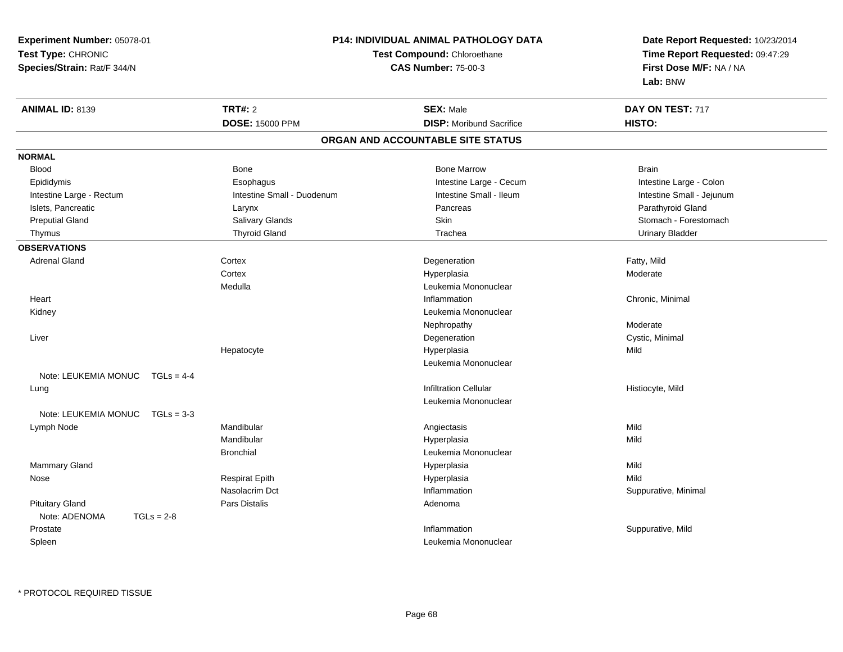**Experiment Number:** 05078-01**Test Type:** CHRONIC **Species/Strain:** Rat/F 344/N**P14: INDIVIDUAL ANIMAL PATHOLOGY DATATest Compound:** Chloroethane**CAS Number:** 75-00-3**Date Report Requested:** 10/23/2014**Time Report Requested:** 09:47:29**First Dose M/F:** NA / NA**Lab:** BNW**ANIMAL ID:** 8139 **TRT#:** <sup>2</sup> **SEX:** Male **DAY ON TEST:** <sup>717</sup> **DOSE:** 15000 PPM**DISP:** Moribund Sacrifice **HISTO: ORGAN AND ACCOUNTABLE SITE STATUSNORMALBlood**  Blood Bone Bone Marrow BrainIntestine Large - Colon Epididymis **Example 20 Example 20 Example 20 Example 20 Example 20 Example 20 Example 20 Example 20 Example 20 Example 20 Example 20 Example 20 Example 20 Example 20 Example 20 Example 20 Example 20 Example 20 Example 20 E** Intestine Small - Jejunum Intestine Large - Rectum **Intestine Small - Duodenum** Intestine Small - Ileum Intestine Small - Ileum Islets, Pancreatic Larynx Pancreas Parathyroid GlandPreputial Gland Sulting School Salivary Glands School Stomach - Forestomach Stomach - Forestomach - Stomach - Stomach - Forestomach Thymus Thyroid Gland Trachea Urinary Bladder**OBSERVATIONS** Adrenal Glandd Cortex Cortex and Cortex and Cortex and Degeneration Cortex and Degeneration of the Early, Mild **Cortex**  Hyperplasiaa **Moderate** MedullaLeukemia Mononuclear<br>Inflammation Heartt the contract of the contract of the contract of the contract of the contract of the contract of the contract of the contract of the contract of the contract of the contract of the contract of the contract of the contract Chronic, Minimal Kidney Leukemia Mononuclear Nephropathy Moderaten Cystic, Minimal Liver DegenerationHepatocyte Hyperplasia Mild Leukemia MononuclearNote: LEUKEMIA MONUC TGLs = 4-4 Lungg is a constant of the contract of the construction Cellular in the construction Cellular construction  $\mathsf{C}\textup{-}\mathsf{H}$  and  $\mathsf{H}$  and  $\mathsf{H}$  and  $\mathsf{H}$  and  $\mathsf{H}$  and  $\mathsf{H}$  and  $\mathsf{H}$  and  $\mathsf{H}$  and  $\mathsf{H$ Leukemia MononuclearNote: LEUKEMIA MONUC TGLs = 3-3 Lymph Node Mandibular Angiectasis Mild Mandibular Hyperplasiaa Mild Bronchial Leukemia Mononuclear Mammary Glandd and the control of the control of the control of the Hyperplasia and the control of the Mild of the control of the control of the control of the control of the control of the control of the control of the control of the Nose Respirat Epith Hyperplasia Mild Nasolacrim Dct Inflammation Suppurative, Minimal Pituitary Glandd and the contract of Pars Distalis and the contract of Adenoma and Adenoma and the Adenoma and the Adenoma and  $\lambda$ Note: ADENOMA TGLs = 2-8 Prostatee inflammation in the suppurative, Mild and Suppurative, Mild and Suppurative, Mild and Suppurative, Mild and Suppurative, Mild and Suppurative, Mild and Suppurative, Mild and Suppurative, Mild and Suppurative, Mild and Su SpleenLeukemia Mononuclear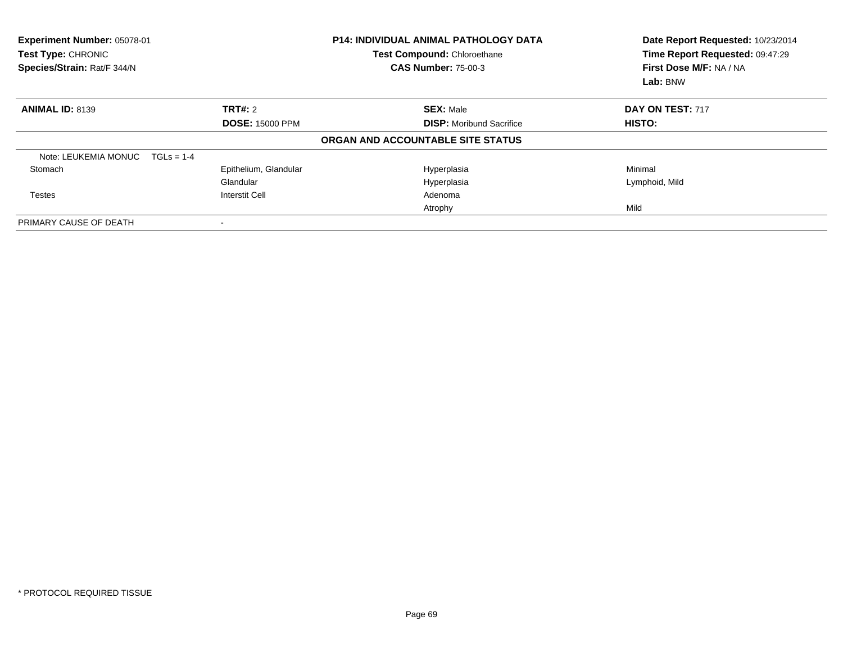| Experiment Number: 05078-01<br>Test Type: CHRONIC<br>Species/Strain: Rat/F 344/N |                          | <b>P14: INDIVIDUAL ANIMAL PATHOLOGY DATA</b><br>Test Compound: Chloroethane<br><b>CAS Number: 75-00-3</b> | Date Report Requested: 10/23/2014<br>Time Report Requested: 09:47:29<br>First Dose M/F: NA / NA<br>Lab: BNW |  |
|----------------------------------------------------------------------------------|--------------------------|-----------------------------------------------------------------------------------------------------------|-------------------------------------------------------------------------------------------------------------|--|
| <b>ANIMAL ID: 8139</b>                                                           | TRT#: 2                  | <b>SEX: Male</b>                                                                                          | DAY ON TEST: 717                                                                                            |  |
|                                                                                  | <b>DOSE: 15000 PPM</b>   | <b>DISP:</b> Moribund Sacrifice                                                                           | HISTO:                                                                                                      |  |
|                                                                                  |                          | ORGAN AND ACCOUNTABLE SITE STATUS                                                                         |                                                                                                             |  |
| Note: LEUKEMIA MONUC<br>$TGLs = 1-4$                                             |                          |                                                                                                           |                                                                                                             |  |
| Stomach                                                                          | Epithelium, Glandular    | Hyperplasia                                                                                               | Minimal                                                                                                     |  |
|                                                                                  | Glandular                | Hyperplasia                                                                                               | Lymphoid, Mild                                                                                              |  |
| Testes                                                                           | <b>Interstit Cell</b>    | Adenoma                                                                                                   |                                                                                                             |  |
|                                                                                  |                          | Atrophy                                                                                                   | Mild                                                                                                        |  |
| PRIMARY CAUSE OF DEATH                                                           | $\overline{\phantom{a}}$ |                                                                                                           |                                                                                                             |  |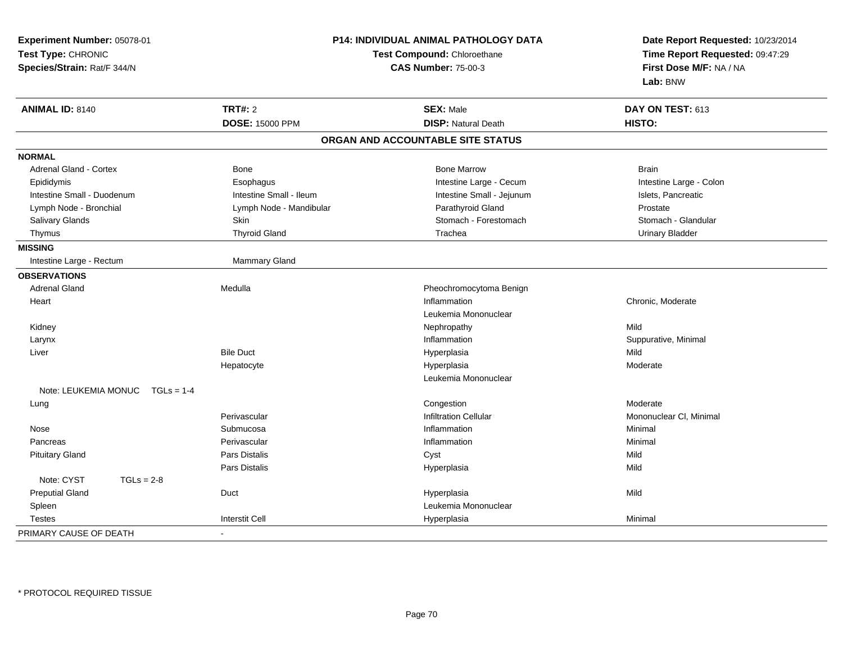| Experiment Number: 05078-01 |                         | P14: INDIVIDUAL ANIMAL PATHOLOGY DATA | Date Report Requested: 10/23/2014                                      |  |
|-----------------------------|-------------------------|---------------------------------------|------------------------------------------------------------------------|--|
| Test Type: CHRONIC          |                         | Test Compound: Chloroethane           | Time Report Requested: 09:47:29<br>First Dose M/F: NA / NA<br>Lab: BNW |  |
| Species/Strain: Rat/F 344/N |                         | <b>CAS Number: 75-00-3</b>            |                                                                        |  |
|                             |                         |                                       |                                                                        |  |
| <b>ANIMAL ID: 8140</b>      | <b>TRT#: 2</b>          | <b>SEX: Male</b>                      | DAY ON TEST: 613                                                       |  |
|                             | <b>DOSE: 15000 PPM</b>  | <b>DISP: Natural Death</b>            | HISTO:                                                                 |  |
|                             |                         | ORGAN AND ACCOUNTABLE SITE STATUS     |                                                                        |  |
| <b>NORMAL</b>               |                         |                                       |                                                                        |  |
| Adrenal Gland - Cortex      | Bone                    | <b>Bone Marrow</b>                    | <b>Brain</b>                                                           |  |
| Epididymis                  | Esophagus               | Intestine Large - Cecum               | Intestine Large - Colon                                                |  |
| Intestine Small - Duodenum  | Intestine Small - Ileum | Intestine Small - Jejunum             | Islets, Pancreatic                                                     |  |
| Lymph Node - Bronchial      | Lymph Node - Mandibular | Parathyroid Gland                     | Prostate                                                               |  |
| Salivary Glands             | Skin                    | Stomach - Forestomach                 | Stomach - Glandular                                                    |  |
| Thymus                      | <b>Thyroid Gland</b>    | Trachea                               | <b>Urinary Bladder</b>                                                 |  |
| <b>MISSING</b>              |                         |                                       |                                                                        |  |
| Intestine Large - Rectum    | Mammary Gland           |                                       |                                                                        |  |
| <b>OBSERVATIONS</b>         |                         |                                       |                                                                        |  |
| <b>Adrenal Gland</b>        | Medulla                 | Pheochromocytoma Benign               |                                                                        |  |
| Heart                       |                         | Inflammation                          | Chronic, Moderate                                                      |  |
|                             |                         | Leukemia Mononuclear                  |                                                                        |  |
| Kidney                      |                         | Nephropathy                           | Mild                                                                   |  |
| Larynx                      |                         | Inflammation                          | Suppurative, Minimal                                                   |  |
| Liver                       | <b>Bile Duct</b>        | Hyperplasia                           | Mild                                                                   |  |
|                             | Hepatocyte              | Hyperplasia                           | Moderate                                                               |  |
|                             |                         | Leukemia Mononuclear                  |                                                                        |  |
| Note: LEUKEMIA MONUC        | $TGLs = 1-4$            |                                       |                                                                        |  |
| Lung                        |                         | Congestion                            | Moderate                                                               |  |
|                             | Perivascular            | <b>Infiltration Cellular</b>          | Mononuclear CI, Minimal                                                |  |
| Nose                        | Submucosa               | Inflammation                          | Minimal                                                                |  |
| Pancreas                    | Perivascular            | Inflammation                          | Minimal                                                                |  |
| <b>Pituitary Gland</b>      | Pars Distalis           | Cyst                                  | Mild                                                                   |  |
|                             | <b>Pars Distalis</b>    | Hyperplasia                           | Mild                                                                   |  |
| Note: CYST                  | $TGLs = 2-8$            |                                       |                                                                        |  |
| <b>Preputial Gland</b>      | Duct                    | Hyperplasia                           | Mild                                                                   |  |
| Spleen                      |                         | Leukemia Mononuclear                  |                                                                        |  |
| <b>Testes</b>               | <b>Interstit Cell</b>   | Hyperplasia                           | Minimal                                                                |  |
| PRIMARY CAUSE OF DEATH      | ÷                       |                                       |                                                                        |  |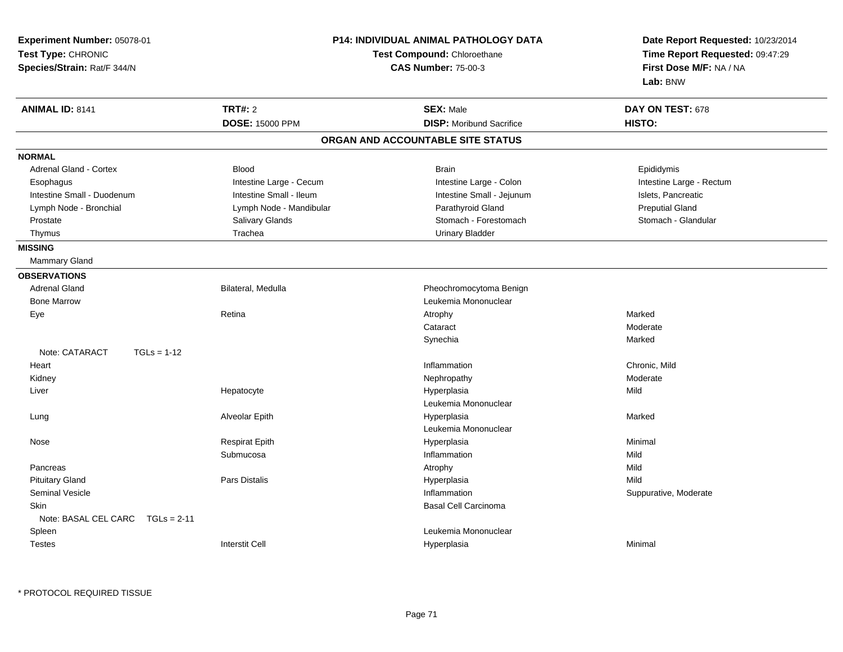| Experiment Number: 05078-01<br>Test Type: CHRONIC<br>Species/Strain: Rat/F 344/N | <b>P14: INDIVIDUAL ANIMAL PATHOLOGY DATA</b><br>Test Compound: Chloroethane<br><b>CAS Number: 75-00-3</b> |                                   | Date Report Requested: 10/23/2014<br>Time Report Requested: 09:47:29<br>First Dose M/F: NA / NA<br>Lab: BNW |  |
|----------------------------------------------------------------------------------|-----------------------------------------------------------------------------------------------------------|-----------------------------------|-------------------------------------------------------------------------------------------------------------|--|
| <b>ANIMAL ID: 8141</b>                                                           | <b>TRT#: 2</b>                                                                                            | <b>SEX: Male</b>                  | DAY ON TEST: 678                                                                                            |  |
|                                                                                  | <b>DOSE: 15000 PPM</b>                                                                                    | <b>DISP:</b> Moribund Sacrifice   | HISTO:                                                                                                      |  |
|                                                                                  |                                                                                                           | ORGAN AND ACCOUNTABLE SITE STATUS |                                                                                                             |  |
| <b>NORMAL</b>                                                                    |                                                                                                           |                                   |                                                                                                             |  |
| <b>Adrenal Gland - Cortex</b>                                                    | <b>Blood</b>                                                                                              | <b>Brain</b>                      | Epididymis                                                                                                  |  |
| Esophagus                                                                        | Intestine Large - Cecum                                                                                   | Intestine Large - Colon           | Intestine Large - Rectum                                                                                    |  |
| Intestine Small - Duodenum                                                       | Intestine Small - Ileum                                                                                   | Intestine Small - Jejunum         | Islets, Pancreatic                                                                                          |  |
| Lymph Node - Bronchial                                                           | Lymph Node - Mandibular                                                                                   | Parathyroid Gland                 | <b>Preputial Gland</b>                                                                                      |  |
| Prostate                                                                         | Salivary Glands                                                                                           | Stomach - Forestomach             | Stomach - Glandular                                                                                         |  |
| Thymus                                                                           | Trachea                                                                                                   | <b>Urinary Bladder</b>            |                                                                                                             |  |
| <b>MISSING</b>                                                                   |                                                                                                           |                                   |                                                                                                             |  |
| Mammary Gland                                                                    |                                                                                                           |                                   |                                                                                                             |  |
| <b>OBSERVATIONS</b>                                                              |                                                                                                           |                                   |                                                                                                             |  |
| <b>Adrenal Gland</b>                                                             | Bilateral, Medulla                                                                                        | Pheochromocytoma Benign           |                                                                                                             |  |
| <b>Bone Marrow</b>                                                               |                                                                                                           | Leukemia Mononuclear              |                                                                                                             |  |
| Eye                                                                              | Retina                                                                                                    | Atrophy                           | Marked                                                                                                      |  |
|                                                                                  |                                                                                                           | Cataract                          | Moderate                                                                                                    |  |
|                                                                                  |                                                                                                           | Synechia                          | Marked                                                                                                      |  |
| Note: CATARACT<br>$TGLs = 1-12$                                                  |                                                                                                           |                                   |                                                                                                             |  |
| Heart                                                                            |                                                                                                           | Inflammation                      | Chronic, Mild                                                                                               |  |
| Kidney                                                                           |                                                                                                           | Nephropathy                       | Moderate                                                                                                    |  |
| Liver                                                                            | Hepatocyte                                                                                                | Hyperplasia                       | Mild                                                                                                        |  |
|                                                                                  |                                                                                                           | Leukemia Mononuclear              |                                                                                                             |  |
| Lung                                                                             | Alveolar Epith                                                                                            | Hyperplasia                       | Marked                                                                                                      |  |
|                                                                                  |                                                                                                           | Leukemia Mononuclear              |                                                                                                             |  |
| Nose                                                                             | <b>Respirat Epith</b>                                                                                     | Hyperplasia                       | Minimal                                                                                                     |  |
|                                                                                  | Submucosa                                                                                                 | Inflammation                      | Mild                                                                                                        |  |
| Pancreas                                                                         |                                                                                                           | Atrophy                           | Mild                                                                                                        |  |
| <b>Pituitary Gland</b>                                                           | Pars Distalis                                                                                             | Hyperplasia                       | Mild                                                                                                        |  |
| <b>Seminal Vesicle</b>                                                           |                                                                                                           | Inflammation                      | Suppurative, Moderate                                                                                       |  |
| <b>Skin</b>                                                                      |                                                                                                           | <b>Basal Cell Carcinoma</b>       |                                                                                                             |  |
| Note: BASAL CEL CARC<br>$TGLs = 2-11$                                            |                                                                                                           |                                   |                                                                                                             |  |
| Spleen                                                                           |                                                                                                           | Leukemia Mononuclear              |                                                                                                             |  |
| <b>Testes</b>                                                                    | <b>Interstit Cell</b>                                                                                     | Hyperplasia                       | Minimal                                                                                                     |  |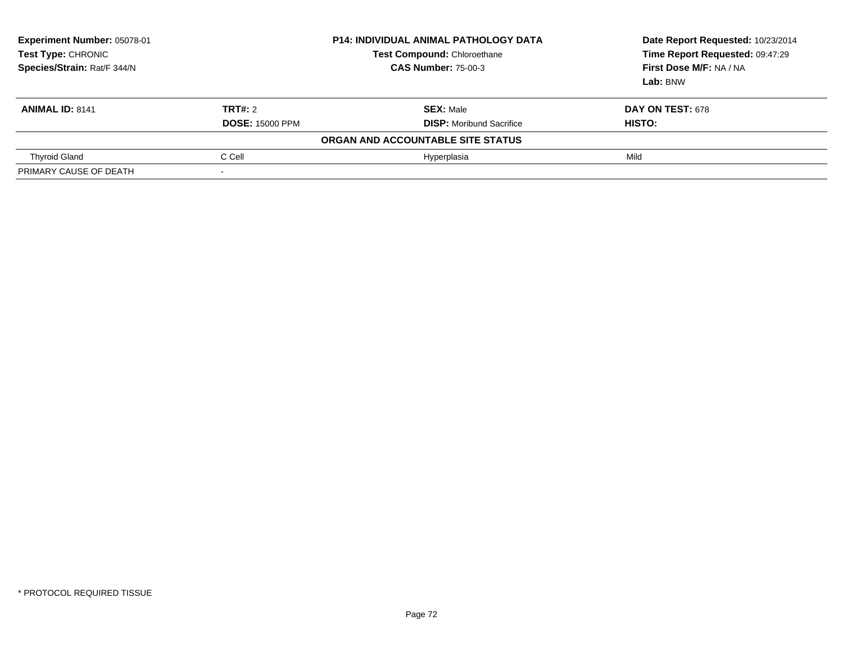| Experiment Number: 05078-01<br>Test Type: CHRONIC<br>Species/Strain: Rat/F 344/N |                                   | <b>P14: INDIVIDUAL ANIMAL PATHOLOGY DATA</b><br><b>Test Compound: Chloroethane</b><br><b>CAS Number: 75-00-3</b> | Date Report Requested: 10/23/2014<br>Time Report Requested: 09:47:29<br>First Dose M/F: NA / NA<br>Lab: BNW |  |
|----------------------------------------------------------------------------------|-----------------------------------|------------------------------------------------------------------------------------------------------------------|-------------------------------------------------------------------------------------------------------------|--|
| <b>ANIMAL ID: 8141</b>                                                           | TRT#: 2<br><b>DOSE: 15000 PPM</b> | <b>SEX: Male</b><br><b>DISP:</b> Moribund Sacrifice                                                              | <b>DAY ON TEST: 678</b><br>HISTO:                                                                           |  |
|                                                                                  |                                   | ORGAN AND ACCOUNTABLE SITE STATUS                                                                                |                                                                                                             |  |
| <b>Thyroid Gland</b>                                                             | C Cell                            | Hyperplasia                                                                                                      | Mild                                                                                                        |  |
| PRIMARY CAUSE OF DEATH                                                           |                                   |                                                                                                                  |                                                                                                             |  |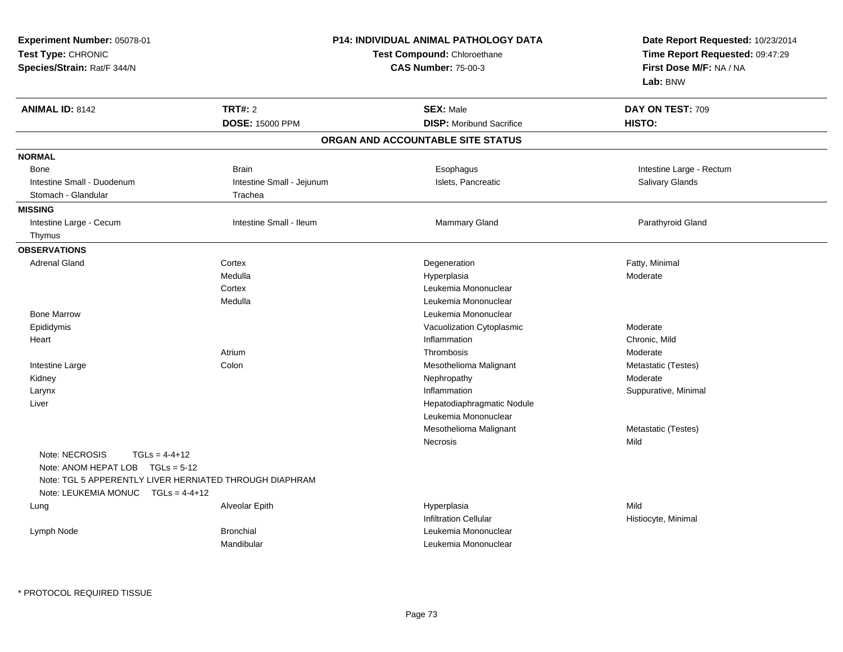| <b>Experiment Number: 05078-01</b><br>Test Type: CHRONIC<br>Species/Strain: Rat/F 344/N                                                                                  | P14: INDIVIDUAL ANIMAL PATHOLOGY DATA<br><b>Test Compound: Chloroethane</b><br><b>CAS Number: 75-00-3</b> |                                                     | Date Report Requested: 10/23/2014<br>Time Report Requested: 09:47:29<br>First Dose M/F: NA / NA<br>Lab: BNW |  |
|--------------------------------------------------------------------------------------------------------------------------------------------------------------------------|-----------------------------------------------------------------------------------------------------------|-----------------------------------------------------|-------------------------------------------------------------------------------------------------------------|--|
| <b>ANIMAL ID: 8142</b>                                                                                                                                                   | <b>TRT#: 2</b><br>DOSE: 15000 PPM                                                                         | <b>SEX: Male</b><br><b>DISP:</b> Moribund Sacrifice | DAY ON TEST: 709<br>HISTO:                                                                                  |  |
|                                                                                                                                                                          |                                                                                                           | ORGAN AND ACCOUNTABLE SITE STATUS                   |                                                                                                             |  |
| <b>NORMAL</b>                                                                                                                                                            |                                                                                                           |                                                     |                                                                                                             |  |
| <b>Bone</b>                                                                                                                                                              | <b>Brain</b>                                                                                              | Esophagus                                           | Intestine Large - Rectum                                                                                    |  |
| Intestine Small - Duodenum                                                                                                                                               | Intestine Small - Jejunum                                                                                 | Islets, Pancreatic                                  | Salivary Glands                                                                                             |  |
| Stomach - Glandular                                                                                                                                                      | Trachea                                                                                                   |                                                     |                                                                                                             |  |
| <b>MISSING</b>                                                                                                                                                           |                                                                                                           |                                                     |                                                                                                             |  |
| Intestine Large - Cecum                                                                                                                                                  | Intestine Small - Ileum                                                                                   | <b>Mammary Gland</b>                                | Parathyroid Gland                                                                                           |  |
| Thymus                                                                                                                                                                   |                                                                                                           |                                                     |                                                                                                             |  |
| <b>OBSERVATIONS</b>                                                                                                                                                      |                                                                                                           |                                                     |                                                                                                             |  |
| <b>Adrenal Gland</b>                                                                                                                                                     | Cortex                                                                                                    | Degeneration                                        | Fatty, Minimal                                                                                              |  |
|                                                                                                                                                                          | Medulla                                                                                                   | Hyperplasia                                         | Moderate                                                                                                    |  |
|                                                                                                                                                                          | Cortex                                                                                                    | Leukemia Mononuclear                                |                                                                                                             |  |
|                                                                                                                                                                          | Medulla                                                                                                   | Leukemia Mononuclear                                |                                                                                                             |  |
| <b>Bone Marrow</b>                                                                                                                                                       |                                                                                                           | Leukemia Mononuclear                                |                                                                                                             |  |
| Epididymis                                                                                                                                                               |                                                                                                           | Vacuolization Cytoplasmic                           | Moderate                                                                                                    |  |
| Heart                                                                                                                                                                    |                                                                                                           | Inflammation                                        | Chronic, Mild                                                                                               |  |
|                                                                                                                                                                          | Atrium                                                                                                    | Thrombosis                                          | Moderate                                                                                                    |  |
| Intestine Large                                                                                                                                                          | Colon                                                                                                     | Mesothelioma Malignant                              | Metastatic (Testes)                                                                                         |  |
| Kidney                                                                                                                                                                   |                                                                                                           | Nephropathy                                         | Moderate                                                                                                    |  |
| Larynx                                                                                                                                                                   |                                                                                                           | Inflammation                                        | Suppurative, Minimal                                                                                        |  |
| Liver                                                                                                                                                                    |                                                                                                           | Hepatodiaphragmatic Nodule                          |                                                                                                             |  |
|                                                                                                                                                                          |                                                                                                           | Leukemia Mononuclear                                |                                                                                                             |  |
|                                                                                                                                                                          |                                                                                                           | Mesothelioma Malignant                              | Metastatic (Testes)                                                                                         |  |
| Note: NECROSIS<br>$TGLs = 4-4+12$<br>Note: ANOM HEPAT LOB TGLs = 5-12<br>Note: TGL 5 APPERENTLY LIVER HERNIATED THROUGH DIAPHRAM<br>Note: LEUKEMIA MONUC $TGLs = 4-4+12$ |                                                                                                           | Necrosis                                            | Mild                                                                                                        |  |
| Lung                                                                                                                                                                     | Alveolar Epith                                                                                            | Hyperplasia<br><b>Infiltration Cellular</b>         | Mild<br>Histiocyte, Minimal                                                                                 |  |
| Lymph Node                                                                                                                                                               | <b>Bronchial</b><br>Mandibular                                                                            | Leukemia Mononuclear<br>Leukemia Mononuclear        |                                                                                                             |  |

\* PROTOCOL REQUIRED TISSUE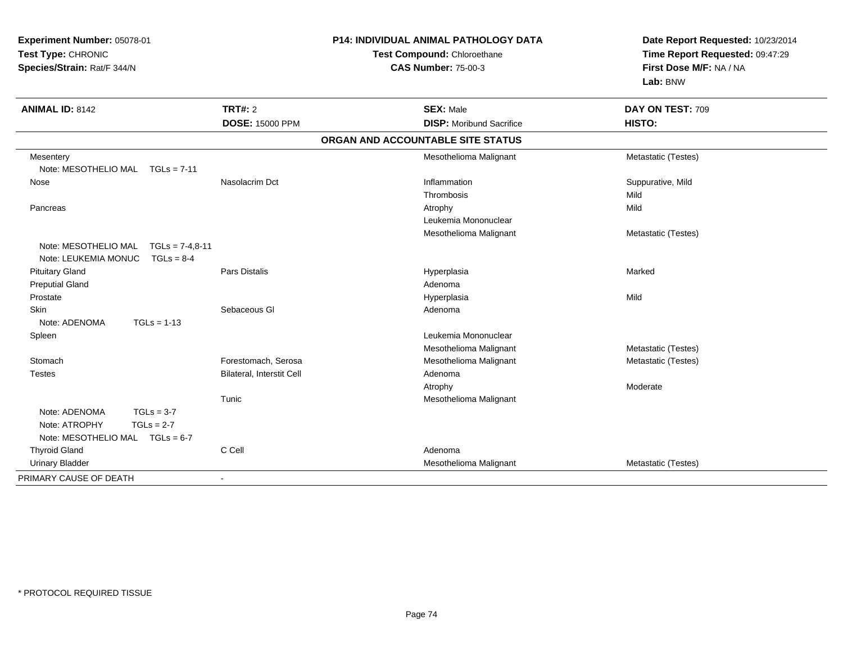| Experiment Number: 05078-01               |                           | P14: INDIVIDUAL ANIMAL PATHOLOGY DATA | Date Report Requested: 10/23/2014 |
|-------------------------------------------|---------------------------|---------------------------------------|-----------------------------------|
| Test Type: CHRONIC                        |                           | Test Compound: Chloroethane           | Time Report Requested: 09:47:29   |
| Species/Strain: Rat/F 344/N               |                           | <b>CAS Number: 75-00-3</b>            | First Dose M/F: NA / NA           |
|                                           |                           |                                       | Lab: BNW                          |
| <b>ANIMAL ID: 8142</b>                    | <b>TRT#: 2</b>            | <b>SEX: Male</b>                      | DAY ON TEST: 709                  |
|                                           | <b>DOSE: 15000 PPM</b>    | <b>DISP:</b> Moribund Sacrifice       | HISTO:                            |
|                                           |                           | ORGAN AND ACCOUNTABLE SITE STATUS     |                                   |
| Mesentery                                 |                           | Mesothelioma Malignant                | Metastatic (Testes)               |
| Note: MESOTHELIO MAL TGLs = 7-11          |                           |                                       |                                   |
| Nose                                      | Nasolacrim Dct            | Inflammation                          | Suppurative, Mild                 |
|                                           |                           | Thrombosis                            | Mild                              |
| Pancreas                                  |                           | Atrophy                               | Mild                              |
|                                           |                           | Leukemia Mononuclear                  |                                   |
|                                           |                           | Mesothelioma Malignant                | Metastatic (Testes)               |
| Note: MESOTHELIO MAL<br>$TGLs = 7-4.8-11$ |                           |                                       |                                   |
| Note: LEUKEMIA MONUC<br>$TGLs = 8-4$      |                           |                                       |                                   |
| <b>Pituitary Gland</b>                    | <b>Pars Distalis</b>      | Hyperplasia                           | Marked                            |
| <b>Preputial Gland</b>                    |                           | Adenoma                               |                                   |
| Prostate                                  |                           | Hyperplasia                           | Mild                              |
| <b>Skin</b>                               | Sebaceous GI              | Adenoma                               |                                   |
| Note: ADENOMA<br>$TGLs = 1-13$            |                           |                                       |                                   |
| Spleen                                    |                           | Leukemia Mononuclear                  |                                   |
|                                           |                           | Mesothelioma Malignant                | Metastatic (Testes)               |
| Stomach                                   | Forestomach, Serosa       | Mesothelioma Malignant                | Metastatic (Testes)               |
| <b>Testes</b>                             | Bilateral, Interstit Cell | Adenoma                               |                                   |
|                                           |                           | Atrophy                               | Moderate                          |
|                                           | Tunic                     | Mesothelioma Malignant                |                                   |
| $TGLs = 3-7$<br>Note: ADENOMA             |                           |                                       |                                   |
| $TGLs = 2-7$<br>Note: ATROPHY             |                           |                                       |                                   |
| Note: MESOTHELIO MAL TGLs = 6-7           |                           |                                       |                                   |
| <b>Thyroid Gland</b>                      | C Cell                    | Adenoma                               |                                   |
| <b>Urinary Bladder</b>                    |                           | Mesothelioma Malignant                | Metastatic (Testes)               |
| PRIMARY CAUSE OF DEATH                    | $\mathbf{r}$              |                                       |                                   |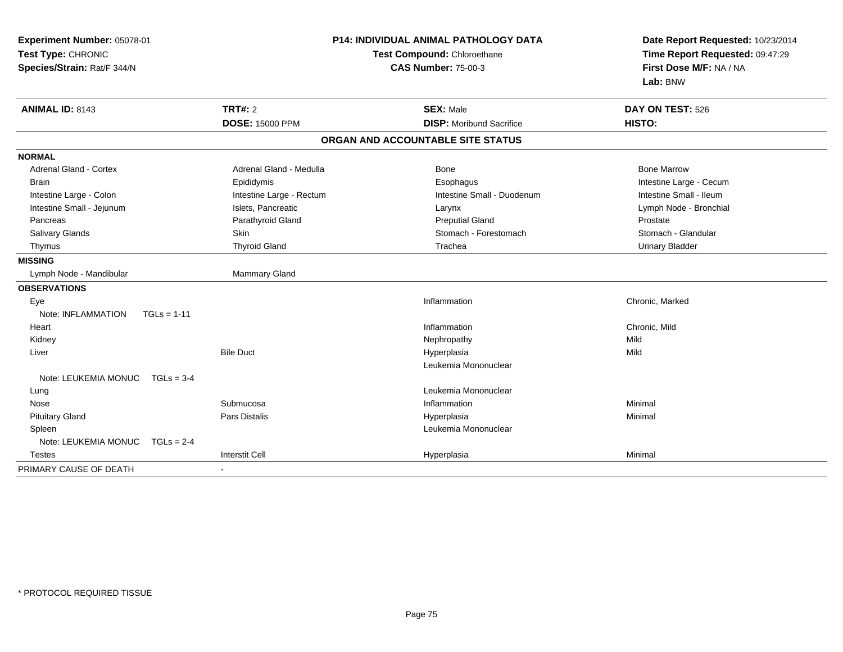| Experiment Number: 05078-01<br>Test Type: CHRONIC<br>Species/Strain: Rat/F 344/N |                          | P14: INDIVIDUAL ANIMAL PATHOLOGY DATA<br>Test Compound: Chloroethane<br><b>CAS Number: 75-00-3</b> | Date Report Requested: 10/23/2014<br>Time Report Requested: 09:47:29<br>First Dose M/F: NA / NA<br>Lab: BNW |  |
|----------------------------------------------------------------------------------|--------------------------|----------------------------------------------------------------------------------------------------|-------------------------------------------------------------------------------------------------------------|--|
| ANIMAL ID: 8143                                                                  | <b>TRT#: 2</b>           | <b>SEX: Male</b>                                                                                   | DAY ON TEST: 526                                                                                            |  |
|                                                                                  | <b>DOSE: 15000 PPM</b>   | <b>DISP:</b> Moribund Sacrifice                                                                    | HISTO:                                                                                                      |  |
|                                                                                  |                          | ORGAN AND ACCOUNTABLE SITE STATUS                                                                  |                                                                                                             |  |
| <b>NORMAL</b>                                                                    |                          |                                                                                                    |                                                                                                             |  |
| Adrenal Gland - Cortex                                                           | Adrenal Gland - Medulla  | Bone                                                                                               | <b>Bone Marrow</b>                                                                                          |  |
| <b>Brain</b>                                                                     | Epididymis               | Esophagus                                                                                          | Intestine Large - Cecum                                                                                     |  |
| Intestine Large - Colon                                                          | Intestine Large - Rectum | Intestine Small - Duodenum                                                                         | Intestine Small - Ileum                                                                                     |  |
| Intestine Small - Jejunum                                                        | Islets, Pancreatic       | Larynx                                                                                             | Lymph Node - Bronchial                                                                                      |  |
| Pancreas                                                                         | Parathyroid Gland        | <b>Preputial Gland</b>                                                                             | Prostate                                                                                                    |  |
| Salivary Glands                                                                  | Skin                     | Stomach - Forestomach                                                                              | Stomach - Glandular                                                                                         |  |
| Thymus                                                                           | <b>Thyroid Gland</b>     | Trachea                                                                                            | <b>Urinary Bladder</b>                                                                                      |  |
| <b>MISSING</b>                                                                   |                          |                                                                                                    |                                                                                                             |  |
| Lymph Node - Mandibular                                                          | Mammary Gland            |                                                                                                    |                                                                                                             |  |
| <b>OBSERVATIONS</b>                                                              |                          |                                                                                                    |                                                                                                             |  |
| Eye                                                                              |                          | Inflammation                                                                                       | Chronic, Marked                                                                                             |  |
| Note: INFLAMMATION<br>$TGLs = 1-11$                                              |                          |                                                                                                    |                                                                                                             |  |
| Heart                                                                            |                          | Inflammation                                                                                       | Chronic, Mild                                                                                               |  |
| Kidney                                                                           |                          | Nephropathy                                                                                        | Mild                                                                                                        |  |
| Liver                                                                            | <b>Bile Duct</b>         | Hyperplasia                                                                                        | Mild                                                                                                        |  |
|                                                                                  |                          | Leukemia Mononuclear                                                                               |                                                                                                             |  |
| Note: LEUKEMIA MONUC<br>$TGLs = 3-4$                                             |                          |                                                                                                    |                                                                                                             |  |
| Lung                                                                             |                          | Leukemia Mononuclear                                                                               |                                                                                                             |  |
| Nose                                                                             | Submucosa                | Inflammation                                                                                       | Minimal                                                                                                     |  |
| <b>Pituitary Gland</b>                                                           | <b>Pars Distalis</b>     | Hyperplasia                                                                                        | Minimal                                                                                                     |  |
| Spleen                                                                           |                          | Leukemia Mononuclear                                                                               |                                                                                                             |  |
| Note: LEUKEMIA MONUC<br>$TGLs = 2-4$                                             |                          |                                                                                                    |                                                                                                             |  |
| <b>Testes</b>                                                                    | <b>Interstit Cell</b>    | Hyperplasia                                                                                        | Minimal                                                                                                     |  |
| PRIMARY CAUSE OF DEATH                                                           |                          |                                                                                                    |                                                                                                             |  |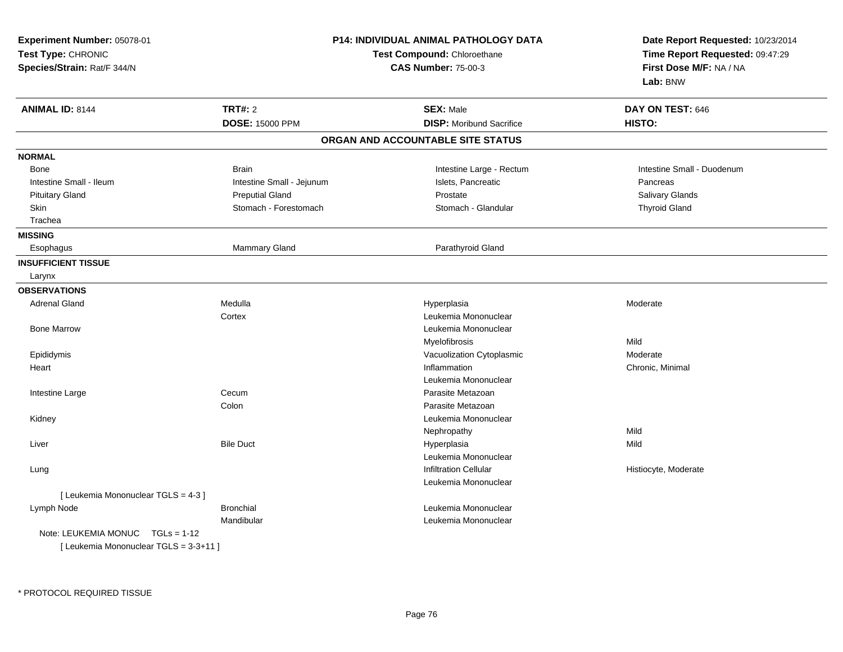| <b>TRT#: 2</b><br><b>ANIMAL ID: 8144</b><br><b>SEX: Male</b><br>DAY ON TEST: 646<br><b>DOSE: 15000 PPM</b><br><b>DISP:</b> Moribund Sacrifice<br>HISTO:<br>ORGAN AND ACCOUNTABLE SITE STATUS<br><b>NORMAL</b><br>Intestine Large - Rectum<br>Intestine Small - Duodenum<br><b>Brain</b><br><b>Bone</b><br>Intestine Small - Ileum<br>Intestine Small - Jejunum<br>Islets, Pancreatic<br>Pancreas<br>Prostate<br><b>Pituitary Gland</b><br><b>Preputial Gland</b><br>Salivary Glands<br>Stomach - Glandular<br><b>Thyroid Gland</b><br><b>Skin</b><br>Stomach - Forestomach<br>Trachea<br><b>MISSING</b><br>Parathyroid Gland<br>Mammary Gland<br>Esophagus<br><b>INSUFFICIENT TISSUE</b><br>Larynx<br><b>OBSERVATIONS</b><br><b>Adrenal Gland</b><br>Medulla<br>Hyperplasia<br>Moderate<br>Leukemia Mononuclear<br>Cortex<br><b>Bone Marrow</b><br>Leukemia Mononuclear<br>Myelofibrosis<br>Mild<br>Moderate<br>Epididymis<br>Vacuolization Cytoplasmic<br>Inflammation<br>Chronic, Minimal<br>Heart<br>Leukemia Mononuclear<br>Cecum<br>Parasite Metazoan<br>Intestine Large<br>Colon<br>Parasite Metazoan<br>Leukemia Mononuclear<br>Kidney<br>Mild<br>Nephropathy<br><b>Bile Duct</b><br>Mild<br>Liver<br>Hyperplasia<br>Leukemia Mononuclear<br><b>Infiltration Cellular</b><br>Histiocyte, Moderate<br>Lung<br>Leukemia Mononuclear<br>[Leukemia Mononuclear TGLS = 4-3]<br><b>Bronchial</b><br>Leukemia Mononuclear<br>Lymph Node<br>Mandibular<br>Leukemia Mononuclear<br>Note: LEUKEMIA MONUC<br>$TGLs = 1-12$ | Experiment Number: 05078-01<br>Test Type: CHRONIC<br>Species/Strain: Rat/F 344/N | P14: INDIVIDUAL ANIMAL PATHOLOGY DATA<br>Test Compound: Chloroethane<br><b>CAS Number: 75-00-3</b> |  | Date Report Requested: 10/23/2014<br>Time Report Requested: 09:47:29<br>First Dose M/F: NA / NA<br>Lab: BNW |  |
|------------------------------------------------------------------------------------------------------------------------------------------------------------------------------------------------------------------------------------------------------------------------------------------------------------------------------------------------------------------------------------------------------------------------------------------------------------------------------------------------------------------------------------------------------------------------------------------------------------------------------------------------------------------------------------------------------------------------------------------------------------------------------------------------------------------------------------------------------------------------------------------------------------------------------------------------------------------------------------------------------------------------------------------------------------------------------------------------------------------------------------------------------------------------------------------------------------------------------------------------------------------------------------------------------------------------------------------------------------------------------------------------------------------------------------------------------------------------------------------------------------------------|----------------------------------------------------------------------------------|----------------------------------------------------------------------------------------------------|--|-------------------------------------------------------------------------------------------------------------|--|
|                                                                                                                                                                                                                                                                                                                                                                                                                                                                                                                                                                                                                                                                                                                                                                                                                                                                                                                                                                                                                                                                                                                                                                                                                                                                                                                                                                                                                                                                                                                        |                                                                                  |                                                                                                    |  |                                                                                                             |  |
|                                                                                                                                                                                                                                                                                                                                                                                                                                                                                                                                                                                                                                                                                                                                                                                                                                                                                                                                                                                                                                                                                                                                                                                                                                                                                                                                                                                                                                                                                                                        |                                                                                  |                                                                                                    |  |                                                                                                             |  |
|                                                                                                                                                                                                                                                                                                                                                                                                                                                                                                                                                                                                                                                                                                                                                                                                                                                                                                                                                                                                                                                                                                                                                                                                                                                                                                                                                                                                                                                                                                                        |                                                                                  |                                                                                                    |  |                                                                                                             |  |
|                                                                                                                                                                                                                                                                                                                                                                                                                                                                                                                                                                                                                                                                                                                                                                                                                                                                                                                                                                                                                                                                                                                                                                                                                                                                                                                                                                                                                                                                                                                        |                                                                                  |                                                                                                    |  |                                                                                                             |  |
|                                                                                                                                                                                                                                                                                                                                                                                                                                                                                                                                                                                                                                                                                                                                                                                                                                                                                                                                                                                                                                                                                                                                                                                                                                                                                                                                                                                                                                                                                                                        |                                                                                  |                                                                                                    |  |                                                                                                             |  |
|                                                                                                                                                                                                                                                                                                                                                                                                                                                                                                                                                                                                                                                                                                                                                                                                                                                                                                                                                                                                                                                                                                                                                                                                                                                                                                                                                                                                                                                                                                                        |                                                                                  |                                                                                                    |  |                                                                                                             |  |
|                                                                                                                                                                                                                                                                                                                                                                                                                                                                                                                                                                                                                                                                                                                                                                                                                                                                                                                                                                                                                                                                                                                                                                                                                                                                                                                                                                                                                                                                                                                        |                                                                                  |                                                                                                    |  |                                                                                                             |  |
|                                                                                                                                                                                                                                                                                                                                                                                                                                                                                                                                                                                                                                                                                                                                                                                                                                                                                                                                                                                                                                                                                                                                                                                                                                                                                                                                                                                                                                                                                                                        |                                                                                  |                                                                                                    |  |                                                                                                             |  |
|                                                                                                                                                                                                                                                                                                                                                                                                                                                                                                                                                                                                                                                                                                                                                                                                                                                                                                                                                                                                                                                                                                                                                                                                                                                                                                                                                                                                                                                                                                                        |                                                                                  |                                                                                                    |  |                                                                                                             |  |
|                                                                                                                                                                                                                                                                                                                                                                                                                                                                                                                                                                                                                                                                                                                                                                                                                                                                                                                                                                                                                                                                                                                                                                                                                                                                                                                                                                                                                                                                                                                        |                                                                                  |                                                                                                    |  |                                                                                                             |  |
|                                                                                                                                                                                                                                                                                                                                                                                                                                                                                                                                                                                                                                                                                                                                                                                                                                                                                                                                                                                                                                                                                                                                                                                                                                                                                                                                                                                                                                                                                                                        |                                                                                  |                                                                                                    |  |                                                                                                             |  |
|                                                                                                                                                                                                                                                                                                                                                                                                                                                                                                                                                                                                                                                                                                                                                                                                                                                                                                                                                                                                                                                                                                                                                                                                                                                                                                                                                                                                                                                                                                                        |                                                                                  |                                                                                                    |  |                                                                                                             |  |
|                                                                                                                                                                                                                                                                                                                                                                                                                                                                                                                                                                                                                                                                                                                                                                                                                                                                                                                                                                                                                                                                                                                                                                                                                                                                                                                                                                                                                                                                                                                        |                                                                                  |                                                                                                    |  |                                                                                                             |  |
|                                                                                                                                                                                                                                                                                                                                                                                                                                                                                                                                                                                                                                                                                                                                                                                                                                                                                                                                                                                                                                                                                                                                                                                                                                                                                                                                                                                                                                                                                                                        |                                                                                  |                                                                                                    |  |                                                                                                             |  |
|                                                                                                                                                                                                                                                                                                                                                                                                                                                                                                                                                                                                                                                                                                                                                                                                                                                                                                                                                                                                                                                                                                                                                                                                                                                                                                                                                                                                                                                                                                                        |                                                                                  |                                                                                                    |  |                                                                                                             |  |
|                                                                                                                                                                                                                                                                                                                                                                                                                                                                                                                                                                                                                                                                                                                                                                                                                                                                                                                                                                                                                                                                                                                                                                                                                                                                                                                                                                                                                                                                                                                        |                                                                                  |                                                                                                    |  |                                                                                                             |  |
|                                                                                                                                                                                                                                                                                                                                                                                                                                                                                                                                                                                                                                                                                                                                                                                                                                                                                                                                                                                                                                                                                                                                                                                                                                                                                                                                                                                                                                                                                                                        |                                                                                  |                                                                                                    |  |                                                                                                             |  |
|                                                                                                                                                                                                                                                                                                                                                                                                                                                                                                                                                                                                                                                                                                                                                                                                                                                                                                                                                                                                                                                                                                                                                                                                                                                                                                                                                                                                                                                                                                                        |                                                                                  |                                                                                                    |  |                                                                                                             |  |
|                                                                                                                                                                                                                                                                                                                                                                                                                                                                                                                                                                                                                                                                                                                                                                                                                                                                                                                                                                                                                                                                                                                                                                                                                                                                                                                                                                                                                                                                                                                        |                                                                                  |                                                                                                    |  |                                                                                                             |  |
|                                                                                                                                                                                                                                                                                                                                                                                                                                                                                                                                                                                                                                                                                                                                                                                                                                                                                                                                                                                                                                                                                                                                                                                                                                                                                                                                                                                                                                                                                                                        |                                                                                  |                                                                                                    |  |                                                                                                             |  |
|                                                                                                                                                                                                                                                                                                                                                                                                                                                                                                                                                                                                                                                                                                                                                                                                                                                                                                                                                                                                                                                                                                                                                                                                                                                                                                                                                                                                                                                                                                                        |                                                                                  |                                                                                                    |  |                                                                                                             |  |
|                                                                                                                                                                                                                                                                                                                                                                                                                                                                                                                                                                                                                                                                                                                                                                                                                                                                                                                                                                                                                                                                                                                                                                                                                                                                                                                                                                                                                                                                                                                        |                                                                                  |                                                                                                    |  |                                                                                                             |  |
|                                                                                                                                                                                                                                                                                                                                                                                                                                                                                                                                                                                                                                                                                                                                                                                                                                                                                                                                                                                                                                                                                                                                                                                                                                                                                                                                                                                                                                                                                                                        |                                                                                  |                                                                                                    |  |                                                                                                             |  |
|                                                                                                                                                                                                                                                                                                                                                                                                                                                                                                                                                                                                                                                                                                                                                                                                                                                                                                                                                                                                                                                                                                                                                                                                                                                                                                                                                                                                                                                                                                                        |                                                                                  |                                                                                                    |  |                                                                                                             |  |
|                                                                                                                                                                                                                                                                                                                                                                                                                                                                                                                                                                                                                                                                                                                                                                                                                                                                                                                                                                                                                                                                                                                                                                                                                                                                                                                                                                                                                                                                                                                        |                                                                                  |                                                                                                    |  |                                                                                                             |  |
|                                                                                                                                                                                                                                                                                                                                                                                                                                                                                                                                                                                                                                                                                                                                                                                                                                                                                                                                                                                                                                                                                                                                                                                                                                                                                                                                                                                                                                                                                                                        |                                                                                  |                                                                                                    |  |                                                                                                             |  |
|                                                                                                                                                                                                                                                                                                                                                                                                                                                                                                                                                                                                                                                                                                                                                                                                                                                                                                                                                                                                                                                                                                                                                                                                                                                                                                                                                                                                                                                                                                                        |                                                                                  |                                                                                                    |  |                                                                                                             |  |
|                                                                                                                                                                                                                                                                                                                                                                                                                                                                                                                                                                                                                                                                                                                                                                                                                                                                                                                                                                                                                                                                                                                                                                                                                                                                                                                                                                                                                                                                                                                        |                                                                                  |                                                                                                    |  |                                                                                                             |  |
|                                                                                                                                                                                                                                                                                                                                                                                                                                                                                                                                                                                                                                                                                                                                                                                                                                                                                                                                                                                                                                                                                                                                                                                                                                                                                                                                                                                                                                                                                                                        |                                                                                  |                                                                                                    |  |                                                                                                             |  |
|                                                                                                                                                                                                                                                                                                                                                                                                                                                                                                                                                                                                                                                                                                                                                                                                                                                                                                                                                                                                                                                                                                                                                                                                                                                                                                                                                                                                                                                                                                                        |                                                                                  |                                                                                                    |  |                                                                                                             |  |
|                                                                                                                                                                                                                                                                                                                                                                                                                                                                                                                                                                                                                                                                                                                                                                                                                                                                                                                                                                                                                                                                                                                                                                                                                                                                                                                                                                                                                                                                                                                        |                                                                                  |                                                                                                    |  |                                                                                                             |  |
|                                                                                                                                                                                                                                                                                                                                                                                                                                                                                                                                                                                                                                                                                                                                                                                                                                                                                                                                                                                                                                                                                                                                                                                                                                                                                                                                                                                                                                                                                                                        |                                                                                  |                                                                                                    |  |                                                                                                             |  |
| [ Leukemia Mononuclear TGLS = 3-3+11 ]                                                                                                                                                                                                                                                                                                                                                                                                                                                                                                                                                                                                                                                                                                                                                                                                                                                                                                                                                                                                                                                                                                                                                                                                                                                                                                                                                                                                                                                                                 |                                                                                  |                                                                                                    |  |                                                                                                             |  |

\* PROTOCOL REQUIRED TISSUE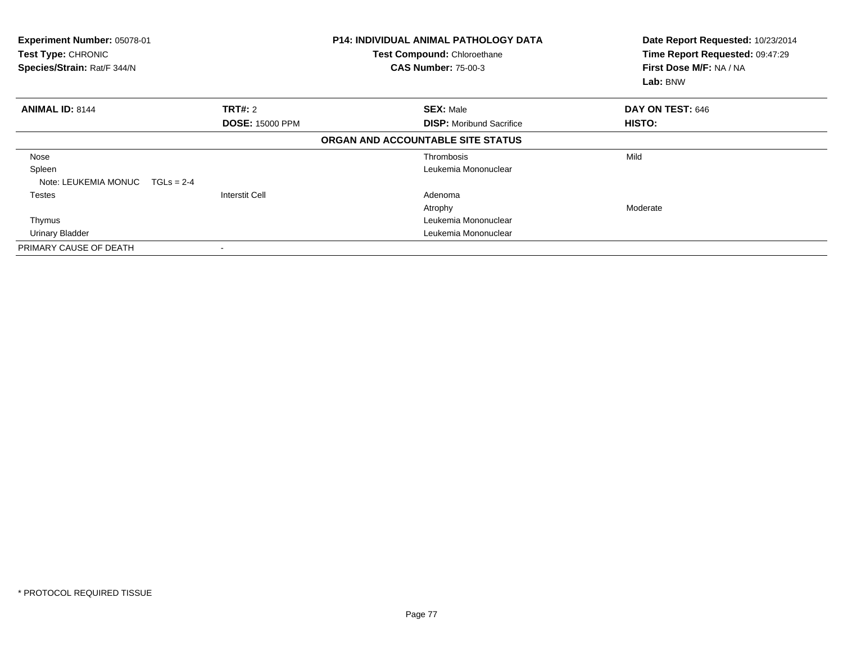| Experiment Number: 05078-01<br>Test Type: CHRONIC<br>Species/Strain: Rat/F 344/N |                        | <b>P14: INDIVIDUAL ANIMAL PATHOLOGY DATA</b><br>Test Compound: Chloroethane<br><b>CAS Number: 75-00-3</b> | Date Report Requested: 10/23/2014<br>Time Report Requested: 09:47:29<br>First Dose M/F: NA / NA<br>Lab: BNW |
|----------------------------------------------------------------------------------|------------------------|-----------------------------------------------------------------------------------------------------------|-------------------------------------------------------------------------------------------------------------|
| <b>ANIMAL ID: 8144</b>                                                           | <b>TRT#: 2</b>         | <b>SEX: Male</b>                                                                                          | DAY ON TEST: 646                                                                                            |
|                                                                                  | <b>DOSE: 15000 PPM</b> | <b>DISP:</b> Moribund Sacrifice                                                                           | HISTO:                                                                                                      |
|                                                                                  |                        | ORGAN AND ACCOUNTABLE SITE STATUS                                                                         |                                                                                                             |
| Nose                                                                             |                        | Thrombosis                                                                                                | Mild                                                                                                        |
| Spleen                                                                           |                        | Leukemia Mononuclear                                                                                      |                                                                                                             |
| Note: LEUKEMIA MONUC<br>$TGLs = 2-4$                                             |                        |                                                                                                           |                                                                                                             |
| Testes                                                                           | <b>Interstit Cell</b>  | Adenoma                                                                                                   |                                                                                                             |
|                                                                                  |                        | Atrophy                                                                                                   | Moderate                                                                                                    |
| Thymus                                                                           |                        | Leukemia Mononuclear                                                                                      |                                                                                                             |
| Urinary Bladder                                                                  |                        | Leukemia Mononuclear                                                                                      |                                                                                                             |
| PRIMARY CAUSE OF DEATH                                                           |                        |                                                                                                           |                                                                                                             |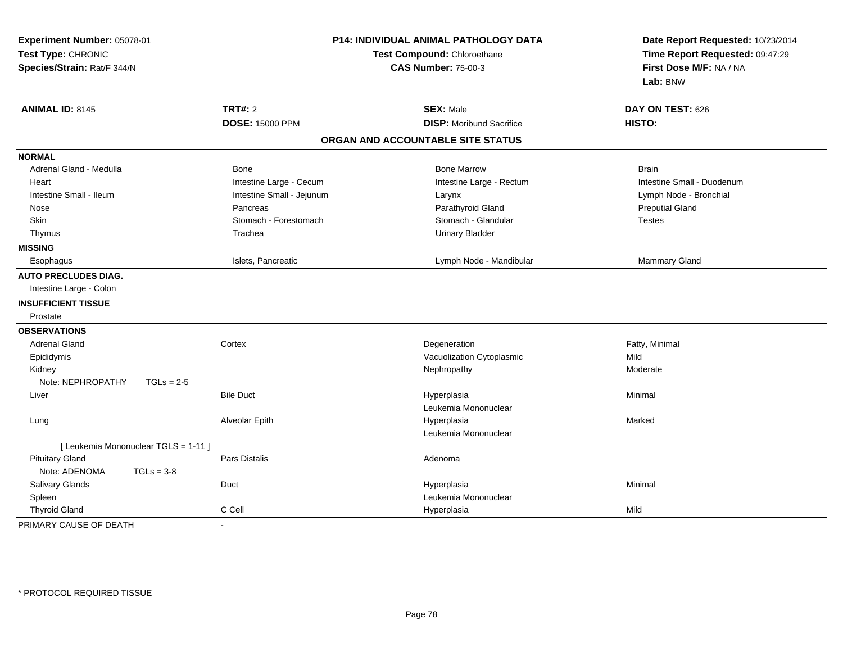| Experiment Number: 05078-01<br>Test Type: CHRONIC<br>Species/Strain: Rat/F 344/N | P14: INDIVIDUAL ANIMAL PATHOLOGY DATA<br>Test Compound: Chloroethane<br><b>CAS Number: 75-00-3</b> |                                   | Date Report Requested: 10/23/2014<br>Time Report Requested: 09:47:29<br>First Dose M/F: NA / NA<br>Lab: BNW |  |
|----------------------------------------------------------------------------------|----------------------------------------------------------------------------------------------------|-----------------------------------|-------------------------------------------------------------------------------------------------------------|--|
| <b>ANIMAL ID: 8145</b>                                                           | <b>TRT#: 2</b>                                                                                     | <b>SEX: Male</b>                  | DAY ON TEST: 626                                                                                            |  |
|                                                                                  | <b>DOSE: 15000 PPM</b>                                                                             | <b>DISP:</b> Moribund Sacrifice   | HISTO:                                                                                                      |  |
|                                                                                  |                                                                                                    | ORGAN AND ACCOUNTABLE SITE STATUS |                                                                                                             |  |
| <b>NORMAL</b>                                                                    |                                                                                                    |                                   |                                                                                                             |  |
| Adrenal Gland - Medulla                                                          | Bone                                                                                               | <b>Bone Marrow</b>                | <b>Brain</b>                                                                                                |  |
| Heart                                                                            | Intestine Large - Cecum                                                                            | Intestine Large - Rectum          | Intestine Small - Duodenum                                                                                  |  |
| Intestine Small - Ileum                                                          | Intestine Small - Jejunum                                                                          | Larynx                            | Lymph Node - Bronchial                                                                                      |  |
| Nose                                                                             | Pancreas                                                                                           | Parathyroid Gland                 | <b>Preputial Gland</b>                                                                                      |  |
| Skin                                                                             | Stomach - Forestomach                                                                              | Stomach - Glandular               | <b>Testes</b>                                                                                               |  |
| Thymus                                                                           | Trachea                                                                                            | <b>Urinary Bladder</b>            |                                                                                                             |  |
| <b>MISSING</b>                                                                   |                                                                                                    |                                   |                                                                                                             |  |
| Esophagus                                                                        | Islets, Pancreatic                                                                                 | Lymph Node - Mandibular           | <b>Mammary Gland</b>                                                                                        |  |
| <b>AUTO PRECLUDES DIAG.</b>                                                      |                                                                                                    |                                   |                                                                                                             |  |
| Intestine Large - Colon                                                          |                                                                                                    |                                   |                                                                                                             |  |
| <b>INSUFFICIENT TISSUE</b>                                                       |                                                                                                    |                                   |                                                                                                             |  |
| Prostate                                                                         |                                                                                                    |                                   |                                                                                                             |  |
| <b>OBSERVATIONS</b>                                                              |                                                                                                    |                                   |                                                                                                             |  |
| <b>Adrenal Gland</b>                                                             | Cortex                                                                                             | Degeneration                      | Fatty, Minimal                                                                                              |  |
| Epididymis                                                                       |                                                                                                    | Vacuolization Cytoplasmic         | Mild                                                                                                        |  |
| Kidney                                                                           |                                                                                                    | Nephropathy                       | Moderate                                                                                                    |  |
| Note: NEPHROPATHY<br>$TGLs = 2-5$                                                |                                                                                                    |                                   |                                                                                                             |  |
| Liver                                                                            | <b>Bile Duct</b>                                                                                   | Hyperplasia                       | Minimal                                                                                                     |  |
|                                                                                  |                                                                                                    | Leukemia Mononuclear              |                                                                                                             |  |
| Lung                                                                             | Alveolar Epith                                                                                     | Hyperplasia                       | Marked                                                                                                      |  |
|                                                                                  |                                                                                                    | Leukemia Mononuclear              |                                                                                                             |  |
| [ Leukemia Mononuclear TGLS = 1-11 ]                                             |                                                                                                    |                                   |                                                                                                             |  |
| <b>Pituitary Gland</b>                                                           | <b>Pars Distalis</b>                                                                               | Adenoma                           |                                                                                                             |  |
| Note: ADENOMA<br>$TGLs = 3-8$                                                    |                                                                                                    |                                   |                                                                                                             |  |
| Salivary Glands                                                                  | Duct                                                                                               | Hyperplasia                       | Minimal                                                                                                     |  |
| Spleen                                                                           |                                                                                                    | Leukemia Mononuclear              |                                                                                                             |  |
| <b>Thyroid Gland</b>                                                             | C Cell                                                                                             | Hyperplasia                       | Mild                                                                                                        |  |
| PRIMARY CAUSE OF DEATH                                                           |                                                                                                    |                                   |                                                                                                             |  |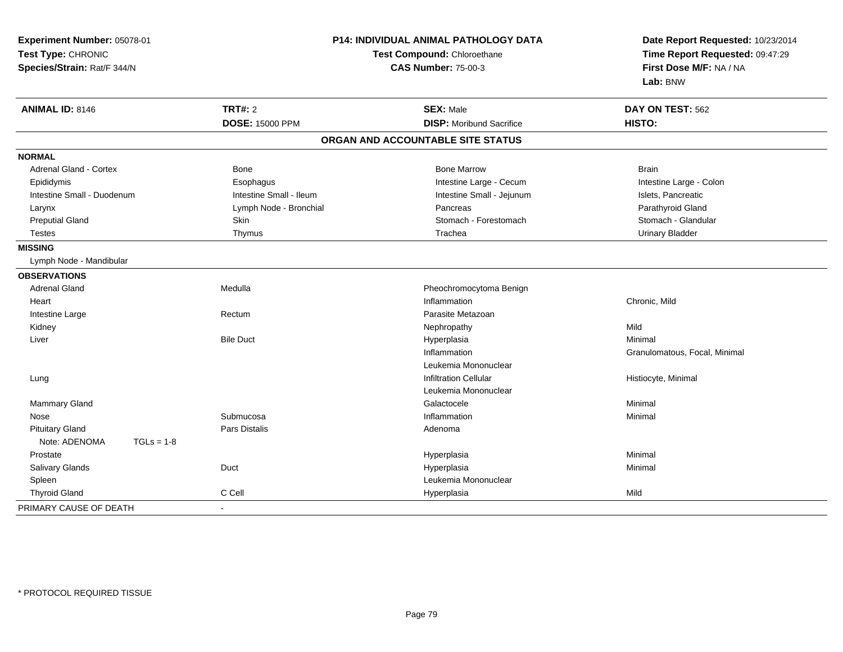| Experiment Number: 05078-01<br>Test Type: CHRONIC<br>Species/Strain: Rat/F 344/N |                         | P14: INDIVIDUAL ANIMAL PATHOLOGY DATA<br>Test Compound: Chloroethane<br><b>CAS Number: 75-00-3</b> | Date Report Requested: 10/23/2014<br>Time Report Requested: 09:47:29<br>First Dose M/F: NA / NA<br>Lab: BNW |  |
|----------------------------------------------------------------------------------|-------------------------|----------------------------------------------------------------------------------------------------|-------------------------------------------------------------------------------------------------------------|--|
| <b>ANIMAL ID: 8146</b>                                                           | <b>TRT#: 2</b>          | <b>SEX: Male</b>                                                                                   | DAY ON TEST: 562                                                                                            |  |
|                                                                                  | <b>DOSE: 15000 PPM</b>  | <b>DISP:</b> Moribund Sacrifice                                                                    | HISTO:                                                                                                      |  |
|                                                                                  |                         | ORGAN AND ACCOUNTABLE SITE STATUS                                                                  |                                                                                                             |  |
| <b>NORMAL</b>                                                                    |                         |                                                                                                    |                                                                                                             |  |
| Adrenal Gland - Cortex                                                           | Bone                    | <b>Bone Marrow</b>                                                                                 | <b>Brain</b>                                                                                                |  |
| Epididymis                                                                       | Esophagus               | Intestine Large - Cecum                                                                            | Intestine Large - Colon                                                                                     |  |
| Intestine Small - Duodenum                                                       | Intestine Small - Ileum | Intestine Small - Jejunum                                                                          | Islets, Pancreatic                                                                                          |  |
| Larynx                                                                           | Lymph Node - Bronchial  | Pancreas                                                                                           | Parathyroid Gland                                                                                           |  |
| <b>Preputial Gland</b>                                                           | <b>Skin</b>             | Stomach - Forestomach                                                                              | Stomach - Glandular                                                                                         |  |
| <b>Testes</b>                                                                    | Thymus                  | Trachea                                                                                            | <b>Urinary Bladder</b>                                                                                      |  |
| <b>MISSING</b>                                                                   |                         |                                                                                                    |                                                                                                             |  |
| Lymph Node - Mandibular                                                          |                         |                                                                                                    |                                                                                                             |  |
| <b>OBSERVATIONS</b>                                                              |                         |                                                                                                    |                                                                                                             |  |
| <b>Adrenal Gland</b>                                                             | Medulla                 | Pheochromocytoma Benign                                                                            |                                                                                                             |  |
| Heart                                                                            |                         | Inflammation                                                                                       | Chronic, Mild                                                                                               |  |
| Intestine Large                                                                  | Rectum                  | Parasite Metazoan                                                                                  |                                                                                                             |  |
| Kidney                                                                           |                         | Nephropathy                                                                                        | Mild                                                                                                        |  |
| Liver                                                                            | <b>Bile Duct</b>        | Hyperplasia                                                                                        | Minimal                                                                                                     |  |
|                                                                                  |                         | Inflammation                                                                                       | Granulomatous, Focal, Minimal                                                                               |  |
|                                                                                  |                         | Leukemia Mononuclear                                                                               |                                                                                                             |  |
| Lung                                                                             |                         | <b>Infiltration Cellular</b>                                                                       | Histiocyte, Minimal                                                                                         |  |
|                                                                                  |                         | Leukemia Mononuclear                                                                               |                                                                                                             |  |
| Mammary Gland                                                                    |                         | Galactocele                                                                                        | Minimal                                                                                                     |  |
| Nose                                                                             | Submucosa               | Inflammation                                                                                       | Minimal                                                                                                     |  |
| <b>Pituitary Gland</b>                                                           | Pars Distalis           | Adenoma                                                                                            |                                                                                                             |  |
| Note: ADENOMA<br>$TGLs = 1-8$                                                    |                         |                                                                                                    |                                                                                                             |  |
| Prostate                                                                         |                         | Hyperplasia                                                                                        | Minimal                                                                                                     |  |
| Salivary Glands                                                                  | Duct                    | Hyperplasia                                                                                        | Minimal                                                                                                     |  |
| Spleen                                                                           |                         | Leukemia Mononuclear                                                                               |                                                                                                             |  |
| <b>Thyroid Gland</b>                                                             | C Cell                  | Hyperplasia                                                                                        | Mild                                                                                                        |  |
| PRIMARY CAUSE OF DEATH                                                           | $\blacksquare$          |                                                                                                    |                                                                                                             |  |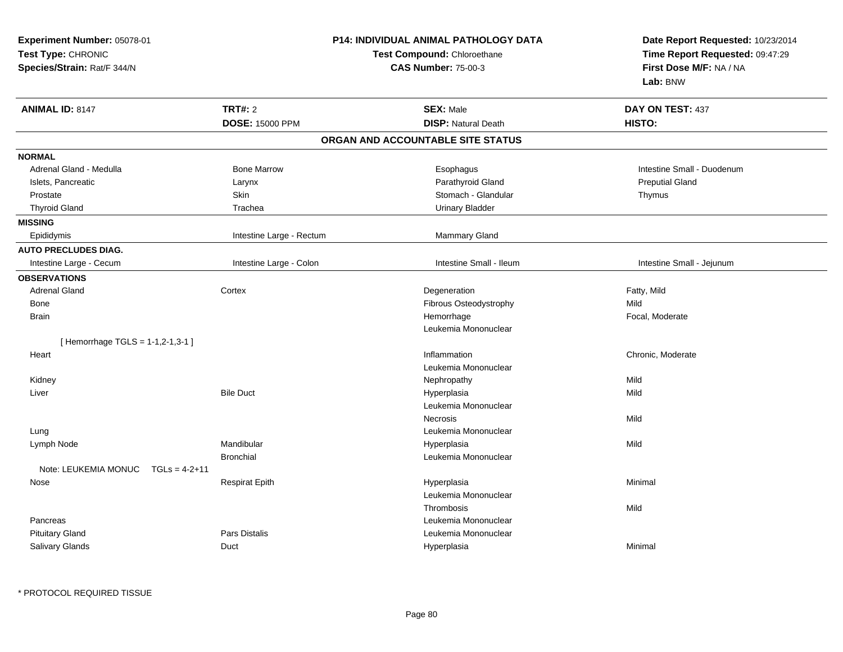| Experiment Number: 05078-01             | <b>P14: INDIVIDUAL ANIMAL PATHOLOGY DATA</b> |                                   | Date Report Requested: 10/23/2014                                      |  |
|-----------------------------------------|----------------------------------------------|-----------------------------------|------------------------------------------------------------------------|--|
| Test Type: CHRONIC                      |                                              | Test Compound: Chloroethane       | Time Report Requested: 09:47:29<br>First Dose M/F: NA / NA<br>Lab: BNW |  |
| Species/Strain: Rat/F 344/N             |                                              | <b>CAS Number: 75-00-3</b>        |                                                                        |  |
| <b>ANIMAL ID: 8147</b>                  | <b>TRT#: 2</b>                               | <b>SEX: Male</b>                  | DAY ON TEST: 437                                                       |  |
|                                         | <b>DOSE: 15000 PPM</b>                       | <b>DISP: Natural Death</b>        | HISTO:                                                                 |  |
|                                         |                                              | ORGAN AND ACCOUNTABLE SITE STATUS |                                                                        |  |
| <b>NORMAL</b>                           |                                              |                                   |                                                                        |  |
| Adrenal Gland - Medulla                 | <b>Bone Marrow</b>                           | Esophagus                         | Intestine Small - Duodenum                                             |  |
| Islets, Pancreatic                      | Larynx                                       | Parathyroid Gland                 | <b>Preputial Gland</b>                                                 |  |
| Prostate                                | Skin                                         | Stomach - Glandular               | Thymus                                                                 |  |
| <b>Thyroid Gland</b>                    | Trachea                                      | <b>Urinary Bladder</b>            |                                                                        |  |
| <b>MISSING</b>                          |                                              |                                   |                                                                        |  |
| Epididymis                              | Intestine Large - Rectum                     | <b>Mammary Gland</b>              |                                                                        |  |
| <b>AUTO PRECLUDES DIAG.</b>             |                                              |                                   |                                                                        |  |
| Intestine Large - Cecum                 | Intestine Large - Colon                      | Intestine Small - Ileum           | Intestine Small - Jejunum                                              |  |
| <b>OBSERVATIONS</b>                     |                                              |                                   |                                                                        |  |
| <b>Adrenal Gland</b>                    | Cortex                                       | Degeneration                      | Fatty, Mild                                                            |  |
| Bone                                    |                                              | Fibrous Osteodystrophy            | Mild                                                                   |  |
| <b>Brain</b>                            |                                              | Hemorrhage                        | Focal, Moderate                                                        |  |
|                                         |                                              | Leukemia Mononuclear              |                                                                        |  |
| [Hemorrhage TGLS = 1-1,2-1,3-1]         |                                              |                                   |                                                                        |  |
| Heart                                   |                                              | Inflammation                      | Chronic, Moderate                                                      |  |
|                                         |                                              | Leukemia Mononuclear              |                                                                        |  |
| Kidney                                  |                                              | Nephropathy                       | Mild                                                                   |  |
| Liver                                   | <b>Bile Duct</b>                             | Hyperplasia                       | Mild                                                                   |  |
|                                         |                                              | Leukemia Mononuclear              |                                                                        |  |
|                                         |                                              | <b>Necrosis</b>                   | Mild                                                                   |  |
| Lung                                    |                                              | Leukemia Mononuclear              |                                                                        |  |
| Lymph Node                              | Mandibular                                   | Hyperplasia                       | Mild                                                                   |  |
|                                         | <b>Bronchial</b>                             | Leukemia Mononuclear              |                                                                        |  |
| Note: LEUKEMIA MONUC<br>$TGLs = 4-2+11$ |                                              |                                   |                                                                        |  |
| Nose                                    | <b>Respirat Epith</b>                        | Hyperplasia                       | Minimal                                                                |  |
|                                         |                                              | Leukemia Mononuclear              |                                                                        |  |
|                                         |                                              | Thrombosis                        | Mild                                                                   |  |
| Pancreas                                |                                              | Leukemia Mononuclear              |                                                                        |  |
| <b>Pituitary Gland</b>                  | Pars Distalis                                | Leukemia Mononuclear              |                                                                        |  |
| Salivary Glands                         | Duct                                         | Hyperplasia                       | Minimal                                                                |  |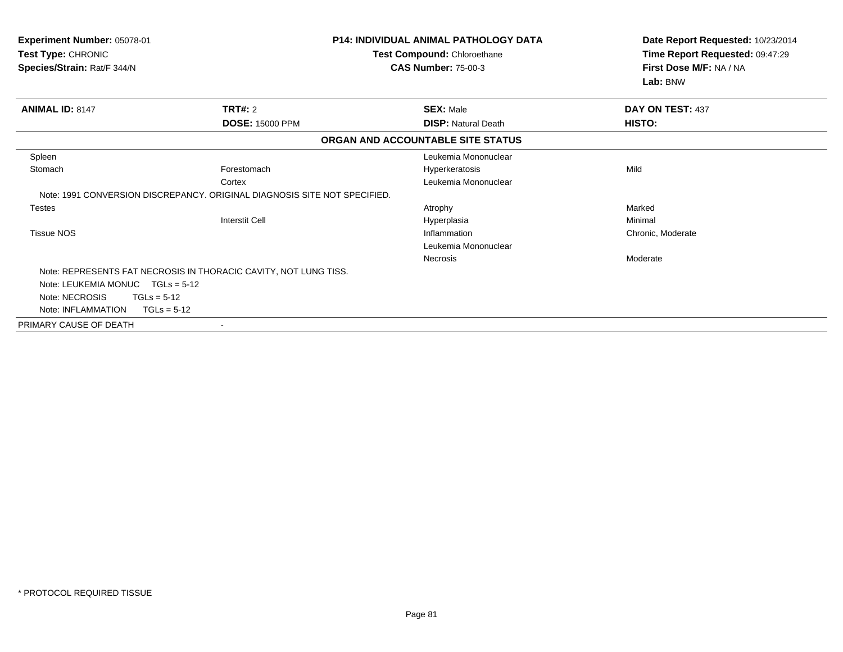| Experiment Number: 05078-01<br>Test Type: CHRONIC<br>Species/Strain: Rat/F 344/N |                        | <b>P14: INDIVIDUAL ANIMAL PATHOLOGY DATA</b><br>Test Compound: Chloroethane<br><b>CAS Number: 75-00-3</b> | Date Report Requested: 10/23/2014<br>Time Report Requested: 09:47:29<br>First Dose M/F: NA / NA<br>Lab: BNW |  |
|----------------------------------------------------------------------------------|------------------------|-----------------------------------------------------------------------------------------------------------|-------------------------------------------------------------------------------------------------------------|--|
| <b>ANIMAL ID: 8147</b>                                                           | TRT#: 2                | <b>SEX: Male</b>                                                                                          | DAY ON TEST: 437                                                                                            |  |
|                                                                                  | <b>DOSE: 15000 PPM</b> | <b>DISP: Natural Death</b>                                                                                | <b>HISTO:</b>                                                                                               |  |
|                                                                                  |                        | ORGAN AND ACCOUNTABLE SITE STATUS                                                                         |                                                                                                             |  |
| Spleen                                                                           |                        | Leukemia Mononuclear                                                                                      |                                                                                                             |  |
| Stomach                                                                          | Forestomach            | Hyperkeratosis                                                                                            | Mild                                                                                                        |  |
|                                                                                  | Cortex                 | Leukemia Mononuclear                                                                                      |                                                                                                             |  |
| Note: 1991 CONVERSION DISCREPANCY, ORIGINAL DIAGNOSIS SITE NOT SPECIFIED.        |                        |                                                                                                           |                                                                                                             |  |
| <b>Testes</b>                                                                    |                        | Atrophy                                                                                                   | Marked                                                                                                      |  |
|                                                                                  | <b>Interstit Cell</b>  | Hyperplasia                                                                                               | Minimal                                                                                                     |  |
| <b>Tissue NOS</b>                                                                |                        | Inflammation                                                                                              | Chronic, Moderate                                                                                           |  |
|                                                                                  |                        | Leukemia Mononuclear                                                                                      |                                                                                                             |  |
|                                                                                  |                        | <b>Necrosis</b>                                                                                           | Moderate                                                                                                    |  |
| Note: REPRESENTS FAT NECROSIS IN THORACIC CAVITY, NOT LUNG TISS.                 |                        |                                                                                                           |                                                                                                             |  |
| Note: LEUKEMIA MONUC $TGLs = 5-12$                                               |                        |                                                                                                           |                                                                                                             |  |
| Note: NECROSIS<br>$TGLs = 5-12$                                                  |                        |                                                                                                           |                                                                                                             |  |
| Note: INFLAMMATION<br>$TGLs = 5-12$                                              |                        |                                                                                                           |                                                                                                             |  |
| PRIMARY CAUSE OF DEATH                                                           |                        |                                                                                                           |                                                                                                             |  |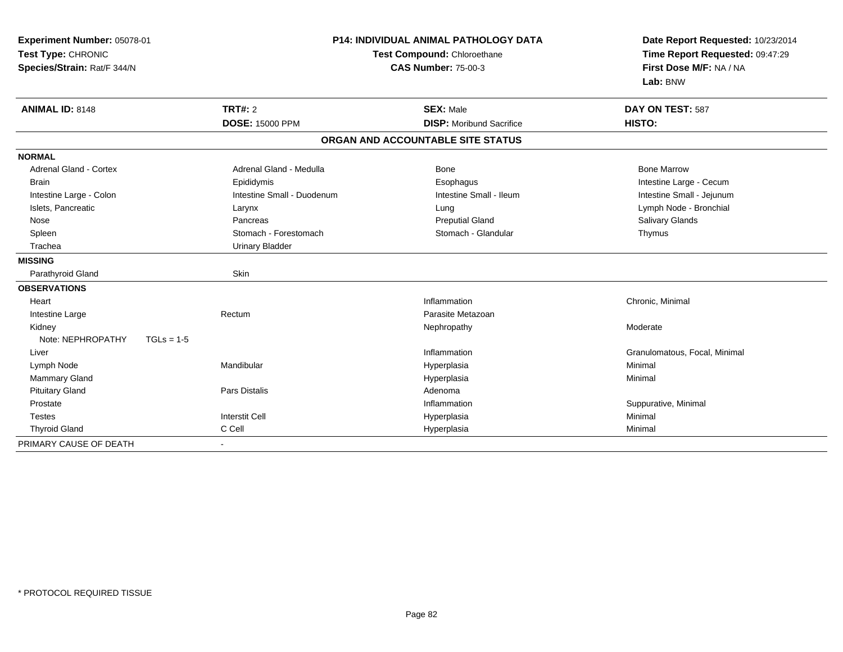| Experiment Number: 05078-01<br>Test Type: CHRONIC<br>Species/Strain: Rat/F 344/N |                                          | <b>P14: INDIVIDUAL ANIMAL PATHOLOGY DATA</b><br>Test Compound: Chloroethane<br><b>CAS Number: 75-00-3</b> |                               | Date Report Requested: 10/23/2014<br>Time Report Requested: 09:47:29<br>First Dose M/F: NA / NA |
|----------------------------------------------------------------------------------|------------------------------------------|-----------------------------------------------------------------------------------------------------------|-------------------------------|-------------------------------------------------------------------------------------------------|
| <b>ANIMAL ID: 8148</b>                                                           | <b>TRT#: 2</b><br><b>DOSE: 15000 PPM</b> | <b>SEX: Male</b><br><b>DISP:</b> Moribund Sacrifice                                                       | DAY ON TEST: 587<br>HISTO:    |                                                                                                 |
|                                                                                  |                                          | ORGAN AND ACCOUNTABLE SITE STATUS                                                                         |                               |                                                                                                 |
| <b>NORMAL</b>                                                                    |                                          |                                                                                                           |                               |                                                                                                 |
| <b>Adrenal Gland - Cortex</b>                                                    | Adrenal Gland - Medulla                  | Bone                                                                                                      | <b>Bone Marrow</b>            |                                                                                                 |
| <b>Brain</b>                                                                     | Epididymis                               | Esophagus                                                                                                 | Intestine Large - Cecum       |                                                                                                 |
| Intestine Large - Colon                                                          | Intestine Small - Duodenum               | Intestine Small - Ileum                                                                                   | Intestine Small - Jejunum     |                                                                                                 |
| Islets, Pancreatic                                                               | Larynx                                   | Lung                                                                                                      | Lymph Node - Bronchial        |                                                                                                 |
| Nose                                                                             | Pancreas                                 | <b>Preputial Gland</b>                                                                                    | Salivary Glands               |                                                                                                 |
| Spleen                                                                           | Stomach - Forestomach                    | Stomach - Glandular                                                                                       | Thymus                        |                                                                                                 |
| Trachea                                                                          | <b>Urinary Bladder</b>                   |                                                                                                           |                               |                                                                                                 |
| <b>MISSING</b>                                                                   |                                          |                                                                                                           |                               |                                                                                                 |
| Parathyroid Gland                                                                | Skin                                     |                                                                                                           |                               |                                                                                                 |
| <b>OBSERVATIONS</b>                                                              |                                          |                                                                                                           |                               |                                                                                                 |
| Heart                                                                            |                                          | Inflammation                                                                                              | Chronic, Minimal              |                                                                                                 |
| Intestine Large                                                                  | Rectum                                   | Parasite Metazoan                                                                                         |                               |                                                                                                 |
| Kidney                                                                           |                                          | Nephropathy                                                                                               | Moderate                      |                                                                                                 |
| Note: NEPHROPATHY                                                                | $TGLs = 1-5$                             |                                                                                                           |                               |                                                                                                 |
| Liver                                                                            |                                          | Inflammation                                                                                              | Granulomatous, Focal, Minimal |                                                                                                 |
| Lymph Node                                                                       | Mandibular                               | Hyperplasia                                                                                               | Minimal                       |                                                                                                 |
| <b>Mammary Gland</b>                                                             |                                          | Hyperplasia                                                                                               | Minimal                       |                                                                                                 |
| <b>Pituitary Gland</b>                                                           | Pars Distalis                            | Adenoma                                                                                                   |                               |                                                                                                 |
| Prostate                                                                         |                                          | Inflammation                                                                                              | Suppurative, Minimal          |                                                                                                 |
| <b>Testes</b>                                                                    | <b>Interstit Cell</b>                    | Hyperplasia                                                                                               | Minimal                       |                                                                                                 |
| <b>Thyroid Gland</b>                                                             | C Cell                                   | Hyperplasia                                                                                               | Minimal                       |                                                                                                 |
| PRIMARY CAUSE OF DEATH                                                           | $\blacksquare$                           |                                                                                                           |                               |                                                                                                 |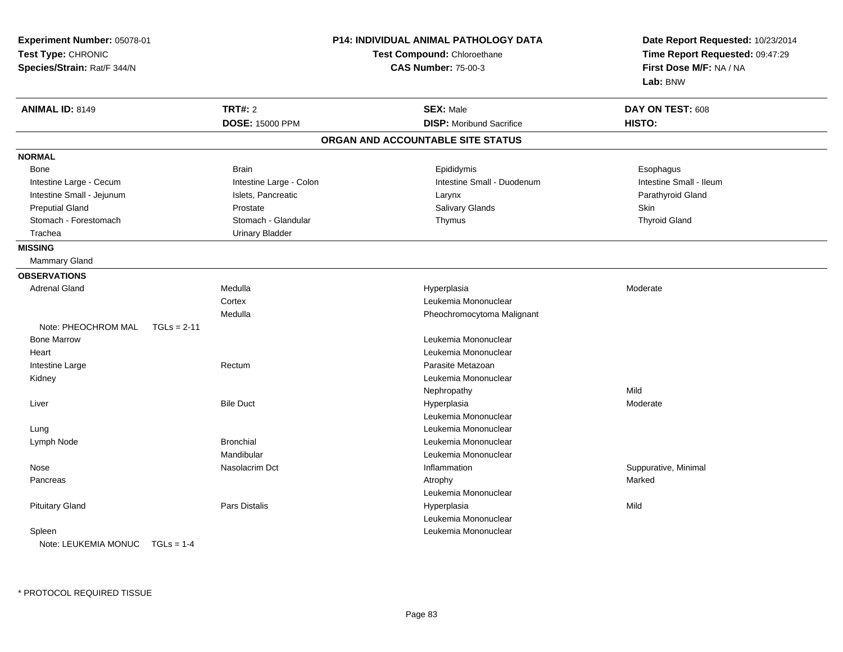| Experiment Number: 05078-01<br>Test Type: CHRONIC<br>Species/Strain: Rat/F 344/N |                         | <b>P14: INDIVIDUAL ANIMAL PATHOLOGY DATA</b><br>Test Compound: Chloroethane<br><b>CAS Number: 75-00-3</b> | Date Report Requested: 10/23/2014<br>Time Report Requested: 09:47:29<br>First Dose M/F: NA / NA<br>Lab: BNW |
|----------------------------------------------------------------------------------|-------------------------|-----------------------------------------------------------------------------------------------------------|-------------------------------------------------------------------------------------------------------------|
| <b>ANIMAL ID: 8149</b>                                                           | <b>TRT#: 2</b>          | <b>SEX: Male</b>                                                                                          | DAY ON TEST: 608                                                                                            |
|                                                                                  | <b>DOSE: 15000 PPM</b>  | <b>DISP:</b> Moribund Sacrifice                                                                           | HISTO:                                                                                                      |
|                                                                                  |                         | ORGAN AND ACCOUNTABLE SITE STATUS                                                                         |                                                                                                             |
| <b>NORMAL</b>                                                                    |                         |                                                                                                           |                                                                                                             |
| <b>Bone</b>                                                                      | <b>Brain</b>            | Epididymis                                                                                                | Esophagus                                                                                                   |
| Intestine Large - Cecum                                                          | Intestine Large - Colon | Intestine Small - Duodenum                                                                                | Intestine Small - Ileum                                                                                     |
| Intestine Small - Jejunum                                                        | Islets, Pancreatic      | Larynx                                                                                                    | Parathyroid Gland                                                                                           |
| <b>Preputial Gland</b>                                                           | Prostate                | Salivary Glands                                                                                           | Skin                                                                                                        |
| Stomach - Forestomach                                                            | Stomach - Glandular     | Thymus                                                                                                    | <b>Thyroid Gland</b>                                                                                        |
| Trachea                                                                          | <b>Urinary Bladder</b>  |                                                                                                           |                                                                                                             |
| <b>MISSING</b>                                                                   |                         |                                                                                                           |                                                                                                             |
| Mammary Gland                                                                    |                         |                                                                                                           |                                                                                                             |
| <b>OBSERVATIONS</b>                                                              |                         |                                                                                                           |                                                                                                             |
| <b>Adrenal Gland</b>                                                             | Medulla                 | Hyperplasia                                                                                               | Moderate                                                                                                    |
|                                                                                  | Cortex                  | Leukemia Mononuclear                                                                                      |                                                                                                             |
|                                                                                  | Medulla                 | Pheochromocytoma Malignant                                                                                |                                                                                                             |
| Note: PHEOCHROM MAL<br>$TGLs = 2-11$                                             |                         |                                                                                                           |                                                                                                             |
| <b>Bone Marrow</b>                                                               |                         | Leukemia Mononuclear                                                                                      |                                                                                                             |
| Heart                                                                            |                         | Leukemia Mononuclear                                                                                      |                                                                                                             |
| Intestine Large                                                                  | Rectum                  | Parasite Metazoan                                                                                         |                                                                                                             |
| Kidney                                                                           |                         | Leukemia Mononuclear                                                                                      |                                                                                                             |
|                                                                                  |                         | Nephropathy                                                                                               | Mild                                                                                                        |
| Liver                                                                            | <b>Bile Duct</b>        | Hyperplasia                                                                                               | Moderate                                                                                                    |
|                                                                                  |                         | Leukemia Mononuclear                                                                                      |                                                                                                             |
| Lung                                                                             |                         | Leukemia Mononuclear                                                                                      |                                                                                                             |
| Lymph Node                                                                       | <b>Bronchial</b>        | Leukemia Mononuclear                                                                                      |                                                                                                             |
|                                                                                  | Mandibular              | Leukemia Mononuclear                                                                                      |                                                                                                             |
| Nose                                                                             | Nasolacrim Dct          | Inflammation                                                                                              | Suppurative, Minimal                                                                                        |
| Pancreas                                                                         |                         | Atrophy                                                                                                   | Marked                                                                                                      |
|                                                                                  |                         | Leukemia Mononuclear                                                                                      |                                                                                                             |
| <b>Pituitary Gland</b>                                                           | <b>Pars Distalis</b>    | Hyperplasia                                                                                               | Mild                                                                                                        |
|                                                                                  |                         | Leukemia Mononuclear                                                                                      |                                                                                                             |
| Spleen                                                                           |                         | Leukemia Mononuclear                                                                                      |                                                                                                             |
| Note: $I$ FUKEMIA MONUC TGI $s = 1-4$                                            |                         |                                                                                                           |                                                                                                             |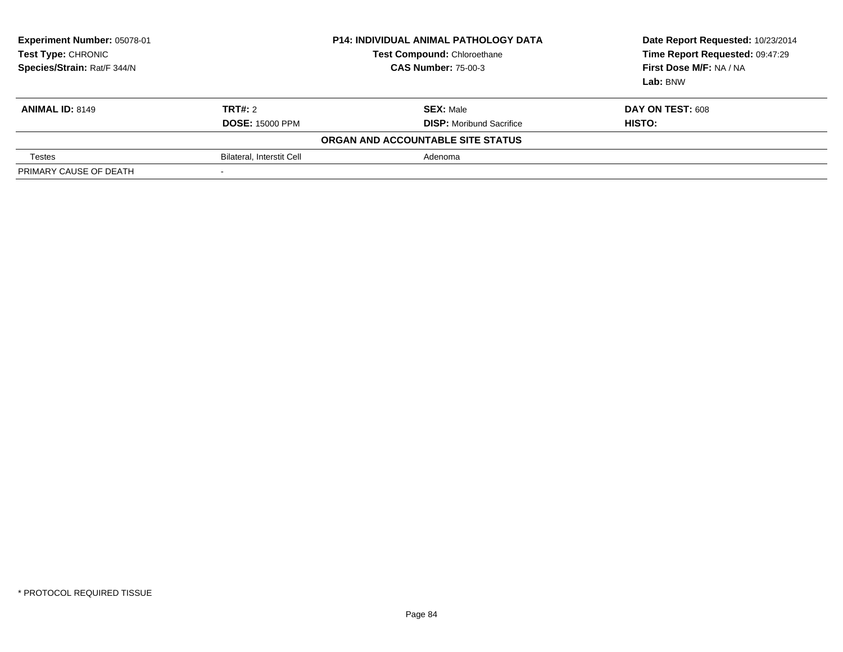| Experiment Number: 05078-01<br><b>Test Type: CHRONIC</b><br>Species/Strain: Rat/F 344/N |                                  | <b>P14: INDIVIDUAL ANIMAL PATHOLOGY DATA</b><br>Test Compound: Chloroethane<br><b>CAS Number: 75-00-3</b> | Date Report Requested: 10/23/2014<br>Time Report Requested: 09:47:29<br>First Dose M/F: NA / NA<br>Lab: BNW |
|-----------------------------------------------------------------------------------------|----------------------------------|-----------------------------------------------------------------------------------------------------------|-------------------------------------------------------------------------------------------------------------|
| <b>ANIMAL ID: 8149</b>                                                                  | TRT#: 2                          | <b>SEX: Male</b>                                                                                          | DAY ON TEST: 608                                                                                            |
|                                                                                         | <b>DOSE: 15000 PPM</b>           | <b>DISP:</b> Moribund Sacrifice                                                                           | HISTO:                                                                                                      |
|                                                                                         |                                  | ORGAN AND ACCOUNTABLE SITE STATUS                                                                         |                                                                                                             |
| <b>Testes</b>                                                                           | <b>Bilateral, Interstit Cell</b> | Adenoma                                                                                                   |                                                                                                             |
| PRIMARY CAUSE OF DEATH                                                                  |                                  |                                                                                                           |                                                                                                             |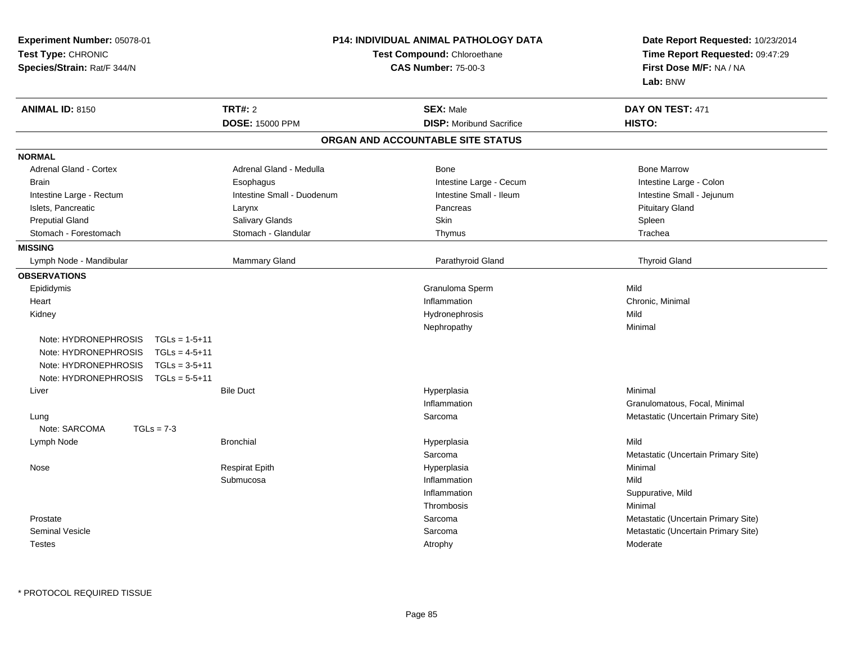| <b>Experiment Number: 05078-01</b><br>Test Type: CHRONIC<br>Species/Strain: Rat/F 344/N                                                                                  | P14: INDIVIDUAL ANIMAL PATHOLOGY DATA<br>Test Compound: Chloroethane<br><b>CAS Number: 75-00-3</b> |                                                     | Date Report Requested: 10/23/2014<br>Time Report Requested: 09:47:29<br>First Dose M/F: NA / NA<br>Lab: BNW |
|--------------------------------------------------------------------------------------------------------------------------------------------------------------------------|----------------------------------------------------------------------------------------------------|-----------------------------------------------------|-------------------------------------------------------------------------------------------------------------|
| <b>ANIMAL ID: 8150</b>                                                                                                                                                   | <b>TRT#: 2</b><br><b>DOSE: 15000 PPM</b>                                                           | <b>SEX: Male</b><br><b>DISP:</b> Moribund Sacrifice | DAY ON TEST: 471<br>HISTO:                                                                                  |
|                                                                                                                                                                          |                                                                                                    | ORGAN AND ACCOUNTABLE SITE STATUS                   |                                                                                                             |
|                                                                                                                                                                          |                                                                                                    |                                                     |                                                                                                             |
| <b>NORMAL</b><br>Adrenal Gland - Cortex                                                                                                                                  | Adrenal Gland - Medulla                                                                            | Bone                                                | <b>Bone Marrow</b>                                                                                          |
| <b>Brain</b>                                                                                                                                                             | Esophagus                                                                                          | Intestine Large - Cecum                             | Intestine Large - Colon                                                                                     |
| Intestine Large - Rectum                                                                                                                                                 | Intestine Small - Duodenum                                                                         | Intestine Small - Ileum                             | Intestine Small - Jejunum                                                                                   |
| Islets, Pancreatic                                                                                                                                                       | Larynx                                                                                             | Pancreas                                            | <b>Pituitary Gland</b>                                                                                      |
| <b>Preputial Gland</b>                                                                                                                                                   | Salivary Glands                                                                                    | Skin                                                | Spleen                                                                                                      |
| Stomach - Forestomach                                                                                                                                                    | Stomach - Glandular                                                                                | Thymus                                              | Trachea                                                                                                     |
| <b>MISSING</b>                                                                                                                                                           |                                                                                                    |                                                     |                                                                                                             |
| Lymph Node - Mandibular                                                                                                                                                  | Mammary Gland                                                                                      | Parathyroid Gland                                   | <b>Thyroid Gland</b>                                                                                        |
| <b>OBSERVATIONS</b>                                                                                                                                                      |                                                                                                    |                                                     |                                                                                                             |
| Epididymis                                                                                                                                                               |                                                                                                    | Granuloma Sperm                                     | Mild                                                                                                        |
| Heart                                                                                                                                                                    |                                                                                                    | Inflammation                                        | Chronic, Minimal                                                                                            |
| Kidney                                                                                                                                                                   |                                                                                                    | Hydronephrosis                                      | Mild                                                                                                        |
|                                                                                                                                                                          |                                                                                                    | Nephropathy                                         | Minimal                                                                                                     |
| Note: HYDRONEPHROSIS<br>$TGLs = 1-5+11$<br>Note: HYDRONEPHROSIS<br>$TGLs = 4-5+11$<br>Note: HYDRONEPHROSIS<br>$TGLs = 3-5+11$<br>Note: HYDRONEPHROSIS<br>$TGLs = 5-5+11$ |                                                                                                    |                                                     |                                                                                                             |
| Liver                                                                                                                                                                    | <b>Bile Duct</b>                                                                                   | Hyperplasia                                         | Minimal                                                                                                     |
|                                                                                                                                                                          |                                                                                                    | Inflammation                                        | Granulomatous, Focal, Minimal                                                                               |
| Lung<br>Note: SARCOMA<br>$TGLs = 7-3$                                                                                                                                    |                                                                                                    | Sarcoma                                             | Metastatic (Uncertain Primary Site)                                                                         |
| Lymph Node                                                                                                                                                               | <b>Bronchial</b>                                                                                   | Hyperplasia                                         | Mild                                                                                                        |
|                                                                                                                                                                          |                                                                                                    | Sarcoma                                             | Metastatic (Uncertain Primary Site)                                                                         |
| Nose                                                                                                                                                                     | <b>Respirat Epith</b>                                                                              | Hyperplasia                                         | Minimal                                                                                                     |
|                                                                                                                                                                          | Submucosa                                                                                          | Inflammation                                        | Mild                                                                                                        |
|                                                                                                                                                                          |                                                                                                    | Inflammation                                        | Suppurative, Mild                                                                                           |
|                                                                                                                                                                          |                                                                                                    | Thrombosis                                          | Minimal                                                                                                     |
| Prostate                                                                                                                                                                 |                                                                                                    | Sarcoma                                             | Metastatic (Uncertain Primary Site)                                                                         |
| <b>Seminal Vesicle</b>                                                                                                                                                   |                                                                                                    | Sarcoma                                             | Metastatic (Uncertain Primary Site)                                                                         |
| <b>Testes</b>                                                                                                                                                            |                                                                                                    | Atrophy                                             | Moderate                                                                                                    |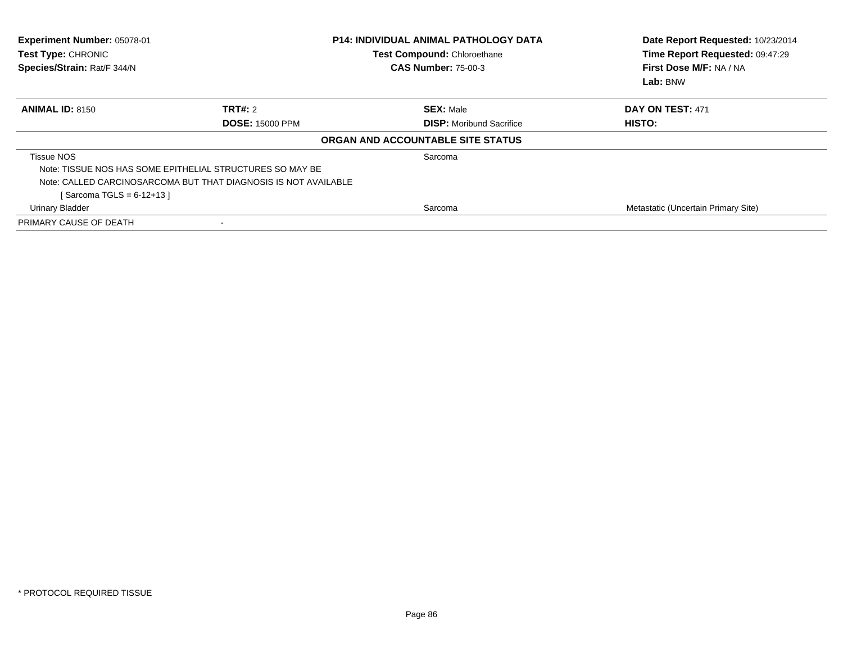| Experiment Number: 05078-01<br>Test Type: CHRONIC<br>Species/Strain: Rat/F 344/N |                                                                 | <b>P14: INDIVIDUAL ANIMAL PATHOLOGY DATA</b><br>Test Compound: Chloroethane<br><b>CAS Number: 75-00-3</b> | Date Report Requested: 10/23/2014<br>Time Report Requested: 09:47:29<br>First Dose M/F: NA / NA<br>Lab: BNW |
|----------------------------------------------------------------------------------|-----------------------------------------------------------------|-----------------------------------------------------------------------------------------------------------|-------------------------------------------------------------------------------------------------------------|
| <b>ANIMAL ID: 8150</b>                                                           | TRT#: 2                                                         | <b>SEX: Male</b>                                                                                          | DAY ON TEST: 471                                                                                            |
|                                                                                  | <b>DOSE: 15000 PPM</b>                                          | <b>DISP:</b> Moribund Sacrifice                                                                           | HISTO:                                                                                                      |
|                                                                                  |                                                                 | ORGAN AND ACCOUNTABLE SITE STATUS                                                                         |                                                                                                             |
| <b>Tissue NOS</b>                                                                |                                                                 | Sarcoma                                                                                                   |                                                                                                             |
|                                                                                  | Note: TISSUE NOS HAS SOME EPITHELIAL STRUCTURES SO MAY BE       |                                                                                                           |                                                                                                             |
|                                                                                  | Note: CALLED CARCINOSARCOMA BUT THAT DIAGNOSIS IS NOT AVAILABLE |                                                                                                           |                                                                                                             |
| [Sarcoma TGLS = $6-12+13$ ]                                                      |                                                                 |                                                                                                           |                                                                                                             |
| Urinary Bladder                                                                  |                                                                 | Sarcoma                                                                                                   | Metastatic (Uncertain Primary Site)                                                                         |
| PRIMARY CAUSE OF DEATH                                                           |                                                                 |                                                                                                           |                                                                                                             |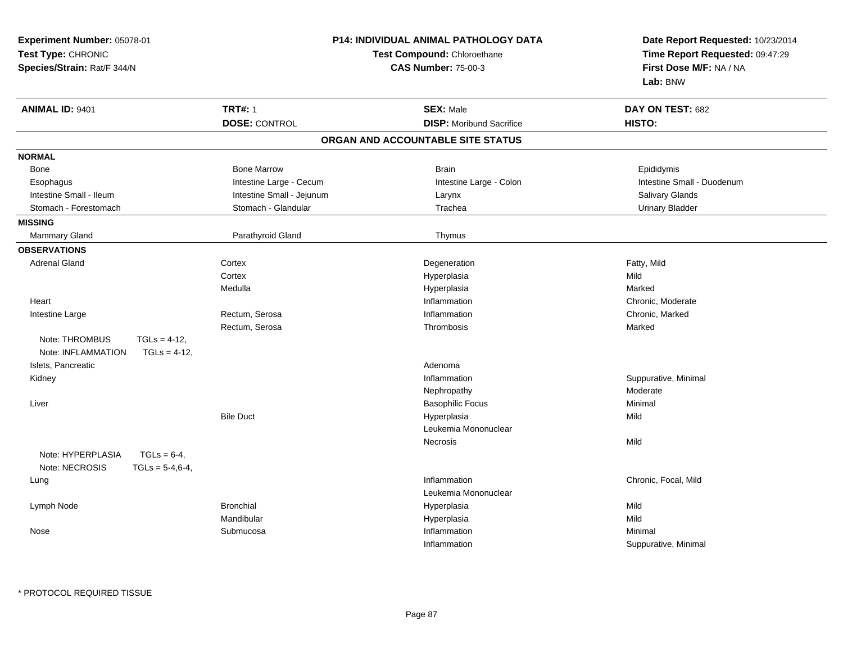| Experiment Number: 05078-01                                                |                             | P14: INDIVIDUAL ANIMAL PATHOLOGY DATA | Date Report Requested: 10/23/2014   |  |
|----------------------------------------------------------------------------|-----------------------------|---------------------------------------|-------------------------------------|--|
| Test Type: CHRONIC                                                         | Test Compound: Chloroethane |                                       | Time Report Requested: 09:47:29     |  |
| Species/Strain: Rat/F 344/N                                                |                             | <b>CAS Number: 75-00-3</b>            | First Dose M/F: NA / NA<br>Lab: BNW |  |
| <b>ANIMAL ID: 9401</b>                                                     | <b>TRT#: 1</b>              | <b>SEX: Male</b>                      | DAY ON TEST: 682                    |  |
|                                                                            | <b>DOSE: CONTROL</b>        | <b>DISP:</b> Moribund Sacrifice       | HISTO:                              |  |
|                                                                            |                             | ORGAN AND ACCOUNTABLE SITE STATUS     |                                     |  |
| <b>NORMAL</b>                                                              |                             |                                       |                                     |  |
| Bone                                                                       | <b>Bone Marrow</b>          | <b>Brain</b>                          | Epididymis                          |  |
| Esophagus                                                                  | Intestine Large - Cecum     | Intestine Large - Colon               | Intestine Small - Duodenum          |  |
| Intestine Small - Ileum                                                    | Intestine Small - Jejunum   | Larynx                                | <b>Salivary Glands</b>              |  |
| Stomach - Forestomach                                                      | Stomach - Glandular         | Trachea                               | <b>Urinary Bladder</b>              |  |
| <b>MISSING</b>                                                             |                             |                                       |                                     |  |
| Mammary Gland                                                              | Parathyroid Gland           | Thymus                                |                                     |  |
| <b>OBSERVATIONS</b>                                                        |                             |                                       |                                     |  |
| <b>Adrenal Gland</b>                                                       | Cortex                      | Degeneration                          | Fatty, Mild                         |  |
|                                                                            | Cortex                      | Hyperplasia                           | Mild                                |  |
|                                                                            | Medulla                     | Hyperplasia                           | Marked                              |  |
| Heart                                                                      |                             | Inflammation                          | Chronic, Moderate                   |  |
| Intestine Large                                                            | Rectum, Serosa              | Inflammation                          | Chronic, Marked                     |  |
|                                                                            | Rectum, Serosa              | Thrombosis                            | Marked                              |  |
| Note: THROMBUS<br>$TGLs = 4-12$ ,                                          |                             |                                       |                                     |  |
| Note: INFLAMMATION<br>$TGLs = 4-12$ ,                                      |                             |                                       |                                     |  |
| Islets, Pancreatic                                                         |                             | Adenoma                               |                                     |  |
| Kidney                                                                     |                             | Inflammation                          | Suppurative, Minimal                |  |
|                                                                            |                             | Nephropathy                           | Moderate                            |  |
| Liver                                                                      |                             | <b>Basophilic Focus</b>               | Minimal                             |  |
|                                                                            | <b>Bile Duct</b>            | Hyperplasia                           | Mild                                |  |
|                                                                            |                             | Leukemia Mononuclear                  |                                     |  |
|                                                                            |                             | Necrosis                              | Mild                                |  |
| Note: HYPERPLASIA<br>$TGLs = 6-4,$<br>Note: NECROSIS<br>$TGLs = 5-4, 6-4,$ |                             |                                       |                                     |  |
| Lung                                                                       |                             | Inflammation                          | Chronic, Focal, Mild                |  |
|                                                                            |                             | Leukemia Mononuclear                  |                                     |  |
| Lymph Node                                                                 | <b>Bronchial</b>            | Hyperplasia                           | Mild                                |  |
|                                                                            | Mandibular                  | Hyperplasia                           | Mild                                |  |
| Nose                                                                       | Submucosa                   | Inflammation                          | Minimal                             |  |
|                                                                            |                             | Inflammation                          | Suppurative, Minimal                |  |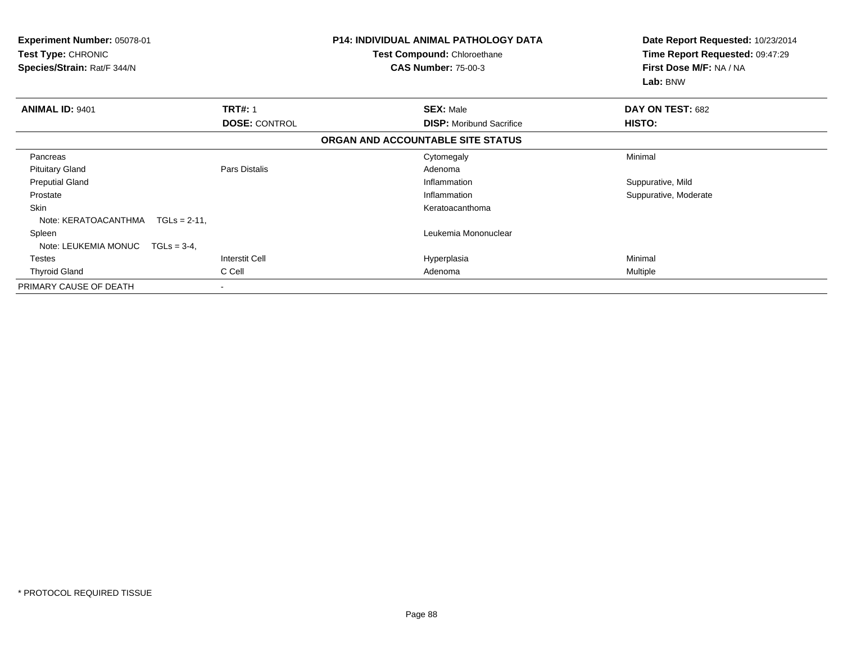| <b>Experiment Number: 05078-01</b><br>Test Type: CHRONIC<br>Species/Strain: Rat/F 344/N |                       | <b>P14: INDIVIDUAL ANIMAL PATHOLOGY DATA</b><br>Test Compound: Chloroethane<br><b>CAS Number: 75-00-3</b> | Date Report Requested: 10/23/2014<br>Time Report Requested: 09:47:29<br>First Dose M/F: NA / NA<br>Lab: BNW |                       |
|-----------------------------------------------------------------------------------------|-----------------------|-----------------------------------------------------------------------------------------------------------|-------------------------------------------------------------------------------------------------------------|-----------------------|
| <b>ANIMAL ID: 9401</b>                                                                  | <b>TRT#: 1</b>        |                                                                                                           | <b>SEX: Male</b>                                                                                            | DAY ON TEST: 682      |
|                                                                                         | <b>DOSE: CONTROL</b>  |                                                                                                           | <b>DISP:</b> Moribund Sacrifice                                                                             | HISTO:                |
|                                                                                         |                       |                                                                                                           | ORGAN AND ACCOUNTABLE SITE STATUS                                                                           |                       |
| Pancreas                                                                                |                       |                                                                                                           | Cytomegaly                                                                                                  | Minimal               |
| <b>Pituitary Gland</b>                                                                  | Pars Distalis         |                                                                                                           | Adenoma                                                                                                     |                       |
| <b>Preputial Gland</b>                                                                  |                       |                                                                                                           | Inflammation                                                                                                | Suppurative, Mild     |
| Prostate                                                                                |                       |                                                                                                           | Inflammation                                                                                                | Suppurative, Moderate |
| Skin                                                                                    |                       |                                                                                                           | Keratoacanthoma                                                                                             |                       |
| Note: KERATOACANTHMA<br>$TGLs = 2-11$ ,                                                 |                       |                                                                                                           |                                                                                                             |                       |
| Spleen                                                                                  |                       |                                                                                                           | Leukemia Mononuclear                                                                                        |                       |
| Note: LEUKEMIA MONUC<br>$TGLs = 3-4$ ,                                                  |                       |                                                                                                           |                                                                                                             |                       |
| Testes                                                                                  | <b>Interstit Cell</b> |                                                                                                           | Hyperplasia                                                                                                 | Minimal               |
| <b>Thyroid Gland</b>                                                                    | C Cell                |                                                                                                           | Adenoma                                                                                                     | Multiple              |
| PRIMARY CAUSE OF DEATH                                                                  | $\blacksquare$        |                                                                                                           |                                                                                                             |                       |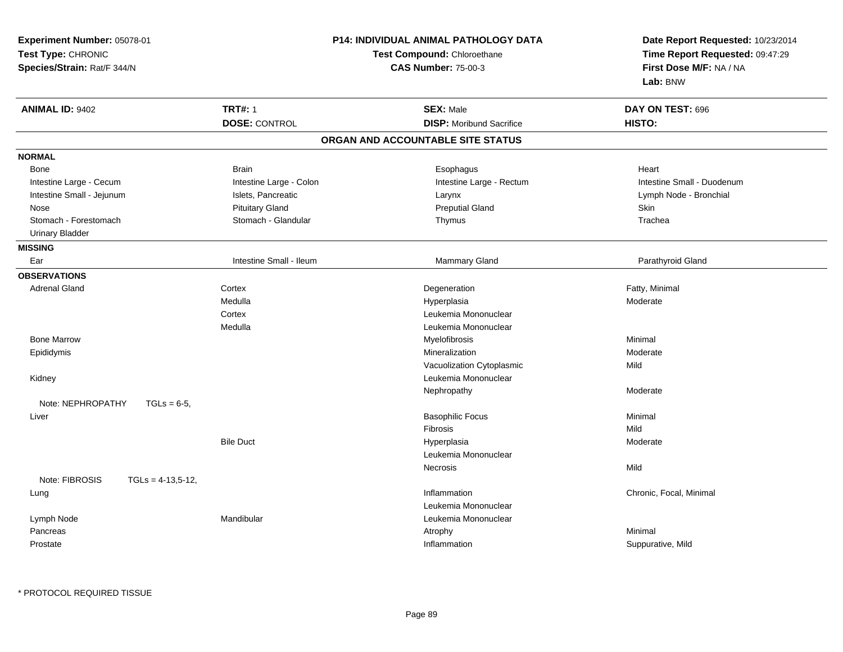| Experiment Number: 05078-01<br>Test Type: CHRONIC<br>Species/Strain: Rat/F 344/N |                         | <b>P14: INDIVIDUAL ANIMAL PATHOLOGY DATA</b><br>Test Compound: Chloroethane<br><b>CAS Number: 75-00-3</b> | Date Report Requested: 10/23/2014<br>Time Report Requested: 09:47:29<br>First Dose M/F: NA / NA<br>Lab: BNW |
|----------------------------------------------------------------------------------|-------------------------|-----------------------------------------------------------------------------------------------------------|-------------------------------------------------------------------------------------------------------------|
| <b>ANIMAL ID: 9402</b>                                                           | <b>TRT#: 1</b>          | <b>SEX: Male</b>                                                                                          | DAY ON TEST: 696                                                                                            |
|                                                                                  | <b>DOSE: CONTROL</b>    | <b>DISP:</b> Moribund Sacrifice                                                                           | HISTO:                                                                                                      |
|                                                                                  |                         | ORGAN AND ACCOUNTABLE SITE STATUS                                                                         |                                                                                                             |
| <b>NORMAL</b>                                                                    |                         |                                                                                                           |                                                                                                             |
| Bone                                                                             | <b>Brain</b>            | Esophagus                                                                                                 | Heart                                                                                                       |
| Intestine Large - Cecum                                                          | Intestine Large - Colon | Intestine Large - Rectum                                                                                  | Intestine Small - Duodenum                                                                                  |
| Intestine Small - Jejunum                                                        | Islets, Pancreatic      | Larynx                                                                                                    | Lymph Node - Bronchial                                                                                      |
| Nose                                                                             | <b>Pituitary Gland</b>  | <b>Preputial Gland</b>                                                                                    | <b>Skin</b>                                                                                                 |
| Stomach - Forestomach                                                            | Stomach - Glandular     | Thymus                                                                                                    | Trachea                                                                                                     |
| <b>Urinary Bladder</b>                                                           |                         |                                                                                                           |                                                                                                             |
| <b>MISSING</b>                                                                   |                         |                                                                                                           |                                                                                                             |
| Ear                                                                              | Intestine Small - Ileum | Mammary Gland                                                                                             | Parathyroid Gland                                                                                           |
| <b>OBSERVATIONS</b>                                                              |                         |                                                                                                           |                                                                                                             |
| <b>Adrenal Gland</b>                                                             | Cortex                  | Degeneration                                                                                              | Fatty, Minimal                                                                                              |
|                                                                                  | Medulla                 | Hyperplasia                                                                                               | Moderate                                                                                                    |
|                                                                                  | Cortex                  | Leukemia Mononuclear                                                                                      |                                                                                                             |
|                                                                                  | Medulla                 | Leukemia Mononuclear                                                                                      |                                                                                                             |
| <b>Bone Marrow</b>                                                               |                         | Myelofibrosis                                                                                             | Minimal                                                                                                     |
| Epididymis                                                                       |                         | Mineralization                                                                                            | Moderate                                                                                                    |
|                                                                                  |                         | Vacuolization Cytoplasmic                                                                                 | Mild                                                                                                        |
| Kidney                                                                           |                         | Leukemia Mononuclear                                                                                      |                                                                                                             |
|                                                                                  |                         | Nephropathy                                                                                               | Moderate                                                                                                    |
| Note: NEPHROPATHY<br>$TGLs = 6-5$ ,                                              |                         |                                                                                                           |                                                                                                             |
| Liver                                                                            |                         | <b>Basophilic Focus</b>                                                                                   | Minimal                                                                                                     |
|                                                                                  |                         | Fibrosis                                                                                                  | Mild                                                                                                        |
|                                                                                  | <b>Bile Duct</b>        | Hyperplasia                                                                                               | Moderate                                                                                                    |
|                                                                                  |                         | Leukemia Mononuclear                                                                                      |                                                                                                             |
|                                                                                  |                         | Necrosis                                                                                                  | Mild                                                                                                        |
| Note: FIBROSIS<br>$TGLs = 4-13,5-12,$                                            |                         |                                                                                                           |                                                                                                             |
| Lung                                                                             |                         | Inflammation                                                                                              | Chronic, Focal, Minimal                                                                                     |
|                                                                                  |                         | Leukemia Mononuclear                                                                                      |                                                                                                             |
| Lymph Node                                                                       | Mandibular              | Leukemia Mononuclear                                                                                      |                                                                                                             |
| Pancreas                                                                         |                         | Atrophy                                                                                                   | Minimal                                                                                                     |
| Prostate                                                                         |                         | Inflammation                                                                                              | Suppurative, Mild                                                                                           |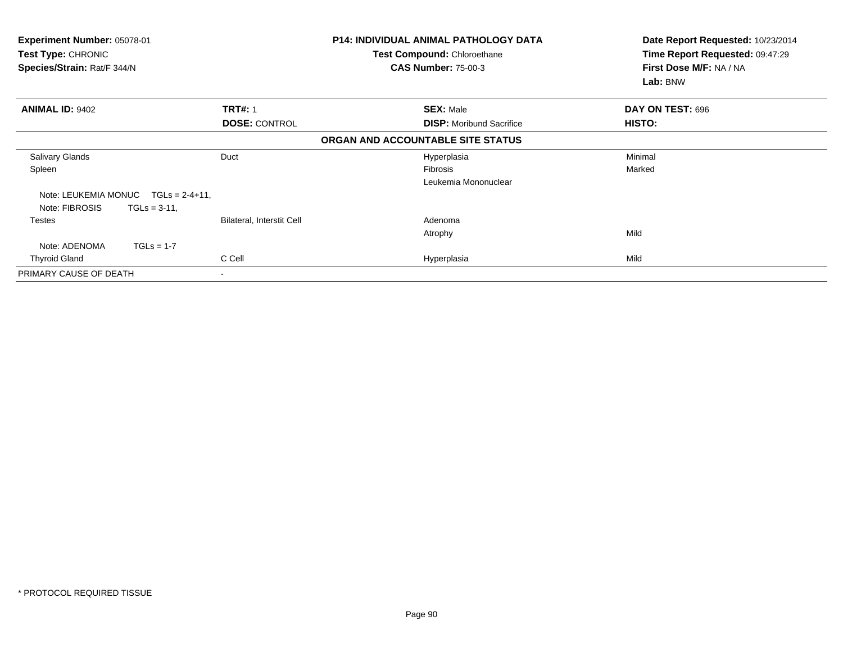| Experiment Number: 05078-01<br><b>Test Type: CHRONIC</b><br>Species/Strain: Rat/F 344/N |                           | <b>P14: INDIVIDUAL ANIMAL PATHOLOGY DATA</b><br>Test Compound: Chloroethane<br><b>CAS Number: 75-00-3</b> | Date Report Requested: 10/23/2014<br>Time Report Requested: 09:47:29<br>First Dose M/F: NA / NA<br>Lab: BNW |
|-----------------------------------------------------------------------------------------|---------------------------|-----------------------------------------------------------------------------------------------------------|-------------------------------------------------------------------------------------------------------------|
| <b>ANIMAL ID: 9402</b>                                                                  | <b>TRT#: 1</b>            | <b>SEX: Male</b>                                                                                          | DAY ON TEST: 696                                                                                            |
|                                                                                         | <b>DOSE: CONTROL</b>      | <b>DISP:</b> Moribund Sacrifice                                                                           | HISTO:                                                                                                      |
|                                                                                         |                           | ORGAN AND ACCOUNTABLE SITE STATUS                                                                         |                                                                                                             |
| <b>Salivary Glands</b>                                                                  | Duct                      | Hyperplasia                                                                                               | Minimal                                                                                                     |
| Spleen                                                                                  |                           | Fibrosis                                                                                                  | Marked                                                                                                      |
|                                                                                         |                           | Leukemia Mononuclear                                                                                      |                                                                                                             |
| Note: LEUKEMIA MONUC<br>$TGLs = 2-4+11$ ,                                               |                           |                                                                                                           |                                                                                                             |
| Note: FIBROSIS<br>$TGLs = 3-11$ .                                                       |                           |                                                                                                           |                                                                                                             |
| Testes                                                                                  | Bilateral, Interstit Cell | Adenoma                                                                                                   |                                                                                                             |
|                                                                                         |                           | Atrophy                                                                                                   | Mild                                                                                                        |
| $TGLs = 1-7$<br>Note: ADENOMA                                                           |                           |                                                                                                           |                                                                                                             |
| <b>Thyroid Gland</b>                                                                    | C Cell                    | Hyperplasia                                                                                               | Mild                                                                                                        |
| PRIMARY CAUSE OF DEATH                                                                  | $\overline{\phantom{0}}$  |                                                                                                           |                                                                                                             |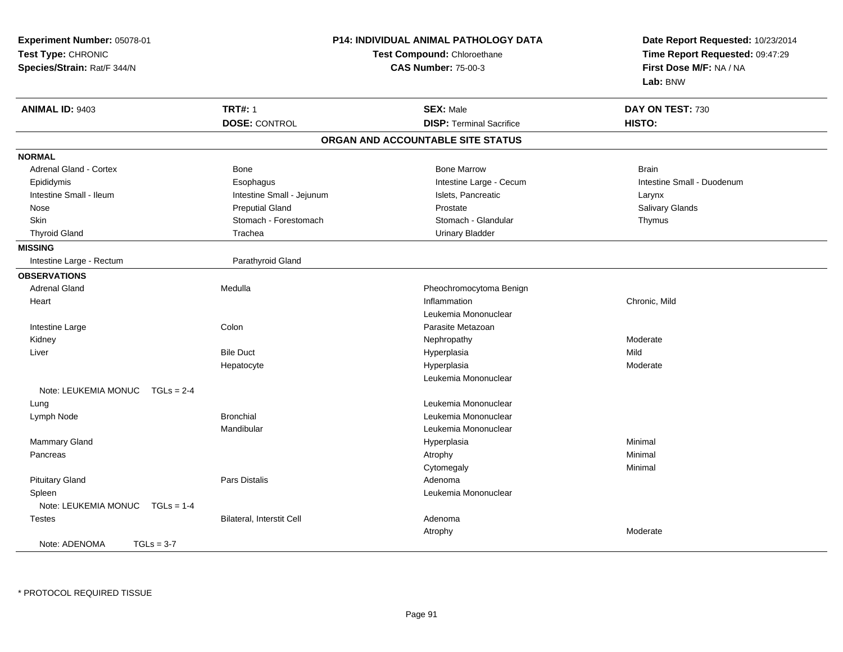| Experiment Number: 05078-01<br>Test Type: CHRONIC<br>Species/Strain: Rat/F 344/N |                           | <b>P14: INDIVIDUAL ANIMAL PATHOLOGY DATA</b><br>Test Compound: Chloroethane<br><b>CAS Number: 75-00-3</b> | Date Report Requested: 10/23/2014<br>Time Report Requested: 09:47:29<br>First Dose M/F: NA / NA<br>Lab: BNW |
|----------------------------------------------------------------------------------|---------------------------|-----------------------------------------------------------------------------------------------------------|-------------------------------------------------------------------------------------------------------------|
| <b>ANIMAL ID: 9403</b>                                                           | <b>TRT#: 1</b>            | <b>SEX: Male</b>                                                                                          | DAY ON TEST: 730                                                                                            |
|                                                                                  | <b>DOSE: CONTROL</b>      | <b>DISP: Terminal Sacrifice</b>                                                                           | HISTO:                                                                                                      |
|                                                                                  |                           | ORGAN AND ACCOUNTABLE SITE STATUS                                                                         |                                                                                                             |
| <b>NORMAL</b>                                                                    |                           |                                                                                                           |                                                                                                             |
| <b>Adrenal Gland - Cortex</b>                                                    | Bone                      | <b>Bone Marrow</b>                                                                                        | <b>Brain</b>                                                                                                |
| Epididymis                                                                       | Esophagus                 | Intestine Large - Cecum                                                                                   | Intestine Small - Duodenum                                                                                  |
| Intestine Small - Ileum                                                          | Intestine Small - Jejunum | Islets, Pancreatic                                                                                        | Larynx                                                                                                      |
| Nose                                                                             | <b>Preputial Gland</b>    | Prostate                                                                                                  | Salivary Glands                                                                                             |
| Skin                                                                             | Stomach - Forestomach     | Stomach - Glandular                                                                                       | Thymus                                                                                                      |
| <b>Thyroid Gland</b>                                                             | Trachea                   | <b>Urinary Bladder</b>                                                                                    |                                                                                                             |
| <b>MISSING</b>                                                                   |                           |                                                                                                           |                                                                                                             |
| Intestine Large - Rectum                                                         | Parathyroid Gland         |                                                                                                           |                                                                                                             |
| <b>OBSERVATIONS</b>                                                              |                           |                                                                                                           |                                                                                                             |
| <b>Adrenal Gland</b>                                                             | Medulla                   | Pheochromocytoma Benign                                                                                   |                                                                                                             |
| Heart                                                                            |                           | Inflammation                                                                                              | Chronic, Mild                                                                                               |
|                                                                                  |                           | Leukemia Mononuclear                                                                                      |                                                                                                             |
| Intestine Large                                                                  | Colon                     | Parasite Metazoan                                                                                         |                                                                                                             |
| Kidney                                                                           |                           | Nephropathy                                                                                               | Moderate                                                                                                    |
| Liver                                                                            | <b>Bile Duct</b>          | Hyperplasia                                                                                               | Mild                                                                                                        |
|                                                                                  | Hepatocyte                | Hyperplasia                                                                                               | Moderate                                                                                                    |
|                                                                                  |                           | Leukemia Mononuclear                                                                                      |                                                                                                             |
| Note: LEUKEMIA MONUC                                                             | $TGLs = 2-4$              |                                                                                                           |                                                                                                             |
| Lung                                                                             |                           | Leukemia Mononuclear                                                                                      |                                                                                                             |
| Lymph Node                                                                       | <b>Bronchial</b>          | Leukemia Mononuclear                                                                                      |                                                                                                             |
|                                                                                  | Mandibular                | Leukemia Mononuclear                                                                                      |                                                                                                             |
| <b>Mammary Gland</b>                                                             |                           | Hyperplasia                                                                                               | Minimal                                                                                                     |
| Pancreas                                                                         |                           | Atrophy                                                                                                   | Minimal                                                                                                     |
|                                                                                  |                           | Cytomegaly                                                                                                | Minimal                                                                                                     |
| <b>Pituitary Gland</b>                                                           | Pars Distalis             | Adenoma                                                                                                   |                                                                                                             |
| Spleen                                                                           |                           | Leukemia Mononuclear                                                                                      |                                                                                                             |
| Note: LEUKEMIA MONUC                                                             | $TGLs = 1-4$              |                                                                                                           |                                                                                                             |
| <b>Testes</b>                                                                    | Bilateral, Interstit Cell | Adenoma                                                                                                   |                                                                                                             |
|                                                                                  |                           | Atrophy                                                                                                   | Moderate                                                                                                    |
| Note: ADENOMA<br>$TGLs = 3-7$                                                    |                           |                                                                                                           |                                                                                                             |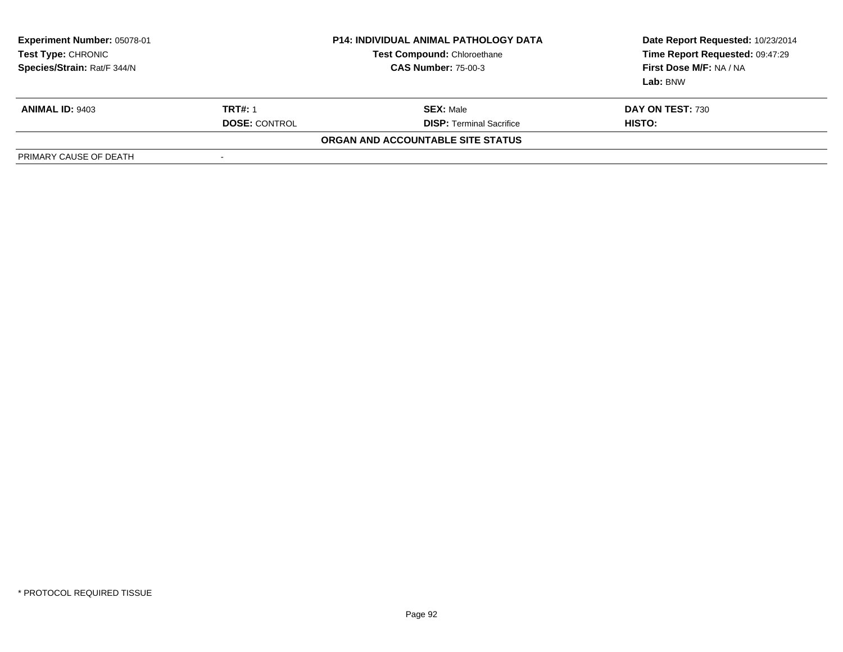| <b>Experiment Number: 05078-01</b><br>Test Type: CHRONIC<br>Species/Strain: Rat/F 344/N |                      | <b>P14: INDIVIDUAL ANIMAL PATHOLOGY DATA</b><br><b>Test Compound: Chloroethane</b><br><b>CAS Number: 75-00-3</b> | Date Report Requested: 10/23/2014<br>Time Report Requested: 09:47:29<br>First Dose M/F: NA / NA<br>Lab: BNW |
|-----------------------------------------------------------------------------------------|----------------------|------------------------------------------------------------------------------------------------------------------|-------------------------------------------------------------------------------------------------------------|
| <b>ANIMAL ID: 9403</b>                                                                  | <b>TRT#: 1</b>       | <b>SEX: Male</b>                                                                                                 | <b>DAY ON TEST: 730</b>                                                                                     |
|                                                                                         | <b>DOSE: CONTROL</b> | <b>DISP: Terminal Sacrifice</b>                                                                                  | <b>HISTO:</b>                                                                                               |
|                                                                                         |                      | ORGAN AND ACCOUNTABLE SITE STATUS                                                                                |                                                                                                             |
| PRIMARY CAUSE OF DEATH                                                                  |                      |                                                                                                                  |                                                                                                             |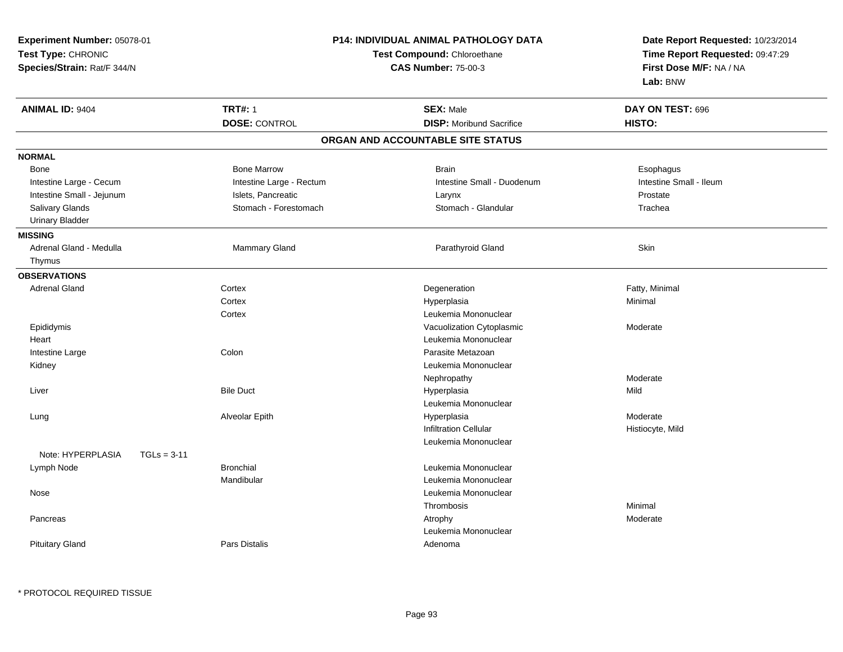| <b>Experiment Number: 05078-01</b><br>Test Type: CHRONIC<br>Species/Strain: Rat/F 344/N | P14: INDIVIDUAL ANIMAL PATHOLOGY DATA<br>Test Compound: Chloroethane<br><b>CAS Number: 75-00-3</b> |                                              | Date Report Requested: 10/23/2014<br>Time Report Requested: 09:47:29<br>First Dose M/F: NA / NA<br>Lab: BNW |
|-----------------------------------------------------------------------------------------|----------------------------------------------------------------------------------------------------|----------------------------------------------|-------------------------------------------------------------------------------------------------------------|
| <b>ANIMAL ID: 9404</b>                                                                  | <b>TRT#: 1</b>                                                                                     | <b>SEX: Male</b>                             | DAY ON TEST: 696                                                                                            |
|                                                                                         | <b>DOSE: CONTROL</b>                                                                               | <b>DISP:</b> Moribund Sacrifice              | HISTO:                                                                                                      |
|                                                                                         |                                                                                                    | ORGAN AND ACCOUNTABLE SITE STATUS            |                                                                                                             |
| <b>NORMAL</b>                                                                           |                                                                                                    |                                              |                                                                                                             |
| <b>Bone</b>                                                                             | <b>Bone Marrow</b>                                                                                 | <b>Brain</b>                                 | Esophagus                                                                                                   |
| Intestine Large - Cecum                                                                 | Intestine Large - Rectum                                                                           | Intestine Small - Duodenum                   | Intestine Small - Ileum                                                                                     |
| Intestine Small - Jejunum                                                               | Islets, Pancreatic                                                                                 | Larynx                                       | Prostate                                                                                                    |
| Salivary Glands                                                                         | Stomach - Forestomach                                                                              | Stomach - Glandular                          | Trachea                                                                                                     |
| <b>Urinary Bladder</b>                                                                  |                                                                                                    |                                              |                                                                                                             |
| <b>MISSING</b>                                                                          |                                                                                                    |                                              |                                                                                                             |
| Adrenal Gland - Medulla                                                                 | Mammary Gland                                                                                      | Parathyroid Gland                            | Skin                                                                                                        |
| Thymus                                                                                  |                                                                                                    |                                              |                                                                                                             |
| <b>OBSERVATIONS</b>                                                                     |                                                                                                    |                                              |                                                                                                             |
| <b>Adrenal Gland</b>                                                                    | Cortex                                                                                             | Degeneration                                 | Fatty, Minimal                                                                                              |
|                                                                                         | Cortex                                                                                             | Hyperplasia                                  | Minimal                                                                                                     |
|                                                                                         | Cortex                                                                                             | Leukemia Mononuclear                         |                                                                                                             |
| Epididymis                                                                              |                                                                                                    | Vacuolization Cytoplasmic                    | Moderate                                                                                                    |
| Heart                                                                                   |                                                                                                    | Leukemia Mononuclear                         |                                                                                                             |
| Intestine Large                                                                         | Colon                                                                                              | Parasite Metazoan                            |                                                                                                             |
| Kidney                                                                                  |                                                                                                    | Leukemia Mononuclear                         |                                                                                                             |
|                                                                                         |                                                                                                    | Nephropathy                                  | Moderate                                                                                                    |
| Liver                                                                                   | <b>Bile Duct</b>                                                                                   | Hyperplasia                                  | Mild                                                                                                        |
|                                                                                         |                                                                                                    | Leukemia Mononuclear                         |                                                                                                             |
| Lung                                                                                    | Alveolar Epith                                                                                     | Hyperplasia                                  | Moderate                                                                                                    |
|                                                                                         |                                                                                                    | <b>Infiltration Cellular</b>                 | Histiocyte, Mild                                                                                            |
|                                                                                         |                                                                                                    | Leukemia Mononuclear                         |                                                                                                             |
| Note: HYPERPLASIA<br>$TGLs = 3-11$                                                      | <b>Bronchial</b>                                                                                   |                                              |                                                                                                             |
| Lymph Node                                                                              | Mandibular                                                                                         | Leukemia Mononuclear<br>Leukemia Mononuclear |                                                                                                             |
|                                                                                         |                                                                                                    |                                              |                                                                                                             |
| Nose                                                                                    |                                                                                                    | Leukemia Mononuclear                         | Minimal                                                                                                     |
| Pancreas                                                                                |                                                                                                    | Thrombosis                                   | Moderate                                                                                                    |
|                                                                                         |                                                                                                    | Atrophy<br>Leukemia Mononuclear              |                                                                                                             |
| <b>Pituitary Gland</b>                                                                  | Pars Distalis                                                                                      | Adenoma                                      |                                                                                                             |
|                                                                                         |                                                                                                    |                                              |                                                                                                             |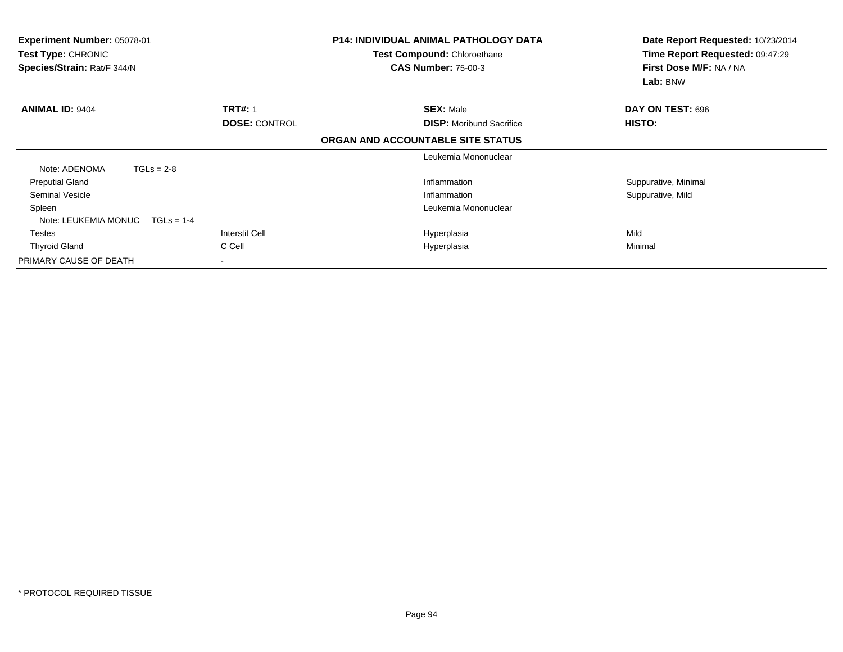| <b>Experiment Number: 05078-01</b><br>Test Type: CHRONIC<br>Species/Strain: Rat/F 344/N | <b>P14: INDIVIDUAL ANIMAL PATHOLOGY DATA</b><br>Test Compound: Chloroethane<br><b>CAS Number: 75-00-3</b> |                                   | Date Report Requested: 10/23/2014<br>Time Report Requested: 09:47:29<br>First Dose M/F: NA / NA<br>Lab: BNW |
|-----------------------------------------------------------------------------------------|-----------------------------------------------------------------------------------------------------------|-----------------------------------|-------------------------------------------------------------------------------------------------------------|
| <b>ANIMAL ID: 9404</b>                                                                  | <b>TRT#: 1</b>                                                                                            | <b>SEX: Male</b>                  | DAY ON TEST: 696                                                                                            |
|                                                                                         | <b>DOSE: CONTROL</b>                                                                                      | <b>DISP:</b> Moribund Sacrifice   | HISTO:                                                                                                      |
|                                                                                         |                                                                                                           | ORGAN AND ACCOUNTABLE SITE STATUS |                                                                                                             |
|                                                                                         |                                                                                                           | Leukemia Mononuclear              |                                                                                                             |
| Note: ADENOMA<br>$TGLs = 2-8$                                                           |                                                                                                           |                                   |                                                                                                             |
| <b>Preputial Gland</b>                                                                  |                                                                                                           | Inflammation                      | Suppurative, Minimal                                                                                        |
| <b>Seminal Vesicle</b>                                                                  |                                                                                                           | Inflammation                      | Suppurative, Mild                                                                                           |
| Spleen                                                                                  |                                                                                                           | Leukemia Mononuclear              |                                                                                                             |
| Note: LEUKEMIA MONUC<br>$TGLS = 1-4$                                                    |                                                                                                           |                                   |                                                                                                             |
| Testes                                                                                  | Interstit Cell                                                                                            | Hyperplasia                       | Mild                                                                                                        |
| <b>Thyroid Gland</b>                                                                    | C Cell                                                                                                    | Hyperplasia                       | Minimal                                                                                                     |
| PRIMARY CAUSE OF DEATH                                                                  |                                                                                                           |                                   |                                                                                                             |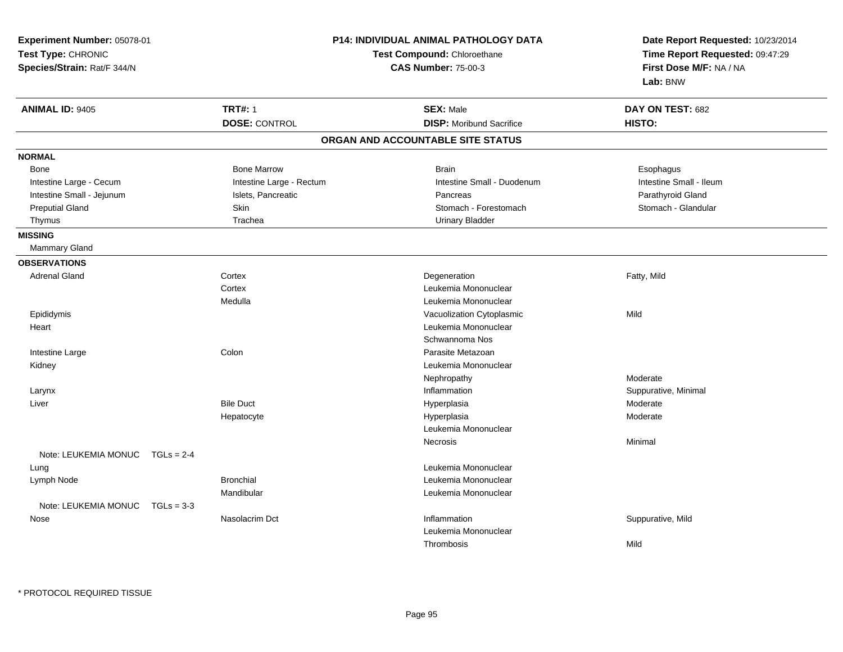| <b>Experiment Number: 05078-01</b><br>Test Type: CHRONIC<br>Species/Strain: Rat/F 344/N |                          | <b>P14: INDIVIDUAL ANIMAL PATHOLOGY DATA</b><br>Test Compound: Chloroethane<br><b>CAS Number: 75-00-3</b> | Date Report Requested: 10/23/2014<br>Time Report Requested: 09:47:29<br>First Dose M/F: NA / NA<br>Lab: BNW |
|-----------------------------------------------------------------------------------------|--------------------------|-----------------------------------------------------------------------------------------------------------|-------------------------------------------------------------------------------------------------------------|
| <b>ANIMAL ID: 9405</b>                                                                  | <b>TRT#: 1</b>           | <b>SEX: Male</b>                                                                                          | DAY ON TEST: 682                                                                                            |
|                                                                                         | <b>DOSE: CONTROL</b>     | <b>DISP:</b> Moribund Sacrifice                                                                           | HISTO:                                                                                                      |
|                                                                                         |                          | ORGAN AND ACCOUNTABLE SITE STATUS                                                                         |                                                                                                             |
| <b>NORMAL</b>                                                                           |                          |                                                                                                           |                                                                                                             |
| Bone                                                                                    | <b>Bone Marrow</b>       | <b>Brain</b>                                                                                              | Esophagus                                                                                                   |
| Intestine Large - Cecum                                                                 | Intestine Large - Rectum | Intestine Small - Duodenum                                                                                | Intestine Small - Ileum                                                                                     |
| Intestine Small - Jejunum                                                               | Islets, Pancreatic       | Pancreas                                                                                                  | Parathyroid Gland                                                                                           |
| <b>Preputial Gland</b>                                                                  | <b>Skin</b>              | Stomach - Forestomach                                                                                     | Stomach - Glandular                                                                                         |
| Thymus                                                                                  | Trachea                  | <b>Urinary Bladder</b>                                                                                    |                                                                                                             |
| <b>MISSING</b>                                                                          |                          |                                                                                                           |                                                                                                             |
| Mammary Gland                                                                           |                          |                                                                                                           |                                                                                                             |
| <b>OBSERVATIONS</b>                                                                     |                          |                                                                                                           |                                                                                                             |
| <b>Adrenal Gland</b>                                                                    | Cortex                   | Degeneration                                                                                              | Fatty, Mild                                                                                                 |
|                                                                                         | Cortex                   | Leukemia Mononuclear                                                                                      |                                                                                                             |
|                                                                                         | Medulla                  | Leukemia Mononuclear                                                                                      |                                                                                                             |
| Epididymis                                                                              |                          | Vacuolization Cytoplasmic                                                                                 | Mild                                                                                                        |
| Heart                                                                                   |                          | Leukemia Mononuclear                                                                                      |                                                                                                             |
|                                                                                         |                          | Schwannoma Nos                                                                                            |                                                                                                             |
| Intestine Large                                                                         | Colon                    | Parasite Metazoan                                                                                         |                                                                                                             |
| Kidney                                                                                  |                          | Leukemia Mononuclear                                                                                      |                                                                                                             |
|                                                                                         |                          | Nephropathy                                                                                               | Moderate                                                                                                    |
| Larynx                                                                                  |                          | Inflammation                                                                                              | Suppurative, Minimal                                                                                        |
| Liver                                                                                   | <b>Bile Duct</b>         | Hyperplasia                                                                                               | Moderate                                                                                                    |
|                                                                                         | Hepatocyte               | Hyperplasia                                                                                               | Moderate                                                                                                    |
|                                                                                         |                          | Leukemia Mononuclear                                                                                      |                                                                                                             |
|                                                                                         |                          | Necrosis                                                                                                  | Minimal                                                                                                     |
| Note: LEUKEMIA MONUC<br>$TGLs = 2-4$                                                    |                          |                                                                                                           |                                                                                                             |
| Lung                                                                                    |                          | Leukemia Mononuclear                                                                                      |                                                                                                             |
| Lymph Node                                                                              | <b>Bronchial</b>         | Leukemia Mononuclear                                                                                      |                                                                                                             |
|                                                                                         | Mandibular               | Leukemia Mononuclear                                                                                      |                                                                                                             |
| Note: LEUKEMIA MONUC<br>$TGLs = 3-3$                                                    |                          |                                                                                                           |                                                                                                             |
| Nose                                                                                    | Nasolacrim Dct           | Inflammation                                                                                              | Suppurative, Mild                                                                                           |
|                                                                                         |                          | Leukemia Mononuclear                                                                                      |                                                                                                             |
|                                                                                         |                          | Thrombosis                                                                                                | Mild                                                                                                        |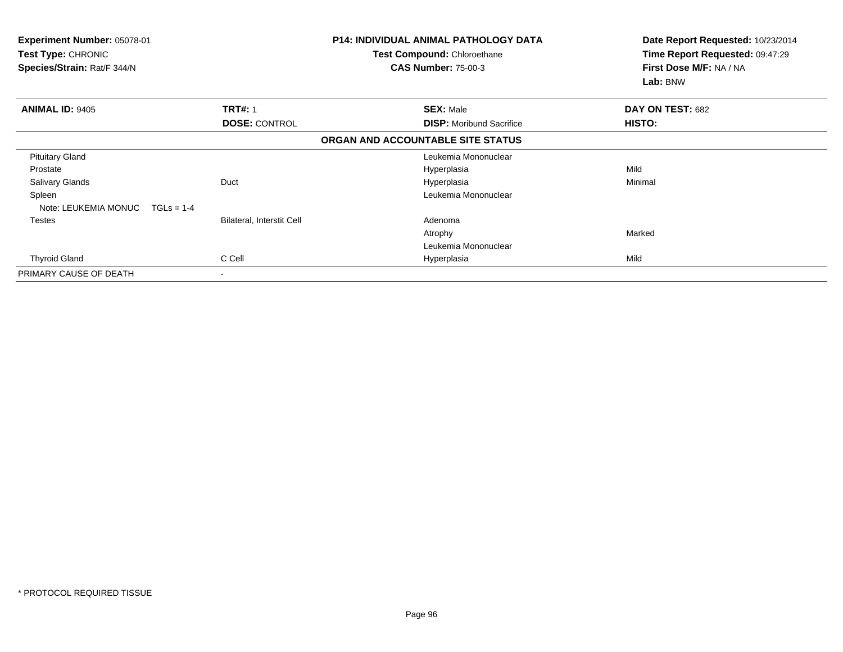| Experiment Number: 05078-01<br><b>Test Type: CHRONIC</b><br>Species/Strain: Rat/F 344/N |                                  | <b>P14: INDIVIDUAL ANIMAL PATHOLOGY DATA</b><br>Test Compound: Chloroethane<br><b>CAS Number: 75-00-3</b> | Date Report Requested: 10/23/2014<br>Time Report Requested: 09:47:29<br>First Dose M/F: NA / NA<br>Lab: BNW |
|-----------------------------------------------------------------------------------------|----------------------------------|-----------------------------------------------------------------------------------------------------------|-------------------------------------------------------------------------------------------------------------|
| <b>ANIMAL ID: 9405</b>                                                                  | <b>TRT#: 1</b>                   | <b>SEX: Male</b>                                                                                          | DAY ON TEST: 682                                                                                            |
|                                                                                         | <b>DOSE: CONTROL</b>             | <b>DISP:</b> Moribund Sacrifice                                                                           | HISTO:                                                                                                      |
|                                                                                         |                                  | ORGAN AND ACCOUNTABLE SITE STATUS                                                                         |                                                                                                             |
| <b>Pituitary Gland</b>                                                                  |                                  | Leukemia Mononuclear                                                                                      |                                                                                                             |
| Prostate                                                                                |                                  | Hyperplasia                                                                                               | Mild                                                                                                        |
| <b>Salivary Glands</b>                                                                  | Duct                             | Hyperplasia                                                                                               | Minimal                                                                                                     |
| Spleen                                                                                  |                                  | Leukemia Mononuclear                                                                                      |                                                                                                             |
| Note: LEUKEMIA MONUC<br>$TGLs = 1-4$                                                    |                                  |                                                                                                           |                                                                                                             |
| <b>Testes</b>                                                                           | <b>Bilateral, Interstit Cell</b> | Adenoma                                                                                                   |                                                                                                             |
|                                                                                         |                                  | Atrophy                                                                                                   | Marked                                                                                                      |
|                                                                                         |                                  | Leukemia Mononuclear                                                                                      |                                                                                                             |
| <b>Thyroid Gland</b>                                                                    | C Cell                           | Hyperplasia                                                                                               | Mild                                                                                                        |
| PRIMARY CAUSE OF DEATH                                                                  | $\blacksquare$                   |                                                                                                           |                                                                                                             |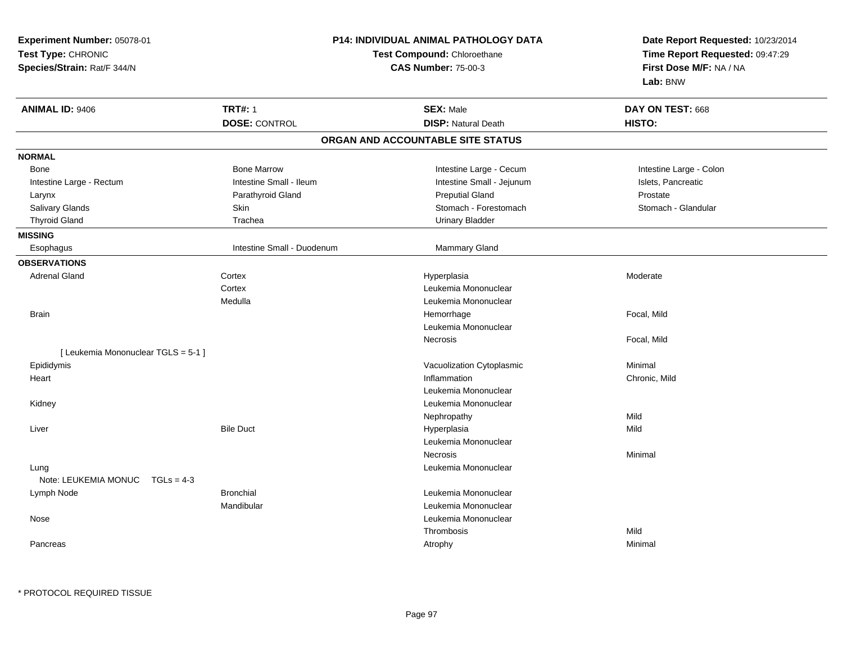| Experiment Number: 05078-01         |                                                           | P14: INDIVIDUAL ANIMAL PATHOLOGY DATA |                                                                                                 |  |
|-------------------------------------|-----------------------------------------------------------|---------------------------------------|-------------------------------------------------------------------------------------------------|--|
| Test Type: CHRONIC                  | Test Compound: Chloroethane<br><b>CAS Number: 75-00-3</b> |                                       | Date Report Requested: 10/23/2014<br>Time Report Requested: 09:47:29<br>First Dose M/F: NA / NA |  |
| Species/Strain: Rat/F 344/N         |                                                           |                                       |                                                                                                 |  |
|                                     |                                                           |                                       | Lab: BNW                                                                                        |  |
| <b>ANIMAL ID: 9406</b>              | <b>TRT#: 1</b>                                            | <b>SEX: Male</b>                      | DAY ON TEST: 668                                                                                |  |
|                                     | <b>DOSE: CONTROL</b>                                      | <b>DISP: Natural Death</b>            | HISTO:                                                                                          |  |
|                                     |                                                           | ORGAN AND ACCOUNTABLE SITE STATUS     |                                                                                                 |  |
|                                     |                                                           |                                       |                                                                                                 |  |
| <b>NORMAL</b>                       |                                                           |                                       |                                                                                                 |  |
| <b>Bone</b>                         | <b>Bone Marrow</b>                                        | Intestine Large - Cecum               | Intestine Large - Colon                                                                         |  |
| Intestine Large - Rectum            | Intestine Small - Ileum                                   | Intestine Small - Jejunum             | Islets, Pancreatic                                                                              |  |
| Larynx                              | Parathyroid Gland                                         | <b>Preputial Gland</b>                | Prostate                                                                                        |  |
| Salivary Glands                     | Skin                                                      | Stomach - Forestomach                 | Stomach - Glandular                                                                             |  |
| <b>Thyroid Gland</b>                | Trachea                                                   | <b>Urinary Bladder</b>                |                                                                                                 |  |
| <b>MISSING</b>                      |                                                           |                                       |                                                                                                 |  |
| Esophagus                           | Intestine Small - Duodenum                                | Mammary Gland                         |                                                                                                 |  |
| <b>OBSERVATIONS</b>                 |                                                           |                                       |                                                                                                 |  |
| <b>Adrenal Gland</b>                | Cortex                                                    | Hyperplasia                           | Moderate                                                                                        |  |
|                                     | Cortex                                                    | Leukemia Mononuclear                  |                                                                                                 |  |
|                                     | Medulla                                                   | Leukemia Mononuclear                  |                                                                                                 |  |
| <b>Brain</b>                        |                                                           | Hemorrhage                            | Focal, Mild                                                                                     |  |
|                                     |                                                           | Leukemia Mononuclear                  |                                                                                                 |  |
|                                     |                                                           | Necrosis                              | Focal, Mild                                                                                     |  |
| [ Leukemia Mononuclear TGLS = 5-1 ] |                                                           |                                       |                                                                                                 |  |
| Epididymis                          |                                                           | Vacuolization Cytoplasmic             | Minimal                                                                                         |  |
| Heart                               |                                                           | Inflammation                          | Chronic, Mild                                                                                   |  |
|                                     |                                                           | Leukemia Mononuclear                  |                                                                                                 |  |
| Kidney                              |                                                           | Leukemia Mononuclear                  |                                                                                                 |  |
|                                     |                                                           | Nephropathy                           | Mild                                                                                            |  |
| Liver                               | <b>Bile Duct</b>                                          | Hyperplasia                           | Mild                                                                                            |  |
|                                     |                                                           | Leukemia Mononuclear                  |                                                                                                 |  |
|                                     |                                                           | Necrosis                              | Minimal                                                                                         |  |
| Lung                                |                                                           | Leukemia Mononuclear                  |                                                                                                 |  |
| Note: LEUKEMIA MONUC TGLs = 4-3     |                                                           |                                       |                                                                                                 |  |
| Lymph Node                          | <b>Bronchial</b>                                          | Leukemia Mononuclear                  |                                                                                                 |  |
|                                     | Mandibular                                                | Leukemia Mononuclear                  |                                                                                                 |  |
| Nose                                |                                                           | Leukemia Mononuclear                  |                                                                                                 |  |
|                                     |                                                           |                                       | Mild                                                                                            |  |
|                                     |                                                           | Thrombosis                            |                                                                                                 |  |
| Pancreas                            |                                                           | Atrophy                               | Minimal                                                                                         |  |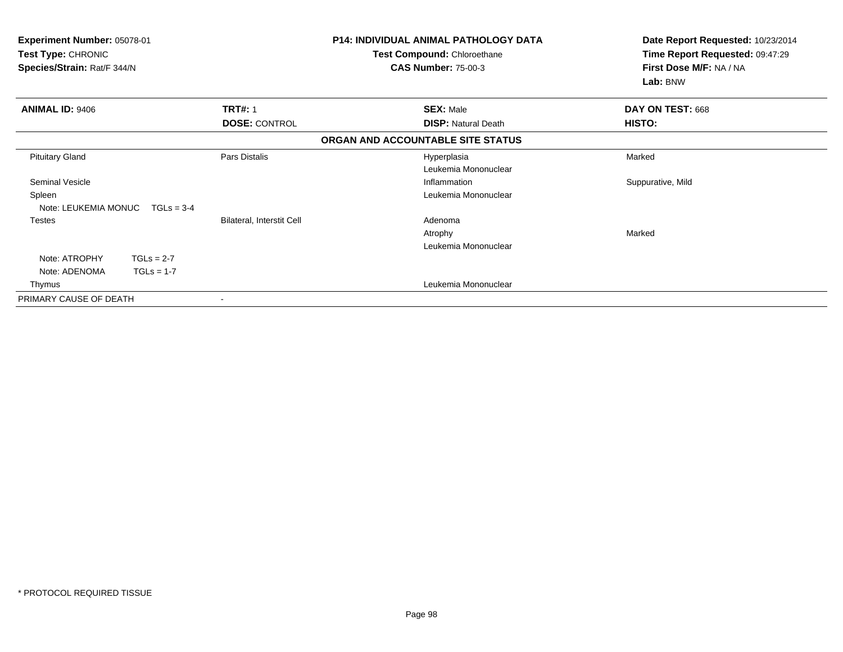| Experiment Number: 05078-01<br>Test Type: CHRONIC<br>Species/Strain: Rat/F 344/N |                                  | <b>P14: INDIVIDUAL ANIMAL PATHOLOGY DATA</b><br><b>Test Compound: Chloroethane</b><br><b>CAS Number: 75-00-3</b> | Date Report Requested: 10/23/2014<br>Time Report Requested: 09:47:29<br>First Dose M/F: NA / NA<br>Lab: BNW |
|----------------------------------------------------------------------------------|----------------------------------|------------------------------------------------------------------------------------------------------------------|-------------------------------------------------------------------------------------------------------------|
| <b>ANIMAL ID: 9406</b>                                                           | <b>TRT#: 1</b>                   | <b>SEX: Male</b>                                                                                                 | DAY ON TEST: 668                                                                                            |
|                                                                                  | <b>DOSE: CONTROL</b>             | <b>DISP: Natural Death</b>                                                                                       | HISTO:                                                                                                      |
|                                                                                  |                                  | ORGAN AND ACCOUNTABLE SITE STATUS                                                                                |                                                                                                             |
| <b>Pituitary Gland</b>                                                           | Pars Distalis                    | Hyperplasia                                                                                                      | Marked                                                                                                      |
|                                                                                  |                                  | Leukemia Mononuclear                                                                                             |                                                                                                             |
| <b>Seminal Vesicle</b>                                                           |                                  | Inflammation                                                                                                     | Suppurative, Mild                                                                                           |
| Spleen                                                                           |                                  | Leukemia Mononuclear                                                                                             |                                                                                                             |
| Note: LEUKEMIA MONUC<br>$TGLs = 3-4$                                             |                                  |                                                                                                                  |                                                                                                             |
| <b>Testes</b>                                                                    | <b>Bilateral, Interstit Cell</b> | Adenoma                                                                                                          |                                                                                                             |
|                                                                                  |                                  | Atrophy                                                                                                          | Marked                                                                                                      |
|                                                                                  |                                  | Leukemia Mononuclear                                                                                             |                                                                                                             |
| Note: ATROPHY<br>$TGLs = 2-7$                                                    |                                  |                                                                                                                  |                                                                                                             |
| Note: ADENOMA<br>$TGLs = 1-7$                                                    |                                  |                                                                                                                  |                                                                                                             |
| Thymus                                                                           |                                  | Leukemia Mononuclear                                                                                             |                                                                                                             |
| PRIMARY CAUSE OF DEATH                                                           |                                  |                                                                                                                  |                                                                                                             |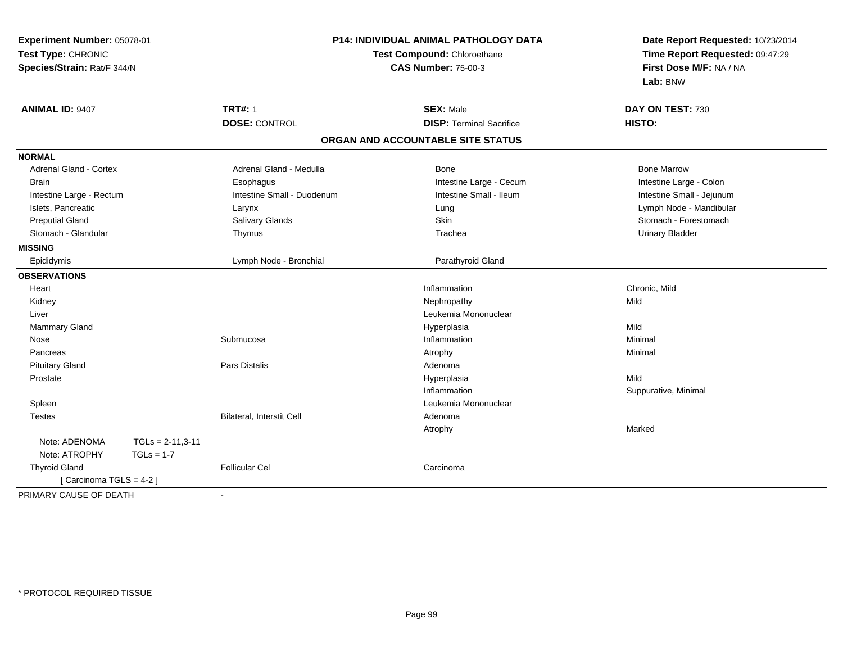| Experiment Number: 05078-01<br>Test Type: CHRONIC<br>Species/Strain: Rat/F 344/N |                    | P14: INDIVIDUAL ANIMAL PATHOLOGY DATA<br>Test Compound: Chloroethane<br><b>CAS Number: 75-00-3</b> |                                   | Date Report Requested: 10/23/2014<br>Time Report Requested: 09:47:29<br>First Dose M/F: NA / NA<br>Lab: BNW |
|----------------------------------------------------------------------------------|--------------------|----------------------------------------------------------------------------------------------------|-----------------------------------|-------------------------------------------------------------------------------------------------------------|
| <b>ANIMAL ID: 9407</b>                                                           |                    | <b>TRT#: 1</b>                                                                                     | <b>SEX: Male</b>                  | DAY ON TEST: 730                                                                                            |
|                                                                                  |                    | <b>DOSE: CONTROL</b>                                                                               | <b>DISP: Terminal Sacrifice</b>   | HISTO:                                                                                                      |
|                                                                                  |                    |                                                                                                    | ORGAN AND ACCOUNTABLE SITE STATUS |                                                                                                             |
| <b>NORMAL</b>                                                                    |                    |                                                                                                    |                                   |                                                                                                             |
| <b>Adrenal Gland - Cortex</b>                                                    |                    | Adrenal Gland - Medulla                                                                            | <b>Bone</b>                       | <b>Bone Marrow</b>                                                                                          |
| <b>Brain</b>                                                                     |                    | Esophagus                                                                                          | Intestine Large - Cecum           | Intestine Large - Colon                                                                                     |
| Intestine Large - Rectum                                                         |                    | Intestine Small - Duodenum                                                                         | Intestine Small - Ileum           | Intestine Small - Jejunum                                                                                   |
| Islets, Pancreatic                                                               |                    | Larynx                                                                                             | Lung                              | Lymph Node - Mandibular                                                                                     |
| <b>Preputial Gland</b>                                                           |                    | Salivary Glands                                                                                    | Skin                              | Stomach - Forestomach                                                                                       |
| Stomach - Glandular                                                              |                    | Thymus                                                                                             | Trachea                           | <b>Urinary Bladder</b>                                                                                      |
| <b>MISSING</b>                                                                   |                    |                                                                                                    |                                   |                                                                                                             |
| Epididymis                                                                       |                    | Lymph Node - Bronchial                                                                             | Parathyroid Gland                 |                                                                                                             |
| <b>OBSERVATIONS</b>                                                              |                    |                                                                                                    |                                   |                                                                                                             |
| Heart                                                                            |                    |                                                                                                    | Inflammation                      | Chronic, Mild                                                                                               |
| Kidney                                                                           |                    |                                                                                                    | Nephropathy                       | Mild                                                                                                        |
| Liver                                                                            |                    |                                                                                                    | Leukemia Mononuclear              |                                                                                                             |
| Mammary Gland                                                                    |                    |                                                                                                    | Hyperplasia                       | Mild                                                                                                        |
| Nose                                                                             |                    | Submucosa                                                                                          | Inflammation                      | Minimal                                                                                                     |
| Pancreas                                                                         |                    |                                                                                                    | Atrophy                           | Minimal                                                                                                     |
| <b>Pituitary Gland</b>                                                           |                    | <b>Pars Distalis</b>                                                                               | Adenoma                           |                                                                                                             |
| Prostate                                                                         |                    |                                                                                                    | Hyperplasia                       | Mild                                                                                                        |
|                                                                                  |                    |                                                                                                    | Inflammation                      | Suppurative, Minimal                                                                                        |
| Spleen                                                                           |                    |                                                                                                    | Leukemia Mononuclear              |                                                                                                             |
| <b>Testes</b>                                                                    |                    | <b>Bilateral, Interstit Cell</b>                                                                   | Adenoma                           |                                                                                                             |
|                                                                                  |                    |                                                                                                    | Atrophy                           | Marked                                                                                                      |
| Note: ADENOMA                                                                    | $TGLs = 2-11,3-11$ |                                                                                                    |                                   |                                                                                                             |
| Note: ATROPHY                                                                    | $TGLs = 1-7$       |                                                                                                    |                                   |                                                                                                             |
| <b>Thyroid Gland</b>                                                             |                    | <b>Follicular Cel</b>                                                                              | Carcinoma                         |                                                                                                             |
| [Carcinoma TGLS = 4-2]                                                           |                    |                                                                                                    |                                   |                                                                                                             |
| PRIMARY CAUSE OF DEATH                                                           |                    |                                                                                                    |                                   |                                                                                                             |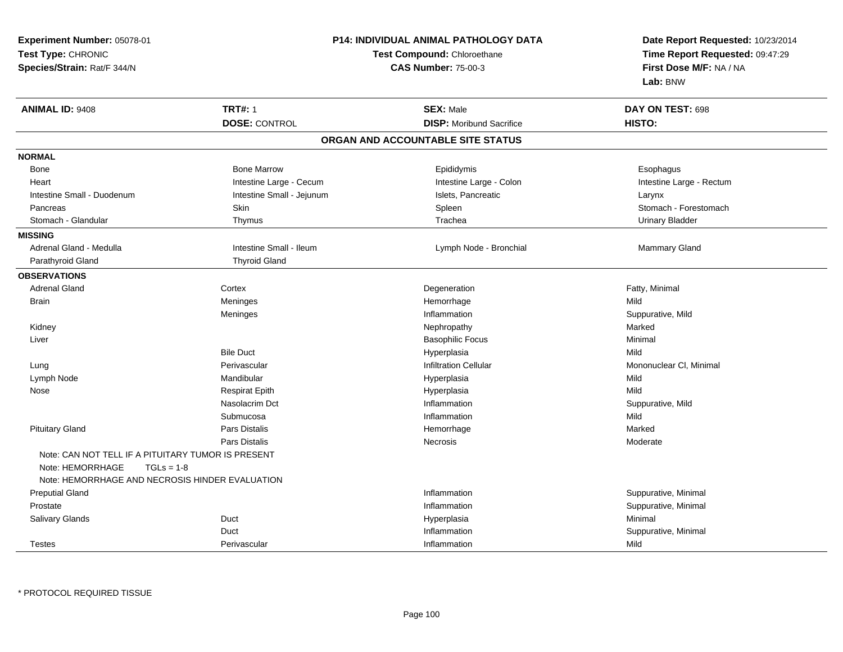| Experiment Number: 05078-01                        |                           | <b>P14: INDIVIDUAL ANIMAL PATHOLOGY DATA</b> |                                                            |  |
|----------------------------------------------------|---------------------------|----------------------------------------------|------------------------------------------------------------|--|
| Test Type: CHRONIC                                 |                           | Test Compound: Chloroethane                  | Time Report Requested: 09:47:29<br>First Dose M/F: NA / NA |  |
| Species/Strain: Rat/F 344/N                        |                           | <b>CAS Number: 75-00-3</b>                   |                                                            |  |
|                                                    |                           |                                              | Lab: BNW                                                   |  |
| <b>ANIMAL ID: 9408</b>                             | <b>TRT#: 1</b>            | <b>SEX: Male</b>                             | DAY ON TEST: 698                                           |  |
|                                                    | <b>DOSE: CONTROL</b>      | <b>DISP: Moribund Sacrifice</b>              | HISTO:                                                     |  |
|                                                    |                           | ORGAN AND ACCOUNTABLE SITE STATUS            |                                                            |  |
| <b>NORMAL</b>                                      |                           |                                              |                                                            |  |
| Bone                                               | <b>Bone Marrow</b>        | Epididymis                                   | Esophagus                                                  |  |
| Heart                                              | Intestine Large - Cecum   | Intestine Large - Colon                      | Intestine Large - Rectum                                   |  |
| Intestine Small - Duodenum                         | Intestine Small - Jejunum | Islets, Pancreatic                           | Larynx                                                     |  |
| Pancreas                                           | Skin                      | Spleen                                       | Stomach - Forestomach                                      |  |
| Stomach - Glandular                                | Thymus                    | Trachea                                      | <b>Urinary Bladder</b>                                     |  |
| <b>MISSING</b>                                     |                           |                                              |                                                            |  |
| Adrenal Gland - Medulla                            | Intestine Small - Ileum   | Lymph Node - Bronchial                       | Mammary Gland                                              |  |
| Parathyroid Gland                                  | <b>Thyroid Gland</b>      |                                              |                                                            |  |
| <b>OBSERVATIONS</b>                                |                           |                                              |                                                            |  |
| <b>Adrenal Gland</b>                               | Cortex                    | Degeneration                                 | Fatty, Minimal                                             |  |
| <b>Brain</b>                                       | Meninges                  | Hemorrhage                                   | Mild                                                       |  |
|                                                    | Meninges                  | Inflammation                                 | Suppurative, Mild                                          |  |
| Kidney                                             |                           | Nephropathy                                  | Marked                                                     |  |
| Liver                                              |                           | <b>Basophilic Focus</b>                      | Minimal                                                    |  |
|                                                    | <b>Bile Duct</b>          | Hyperplasia                                  | Mild                                                       |  |
| Lung                                               | Perivascular              | <b>Infiltration Cellular</b>                 | Mononuclear CI, Minimal                                    |  |
| Lymph Node                                         | Mandibular                | Hyperplasia                                  | Mild                                                       |  |
| Nose                                               | <b>Respirat Epith</b>     | Hyperplasia                                  | Mild                                                       |  |
|                                                    | Nasolacrim Dct            | Inflammation                                 | Suppurative, Mild                                          |  |
|                                                    | Submucosa                 | Inflammation                                 | Mild                                                       |  |
| <b>Pituitary Gland</b>                             | <b>Pars Distalis</b>      | Hemorrhage                                   | Marked                                                     |  |
|                                                    | <b>Pars Distalis</b>      | Necrosis                                     | Moderate                                                   |  |
| Note: CAN NOT TELL IF A PITUITARY TUMOR IS PRESENT |                           |                                              |                                                            |  |
| Note: HEMORRHAGE<br>$TGLs = 1-8$                   |                           |                                              |                                                            |  |
| Note: HEMORRHAGE AND NECROSIS HINDER EVALUATION    |                           |                                              |                                                            |  |
| <b>Preputial Gland</b>                             |                           | Inflammation                                 | Suppurative, Minimal                                       |  |
| Prostate                                           |                           | Inflammation                                 | Suppurative, Minimal                                       |  |
| <b>Salivary Glands</b>                             | Duct                      | Hyperplasia                                  | Minimal                                                    |  |
|                                                    | Duct                      | Inflammation                                 | Suppurative, Minimal                                       |  |
| <b>Testes</b>                                      | Perivascular              | Inflammation                                 | Mild                                                       |  |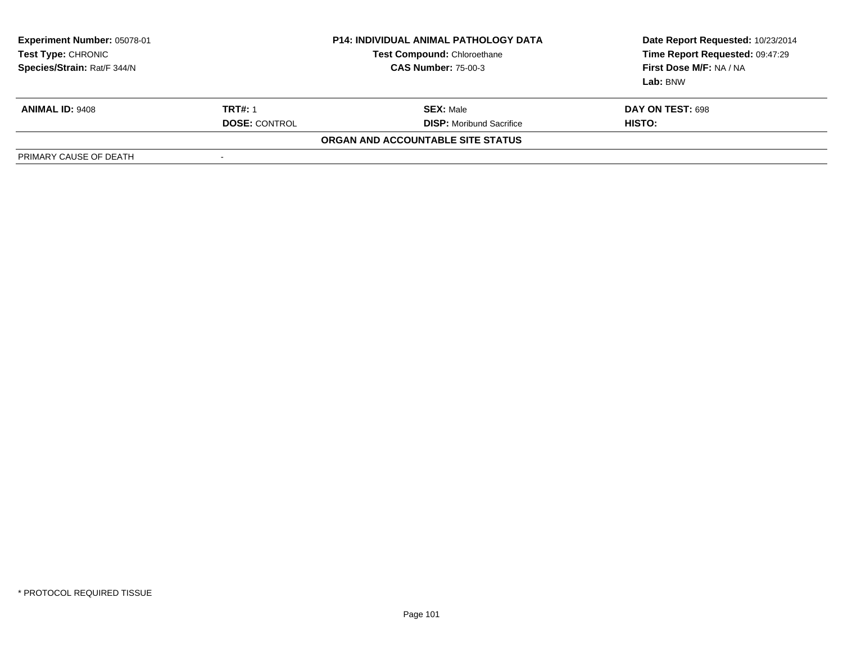| Experiment Number: 05078-01<br>Test Type: CHRONIC<br>Species/Strain: Rat/F 344/N |                      | <b>P14: INDIVIDUAL ANIMAL PATHOLOGY DATA</b><br><b>Test Compound: Chloroethane</b><br><b>CAS Number: 75-00-3</b> | Date Report Requested: 10/23/2014<br>Time Report Requested: 09:47:29<br>First Dose M/F: NA / NA<br>Lab: BNW |
|----------------------------------------------------------------------------------|----------------------|------------------------------------------------------------------------------------------------------------------|-------------------------------------------------------------------------------------------------------------|
| <b>ANIMAL ID: 9408</b>                                                           | <b>TRT#: 1</b>       | <b>SEX: Male</b>                                                                                                 | DAY ON TEST: 698                                                                                            |
|                                                                                  | <b>DOSE: CONTROL</b> | <b>DISP:</b> Moribund Sacrifice                                                                                  | HISTO:                                                                                                      |
|                                                                                  |                      | ORGAN AND ACCOUNTABLE SITE STATUS                                                                                |                                                                                                             |
| PRIMARY CAUSE OF DEATH                                                           | -                    |                                                                                                                  |                                                                                                             |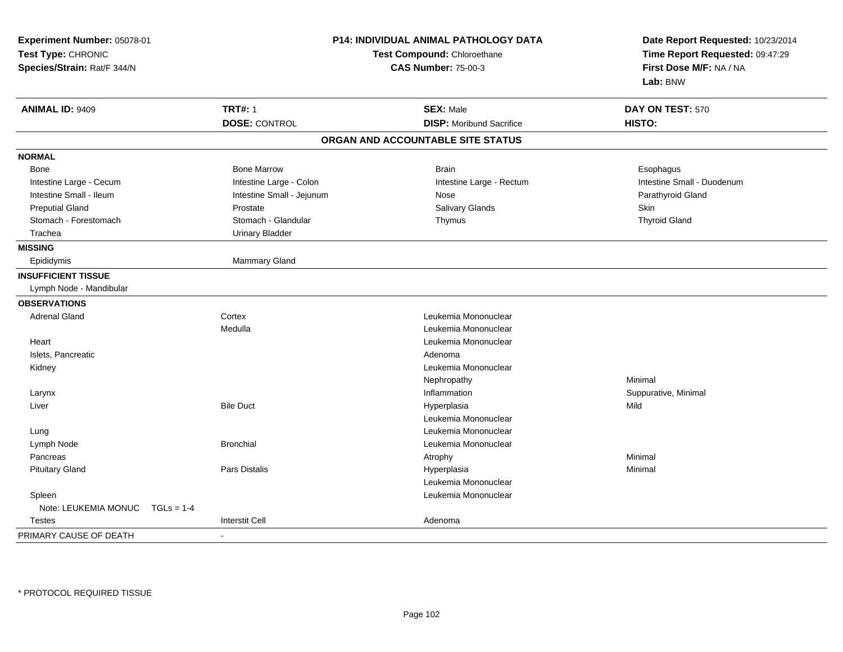| Experiment Number: 05078-01<br>Test Type: CHRONIC<br>Species/Strain: Rat/F 344/N | P14: INDIVIDUAL ANIMAL PATHOLOGY DATA<br>Test Compound: Chloroethane<br><b>CAS Number: 75-00-3</b> |                                   | Date Report Requested: 10/23/2014<br>Time Report Requested: 09:47:29<br>First Dose M/F: NA / NA<br>Lab: BNW |
|----------------------------------------------------------------------------------|----------------------------------------------------------------------------------------------------|-----------------------------------|-------------------------------------------------------------------------------------------------------------|
| <b>ANIMAL ID: 9409</b>                                                           | <b>TRT#: 1</b>                                                                                     | <b>SEX: Male</b>                  | DAY ON TEST: 570                                                                                            |
|                                                                                  | <b>DOSE: CONTROL</b>                                                                               | <b>DISP:</b> Moribund Sacrifice   | HISTO:                                                                                                      |
|                                                                                  |                                                                                                    | ORGAN AND ACCOUNTABLE SITE STATUS |                                                                                                             |
| <b>NORMAL</b>                                                                    |                                                                                                    |                                   |                                                                                                             |
| Bone                                                                             | <b>Bone Marrow</b>                                                                                 | <b>Brain</b>                      | Esophagus                                                                                                   |
| Intestine Large - Cecum                                                          | Intestine Large - Colon                                                                            | Intestine Large - Rectum          | Intestine Small - Duodenum                                                                                  |
| Intestine Small - Ileum                                                          | Intestine Small - Jejunum                                                                          | Nose                              | Parathyroid Gland                                                                                           |
| <b>Preputial Gland</b>                                                           | Prostate                                                                                           | <b>Salivary Glands</b>            | Skin                                                                                                        |
| Stomach - Forestomach                                                            | Stomach - Glandular                                                                                | Thymus                            | <b>Thyroid Gland</b>                                                                                        |
| Trachea                                                                          | <b>Urinary Bladder</b>                                                                             |                                   |                                                                                                             |
| <b>MISSING</b>                                                                   |                                                                                                    |                                   |                                                                                                             |
| Epididymis                                                                       | Mammary Gland                                                                                      |                                   |                                                                                                             |
| <b>INSUFFICIENT TISSUE</b>                                                       |                                                                                                    |                                   |                                                                                                             |
| Lymph Node - Mandibular                                                          |                                                                                                    |                                   |                                                                                                             |
| <b>OBSERVATIONS</b>                                                              |                                                                                                    |                                   |                                                                                                             |
| <b>Adrenal Gland</b>                                                             | Cortex                                                                                             | Leukemia Mononuclear              |                                                                                                             |
|                                                                                  | Medulla                                                                                            | Leukemia Mononuclear              |                                                                                                             |
| Heart                                                                            |                                                                                                    | Leukemia Mononuclear              |                                                                                                             |
| Islets, Pancreatic                                                               |                                                                                                    | Adenoma                           |                                                                                                             |
| Kidney                                                                           |                                                                                                    | Leukemia Mononuclear              |                                                                                                             |
|                                                                                  |                                                                                                    | Nephropathy                       | Minimal                                                                                                     |
| Larynx                                                                           |                                                                                                    | Inflammation                      | Suppurative, Minimal                                                                                        |
| Liver                                                                            | <b>Bile Duct</b>                                                                                   | Hyperplasia                       | Mild                                                                                                        |
|                                                                                  |                                                                                                    | Leukemia Mononuclear              |                                                                                                             |
| Lung                                                                             |                                                                                                    | Leukemia Mononuclear              |                                                                                                             |
| Lymph Node                                                                       | <b>Bronchial</b>                                                                                   | Leukemia Mononuclear              |                                                                                                             |
| Pancreas                                                                         |                                                                                                    | Atrophy                           | Minimal                                                                                                     |
| <b>Pituitary Gland</b>                                                           | Pars Distalis                                                                                      | Hyperplasia                       | Minimal                                                                                                     |
|                                                                                  |                                                                                                    | Leukemia Mononuclear              |                                                                                                             |
| Spleen                                                                           |                                                                                                    | Leukemia Mononuclear              |                                                                                                             |
| Note: LEUKEMIA MONUC<br>$TGLs = 1-4$                                             |                                                                                                    |                                   |                                                                                                             |
| <b>Testes</b>                                                                    | <b>Interstit Cell</b>                                                                              | Adenoma                           |                                                                                                             |
| PRIMARY CAUSE OF DEATH                                                           | ä,                                                                                                 |                                   |                                                                                                             |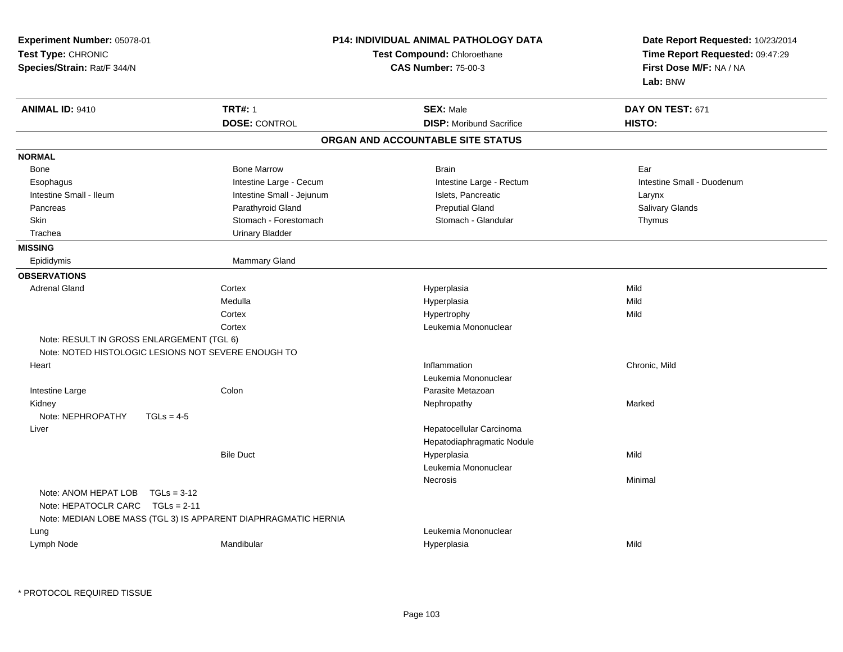| Experiment Number: 05078-01<br>Test Type: CHRONIC<br>Species/Strain: Rat/F 344/N                                                               | <b>P14: INDIVIDUAL ANIMAL PATHOLOGY DATA</b><br>Test Compound: Chloroethane<br><b>CAS Number: 75-00-3</b> | Date Report Requested: 10/23/2014<br>Time Report Requested: 09:47:29<br>First Dose M/F: NA / NA<br>Lab: BNW |
|------------------------------------------------------------------------------------------------------------------------------------------------|-----------------------------------------------------------------------------------------------------------|-------------------------------------------------------------------------------------------------------------|
| <b>TRT#: 1</b><br><b>ANIMAL ID: 9410</b><br><b>DOSE: CONTROL</b>                                                                               | <b>SEX: Male</b><br><b>DISP:</b> Moribund Sacrifice                                                       | DAY ON TEST: 671<br>HISTO:                                                                                  |
|                                                                                                                                                | ORGAN AND ACCOUNTABLE SITE STATUS                                                                         |                                                                                                             |
| <b>NORMAL</b>                                                                                                                                  |                                                                                                           |                                                                                                             |
| <b>Bone Marrow</b><br>Bone                                                                                                                     | <b>Brain</b>                                                                                              | Ear                                                                                                         |
| Intestine Large - Cecum<br>Esophagus                                                                                                           | Intestine Large - Rectum                                                                                  | Intestine Small - Duodenum                                                                                  |
| Intestine Small - Ileum<br>Intestine Small - Jejunum                                                                                           | Islets, Pancreatic                                                                                        | Larynx                                                                                                      |
| Parathyroid Gland<br>Pancreas                                                                                                                  | <b>Preputial Gland</b>                                                                                    | Salivary Glands                                                                                             |
| <b>Skin</b><br>Stomach - Forestomach                                                                                                           | Stomach - Glandular                                                                                       | Thymus                                                                                                      |
| Trachea<br><b>Urinary Bladder</b>                                                                                                              |                                                                                                           |                                                                                                             |
| <b>MISSING</b>                                                                                                                                 |                                                                                                           |                                                                                                             |
| Epididymis<br><b>Mammary Gland</b>                                                                                                             |                                                                                                           |                                                                                                             |
| <b>OBSERVATIONS</b>                                                                                                                            |                                                                                                           |                                                                                                             |
| <b>Adrenal Gland</b><br>Cortex                                                                                                                 | Hyperplasia                                                                                               | Mild                                                                                                        |
| Medulla                                                                                                                                        | Hyperplasia                                                                                               | Mild                                                                                                        |
| Cortex                                                                                                                                         | Hypertrophy                                                                                               | Mild                                                                                                        |
| Cortex                                                                                                                                         | Leukemia Mononuclear                                                                                      |                                                                                                             |
| Note: RESULT IN GROSS ENLARGEMENT (TGL 6)                                                                                                      |                                                                                                           |                                                                                                             |
| Note: NOTED HISTOLOGIC LESIONS NOT SEVERE ENOUGH TO                                                                                            |                                                                                                           |                                                                                                             |
| Heart                                                                                                                                          | Inflammation                                                                                              | Chronic, Mild                                                                                               |
|                                                                                                                                                | Leukemia Mononuclear                                                                                      |                                                                                                             |
| Intestine Large<br>Colon                                                                                                                       | Parasite Metazoan                                                                                         |                                                                                                             |
| Kidney                                                                                                                                         | Nephropathy                                                                                               | Marked                                                                                                      |
| Note: NEPHROPATHY<br>$TGLs = 4-5$                                                                                                              |                                                                                                           |                                                                                                             |
| Liver                                                                                                                                          | Hepatocellular Carcinoma                                                                                  |                                                                                                             |
|                                                                                                                                                | Hepatodiaphragmatic Nodule                                                                                |                                                                                                             |
| <b>Bile Duct</b>                                                                                                                               | Hyperplasia                                                                                               | Mild                                                                                                        |
|                                                                                                                                                | Leukemia Mononuclear                                                                                      |                                                                                                             |
| Note: ANOM HEPAT LOB<br>$TGLs = 3-12$<br>Note: HEPATOCLR CARC $TGLs = 2-11$<br>Note: MEDIAN LOBE MASS (TGL 3) IS APPARENT DIAPHRAGMATIC HERNIA | <b>Necrosis</b>                                                                                           | Minimal                                                                                                     |
| Lung                                                                                                                                           | Leukemia Mononuclear                                                                                      |                                                                                                             |
| Lymph Node<br>Mandibular                                                                                                                       | Hyperplasia                                                                                               | Mild                                                                                                        |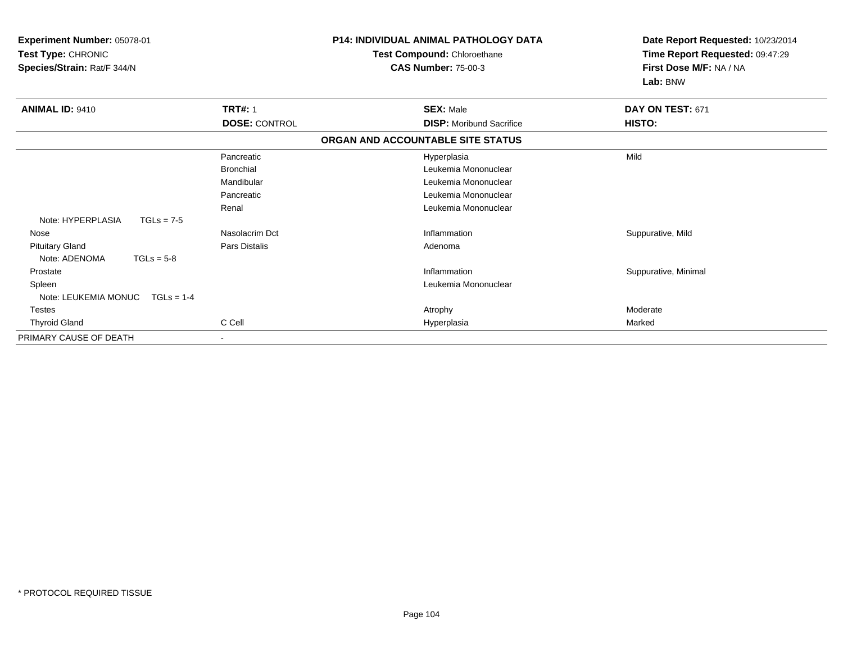| Experiment Number: 05078-01<br>Test Type: CHRONIC<br>Species/Strain: Rat/F 344/N |                          | <b>P14: INDIVIDUAL ANIMAL PATHOLOGY DATA</b><br>Test Compound: Chloroethane<br><b>CAS Number: 75-00-3</b> | Date Report Requested: 10/23/2014<br>Time Report Requested: 09:47:29<br>First Dose M/F: NA / NA<br>Lab: BNW |
|----------------------------------------------------------------------------------|--------------------------|-----------------------------------------------------------------------------------------------------------|-------------------------------------------------------------------------------------------------------------|
| <b>ANIMAL ID: 9410</b>                                                           | <b>TRT#: 1</b>           | <b>SEX: Male</b>                                                                                          | DAY ON TEST: 671                                                                                            |
|                                                                                  | <b>DOSE: CONTROL</b>     | <b>DISP:</b> Moribund Sacrifice                                                                           | HISTO:                                                                                                      |
|                                                                                  |                          | ORGAN AND ACCOUNTABLE SITE STATUS                                                                         |                                                                                                             |
|                                                                                  | Pancreatic               | Hyperplasia                                                                                               | Mild                                                                                                        |
|                                                                                  | <b>Bronchial</b>         | Leukemia Mononuclear                                                                                      |                                                                                                             |
|                                                                                  | Mandibular               | Leukemia Mononuclear                                                                                      |                                                                                                             |
|                                                                                  | Pancreatic               | Leukemia Mononuclear                                                                                      |                                                                                                             |
|                                                                                  | Renal                    | Leukemia Mononuclear                                                                                      |                                                                                                             |
| Note: HYPERPLASIA<br>$TGLs = 7-5$                                                |                          |                                                                                                           |                                                                                                             |
| Nose                                                                             | Nasolacrim Dct           | Inflammation                                                                                              | Suppurative, Mild                                                                                           |
| <b>Pituitary Gland</b>                                                           | <b>Pars Distalis</b>     | Adenoma                                                                                                   |                                                                                                             |
| Note: ADENOMA<br>$TGLs = 5-8$                                                    |                          |                                                                                                           |                                                                                                             |
| Prostate                                                                         |                          | Inflammation                                                                                              | Suppurative, Minimal                                                                                        |
| Spleen                                                                           |                          | Leukemia Mononuclear                                                                                      |                                                                                                             |
| Note: LEUKEMIA MONUC<br>$TGLs = 1-4$                                             |                          |                                                                                                           |                                                                                                             |
| <b>Testes</b>                                                                    |                          | Atrophy                                                                                                   | Moderate                                                                                                    |
| <b>Thyroid Gland</b>                                                             | C Cell                   | Hyperplasia                                                                                               | Marked                                                                                                      |
| PRIMARY CAUSE OF DEATH                                                           | $\overline{\phantom{a}}$ |                                                                                                           |                                                                                                             |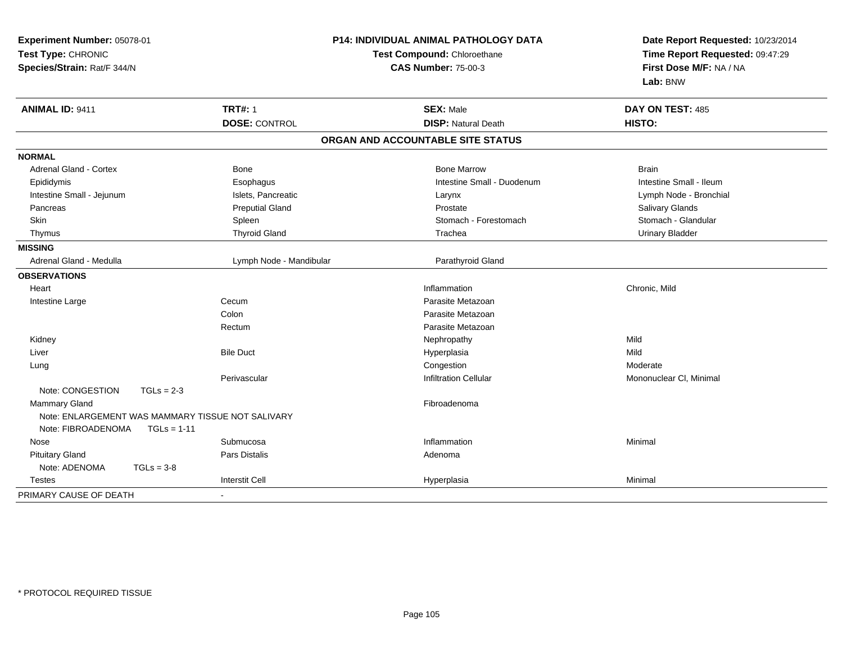| Experiment Number: 05078-01<br>Test Type: CHRONIC<br>Species/Strain: Rat/F 344/N         |                         | P14: INDIVIDUAL ANIMAL PATHOLOGY DATA<br>Test Compound: Chloroethane<br><b>CAS Number: 75-00-3</b> | Date Report Requested: 10/23/2014<br>Time Report Requested: 09:47:29<br>First Dose M/F: NA / NA<br>Lab: BNW |  |
|------------------------------------------------------------------------------------------|-------------------------|----------------------------------------------------------------------------------------------------|-------------------------------------------------------------------------------------------------------------|--|
| <b>ANIMAL ID: 9411</b>                                                                   | <b>TRT#: 1</b>          | <b>SEX: Male</b>                                                                                   | DAY ON TEST: 485                                                                                            |  |
|                                                                                          | <b>DOSE: CONTROL</b>    | <b>DISP: Natural Death</b>                                                                         | HISTO:                                                                                                      |  |
|                                                                                          |                         | ORGAN AND ACCOUNTABLE SITE STATUS                                                                  |                                                                                                             |  |
| <b>NORMAL</b>                                                                            |                         |                                                                                                    |                                                                                                             |  |
| <b>Adrenal Gland - Cortex</b>                                                            | Bone                    | <b>Bone Marrow</b>                                                                                 | <b>Brain</b>                                                                                                |  |
| Epididymis                                                                               | Esophagus               | Intestine Small - Duodenum                                                                         | Intestine Small - Ileum                                                                                     |  |
| Intestine Small - Jejunum                                                                | Islets, Pancreatic      | Larynx                                                                                             | Lymph Node - Bronchial                                                                                      |  |
| Pancreas                                                                                 | <b>Preputial Gland</b>  | Prostate                                                                                           | Salivary Glands                                                                                             |  |
| <b>Skin</b>                                                                              | Spleen                  | Stomach - Forestomach                                                                              | Stomach - Glandular                                                                                         |  |
| Thymus                                                                                   | <b>Thyroid Gland</b>    | Trachea                                                                                            | <b>Urinary Bladder</b>                                                                                      |  |
| <b>MISSING</b>                                                                           |                         |                                                                                                    |                                                                                                             |  |
| Adrenal Gland - Medulla                                                                  | Lymph Node - Mandibular | Parathyroid Gland                                                                                  |                                                                                                             |  |
| <b>OBSERVATIONS</b>                                                                      |                         |                                                                                                    |                                                                                                             |  |
| Heart                                                                                    |                         | Inflammation                                                                                       | Chronic, Mild                                                                                               |  |
| Intestine Large                                                                          | Cecum                   | Parasite Metazoan                                                                                  |                                                                                                             |  |
|                                                                                          | Colon                   | Parasite Metazoan                                                                                  |                                                                                                             |  |
|                                                                                          | Rectum                  | Parasite Metazoan                                                                                  |                                                                                                             |  |
| Kidney                                                                                   |                         | Nephropathy                                                                                        | Mild                                                                                                        |  |
| Liver                                                                                    | <b>Bile Duct</b>        | Hyperplasia                                                                                        | Mild                                                                                                        |  |
| Lung                                                                                     |                         | Congestion                                                                                         | Moderate                                                                                                    |  |
|                                                                                          | Perivascular            | <b>Infiltration Cellular</b>                                                                       | Mononuclear CI, Minimal                                                                                     |  |
| Note: CONGESTION<br>$TGLs = 2-3$                                                         |                         |                                                                                                    |                                                                                                             |  |
| <b>Mammary Gland</b>                                                                     |                         | Fibroadenoma                                                                                       |                                                                                                             |  |
| Note: ENLARGEMENT WAS MAMMARY TISSUE NOT SALIVARY<br>Note: FIBROADENOMA<br>$TGLs = 1-11$ |                         |                                                                                                    |                                                                                                             |  |
| Nose                                                                                     | Submucosa               | Inflammation                                                                                       | Minimal                                                                                                     |  |
| <b>Pituitary Gland</b>                                                                   | Pars Distalis           | Adenoma                                                                                            |                                                                                                             |  |
| Note: ADENOMA<br>$TGLs = 3-8$                                                            |                         |                                                                                                    |                                                                                                             |  |
| Testes                                                                                   | <b>Interstit Cell</b>   | Hyperplasia                                                                                        | Minimal                                                                                                     |  |
| PRIMARY CAUSE OF DEATH                                                                   |                         |                                                                                                    |                                                                                                             |  |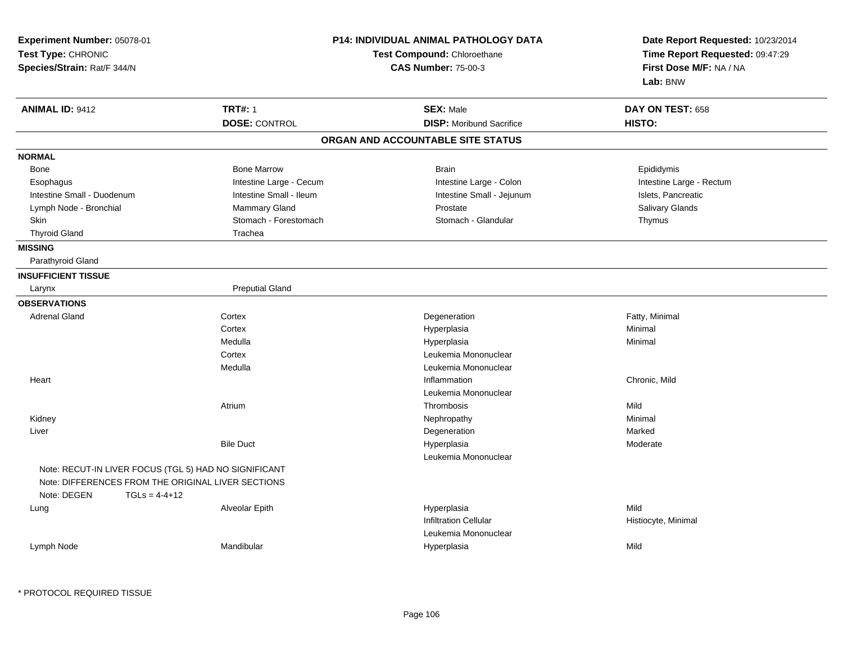| Experiment Number: 05078-01<br>Test Type: CHRONIC<br>Species/Strain: Rat/F 344/N                                                              |                                                    | P14: INDIVIDUAL ANIMAL PATHOLOGY DATA<br>Test Compound: Chloroethane<br><b>CAS Number: 75-00-3</b> | Date Report Requested: 10/23/2014<br>Time Report Requested: 09:47:29<br>First Dose M/F: NA / NA<br>Lab: BNW |  |
|-----------------------------------------------------------------------------------------------------------------------------------------------|----------------------------------------------------|----------------------------------------------------------------------------------------------------|-------------------------------------------------------------------------------------------------------------|--|
| <b>ANIMAL ID: 9412</b>                                                                                                                        | <b>TRT#: 1</b><br><b>DOSE: CONTROL</b>             | <b>SEX: Male</b><br><b>DISP:</b> Moribund Sacrifice                                                | DAY ON TEST: 658<br>HISTO:                                                                                  |  |
|                                                                                                                                               |                                                    | ORGAN AND ACCOUNTABLE SITE STATUS                                                                  |                                                                                                             |  |
|                                                                                                                                               |                                                    |                                                                                                    |                                                                                                             |  |
| <b>NORMAL</b>                                                                                                                                 |                                                    |                                                                                                    |                                                                                                             |  |
| Bone                                                                                                                                          | <b>Bone Marrow</b>                                 | <b>Brain</b>                                                                                       | Epididymis                                                                                                  |  |
| Esophagus<br>Intestine Small - Duodenum                                                                                                       | Intestine Large - Cecum<br>Intestine Small - Ileum | Intestine Large - Colon<br>Intestine Small - Jejunum                                               | Intestine Large - Rectum<br>Islets, Pancreatic                                                              |  |
| Lymph Node - Bronchial                                                                                                                        | Mammary Gland                                      | Prostate                                                                                           | Salivary Glands                                                                                             |  |
| Skin                                                                                                                                          | Stomach - Forestomach                              | Stomach - Glandular                                                                                | Thymus                                                                                                      |  |
| <b>Thyroid Gland</b>                                                                                                                          | Trachea                                            |                                                                                                    |                                                                                                             |  |
| <b>MISSING</b>                                                                                                                                |                                                    |                                                                                                    |                                                                                                             |  |
| Parathyroid Gland                                                                                                                             |                                                    |                                                                                                    |                                                                                                             |  |
| <b>INSUFFICIENT TISSUE</b>                                                                                                                    |                                                    |                                                                                                    |                                                                                                             |  |
| Larynx                                                                                                                                        | <b>Preputial Gland</b>                             |                                                                                                    |                                                                                                             |  |
| <b>OBSERVATIONS</b>                                                                                                                           |                                                    |                                                                                                    |                                                                                                             |  |
| <b>Adrenal Gland</b>                                                                                                                          | Cortex                                             | Degeneration                                                                                       | Fatty, Minimal                                                                                              |  |
|                                                                                                                                               | Cortex                                             | Hyperplasia                                                                                        | Minimal                                                                                                     |  |
|                                                                                                                                               | Medulla                                            | Hyperplasia                                                                                        | Minimal                                                                                                     |  |
|                                                                                                                                               | Cortex                                             | Leukemia Mononuclear                                                                               |                                                                                                             |  |
|                                                                                                                                               | Medulla                                            | Leukemia Mononuclear                                                                               |                                                                                                             |  |
| Heart                                                                                                                                         |                                                    | Inflammation                                                                                       | Chronic, Mild                                                                                               |  |
|                                                                                                                                               |                                                    | Leukemia Mononuclear                                                                               |                                                                                                             |  |
|                                                                                                                                               | Atrium                                             | Thrombosis                                                                                         | Mild                                                                                                        |  |
| Kidney                                                                                                                                        |                                                    | Nephropathy                                                                                        | Minimal                                                                                                     |  |
| Liver                                                                                                                                         |                                                    | Degeneration                                                                                       | Marked                                                                                                      |  |
|                                                                                                                                               | <b>Bile Duct</b>                                   | Hyperplasia                                                                                        | Moderate                                                                                                    |  |
|                                                                                                                                               |                                                    | Leukemia Mononuclear                                                                               |                                                                                                             |  |
| Note: RECUT-IN LIVER FOCUS (TGL 5) HAD NO SIGNIFICANT<br>Note: DIFFERENCES FROM THE ORIGINAL LIVER SECTIONS<br>Note: DEGEN<br>$TGLs = 4-4+12$ |                                                    |                                                                                                    |                                                                                                             |  |
| Lung                                                                                                                                          | Alveolar Epith                                     | Hyperplasia<br><b>Infiltration Cellular</b><br>Leukemia Mononuclear                                | Mild<br>Histiocyte, Minimal                                                                                 |  |
| Lymph Node                                                                                                                                    | Mandibular                                         | Hyperplasia                                                                                        | Mild                                                                                                        |  |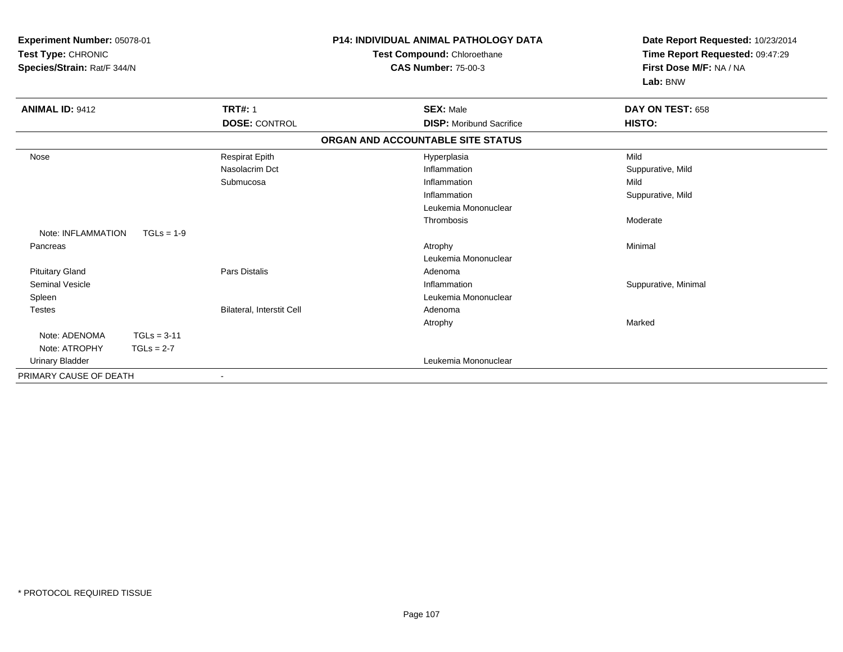| Experiment Number: 05078-01<br>Test Type: CHRONIC<br>Species/Strain: Rat/F 344/N |               |                           | <b>P14: INDIVIDUAL ANIMAL PATHOLOGY DATA</b><br>Test Compound: Chloroethane<br><b>CAS Number: 75-00-3</b> | Date Report Requested: 10/23/2014<br>Time Report Requested: 09:47:29<br>First Dose M/F: NA / NA<br>Lab: BNW |
|----------------------------------------------------------------------------------|---------------|---------------------------|-----------------------------------------------------------------------------------------------------------|-------------------------------------------------------------------------------------------------------------|
| <b>ANIMAL ID: 9412</b>                                                           |               | <b>TRT#: 1</b>            | <b>SEX: Male</b>                                                                                          | DAY ON TEST: 658                                                                                            |
|                                                                                  |               | <b>DOSE: CONTROL</b>      | <b>DISP:</b> Moribund Sacrifice                                                                           | HISTO:                                                                                                      |
|                                                                                  |               |                           | ORGAN AND ACCOUNTABLE SITE STATUS                                                                         |                                                                                                             |
| Nose                                                                             |               | <b>Respirat Epith</b>     | Hyperplasia                                                                                               | Mild                                                                                                        |
|                                                                                  |               | Nasolacrim Dct            | Inflammation                                                                                              | Suppurative, Mild                                                                                           |
|                                                                                  |               | Submucosa                 | Inflammation                                                                                              | Mild                                                                                                        |
|                                                                                  |               |                           | Inflammation                                                                                              | Suppurative, Mild                                                                                           |
|                                                                                  |               |                           | Leukemia Mononuclear                                                                                      |                                                                                                             |
|                                                                                  |               |                           | Thrombosis                                                                                                | Moderate                                                                                                    |
| Note: INFLAMMATION                                                               | $TGLs = 1-9$  |                           |                                                                                                           |                                                                                                             |
| Pancreas                                                                         |               |                           | Atrophy                                                                                                   | Minimal                                                                                                     |
|                                                                                  |               |                           | Leukemia Mononuclear                                                                                      |                                                                                                             |
| <b>Pituitary Gland</b>                                                           |               | Pars Distalis             | Adenoma                                                                                                   |                                                                                                             |
| Seminal Vesicle                                                                  |               |                           | Inflammation                                                                                              | Suppurative, Minimal                                                                                        |
| Spleen                                                                           |               |                           | Leukemia Mononuclear                                                                                      |                                                                                                             |
| <b>Testes</b>                                                                    |               | Bilateral, Interstit Cell | Adenoma                                                                                                   |                                                                                                             |
|                                                                                  |               |                           | Atrophy                                                                                                   | Marked                                                                                                      |
| Note: ADENOMA                                                                    | $TGLs = 3-11$ |                           |                                                                                                           |                                                                                                             |
| Note: ATROPHY                                                                    | $TGLs = 2-7$  |                           |                                                                                                           |                                                                                                             |
| <b>Urinary Bladder</b>                                                           |               |                           | Leukemia Mononuclear                                                                                      |                                                                                                             |
| PRIMARY CAUSE OF DEATH                                                           |               | $\blacksquare$            |                                                                                                           |                                                                                                             |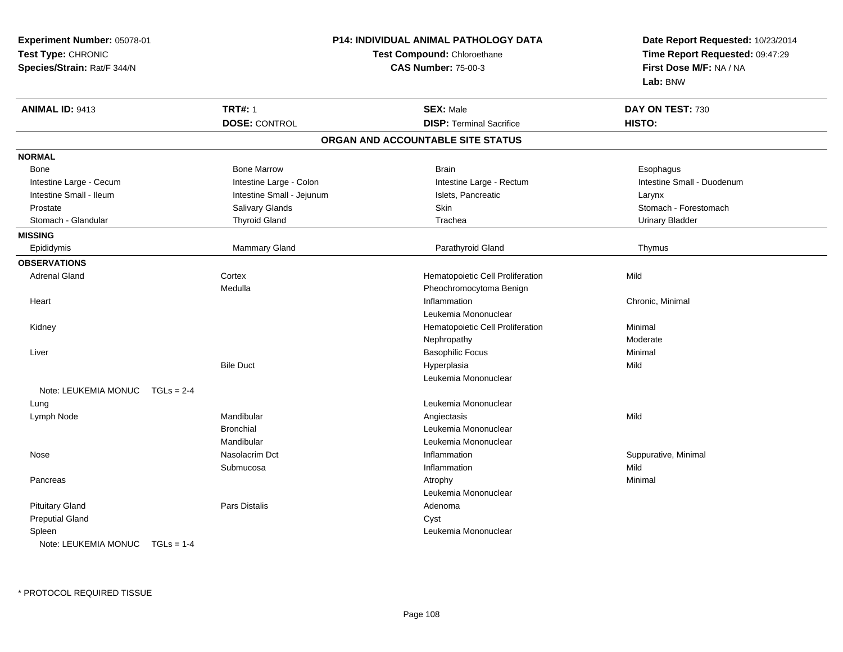| Experiment Number: 05078-01          | <b>P14: INDIVIDUAL ANIMAL PATHOLOGY DATA</b> | Date Report Requested: 10/23/2014 |                                                            |
|--------------------------------------|----------------------------------------------|-----------------------------------|------------------------------------------------------------|
| Test Type: CHRONIC                   |                                              | Test Compound: Chloroethane       |                                                            |
| Species/Strain: Rat/F 344/N          |                                              | <b>CAS Number: 75-00-3</b>        | Time Report Requested: 09:47:29<br>First Dose M/F: NA / NA |
|                                      |                                              |                                   | Lab: BNW                                                   |
| <b>ANIMAL ID: 9413</b>               | <b>TRT#: 1</b>                               | <b>SEX: Male</b>                  | DAY ON TEST: 730                                           |
|                                      | <b>DOSE: CONTROL</b>                         | <b>DISP: Terminal Sacrifice</b>   | HISTO:                                                     |
|                                      |                                              | ORGAN AND ACCOUNTABLE SITE STATUS |                                                            |
| <b>NORMAL</b>                        |                                              |                                   |                                                            |
| <b>Bone</b>                          | <b>Bone Marrow</b>                           | <b>Brain</b>                      | Esophagus                                                  |
| Intestine Large - Cecum              | Intestine Large - Colon                      | Intestine Large - Rectum          | Intestine Small - Duodenum                                 |
| Intestine Small - Ileum              | Intestine Small - Jejunum                    | Islets, Pancreatic                | Larynx                                                     |
| Prostate                             | Salivary Glands                              | Skin                              | Stomach - Forestomach                                      |
| Stomach - Glandular                  | <b>Thyroid Gland</b>                         | Trachea                           | <b>Urinary Bladder</b>                                     |
| <b>MISSING</b>                       |                                              |                                   |                                                            |
| Epididymis                           | Mammary Gland                                | Parathyroid Gland                 | Thymus                                                     |
| <b>OBSERVATIONS</b>                  |                                              |                                   |                                                            |
| <b>Adrenal Gland</b>                 | Cortex                                       | Hematopoietic Cell Proliferation  | Mild                                                       |
|                                      | Medulla                                      | Pheochromocytoma Benign           |                                                            |
| Heart                                |                                              | Inflammation                      | Chronic, Minimal                                           |
|                                      |                                              | Leukemia Mononuclear              |                                                            |
| Kidney                               |                                              | Hematopoietic Cell Proliferation  | Minimal                                                    |
|                                      |                                              | Nephropathy                       | Moderate                                                   |
| Liver                                |                                              | <b>Basophilic Focus</b>           | Minimal                                                    |
|                                      | <b>Bile Duct</b>                             | Hyperplasia                       | Mild                                                       |
|                                      |                                              | Leukemia Mononuclear              |                                                            |
| Note: LEUKEMIA MONUC<br>$TGLs = 2-4$ |                                              |                                   |                                                            |
| Lung                                 |                                              | Leukemia Mononuclear              |                                                            |
| Lymph Node                           | Mandibular                                   | Angiectasis                       | Mild                                                       |
|                                      | <b>Bronchial</b>                             | Leukemia Mononuclear              |                                                            |
|                                      | Mandibular                                   | Leukemia Mononuclear              |                                                            |
| Nose                                 | Nasolacrim Dct                               | Inflammation                      | Suppurative, Minimal                                       |
|                                      | Submucosa                                    | Inflammation                      | Mild                                                       |
| Pancreas                             |                                              | Atrophy                           | Minimal                                                    |
|                                      |                                              | Leukemia Mononuclear              |                                                            |
| <b>Pituitary Gland</b>               | Pars Distalis                                | Adenoma                           |                                                            |
| <b>Preputial Gland</b>               |                                              | Cyst                              |                                                            |
| Spleen                               |                                              | Leukemia Mononuclear              |                                                            |
| Note: LEUKEMIA MONUC $TGLs = 1-4$    |                                              |                                   |                                                            |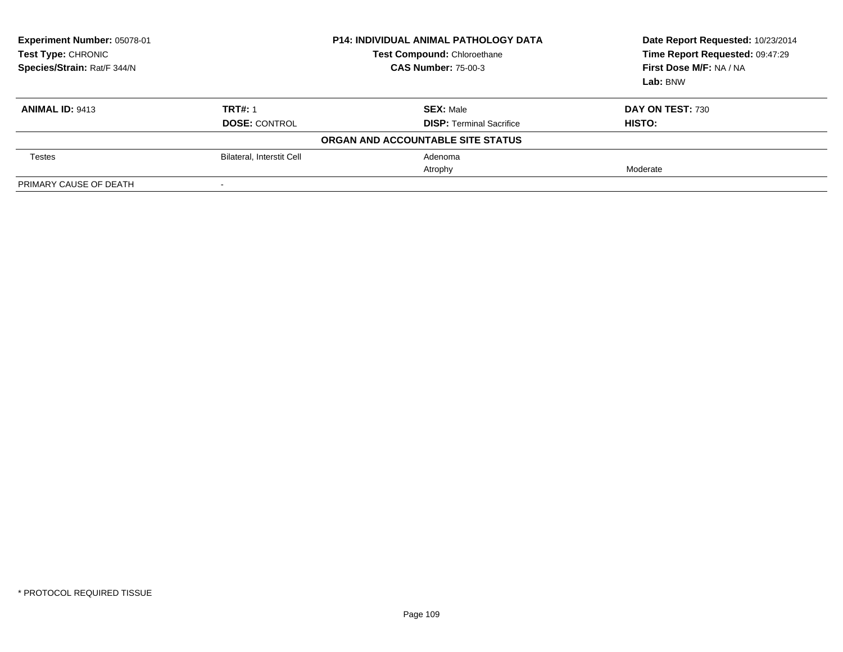| Experiment Number: 05078-01<br>Test Type: CHRONIC<br>Species/Strain: Rat/F 344/N |                           | <b>P14: INDIVIDUAL ANIMAL PATHOLOGY DATA</b><br><b>Test Compound: Chloroethane</b><br><b>CAS Number: 75-00-3</b> | Date Report Requested: 10/23/2014<br>Time Report Requested: 09:47:29<br>First Dose M/F: NA / NA<br>Lab: BNW |
|----------------------------------------------------------------------------------|---------------------------|------------------------------------------------------------------------------------------------------------------|-------------------------------------------------------------------------------------------------------------|
| <b>ANIMAL ID: 9413</b>                                                           | <b>TRT#: 1</b>            | <b>SEX: Male</b>                                                                                                 | DAY ON TEST: 730                                                                                            |
|                                                                                  | <b>DOSE: CONTROL</b>      | <b>DISP:</b> Terminal Sacrifice                                                                                  | <b>HISTO:</b>                                                                                               |
|                                                                                  |                           | ORGAN AND ACCOUNTABLE SITE STATUS                                                                                |                                                                                                             |
| Testes                                                                           | Bilateral, Interstit Cell | Adenoma                                                                                                          |                                                                                                             |
|                                                                                  |                           | Atrophy                                                                                                          | Moderate                                                                                                    |
| PRIMARY CAUSE OF DEATH                                                           |                           |                                                                                                                  |                                                                                                             |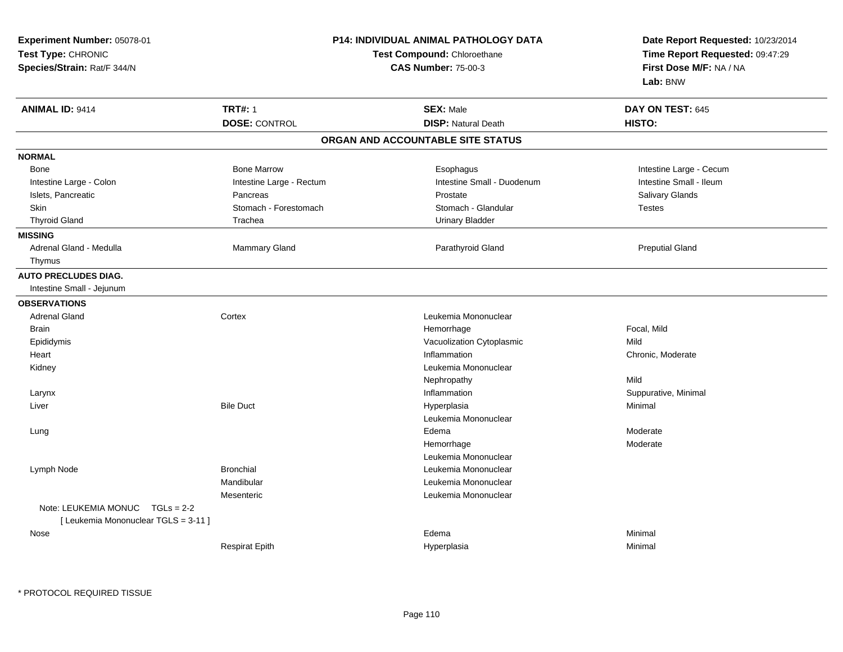| Experiment Number: 05078-01<br>Test Type: CHRONIC<br>Species/Strain: Rat/F 344/N |                          | <b>P14: INDIVIDUAL ANIMAL PATHOLOGY DATA</b><br><b>Test Compound: Chloroethane</b><br><b>CAS Number: 75-00-3</b> | Date Report Requested: 10/23/2014<br>Time Report Requested: 09:47:29<br>First Dose M/F: NA / NA<br>Lab: BNW |
|----------------------------------------------------------------------------------|--------------------------|------------------------------------------------------------------------------------------------------------------|-------------------------------------------------------------------------------------------------------------|
| <b>ANIMAL ID: 9414</b>                                                           | <b>TRT#: 1</b>           | <b>SEX: Male</b>                                                                                                 | DAY ON TEST: 645                                                                                            |
|                                                                                  | <b>DOSE: CONTROL</b>     | <b>DISP: Natural Death</b>                                                                                       | HISTO:                                                                                                      |
|                                                                                  |                          | ORGAN AND ACCOUNTABLE SITE STATUS                                                                                |                                                                                                             |
| <b>NORMAL</b>                                                                    |                          |                                                                                                                  |                                                                                                             |
| Bone                                                                             | <b>Bone Marrow</b>       | Esophagus                                                                                                        | Intestine Large - Cecum                                                                                     |
| Intestine Large - Colon                                                          | Intestine Large - Rectum | Intestine Small - Duodenum                                                                                       | Intestine Small - Ileum                                                                                     |
| Islets, Pancreatic                                                               | Pancreas                 | Prostate                                                                                                         | Salivary Glands                                                                                             |
| Skin                                                                             | Stomach - Forestomach    | Stomach - Glandular                                                                                              | Testes                                                                                                      |
| <b>Thyroid Gland</b>                                                             | Trachea                  | <b>Urinary Bladder</b>                                                                                           |                                                                                                             |
| <b>MISSING</b>                                                                   |                          |                                                                                                                  |                                                                                                             |
| Adrenal Gland - Medulla                                                          | Mammary Gland            | Parathyroid Gland                                                                                                | <b>Preputial Gland</b>                                                                                      |
| Thymus                                                                           |                          |                                                                                                                  |                                                                                                             |
| <b>AUTO PRECLUDES DIAG.</b><br>Intestine Small - Jejunum                         |                          |                                                                                                                  |                                                                                                             |
| <b>OBSERVATIONS</b>                                                              |                          |                                                                                                                  |                                                                                                             |
| <b>Adrenal Gland</b>                                                             | Cortex                   | Leukemia Mononuclear                                                                                             |                                                                                                             |
| Brain                                                                            |                          | Hemorrhage                                                                                                       | Focal, Mild                                                                                                 |
| Epididymis                                                                       |                          | Vacuolization Cytoplasmic                                                                                        | Mild                                                                                                        |
| Heart                                                                            |                          | Inflammation                                                                                                     | Chronic, Moderate                                                                                           |
| Kidney                                                                           |                          | Leukemia Mononuclear                                                                                             |                                                                                                             |
|                                                                                  |                          | Nephropathy                                                                                                      | Mild                                                                                                        |
| Larynx                                                                           |                          | Inflammation                                                                                                     | Suppurative, Minimal                                                                                        |
| Liver                                                                            | <b>Bile Duct</b>         | Hyperplasia                                                                                                      | Minimal                                                                                                     |
|                                                                                  |                          | Leukemia Mononuclear                                                                                             |                                                                                                             |
| Lung                                                                             |                          | Edema                                                                                                            | Moderate                                                                                                    |
|                                                                                  |                          | Hemorrhage                                                                                                       | Moderate                                                                                                    |
|                                                                                  |                          | Leukemia Mononuclear                                                                                             |                                                                                                             |
| Lymph Node                                                                       | <b>Bronchial</b>         | Leukemia Mononuclear                                                                                             |                                                                                                             |
|                                                                                  | Mandibular               | Leukemia Mononuclear                                                                                             |                                                                                                             |
|                                                                                  | Mesenteric               | Leukemia Mononuclear                                                                                             |                                                                                                             |
| Note: LEUKEMIA MONUC<br>$TGLs = 2-2$                                             |                          |                                                                                                                  |                                                                                                             |
| [ Leukemia Mononuclear TGLS = 3-11 ]                                             |                          |                                                                                                                  |                                                                                                             |
| Nose                                                                             |                          | Edema                                                                                                            | Minimal                                                                                                     |
|                                                                                  | <b>Respirat Epith</b>    | Hyperplasia                                                                                                      | Minimal                                                                                                     |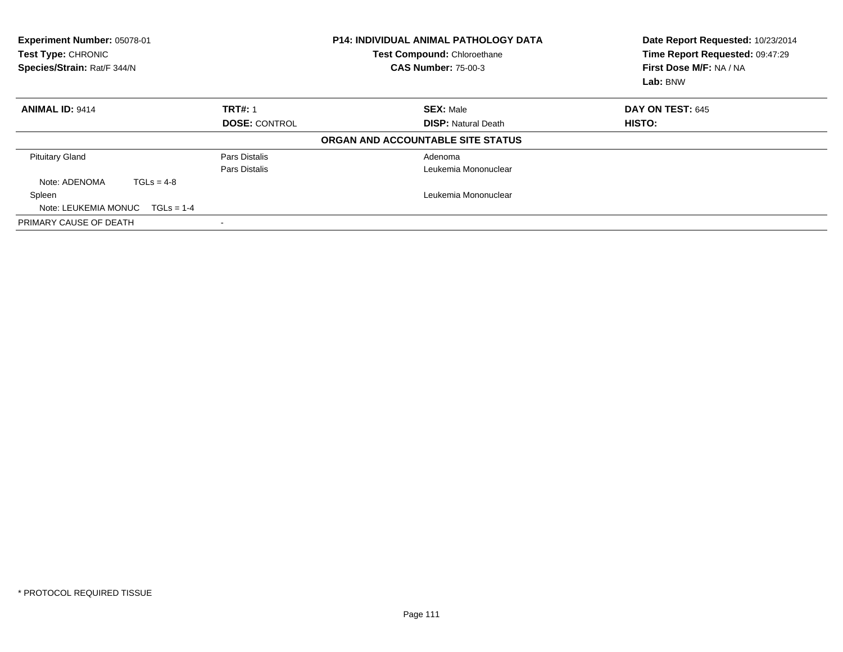| Experiment Number: 05078-01<br>Test Type: CHRONIC<br>Species/Strain: Rat/F 344/N |              |                      | <b>P14: INDIVIDUAL ANIMAL PATHOLOGY DATA</b><br>Test Compound: Chloroethane<br><b>CAS Number: 75-00-3</b> | Date Report Requested: 10/23/2014<br>Time Report Requested: 09:47:29<br>First Dose M/F: NA / NA<br>Lab: BNW |
|----------------------------------------------------------------------------------|--------------|----------------------|-----------------------------------------------------------------------------------------------------------|-------------------------------------------------------------------------------------------------------------|
| <b>ANIMAL ID: 9414</b>                                                           |              | <b>TRT#: 1</b>       | <b>SEX: Male</b>                                                                                          | <b>DAY ON TEST: 645</b>                                                                                     |
|                                                                                  |              | <b>DOSE: CONTROL</b> | <b>DISP:</b> Natural Death                                                                                | <b>HISTO:</b>                                                                                               |
|                                                                                  |              |                      | ORGAN AND ACCOUNTABLE SITE STATUS                                                                         |                                                                                                             |
| <b>Pituitary Gland</b>                                                           |              | Pars Distalis        | Adenoma                                                                                                   |                                                                                                             |
|                                                                                  |              | Pars Distalis        | Leukemia Mononuclear                                                                                      |                                                                                                             |
| Note: ADENOMA                                                                    | $TGLs = 4-8$ |                      |                                                                                                           |                                                                                                             |
| Spleen                                                                           |              |                      | Leukemia Mononuclear                                                                                      |                                                                                                             |
| Note: LEUKEMIA MONUC $TGLs = 1-4$                                                |              |                      |                                                                                                           |                                                                                                             |
| PRIMARY CAUSE OF DEATH                                                           |              |                      |                                                                                                           |                                                                                                             |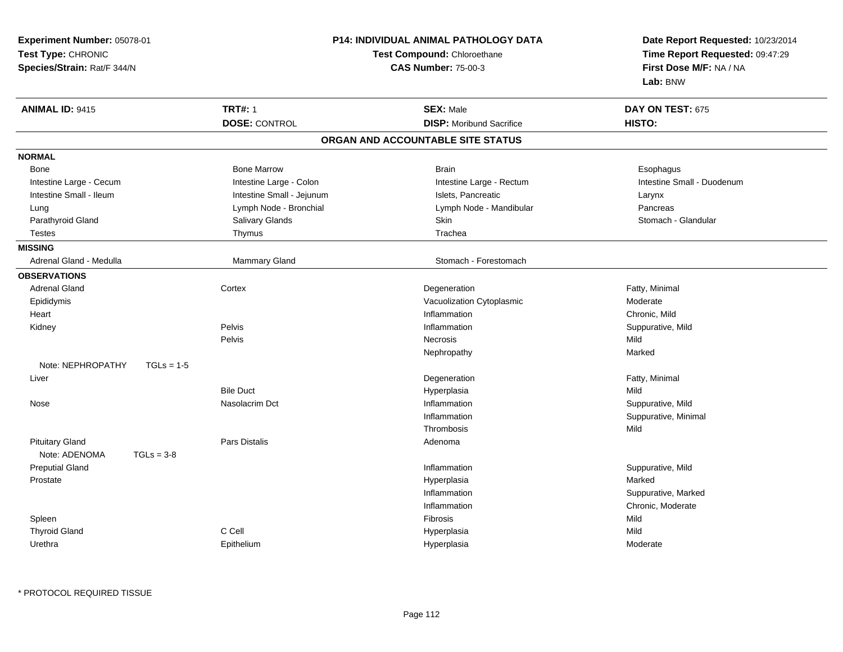| Experiment Number: 05078-01<br>Test Type: CHRONIC<br>Species/Strain: Rat/F 344/N | P14: INDIVIDUAL ANIMAL PATHOLOGY DATA<br>Test Compound: Chloroethane<br><b>CAS Number: 75-00-3</b> |                                   | Date Report Requested: 10/23/2014<br>Time Report Requested: 09:47:29<br>First Dose M/F: NA / NA<br>Lab: BNW |
|----------------------------------------------------------------------------------|----------------------------------------------------------------------------------------------------|-----------------------------------|-------------------------------------------------------------------------------------------------------------|
| <b>ANIMAL ID: 9415</b>                                                           | <b>TRT#: 1</b>                                                                                     | <b>SEX: Male</b>                  | DAY ON TEST: 675                                                                                            |
|                                                                                  | <b>DOSE: CONTROL</b>                                                                               | <b>DISP:</b> Moribund Sacrifice   | HISTO:                                                                                                      |
|                                                                                  |                                                                                                    | ORGAN AND ACCOUNTABLE SITE STATUS |                                                                                                             |
| <b>NORMAL</b>                                                                    |                                                                                                    |                                   |                                                                                                             |
| Bone                                                                             | <b>Bone Marrow</b>                                                                                 | Brain                             | Esophagus                                                                                                   |
| Intestine Large - Cecum                                                          | Intestine Large - Colon                                                                            | Intestine Large - Rectum          | Intestine Small - Duodenum                                                                                  |
| Intestine Small - Ileum                                                          | Intestine Small - Jejunum                                                                          | Islets, Pancreatic                | Larynx                                                                                                      |
| Lung                                                                             | Lymph Node - Bronchial                                                                             | Lymph Node - Mandibular           | Pancreas                                                                                                    |
| Parathyroid Gland                                                                | Salivary Glands                                                                                    | Skin                              | Stomach - Glandular                                                                                         |
| <b>Testes</b>                                                                    | Thymus                                                                                             | Trachea                           |                                                                                                             |
| <b>MISSING</b>                                                                   |                                                                                                    |                                   |                                                                                                             |
| Adrenal Gland - Medulla                                                          | Mammary Gland                                                                                      | Stomach - Forestomach             |                                                                                                             |
| <b>OBSERVATIONS</b>                                                              |                                                                                                    |                                   |                                                                                                             |
| <b>Adrenal Gland</b>                                                             | Cortex                                                                                             | Degeneration                      | Fatty, Minimal                                                                                              |
| Epididymis                                                                       |                                                                                                    | Vacuolization Cytoplasmic         | Moderate                                                                                                    |
| Heart                                                                            |                                                                                                    | Inflammation                      | Chronic, Mild                                                                                               |
| Kidney                                                                           | Pelvis                                                                                             | Inflammation                      | Suppurative, Mild                                                                                           |
|                                                                                  | Pelvis                                                                                             | <b>Necrosis</b>                   | Mild                                                                                                        |
|                                                                                  |                                                                                                    | Nephropathy                       | Marked                                                                                                      |
| Note: NEPHROPATHY<br>$TGLs = 1-5$                                                |                                                                                                    |                                   |                                                                                                             |
| Liver                                                                            |                                                                                                    | Degeneration                      | Fatty, Minimal                                                                                              |
|                                                                                  | <b>Bile Duct</b>                                                                                   | Hyperplasia                       | Mild                                                                                                        |
| Nose                                                                             | Nasolacrim Dct                                                                                     | Inflammation                      | Suppurative, Mild                                                                                           |
|                                                                                  |                                                                                                    | Inflammation                      | Suppurative, Minimal                                                                                        |
|                                                                                  |                                                                                                    | Thrombosis                        | Mild                                                                                                        |
| <b>Pituitary Gland</b>                                                           | Pars Distalis                                                                                      | Adenoma                           |                                                                                                             |
| Note: ADENOMA<br>$TGLs = 3-8$                                                    |                                                                                                    |                                   |                                                                                                             |
| <b>Preputial Gland</b>                                                           |                                                                                                    | Inflammation                      | Suppurative, Mild                                                                                           |
| Prostate                                                                         |                                                                                                    | Hyperplasia                       | Marked                                                                                                      |
|                                                                                  |                                                                                                    | Inflammation                      | Suppurative, Marked                                                                                         |
|                                                                                  |                                                                                                    | Inflammation                      | Chronic, Moderate                                                                                           |
| Spleen                                                                           |                                                                                                    | <b>Fibrosis</b>                   | Mild                                                                                                        |
| <b>Thyroid Gland</b>                                                             | C Cell                                                                                             | Hyperplasia                       | Mild                                                                                                        |
| Urethra                                                                          | Epithelium                                                                                         | Hyperplasia                       | Moderate                                                                                                    |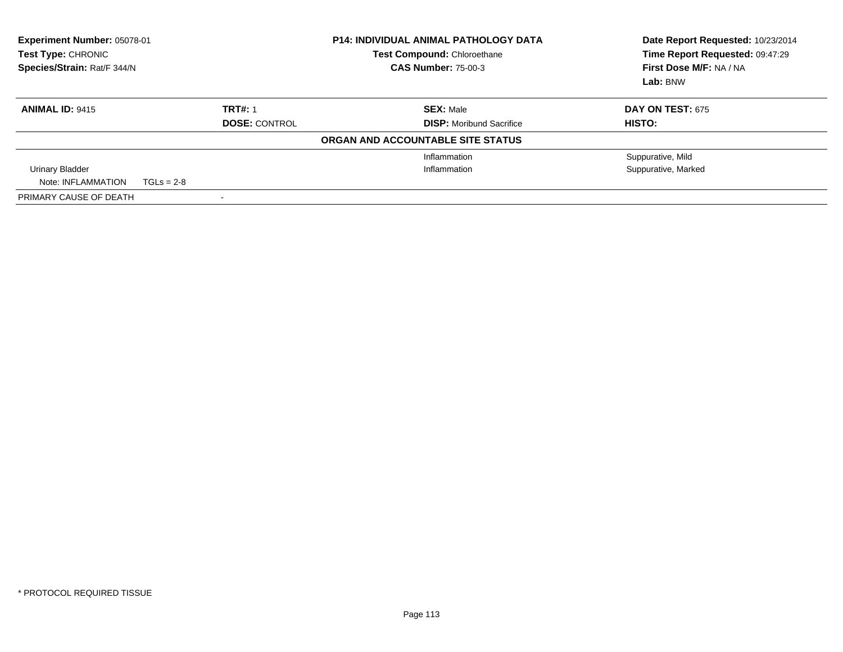| Experiment Number: 05078-01<br>Test Type: CHRONIC<br>Species/Strain: Rat/F 344/N |              |                      | <b>P14: INDIVIDUAL ANIMAL PATHOLOGY DATA</b><br><b>Test Compound: Chloroethane</b><br><b>CAS Number: 75-00-3</b> | Date Report Requested: 10/23/2014<br>Time Report Requested: 09:47:29<br>First Dose M/F: NA / NA<br>Lab: BNW |
|----------------------------------------------------------------------------------|--------------|----------------------|------------------------------------------------------------------------------------------------------------------|-------------------------------------------------------------------------------------------------------------|
| <b>ANIMAL ID: 9415</b>                                                           |              | <b>TRT#: 1</b>       | <b>SEX: Male</b>                                                                                                 | <b>DAY ON TEST: 675</b>                                                                                     |
|                                                                                  |              | <b>DOSE: CONTROL</b> | <b>DISP:</b> Moribund Sacrifice                                                                                  | HISTO:                                                                                                      |
|                                                                                  |              |                      | ORGAN AND ACCOUNTABLE SITE STATUS                                                                                |                                                                                                             |
|                                                                                  |              |                      | Inflammation                                                                                                     | Suppurative, Mild                                                                                           |
| Urinary Bladder                                                                  |              |                      | Inflammation                                                                                                     | Suppurative, Marked                                                                                         |
| Note: INFLAMMATION                                                               | $TGLs = 2-8$ |                      |                                                                                                                  |                                                                                                             |
| PRIMARY CAUSE OF DEATH                                                           |              |                      |                                                                                                                  |                                                                                                             |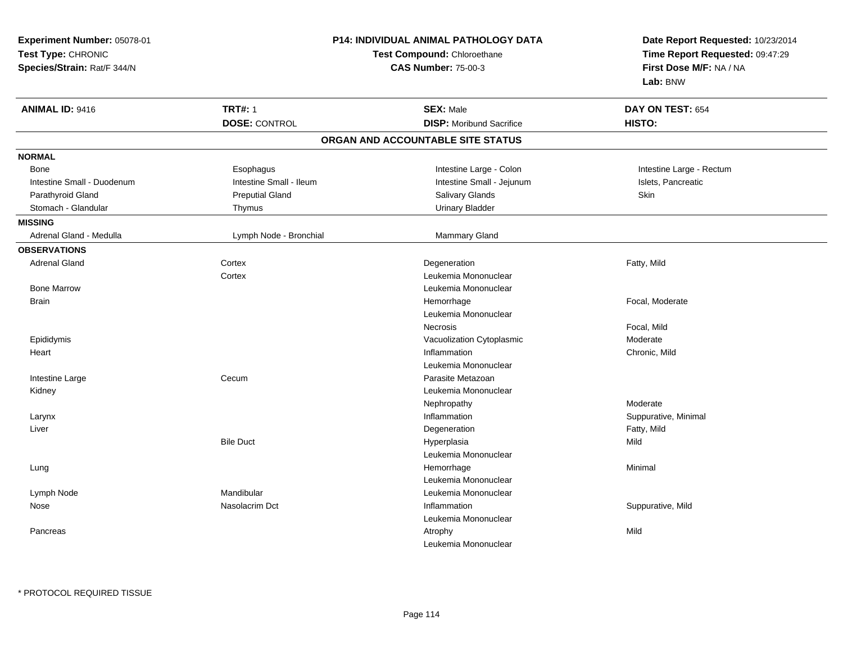| Experiment Number: 05078-01<br>Test Type: CHRONIC<br>Species/Strain: Rat/F 344/N | P14: INDIVIDUAL ANIMAL PATHOLOGY DATA<br>Test Compound: Chloroethane<br><b>CAS Number: 75-00-3</b> |                                   | Date Report Requested: 10/23/2014<br>Time Report Requested: 09:47:29<br>First Dose M/F: NA / NA<br>Lab: BNW |
|----------------------------------------------------------------------------------|----------------------------------------------------------------------------------------------------|-----------------------------------|-------------------------------------------------------------------------------------------------------------|
| <b>ANIMAL ID: 9416</b>                                                           | <b>TRT#: 1</b>                                                                                     | <b>SEX: Male</b>                  | DAY ON TEST: 654                                                                                            |
|                                                                                  | <b>DOSE: CONTROL</b>                                                                               | <b>DISP:</b> Moribund Sacrifice   | HISTO:                                                                                                      |
|                                                                                  |                                                                                                    | ORGAN AND ACCOUNTABLE SITE STATUS |                                                                                                             |
| <b>NORMAL</b>                                                                    |                                                                                                    |                                   |                                                                                                             |
| Bone                                                                             | Esophagus                                                                                          | Intestine Large - Colon           | Intestine Large - Rectum                                                                                    |
| Intestine Small - Duodenum                                                       | Intestine Small - Ileum                                                                            | Intestine Small - Jejunum         | Islets, Pancreatic                                                                                          |
| Parathyroid Gland                                                                | <b>Preputial Gland</b>                                                                             | Salivary Glands                   | Skin                                                                                                        |
| Stomach - Glandular                                                              | Thymus                                                                                             | <b>Urinary Bladder</b>            |                                                                                                             |
| <b>MISSING</b>                                                                   |                                                                                                    |                                   |                                                                                                             |
| Adrenal Gland - Medulla                                                          | Lymph Node - Bronchial                                                                             | Mammary Gland                     |                                                                                                             |
| <b>OBSERVATIONS</b>                                                              |                                                                                                    |                                   |                                                                                                             |
| <b>Adrenal Gland</b>                                                             | Cortex                                                                                             | Degeneration                      | Fatty, Mild                                                                                                 |
|                                                                                  | Cortex                                                                                             | Leukemia Mononuclear              |                                                                                                             |
| <b>Bone Marrow</b>                                                               |                                                                                                    | Leukemia Mononuclear              |                                                                                                             |
| <b>Brain</b>                                                                     |                                                                                                    | Hemorrhage                        | Focal, Moderate                                                                                             |
|                                                                                  |                                                                                                    | Leukemia Mononuclear              |                                                                                                             |
|                                                                                  |                                                                                                    | <b>Necrosis</b>                   | Focal, Mild                                                                                                 |
| Epididymis                                                                       |                                                                                                    | Vacuolization Cytoplasmic         | Moderate                                                                                                    |
| Heart                                                                            |                                                                                                    | Inflammation                      | Chronic, Mild                                                                                               |
|                                                                                  |                                                                                                    | Leukemia Mononuclear              |                                                                                                             |
| Intestine Large                                                                  | Cecum                                                                                              | Parasite Metazoan                 |                                                                                                             |
| Kidney                                                                           |                                                                                                    | Leukemia Mononuclear              |                                                                                                             |
|                                                                                  |                                                                                                    | Nephropathy                       | Moderate                                                                                                    |
| Larynx                                                                           |                                                                                                    | Inflammation                      | Suppurative, Minimal                                                                                        |
| Liver                                                                            |                                                                                                    | Degeneration                      | Fatty, Mild                                                                                                 |
|                                                                                  | <b>Bile Duct</b>                                                                                   | Hyperplasia                       | Mild                                                                                                        |
|                                                                                  |                                                                                                    | Leukemia Mononuclear              |                                                                                                             |
| Lung                                                                             |                                                                                                    | Hemorrhage                        | Minimal                                                                                                     |
|                                                                                  |                                                                                                    | Leukemia Mononuclear              |                                                                                                             |
| Lymph Node                                                                       | Mandibular                                                                                         | Leukemia Mononuclear              |                                                                                                             |
| Nose                                                                             | Nasolacrim Dct                                                                                     | Inflammation                      | Suppurative, Mild                                                                                           |
|                                                                                  |                                                                                                    | Leukemia Mononuclear              |                                                                                                             |
| Pancreas                                                                         |                                                                                                    | Atrophy                           | Mild                                                                                                        |
|                                                                                  |                                                                                                    | Leukemia Mononuclear              |                                                                                                             |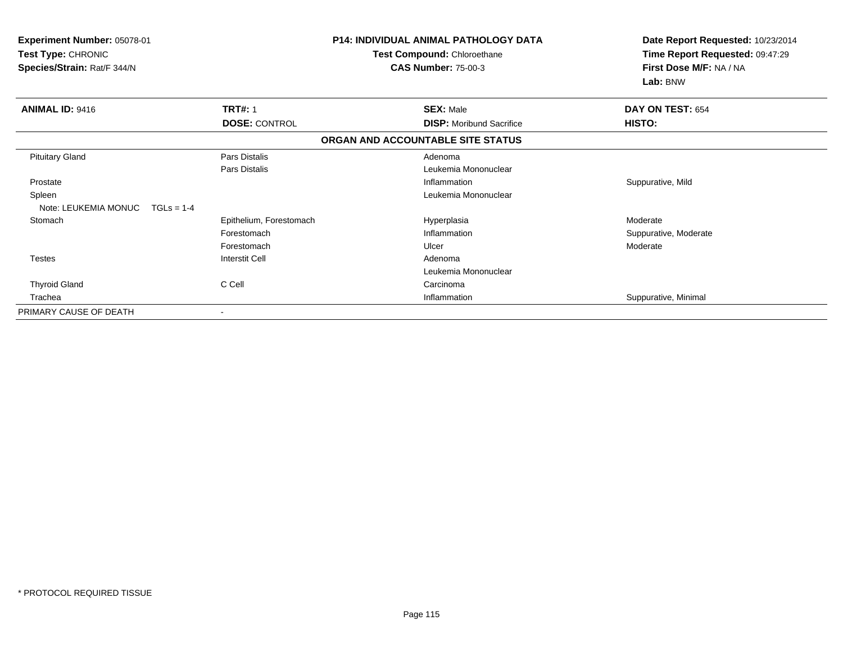| Experiment Number: 05078-01<br>Test Type: CHRONIC<br>Species/Strain: Rat/F 344/N | <b>P14: INDIVIDUAL ANIMAL PATHOLOGY DATA</b><br>Test Compound: Chloroethane<br><b>CAS Number: 75-00-3</b> |                                   | Date Report Requested: 10/23/2014<br>Time Report Requested: 09:47:29<br>First Dose M/F: NA / NA<br>Lab: BNW |  |
|----------------------------------------------------------------------------------|-----------------------------------------------------------------------------------------------------------|-----------------------------------|-------------------------------------------------------------------------------------------------------------|--|
| <b>ANIMAL ID: 9416</b>                                                           | <b>TRT#: 1</b>                                                                                            | <b>SEX: Male</b>                  | DAY ON TEST: 654                                                                                            |  |
|                                                                                  | <b>DOSE: CONTROL</b>                                                                                      | <b>DISP:</b> Moribund Sacrifice   | HISTO:                                                                                                      |  |
|                                                                                  |                                                                                                           | ORGAN AND ACCOUNTABLE SITE STATUS |                                                                                                             |  |
| <b>Pituitary Gland</b>                                                           | Pars Distalis                                                                                             | Adenoma                           |                                                                                                             |  |
|                                                                                  | Pars Distalis                                                                                             | Leukemia Mononuclear              |                                                                                                             |  |
| Prostate                                                                         |                                                                                                           | Inflammation                      | Suppurative, Mild                                                                                           |  |
| Spleen                                                                           |                                                                                                           | Leukemia Mononuclear              |                                                                                                             |  |
| Note: LEUKEMIA MONUC<br>$TGLs = 1-4$                                             |                                                                                                           |                                   |                                                                                                             |  |
| Stomach                                                                          | Epithelium, Forestomach                                                                                   | Hyperplasia                       | Moderate                                                                                                    |  |
|                                                                                  | Forestomach                                                                                               | Inflammation                      | Suppurative, Moderate                                                                                       |  |
|                                                                                  | Forestomach                                                                                               | Ulcer                             | Moderate                                                                                                    |  |
| <b>Testes</b>                                                                    | <b>Interstit Cell</b>                                                                                     | Adenoma                           |                                                                                                             |  |
|                                                                                  |                                                                                                           | Leukemia Mononuclear              |                                                                                                             |  |
| <b>Thyroid Gland</b>                                                             | C Cell                                                                                                    | Carcinoma                         |                                                                                                             |  |
| Trachea                                                                          |                                                                                                           | Inflammation                      | Suppurative, Minimal                                                                                        |  |
| PRIMARY CAUSE OF DEATH                                                           | $\overline{\phantom{a}}$                                                                                  |                                   |                                                                                                             |  |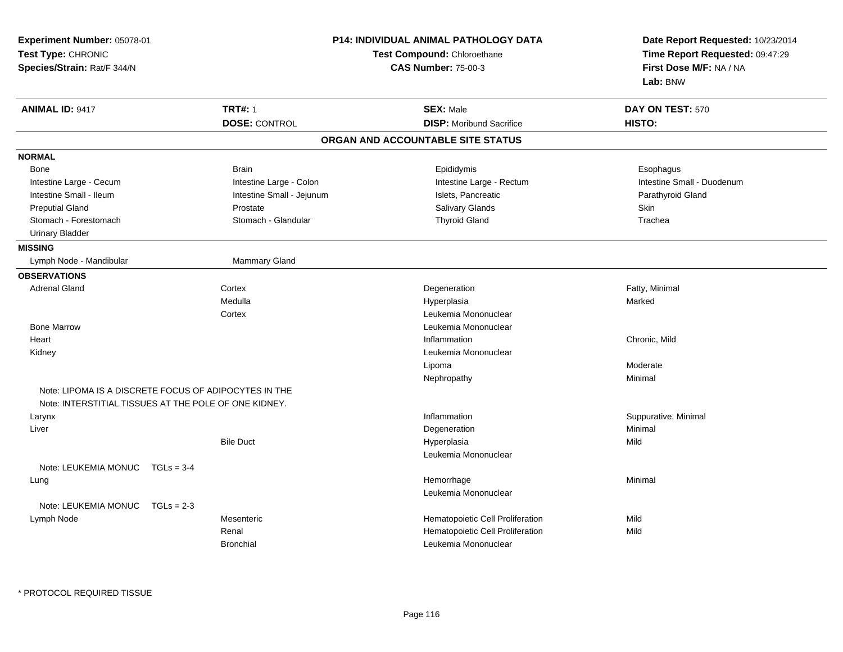| Experiment Number: 05078-01<br>Test Type: CHRONIC     |                           | <b>P14: INDIVIDUAL ANIMAL PATHOLOGY DATA</b><br>Test Compound: Chloroethane | Date Report Requested: 10/23/2014<br>Time Report Requested: 09:47:29 |  |
|-------------------------------------------------------|---------------------------|-----------------------------------------------------------------------------|----------------------------------------------------------------------|--|
| Species/Strain: Rat/F 344/N                           |                           | <b>CAS Number: 75-00-3</b>                                                  | First Dose M/F: NA / NA<br>Lab: BNW                                  |  |
| <b>ANIMAL ID: 9417</b>                                | <b>TRT#: 1</b>            | <b>SEX: Male</b>                                                            | DAY ON TEST: 570                                                     |  |
|                                                       | <b>DOSE: CONTROL</b>      | <b>DISP:</b> Moribund Sacrifice                                             | HISTO:                                                               |  |
|                                                       |                           | ORGAN AND ACCOUNTABLE SITE STATUS                                           |                                                                      |  |
| <b>NORMAL</b>                                         |                           |                                                                             |                                                                      |  |
| Bone                                                  | <b>Brain</b>              | Epididymis                                                                  | Esophagus                                                            |  |
| Intestine Large - Cecum                               | Intestine Large - Colon   | Intestine Large - Rectum                                                    | Intestine Small - Duodenum                                           |  |
| Intestine Small - Ileum                               | Intestine Small - Jejunum | Islets, Pancreatic                                                          | Parathyroid Gland                                                    |  |
| <b>Preputial Gland</b>                                | Prostate                  | Salivary Glands                                                             | Skin                                                                 |  |
| Stomach - Forestomach                                 | Stomach - Glandular       | <b>Thyroid Gland</b>                                                        | Trachea                                                              |  |
| <b>Urinary Bladder</b>                                |                           |                                                                             |                                                                      |  |
| <b>MISSING</b>                                        |                           |                                                                             |                                                                      |  |
| Lymph Node - Mandibular                               | <b>Mammary Gland</b>      |                                                                             |                                                                      |  |
| <b>OBSERVATIONS</b>                                   |                           |                                                                             |                                                                      |  |
| <b>Adrenal Gland</b>                                  | Cortex                    | Degeneration                                                                | Fatty, Minimal                                                       |  |
|                                                       | Medulla                   | Hyperplasia                                                                 | Marked                                                               |  |
|                                                       | Cortex                    | Leukemia Mononuclear                                                        |                                                                      |  |
| <b>Bone Marrow</b>                                    |                           | Leukemia Mononuclear                                                        |                                                                      |  |
| Heart                                                 |                           | Inflammation                                                                | Chronic, Mild                                                        |  |
| Kidney                                                |                           | Leukemia Mononuclear                                                        |                                                                      |  |
|                                                       |                           | Lipoma                                                                      | Moderate                                                             |  |
|                                                       |                           | Nephropathy                                                                 | Minimal                                                              |  |
| Note: LIPOMA IS A DISCRETE FOCUS OF ADIPOCYTES IN THE |                           |                                                                             |                                                                      |  |
| Note: INTERSTITIAL TISSUES AT THE POLE OF ONE KIDNEY. |                           |                                                                             |                                                                      |  |
| Larynx                                                |                           | Inflammation                                                                | Suppurative, Minimal                                                 |  |
| Liver                                                 |                           | Degeneration                                                                | Minimal                                                              |  |
|                                                       | <b>Bile Duct</b>          | Hyperplasia                                                                 | Mild                                                                 |  |
|                                                       |                           | Leukemia Mononuclear                                                        |                                                                      |  |
| Note: LEUKEMIA MONUC<br>$TGLs = 3-4$                  |                           |                                                                             |                                                                      |  |
| Lung                                                  |                           | Hemorrhage                                                                  | Minimal                                                              |  |
| Note: LEUKEMIA MONUC<br>$TGLs = 2-3$                  |                           | Leukemia Mononuclear                                                        |                                                                      |  |
| Lymph Node                                            | Mesenteric                | Hematopoietic Cell Proliferation                                            | Mild                                                                 |  |
|                                                       | Renal                     | Hematopoietic Cell Proliferation                                            | Mild                                                                 |  |
|                                                       | <b>Bronchial</b>          | Leukemia Mononuclear                                                        |                                                                      |  |
|                                                       |                           |                                                                             |                                                                      |  |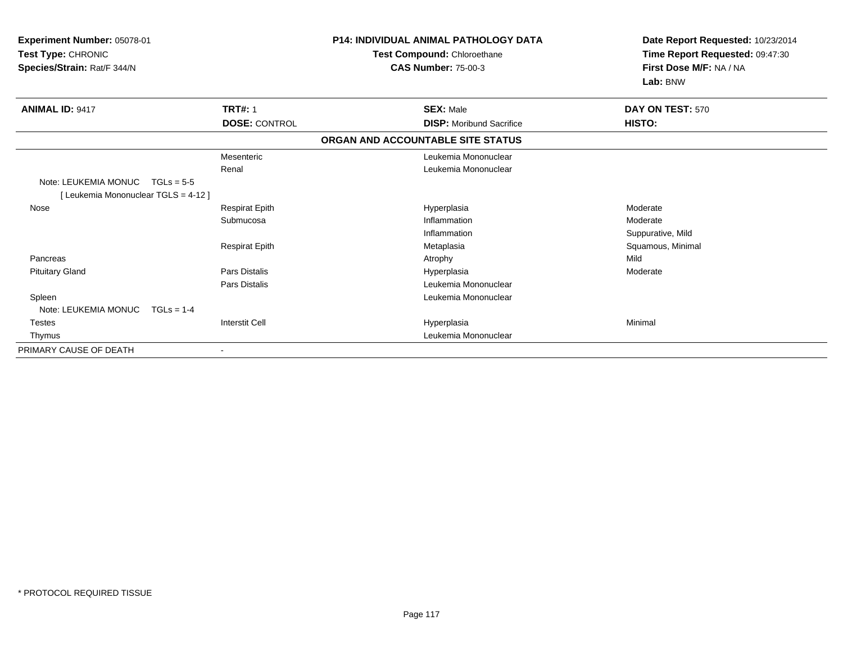| <b>Experiment Number: 05078-01</b><br><b>Test Type: CHRONIC</b><br>Species/Strain: Rat/F 344/N |                       | <b>P14: INDIVIDUAL ANIMAL PATHOLOGY DATA</b><br>Test Compound: Chloroethane<br><b>CAS Number: 75-00-3</b> |                                 | Date Report Requested: 10/23/2014<br>Time Report Requested: 09:47:30<br>First Dose M/F: NA / NA |  |
|------------------------------------------------------------------------------------------------|-----------------------|-----------------------------------------------------------------------------------------------------------|---------------------------------|-------------------------------------------------------------------------------------------------|--|
|                                                                                                |                       |                                                                                                           |                                 | Lab: BNW                                                                                        |  |
| <b>ANIMAL ID: 9417</b>                                                                         | <b>TRT#: 1</b>        | <b>SEX: Male</b>                                                                                          |                                 | DAY ON TEST: 570                                                                                |  |
|                                                                                                | <b>DOSE: CONTROL</b>  |                                                                                                           | <b>DISP:</b> Moribund Sacrifice | HISTO:                                                                                          |  |
|                                                                                                |                       | ORGAN AND ACCOUNTABLE SITE STATUS                                                                         |                                 |                                                                                                 |  |
|                                                                                                | Mesenteric            |                                                                                                           | Leukemia Mononuclear            |                                                                                                 |  |
|                                                                                                | Renal                 |                                                                                                           | Leukemia Mononuclear            |                                                                                                 |  |
| Note: LEUKEMIA MONUC<br>$TGLs = 5-5$                                                           |                       |                                                                                                           |                                 |                                                                                                 |  |
| [ Leukemia Mononuclear TGLS = 4-12 ]                                                           |                       |                                                                                                           |                                 |                                                                                                 |  |
| Nose                                                                                           | <b>Respirat Epith</b> | Hyperplasia                                                                                               |                                 | Moderate                                                                                        |  |
|                                                                                                | Submucosa             | Inflammation                                                                                              |                                 | Moderate                                                                                        |  |
|                                                                                                |                       | Inflammation                                                                                              |                                 | Suppurative, Mild                                                                               |  |
|                                                                                                | <b>Respirat Epith</b> | Metaplasia                                                                                                |                                 | Squamous, Minimal                                                                               |  |
| Pancreas                                                                                       |                       | Atrophy                                                                                                   |                                 | Mild                                                                                            |  |
| <b>Pituitary Gland</b>                                                                         | <b>Pars Distalis</b>  | Hyperplasia                                                                                               |                                 | Moderate                                                                                        |  |
|                                                                                                | Pars Distalis         |                                                                                                           | Leukemia Mononuclear            |                                                                                                 |  |
| Spleen                                                                                         |                       |                                                                                                           | Leukemia Mononuclear            |                                                                                                 |  |
| Note: LEUKEMIA MONUC<br>$TGLs = 1-4$                                                           |                       |                                                                                                           |                                 |                                                                                                 |  |
| <b>Testes</b>                                                                                  | <b>Interstit Cell</b> | Hyperplasia                                                                                               |                                 | Minimal                                                                                         |  |
| Thymus                                                                                         |                       |                                                                                                           | Leukemia Mononuclear            |                                                                                                 |  |
| PRIMARY CAUSE OF DEATH                                                                         |                       |                                                                                                           |                                 |                                                                                                 |  |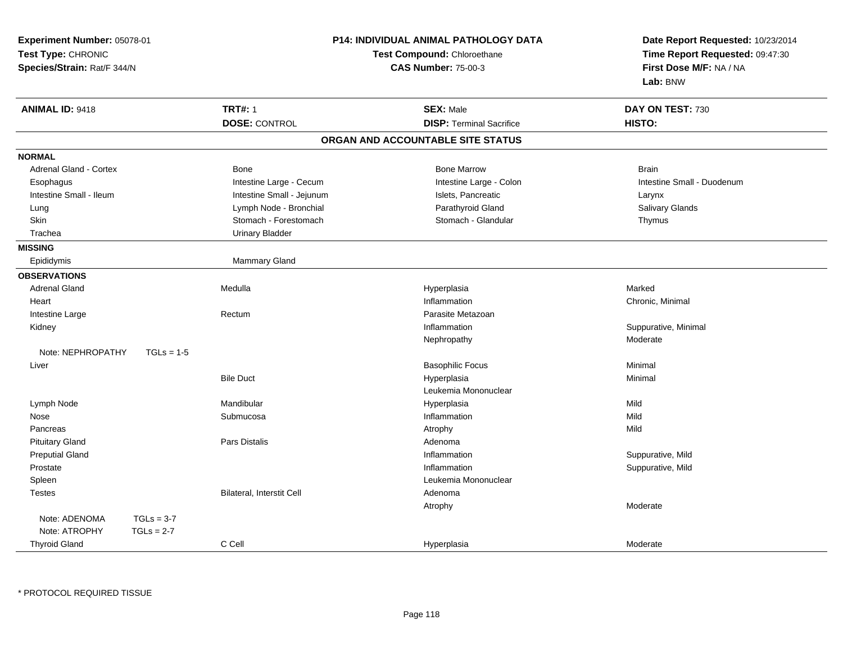| <b>P14: INDIVIDUAL ANIMAL PATHOLOGY DATA</b><br>Experiment Number: 05078-01<br>Test Type: CHRONIC<br>Test Compound: Chloroethane<br>Species/Strain: Rat/F 344/N<br><b>CAS Number: 75-00-3</b> |                           |                                   | Date Report Requested: 10/23/2014<br>Time Report Requested: 09:47:30<br>First Dose M/F: NA / NA<br>Lab: BNW |  |
|-----------------------------------------------------------------------------------------------------------------------------------------------------------------------------------------------|---------------------------|-----------------------------------|-------------------------------------------------------------------------------------------------------------|--|
| <b>ANIMAL ID: 9418</b>                                                                                                                                                                        | <b>TRT#: 1</b>            | <b>SEX: Male</b>                  | DAY ON TEST: 730                                                                                            |  |
|                                                                                                                                                                                               | <b>DOSE: CONTROL</b>      | <b>DISP: Terminal Sacrifice</b>   | HISTO:                                                                                                      |  |
|                                                                                                                                                                                               |                           | ORGAN AND ACCOUNTABLE SITE STATUS |                                                                                                             |  |
| <b>NORMAL</b>                                                                                                                                                                                 |                           |                                   |                                                                                                             |  |
| Adrenal Gland - Cortex                                                                                                                                                                        | Bone                      | <b>Bone Marrow</b>                | <b>Brain</b>                                                                                                |  |
| Esophagus                                                                                                                                                                                     | Intestine Large - Cecum   | Intestine Large - Colon           | Intestine Small - Duodenum                                                                                  |  |
| Intestine Small - Ileum                                                                                                                                                                       | Intestine Small - Jejunum | Islets, Pancreatic                | Larynx                                                                                                      |  |
| Lung                                                                                                                                                                                          | Lymph Node - Bronchial    | Parathyroid Gland                 | Salivary Glands                                                                                             |  |
| Skin                                                                                                                                                                                          | Stomach - Forestomach     | Stomach - Glandular               | Thymus                                                                                                      |  |
| Trachea                                                                                                                                                                                       | <b>Urinary Bladder</b>    |                                   |                                                                                                             |  |
| <b>MISSING</b>                                                                                                                                                                                |                           |                                   |                                                                                                             |  |
| Epididymis                                                                                                                                                                                    | Mammary Gland             |                                   |                                                                                                             |  |
| <b>OBSERVATIONS</b>                                                                                                                                                                           |                           |                                   |                                                                                                             |  |
| <b>Adrenal Gland</b>                                                                                                                                                                          | Medulla                   | Hyperplasia                       | Marked                                                                                                      |  |
| Heart                                                                                                                                                                                         |                           | Inflammation                      | Chronic, Minimal                                                                                            |  |
| Intestine Large                                                                                                                                                                               | Rectum                    | Parasite Metazoan                 |                                                                                                             |  |
| Kidney                                                                                                                                                                                        |                           | Inflammation                      | Suppurative, Minimal                                                                                        |  |
|                                                                                                                                                                                               |                           | Nephropathy                       | Moderate                                                                                                    |  |
| Note: NEPHROPATHY<br>$TGLs = 1-5$                                                                                                                                                             |                           |                                   |                                                                                                             |  |
| Liver                                                                                                                                                                                         |                           | <b>Basophilic Focus</b>           | Minimal                                                                                                     |  |
|                                                                                                                                                                                               | <b>Bile Duct</b>          | Hyperplasia                       | Minimal                                                                                                     |  |
|                                                                                                                                                                                               |                           | Leukemia Mononuclear              |                                                                                                             |  |
| Lymph Node                                                                                                                                                                                    | Mandibular                | Hyperplasia                       | Mild                                                                                                        |  |
| Nose                                                                                                                                                                                          | Submucosa                 | Inflammation                      | Mild                                                                                                        |  |
| Pancreas                                                                                                                                                                                      |                           | Atrophy                           | Mild                                                                                                        |  |
| <b>Pituitary Gland</b>                                                                                                                                                                        | Pars Distalis             | Adenoma                           |                                                                                                             |  |
| <b>Preputial Gland</b>                                                                                                                                                                        |                           | Inflammation                      | Suppurative, Mild                                                                                           |  |
| Prostate                                                                                                                                                                                      |                           | Inflammation                      | Suppurative, Mild                                                                                           |  |
| Spleen                                                                                                                                                                                        |                           | Leukemia Mononuclear              |                                                                                                             |  |
| <b>Testes</b>                                                                                                                                                                                 | Bilateral, Interstit Cell | Adenoma                           |                                                                                                             |  |
|                                                                                                                                                                                               |                           | Atrophy                           | Moderate                                                                                                    |  |
| Note: ADENOMA<br>$TGLs = 3-7$                                                                                                                                                                 |                           |                                   |                                                                                                             |  |
| Note: ATROPHY<br>$TGLs = 2-7$                                                                                                                                                                 |                           |                                   |                                                                                                             |  |
| <b>Thyroid Gland</b>                                                                                                                                                                          | C Cell                    | Hyperplasia                       | Moderate                                                                                                    |  |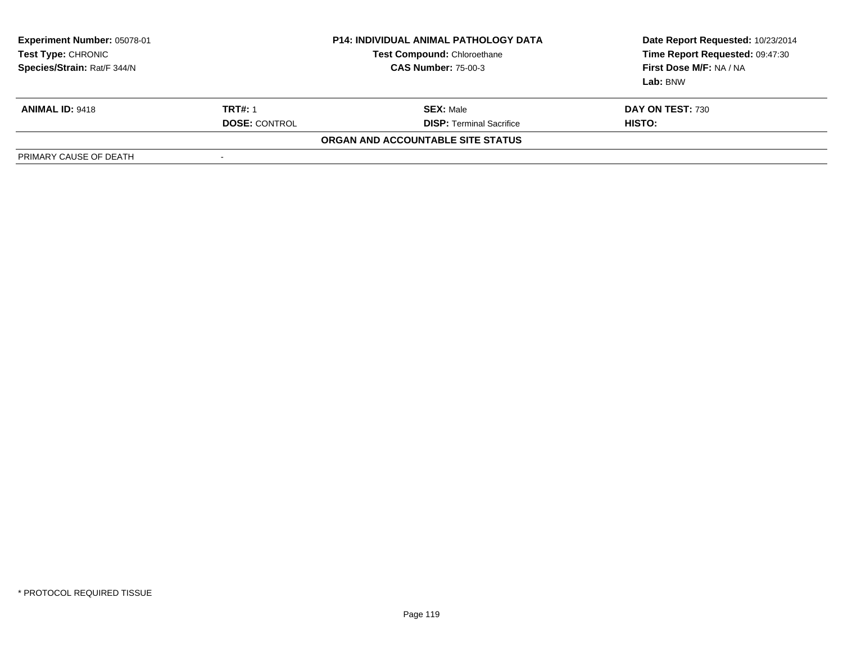| Experiment Number: 05078-01<br>Test Type: CHRONIC<br>Species/Strain: Rat/F 344/N |                      | <b>P14: INDIVIDUAL ANIMAL PATHOLOGY DATA</b><br><b>Test Compound: Chloroethane</b><br><b>CAS Number: 75-00-3</b> | Date Report Requested: 10/23/2014<br>Time Report Requested: 09:47:30<br>First Dose M/F: NA / NA<br>Lab: BNW |
|----------------------------------------------------------------------------------|----------------------|------------------------------------------------------------------------------------------------------------------|-------------------------------------------------------------------------------------------------------------|
| <b>ANIMAL ID: 9418</b>                                                           | <b>TRT#: 1</b>       | <b>SEX: Male</b>                                                                                                 | <b>DAY ON TEST: 730</b>                                                                                     |
|                                                                                  | <b>DOSE: CONTROL</b> | <b>DISP: Terminal Sacrifice</b>                                                                                  | HISTO:                                                                                                      |
|                                                                                  |                      | ORGAN AND ACCOUNTABLE SITE STATUS                                                                                |                                                                                                             |
| PRIMARY CAUSE OF DEATH                                                           | -                    |                                                                                                                  |                                                                                                             |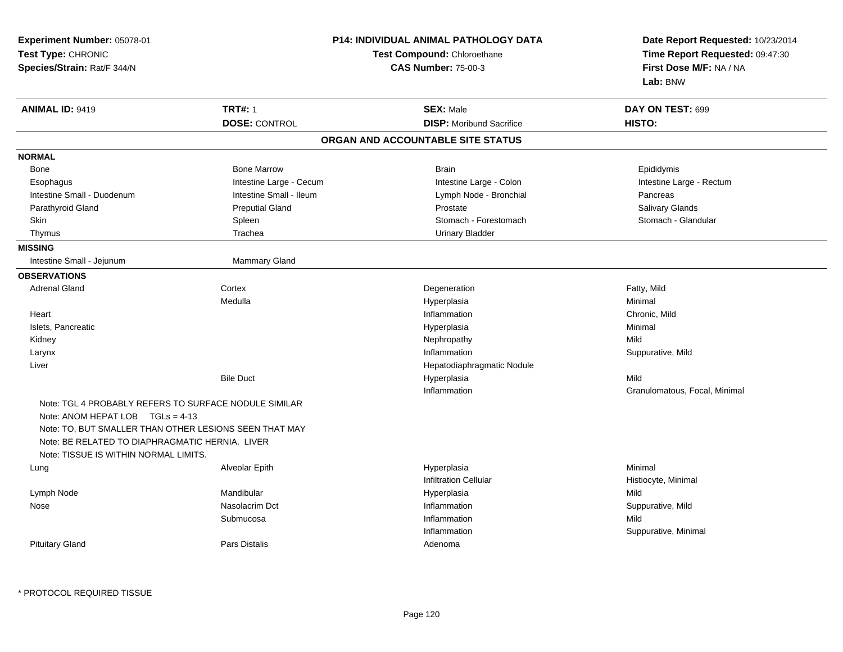| Experiment Number: 05078-01<br>Test Type: CHRONIC<br>Species/Strain: Rat/F 344/N                                                                      |                                        | <b>P14: INDIVIDUAL ANIMAL PATHOLOGY DATA</b><br>Test Compound: Chloroethane<br><b>CAS Number: 75-00-3</b> | Date Report Requested: 10/23/2014<br>Time Report Requested: 09:47:30<br>First Dose M/F: NA / NA<br>Lab: BNW |
|-------------------------------------------------------------------------------------------------------------------------------------------------------|----------------------------------------|-----------------------------------------------------------------------------------------------------------|-------------------------------------------------------------------------------------------------------------|
| <b>ANIMAL ID: 9419</b>                                                                                                                                | <b>TRT#: 1</b><br><b>DOSE: CONTROL</b> | <b>SEX: Male</b><br><b>DISP:</b> Moribund Sacrifice                                                       | DAY ON TEST: 699<br>HISTO:                                                                                  |
|                                                                                                                                                       |                                        | ORGAN AND ACCOUNTABLE SITE STATUS                                                                         |                                                                                                             |
| <b>NORMAL</b>                                                                                                                                         |                                        |                                                                                                           |                                                                                                             |
| Bone                                                                                                                                                  | <b>Bone Marrow</b>                     | <b>Brain</b>                                                                                              | Epididymis                                                                                                  |
| Esophagus                                                                                                                                             | Intestine Large - Cecum                | Intestine Large - Colon                                                                                   | Intestine Large - Rectum                                                                                    |
| Intestine Small - Duodenum                                                                                                                            | Intestine Small - Ileum                | Lymph Node - Bronchial                                                                                    | Pancreas                                                                                                    |
| Parathyroid Gland                                                                                                                                     | <b>Preputial Gland</b>                 | Prostate                                                                                                  | Salivary Glands                                                                                             |
| Skin                                                                                                                                                  | Spleen                                 | Stomach - Forestomach                                                                                     | Stomach - Glandular                                                                                         |
| Thymus                                                                                                                                                | Trachea                                | <b>Urinary Bladder</b>                                                                                    |                                                                                                             |
| <b>MISSING</b>                                                                                                                                        |                                        |                                                                                                           |                                                                                                             |
| Intestine Small - Jejunum                                                                                                                             | Mammary Gland                          |                                                                                                           |                                                                                                             |
| <b>OBSERVATIONS</b>                                                                                                                                   |                                        |                                                                                                           |                                                                                                             |
| <b>Adrenal Gland</b>                                                                                                                                  | Cortex                                 | Degeneration                                                                                              | Fatty, Mild                                                                                                 |
|                                                                                                                                                       | Medulla                                | Hyperplasia                                                                                               | Minimal                                                                                                     |
| Heart                                                                                                                                                 |                                        | Inflammation                                                                                              | Chronic, Mild                                                                                               |
| Islets, Pancreatic                                                                                                                                    |                                        | Hyperplasia                                                                                               | Minimal                                                                                                     |
| Kidney                                                                                                                                                |                                        | Nephropathy                                                                                               | Mild                                                                                                        |
| Larynx                                                                                                                                                |                                        | Inflammation                                                                                              | Suppurative, Mild                                                                                           |
| Liver                                                                                                                                                 |                                        | Hepatodiaphragmatic Nodule                                                                                |                                                                                                             |
|                                                                                                                                                       | <b>Bile Duct</b>                       | Hyperplasia                                                                                               | Mild                                                                                                        |
|                                                                                                                                                       |                                        | Inflammation                                                                                              | Granulomatous, Focal, Minimal                                                                               |
| Note: TGL 4 PROBABLY REFERS TO SURFACE NODULE SIMILAR<br>Note: ANOM HEPAT LOB $TGLs = 4-13$<br>Note: TO, BUT SMALLER THAN OTHER LESIONS SEEN THAT MAY |                                        |                                                                                                           |                                                                                                             |
| Note: BE RELATED TO DIAPHRAGMATIC HERNIA. LIVER<br>Note: TISSUE IS WITHIN NORMAL LIMITS.                                                              |                                        |                                                                                                           |                                                                                                             |
| Lung                                                                                                                                                  | Alveolar Epith                         | Hyperplasia<br><b>Infiltration Cellular</b>                                                               | Minimal<br>Histiocyte, Minimal                                                                              |
| Lymph Node                                                                                                                                            | Mandibular                             | Hyperplasia                                                                                               | Mild                                                                                                        |
| Nose                                                                                                                                                  | Nasolacrim Dct                         | Inflammation                                                                                              | Suppurative, Mild                                                                                           |
|                                                                                                                                                       | Submucosa                              | Inflammation                                                                                              | Mild                                                                                                        |
|                                                                                                                                                       |                                        | Inflammation                                                                                              | Suppurative, Minimal                                                                                        |
| <b>Pituitary Gland</b>                                                                                                                                | Pars Distalis                          | Adenoma                                                                                                   |                                                                                                             |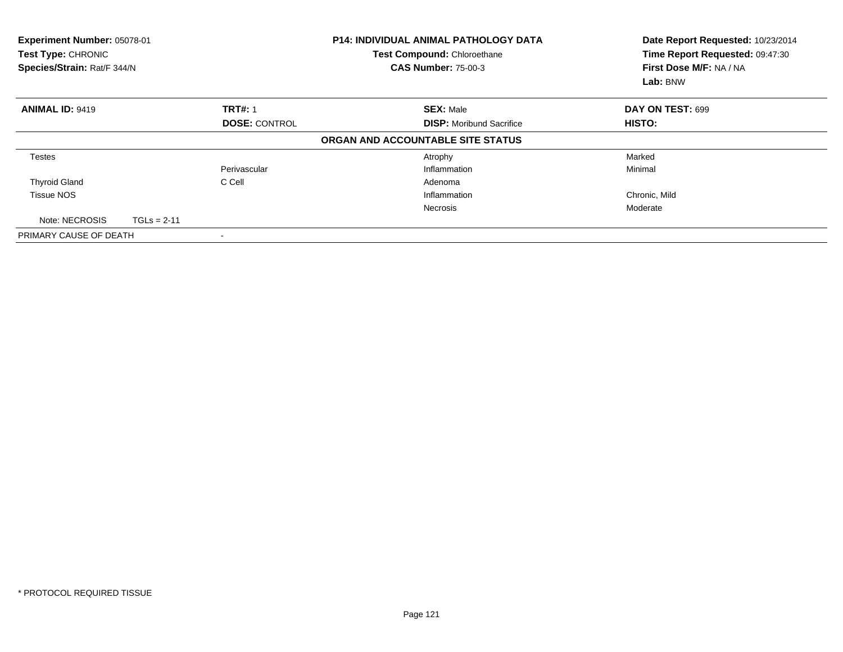| Experiment Number: 05078-01<br>Test Type: CHRONIC<br>Species/Strain: Rat/F 344/N |               |                      | <b>P14: INDIVIDUAL ANIMAL PATHOLOGY DATA</b><br>Test Compound: Chloroethane<br><b>CAS Number: 75-00-3</b> | Date Report Requested: 10/23/2014<br>Time Report Requested: 09:47:30<br>First Dose M/F: NA / NA<br>Lab: BNW |
|----------------------------------------------------------------------------------|---------------|----------------------|-----------------------------------------------------------------------------------------------------------|-------------------------------------------------------------------------------------------------------------|
| <b>ANIMAL ID: 9419</b>                                                           |               | <b>TRT#: 1</b>       | <b>SEX: Male</b>                                                                                          | DAY ON TEST: 699                                                                                            |
|                                                                                  |               | <b>DOSE: CONTROL</b> | <b>DISP:</b> Moribund Sacrifice                                                                           | <b>HISTO:</b>                                                                                               |
|                                                                                  |               |                      | ORGAN AND ACCOUNTABLE SITE STATUS                                                                         |                                                                                                             |
| <b>Testes</b>                                                                    |               |                      | Atrophy                                                                                                   | Marked                                                                                                      |
|                                                                                  |               | Perivascular         | Inflammation                                                                                              | Minimal                                                                                                     |
| <b>Thyroid Gland</b>                                                             |               | C Cell               | Adenoma                                                                                                   |                                                                                                             |
| <b>Tissue NOS</b>                                                                |               |                      | Inflammation                                                                                              | Chronic, Mild                                                                                               |
|                                                                                  |               |                      | <b>Necrosis</b>                                                                                           | Moderate                                                                                                    |
| Note: NECROSIS                                                                   | $TGLs = 2-11$ |                      |                                                                                                           |                                                                                                             |
| PRIMARY CAUSE OF DEATH                                                           |               |                      |                                                                                                           |                                                                                                             |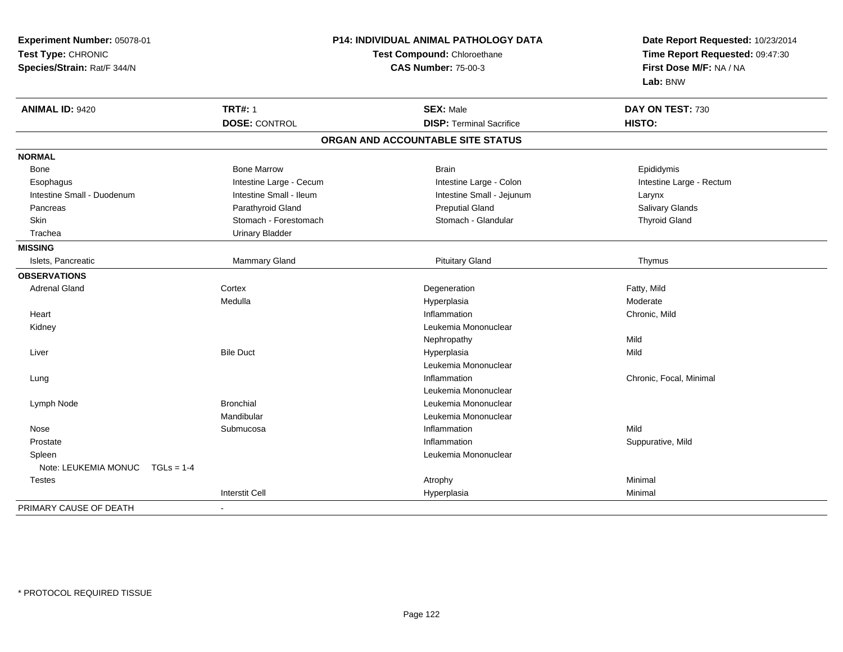| Experiment Number: 05078-01<br>Test Type: CHRONIC<br>Species/Strain: Rat/F 344/N |                         | P14: INDIVIDUAL ANIMAL PATHOLOGY DATA<br>Test Compound: Chloroethane<br><b>CAS Number: 75-00-3</b> | Date Report Requested: 10/23/2014<br>Time Report Requested: 09:47:30<br>First Dose M/F: NA / NA<br>Lab: BNW |
|----------------------------------------------------------------------------------|-------------------------|----------------------------------------------------------------------------------------------------|-------------------------------------------------------------------------------------------------------------|
| <b>ANIMAL ID: 9420</b>                                                           | <b>TRT#: 1</b>          | <b>SEX: Male</b>                                                                                   | DAY ON TEST: 730                                                                                            |
|                                                                                  | <b>DOSE: CONTROL</b>    | <b>DISP: Terminal Sacrifice</b>                                                                    | HISTO:                                                                                                      |
|                                                                                  |                         | ORGAN AND ACCOUNTABLE SITE STATUS                                                                  |                                                                                                             |
| <b>NORMAL</b>                                                                    |                         |                                                                                                    |                                                                                                             |
| Bone                                                                             | <b>Bone Marrow</b>      | <b>Brain</b>                                                                                       | Epididymis                                                                                                  |
| Esophagus                                                                        | Intestine Large - Cecum | Intestine Large - Colon                                                                            | Intestine Large - Rectum                                                                                    |
| Intestine Small - Duodenum                                                       | Intestine Small - Ileum | Intestine Small - Jejunum                                                                          | Larynx                                                                                                      |
| Pancreas                                                                         | Parathyroid Gland       | <b>Preputial Gland</b>                                                                             | Salivary Glands                                                                                             |
| Skin                                                                             | Stomach - Forestomach   | Stomach - Glandular                                                                                | <b>Thyroid Gland</b>                                                                                        |
| Trachea                                                                          | <b>Urinary Bladder</b>  |                                                                                                    |                                                                                                             |
| <b>MISSING</b>                                                                   |                         |                                                                                                    |                                                                                                             |
| Islets, Pancreatic                                                               | <b>Mammary Gland</b>    | <b>Pituitary Gland</b>                                                                             | Thymus                                                                                                      |
| <b>OBSERVATIONS</b>                                                              |                         |                                                                                                    |                                                                                                             |
| <b>Adrenal Gland</b>                                                             | Cortex                  | Degeneration                                                                                       | Fatty, Mild                                                                                                 |
|                                                                                  | Medulla                 | Hyperplasia                                                                                        | Moderate                                                                                                    |
| Heart                                                                            |                         | Inflammation                                                                                       | Chronic, Mild                                                                                               |
| Kidney                                                                           |                         | Leukemia Mononuclear                                                                               |                                                                                                             |
|                                                                                  |                         | Nephropathy                                                                                        | Mild                                                                                                        |
| Liver                                                                            | <b>Bile Duct</b>        | Hyperplasia                                                                                        | Mild                                                                                                        |
|                                                                                  |                         | Leukemia Mononuclear                                                                               |                                                                                                             |
| Lung                                                                             |                         | Inflammation                                                                                       | Chronic, Focal, Minimal                                                                                     |
|                                                                                  |                         | Leukemia Mononuclear                                                                               |                                                                                                             |
| Lymph Node                                                                       | <b>Bronchial</b>        | Leukemia Mononuclear                                                                               |                                                                                                             |
|                                                                                  | Mandibular              | Leukemia Mononuclear                                                                               |                                                                                                             |
| Nose                                                                             | Submucosa               | Inflammation                                                                                       | Mild                                                                                                        |
| Prostate                                                                         |                         | Inflammation                                                                                       | Suppurative, Mild                                                                                           |
| Spleen                                                                           |                         | Leukemia Mononuclear                                                                               |                                                                                                             |
| Note: LEUKEMIA MONUC<br>$TGLs = 1-4$                                             |                         |                                                                                                    |                                                                                                             |
| <b>Testes</b>                                                                    |                         | Atrophy                                                                                            | Minimal                                                                                                     |
|                                                                                  | <b>Interstit Cell</b>   | Hyperplasia                                                                                        | Minimal                                                                                                     |
| PRIMARY CAUSE OF DEATH                                                           |                         |                                                                                                    |                                                                                                             |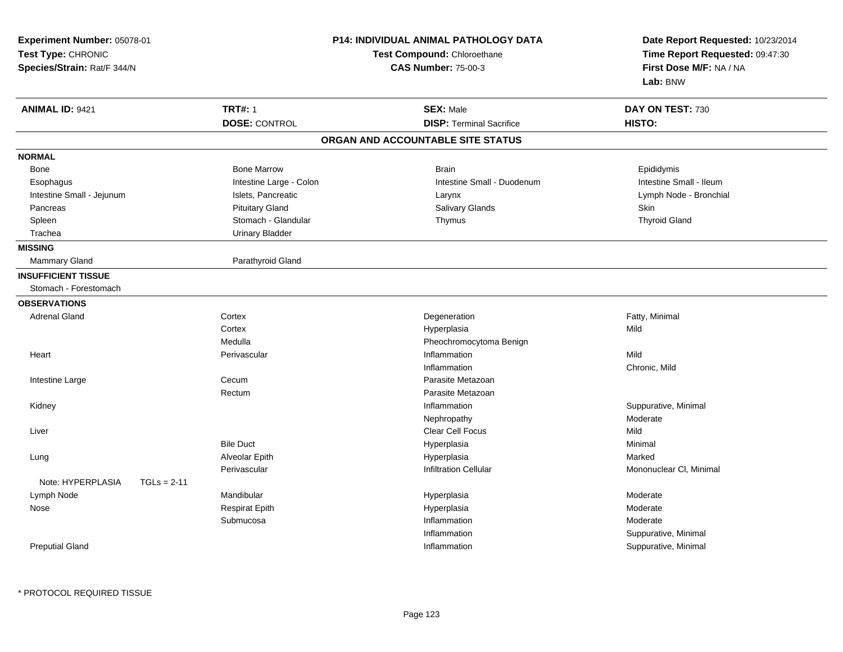| Experiment Number: 05078-01<br>Test Type: CHRONIC<br>Species/Strain: Rat/F 344/N |                         | P14: INDIVIDUAL ANIMAL PATHOLOGY DATA<br>Test Compound: Chloroethane<br><b>CAS Number: 75-00-3</b> | Date Report Requested: 10/23/2014<br>Time Report Requested: 09:47:30<br>First Dose M/F: NA / NA<br>Lab: BNW |
|----------------------------------------------------------------------------------|-------------------------|----------------------------------------------------------------------------------------------------|-------------------------------------------------------------------------------------------------------------|
| <b>ANIMAL ID: 9421</b>                                                           | <b>TRT#: 1</b>          | <b>SEX: Male</b>                                                                                   | DAY ON TEST: 730                                                                                            |
|                                                                                  | <b>DOSE: CONTROL</b>    | <b>DISP: Terminal Sacrifice</b>                                                                    | HISTO:                                                                                                      |
|                                                                                  |                         | ORGAN AND ACCOUNTABLE SITE STATUS                                                                  |                                                                                                             |
| <b>NORMAL</b>                                                                    |                         |                                                                                                    |                                                                                                             |
| Bone                                                                             | <b>Bone Marrow</b>      | <b>Brain</b>                                                                                       | Epididymis                                                                                                  |
| Esophagus                                                                        | Intestine Large - Colon | Intestine Small - Duodenum                                                                         | Intestine Small - Ileum                                                                                     |
| Intestine Small - Jejunum                                                        | Islets, Pancreatic      | Larynx                                                                                             | Lymph Node - Bronchial                                                                                      |
| Pancreas                                                                         | <b>Pituitary Gland</b>  | Salivary Glands                                                                                    | <b>Skin</b>                                                                                                 |
| Spleen                                                                           | Stomach - Glandular     | Thymus                                                                                             | <b>Thyroid Gland</b>                                                                                        |
| Trachea                                                                          | <b>Urinary Bladder</b>  |                                                                                                    |                                                                                                             |
| <b>MISSING</b>                                                                   |                         |                                                                                                    |                                                                                                             |
| Mammary Gland                                                                    | Parathyroid Gland       |                                                                                                    |                                                                                                             |
| <b>INSUFFICIENT TISSUE</b>                                                       |                         |                                                                                                    |                                                                                                             |
| Stomach - Forestomach                                                            |                         |                                                                                                    |                                                                                                             |
| <b>OBSERVATIONS</b>                                                              |                         |                                                                                                    |                                                                                                             |
| <b>Adrenal Gland</b>                                                             | Cortex                  | Degeneration                                                                                       | Fatty, Minimal                                                                                              |
|                                                                                  | Cortex                  | Hyperplasia                                                                                        | Mild                                                                                                        |
|                                                                                  | Medulla                 | Pheochromocytoma Benign                                                                            |                                                                                                             |
| Heart                                                                            | Perivascular            | Inflammation                                                                                       | Mild                                                                                                        |
|                                                                                  |                         | Inflammation                                                                                       | Chronic, Mild                                                                                               |
| Intestine Large                                                                  | Cecum                   | Parasite Metazoan                                                                                  |                                                                                                             |
|                                                                                  | Rectum                  | Parasite Metazoan                                                                                  |                                                                                                             |
| Kidney                                                                           |                         | Inflammation                                                                                       | Suppurative, Minimal                                                                                        |
|                                                                                  |                         | Nephropathy                                                                                        | Moderate                                                                                                    |
| Liver                                                                            |                         | Clear Cell Focus                                                                                   | Mild                                                                                                        |
|                                                                                  | <b>Bile Duct</b>        | Hyperplasia                                                                                        | Minimal                                                                                                     |
| Lung                                                                             | Alveolar Epith          | Hyperplasia                                                                                        | Marked                                                                                                      |
|                                                                                  | Perivascular            | <b>Infiltration Cellular</b>                                                                       | Mononuclear CI, Minimal                                                                                     |
| Note: HYPERPLASIA<br>$TGLs = 2-11$                                               |                         |                                                                                                    |                                                                                                             |
| Lymph Node                                                                       | Mandibular              | Hyperplasia                                                                                        | Moderate                                                                                                    |
| Nose                                                                             | <b>Respirat Epith</b>   | Hyperplasia                                                                                        | Moderate                                                                                                    |
|                                                                                  | Submucosa               | Inflammation                                                                                       | Moderate                                                                                                    |
|                                                                                  |                         | Inflammation                                                                                       | Suppurative, Minimal                                                                                        |
| <b>Preputial Gland</b>                                                           |                         | Inflammation                                                                                       | Suppurative, Minimal                                                                                        |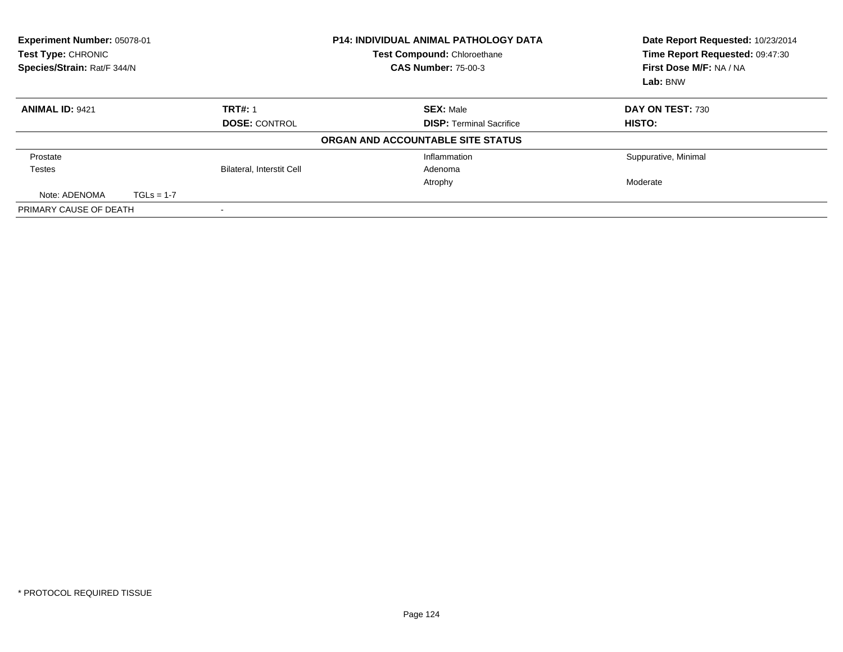| Experiment Number: 05078-01<br>Test Type: CHRONIC<br>Species/Strain: Rat/F 344/N |              |                                  | <b>P14: INDIVIDUAL ANIMAL PATHOLOGY DATA</b><br>Test Compound: Chloroethane<br><b>CAS Number: 75-00-3</b> | Date Report Requested: 10/23/2014<br>Time Report Requested: 09:47:30<br>First Dose M/F: NA / NA<br>Lab: BNW |
|----------------------------------------------------------------------------------|--------------|----------------------------------|-----------------------------------------------------------------------------------------------------------|-------------------------------------------------------------------------------------------------------------|
| <b>ANIMAL ID: 9421</b>                                                           |              | <b>TRT#: 1</b>                   | <b>SEX: Male</b>                                                                                          | DAY ON TEST: 730                                                                                            |
|                                                                                  |              | <b>DOSE: CONTROL</b>             | <b>DISP: Terminal Sacrifice</b>                                                                           | HISTO:                                                                                                      |
|                                                                                  |              |                                  | ORGAN AND ACCOUNTABLE SITE STATUS                                                                         |                                                                                                             |
| Prostate                                                                         |              |                                  | Inflammation                                                                                              | Suppurative, Minimal                                                                                        |
| Testes                                                                           |              | <b>Bilateral, Interstit Cell</b> | Adenoma                                                                                                   |                                                                                                             |
|                                                                                  |              |                                  | Atrophy                                                                                                   | Moderate                                                                                                    |
| Note: ADENOMA                                                                    | $TGLs = 1-7$ |                                  |                                                                                                           |                                                                                                             |
| PRIMARY CAUSE OF DEATH                                                           |              |                                  |                                                                                                           |                                                                                                             |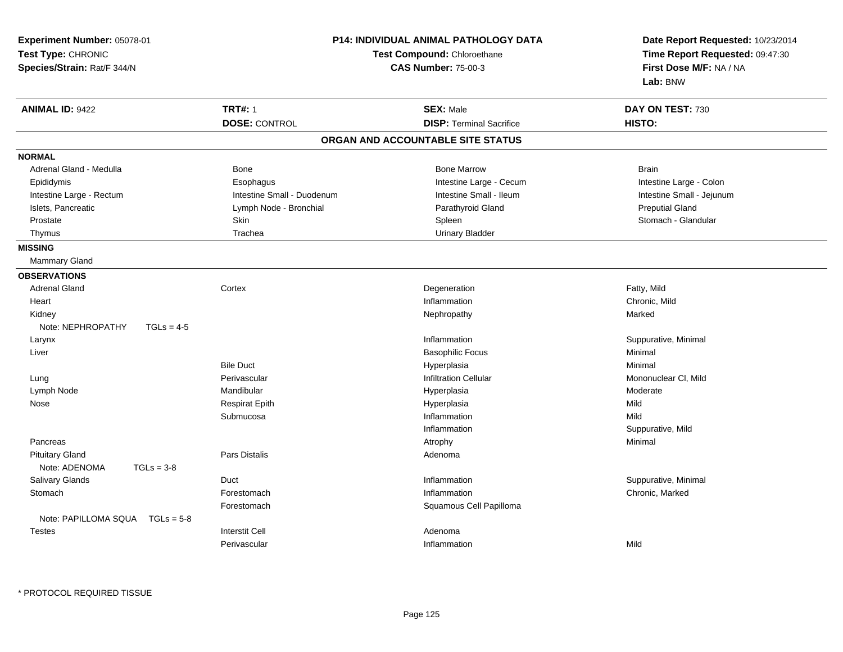| Experiment Number: 05078-01<br>Test Type: CHRONIC<br>Species/Strain: Rat/F 344/N | <b>P14: INDIVIDUAL ANIMAL PATHOLOGY DATA</b><br>Test Compound: Chloroethane<br><b>CAS Number: 75-00-3</b> |                                   | Date Report Requested: 10/23/2014<br>Time Report Requested: 09:47:30<br>First Dose M/F: NA / NA<br>Lab: BNW |
|----------------------------------------------------------------------------------|-----------------------------------------------------------------------------------------------------------|-----------------------------------|-------------------------------------------------------------------------------------------------------------|
| <b>ANIMAL ID: 9422</b>                                                           | <b>TRT#: 1</b>                                                                                            | <b>SEX: Male</b>                  | DAY ON TEST: 730                                                                                            |
|                                                                                  | <b>DOSE: CONTROL</b>                                                                                      | <b>DISP: Terminal Sacrifice</b>   | HISTO:                                                                                                      |
|                                                                                  |                                                                                                           | ORGAN AND ACCOUNTABLE SITE STATUS |                                                                                                             |
| <b>NORMAL</b>                                                                    |                                                                                                           |                                   |                                                                                                             |
| Adrenal Gland - Medulla                                                          | Bone                                                                                                      | <b>Bone Marrow</b>                | <b>Brain</b>                                                                                                |
| Epididymis                                                                       | Esophagus                                                                                                 | Intestine Large - Cecum           | Intestine Large - Colon                                                                                     |
| Intestine Large - Rectum                                                         | Intestine Small - Duodenum                                                                                | Intestine Small - Ileum           | Intestine Small - Jejunum                                                                                   |
| Islets, Pancreatic                                                               | Lymph Node - Bronchial                                                                                    | Parathyroid Gland                 | <b>Preputial Gland</b>                                                                                      |
| Prostate                                                                         | <b>Skin</b>                                                                                               | Spleen                            | Stomach - Glandular                                                                                         |
| Thymus                                                                           | Trachea                                                                                                   | <b>Urinary Bladder</b>            |                                                                                                             |
| <b>MISSING</b>                                                                   |                                                                                                           |                                   |                                                                                                             |
| Mammary Gland                                                                    |                                                                                                           |                                   |                                                                                                             |
| <b>OBSERVATIONS</b>                                                              |                                                                                                           |                                   |                                                                                                             |
| <b>Adrenal Gland</b>                                                             | Cortex                                                                                                    | Degeneration                      | Fatty, Mild                                                                                                 |
| Heart                                                                            |                                                                                                           | Inflammation                      | Chronic, Mild                                                                                               |
| Kidney                                                                           |                                                                                                           | Nephropathy                       | Marked                                                                                                      |
| Note: NEPHROPATHY<br>$TGLs = 4-5$                                                |                                                                                                           |                                   |                                                                                                             |
| Larynx                                                                           |                                                                                                           | Inflammation                      | Suppurative, Minimal                                                                                        |
| Liver                                                                            |                                                                                                           | <b>Basophilic Focus</b>           | Minimal                                                                                                     |
|                                                                                  | <b>Bile Duct</b>                                                                                          | Hyperplasia                       | Minimal                                                                                                     |
| Lung                                                                             | Perivascular                                                                                              | <b>Infiltration Cellular</b>      | Mononuclear CI, Mild                                                                                        |
| Lymph Node                                                                       | Mandibular                                                                                                | Hyperplasia                       | Moderate                                                                                                    |
| Nose                                                                             | <b>Respirat Epith</b>                                                                                     | Hyperplasia                       | Mild                                                                                                        |
|                                                                                  | Submucosa                                                                                                 | Inflammation                      | Mild                                                                                                        |
|                                                                                  |                                                                                                           | Inflammation                      | Suppurative, Mild                                                                                           |
| Pancreas                                                                         |                                                                                                           | Atrophy                           | Minimal                                                                                                     |
| <b>Pituitary Gland</b>                                                           | Pars Distalis                                                                                             | Adenoma                           |                                                                                                             |
| Note: ADENOMA<br>$TGLs = 3-8$                                                    |                                                                                                           |                                   |                                                                                                             |
| Salivary Glands                                                                  | Duct                                                                                                      | Inflammation                      | Suppurative, Minimal                                                                                        |
| Stomach                                                                          | Forestomach                                                                                               | Inflammation                      | Chronic, Marked                                                                                             |
|                                                                                  | Forestomach                                                                                               | Squamous Cell Papilloma           |                                                                                                             |
| Note: PAPILLOMA SQUA<br>$TGLs = 5-8$                                             |                                                                                                           |                                   |                                                                                                             |
| <b>Testes</b>                                                                    | <b>Interstit Cell</b>                                                                                     | Adenoma                           |                                                                                                             |
|                                                                                  | Perivascular                                                                                              | Inflammation                      | Mild                                                                                                        |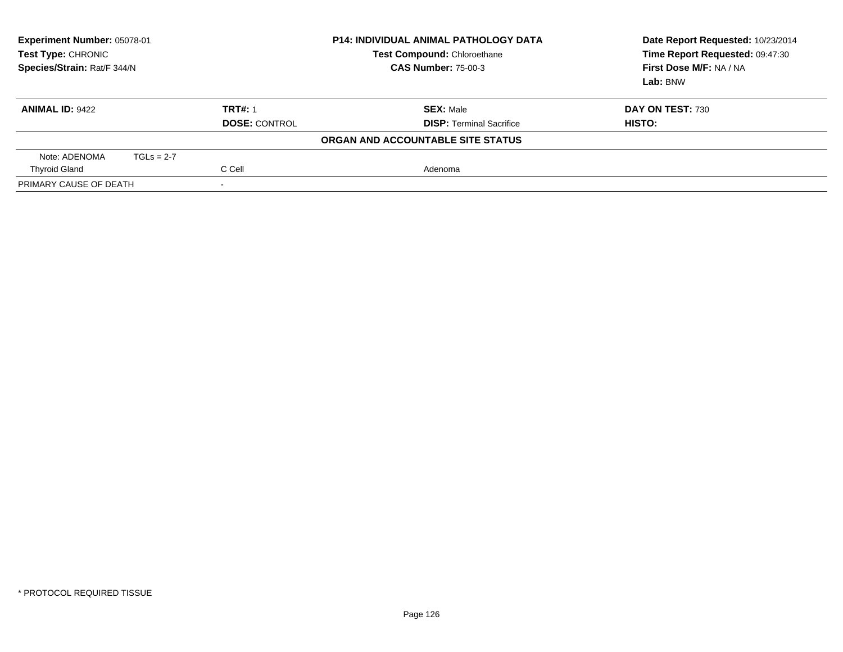| Experiment Number: 05078-01<br>Test Type: CHRONIC<br>Species/Strain: Rat/F 344/N |              |                      | <b>P14: INDIVIDUAL ANIMAL PATHOLOGY DATA</b><br><b>Test Compound: Chloroethane</b><br><b>CAS Number: 75-00-3</b> | Date Report Requested: 10/23/2014<br>Time Report Requested: 09:47:30<br>First Dose M/F: NA / NA<br>Lab: BNW |
|----------------------------------------------------------------------------------|--------------|----------------------|------------------------------------------------------------------------------------------------------------------|-------------------------------------------------------------------------------------------------------------|
| <b>ANIMAL ID: 9422</b>                                                           |              | <b>TRT#: 1</b>       | <b>SEX: Male</b>                                                                                                 | DAY ON TEST: 730                                                                                            |
|                                                                                  |              | <b>DOSE: CONTROL</b> | <b>DISP: Terminal Sacrifice</b>                                                                                  | HISTO:                                                                                                      |
|                                                                                  |              |                      | ORGAN AND ACCOUNTABLE SITE STATUS                                                                                |                                                                                                             |
| Note: ADENOMA                                                                    | $TGLs = 2-7$ |                      |                                                                                                                  |                                                                                                             |
| <b>Thyroid Gland</b>                                                             |              | C Cell               | Adenoma                                                                                                          |                                                                                                             |
| PRIMARY CAUSE OF DEATH<br>$\overline{\phantom{a}}$                               |              |                      |                                                                                                                  |                                                                                                             |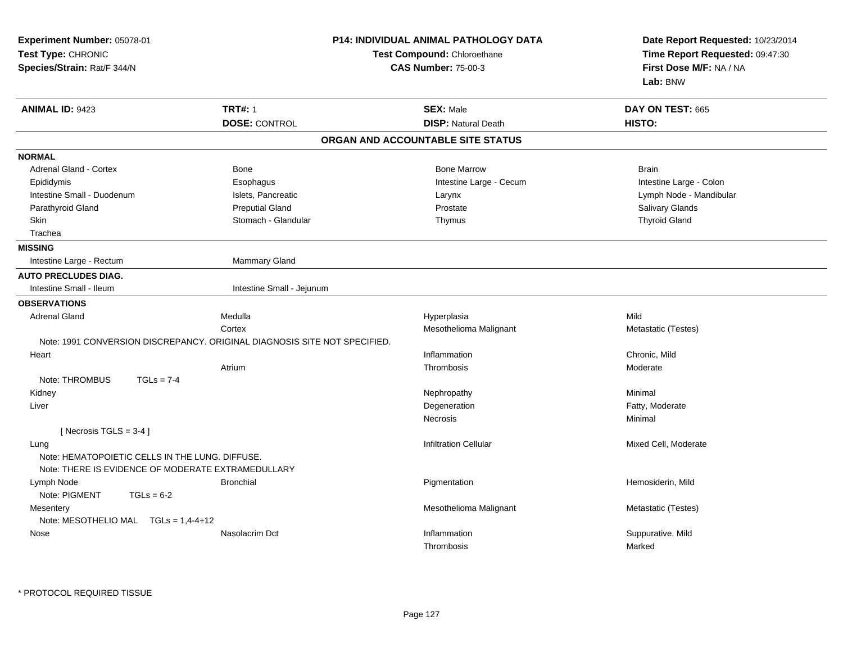| Experiment Number: 05078-01<br>Test Type: CHRONIC<br>Species/Strain: Rat/F 344/N |                                                                           | <b>P14: INDIVIDUAL ANIMAL PATHOLOGY DATA</b><br>Test Compound: Chloroethane<br><b>CAS Number: 75-00-3</b> | Date Report Requested: 10/23/2014<br>Time Report Requested: 09:47:30<br>First Dose M/F: NA / NA<br>Lab: BNW |
|----------------------------------------------------------------------------------|---------------------------------------------------------------------------|-----------------------------------------------------------------------------------------------------------|-------------------------------------------------------------------------------------------------------------|
| <b>ANIMAL ID: 9423</b>                                                           | <b>TRT#: 1</b>                                                            | <b>SEX: Male</b>                                                                                          | DAY ON TEST: 665                                                                                            |
|                                                                                  | <b>DOSE: CONTROL</b>                                                      | <b>DISP: Natural Death</b>                                                                                | HISTO:                                                                                                      |
|                                                                                  |                                                                           | ORGAN AND ACCOUNTABLE SITE STATUS                                                                         |                                                                                                             |
| <b>NORMAL</b>                                                                    |                                                                           |                                                                                                           |                                                                                                             |
| <b>Adrenal Gland - Cortex</b>                                                    | <b>Bone</b>                                                               | <b>Bone Marrow</b>                                                                                        | <b>Brain</b>                                                                                                |
| Epididymis                                                                       | Esophagus                                                                 | Intestine Large - Cecum                                                                                   | Intestine Large - Colon                                                                                     |
| Intestine Small - Duodenum                                                       | Islets, Pancreatic                                                        | Larynx                                                                                                    | Lymph Node - Mandibular                                                                                     |
| Parathyroid Gland                                                                | <b>Preputial Gland</b>                                                    | Prostate                                                                                                  | Salivary Glands                                                                                             |
| <b>Skin</b>                                                                      | Stomach - Glandular                                                       | Thymus                                                                                                    | <b>Thyroid Gland</b>                                                                                        |
| Trachea                                                                          |                                                                           |                                                                                                           |                                                                                                             |
| <b>MISSING</b>                                                                   |                                                                           |                                                                                                           |                                                                                                             |
| Intestine Large - Rectum                                                         | Mammary Gland                                                             |                                                                                                           |                                                                                                             |
| <b>AUTO PRECLUDES DIAG.</b>                                                      |                                                                           |                                                                                                           |                                                                                                             |
| Intestine Small - Ileum                                                          | Intestine Small - Jejunum                                                 |                                                                                                           |                                                                                                             |
| <b>OBSERVATIONS</b>                                                              |                                                                           |                                                                                                           |                                                                                                             |
| <b>Adrenal Gland</b>                                                             | Medulla                                                                   | Hyperplasia                                                                                               | Mild                                                                                                        |
|                                                                                  | Cortex                                                                    | Mesothelioma Malignant                                                                                    | Metastatic (Testes)                                                                                         |
|                                                                                  | Note: 1991 CONVERSION DISCREPANCY. ORIGINAL DIAGNOSIS SITE NOT SPECIFIED. |                                                                                                           |                                                                                                             |
| Heart                                                                            |                                                                           | Inflammation                                                                                              | Chronic, Mild                                                                                               |
|                                                                                  | Atrium                                                                    | Thrombosis                                                                                                | Moderate                                                                                                    |
| Note: THROMBUS<br>$TGLs = 7-4$                                                   |                                                                           |                                                                                                           |                                                                                                             |
| Kidney                                                                           |                                                                           | Nephropathy                                                                                               | Minimal                                                                                                     |
| Liver                                                                            |                                                                           | Degeneration                                                                                              | Fatty, Moderate                                                                                             |
|                                                                                  |                                                                           | <b>Necrosis</b>                                                                                           | Minimal                                                                                                     |
| [Necrosis $TGLS = 3-4$ ]                                                         |                                                                           |                                                                                                           |                                                                                                             |
| Lung                                                                             |                                                                           | <b>Infiltration Cellular</b>                                                                              | Mixed Cell, Moderate                                                                                        |
| Note: HEMATOPOIETIC CELLS IN THE LUNG. DIFFUSE.                                  |                                                                           |                                                                                                           |                                                                                                             |
| Note: THERE IS EVIDENCE OF MODERATE EXTRAMEDULLARY                               |                                                                           |                                                                                                           |                                                                                                             |
| Lymph Node                                                                       | <b>Bronchial</b>                                                          | Pigmentation                                                                                              | Hemosiderin, Mild                                                                                           |
| Note: PIGMENT<br>$TGLs = 6-2$                                                    |                                                                           |                                                                                                           |                                                                                                             |
| Mesentery                                                                        |                                                                           | Mesothelioma Malignant                                                                                    | Metastatic (Testes)                                                                                         |
| Note: MESOTHELIO MAL $TGLs = 1,4-4+12$                                           |                                                                           |                                                                                                           |                                                                                                             |
| Nose                                                                             | Nasolacrim Dct                                                            | Inflammation                                                                                              | Suppurative, Mild                                                                                           |
|                                                                                  |                                                                           | Thrombosis                                                                                                | Marked                                                                                                      |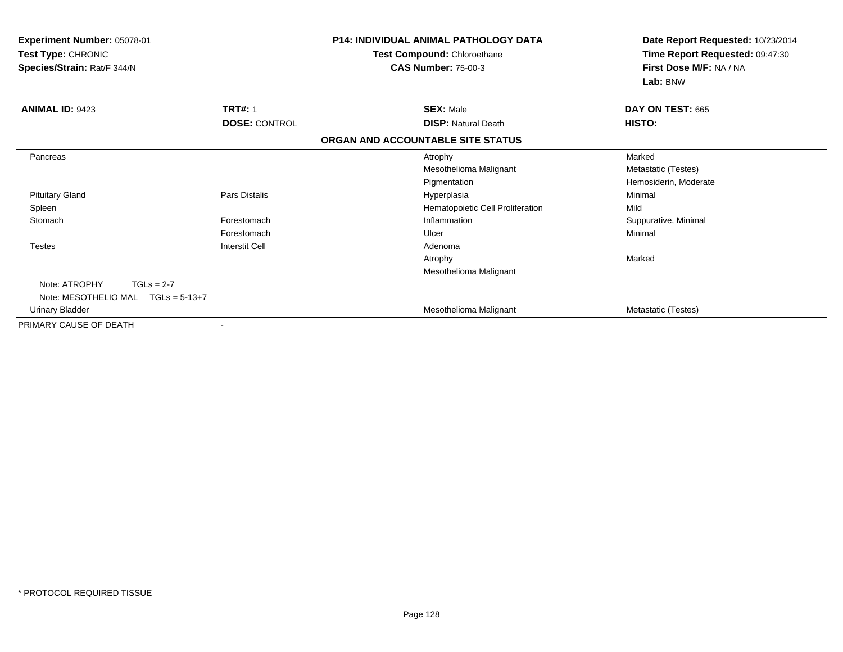| Experiment Number: 05078-01<br>Test Type: CHRONIC<br>Species/Strain: Rat/F 344/N |                       | <b>P14: INDIVIDUAL ANIMAL PATHOLOGY DATA</b><br>Test Compound: Chloroethane<br><b>CAS Number: 75-00-3</b> | Date Report Requested: 10/23/2014<br>Time Report Requested: 09:47:30<br>First Dose M/F: NA / NA<br>Lab: BNW |
|----------------------------------------------------------------------------------|-----------------------|-----------------------------------------------------------------------------------------------------------|-------------------------------------------------------------------------------------------------------------|
| <b>ANIMAL ID: 9423</b>                                                           | <b>TRT#: 1</b>        | <b>SEX: Male</b>                                                                                          | DAY ON TEST: 665                                                                                            |
|                                                                                  | <b>DOSE: CONTROL</b>  | <b>DISP: Natural Death</b>                                                                                | HISTO:                                                                                                      |
|                                                                                  |                       | ORGAN AND ACCOUNTABLE SITE STATUS                                                                         |                                                                                                             |
| Pancreas                                                                         |                       | Atrophy                                                                                                   | Marked                                                                                                      |
|                                                                                  |                       | Mesothelioma Malignant                                                                                    | Metastatic (Testes)                                                                                         |
|                                                                                  |                       | Pigmentation                                                                                              | Hemosiderin, Moderate                                                                                       |
| <b>Pituitary Gland</b>                                                           | <b>Pars Distalis</b>  | Hyperplasia                                                                                               | Minimal                                                                                                     |
| Spleen                                                                           |                       | Hematopoietic Cell Proliferation                                                                          | Mild                                                                                                        |
| Stomach                                                                          | Forestomach           | Inflammation                                                                                              | Suppurative, Minimal                                                                                        |
|                                                                                  | Forestomach           | Ulcer                                                                                                     | Minimal                                                                                                     |
| <b>Testes</b>                                                                    | <b>Interstit Cell</b> | Adenoma                                                                                                   |                                                                                                             |
|                                                                                  |                       | Atrophy                                                                                                   | Marked                                                                                                      |
|                                                                                  |                       | Mesothelioma Malignant                                                                                    |                                                                                                             |
| Note: ATROPHY<br>$TGLs = 2-7$                                                    |                       |                                                                                                           |                                                                                                             |
| $TGLs = 5-13+7$<br>Note: MESOTHELIO MAL                                          |                       |                                                                                                           |                                                                                                             |
| Urinary Bladder                                                                  |                       | Mesothelioma Malignant                                                                                    | Metastatic (Testes)                                                                                         |
| PRIMARY CAUSE OF DEATH                                                           |                       |                                                                                                           |                                                                                                             |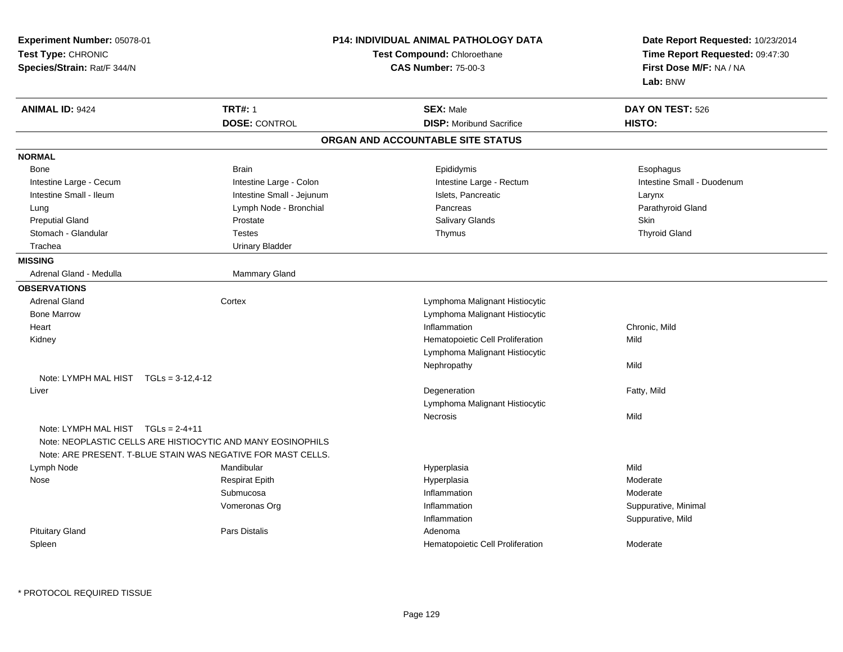| Experiment Number: 05078-01<br>Test Type: CHRONIC<br>Species/Strain: Rat/F 344/N |                                                                                                                             | <b>P14: INDIVIDUAL ANIMAL PATHOLOGY DATA</b><br>Test Compound: Chloroethane<br><b>CAS Number: 75-00-3</b> | Date Report Requested: 10/23/2014<br>Time Report Requested: 09:47:30<br>First Dose M/F: NA / NA<br>Lab: BNW |
|----------------------------------------------------------------------------------|-----------------------------------------------------------------------------------------------------------------------------|-----------------------------------------------------------------------------------------------------------|-------------------------------------------------------------------------------------------------------------|
| <b>ANIMAL ID: 9424</b>                                                           | <b>TRT#: 1</b>                                                                                                              | <b>SEX: Male</b>                                                                                          | DAY ON TEST: 526                                                                                            |
|                                                                                  | <b>DOSE: CONTROL</b>                                                                                                        | <b>DISP:</b> Moribund Sacrifice                                                                           | HISTO:                                                                                                      |
|                                                                                  |                                                                                                                             | ORGAN AND ACCOUNTABLE SITE STATUS                                                                         |                                                                                                             |
| <b>NORMAL</b>                                                                    |                                                                                                                             |                                                                                                           |                                                                                                             |
| Bone                                                                             | <b>Brain</b>                                                                                                                | Epididymis                                                                                                | Esophagus                                                                                                   |
| Intestine Large - Cecum                                                          | Intestine Large - Colon                                                                                                     | Intestine Large - Rectum                                                                                  | Intestine Small - Duodenum                                                                                  |
| Intestine Small - Ileum                                                          | Intestine Small - Jejunum                                                                                                   | Islets, Pancreatic                                                                                        | Larynx                                                                                                      |
| Lung                                                                             | Lymph Node - Bronchial                                                                                                      | Pancreas                                                                                                  | Parathyroid Gland                                                                                           |
| <b>Preputial Gland</b>                                                           | Prostate                                                                                                                    | Salivary Glands                                                                                           | Skin                                                                                                        |
| Stomach - Glandular                                                              | <b>Testes</b>                                                                                                               | Thymus                                                                                                    | <b>Thyroid Gland</b>                                                                                        |
| Trachea                                                                          | <b>Urinary Bladder</b>                                                                                                      |                                                                                                           |                                                                                                             |
| <b>MISSING</b>                                                                   |                                                                                                                             |                                                                                                           |                                                                                                             |
| Adrenal Gland - Medulla                                                          | Mammary Gland                                                                                                               |                                                                                                           |                                                                                                             |
| <b>OBSERVATIONS</b>                                                              |                                                                                                                             |                                                                                                           |                                                                                                             |
| <b>Adrenal Gland</b>                                                             | Cortex                                                                                                                      | Lymphoma Malignant Histiocytic                                                                            |                                                                                                             |
| <b>Bone Marrow</b>                                                               |                                                                                                                             | Lymphoma Malignant Histiocytic                                                                            |                                                                                                             |
| Heart                                                                            |                                                                                                                             | Inflammation                                                                                              | Chronic, Mild                                                                                               |
| Kidney                                                                           |                                                                                                                             | Hematopoietic Cell Proliferation                                                                          | Mild                                                                                                        |
|                                                                                  |                                                                                                                             | Lymphoma Malignant Histiocytic                                                                            |                                                                                                             |
|                                                                                  |                                                                                                                             | Nephropathy                                                                                               | Mild                                                                                                        |
| Note: LYMPH MAL HIST $TGLs = 3-12, 4-12$                                         |                                                                                                                             |                                                                                                           |                                                                                                             |
| Liver                                                                            |                                                                                                                             | Degeneration                                                                                              | Fatty, Mild                                                                                                 |
|                                                                                  |                                                                                                                             | Lymphoma Malignant Histiocytic                                                                            |                                                                                                             |
|                                                                                  |                                                                                                                             | Necrosis                                                                                                  | Mild                                                                                                        |
| Note: LYMPH MAL HIST TGLs = 2-4+11                                               | Note: NEOPLASTIC CELLS ARE HISTIOCYTIC AND MANY EOSINOPHILS<br>Note: ARE PRESENT, T-BLUE STAIN WAS NEGATIVE FOR MAST CELLS. |                                                                                                           |                                                                                                             |
| Lymph Node                                                                       | Mandibular                                                                                                                  | Hyperplasia                                                                                               | Mild                                                                                                        |
| Nose                                                                             | <b>Respirat Epith</b>                                                                                                       | Hyperplasia                                                                                               | Moderate                                                                                                    |
|                                                                                  | Submucosa                                                                                                                   | Inflammation                                                                                              | Moderate                                                                                                    |
|                                                                                  | Vomeronas Org                                                                                                               | Inflammation                                                                                              | Suppurative, Minimal                                                                                        |
|                                                                                  |                                                                                                                             | Inflammation                                                                                              | Suppurative, Mild                                                                                           |
| <b>Pituitary Gland</b>                                                           | Pars Distalis                                                                                                               | Adenoma                                                                                                   |                                                                                                             |
| Spleen                                                                           |                                                                                                                             | Hematopoietic Cell Proliferation                                                                          | Moderate                                                                                                    |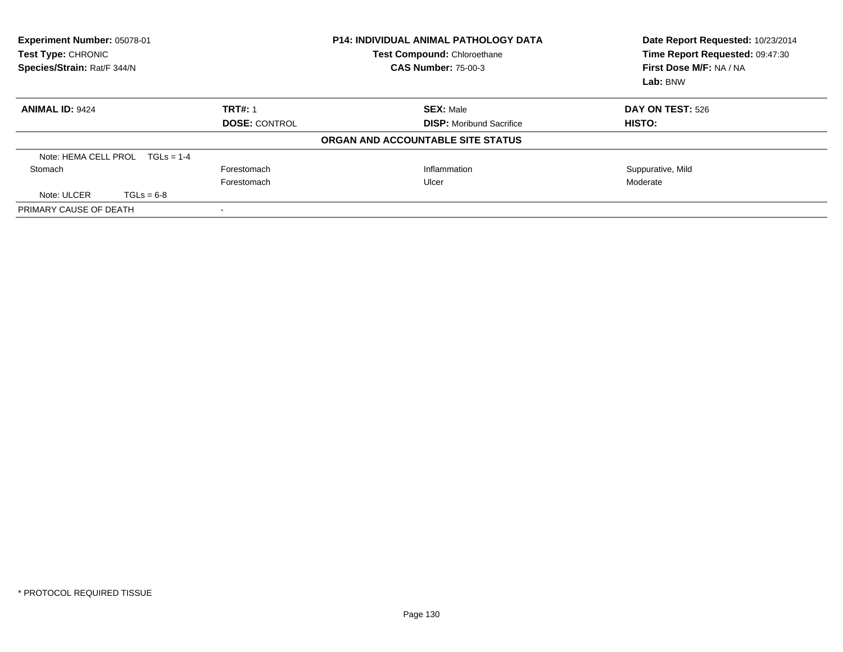| Experiment Number: 05078-01<br>Test Type: CHRONIC<br>Species/Strain: Rat/F 344/N |                      | <b>P14: INDIVIDUAL ANIMAL PATHOLOGY DATA</b><br>Test Compound: Chloroethane<br><b>CAS Number: 75-00-3</b> | Date Report Requested: 10/23/2014<br>Time Report Requested: 09:47:30<br>First Dose M/F: NA / NA<br>Lab: BNW |
|----------------------------------------------------------------------------------|----------------------|-----------------------------------------------------------------------------------------------------------|-------------------------------------------------------------------------------------------------------------|
| <b>ANIMAL ID: 9424</b>                                                           | <b>TRT#: 1</b>       | <b>SEX: Male</b>                                                                                          | DAY ON TEST: 526                                                                                            |
|                                                                                  | <b>DOSE: CONTROL</b> | <b>DISP:</b> Moribund Sacrifice                                                                           | <b>HISTO:</b>                                                                                               |
|                                                                                  |                      | ORGAN AND ACCOUNTABLE SITE STATUS                                                                         |                                                                                                             |
| Note: HEMA CELL PROL $TGLs = 1-4$                                                |                      |                                                                                                           |                                                                                                             |
| Stomach                                                                          | Forestomach          | Inflammation                                                                                              | Suppurative, Mild                                                                                           |
|                                                                                  | Forestomach          | Ulcer                                                                                                     | Moderate                                                                                                    |
| Note: ULCER<br>$TGLs = 6-8$                                                      |                      |                                                                                                           |                                                                                                             |
| PRIMARY CAUSE OF DEATH                                                           |                      |                                                                                                           |                                                                                                             |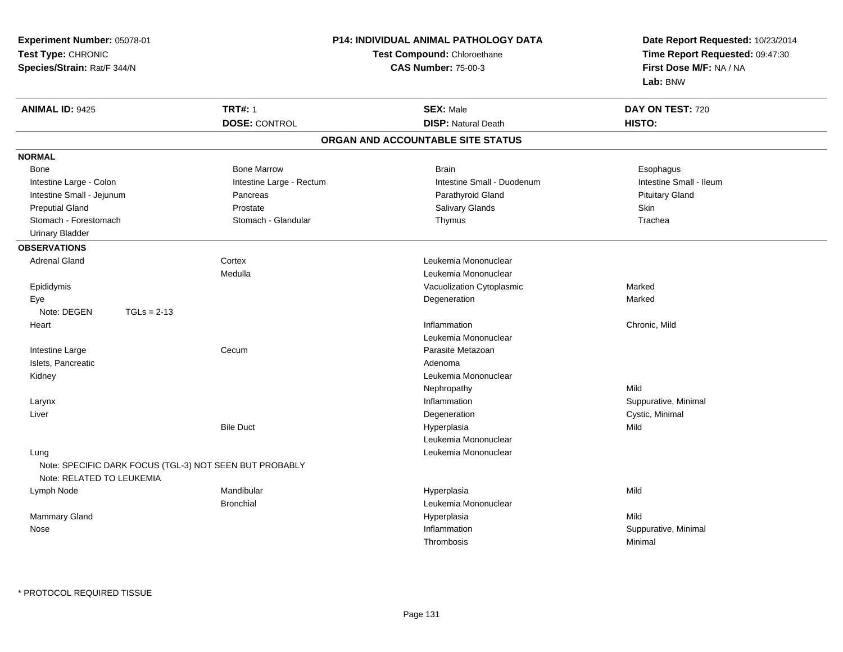| Experiment Number: 05078-01                                                                  |                          | <b>P14: INDIVIDUAL ANIMAL PATHOLOGY DATA</b> | Date Report Requested: 10/23/2014 |  |
|----------------------------------------------------------------------------------------------|--------------------------|----------------------------------------------|-----------------------------------|--|
| Test Type: CHRONIC                                                                           |                          | Test Compound: Chloroethane                  |                                   |  |
| Species/Strain: Rat/F 344/N                                                                  |                          | <b>CAS Number: 75-00-3</b>                   | First Dose M/F: NA / NA           |  |
|                                                                                              |                          |                                              | Lab: BNW                          |  |
| <b>ANIMAL ID: 9425</b>                                                                       | <b>TRT#: 1</b>           | <b>SEX: Male</b>                             | DAY ON TEST: 720                  |  |
|                                                                                              | <b>DOSE: CONTROL</b>     | <b>DISP: Natural Death</b>                   | HISTO:                            |  |
|                                                                                              |                          | ORGAN AND ACCOUNTABLE SITE STATUS            |                                   |  |
| <b>NORMAL</b>                                                                                |                          |                                              |                                   |  |
| Bone                                                                                         | <b>Bone Marrow</b>       | <b>Brain</b>                                 | Esophagus                         |  |
| Intestine Large - Colon                                                                      | Intestine Large - Rectum | Intestine Small - Duodenum                   | Intestine Small - Ileum           |  |
| Intestine Small - Jejunum                                                                    | Pancreas                 | Parathyroid Gland                            | <b>Pituitary Gland</b>            |  |
| <b>Preputial Gland</b>                                                                       | Prostate                 | Salivary Glands                              | Skin                              |  |
| Stomach - Forestomach                                                                        | Stomach - Glandular      | Thymus                                       | Trachea                           |  |
| <b>Urinary Bladder</b>                                                                       |                          |                                              |                                   |  |
| <b>OBSERVATIONS</b>                                                                          |                          |                                              |                                   |  |
| <b>Adrenal Gland</b>                                                                         | Cortex                   | Leukemia Mononuclear                         |                                   |  |
|                                                                                              | Medulla                  | Leukemia Mononuclear                         |                                   |  |
| Epididymis                                                                                   |                          | Vacuolization Cytoplasmic                    | Marked                            |  |
| Eye                                                                                          |                          | Degeneration                                 | Marked                            |  |
| Note: DEGEN<br>$TGLs = 2-13$                                                                 |                          |                                              |                                   |  |
| Heart                                                                                        |                          | Inflammation                                 | Chronic, Mild                     |  |
|                                                                                              |                          | Leukemia Mononuclear                         |                                   |  |
| Intestine Large                                                                              | Cecum                    | Parasite Metazoan                            |                                   |  |
| Islets, Pancreatic                                                                           |                          | Adenoma                                      |                                   |  |
| Kidney                                                                                       |                          | Leukemia Mononuclear                         |                                   |  |
|                                                                                              |                          | Nephropathy                                  | Mild                              |  |
| Larynx                                                                                       |                          | Inflammation                                 | Suppurative, Minimal              |  |
| Liver                                                                                        |                          | Degeneration                                 | Cystic, Minimal                   |  |
|                                                                                              | <b>Bile Duct</b>         | Hyperplasia                                  | Mild                              |  |
|                                                                                              |                          | Leukemia Mononuclear                         |                                   |  |
| Lung<br>Note: SPECIFIC DARK FOCUS (TGL-3) NOT SEEN BUT PROBABLY<br>Note: RELATED TO LEUKEMIA |                          | Leukemia Mononuclear                         |                                   |  |
|                                                                                              | Mandibular               |                                              | Mild                              |  |
| Lymph Node                                                                                   | <b>Bronchial</b>         | Hyperplasia<br>Leukemia Mononuclear          |                                   |  |
| Mammary Gland                                                                                |                          | Hyperplasia                                  | Mild                              |  |
| Nose                                                                                         |                          | Inflammation                                 |                                   |  |
|                                                                                              |                          |                                              | Suppurative, Minimal              |  |
|                                                                                              |                          | Thrombosis                                   | Minimal                           |  |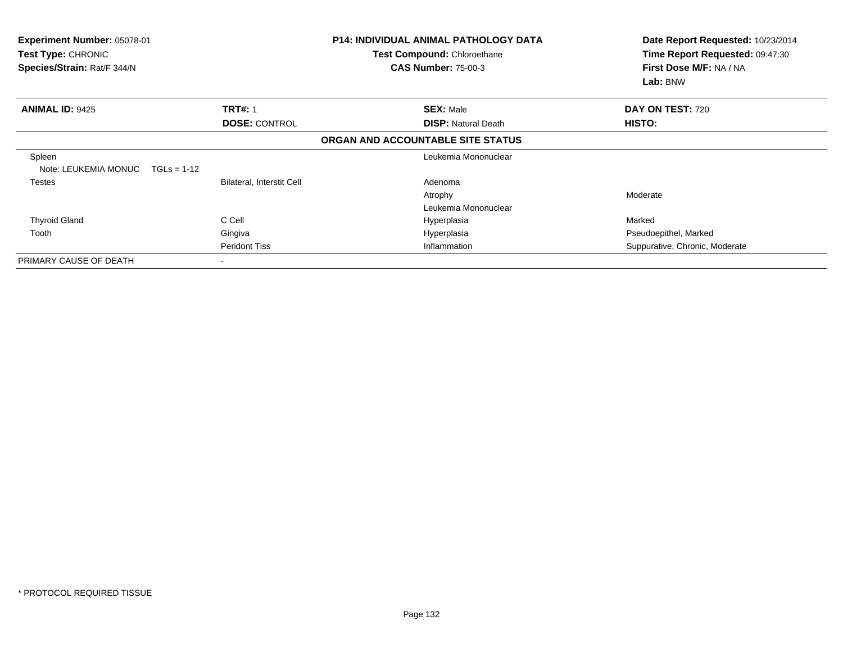| Experiment Number: 05078-01<br><b>Test Type: CHRONIC</b><br>Species/Strain: Rat/F 344/N |                                  | <b>P14: INDIVIDUAL ANIMAL PATHOLOGY DATA</b><br><b>Test Compound: Chloroethane</b><br><b>CAS Number: 75-00-3</b> | Date Report Requested: 10/23/2014<br>Time Report Requested: 09:47:30<br>First Dose M/F: NA / NA<br>Lab: BNW |
|-----------------------------------------------------------------------------------------|----------------------------------|------------------------------------------------------------------------------------------------------------------|-------------------------------------------------------------------------------------------------------------|
| <b>ANIMAL ID: 9425</b>                                                                  | <b>TRT#: 1</b>                   | <b>SEX: Male</b>                                                                                                 | DAY ON TEST: 720                                                                                            |
|                                                                                         | <b>DOSE: CONTROL</b>             | <b>DISP: Natural Death</b>                                                                                       | HISTO:                                                                                                      |
|                                                                                         |                                  | ORGAN AND ACCOUNTABLE SITE STATUS                                                                                |                                                                                                             |
| Spleen<br>Note: LEUKEMIA MONUC<br>$TGLs = 1-12$                                         |                                  | Leukemia Mononuclear                                                                                             |                                                                                                             |
| Testes                                                                                  | <b>Bilateral, Interstit Cell</b> | Adenoma                                                                                                          |                                                                                                             |
|                                                                                         |                                  | Atrophy                                                                                                          | Moderate                                                                                                    |
|                                                                                         |                                  | Leukemia Mononuclear                                                                                             |                                                                                                             |
| <b>Thyroid Gland</b>                                                                    | C Cell                           | Hyperplasia                                                                                                      | Marked                                                                                                      |
| Tooth                                                                                   | Gingiva                          | Hyperplasia                                                                                                      | Pseudoepithel, Marked                                                                                       |
|                                                                                         | <b>Peridont Tiss</b>             | Inflammation                                                                                                     | Suppurative, Chronic, Moderate                                                                              |
| PRIMARY CAUSE OF DEATH                                                                  | $\,$                             |                                                                                                                  |                                                                                                             |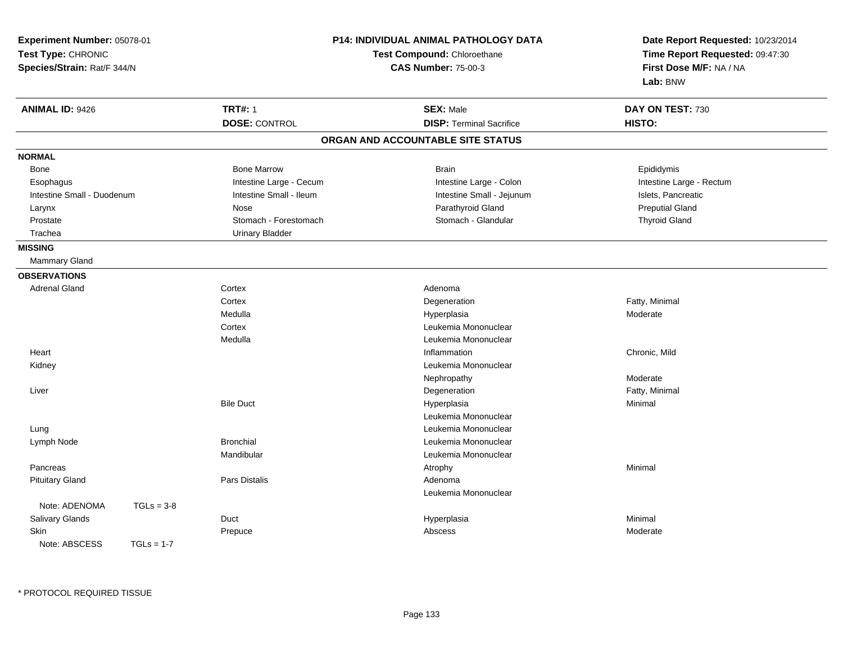| Experiment Number: 05078-01<br>Test Type: CHRONIC<br>Species/Strain: Rat/F 344/N |                         | <b>P14: INDIVIDUAL ANIMAL PATHOLOGY DATA</b><br>Test Compound: Chloroethane<br><b>CAS Number: 75-00-3</b> | Date Report Requested: 10/23/2014<br>Time Report Requested: 09:47:30<br>First Dose M/F: NA / NA<br>Lab: BNW |
|----------------------------------------------------------------------------------|-------------------------|-----------------------------------------------------------------------------------------------------------|-------------------------------------------------------------------------------------------------------------|
| <b>ANIMAL ID: 9426</b>                                                           | <b>TRT#: 1</b>          | <b>SEX: Male</b>                                                                                          | DAY ON TEST: 730                                                                                            |
|                                                                                  | <b>DOSE: CONTROL</b>    | <b>DISP: Terminal Sacrifice</b>                                                                           | HISTO:                                                                                                      |
|                                                                                  |                         | ORGAN AND ACCOUNTABLE SITE STATUS                                                                         |                                                                                                             |
| <b>NORMAL</b>                                                                    |                         |                                                                                                           |                                                                                                             |
| Bone                                                                             | <b>Bone Marrow</b>      | <b>Brain</b>                                                                                              | Epididymis                                                                                                  |
| Esophagus                                                                        | Intestine Large - Cecum | Intestine Large - Colon                                                                                   | Intestine Large - Rectum                                                                                    |
| Intestine Small - Duodenum                                                       | Intestine Small - Ileum | Intestine Small - Jejunum                                                                                 | Islets, Pancreatic                                                                                          |
| Larynx                                                                           | <b>Nose</b>             | Parathyroid Gland                                                                                         | <b>Preputial Gland</b>                                                                                      |
| Prostate                                                                         | Stomach - Forestomach   | Stomach - Glandular                                                                                       | <b>Thyroid Gland</b>                                                                                        |
| Trachea                                                                          | <b>Urinary Bladder</b>  |                                                                                                           |                                                                                                             |
| <b>MISSING</b>                                                                   |                         |                                                                                                           |                                                                                                             |
| Mammary Gland                                                                    |                         |                                                                                                           |                                                                                                             |
| <b>OBSERVATIONS</b>                                                              |                         |                                                                                                           |                                                                                                             |
| <b>Adrenal Gland</b>                                                             | Cortex                  | Adenoma                                                                                                   |                                                                                                             |
|                                                                                  | Cortex                  | Degeneration                                                                                              | Fatty, Minimal                                                                                              |
|                                                                                  | Medulla                 | Hyperplasia                                                                                               | Moderate                                                                                                    |
|                                                                                  | Cortex                  | Leukemia Mononuclear                                                                                      |                                                                                                             |
|                                                                                  | Medulla                 | Leukemia Mononuclear                                                                                      |                                                                                                             |
| Heart                                                                            |                         | Inflammation                                                                                              | Chronic, Mild                                                                                               |
| Kidney                                                                           |                         | Leukemia Mononuclear                                                                                      |                                                                                                             |
|                                                                                  |                         | Nephropathy                                                                                               | Moderate                                                                                                    |
| Liver                                                                            |                         | Degeneration                                                                                              | Fatty, Minimal                                                                                              |
|                                                                                  | <b>Bile Duct</b>        | Hyperplasia                                                                                               | Minimal                                                                                                     |
|                                                                                  |                         | Leukemia Mononuclear                                                                                      |                                                                                                             |
| Lung                                                                             |                         | Leukemia Mononuclear                                                                                      |                                                                                                             |
| Lymph Node                                                                       | <b>Bronchial</b>        | Leukemia Mononuclear                                                                                      |                                                                                                             |
|                                                                                  | Mandibular              | Leukemia Mononuclear                                                                                      |                                                                                                             |
| Pancreas                                                                         |                         | Atrophy                                                                                                   | Minimal                                                                                                     |
| <b>Pituitary Gland</b>                                                           | Pars Distalis           | Adenoma                                                                                                   |                                                                                                             |
|                                                                                  |                         | Leukemia Mononuclear                                                                                      |                                                                                                             |
| Note: ADENOMA<br>$TGLs = 3-8$                                                    |                         |                                                                                                           |                                                                                                             |
| Salivary Glands                                                                  | Duct                    | Hyperplasia                                                                                               | Minimal                                                                                                     |
| <b>Skin</b>                                                                      | Prepuce                 | Abscess                                                                                                   | Moderate                                                                                                    |
| Note: ABSCESS<br>$TGI = 1-7$                                                     |                         |                                                                                                           |                                                                                                             |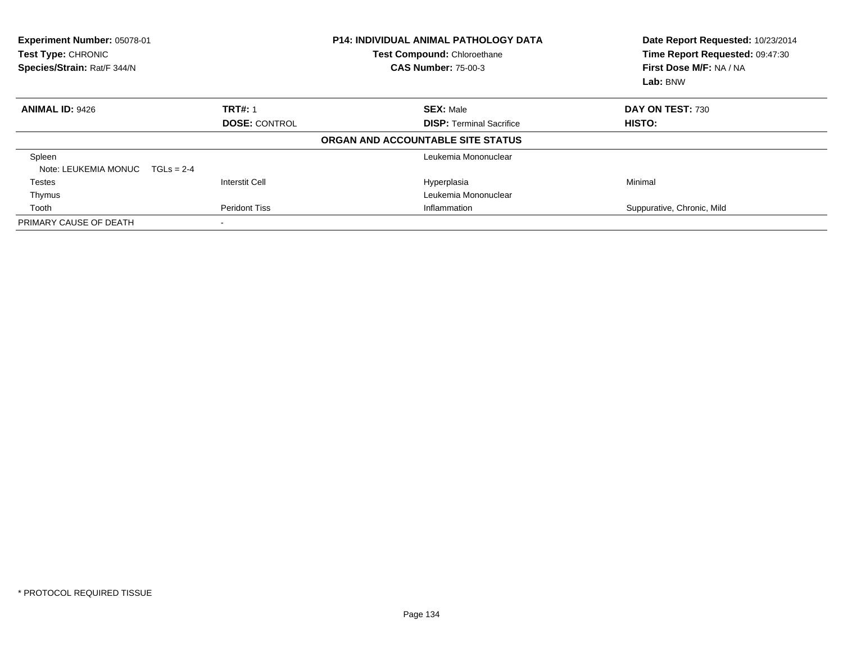| Experiment Number: 05078-01<br>Test Type: CHRONIC<br>Species/Strain: Rat/F 344/N |                       | <b>P14: INDIVIDUAL ANIMAL PATHOLOGY DATA</b><br>Test Compound: Chloroethane<br><b>CAS Number: 75-00-3</b> | Date Report Requested: 10/23/2014<br>Time Report Requested: 09:47:30<br>First Dose M/F: NA / NA<br>Lab: BNW |
|----------------------------------------------------------------------------------|-----------------------|-----------------------------------------------------------------------------------------------------------|-------------------------------------------------------------------------------------------------------------|
| <b>ANIMAL ID: 9426</b>                                                           | <b>TRT#: 1</b>        | <b>SEX: Male</b>                                                                                          | DAY ON TEST: 730                                                                                            |
|                                                                                  | <b>DOSE: CONTROL</b>  | <b>DISP:</b> Terminal Sacrifice                                                                           | HISTO:                                                                                                      |
|                                                                                  |                       | ORGAN AND ACCOUNTABLE SITE STATUS                                                                         |                                                                                                             |
| Spleen                                                                           |                       | Leukemia Mononuclear                                                                                      |                                                                                                             |
| Note: LEUKEMIA MONUC                                                             | $TGLs = 2-4$          |                                                                                                           |                                                                                                             |
| <b>Testes</b>                                                                    | <b>Interstit Cell</b> | Hyperplasia                                                                                               | Minimal                                                                                                     |
| Thymus                                                                           |                       | Leukemia Mononuclear                                                                                      |                                                                                                             |
| Tooth                                                                            | <b>Peridont Tiss</b>  | Inflammation                                                                                              | Suppurative, Chronic, Mild                                                                                  |
| PRIMARY CAUSE OF DEATH                                                           |                       |                                                                                                           |                                                                                                             |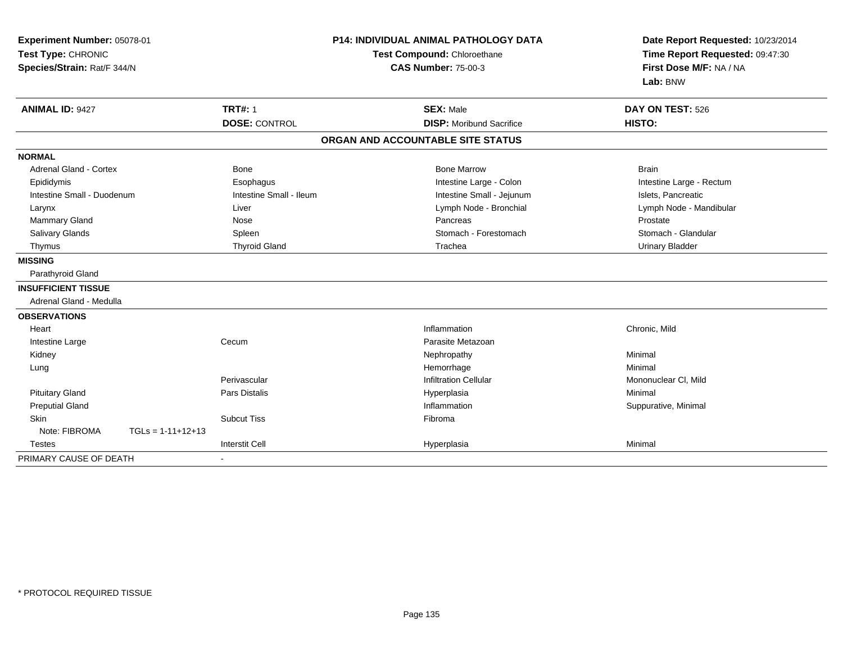| Experiment Number: 05078-01<br>Test Type: CHRONIC<br>Species/Strain: Rat/F 344/N |                         | <b>P14: INDIVIDUAL ANIMAL PATHOLOGY DATA</b><br>Test Compound: Chloroethane<br><b>CAS Number: 75-00-3</b> | Date Report Requested: 10/23/2014<br>Time Report Requested: 09:47:30<br>First Dose M/F: NA / NA<br>Lab: BNW |  |
|----------------------------------------------------------------------------------|-------------------------|-----------------------------------------------------------------------------------------------------------|-------------------------------------------------------------------------------------------------------------|--|
| <b>ANIMAL ID: 9427</b>                                                           | <b>TRT#: 1</b>          | <b>SEX: Male</b>                                                                                          | DAY ON TEST: 526                                                                                            |  |
|                                                                                  | <b>DOSE: CONTROL</b>    | <b>DISP:</b> Moribund Sacrifice                                                                           | HISTO:                                                                                                      |  |
|                                                                                  |                         | ORGAN AND ACCOUNTABLE SITE STATUS                                                                         |                                                                                                             |  |
| <b>NORMAL</b>                                                                    |                         |                                                                                                           |                                                                                                             |  |
| <b>Adrenal Gland - Cortex</b>                                                    | <b>Bone</b>             | <b>Bone Marrow</b>                                                                                        | <b>Brain</b>                                                                                                |  |
| Epididymis                                                                       | Esophagus               | Intestine Large - Colon                                                                                   | Intestine Large - Rectum                                                                                    |  |
| Intestine Small - Duodenum                                                       | Intestine Small - Ileum | Intestine Small - Jejunum                                                                                 | Islets, Pancreatic                                                                                          |  |
| Larynx                                                                           | Liver                   | Lymph Node - Bronchial                                                                                    | Lymph Node - Mandibular                                                                                     |  |
| <b>Mammary Gland</b>                                                             | Nose                    | Pancreas                                                                                                  | Prostate                                                                                                    |  |
| <b>Salivary Glands</b>                                                           | Spleen                  | Stomach - Forestomach                                                                                     | Stomach - Glandular                                                                                         |  |
| Thymus                                                                           | <b>Thyroid Gland</b>    | Trachea                                                                                                   | <b>Urinary Bladder</b>                                                                                      |  |
| <b>MISSING</b>                                                                   |                         |                                                                                                           |                                                                                                             |  |
| Parathyroid Gland                                                                |                         |                                                                                                           |                                                                                                             |  |
| <b>INSUFFICIENT TISSUE</b>                                                       |                         |                                                                                                           |                                                                                                             |  |
| Adrenal Gland - Medulla                                                          |                         |                                                                                                           |                                                                                                             |  |
| <b>OBSERVATIONS</b>                                                              |                         |                                                                                                           |                                                                                                             |  |
| Heart                                                                            |                         | Inflammation                                                                                              | Chronic, Mild                                                                                               |  |
| Intestine Large                                                                  | Cecum                   | Parasite Metazoan                                                                                         |                                                                                                             |  |
| Kidney                                                                           |                         | Nephropathy                                                                                               | Minimal                                                                                                     |  |
| Lung                                                                             |                         | Hemorrhage                                                                                                | Minimal                                                                                                     |  |
|                                                                                  | Perivascular            | <b>Infiltration Cellular</b>                                                                              | Mononuclear CI, Mild                                                                                        |  |
| <b>Pituitary Gland</b>                                                           | <b>Pars Distalis</b>    | Hyperplasia                                                                                               | Minimal                                                                                                     |  |
| <b>Preputial Gland</b>                                                           |                         | Inflammation                                                                                              | Suppurative, Minimal                                                                                        |  |
| <b>Skin</b>                                                                      | <b>Subcut Tiss</b>      | Fibroma                                                                                                   |                                                                                                             |  |
| Note: FIBROMA<br>$TGLs = 1-11+12+13$                                             |                         |                                                                                                           |                                                                                                             |  |
| <b>Testes</b>                                                                    | <b>Interstit Cell</b>   | Hyperplasia                                                                                               | Minimal                                                                                                     |  |
| PRIMARY CAUSE OF DEATH                                                           | $\sim$                  |                                                                                                           |                                                                                                             |  |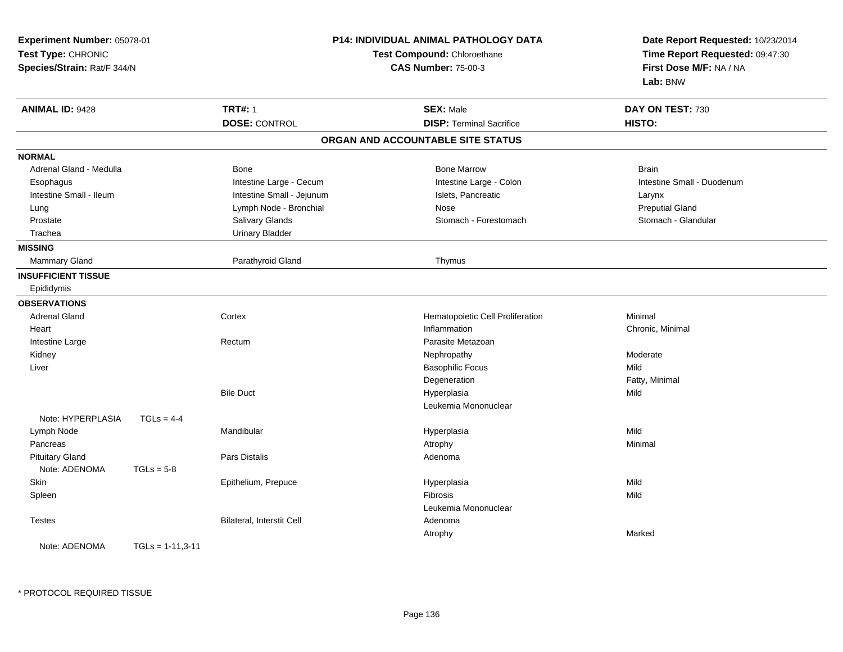| Experiment Number: 05078-01<br>Test Type: CHRONIC<br>Species/Strain: Rat/F 344/N |                    |                           | <b>P14: INDIVIDUAL ANIMAL PATHOLOGY DATA</b><br>Test Compound: Chloroethane<br><b>CAS Number: 75-00-3</b> | Date Report Requested: 10/23/2014<br>Time Report Requested: 09:47:30<br>First Dose M/F: NA / NA<br>Lab: BNW |
|----------------------------------------------------------------------------------|--------------------|---------------------------|-----------------------------------------------------------------------------------------------------------|-------------------------------------------------------------------------------------------------------------|
| <b>ANIMAL ID: 9428</b>                                                           |                    | <b>TRT#: 1</b>            | <b>SEX: Male</b>                                                                                          | DAY ON TEST: 730                                                                                            |
|                                                                                  |                    | <b>DOSE: CONTROL</b>      | <b>DISP: Terminal Sacrifice</b>                                                                           | HISTO:                                                                                                      |
|                                                                                  |                    |                           | ORGAN AND ACCOUNTABLE SITE STATUS                                                                         |                                                                                                             |
| <b>NORMAL</b>                                                                    |                    |                           |                                                                                                           |                                                                                                             |
| Adrenal Gland - Medulla                                                          |                    | <b>Bone</b>               | <b>Bone Marrow</b>                                                                                        | <b>Brain</b>                                                                                                |
| Esophagus                                                                        |                    | Intestine Large - Cecum   | Intestine Large - Colon                                                                                   | Intestine Small - Duodenum                                                                                  |
| Intestine Small - Ileum                                                          |                    | Intestine Small - Jejunum | Islets, Pancreatic                                                                                        | Larynx                                                                                                      |
| Lung                                                                             |                    | Lymph Node - Bronchial    | Nose                                                                                                      | <b>Preputial Gland</b>                                                                                      |
| Prostate                                                                         |                    | Salivary Glands           | Stomach - Forestomach                                                                                     | Stomach - Glandular                                                                                         |
| Trachea                                                                          |                    | <b>Urinary Bladder</b>    |                                                                                                           |                                                                                                             |
| <b>MISSING</b>                                                                   |                    |                           |                                                                                                           |                                                                                                             |
| Mammary Gland                                                                    |                    | Parathyroid Gland         | Thymus                                                                                                    |                                                                                                             |
| <b>INSUFFICIENT TISSUE</b>                                                       |                    |                           |                                                                                                           |                                                                                                             |
| Epididymis                                                                       |                    |                           |                                                                                                           |                                                                                                             |
| <b>OBSERVATIONS</b>                                                              |                    |                           |                                                                                                           |                                                                                                             |
| <b>Adrenal Gland</b>                                                             |                    | Cortex                    | Hematopoietic Cell Proliferation                                                                          | Minimal                                                                                                     |
| Heart                                                                            |                    |                           | Inflammation                                                                                              | Chronic, Minimal                                                                                            |
| Intestine Large                                                                  |                    | Rectum                    | Parasite Metazoan                                                                                         |                                                                                                             |
| Kidney                                                                           |                    |                           | Nephropathy                                                                                               | Moderate                                                                                                    |
| Liver                                                                            |                    |                           | <b>Basophilic Focus</b>                                                                                   | Mild                                                                                                        |
|                                                                                  |                    |                           | Degeneration                                                                                              | Fatty, Minimal                                                                                              |
|                                                                                  |                    | <b>Bile Duct</b>          | Hyperplasia                                                                                               | Mild                                                                                                        |
|                                                                                  |                    |                           | Leukemia Mononuclear                                                                                      |                                                                                                             |
| Note: HYPERPLASIA                                                                | $TGLs = 4-4$       |                           |                                                                                                           |                                                                                                             |
| Lymph Node                                                                       |                    | Mandibular                | Hyperplasia                                                                                               | Mild                                                                                                        |
| Pancreas                                                                         |                    |                           | Atrophy                                                                                                   | Minimal                                                                                                     |
| <b>Pituitary Gland</b>                                                           |                    | <b>Pars Distalis</b>      | Adenoma                                                                                                   |                                                                                                             |
| Note: ADENOMA                                                                    | $TGLs = 5-8$       |                           |                                                                                                           |                                                                                                             |
| Skin                                                                             |                    | Epithelium, Prepuce       | Hyperplasia                                                                                               | Mild                                                                                                        |
| Spleen                                                                           |                    |                           | Fibrosis                                                                                                  | Mild                                                                                                        |
|                                                                                  |                    |                           | Leukemia Mononuclear                                                                                      |                                                                                                             |
| <b>Testes</b>                                                                    |                    | Bilateral, Interstit Cell | Adenoma                                                                                                   |                                                                                                             |
|                                                                                  |                    |                           | Atrophy                                                                                                   | Marked                                                                                                      |
| Note: ADENOMA                                                                    | $TGLs = 1-11.3-11$ |                           |                                                                                                           |                                                                                                             |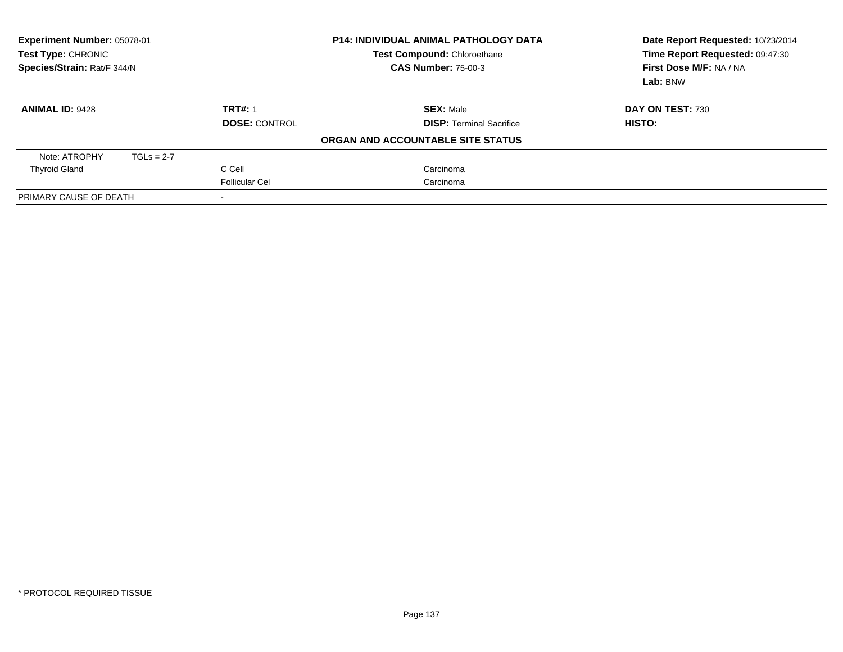| <b>Experiment Number: 05078-01</b><br>Test Type: CHRONIC<br>Species/Strain: Rat/F 344/N |              |                       | P14: INDIVIDUAL ANIMAL PATHOLOGY DATA<br>Test Compound: Chloroethane<br><b>CAS Number: 75-00-3</b> | Date Report Requested: 10/23/2014<br>Time Report Requested: 09:47:30<br>First Dose M/F: NA / NA<br>Lab: BNW |
|-----------------------------------------------------------------------------------------|--------------|-----------------------|----------------------------------------------------------------------------------------------------|-------------------------------------------------------------------------------------------------------------|
| <b>ANIMAL ID: 9428</b>                                                                  |              | <b>TRT#: 1</b>        | <b>SEX: Male</b>                                                                                   | DAY ON TEST: 730                                                                                            |
|                                                                                         |              | <b>DOSE: CONTROL</b>  | <b>DISP: Terminal Sacrifice</b>                                                                    | HISTO:                                                                                                      |
|                                                                                         |              |                       | ORGAN AND ACCOUNTABLE SITE STATUS                                                                  |                                                                                                             |
| Note: ATROPHY                                                                           | $TGLs = 2-7$ |                       |                                                                                                    |                                                                                                             |
| <b>Thyroid Gland</b>                                                                    |              | C Cell                | Carcinoma                                                                                          |                                                                                                             |
|                                                                                         |              | <b>Follicular Cel</b> | Carcinoma                                                                                          |                                                                                                             |
| PRIMARY CAUSE OF DEATH                                                                  |              |                       |                                                                                                    |                                                                                                             |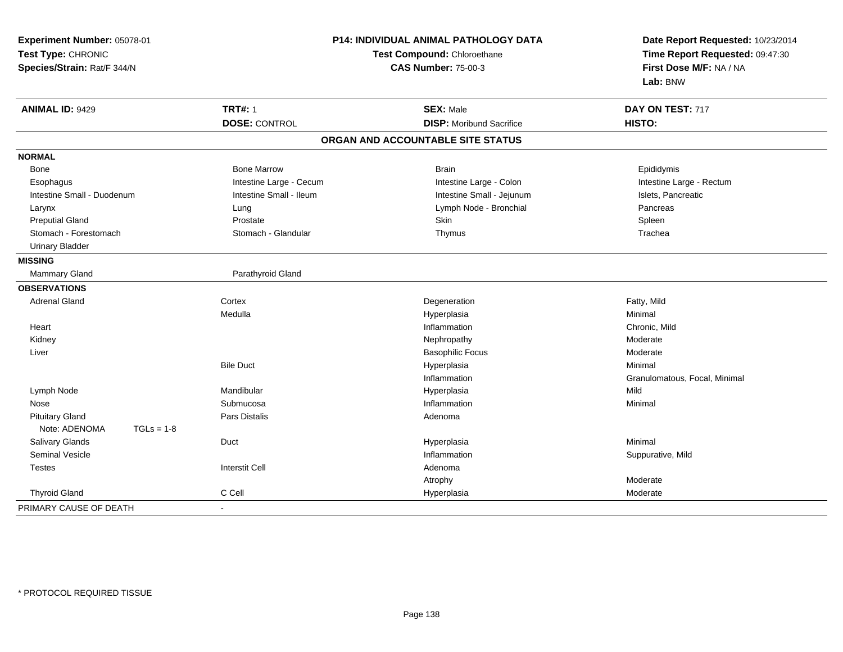| Experiment Number: 05078-01   |                             | <b>P14: INDIVIDUAL ANIMAL PATHOLOGY DATA</b> | Date Report Requested: 10/23/2014 |
|-------------------------------|-----------------------------|----------------------------------------------|-----------------------------------|
| Test Type: CHRONIC            | Test Compound: Chloroethane |                                              | Time Report Requested: 09:47:30   |
| Species/Strain: Rat/F 344/N   |                             | <b>CAS Number: 75-00-3</b>                   | First Dose M/F: NA / NA           |
|                               |                             |                                              | Lab: BNW                          |
| <b>ANIMAL ID: 9429</b>        | <b>TRT#: 1</b>              | <b>SEX: Male</b>                             | DAY ON TEST: 717                  |
|                               | <b>DOSE: CONTROL</b>        | <b>DISP:</b> Moribund Sacrifice              | HISTO:                            |
|                               |                             | ORGAN AND ACCOUNTABLE SITE STATUS            |                                   |
| <b>NORMAL</b>                 |                             |                                              |                                   |
| <b>Bone</b>                   | <b>Bone Marrow</b>          | <b>Brain</b>                                 | Epididymis                        |
| Esophagus                     | Intestine Large - Cecum     | Intestine Large - Colon                      | Intestine Large - Rectum          |
| Intestine Small - Duodenum    | Intestine Small - Ileum     | Intestine Small - Jejunum                    | Islets, Pancreatic                |
| Larynx                        | Lung                        | Lymph Node - Bronchial                       | Pancreas                          |
| <b>Preputial Gland</b>        | Prostate                    | Skin                                         | Spleen                            |
| Stomach - Forestomach         | Stomach - Glandular         | Thymus                                       | Trachea                           |
| <b>Urinary Bladder</b>        |                             |                                              |                                   |
| <b>MISSING</b>                |                             |                                              |                                   |
| Mammary Gland                 | Parathyroid Gland           |                                              |                                   |
| <b>OBSERVATIONS</b>           |                             |                                              |                                   |
| <b>Adrenal Gland</b>          | Cortex                      | Degeneration                                 | Fatty, Mild                       |
|                               | Medulla                     | Hyperplasia                                  | Minimal                           |
| Heart                         |                             | Inflammation                                 | Chronic, Mild                     |
| Kidney                        |                             | Nephropathy                                  | Moderate                          |
| Liver                         |                             | <b>Basophilic Focus</b>                      | Moderate                          |
|                               | <b>Bile Duct</b>            | Hyperplasia                                  | Minimal                           |
|                               |                             | Inflammation                                 | Granulomatous, Focal, Minimal     |
| Lymph Node                    | Mandibular                  | Hyperplasia                                  | Mild                              |
| Nose                          | Submucosa                   | Inflammation                                 | Minimal                           |
| <b>Pituitary Gland</b>        | Pars Distalis               | Adenoma                                      |                                   |
| Note: ADENOMA<br>$TGLs = 1-8$ |                             |                                              |                                   |
| Salivary Glands               | Duct                        | Hyperplasia                                  | Minimal                           |
| Seminal Vesicle               |                             | Inflammation                                 | Suppurative, Mild                 |
| <b>Testes</b>                 | <b>Interstit Cell</b>       | Adenoma                                      |                                   |
|                               |                             | Atrophy                                      | Moderate                          |
| <b>Thyroid Gland</b>          | C Cell                      | Hyperplasia                                  | Moderate                          |
| PRIMARY CAUSE OF DEATH        |                             |                                              |                                   |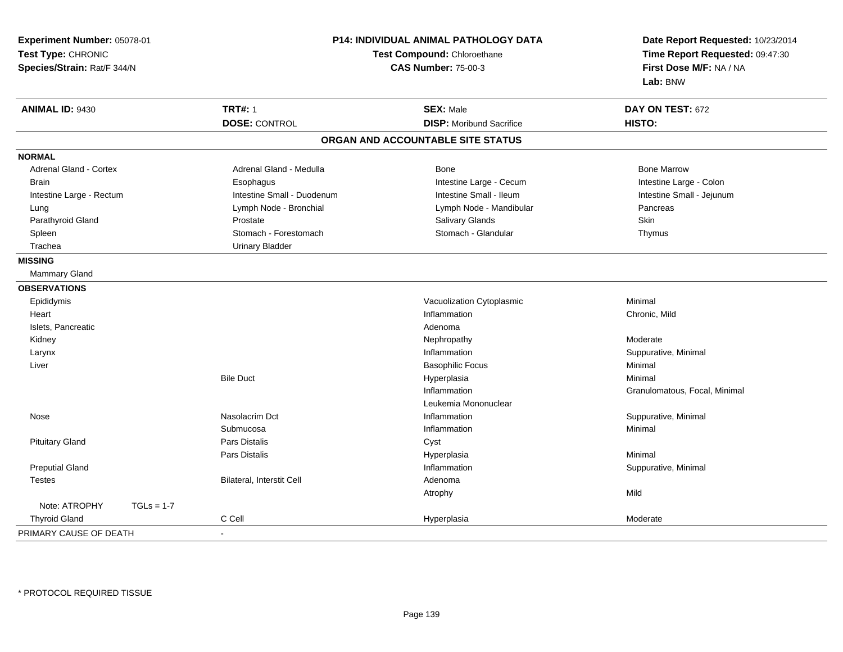| Experiment Number: 05078-01 |              | P14: INDIVIDUAL ANIMAL PATHOLOGY DATA |                                   | Date Report Requested: 10/23/2014 |
|-----------------------------|--------------|---------------------------------------|-----------------------------------|-----------------------------------|
| Test Type: CHRONIC          |              |                                       | Test Compound: Chloroethane       | Time Report Requested: 09:47:30   |
| Species/Strain: Rat/F 344/N |              | <b>CAS Number: 75-00-3</b>            |                                   | First Dose M/F: NA / NA           |
|                             |              |                                       |                                   | Lab: BNW                          |
| <b>ANIMAL ID: 9430</b>      |              | <b>TRT#: 1</b>                        | <b>SEX: Male</b>                  | DAY ON TEST: 672                  |
|                             |              | <b>DOSE: CONTROL</b>                  | <b>DISP: Moribund Sacrifice</b>   | HISTO:                            |
|                             |              |                                       | ORGAN AND ACCOUNTABLE SITE STATUS |                                   |
| <b>NORMAL</b>               |              |                                       |                                   |                                   |
| Adrenal Gland - Cortex      |              | Adrenal Gland - Medulla               | Bone                              | <b>Bone Marrow</b>                |
| Brain                       |              | Esophagus                             | Intestine Large - Cecum           | Intestine Large - Colon           |
| Intestine Large - Rectum    |              | Intestine Small - Duodenum            | Intestine Small - Ileum           | Intestine Small - Jejunum         |
| Lung                        |              | Lymph Node - Bronchial                | Lymph Node - Mandibular           | Pancreas                          |
| Parathyroid Gland           |              | Prostate                              | Salivary Glands                   | Skin                              |
| Spleen                      |              | Stomach - Forestomach                 | Stomach - Glandular               | Thymus                            |
| Trachea                     |              | <b>Urinary Bladder</b>                |                                   |                                   |
| <b>MISSING</b>              |              |                                       |                                   |                                   |
| Mammary Gland               |              |                                       |                                   |                                   |
| <b>OBSERVATIONS</b>         |              |                                       |                                   |                                   |
| Epididymis                  |              |                                       | Vacuolization Cytoplasmic         | Minimal                           |
| Heart                       |              |                                       | Inflammation                      | Chronic, Mild                     |
| Islets, Pancreatic          |              |                                       | Adenoma                           |                                   |
| Kidney                      |              |                                       | Nephropathy                       | Moderate                          |
| Larynx                      |              |                                       | Inflammation                      | Suppurative, Minimal              |
| Liver                       |              |                                       | <b>Basophilic Focus</b>           | Minimal                           |
|                             |              | <b>Bile Duct</b>                      | Hyperplasia                       | Minimal                           |
|                             |              |                                       | Inflammation                      | Granulomatous, Focal, Minimal     |
|                             |              |                                       | Leukemia Mononuclear              |                                   |
| Nose                        |              | Nasolacrim Dct                        | Inflammation                      | Suppurative, Minimal              |
|                             |              | Submucosa                             | Inflammation                      | Minimal                           |
| <b>Pituitary Gland</b>      |              | <b>Pars Distalis</b>                  | Cyst                              |                                   |
|                             |              | Pars Distalis                         | Hyperplasia                       | Minimal                           |
| <b>Preputial Gland</b>      |              |                                       | Inflammation                      | Suppurative, Minimal              |
| <b>Testes</b>               |              | Bilateral, Interstit Cell             | Adenoma                           |                                   |
|                             |              |                                       | Atrophy                           | Mild                              |
| Note: ATROPHY               | $TGLs = 1-7$ |                                       |                                   |                                   |
| <b>Thyroid Gland</b>        |              | C Cell                                | Hyperplasia                       | Moderate                          |
| PRIMARY CAUSE OF DEATH      |              | $\blacksquare$                        |                                   |                                   |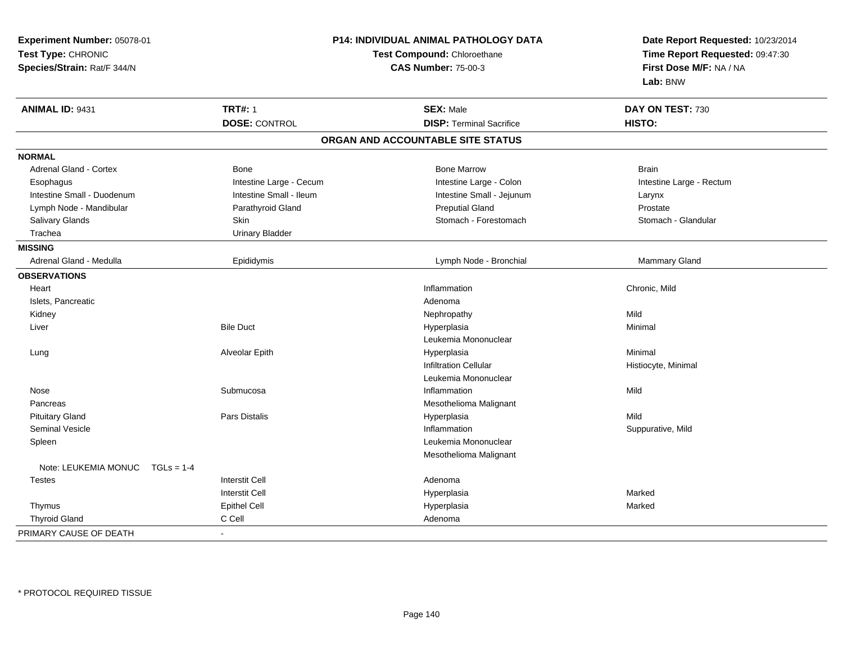| Experiment Number: 05078-01<br>Test Type: CHRONIC<br>Species/Strain: Rat/F 344/N |                         | <b>P14: INDIVIDUAL ANIMAL PATHOLOGY DATA</b><br>Test Compound: Chloroethane<br><b>CAS Number: 75-00-3</b> | Date Report Requested: 10/23/2014<br>Time Report Requested: 09:47:30<br>First Dose M/F: NA / NA<br>Lab: BNW |
|----------------------------------------------------------------------------------|-------------------------|-----------------------------------------------------------------------------------------------------------|-------------------------------------------------------------------------------------------------------------|
| ANIMAL ID: 9431                                                                  | <b>TRT#: 1</b>          | <b>SEX: Male</b>                                                                                          | DAY ON TEST: 730                                                                                            |
|                                                                                  | <b>DOSE: CONTROL</b>    | <b>DISP: Terminal Sacrifice</b>                                                                           | HISTO:                                                                                                      |
|                                                                                  |                         | ORGAN AND ACCOUNTABLE SITE STATUS                                                                         |                                                                                                             |
| <b>NORMAL</b>                                                                    |                         |                                                                                                           |                                                                                                             |
| <b>Adrenal Gland - Cortex</b>                                                    | <b>Bone</b>             | <b>Bone Marrow</b>                                                                                        | <b>Brain</b>                                                                                                |
| Esophagus                                                                        | Intestine Large - Cecum | Intestine Large - Colon                                                                                   | Intestine Large - Rectum                                                                                    |
| Intestine Small - Duodenum                                                       | Intestine Small - Ileum | Intestine Small - Jejunum                                                                                 | Larynx                                                                                                      |
| Lymph Node - Mandibular                                                          | Parathyroid Gland       | <b>Preputial Gland</b>                                                                                    | Prostate                                                                                                    |
| Salivary Glands                                                                  | Skin                    | Stomach - Forestomach                                                                                     | Stomach - Glandular                                                                                         |
| Trachea                                                                          | <b>Urinary Bladder</b>  |                                                                                                           |                                                                                                             |
| <b>MISSING</b>                                                                   |                         |                                                                                                           |                                                                                                             |
| Adrenal Gland - Medulla                                                          | Epididymis              | Lymph Node - Bronchial                                                                                    | <b>Mammary Gland</b>                                                                                        |
| <b>OBSERVATIONS</b>                                                              |                         |                                                                                                           |                                                                                                             |
| Heart                                                                            |                         | Inflammation                                                                                              | Chronic, Mild                                                                                               |
| Islets, Pancreatic                                                               |                         | Adenoma                                                                                                   |                                                                                                             |
| Kidney                                                                           |                         | Nephropathy                                                                                               | Mild                                                                                                        |
| Liver                                                                            | <b>Bile Duct</b>        | Hyperplasia                                                                                               | Minimal                                                                                                     |
|                                                                                  |                         | Leukemia Mononuclear                                                                                      |                                                                                                             |
| Lung                                                                             | Alveolar Epith          | Hyperplasia                                                                                               | Minimal                                                                                                     |
|                                                                                  |                         | <b>Infiltration Cellular</b>                                                                              | Histiocyte, Minimal                                                                                         |
|                                                                                  |                         | Leukemia Mononuclear                                                                                      |                                                                                                             |
| Nose                                                                             | Submucosa               | Inflammation                                                                                              | Mild                                                                                                        |
| Pancreas                                                                         |                         | Mesothelioma Malignant                                                                                    |                                                                                                             |
| <b>Pituitary Gland</b>                                                           | Pars Distalis           | Hyperplasia                                                                                               | Mild                                                                                                        |
| Seminal Vesicle                                                                  |                         | Inflammation                                                                                              | Suppurative, Mild                                                                                           |
| Spleen                                                                           |                         | Leukemia Mononuclear                                                                                      |                                                                                                             |
|                                                                                  |                         | Mesothelioma Malignant                                                                                    |                                                                                                             |
| Note: LEUKEMIA MONUC<br>$TGLs = 1-4$                                             |                         |                                                                                                           |                                                                                                             |
| <b>Testes</b>                                                                    | <b>Interstit Cell</b>   | Adenoma                                                                                                   |                                                                                                             |
|                                                                                  | <b>Interstit Cell</b>   | Hyperplasia                                                                                               | Marked                                                                                                      |
| Thymus                                                                           | <b>Epithel Cell</b>     | Hyperplasia                                                                                               | Marked                                                                                                      |
| <b>Thyroid Gland</b>                                                             | C Cell                  | Adenoma                                                                                                   |                                                                                                             |
| PRIMARY CAUSE OF DEATH                                                           | $\sim$                  |                                                                                                           |                                                                                                             |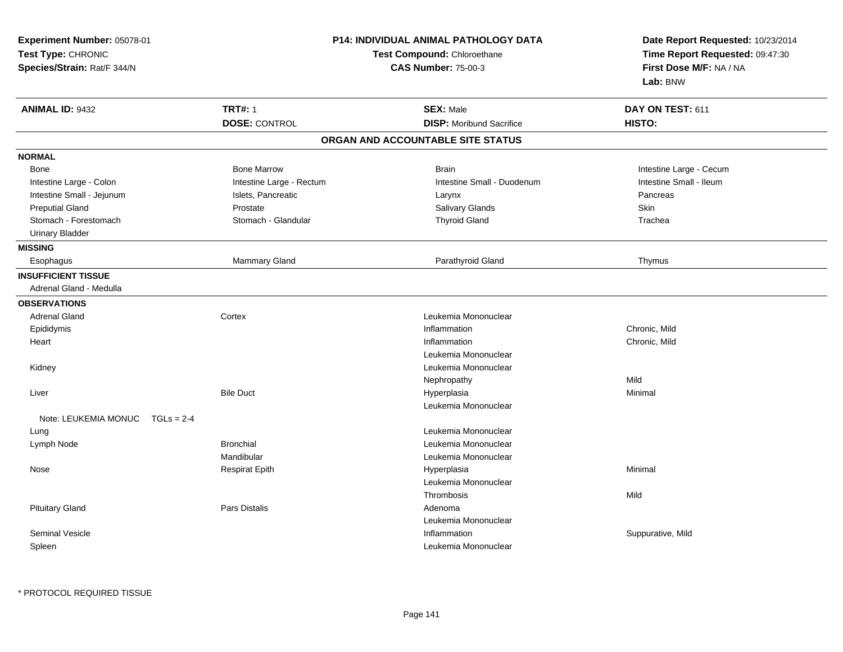| Experiment Number: 05078-01<br>Test Type: CHRONIC<br>Species/Strain: Rat/F 344/N |                          | <b>P14: INDIVIDUAL ANIMAL PATHOLOGY DATA</b><br>Test Compound: Chloroethane<br><b>CAS Number: 75-00-3</b> |                         |
|----------------------------------------------------------------------------------|--------------------------|-----------------------------------------------------------------------------------------------------------|-------------------------|
| <b>ANIMAL ID: 9432</b>                                                           | <b>TRT#: 1</b>           | <b>SEX: Male</b>                                                                                          | DAY ON TEST: 611        |
|                                                                                  | <b>DOSE: CONTROL</b>     | <b>DISP:</b> Moribund Sacrifice                                                                           | HISTO:                  |
|                                                                                  |                          | ORGAN AND ACCOUNTABLE SITE STATUS                                                                         |                         |
| <b>NORMAL</b>                                                                    |                          |                                                                                                           |                         |
| Bone                                                                             | <b>Bone Marrow</b>       | <b>Brain</b>                                                                                              | Intestine Large - Cecum |
| Intestine Large - Colon                                                          | Intestine Large - Rectum | Intestine Small - Duodenum                                                                                | Intestine Small - Ileum |
| Intestine Small - Jejunum                                                        | Islets, Pancreatic       | Larynx                                                                                                    | Pancreas                |
| <b>Preputial Gland</b>                                                           | Prostate                 | Salivary Glands                                                                                           | Skin                    |
| Stomach - Forestomach                                                            | Stomach - Glandular      | <b>Thyroid Gland</b>                                                                                      | Trachea                 |
| <b>Urinary Bladder</b>                                                           |                          |                                                                                                           |                         |
| <b>MISSING</b>                                                                   |                          |                                                                                                           |                         |
| Esophagus                                                                        | Mammary Gland            | Parathyroid Gland                                                                                         | Thymus                  |
| <b>INSUFFICIENT TISSUE</b><br>Adrenal Gland - Medulla                            |                          |                                                                                                           |                         |
| <b>OBSERVATIONS</b>                                                              |                          |                                                                                                           |                         |
| <b>Adrenal Gland</b>                                                             | Cortex                   | Leukemia Mononuclear                                                                                      |                         |
| Epididymis                                                                       |                          | Inflammation                                                                                              | Chronic, Mild           |
| Heart                                                                            |                          | Inflammation                                                                                              | Chronic, Mild           |
|                                                                                  |                          | Leukemia Mononuclear                                                                                      |                         |
| Kidney                                                                           |                          | Leukemia Mononuclear                                                                                      |                         |
|                                                                                  |                          | Nephropathy                                                                                               | Mild                    |
| Liver                                                                            | <b>Bile Duct</b>         | Hyperplasia                                                                                               | Minimal                 |
|                                                                                  |                          | Leukemia Mononuclear                                                                                      |                         |
| Note: LEUKEMIA MONUC<br>$TGLs = 2-4$                                             |                          |                                                                                                           |                         |
| Lung                                                                             |                          | Leukemia Mononuclear                                                                                      |                         |
| Lymph Node                                                                       | <b>Bronchial</b>         | Leukemia Mononuclear                                                                                      |                         |
|                                                                                  | Mandibular               | Leukemia Mononuclear                                                                                      |                         |
| Nose                                                                             | <b>Respirat Epith</b>    | Hyperplasia                                                                                               | Minimal                 |
|                                                                                  |                          | Leukemia Mononuclear                                                                                      |                         |
|                                                                                  |                          | Thrombosis                                                                                                | Mild                    |
| <b>Pituitary Gland</b>                                                           | Pars Distalis            | Adenoma                                                                                                   |                         |
|                                                                                  |                          | Leukemia Mononuclear                                                                                      |                         |
| <b>Seminal Vesicle</b>                                                           |                          | Inflammation                                                                                              | Suppurative, Mild       |
| Spleen                                                                           |                          | Leukemia Mononuclear                                                                                      |                         |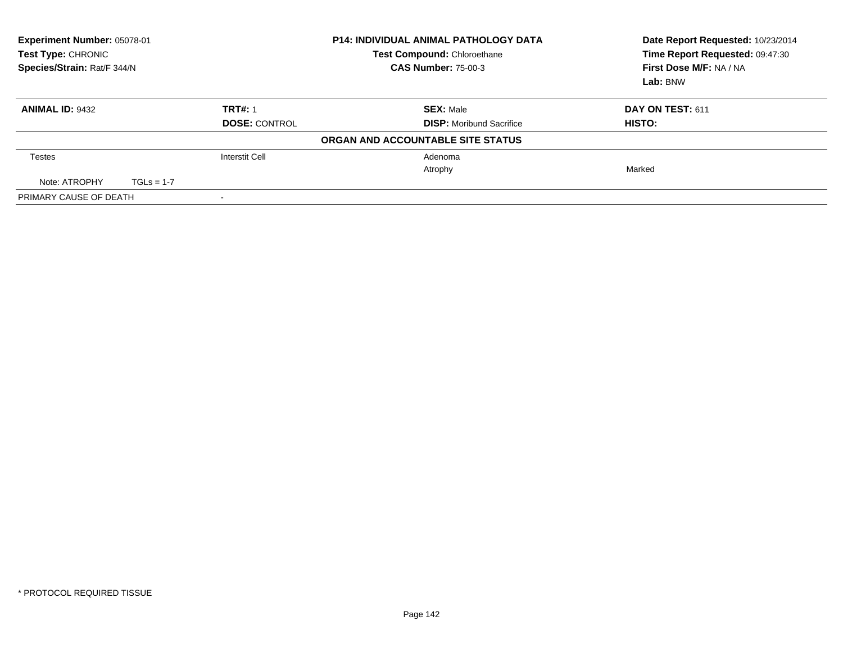| Experiment Number: 05078-01<br>Test Type: CHRONIC<br>Species/Strain: Rat/F 344/N |              | <b>P14: INDIVIDUAL ANIMAL PATHOLOGY DATA</b><br><b>Test Compound: Chloroethane</b><br><b>CAS Number: 75-00-3</b> | Date Report Requested: 10/23/2014<br>Time Report Requested: 09:47:30<br>First Dose M/F: NA / NA<br>Lab: BNW |                  |
|----------------------------------------------------------------------------------|--------------|------------------------------------------------------------------------------------------------------------------|-------------------------------------------------------------------------------------------------------------|------------------|
| <b>ANIMAL ID: 9432</b>                                                           |              | <b>TRT#: 1</b>                                                                                                   | <b>SEX: Male</b>                                                                                            | DAY ON TEST: 611 |
|                                                                                  |              | <b>DOSE: CONTROL</b>                                                                                             | <b>DISP:</b> Moribund Sacrifice                                                                             | HISTO:           |
|                                                                                  |              |                                                                                                                  | ORGAN AND ACCOUNTABLE SITE STATUS                                                                           |                  |
| <b>Testes</b>                                                                    |              | <b>Interstit Cell</b>                                                                                            | Adenoma                                                                                                     |                  |
|                                                                                  |              |                                                                                                                  | Atrophy                                                                                                     | Marked           |
| Note: ATROPHY                                                                    | $TGLs = 1-7$ |                                                                                                                  |                                                                                                             |                  |
| PRIMARY CAUSE OF DEATH                                                           |              |                                                                                                                  |                                                                                                             |                  |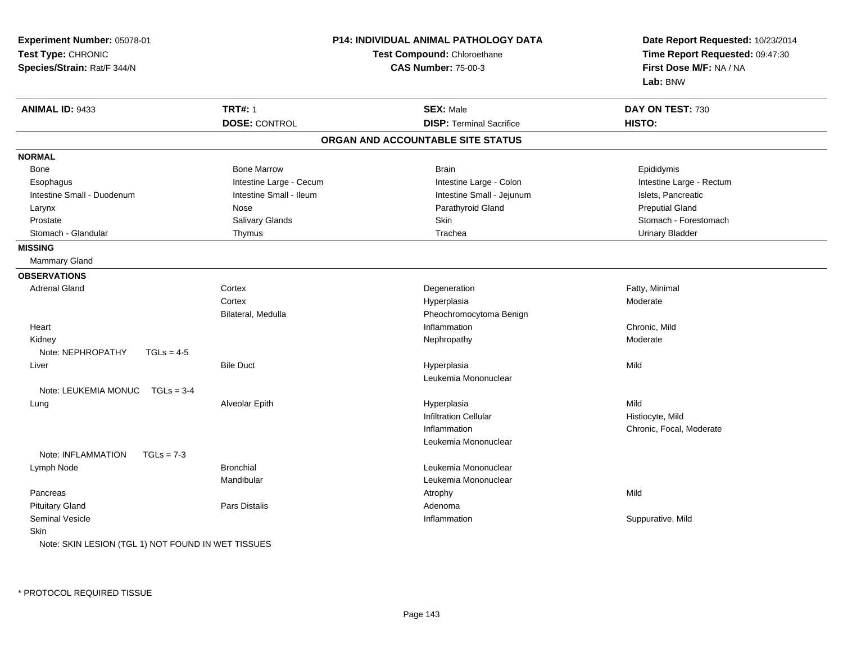| Experiment Number: 05078-01                        |                         | <b>P14: INDIVIDUAL ANIMAL PATHOLOGY DATA</b> | Date Report Requested: 10/23/2014 |  |
|----------------------------------------------------|-------------------------|----------------------------------------------|-----------------------------------|--|
| Test Type: CHRONIC                                 |                         | <b>Test Compound: Chloroethane</b>           | Time Report Requested: 09:47:30   |  |
| Species/Strain: Rat/F 344/N                        |                         | <b>CAS Number: 75-00-3</b>                   | First Dose M/F: NA / NA           |  |
|                                                    |                         |                                              | Lab: BNW                          |  |
| ANIMAL ID: 9433                                    | <b>TRT#: 1</b>          | <b>SEX: Male</b>                             | DAY ON TEST: 730                  |  |
|                                                    | <b>DOSE: CONTROL</b>    | <b>DISP: Terminal Sacrifice</b>              | HISTO:                            |  |
|                                                    |                         | ORGAN AND ACCOUNTABLE SITE STATUS            |                                   |  |
| <b>NORMAL</b>                                      |                         |                                              |                                   |  |
| Bone                                               | <b>Bone Marrow</b>      | <b>Brain</b>                                 | Epididymis                        |  |
| Esophagus                                          | Intestine Large - Cecum | Intestine Large - Colon                      | Intestine Large - Rectum          |  |
| Intestine Small - Duodenum                         | Intestine Small - Ileum | Intestine Small - Jejunum                    | Islets, Pancreatic                |  |
| Larynx                                             | Nose                    | Parathyroid Gland                            | <b>Preputial Gland</b>            |  |
| Prostate                                           | Salivary Glands         | Skin                                         | Stomach - Forestomach             |  |
| Stomach - Glandular                                | Thymus                  | Trachea                                      | <b>Urinary Bladder</b>            |  |
| <b>MISSING</b>                                     |                         |                                              |                                   |  |
| Mammary Gland                                      |                         |                                              |                                   |  |
| <b>OBSERVATIONS</b>                                |                         |                                              |                                   |  |
| <b>Adrenal Gland</b>                               | Cortex                  | Degeneration                                 | Fatty, Minimal                    |  |
|                                                    | Cortex                  | Hyperplasia                                  | Moderate                          |  |
|                                                    | Bilateral, Medulla      | Pheochromocytoma Benign                      |                                   |  |
| Heart                                              |                         | Inflammation                                 | Chronic, Mild                     |  |
| Kidney                                             |                         | Nephropathy                                  | Moderate                          |  |
| Note: NEPHROPATHY<br>$TGLs = 4-5$                  |                         |                                              |                                   |  |
| Liver                                              | <b>Bile Duct</b>        | Hyperplasia                                  | Mild                              |  |
|                                                    |                         | Leukemia Mononuclear                         |                                   |  |
| Note: LEUKEMIA MONUC<br>$TGLs = 3-4$               |                         |                                              |                                   |  |
| Lung                                               | Alveolar Epith          | Hyperplasia                                  | Mild                              |  |
|                                                    |                         | <b>Infiltration Cellular</b>                 | Histiocyte, Mild                  |  |
|                                                    |                         | Inflammation                                 | Chronic, Focal, Moderate          |  |
|                                                    |                         | Leukemia Mononuclear                         |                                   |  |
| Note: INFLAMMATION<br>$TGLs = 7-3$                 |                         |                                              |                                   |  |
| Lymph Node                                         | <b>Bronchial</b>        | Leukemia Mononuclear                         |                                   |  |
|                                                    | Mandibular              | Leukemia Mononuclear                         |                                   |  |
| Pancreas                                           |                         | Atrophy                                      | Mild                              |  |
| <b>Pituitary Gland</b>                             | Pars Distalis           | Adenoma                                      |                                   |  |
| <b>Seminal Vesicle</b>                             |                         | Inflammation                                 | Suppurative, Mild                 |  |
| Skin                                               |                         |                                              |                                   |  |
| Note: SKIN LESION (TGL 1) NOT FOUND IN WET TISSUES |                         |                                              |                                   |  |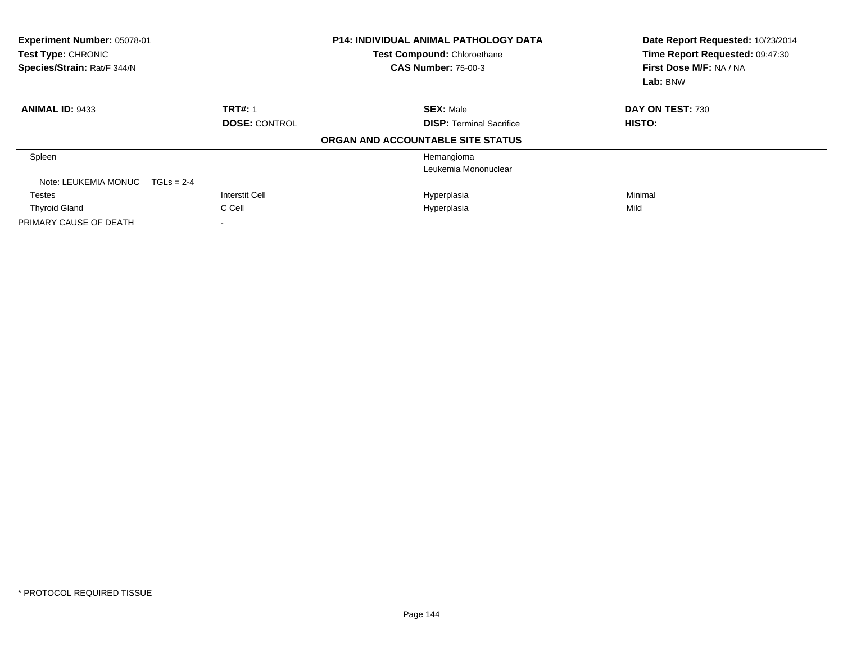| Experiment Number: 05078-01<br>Test Type: CHRONIC<br>Species/Strain: Rat/F 344/N |                      | <b>P14: INDIVIDUAL ANIMAL PATHOLOGY DATA</b><br>Test Compound: Chloroethane<br><b>CAS Number: 75-00-3</b> | Date Report Requested: 10/23/2014<br>Time Report Requested: 09:47:30<br>First Dose M/F: NA / NA<br>Lab: BNW |
|----------------------------------------------------------------------------------|----------------------|-----------------------------------------------------------------------------------------------------------|-------------------------------------------------------------------------------------------------------------|
| <b>ANIMAL ID: 9433</b>                                                           | <b>TRT#: 1</b>       | <b>SEX: Male</b>                                                                                          | DAY ON TEST: 730                                                                                            |
|                                                                                  | <b>DOSE: CONTROL</b> | <b>DISP:</b> Terminal Sacrifice                                                                           | HISTO:                                                                                                      |
|                                                                                  |                      | ORGAN AND ACCOUNTABLE SITE STATUS                                                                         |                                                                                                             |
| Spleen                                                                           |                      | Hemangioma                                                                                                |                                                                                                             |
|                                                                                  |                      | Leukemia Mononuclear                                                                                      |                                                                                                             |
| Note: LEUKEMIA MONUC                                                             | $TGLs = 2-4$         |                                                                                                           |                                                                                                             |
| <b>Testes</b>                                                                    | Interstit Cell       | Hyperplasia                                                                                               | Minimal                                                                                                     |
| <b>Thyroid Gland</b>                                                             | C Cell               | Hyperplasia                                                                                               | Mild                                                                                                        |
| PRIMARY CAUSE OF DEATH                                                           |                      |                                                                                                           |                                                                                                             |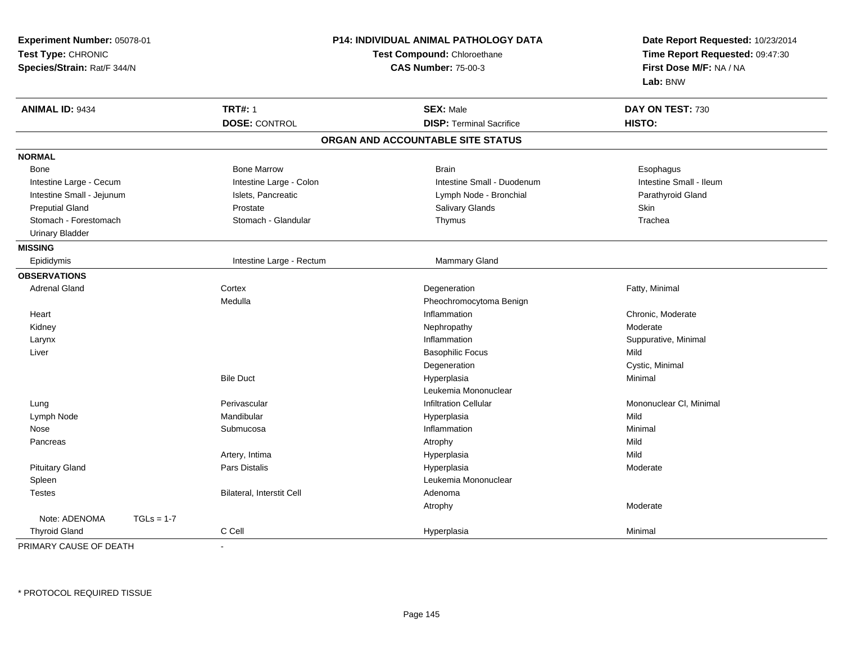| Experiment Number: 05078-01<br>Test Type: CHRONIC<br>Species/Strain: Rat/F 344/N |                           | P14: INDIVIDUAL ANIMAL PATHOLOGY DATA<br>Test Compound: Chloroethane<br><b>CAS Number: 75-00-3</b> | Date Report Requested: 10/23/2014<br>Time Report Requested: 09:47:30<br>First Dose M/F: NA / NA<br>Lab: BNW |
|----------------------------------------------------------------------------------|---------------------------|----------------------------------------------------------------------------------------------------|-------------------------------------------------------------------------------------------------------------|
| <b>ANIMAL ID: 9434</b>                                                           | <b>TRT#: 1</b>            | <b>SEX: Male</b>                                                                                   | DAY ON TEST: 730                                                                                            |
|                                                                                  | <b>DOSE: CONTROL</b>      | <b>DISP: Terminal Sacrifice</b>                                                                    | HISTO:                                                                                                      |
|                                                                                  |                           | ORGAN AND ACCOUNTABLE SITE STATUS                                                                  |                                                                                                             |
| <b>NORMAL</b>                                                                    |                           |                                                                                                    |                                                                                                             |
| Bone                                                                             | <b>Bone Marrow</b>        | <b>Brain</b>                                                                                       | Esophagus                                                                                                   |
| Intestine Large - Cecum                                                          | Intestine Large - Colon   | Intestine Small - Duodenum                                                                         | Intestine Small - Ileum                                                                                     |
| Intestine Small - Jejunum                                                        | Islets, Pancreatic        | Lymph Node - Bronchial                                                                             | Parathyroid Gland                                                                                           |
| <b>Preputial Gland</b>                                                           | Prostate                  | Salivary Glands                                                                                    | Skin                                                                                                        |
| Stomach - Forestomach                                                            | Stomach - Glandular       | Thymus                                                                                             | Trachea                                                                                                     |
| <b>Urinary Bladder</b>                                                           |                           |                                                                                                    |                                                                                                             |
| <b>MISSING</b>                                                                   |                           |                                                                                                    |                                                                                                             |
| Epididymis                                                                       | Intestine Large - Rectum  | Mammary Gland                                                                                      |                                                                                                             |
| <b>OBSERVATIONS</b>                                                              |                           |                                                                                                    |                                                                                                             |
| <b>Adrenal Gland</b>                                                             | Cortex                    | Degeneration                                                                                       | Fatty, Minimal                                                                                              |
|                                                                                  | Medulla                   | Pheochromocytoma Benign                                                                            |                                                                                                             |
| Heart                                                                            |                           | Inflammation                                                                                       | Chronic, Moderate                                                                                           |
| Kidney                                                                           |                           | Nephropathy                                                                                        | Moderate                                                                                                    |
| Larynx                                                                           |                           | Inflammation                                                                                       | Suppurative, Minimal                                                                                        |
| Liver                                                                            |                           | <b>Basophilic Focus</b>                                                                            | Mild                                                                                                        |
|                                                                                  |                           | Degeneration                                                                                       | Cystic, Minimal                                                                                             |
|                                                                                  | <b>Bile Duct</b>          | Hyperplasia                                                                                        | Minimal                                                                                                     |
|                                                                                  |                           | Leukemia Mononuclear                                                                               |                                                                                                             |
| Lung                                                                             | Perivascular              | <b>Infiltration Cellular</b>                                                                       | Mononuclear CI, Minimal                                                                                     |
| Lymph Node                                                                       | Mandibular                | Hyperplasia                                                                                        | Mild                                                                                                        |
| Nose                                                                             | Submucosa                 | Inflammation                                                                                       | Minimal                                                                                                     |
| Pancreas                                                                         |                           | Atrophy                                                                                            | Mild                                                                                                        |
|                                                                                  | Artery, Intima            | Hyperplasia                                                                                        | Mild                                                                                                        |
| <b>Pituitary Gland</b>                                                           | <b>Pars Distalis</b>      | Hyperplasia                                                                                        | Moderate                                                                                                    |
| Spleen                                                                           |                           | Leukemia Mononuclear                                                                               |                                                                                                             |
| <b>Testes</b>                                                                    | Bilateral, Interstit Cell | Adenoma                                                                                            |                                                                                                             |
|                                                                                  |                           | Atrophy                                                                                            | Moderate                                                                                                    |
| Note: ADENOMA<br>$TGLs = 1-7$                                                    |                           |                                                                                                    |                                                                                                             |
| <b>Thyroid Gland</b>                                                             | C Cell                    | Hyperplasia                                                                                        | Minimal                                                                                                     |

PRIMARY CAUSE OF DEATH-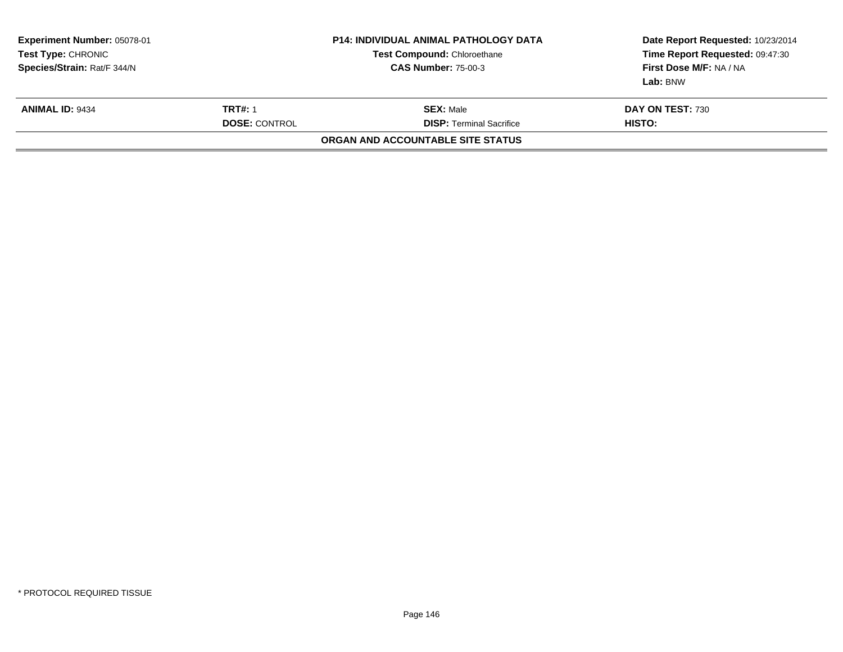| Experiment Number: 05078-01<br><b>Test Type:</b> CHRONIC<br>Species/Strain: Rat/F 344/N |                                        | <b>P14: INDIVIDUAL ANIMAL PATHOLOGY DATA</b><br><b>Test Compound: Chloroethane</b><br><b>CAS Number: 75-00-3</b> | Date Report Requested: 10/23/2014<br>Time Report Requested: 09:47:30<br>First Dose M/F: NA / NA<br>Lab: BNW |  |
|-----------------------------------------------------------------------------------------|----------------------------------------|------------------------------------------------------------------------------------------------------------------|-------------------------------------------------------------------------------------------------------------|--|
| <b>ANIMAL ID: 9434</b>                                                                  | <b>TRT#: 1</b><br><b>DOSE: CONTROL</b> | <b>SEX: Male</b><br><b>DISP: Terminal Sacrifice</b>                                                              | DAY ON TEST: 730<br>HISTO:                                                                                  |  |
|                                                                                         |                                        | ORGAN AND ACCOUNTABLE SITE STATUS                                                                                |                                                                                                             |  |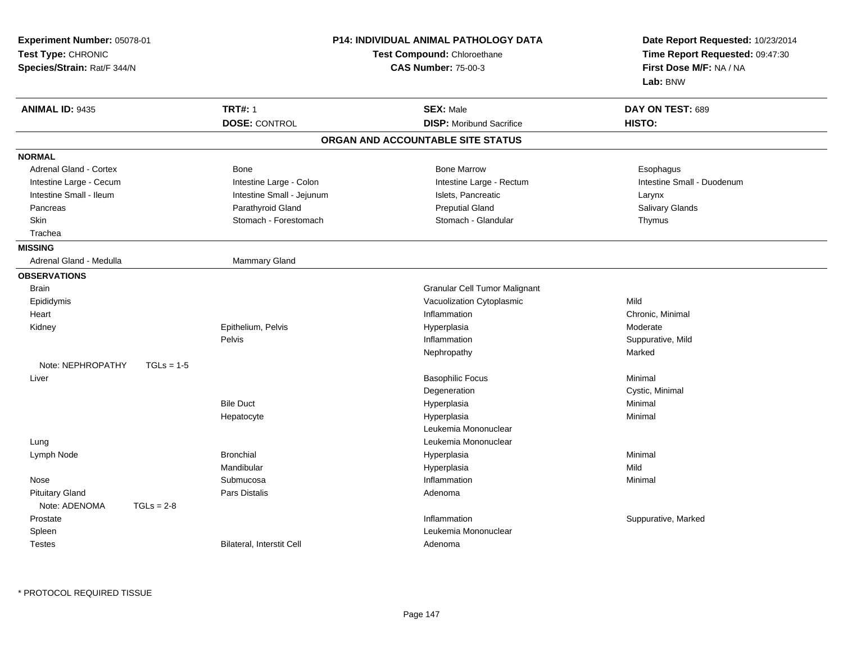| Experiment Number: 05078-01<br>Test Type: CHRONIC<br>Species/Strain: Rat/F 344/N | <b>P14: INDIVIDUAL ANIMAL PATHOLOGY DATA</b><br><b>Test Compound: Chloroethane</b><br><b>CAS Number: 75-00-3</b> |                                   | Date Report Requested: 10/23/2014<br>Time Report Requested: 09:47:30<br>First Dose M/F: NA / NA<br>Lab: BNW |
|----------------------------------------------------------------------------------|------------------------------------------------------------------------------------------------------------------|-----------------------------------|-------------------------------------------------------------------------------------------------------------|
| <b>ANIMAL ID: 9435</b>                                                           | <b>TRT#: 1</b>                                                                                                   | <b>SEX: Male</b>                  | DAY ON TEST: 689                                                                                            |
|                                                                                  | <b>DOSE: CONTROL</b>                                                                                             | <b>DISP:</b> Moribund Sacrifice   | HISTO:                                                                                                      |
|                                                                                  |                                                                                                                  | ORGAN AND ACCOUNTABLE SITE STATUS |                                                                                                             |
| <b>NORMAL</b>                                                                    |                                                                                                                  |                                   |                                                                                                             |
| Adrenal Gland - Cortex                                                           | <b>Bone</b>                                                                                                      | <b>Bone Marrow</b>                | Esophagus                                                                                                   |
| Intestine Large - Cecum                                                          | Intestine Large - Colon                                                                                          | Intestine Large - Rectum          | Intestine Small - Duodenum                                                                                  |
| Intestine Small - Ileum                                                          | Intestine Small - Jejunum                                                                                        | Islets, Pancreatic                | Larynx                                                                                                      |
| Pancreas                                                                         | Parathyroid Gland                                                                                                | <b>Preputial Gland</b>            | Salivary Glands                                                                                             |
| Skin                                                                             | Stomach - Forestomach                                                                                            | Stomach - Glandular               | Thymus                                                                                                      |
| Trachea                                                                          |                                                                                                                  |                                   |                                                                                                             |
| <b>MISSING</b><br>Adrenal Gland - Medulla                                        | Mammary Gland                                                                                                    |                                   |                                                                                                             |
|                                                                                  |                                                                                                                  |                                   |                                                                                                             |
| <b>OBSERVATIONS</b>                                                              |                                                                                                                  |                                   |                                                                                                             |
| <b>Brain</b>                                                                     |                                                                                                                  | Granular Cell Tumor Malignant     |                                                                                                             |
| Epididymis                                                                       |                                                                                                                  | Vacuolization Cytoplasmic         | Mild                                                                                                        |
| Heart                                                                            |                                                                                                                  | Inflammation                      | Chronic, Minimal                                                                                            |
| Kidney                                                                           | Epithelium, Pelvis                                                                                               | Hyperplasia                       | Moderate                                                                                                    |
|                                                                                  | Pelvis                                                                                                           | Inflammation                      | Suppurative, Mild<br>Marked                                                                                 |
| Note: NEPHROPATHY<br>$TGLs = 1-5$                                                |                                                                                                                  | Nephropathy                       |                                                                                                             |
| Liver                                                                            |                                                                                                                  | <b>Basophilic Focus</b>           | Minimal                                                                                                     |
|                                                                                  |                                                                                                                  | Degeneration                      | Cystic, Minimal                                                                                             |
|                                                                                  | <b>Bile Duct</b>                                                                                                 | Hyperplasia                       | Minimal                                                                                                     |
|                                                                                  | Hepatocyte                                                                                                       | Hyperplasia                       | Minimal                                                                                                     |
|                                                                                  |                                                                                                                  | Leukemia Mononuclear              |                                                                                                             |
| Lung                                                                             |                                                                                                                  | Leukemia Mononuclear              |                                                                                                             |
| Lymph Node                                                                       | <b>Bronchial</b>                                                                                                 | Hyperplasia                       | Minimal                                                                                                     |
|                                                                                  | Mandibular                                                                                                       | Hyperplasia                       | Mild                                                                                                        |
| Nose                                                                             | Submucosa                                                                                                        | Inflammation                      | Minimal                                                                                                     |
| <b>Pituitary Gland</b>                                                           | <b>Pars Distalis</b>                                                                                             | Adenoma                           |                                                                                                             |
| Note: ADENOMA<br>$TGLs = 2-8$                                                    |                                                                                                                  |                                   |                                                                                                             |
| Prostate                                                                         |                                                                                                                  | Inflammation                      | Suppurative, Marked                                                                                         |
| Spleen                                                                           |                                                                                                                  | Leukemia Mononuclear              |                                                                                                             |
| <b>Testes</b>                                                                    | Bilateral, Interstit Cell                                                                                        | Adenoma                           |                                                                                                             |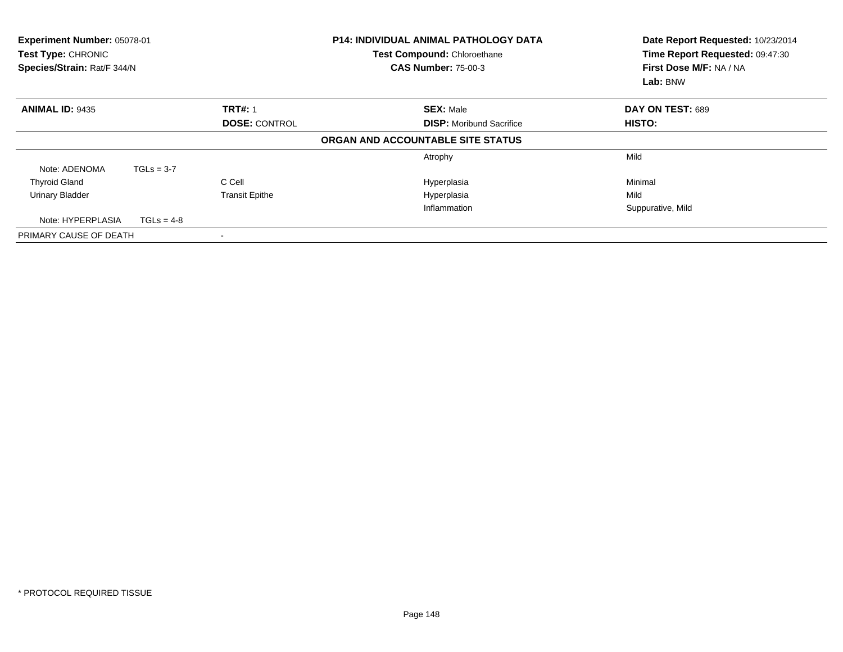| Experiment Number: 05078-01<br><b>Test Type: CHRONIC</b><br>Species/Strain: Rat/F 344/N |                      |                       | <b>P14: INDIVIDUAL ANIMAL PATHOLOGY DATA</b><br>Test Compound: Chloroethane<br><b>CAS Number: 75-00-3</b> | Date Report Requested: 10/23/2014<br>Time Report Requested: 09:47:30<br>First Dose M/F: NA / NA<br>Lab: BNW |
|-----------------------------------------------------------------------------------------|----------------------|-----------------------|-----------------------------------------------------------------------------------------------------------|-------------------------------------------------------------------------------------------------------------|
| <b>ANIMAL ID: 9435</b>                                                                  |                      | <b>TRT#: 1</b>        | <b>SEX: Male</b>                                                                                          | DAY ON TEST: 689                                                                                            |
|                                                                                         | <b>DOSE: CONTROL</b> |                       | <b>DISP:</b> Moribund Sacrifice                                                                           | <b>HISTO:</b>                                                                                               |
|                                                                                         |                      |                       | ORGAN AND ACCOUNTABLE SITE STATUS                                                                         |                                                                                                             |
|                                                                                         |                      |                       | Atrophy                                                                                                   | Mild                                                                                                        |
| Note: ADENOMA                                                                           | $TGLs = 3-7$         |                       |                                                                                                           |                                                                                                             |
| <b>Thyroid Gland</b>                                                                    |                      | C Cell                | Hyperplasia                                                                                               | Minimal                                                                                                     |
| <b>Urinary Bladder</b>                                                                  |                      | <b>Transit Epithe</b> | Hyperplasia                                                                                               | Mild                                                                                                        |
|                                                                                         |                      |                       | Inflammation                                                                                              | Suppurative, Mild                                                                                           |
| Note: HYPERPLASIA                                                                       | $TGLs = 4-8$         |                       |                                                                                                           |                                                                                                             |
| PRIMARY CAUSE OF DEATH                                                                  |                      |                       |                                                                                                           |                                                                                                             |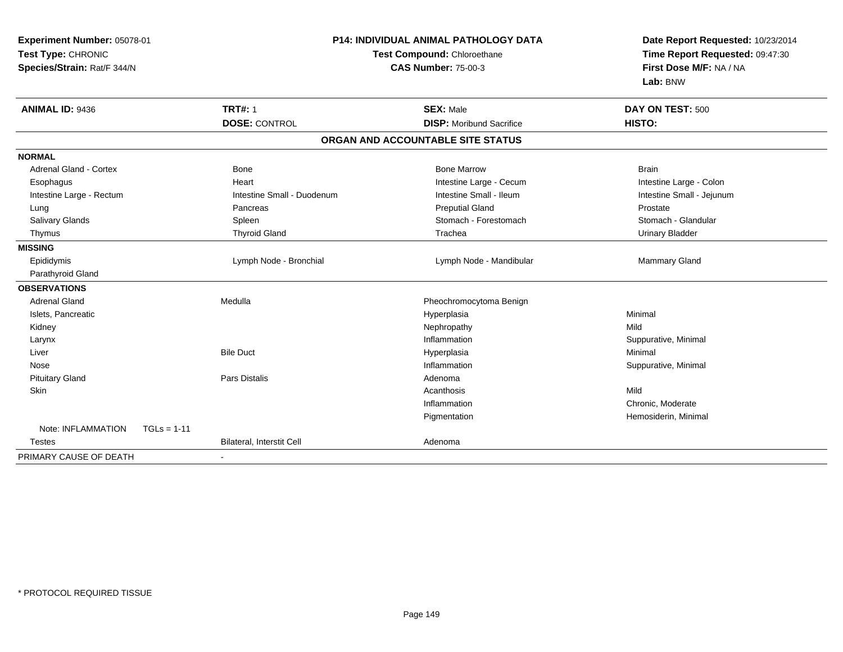| Experiment Number: 05078-01<br>Test Type: CHRONIC<br>Species/Strain: Rat/F 344/N | P14: INDIVIDUAL ANIMAL PATHOLOGY DATA<br>Test Compound: Chloroethane<br><b>CAS Number: 75-00-3</b> |                                   | Date Report Requested: 10/23/2014<br>Time Report Requested: 09:47:30<br>First Dose M/F: NA / NA<br>Lab: BNW |
|----------------------------------------------------------------------------------|----------------------------------------------------------------------------------------------------|-----------------------------------|-------------------------------------------------------------------------------------------------------------|
| <b>ANIMAL ID: 9436</b>                                                           | <b>TRT#: 1</b>                                                                                     | <b>SEX: Male</b>                  | DAY ON TEST: 500                                                                                            |
|                                                                                  | <b>DOSE: CONTROL</b>                                                                               | <b>DISP:</b> Moribund Sacrifice   | HISTO:                                                                                                      |
|                                                                                  |                                                                                                    | ORGAN AND ACCOUNTABLE SITE STATUS |                                                                                                             |
| <b>NORMAL</b>                                                                    |                                                                                                    |                                   |                                                                                                             |
| <b>Adrenal Gland - Cortex</b>                                                    | <b>Bone</b>                                                                                        | <b>Bone Marrow</b>                | <b>Brain</b>                                                                                                |
| Esophagus                                                                        | Heart                                                                                              | Intestine Large - Cecum           | Intestine Large - Colon                                                                                     |
| Intestine Large - Rectum                                                         | Intestine Small - Duodenum                                                                         | Intestine Small - Ileum           | Intestine Small - Jejunum                                                                                   |
| Lung                                                                             | Pancreas                                                                                           | <b>Preputial Gland</b>            | Prostate                                                                                                    |
| Salivary Glands                                                                  | Spleen                                                                                             | Stomach - Forestomach             | Stomach - Glandular                                                                                         |
| Thymus                                                                           | <b>Thyroid Gland</b>                                                                               | Trachea                           | <b>Urinary Bladder</b>                                                                                      |
| <b>MISSING</b>                                                                   |                                                                                                    |                                   |                                                                                                             |
| Epididymis                                                                       | Lymph Node - Bronchial                                                                             | Lymph Node - Mandibular           | Mammary Gland                                                                                               |
| Parathyroid Gland                                                                |                                                                                                    |                                   |                                                                                                             |
| <b>OBSERVATIONS</b>                                                              |                                                                                                    |                                   |                                                                                                             |
| <b>Adrenal Gland</b>                                                             | Medulla                                                                                            | Pheochromocytoma Benign           |                                                                                                             |
| Islets, Pancreatic                                                               |                                                                                                    | Hyperplasia                       | Minimal                                                                                                     |
| Kidney                                                                           |                                                                                                    | Nephropathy                       | Mild                                                                                                        |
| Larynx                                                                           |                                                                                                    | Inflammation                      | Suppurative, Minimal                                                                                        |
| Liver                                                                            | <b>Bile Duct</b>                                                                                   | Hyperplasia                       | Minimal                                                                                                     |
| Nose                                                                             |                                                                                                    | Inflammation                      | Suppurative, Minimal                                                                                        |
| <b>Pituitary Gland</b>                                                           | <b>Pars Distalis</b>                                                                               | Adenoma                           |                                                                                                             |
| <b>Skin</b>                                                                      |                                                                                                    | Acanthosis                        | Mild                                                                                                        |
|                                                                                  |                                                                                                    | Inflammation                      | Chronic, Moderate                                                                                           |
|                                                                                  |                                                                                                    | Pigmentation                      | Hemosiderin, Minimal                                                                                        |
| Note: INFLAMMATION<br>$TGLs = 1-11$                                              |                                                                                                    |                                   |                                                                                                             |
| Testes                                                                           | Bilateral, Interstit Cell                                                                          | Adenoma                           |                                                                                                             |
| PRIMARY CAUSE OF DEATH                                                           |                                                                                                    |                                   |                                                                                                             |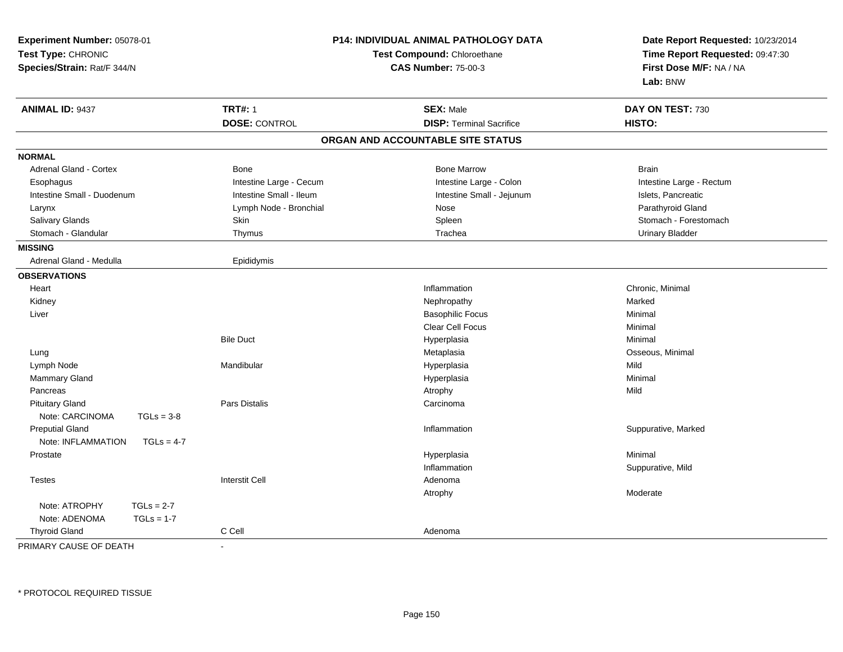| Experiment Number: 05078-01<br>Test Type: CHRONIC<br>Species/Strain: Rat/F 344/N |                         | P14: INDIVIDUAL ANIMAL PATHOLOGY DATA<br>Test Compound: Chloroethane<br><b>CAS Number: 75-00-3</b> | Date Report Requested: 10/23/2014<br>Time Report Requested: 09:47:30<br>First Dose M/F: NA / NA<br>Lab: BNW |
|----------------------------------------------------------------------------------|-------------------------|----------------------------------------------------------------------------------------------------|-------------------------------------------------------------------------------------------------------------|
| <b>ANIMAL ID: 9437</b>                                                           | <b>TRT#: 1</b>          | <b>SEX: Male</b>                                                                                   | DAY ON TEST: 730                                                                                            |
|                                                                                  | <b>DOSE: CONTROL</b>    | <b>DISP: Terminal Sacrifice</b>                                                                    | HISTO:                                                                                                      |
|                                                                                  |                         | ORGAN AND ACCOUNTABLE SITE STATUS                                                                  |                                                                                                             |
| <b>NORMAL</b>                                                                    |                         |                                                                                                    |                                                                                                             |
| <b>Adrenal Gland - Cortex</b>                                                    | Bone                    | <b>Bone Marrow</b>                                                                                 | <b>Brain</b>                                                                                                |
| Esophagus                                                                        | Intestine Large - Cecum | Intestine Large - Colon                                                                            | Intestine Large - Rectum                                                                                    |
| Intestine Small - Duodenum                                                       | Intestine Small - Ileum | Intestine Small - Jejunum                                                                          | Islets, Pancreatic                                                                                          |
| Larynx                                                                           | Lymph Node - Bronchial  | Nose                                                                                               | Parathyroid Gland                                                                                           |
| Salivary Glands                                                                  | Skin                    | Spleen                                                                                             | Stomach - Forestomach                                                                                       |
| Stomach - Glandular                                                              | Thymus                  | Trachea                                                                                            | <b>Urinary Bladder</b>                                                                                      |
| <b>MISSING</b>                                                                   |                         |                                                                                                    |                                                                                                             |
| Adrenal Gland - Medulla                                                          | Epididymis              |                                                                                                    |                                                                                                             |
| <b>OBSERVATIONS</b>                                                              |                         |                                                                                                    |                                                                                                             |
| Heart                                                                            |                         | Inflammation                                                                                       | Chronic, Minimal                                                                                            |
| Kidney                                                                           |                         | Nephropathy                                                                                        | Marked                                                                                                      |
| Liver                                                                            |                         | <b>Basophilic Focus</b>                                                                            | Minimal                                                                                                     |
|                                                                                  |                         | Clear Cell Focus                                                                                   | Minimal                                                                                                     |
|                                                                                  | <b>Bile Duct</b>        | Hyperplasia                                                                                        | Minimal                                                                                                     |
| Lung                                                                             |                         | Metaplasia                                                                                         | Osseous, Minimal                                                                                            |
| Lymph Node                                                                       | Mandibular              | Hyperplasia                                                                                        | Mild                                                                                                        |
| Mammary Gland                                                                    |                         | Hyperplasia                                                                                        | Minimal                                                                                                     |
| Pancreas                                                                         |                         | Atrophy                                                                                            | Mild                                                                                                        |
| <b>Pituitary Gland</b>                                                           | Pars Distalis           | Carcinoma                                                                                          |                                                                                                             |
| Note: CARCINOMA<br>$TGLs = 3-8$                                                  |                         |                                                                                                    |                                                                                                             |
| <b>Preputial Gland</b>                                                           |                         | Inflammation                                                                                       | Suppurative, Marked                                                                                         |
| Note: INFLAMMATION<br>$TGLs = 4-7$                                               |                         |                                                                                                    |                                                                                                             |
| Prostate                                                                         |                         | Hyperplasia                                                                                        | Minimal                                                                                                     |
|                                                                                  |                         | Inflammation                                                                                       | Suppurative, Mild                                                                                           |
| <b>Testes</b>                                                                    | <b>Interstit Cell</b>   | Adenoma                                                                                            |                                                                                                             |
|                                                                                  |                         | Atrophy                                                                                            | Moderate                                                                                                    |
| Note: ATROPHY<br>$TGLs = 2-7$                                                    |                         |                                                                                                    |                                                                                                             |
| Note: ADENOMA<br>$TGLs = 1-7$                                                    |                         |                                                                                                    |                                                                                                             |
| <b>Thyroid Gland</b>                                                             | C Cell                  | Adenoma                                                                                            |                                                                                                             |
|                                                                                  |                         |                                                                                                    |                                                                                                             |

PRIMARY CAUSE OF DEATH-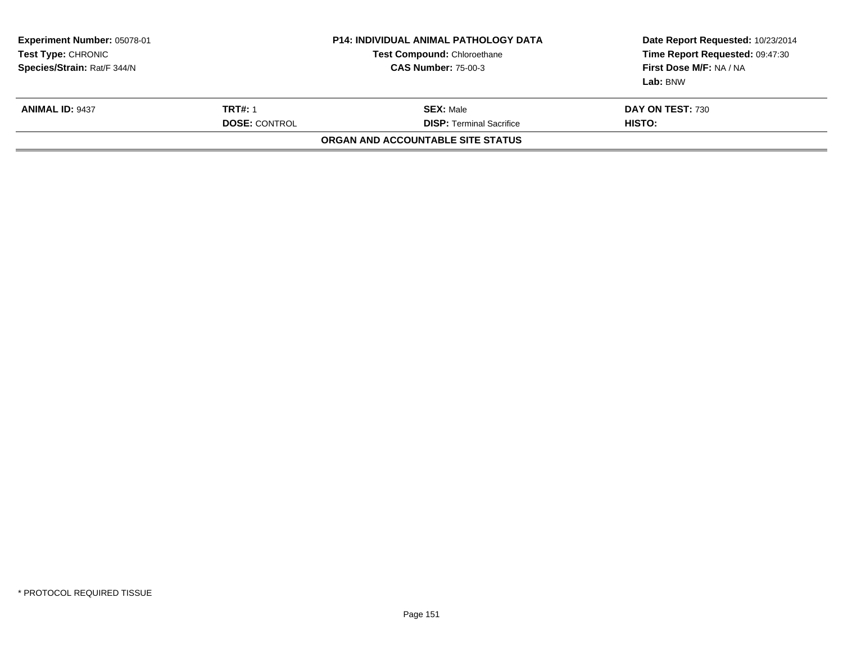| <b>Experiment Number: 05078-01</b><br><b>Test Type: CHRONIC</b><br>Species/Strain: Rat/F 344/N |                                        | <b>P14: INDIVIDUAL ANIMAL PATHOLOGY DATA</b><br>Test Compound: Chloroethane<br><b>CAS Number: 75-00-3</b> | Date Report Requested: 10/23/2014<br>Time Report Requested: 09:47:30<br>First Dose M/F: NA / NA<br>Lab: BNW |  |
|------------------------------------------------------------------------------------------------|----------------------------------------|-----------------------------------------------------------------------------------------------------------|-------------------------------------------------------------------------------------------------------------|--|
| <b>ANIMAL ID: 9437</b>                                                                         | <b>TRT#: 1</b><br><b>DOSE: CONTROL</b> | <b>SEX: Male</b><br><b>DISP:</b> Terminal Sacrifice                                                       | DAY ON TEST: 730<br>HISTO:                                                                                  |  |
|                                                                                                |                                        | ORGAN AND ACCOUNTABLE SITE STATUS                                                                         |                                                                                                             |  |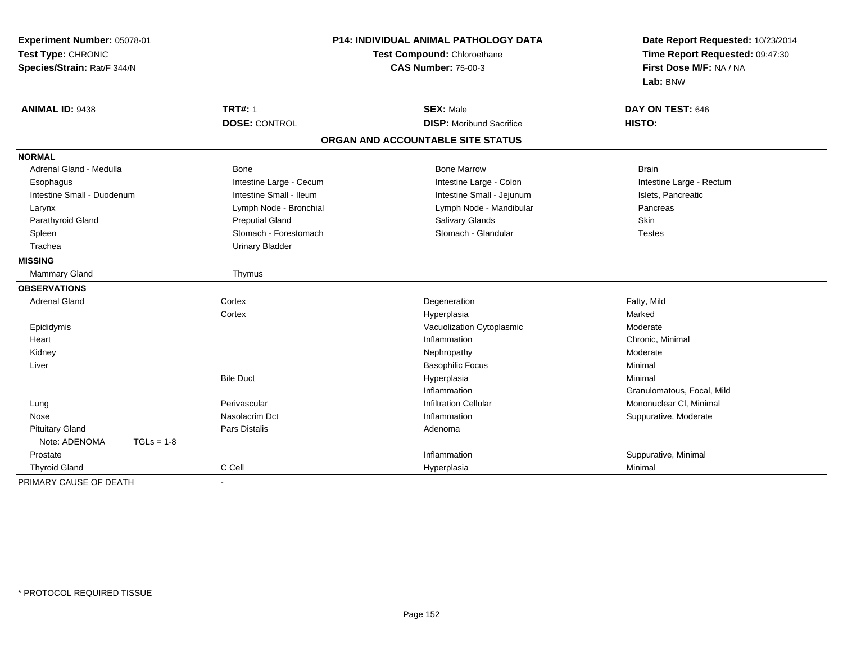| Experiment Number: 05078-01<br>Test Type: CHRONIC<br>Species/Strain: Rat/F 344/N |                         | <b>P14: INDIVIDUAL ANIMAL PATHOLOGY DATA</b><br>Test Compound: Chloroethane<br><b>CAS Number: 75-00-3</b> | Date Report Requested: 10/23/2014<br>Time Report Requested: 09:47:30<br>First Dose M/F: NA / NA<br>Lab: BNW |
|----------------------------------------------------------------------------------|-------------------------|-----------------------------------------------------------------------------------------------------------|-------------------------------------------------------------------------------------------------------------|
| <b>ANIMAL ID: 9438</b>                                                           | <b>TRT#: 1</b>          | <b>SEX: Male</b>                                                                                          | DAY ON TEST: 646                                                                                            |
|                                                                                  | <b>DOSE: CONTROL</b>    | <b>DISP:</b> Moribund Sacrifice                                                                           | HISTO:                                                                                                      |
|                                                                                  |                         | ORGAN AND ACCOUNTABLE SITE STATUS                                                                         |                                                                                                             |
| <b>NORMAL</b>                                                                    |                         |                                                                                                           |                                                                                                             |
| Adrenal Gland - Medulla                                                          | <b>Bone</b>             | <b>Bone Marrow</b>                                                                                        | <b>Brain</b>                                                                                                |
| Esophagus                                                                        | Intestine Large - Cecum | Intestine Large - Colon                                                                                   | Intestine Large - Rectum                                                                                    |
| Intestine Small - Duodenum                                                       | Intestine Small - Ileum | Intestine Small - Jejunum                                                                                 | Islets, Pancreatic                                                                                          |
| Larynx                                                                           | Lymph Node - Bronchial  | Lymph Node - Mandibular                                                                                   | Pancreas                                                                                                    |
| Parathyroid Gland                                                                | <b>Preputial Gland</b>  | <b>Salivary Glands</b>                                                                                    | <b>Skin</b>                                                                                                 |
| Spleen                                                                           | Stomach - Forestomach   | Stomach - Glandular                                                                                       | Testes                                                                                                      |
| Trachea                                                                          | <b>Urinary Bladder</b>  |                                                                                                           |                                                                                                             |
| <b>MISSING</b>                                                                   |                         |                                                                                                           |                                                                                                             |
| Mammary Gland                                                                    | Thymus                  |                                                                                                           |                                                                                                             |
| <b>OBSERVATIONS</b>                                                              |                         |                                                                                                           |                                                                                                             |
| <b>Adrenal Gland</b>                                                             | Cortex                  | Degeneration                                                                                              | Fatty, Mild                                                                                                 |
|                                                                                  | Cortex                  | Hyperplasia                                                                                               | Marked                                                                                                      |
| Epididymis                                                                       |                         | Vacuolization Cytoplasmic                                                                                 | Moderate                                                                                                    |
| Heart                                                                            |                         | Inflammation                                                                                              | Chronic, Minimal                                                                                            |
| Kidney                                                                           |                         | Nephropathy                                                                                               | Moderate                                                                                                    |
| Liver                                                                            |                         | <b>Basophilic Focus</b>                                                                                   | Minimal                                                                                                     |
|                                                                                  | <b>Bile Duct</b>        | Hyperplasia                                                                                               | Minimal                                                                                                     |
|                                                                                  |                         | Inflammation                                                                                              | Granulomatous, Focal, Mild                                                                                  |
| Lung                                                                             | Perivascular            | <b>Infiltration Cellular</b>                                                                              | Mononuclear CI, Minimal                                                                                     |
| Nose                                                                             | Nasolacrim Dct          | Inflammation                                                                                              | Suppurative, Moderate                                                                                       |
| <b>Pituitary Gland</b>                                                           | <b>Pars Distalis</b>    | Adenoma                                                                                                   |                                                                                                             |
| Note: ADENOMA<br>$TGLs = 1-8$                                                    |                         |                                                                                                           |                                                                                                             |
| Prostate                                                                         |                         | Inflammation                                                                                              | Suppurative, Minimal                                                                                        |
| <b>Thyroid Gland</b>                                                             | C Cell                  | Hyperplasia                                                                                               | Minimal                                                                                                     |
| PRIMARY CAUSE OF DEATH                                                           |                         |                                                                                                           |                                                                                                             |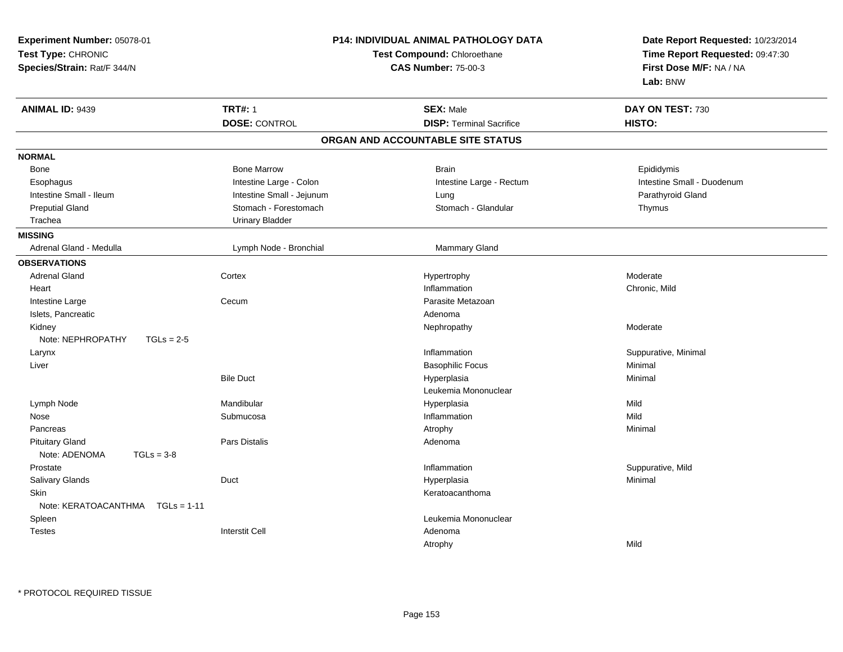| Experiment Number: 05078-01<br>Test Type: CHRONIC<br>Species/Strain: Rat/F 344/N |                                        | P14: INDIVIDUAL ANIMAL PATHOLOGY DATA<br>Test Compound: Chloroethane<br><b>CAS Number: 75-00-3</b> | Date Report Requested: 10/23/2014<br>Time Report Requested: 09:47:30<br>First Dose M/F: NA / NA<br>Lab: BNW |
|----------------------------------------------------------------------------------|----------------------------------------|----------------------------------------------------------------------------------------------------|-------------------------------------------------------------------------------------------------------------|
| <b>ANIMAL ID: 9439</b>                                                           | <b>TRT#: 1</b><br><b>DOSE: CONTROL</b> | <b>SEX: Male</b><br><b>DISP: Terminal Sacrifice</b>                                                | DAY ON TEST: 730<br>HISTO:                                                                                  |
|                                                                                  |                                        | ORGAN AND ACCOUNTABLE SITE STATUS                                                                  |                                                                                                             |
|                                                                                  |                                        |                                                                                                    |                                                                                                             |
| <b>NORMAL</b>                                                                    | <b>Bone Marrow</b>                     | <b>Brain</b>                                                                                       |                                                                                                             |
| Bone                                                                             | Intestine Large - Colon                |                                                                                                    | Epididymis<br>Intestine Small - Duodenum                                                                    |
| Esophagus<br>Intestine Small - Ileum                                             | Intestine Small - Jejunum              | Intestine Large - Rectum                                                                           | Parathyroid Gland                                                                                           |
| <b>Preputial Gland</b>                                                           | Stomach - Forestomach                  | Lung<br>Stomach - Glandular                                                                        |                                                                                                             |
| Trachea                                                                          | <b>Urinary Bladder</b>                 |                                                                                                    | Thymus                                                                                                      |
| <b>MISSING</b>                                                                   |                                        |                                                                                                    |                                                                                                             |
| Adrenal Gland - Medulla                                                          | Lymph Node - Bronchial                 | <b>Mammary Gland</b>                                                                               |                                                                                                             |
| <b>OBSERVATIONS</b>                                                              |                                        |                                                                                                    |                                                                                                             |
| <b>Adrenal Gland</b>                                                             | Cortex                                 |                                                                                                    | Moderate                                                                                                    |
| Heart                                                                            |                                        | Hypertrophy<br>Inflammation                                                                        | Chronic, Mild                                                                                               |
|                                                                                  | Cecum                                  | Parasite Metazoan                                                                                  |                                                                                                             |
| Intestine Large<br>Islets, Pancreatic                                            |                                        | Adenoma                                                                                            |                                                                                                             |
| Kidney                                                                           |                                        | Nephropathy                                                                                        | Moderate                                                                                                    |
| Note: NEPHROPATHY<br>$TGLs = 2-5$                                                |                                        |                                                                                                    |                                                                                                             |
| Larynx                                                                           |                                        | Inflammation                                                                                       | Suppurative, Minimal                                                                                        |
| Liver                                                                            |                                        | <b>Basophilic Focus</b>                                                                            | Minimal                                                                                                     |
|                                                                                  | <b>Bile Duct</b>                       | Hyperplasia                                                                                        | Minimal                                                                                                     |
|                                                                                  |                                        | Leukemia Mononuclear                                                                               |                                                                                                             |
| Lymph Node                                                                       | Mandibular                             | Hyperplasia                                                                                        | Mild                                                                                                        |
| Nose                                                                             | Submucosa                              | Inflammation                                                                                       | Mild                                                                                                        |
| Pancreas                                                                         |                                        | Atrophy                                                                                            | Minimal                                                                                                     |
| <b>Pituitary Gland</b>                                                           | Pars Distalis                          | Adenoma                                                                                            |                                                                                                             |
| Note: ADENOMA<br>$TGLs = 3-8$                                                    |                                        |                                                                                                    |                                                                                                             |
| Prostate                                                                         |                                        | Inflammation                                                                                       | Suppurative, Mild                                                                                           |
| <b>Salivary Glands</b>                                                           | Duct                                   | Hyperplasia                                                                                        | Minimal                                                                                                     |
| Skin                                                                             |                                        | Keratoacanthoma                                                                                    |                                                                                                             |
| Note: KERATOACANTHMA<br>$TGLs = 1-11$                                            |                                        |                                                                                                    |                                                                                                             |
| Spleen                                                                           |                                        | Leukemia Mononuclear                                                                               |                                                                                                             |
| <b>Testes</b>                                                                    | <b>Interstit Cell</b>                  | Adenoma                                                                                            |                                                                                                             |
|                                                                                  |                                        | Atrophy                                                                                            | Mild                                                                                                        |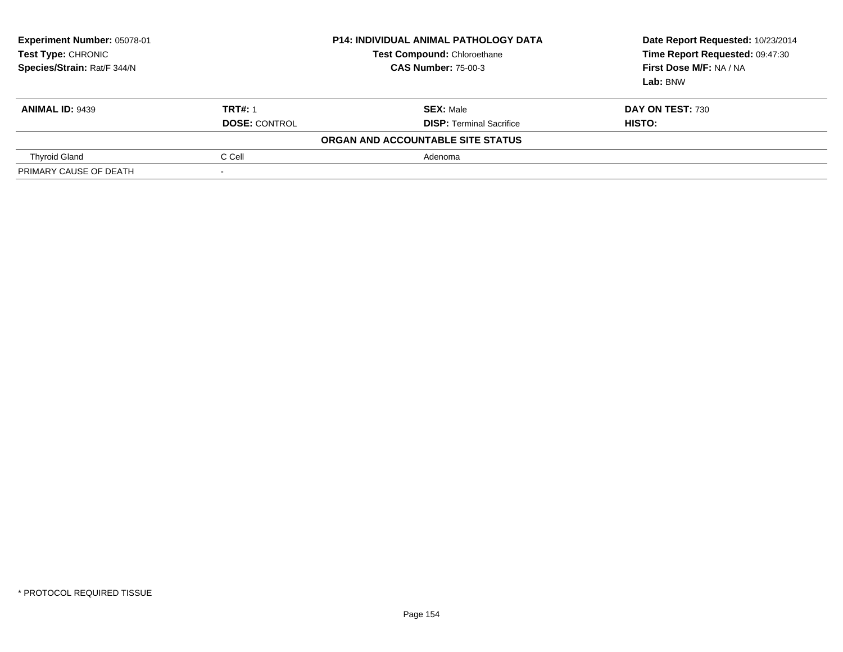| <b>Experiment Number: 05078-01</b><br><b>Test Type: CHRONIC</b><br>Species/Strain: Rat/F 344/N |                      | <b>P14: INDIVIDUAL ANIMAL PATHOLOGY DATA</b><br>Test Compound: Chloroethane<br><b>CAS Number: 75-00-3</b> | Date Report Requested: 10/23/2014<br>Time Report Requested: 09:47:30<br>First Dose M/F: NA / NA<br>Lab: BNW |
|------------------------------------------------------------------------------------------------|----------------------|-----------------------------------------------------------------------------------------------------------|-------------------------------------------------------------------------------------------------------------|
| <b>ANIMAL ID: 9439</b>                                                                         | <b>TRT#: 1</b>       | <b>SEX: Male</b>                                                                                          | DAY ON TEST: 730                                                                                            |
|                                                                                                | <b>DOSE: CONTROL</b> | <b>DISP:</b> Terminal Sacrifice                                                                           | HISTO:                                                                                                      |
|                                                                                                |                      | ORGAN AND ACCOUNTABLE SITE STATUS                                                                         |                                                                                                             |
| <b>Thyroid Gland</b>                                                                           | C Cell               | Adenoma                                                                                                   |                                                                                                             |
| PRIMARY CAUSE OF DEATH                                                                         |                      |                                                                                                           |                                                                                                             |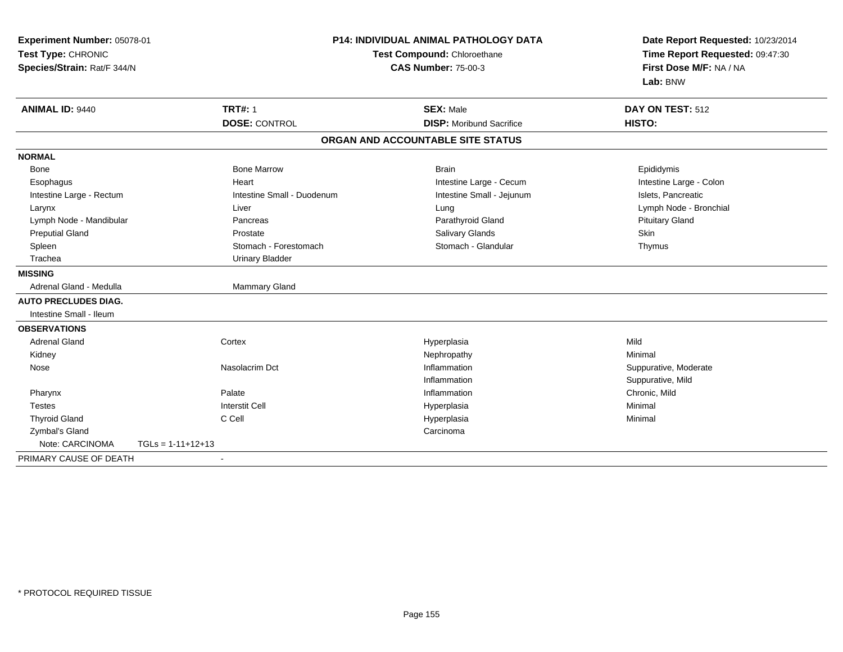| Experiment Number: 05078-01<br>Test Type: CHRONIC<br>Species/Strain: Rat/F 344/N |                                        | <b>P14: INDIVIDUAL ANIMAL PATHOLOGY DATA</b><br>Test Compound: Chloroethane<br><b>CAS Number: 75-00-3</b> |                                                     | Date Report Requested: 10/23/2014<br>Time Report Requested: 09:47:30<br>First Dose M/F: NA / NA<br>Lab: BNW |
|----------------------------------------------------------------------------------|----------------------------------------|-----------------------------------------------------------------------------------------------------------|-----------------------------------------------------|-------------------------------------------------------------------------------------------------------------|
| <b>ANIMAL ID: 9440</b>                                                           | <b>TRT#: 1</b><br><b>DOSE: CONTROL</b> |                                                                                                           | <b>SEX: Male</b><br><b>DISP:</b> Moribund Sacrifice | DAY ON TEST: 512<br>HISTO:                                                                                  |
|                                                                                  |                                        |                                                                                                           | ORGAN AND ACCOUNTABLE SITE STATUS                   |                                                                                                             |
| <b>NORMAL</b>                                                                    |                                        |                                                                                                           |                                                     |                                                                                                             |
| Bone                                                                             | <b>Bone Marrow</b>                     |                                                                                                           | <b>Brain</b>                                        | Epididymis                                                                                                  |
| Esophagus                                                                        | Heart                                  |                                                                                                           | Intestine Large - Cecum                             | Intestine Large - Colon                                                                                     |
| Intestine Large - Rectum                                                         | Intestine Small - Duodenum             |                                                                                                           | Intestine Small - Jejunum                           | Islets, Pancreatic                                                                                          |
| Larynx                                                                           | Liver                                  |                                                                                                           | Lung                                                | Lymph Node - Bronchial                                                                                      |
| Lymph Node - Mandibular                                                          | Pancreas                               |                                                                                                           | Parathyroid Gland                                   | <b>Pituitary Gland</b>                                                                                      |
| <b>Preputial Gland</b>                                                           | Prostate                               |                                                                                                           | <b>Salivary Glands</b>                              | Skin                                                                                                        |
| Spleen                                                                           | Stomach - Forestomach                  |                                                                                                           | Stomach - Glandular                                 | Thymus                                                                                                      |
| Trachea                                                                          | <b>Urinary Bladder</b>                 |                                                                                                           |                                                     |                                                                                                             |
| <b>MISSING</b>                                                                   |                                        |                                                                                                           |                                                     |                                                                                                             |
| Adrenal Gland - Medulla                                                          | Mammary Gland                          |                                                                                                           |                                                     |                                                                                                             |
| <b>AUTO PRECLUDES DIAG.</b>                                                      |                                        |                                                                                                           |                                                     |                                                                                                             |
| Intestine Small - Ileum                                                          |                                        |                                                                                                           |                                                     |                                                                                                             |
| <b>OBSERVATIONS</b>                                                              |                                        |                                                                                                           |                                                     |                                                                                                             |
| <b>Adrenal Gland</b>                                                             | Cortex                                 |                                                                                                           | Hyperplasia                                         | Mild                                                                                                        |
| Kidney                                                                           |                                        |                                                                                                           | Nephropathy                                         | Minimal                                                                                                     |
| Nose                                                                             | Nasolacrim Dct                         |                                                                                                           | Inflammation                                        | Suppurative, Moderate                                                                                       |
|                                                                                  |                                        |                                                                                                           | Inflammation                                        | Suppurative, Mild                                                                                           |
| Pharynx                                                                          | Palate                                 |                                                                                                           | Inflammation                                        | Chronic, Mild                                                                                               |
| <b>Testes</b>                                                                    | <b>Interstit Cell</b>                  |                                                                                                           | Hyperplasia                                         | Minimal                                                                                                     |
| <b>Thyroid Gland</b>                                                             | C Cell                                 |                                                                                                           | Hyperplasia                                         | Minimal                                                                                                     |
| Zymbal's Gland                                                                   |                                        |                                                                                                           | Carcinoma                                           |                                                                                                             |
| Note: CARCINOMA                                                                  | $TGLs = 1-11+12+13$                    |                                                                                                           |                                                     |                                                                                                             |
| PRIMARY CAUSE OF DEATH                                                           | $\blacksquare$                         |                                                                                                           |                                                     |                                                                                                             |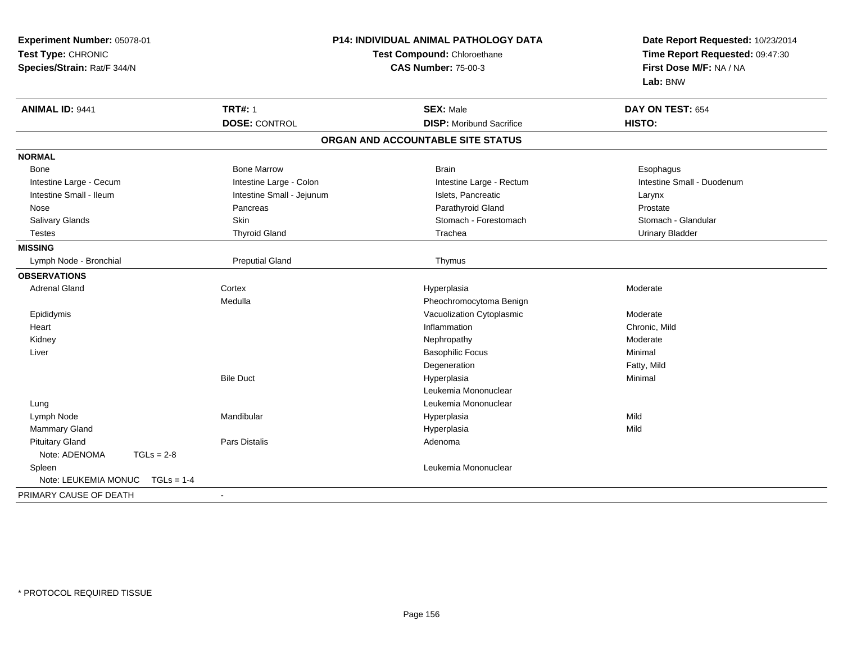| Experiment Number: 05078-01<br>Test Type: CHRONIC<br>Species/Strain: Rat/F 344/N | P14: INDIVIDUAL ANIMAL PATHOLOGY DATA<br>Test Compound: Chloroethane<br><b>CAS Number: 75-00-3</b> |                                   | Date Report Requested: 10/23/2014<br>Time Report Requested: 09:47:30<br>First Dose M/F: NA / NA<br>Lab: BNW |
|----------------------------------------------------------------------------------|----------------------------------------------------------------------------------------------------|-----------------------------------|-------------------------------------------------------------------------------------------------------------|
| <b>ANIMAL ID: 9441</b>                                                           | <b>TRT#: 1</b>                                                                                     | <b>SEX: Male</b>                  | DAY ON TEST: 654                                                                                            |
|                                                                                  | <b>DOSE: CONTROL</b>                                                                               | <b>DISP:</b> Moribund Sacrifice   | HISTO:                                                                                                      |
|                                                                                  |                                                                                                    | ORGAN AND ACCOUNTABLE SITE STATUS |                                                                                                             |
| <b>NORMAL</b>                                                                    |                                                                                                    |                                   |                                                                                                             |
| <b>Bone</b>                                                                      | <b>Bone Marrow</b>                                                                                 | <b>Brain</b>                      | Esophagus                                                                                                   |
| Intestine Large - Cecum                                                          | Intestine Large - Colon                                                                            | Intestine Large - Rectum          | Intestine Small - Duodenum                                                                                  |
| Intestine Small - Ileum                                                          | Intestine Small - Jejunum                                                                          | Islets, Pancreatic                | Larynx                                                                                                      |
| Nose                                                                             | Pancreas                                                                                           | Parathyroid Gland                 | Prostate                                                                                                    |
| Salivary Glands                                                                  | Skin                                                                                               | Stomach - Forestomach             | Stomach - Glandular                                                                                         |
| <b>Testes</b>                                                                    | <b>Thyroid Gland</b>                                                                               | Trachea                           | <b>Urinary Bladder</b>                                                                                      |
| <b>MISSING</b>                                                                   |                                                                                                    |                                   |                                                                                                             |
| Lymph Node - Bronchial                                                           | <b>Preputial Gland</b>                                                                             | Thymus                            |                                                                                                             |
| <b>OBSERVATIONS</b>                                                              |                                                                                                    |                                   |                                                                                                             |
| <b>Adrenal Gland</b>                                                             | Cortex                                                                                             | Hyperplasia                       | Moderate                                                                                                    |
|                                                                                  | Medulla                                                                                            | Pheochromocytoma Benign           |                                                                                                             |
| Epididymis                                                                       |                                                                                                    | Vacuolization Cytoplasmic         | Moderate                                                                                                    |
| Heart                                                                            |                                                                                                    | Inflammation                      | Chronic, Mild                                                                                               |
| Kidney                                                                           |                                                                                                    | Nephropathy                       | Moderate                                                                                                    |
| Liver                                                                            |                                                                                                    | <b>Basophilic Focus</b>           | Minimal                                                                                                     |
|                                                                                  |                                                                                                    | Degeneration                      | Fatty, Mild                                                                                                 |
|                                                                                  | <b>Bile Duct</b>                                                                                   | Hyperplasia                       | Minimal                                                                                                     |
|                                                                                  |                                                                                                    | Leukemia Mononuclear              |                                                                                                             |
| Lung                                                                             |                                                                                                    | Leukemia Mononuclear              |                                                                                                             |
| Lymph Node                                                                       | Mandibular                                                                                         | Hyperplasia                       | Mild                                                                                                        |
| Mammary Gland                                                                    |                                                                                                    | Hyperplasia                       | Mild                                                                                                        |
| <b>Pituitary Gland</b>                                                           | Pars Distalis                                                                                      | Adenoma                           |                                                                                                             |
| Note: ADENOMA<br>$TGLs = 2-8$                                                    |                                                                                                    |                                   |                                                                                                             |
| Spleen                                                                           |                                                                                                    | Leukemia Mononuclear              |                                                                                                             |
| Note: LEUKEMIA MONUC<br>$TGLs = 1-4$                                             |                                                                                                    |                                   |                                                                                                             |
| PRIMARY CAUSE OF DEATH                                                           | $\blacksquare$                                                                                     |                                   |                                                                                                             |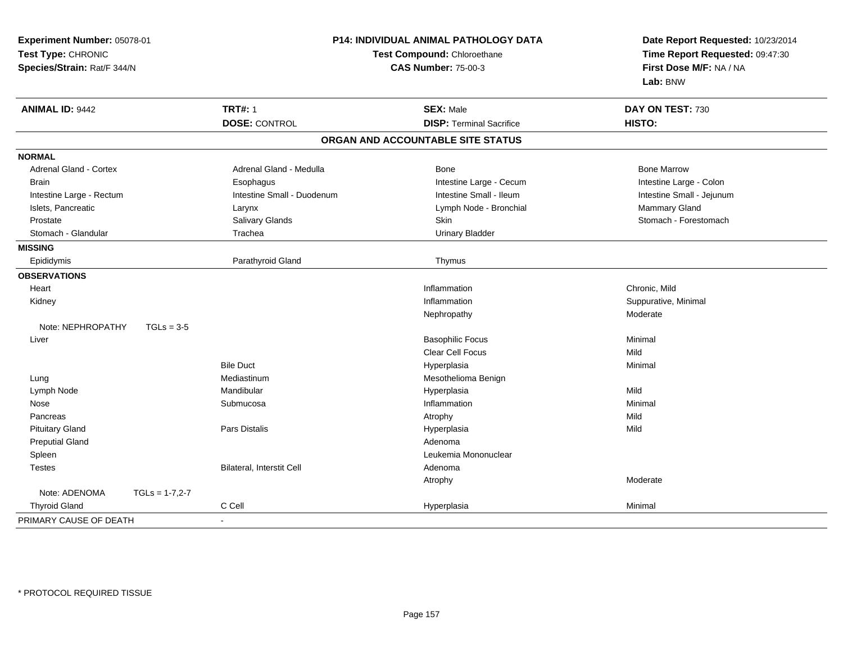| Experiment Number: 05078-01<br>Test Type: CHRONIC<br>Species/Strain: Rat/F 344/N |                  | P14: INDIVIDUAL ANIMAL PATHOLOGY DATA<br>Test Compound: Chloroethane<br><b>CAS Number: 75-00-3</b> |                                   | Date Report Requested: 10/23/2014<br>Time Report Requested: 09:47:30<br>First Dose M/F: NA / NA<br>Lab: BNW |
|----------------------------------------------------------------------------------|------------------|----------------------------------------------------------------------------------------------------|-----------------------------------|-------------------------------------------------------------------------------------------------------------|
| <b>ANIMAL ID: 9442</b>                                                           |                  | <b>TRT#: 1</b>                                                                                     | <b>SEX: Male</b>                  | DAY ON TEST: 730                                                                                            |
|                                                                                  |                  | <b>DOSE: CONTROL</b>                                                                               | <b>DISP: Terminal Sacrifice</b>   | HISTO:                                                                                                      |
|                                                                                  |                  |                                                                                                    | ORGAN AND ACCOUNTABLE SITE STATUS |                                                                                                             |
| <b>NORMAL</b>                                                                    |                  |                                                                                                    |                                   |                                                                                                             |
| Adrenal Gland - Cortex                                                           |                  | Adrenal Gland - Medulla                                                                            | Bone                              | <b>Bone Marrow</b>                                                                                          |
| <b>Brain</b>                                                                     |                  | Esophagus                                                                                          | Intestine Large - Cecum           | Intestine Large - Colon                                                                                     |
| Intestine Large - Rectum                                                         |                  | Intestine Small - Duodenum                                                                         | Intestine Small - Ileum           | Intestine Small - Jejunum                                                                                   |
| Islets, Pancreatic                                                               |                  | Larynx                                                                                             | Lymph Node - Bronchial            | Mammary Gland                                                                                               |
| Prostate                                                                         |                  | Salivary Glands                                                                                    | Skin                              | Stomach - Forestomach                                                                                       |
| Stomach - Glandular                                                              |                  | Trachea                                                                                            | <b>Urinary Bladder</b>            |                                                                                                             |
| <b>MISSING</b>                                                                   |                  |                                                                                                    |                                   |                                                                                                             |
| Epididymis                                                                       |                  | Parathyroid Gland                                                                                  | Thymus                            |                                                                                                             |
| <b>OBSERVATIONS</b>                                                              |                  |                                                                                                    |                                   |                                                                                                             |
| Heart                                                                            |                  |                                                                                                    | Inflammation                      | Chronic, Mild                                                                                               |
| Kidney                                                                           |                  |                                                                                                    | Inflammation                      | Suppurative, Minimal                                                                                        |
|                                                                                  |                  |                                                                                                    | Nephropathy                       | Moderate                                                                                                    |
| Note: NEPHROPATHY                                                                | $TGLs = 3-5$     |                                                                                                    |                                   |                                                                                                             |
| Liver                                                                            |                  |                                                                                                    | <b>Basophilic Focus</b>           | Minimal                                                                                                     |
|                                                                                  |                  |                                                                                                    | <b>Clear Cell Focus</b>           | Mild                                                                                                        |
|                                                                                  |                  | <b>Bile Duct</b>                                                                                   | Hyperplasia                       | Minimal                                                                                                     |
| Lung                                                                             |                  | Mediastinum                                                                                        | Mesothelioma Benign               |                                                                                                             |
| Lymph Node                                                                       |                  | Mandibular                                                                                         | Hyperplasia                       | Mild                                                                                                        |
| Nose                                                                             |                  | Submucosa                                                                                          | Inflammation                      | Minimal                                                                                                     |
| Pancreas                                                                         |                  |                                                                                                    | Atrophy                           | Mild                                                                                                        |
| <b>Pituitary Gland</b>                                                           |                  | <b>Pars Distalis</b>                                                                               | Hyperplasia                       | Mild                                                                                                        |
| <b>Preputial Gland</b>                                                           |                  |                                                                                                    | Adenoma                           |                                                                                                             |
| Spleen                                                                           |                  |                                                                                                    | Leukemia Mononuclear              |                                                                                                             |
| <b>Testes</b>                                                                    |                  | <b>Bilateral, Interstit Cell</b>                                                                   | Adenoma                           |                                                                                                             |
|                                                                                  |                  |                                                                                                    | Atrophy                           | Moderate                                                                                                    |
| Note: ADENOMA                                                                    | $TGLs = 1-7,2-7$ |                                                                                                    |                                   |                                                                                                             |
| <b>Thyroid Gland</b>                                                             |                  | C Cell                                                                                             | Hyperplasia                       | Minimal                                                                                                     |
| PRIMARY CAUSE OF DEATH                                                           |                  |                                                                                                    |                                   |                                                                                                             |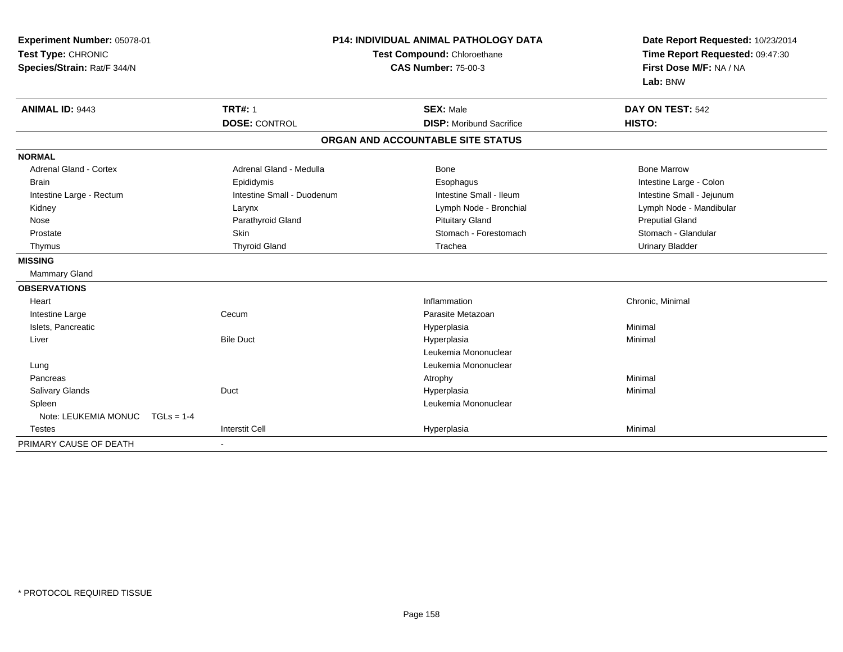| Experiment Number: 05078-01<br>Test Type: CHRONIC<br>Species/Strain: Rat/F 344/N |                            | <b>P14: INDIVIDUAL ANIMAL PATHOLOGY DATA</b><br>Test Compound: Chloroethane<br><b>CAS Number: 75-00-3</b> | Date Report Requested: 10/23/2014<br>Time Report Requested: 09:47:30<br>First Dose M/F: NA / NA<br>Lab: BNW |
|----------------------------------------------------------------------------------|----------------------------|-----------------------------------------------------------------------------------------------------------|-------------------------------------------------------------------------------------------------------------|
| <b>ANIMAL ID: 9443</b>                                                           | <b>TRT#: 1</b>             | <b>SEX: Male</b>                                                                                          | DAY ON TEST: 542                                                                                            |
|                                                                                  | <b>DOSE: CONTROL</b>       | <b>DISP:</b> Moribund Sacrifice                                                                           | HISTO:                                                                                                      |
|                                                                                  |                            | ORGAN AND ACCOUNTABLE SITE STATUS                                                                         |                                                                                                             |
| <b>NORMAL</b>                                                                    |                            |                                                                                                           |                                                                                                             |
| <b>Adrenal Gland - Cortex</b>                                                    | Adrenal Gland - Medulla    | <b>Bone</b>                                                                                               | <b>Bone Marrow</b>                                                                                          |
| <b>Brain</b>                                                                     | Epididymis                 | Esophagus                                                                                                 | Intestine Large - Colon                                                                                     |
| Intestine Large - Rectum                                                         | Intestine Small - Duodenum | Intestine Small - Ileum                                                                                   | Intestine Small - Jejunum                                                                                   |
| Kidney                                                                           | Larynx                     | Lymph Node - Bronchial                                                                                    | Lymph Node - Mandibular                                                                                     |
| Nose                                                                             | Parathyroid Gland          | <b>Pituitary Gland</b>                                                                                    | <b>Preputial Gland</b>                                                                                      |
| Prostate                                                                         | Skin                       | Stomach - Forestomach                                                                                     | Stomach - Glandular                                                                                         |
| Thymus                                                                           | <b>Thyroid Gland</b>       | Trachea                                                                                                   | <b>Urinary Bladder</b>                                                                                      |
| <b>MISSING</b>                                                                   |                            |                                                                                                           |                                                                                                             |
| Mammary Gland                                                                    |                            |                                                                                                           |                                                                                                             |
| <b>OBSERVATIONS</b>                                                              |                            |                                                                                                           |                                                                                                             |
| Heart                                                                            |                            | Inflammation                                                                                              | Chronic, Minimal                                                                                            |
| Intestine Large                                                                  | Cecum                      | Parasite Metazoan                                                                                         |                                                                                                             |
| Islets, Pancreatic                                                               |                            | Hyperplasia                                                                                               | Minimal                                                                                                     |
| Liver                                                                            | <b>Bile Duct</b>           | Hyperplasia                                                                                               | Minimal                                                                                                     |
|                                                                                  |                            | Leukemia Mononuclear                                                                                      |                                                                                                             |
| Lung                                                                             |                            | Leukemia Mononuclear                                                                                      |                                                                                                             |
| Pancreas                                                                         |                            | Atrophy                                                                                                   | Minimal                                                                                                     |
| Salivary Glands                                                                  | Duct                       | Hyperplasia                                                                                               | Minimal                                                                                                     |
| Spleen                                                                           |                            | Leukemia Mononuclear                                                                                      |                                                                                                             |
| Note: LEUKEMIA MONUC<br>$TGLs = 1-4$                                             |                            |                                                                                                           |                                                                                                             |
| <b>Testes</b>                                                                    | <b>Interstit Cell</b>      | Hyperplasia                                                                                               | Minimal                                                                                                     |
| PRIMARY CAUSE OF DEATH                                                           |                            |                                                                                                           |                                                                                                             |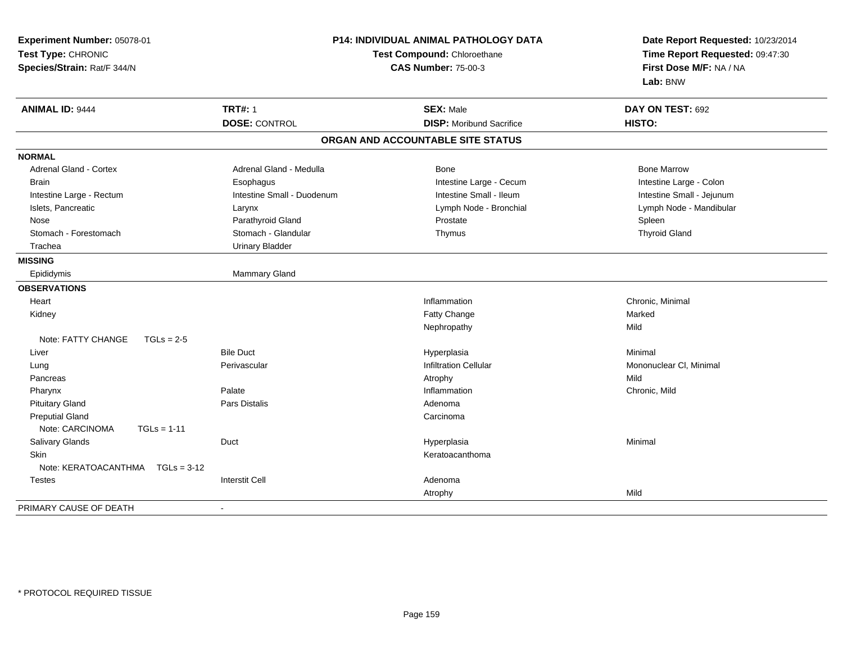| Experiment Number: 05078-01<br>Test Type: CHRONIC<br>Species/Strain: Rat/F 344/N | <b>P14: INDIVIDUAL ANIMAL PATHOLOGY DATA</b><br>Test Compound: Chloroethane<br><b>CAS Number: 75-00-3</b> |                                   | Date Report Requested: 10/23/2014<br>Time Report Requested: 09:47:30<br>First Dose M/F: NA / NA<br>Lab: BNW |  |
|----------------------------------------------------------------------------------|-----------------------------------------------------------------------------------------------------------|-----------------------------------|-------------------------------------------------------------------------------------------------------------|--|
| <b>ANIMAL ID: 9444</b>                                                           | <b>TRT#: 1</b>                                                                                            | <b>SEX: Male</b>                  | DAY ON TEST: 692                                                                                            |  |
|                                                                                  | <b>DOSE: CONTROL</b>                                                                                      | <b>DISP:</b> Moribund Sacrifice   | HISTO:                                                                                                      |  |
|                                                                                  |                                                                                                           | ORGAN AND ACCOUNTABLE SITE STATUS |                                                                                                             |  |
| <b>NORMAL</b>                                                                    |                                                                                                           |                                   |                                                                                                             |  |
| <b>Adrenal Gland - Cortex</b>                                                    | Adrenal Gland - Medulla                                                                                   | <b>Bone</b>                       | <b>Bone Marrow</b>                                                                                          |  |
| <b>Brain</b>                                                                     | Esophagus                                                                                                 | Intestine Large - Cecum           | Intestine Large - Colon                                                                                     |  |
| Intestine Large - Rectum                                                         | Intestine Small - Duodenum                                                                                | Intestine Small - Ileum           | Intestine Small - Jejunum                                                                                   |  |
| Islets, Pancreatic                                                               | Larynx                                                                                                    | Lymph Node - Bronchial            | Lymph Node - Mandibular                                                                                     |  |
| Nose                                                                             | Parathyroid Gland                                                                                         | Prostate                          | Spleen                                                                                                      |  |
| Stomach - Forestomach                                                            | Stomach - Glandular                                                                                       | Thymus                            | <b>Thyroid Gland</b>                                                                                        |  |
| Trachea                                                                          | <b>Urinary Bladder</b>                                                                                    |                                   |                                                                                                             |  |
| <b>MISSING</b>                                                                   |                                                                                                           |                                   |                                                                                                             |  |
| Epididymis                                                                       | <b>Mammary Gland</b>                                                                                      |                                   |                                                                                                             |  |
| <b>OBSERVATIONS</b>                                                              |                                                                                                           |                                   |                                                                                                             |  |
| Heart                                                                            |                                                                                                           | Inflammation                      | Chronic, Minimal                                                                                            |  |
| Kidney                                                                           |                                                                                                           | Fatty Change                      | Marked                                                                                                      |  |
|                                                                                  |                                                                                                           | Nephropathy                       | Mild                                                                                                        |  |
| Note: FATTY CHANGE<br>$TGLs = 2-5$                                               |                                                                                                           |                                   |                                                                                                             |  |
| Liver                                                                            | <b>Bile Duct</b>                                                                                          | Hyperplasia                       | Minimal                                                                                                     |  |
| Lung                                                                             | Perivascular                                                                                              | <b>Infiltration Cellular</b>      | Mononuclear CI, Minimal                                                                                     |  |
| Pancreas                                                                         |                                                                                                           | Atrophy                           | Mild                                                                                                        |  |
| Pharynx                                                                          | Palate                                                                                                    | Inflammation                      | Chronic, Mild                                                                                               |  |
| <b>Pituitary Gland</b>                                                           | <b>Pars Distalis</b>                                                                                      | Adenoma                           |                                                                                                             |  |
| <b>Preputial Gland</b>                                                           |                                                                                                           | Carcinoma                         |                                                                                                             |  |
| Note: CARCINOMA<br>$TGLs = 1-11$                                                 |                                                                                                           |                                   |                                                                                                             |  |
| Salivary Glands                                                                  | Duct                                                                                                      | Hyperplasia                       | Minimal                                                                                                     |  |
| <b>Skin</b>                                                                      |                                                                                                           | Keratoacanthoma                   |                                                                                                             |  |
| Note: KERATOACANTHMA<br>$TGLs = 3-12$                                            |                                                                                                           |                                   |                                                                                                             |  |
| <b>Testes</b>                                                                    | <b>Interstit Cell</b>                                                                                     | Adenoma                           |                                                                                                             |  |
|                                                                                  |                                                                                                           | Atrophy                           | Mild                                                                                                        |  |
| PRIMARY CAUSE OF DEATH                                                           |                                                                                                           |                                   |                                                                                                             |  |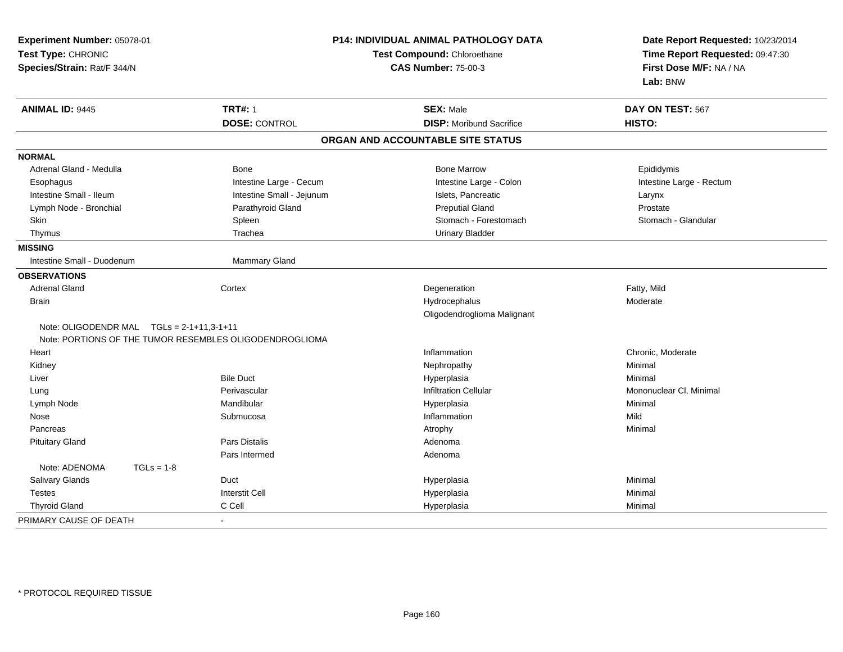| Experiment Number: 05078-01<br>Test Type: CHRONIC<br>Species/Strain: Rat/F 344/N |                                                         | P14: INDIVIDUAL ANIMAL PATHOLOGY DATA<br>Test Compound: Chloroethane<br><b>CAS Number: 75-00-3</b> | Date Report Requested: 10/23/2014<br>Time Report Requested: 09:47:30<br>First Dose M/F: NA / NA<br>Lab: BNW |
|----------------------------------------------------------------------------------|---------------------------------------------------------|----------------------------------------------------------------------------------------------------|-------------------------------------------------------------------------------------------------------------|
| <b>ANIMAL ID: 9445</b>                                                           | <b>TRT#: 1</b>                                          | <b>SEX: Male</b>                                                                                   | DAY ON TEST: 567                                                                                            |
|                                                                                  | <b>DOSE: CONTROL</b>                                    | <b>DISP:</b> Moribund Sacrifice                                                                    | HISTO:                                                                                                      |
|                                                                                  |                                                         | ORGAN AND ACCOUNTABLE SITE STATUS                                                                  |                                                                                                             |
| <b>NORMAL</b>                                                                    |                                                         |                                                                                                    |                                                                                                             |
| Adrenal Gland - Medulla                                                          | <b>Bone</b>                                             | <b>Bone Marrow</b>                                                                                 | Epididymis                                                                                                  |
| Esophagus                                                                        | Intestine Large - Cecum                                 | Intestine Large - Colon                                                                            | Intestine Large - Rectum                                                                                    |
| Intestine Small - Ileum                                                          | Intestine Small - Jejunum                               | Islets, Pancreatic                                                                                 | Larynx                                                                                                      |
| Lymph Node - Bronchial                                                           | Parathyroid Gland                                       | <b>Preputial Gland</b>                                                                             | Prostate                                                                                                    |
| Skin                                                                             | Spleen                                                  | Stomach - Forestomach                                                                              | Stomach - Glandular                                                                                         |
| Thymus                                                                           | Trachea                                                 | <b>Urinary Bladder</b>                                                                             |                                                                                                             |
| <b>MISSING</b>                                                                   |                                                         |                                                                                                    |                                                                                                             |
| Intestine Small - Duodenum                                                       | <b>Mammary Gland</b>                                    |                                                                                                    |                                                                                                             |
| <b>OBSERVATIONS</b>                                                              |                                                         |                                                                                                    |                                                                                                             |
| <b>Adrenal Gland</b>                                                             | Cortex                                                  | Degeneration                                                                                       | Fatty, Mild                                                                                                 |
| <b>Brain</b>                                                                     |                                                         | Hydrocephalus                                                                                      | Moderate                                                                                                    |
|                                                                                  |                                                         | Oligodendroglioma Malignant                                                                        |                                                                                                             |
| Note: OLIGODENDR MAL $TGLs = 2-1+11,3-1+11$                                      |                                                         |                                                                                                    |                                                                                                             |
|                                                                                  | Note: PORTIONS OF THE TUMOR RESEMBLES OLIGODENDROGLIOMA |                                                                                                    |                                                                                                             |
| Heart                                                                            |                                                         | Inflammation                                                                                       | Chronic, Moderate                                                                                           |
| Kidney                                                                           |                                                         | Nephropathy                                                                                        | Minimal                                                                                                     |
| Liver                                                                            | <b>Bile Duct</b>                                        | Hyperplasia                                                                                        | Minimal                                                                                                     |
| Lung                                                                             | Perivascular                                            | <b>Infiltration Cellular</b>                                                                       | Mononuclear CI, Minimal                                                                                     |
| Lymph Node                                                                       | Mandibular                                              | Hyperplasia                                                                                        | Minimal                                                                                                     |
| Nose                                                                             | Submucosa                                               | Inflammation                                                                                       | Mild                                                                                                        |
| Pancreas                                                                         |                                                         | Atrophy                                                                                            | Minimal                                                                                                     |
| <b>Pituitary Gland</b>                                                           | <b>Pars Distalis</b>                                    | Adenoma                                                                                            |                                                                                                             |
|                                                                                  | Pars Intermed                                           | Adenoma                                                                                            |                                                                                                             |
| Note: ADENOMA<br>$TGLs = 1-8$                                                    |                                                         |                                                                                                    |                                                                                                             |
| Salivary Glands                                                                  | Duct                                                    | Hyperplasia                                                                                        | Minimal                                                                                                     |
| <b>Testes</b>                                                                    | <b>Interstit Cell</b>                                   | Hyperplasia                                                                                        | Minimal                                                                                                     |
| <b>Thyroid Gland</b>                                                             | C Cell                                                  | Hyperplasia                                                                                        | Minimal                                                                                                     |
| PRIMARY CAUSE OF DEATH                                                           |                                                         |                                                                                                    |                                                                                                             |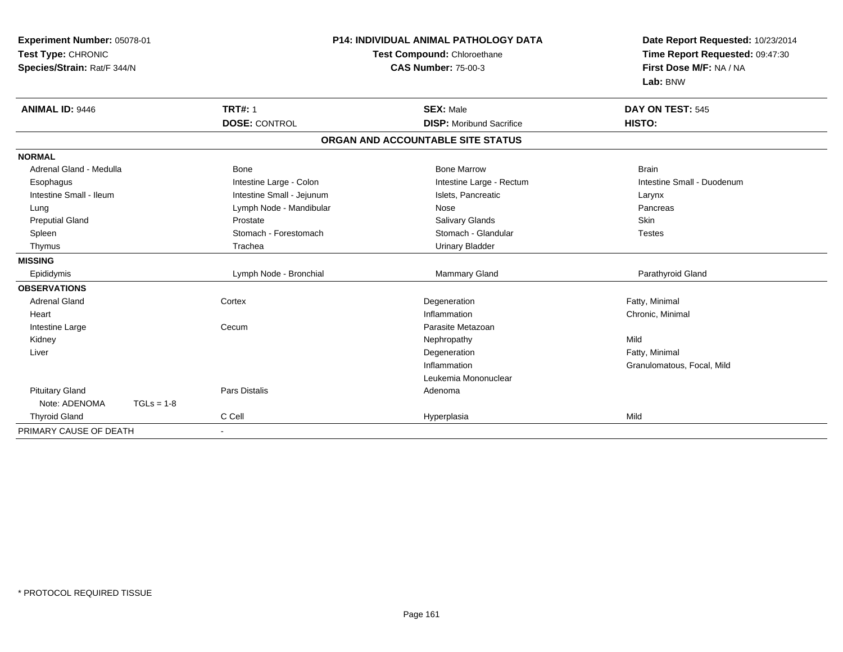| Experiment Number: 05078-01<br>Test Type: CHRONIC<br>Species/Strain: Rat/F 344/N |              |                           | <b>P14: INDIVIDUAL ANIMAL PATHOLOGY DATA</b><br>Test Compound: Chloroethane<br><b>CAS Number: 75-00-3</b> | Date Report Requested: 10/23/2014<br>Time Report Requested: 09:47:30<br>First Dose M/F: NA / NA<br>Lab: BNW |  |
|----------------------------------------------------------------------------------|--------------|---------------------------|-----------------------------------------------------------------------------------------------------------|-------------------------------------------------------------------------------------------------------------|--|
| <b>ANIMAL ID: 9446</b>                                                           |              | <b>TRT#: 1</b>            | <b>SEX: Male</b>                                                                                          | DAY ON TEST: 545                                                                                            |  |
|                                                                                  |              | <b>DOSE: CONTROL</b>      | <b>DISP: Moribund Sacrifice</b>                                                                           | HISTO:                                                                                                      |  |
|                                                                                  |              |                           | ORGAN AND ACCOUNTABLE SITE STATUS                                                                         |                                                                                                             |  |
| <b>NORMAL</b>                                                                    |              |                           |                                                                                                           |                                                                                                             |  |
| Adrenal Gland - Medulla                                                          |              | <b>Bone</b>               | <b>Bone Marrow</b>                                                                                        | <b>Brain</b>                                                                                                |  |
| Esophagus                                                                        |              | Intestine Large - Colon   | Intestine Large - Rectum                                                                                  | Intestine Small - Duodenum                                                                                  |  |
| Intestine Small - Ileum                                                          |              | Intestine Small - Jejunum | Islets, Pancreatic                                                                                        | Larynx                                                                                                      |  |
| Lung                                                                             |              | Lymph Node - Mandibular   | Nose                                                                                                      | Pancreas                                                                                                    |  |
| <b>Preputial Gland</b>                                                           |              | Prostate                  | Salivary Glands                                                                                           | <b>Skin</b>                                                                                                 |  |
| Spleen                                                                           |              | Stomach - Forestomach     | Stomach - Glandular                                                                                       | <b>Testes</b>                                                                                               |  |
| Thymus                                                                           |              | Trachea                   | <b>Urinary Bladder</b>                                                                                    |                                                                                                             |  |
| <b>MISSING</b>                                                                   |              |                           |                                                                                                           |                                                                                                             |  |
| Epididymis                                                                       |              | Lymph Node - Bronchial    | Mammary Gland                                                                                             | Parathyroid Gland                                                                                           |  |
| <b>OBSERVATIONS</b>                                                              |              |                           |                                                                                                           |                                                                                                             |  |
| <b>Adrenal Gland</b>                                                             |              | Cortex                    | Degeneration                                                                                              | Fatty, Minimal                                                                                              |  |
| Heart                                                                            |              |                           | Inflammation                                                                                              | Chronic, Minimal                                                                                            |  |
| Intestine Large                                                                  |              | Cecum                     | Parasite Metazoan                                                                                         |                                                                                                             |  |
| Kidney                                                                           |              |                           | Nephropathy                                                                                               | Mild                                                                                                        |  |
| Liver                                                                            |              |                           | Degeneration                                                                                              | Fatty, Minimal                                                                                              |  |
|                                                                                  |              |                           | Inflammation                                                                                              | Granulomatous, Focal, Mild                                                                                  |  |
|                                                                                  |              |                           | Leukemia Mononuclear                                                                                      |                                                                                                             |  |
| <b>Pituitary Gland</b>                                                           |              | <b>Pars Distalis</b>      | Adenoma                                                                                                   |                                                                                                             |  |
| Note: ADENOMA                                                                    | $TGLs = 1-8$ |                           |                                                                                                           |                                                                                                             |  |
| <b>Thyroid Gland</b>                                                             |              | C Cell                    | Hyperplasia                                                                                               | Mild                                                                                                        |  |
| PRIMARY CAUSE OF DEATH                                                           |              | ۰                         |                                                                                                           |                                                                                                             |  |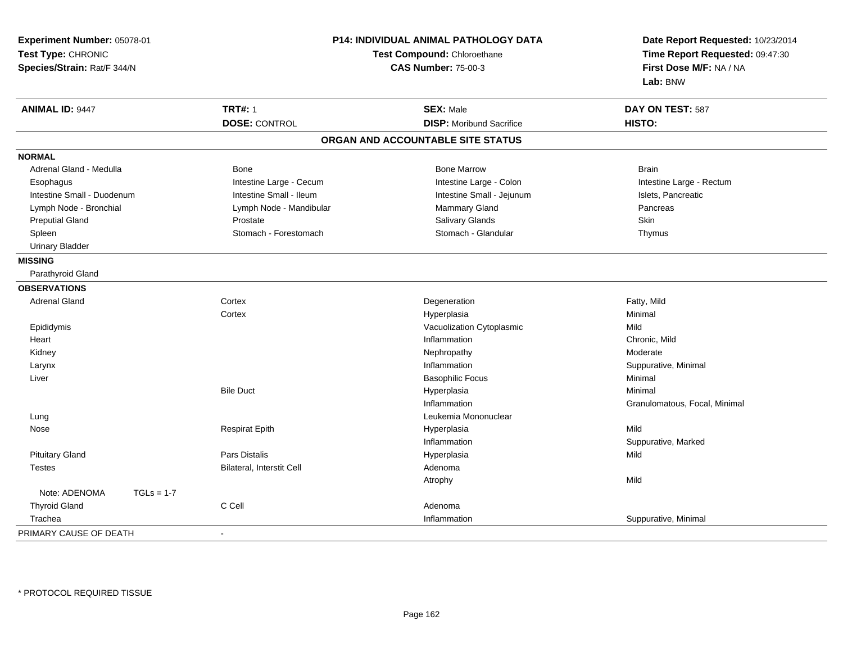| Experiment Number: 05078-01<br>Test Type: CHRONIC<br>Species/Strain: Rat/F 344/N |                           | <b>P14: INDIVIDUAL ANIMAL PATHOLOGY DATA</b><br>Test Compound: Chloroethane<br><b>CAS Number: 75-00-3</b> |                               |
|----------------------------------------------------------------------------------|---------------------------|-----------------------------------------------------------------------------------------------------------|-------------------------------|
| <b>ANIMAL ID: 9447</b>                                                           | <b>TRT#: 1</b>            | <b>SEX: Male</b>                                                                                          | DAY ON TEST: 587              |
|                                                                                  | <b>DOSE: CONTROL</b>      | <b>DISP:</b> Moribund Sacrifice                                                                           | HISTO:                        |
|                                                                                  |                           | ORGAN AND ACCOUNTABLE SITE STATUS                                                                         |                               |
| <b>NORMAL</b>                                                                    |                           |                                                                                                           |                               |
| Adrenal Gland - Medulla                                                          | Bone                      | <b>Bone Marrow</b>                                                                                        | <b>Brain</b>                  |
| Esophagus                                                                        | Intestine Large - Cecum   | Intestine Large - Colon                                                                                   | Intestine Large - Rectum      |
| Intestine Small - Duodenum                                                       | Intestine Small - Ileum   | Intestine Small - Jejunum                                                                                 | Islets, Pancreatic            |
| Lymph Node - Bronchial                                                           | Lymph Node - Mandibular   | Mammary Gland                                                                                             | Pancreas                      |
| <b>Preputial Gland</b>                                                           | Prostate                  | <b>Salivary Glands</b>                                                                                    | Skin                          |
| Spleen                                                                           | Stomach - Forestomach     | Stomach - Glandular                                                                                       | Thymus                        |
| <b>Urinary Bladder</b>                                                           |                           |                                                                                                           |                               |
| <b>MISSING</b>                                                                   |                           |                                                                                                           |                               |
| Parathyroid Gland                                                                |                           |                                                                                                           |                               |
| <b>OBSERVATIONS</b>                                                              |                           |                                                                                                           |                               |
| <b>Adrenal Gland</b>                                                             | Cortex                    | Degeneration                                                                                              | Fatty, Mild                   |
|                                                                                  | Cortex                    | Hyperplasia                                                                                               | Minimal                       |
| Epididymis                                                                       |                           | Vacuolization Cytoplasmic                                                                                 | Mild                          |
| Heart                                                                            |                           | Inflammation                                                                                              | Chronic, Mild                 |
| Kidney                                                                           |                           | Nephropathy                                                                                               | Moderate                      |
| Larynx                                                                           |                           | Inflammation                                                                                              | Suppurative, Minimal          |
| Liver                                                                            |                           | <b>Basophilic Focus</b>                                                                                   | Minimal                       |
|                                                                                  | <b>Bile Duct</b>          | Hyperplasia                                                                                               | Minimal                       |
|                                                                                  |                           | Inflammation                                                                                              | Granulomatous, Focal, Minimal |
| Lung                                                                             |                           | Leukemia Mononuclear                                                                                      |                               |
| Nose                                                                             | <b>Respirat Epith</b>     | Hyperplasia                                                                                               | Mild                          |
|                                                                                  |                           | Inflammation                                                                                              | Suppurative, Marked           |
| <b>Pituitary Gland</b>                                                           | Pars Distalis             | Hyperplasia                                                                                               | Mild                          |
| <b>Testes</b>                                                                    | Bilateral, Interstit Cell | Adenoma                                                                                                   |                               |
|                                                                                  |                           | Atrophy                                                                                                   | Mild                          |
| Note: ADENOMA<br>$TGLs = 1-7$                                                    |                           |                                                                                                           |                               |
| <b>Thyroid Gland</b>                                                             | C Cell                    | Adenoma                                                                                                   |                               |
| Trachea                                                                          |                           | Inflammation                                                                                              | Suppurative, Minimal          |
| PRIMARY CAUSE OF DEATH                                                           | $\blacksquare$            |                                                                                                           |                               |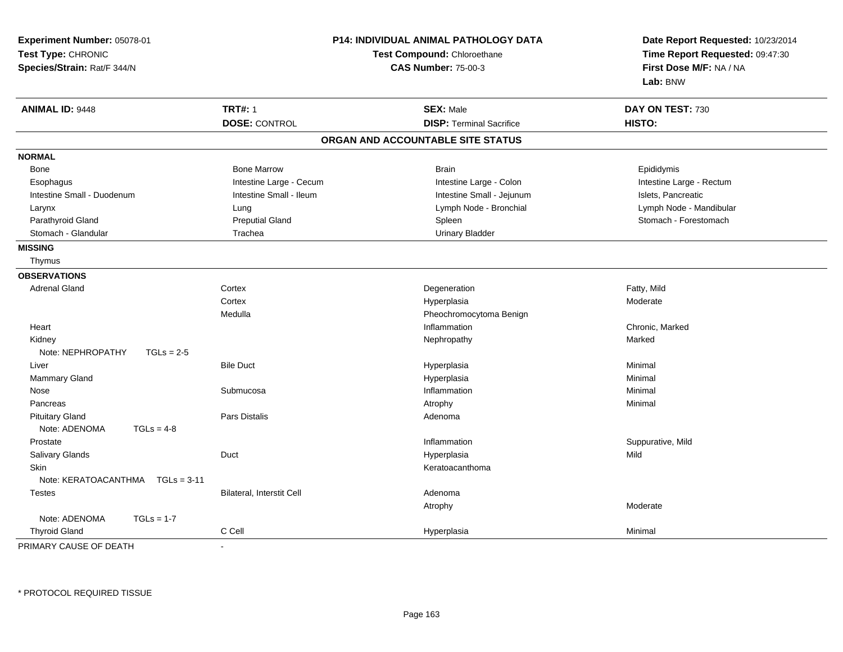| <b>TRT#: 1</b><br><b>ANIMAL ID: 9448</b><br><b>SEX: Male</b><br>DAY ON TEST: 730<br><b>DOSE: CONTROL</b><br><b>DISP: Terminal Sacrifice</b><br><b>HISTO:</b><br>ORGAN AND ACCOUNTABLE SITE STATUS<br><b>NORMAL</b><br><b>Bone Marrow</b><br><b>Brain</b><br>Epididymis<br>Bone<br>Intestine Large - Cecum<br>Intestine Large - Colon<br>Intestine Large - Rectum<br>Esophagus<br>Intestine Small - Ileum<br>Intestine Small - Jejunum<br>Islets, Pancreatic<br>Intestine Small - Duodenum<br>Lymph Node - Bronchial<br>Lymph Node - Mandibular<br>Larynx<br>Lung<br>Parathyroid Gland<br><b>Preputial Gland</b><br>Spleen<br>Stomach - Forestomach<br><b>Urinary Bladder</b><br>Stomach - Glandular<br>Trachea<br><b>MISSING</b><br>Thymus<br><b>OBSERVATIONS</b><br>Fatty, Mild<br><b>Adrenal Gland</b><br>Cortex<br>Degeneration<br>Cortex<br>Moderate<br>Hyperplasia<br>Medulla<br>Pheochromocytoma Benign<br>Heart<br>Chronic, Marked<br>Inflammation<br>Marked<br>Kidney<br>Nephropathy<br>Note: NEPHROPATHY<br>$TGLs = 2-5$<br><b>Bile Duct</b><br>Liver<br>Hyperplasia<br>Minimal<br>Mammary Gland<br>Hyperplasia<br>Minimal<br>Submucosa<br>Inflammation<br>Minimal<br>Nose<br>Pancreas<br>Atrophy<br>Minimal<br><b>Pituitary Gland</b><br><b>Pars Distalis</b><br>Adenoma<br>Note: ADENOMA<br>$TGLs = 4-8$<br>Prostate<br>Inflammation<br>Suppurative, Mild<br>Salivary Glands<br>Duct<br>Mild<br>Hyperplasia<br>Skin<br>Keratoacanthoma<br>Note: KERATOACANTHMA<br>$TGLs = 3-11$<br>Bilateral, Interstit Cell<br>Adenoma<br><b>Testes</b><br>Atrophy<br>Moderate<br>Note: ADENOMA<br>$TGLs = 1-7$<br>C Cell<br><b>Thyroid Gland</b><br>Minimal<br>Hyperplasia | Experiment Number: 05078-01<br>Test Type: CHRONIC<br>Species/Strain: Rat/F 344/N | P14: INDIVIDUAL ANIMAL PATHOLOGY DATA<br>Test Compound: Chloroethane<br><b>CAS Number: 75-00-3</b> |  | Date Report Requested: 10/23/2014<br>Time Report Requested: 09:47:30<br>First Dose M/F: NA / NA<br>Lab: BNW |
|-------------------------------------------------------------------------------------------------------------------------------------------------------------------------------------------------------------------------------------------------------------------------------------------------------------------------------------------------------------------------------------------------------------------------------------------------------------------------------------------------------------------------------------------------------------------------------------------------------------------------------------------------------------------------------------------------------------------------------------------------------------------------------------------------------------------------------------------------------------------------------------------------------------------------------------------------------------------------------------------------------------------------------------------------------------------------------------------------------------------------------------------------------------------------------------------------------------------------------------------------------------------------------------------------------------------------------------------------------------------------------------------------------------------------------------------------------------------------------------------------------------------------------------------------------------------------------------------------------------------------------------------------------------------------|----------------------------------------------------------------------------------|----------------------------------------------------------------------------------------------------|--|-------------------------------------------------------------------------------------------------------------|
|                                                                                                                                                                                                                                                                                                                                                                                                                                                                                                                                                                                                                                                                                                                                                                                                                                                                                                                                                                                                                                                                                                                                                                                                                                                                                                                                                                                                                                                                                                                                                                                                                                                                         |                                                                                  |                                                                                                    |  |                                                                                                             |
|                                                                                                                                                                                                                                                                                                                                                                                                                                                                                                                                                                                                                                                                                                                                                                                                                                                                                                                                                                                                                                                                                                                                                                                                                                                                                                                                                                                                                                                                                                                                                                                                                                                                         |                                                                                  |                                                                                                    |  |                                                                                                             |
|                                                                                                                                                                                                                                                                                                                                                                                                                                                                                                                                                                                                                                                                                                                                                                                                                                                                                                                                                                                                                                                                                                                                                                                                                                                                                                                                                                                                                                                                                                                                                                                                                                                                         |                                                                                  |                                                                                                    |  |                                                                                                             |
|                                                                                                                                                                                                                                                                                                                                                                                                                                                                                                                                                                                                                                                                                                                                                                                                                                                                                                                                                                                                                                                                                                                                                                                                                                                                                                                                                                                                                                                                                                                                                                                                                                                                         |                                                                                  |                                                                                                    |  |                                                                                                             |
|                                                                                                                                                                                                                                                                                                                                                                                                                                                                                                                                                                                                                                                                                                                                                                                                                                                                                                                                                                                                                                                                                                                                                                                                                                                                                                                                                                                                                                                                                                                                                                                                                                                                         |                                                                                  |                                                                                                    |  |                                                                                                             |
|                                                                                                                                                                                                                                                                                                                                                                                                                                                                                                                                                                                                                                                                                                                                                                                                                                                                                                                                                                                                                                                                                                                                                                                                                                                                                                                                                                                                                                                                                                                                                                                                                                                                         |                                                                                  |                                                                                                    |  |                                                                                                             |
|                                                                                                                                                                                                                                                                                                                                                                                                                                                                                                                                                                                                                                                                                                                                                                                                                                                                                                                                                                                                                                                                                                                                                                                                                                                                                                                                                                                                                                                                                                                                                                                                                                                                         |                                                                                  |                                                                                                    |  |                                                                                                             |
|                                                                                                                                                                                                                                                                                                                                                                                                                                                                                                                                                                                                                                                                                                                                                                                                                                                                                                                                                                                                                                                                                                                                                                                                                                                                                                                                                                                                                                                                                                                                                                                                                                                                         |                                                                                  |                                                                                                    |  |                                                                                                             |
|                                                                                                                                                                                                                                                                                                                                                                                                                                                                                                                                                                                                                                                                                                                                                                                                                                                                                                                                                                                                                                                                                                                                                                                                                                                                                                                                                                                                                                                                                                                                                                                                                                                                         |                                                                                  |                                                                                                    |  |                                                                                                             |
|                                                                                                                                                                                                                                                                                                                                                                                                                                                                                                                                                                                                                                                                                                                                                                                                                                                                                                                                                                                                                                                                                                                                                                                                                                                                                                                                                                                                                                                                                                                                                                                                                                                                         |                                                                                  |                                                                                                    |  |                                                                                                             |
|                                                                                                                                                                                                                                                                                                                                                                                                                                                                                                                                                                                                                                                                                                                                                                                                                                                                                                                                                                                                                                                                                                                                                                                                                                                                                                                                                                                                                                                                                                                                                                                                                                                                         |                                                                                  |                                                                                                    |  |                                                                                                             |
|                                                                                                                                                                                                                                                                                                                                                                                                                                                                                                                                                                                                                                                                                                                                                                                                                                                                                                                                                                                                                                                                                                                                                                                                                                                                                                                                                                                                                                                                                                                                                                                                                                                                         |                                                                                  |                                                                                                    |  |                                                                                                             |
|                                                                                                                                                                                                                                                                                                                                                                                                                                                                                                                                                                                                                                                                                                                                                                                                                                                                                                                                                                                                                                                                                                                                                                                                                                                                                                                                                                                                                                                                                                                                                                                                                                                                         |                                                                                  |                                                                                                    |  |                                                                                                             |
|                                                                                                                                                                                                                                                                                                                                                                                                                                                                                                                                                                                                                                                                                                                                                                                                                                                                                                                                                                                                                                                                                                                                                                                                                                                                                                                                                                                                                                                                                                                                                                                                                                                                         |                                                                                  |                                                                                                    |  |                                                                                                             |
|                                                                                                                                                                                                                                                                                                                                                                                                                                                                                                                                                                                                                                                                                                                                                                                                                                                                                                                                                                                                                                                                                                                                                                                                                                                                                                                                                                                                                                                                                                                                                                                                                                                                         |                                                                                  |                                                                                                    |  |                                                                                                             |
|                                                                                                                                                                                                                                                                                                                                                                                                                                                                                                                                                                                                                                                                                                                                                                                                                                                                                                                                                                                                                                                                                                                                                                                                                                                                                                                                                                                                                                                                                                                                                                                                                                                                         |                                                                                  |                                                                                                    |  |                                                                                                             |
|                                                                                                                                                                                                                                                                                                                                                                                                                                                                                                                                                                                                                                                                                                                                                                                                                                                                                                                                                                                                                                                                                                                                                                                                                                                                                                                                                                                                                                                                                                                                                                                                                                                                         |                                                                                  |                                                                                                    |  |                                                                                                             |
|                                                                                                                                                                                                                                                                                                                                                                                                                                                                                                                                                                                                                                                                                                                                                                                                                                                                                                                                                                                                                                                                                                                                                                                                                                                                                                                                                                                                                                                                                                                                                                                                                                                                         |                                                                                  |                                                                                                    |  |                                                                                                             |
|                                                                                                                                                                                                                                                                                                                                                                                                                                                                                                                                                                                                                                                                                                                                                                                                                                                                                                                                                                                                                                                                                                                                                                                                                                                                                                                                                                                                                                                                                                                                                                                                                                                                         |                                                                                  |                                                                                                    |  |                                                                                                             |
|                                                                                                                                                                                                                                                                                                                                                                                                                                                                                                                                                                                                                                                                                                                                                                                                                                                                                                                                                                                                                                                                                                                                                                                                                                                                                                                                                                                                                                                                                                                                                                                                                                                                         |                                                                                  |                                                                                                    |  |                                                                                                             |
|                                                                                                                                                                                                                                                                                                                                                                                                                                                                                                                                                                                                                                                                                                                                                                                                                                                                                                                                                                                                                                                                                                                                                                                                                                                                                                                                                                                                                                                                                                                                                                                                                                                                         |                                                                                  |                                                                                                    |  |                                                                                                             |
|                                                                                                                                                                                                                                                                                                                                                                                                                                                                                                                                                                                                                                                                                                                                                                                                                                                                                                                                                                                                                                                                                                                                                                                                                                                                                                                                                                                                                                                                                                                                                                                                                                                                         |                                                                                  |                                                                                                    |  |                                                                                                             |
|                                                                                                                                                                                                                                                                                                                                                                                                                                                                                                                                                                                                                                                                                                                                                                                                                                                                                                                                                                                                                                                                                                                                                                                                                                                                                                                                                                                                                                                                                                                                                                                                                                                                         |                                                                                  |                                                                                                    |  |                                                                                                             |
|                                                                                                                                                                                                                                                                                                                                                                                                                                                                                                                                                                                                                                                                                                                                                                                                                                                                                                                                                                                                                                                                                                                                                                                                                                                                                                                                                                                                                                                                                                                                                                                                                                                                         |                                                                                  |                                                                                                    |  |                                                                                                             |
|                                                                                                                                                                                                                                                                                                                                                                                                                                                                                                                                                                                                                                                                                                                                                                                                                                                                                                                                                                                                                                                                                                                                                                                                                                                                                                                                                                                                                                                                                                                                                                                                                                                                         |                                                                                  |                                                                                                    |  |                                                                                                             |
|                                                                                                                                                                                                                                                                                                                                                                                                                                                                                                                                                                                                                                                                                                                                                                                                                                                                                                                                                                                                                                                                                                                                                                                                                                                                                                                                                                                                                                                                                                                                                                                                                                                                         |                                                                                  |                                                                                                    |  |                                                                                                             |
|                                                                                                                                                                                                                                                                                                                                                                                                                                                                                                                                                                                                                                                                                                                                                                                                                                                                                                                                                                                                                                                                                                                                                                                                                                                                                                                                                                                                                                                                                                                                                                                                                                                                         |                                                                                  |                                                                                                    |  |                                                                                                             |
|                                                                                                                                                                                                                                                                                                                                                                                                                                                                                                                                                                                                                                                                                                                                                                                                                                                                                                                                                                                                                                                                                                                                                                                                                                                                                                                                                                                                                                                                                                                                                                                                                                                                         |                                                                                  |                                                                                                    |  |                                                                                                             |
|                                                                                                                                                                                                                                                                                                                                                                                                                                                                                                                                                                                                                                                                                                                                                                                                                                                                                                                                                                                                                                                                                                                                                                                                                                                                                                                                                                                                                                                                                                                                                                                                                                                                         |                                                                                  |                                                                                                    |  |                                                                                                             |
|                                                                                                                                                                                                                                                                                                                                                                                                                                                                                                                                                                                                                                                                                                                                                                                                                                                                                                                                                                                                                                                                                                                                                                                                                                                                                                                                                                                                                                                                                                                                                                                                                                                                         |                                                                                  |                                                                                                    |  |                                                                                                             |
|                                                                                                                                                                                                                                                                                                                                                                                                                                                                                                                                                                                                                                                                                                                                                                                                                                                                                                                                                                                                                                                                                                                                                                                                                                                                                                                                                                                                                                                                                                                                                                                                                                                                         |                                                                                  |                                                                                                    |  |                                                                                                             |
|                                                                                                                                                                                                                                                                                                                                                                                                                                                                                                                                                                                                                                                                                                                                                                                                                                                                                                                                                                                                                                                                                                                                                                                                                                                                                                                                                                                                                                                                                                                                                                                                                                                                         |                                                                                  |                                                                                                    |  |                                                                                                             |
|                                                                                                                                                                                                                                                                                                                                                                                                                                                                                                                                                                                                                                                                                                                                                                                                                                                                                                                                                                                                                                                                                                                                                                                                                                                                                                                                                                                                                                                                                                                                                                                                                                                                         |                                                                                  |                                                                                                    |  |                                                                                                             |

PRIMARY CAUSE OF DEATH-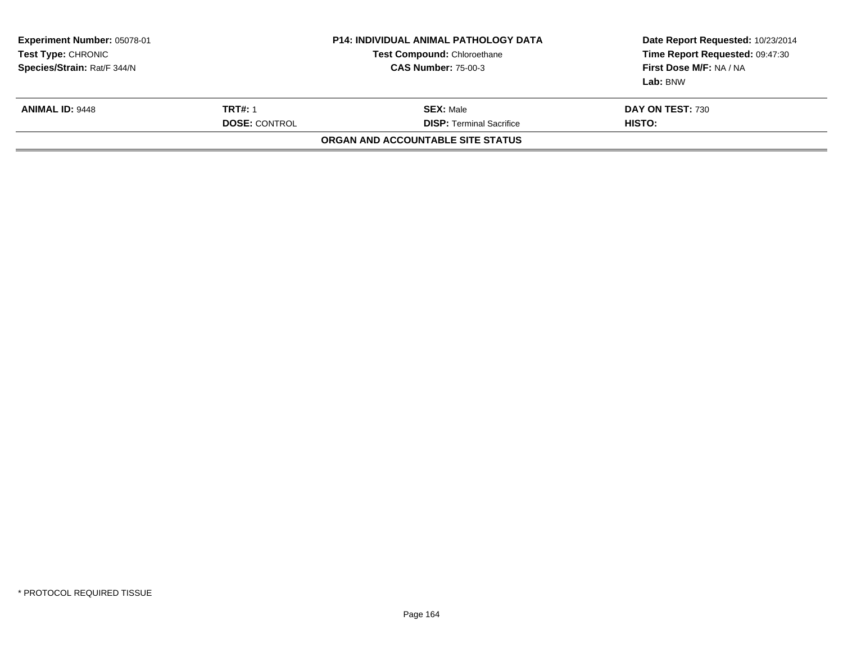| <b>Experiment Number: 05078-01</b><br><b>Test Type: CHRONIC</b><br>Species/Strain: Rat/F 344/N |                                        | <b>P14: INDIVIDUAL ANIMAL PATHOLOGY DATA</b><br>Test Compound: Chloroethane<br><b>CAS Number: 75-00-3</b> | Date Report Requested: 10/23/2014<br>Time Report Requested: 09:47:30<br>First Dose M/F: NA / NA<br>Lab: BNW |  |
|------------------------------------------------------------------------------------------------|----------------------------------------|-----------------------------------------------------------------------------------------------------------|-------------------------------------------------------------------------------------------------------------|--|
| <b>ANIMAL ID: 9448</b>                                                                         | <b>TRT#: 1</b><br><b>DOSE: CONTROL</b> | <b>SEX: Male</b><br><b>DISP:</b> Terminal Sacrifice                                                       | DAY ON TEST: 730<br>HISTO:                                                                                  |  |
|                                                                                                |                                        | ORGAN AND ACCOUNTABLE SITE STATUS                                                                         |                                                                                                             |  |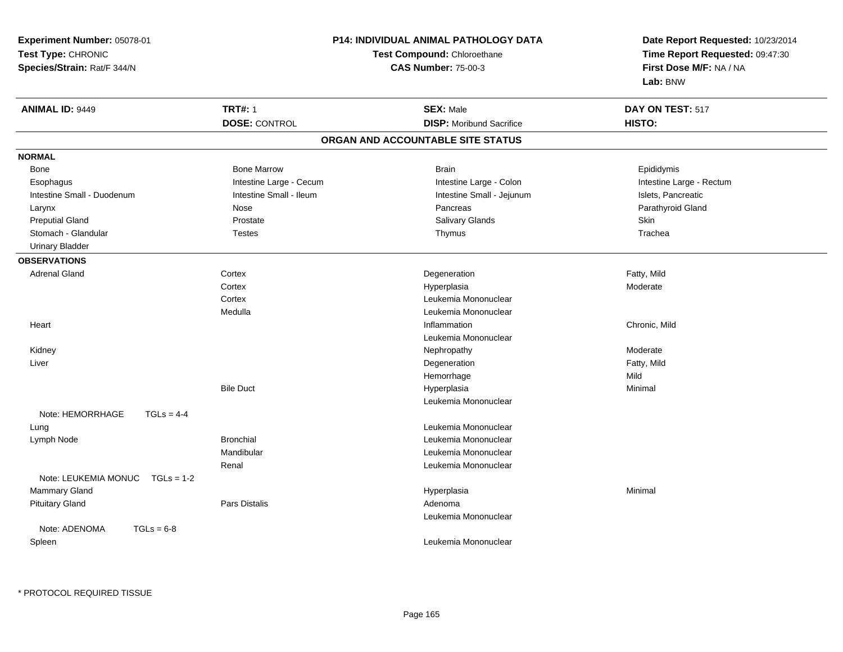| Experiment Number: 05078-01          |                         | <b>P14: INDIVIDUAL ANIMAL PATHOLOGY DATA</b> | Date Report Requested: 10/23/2014 |  |
|--------------------------------------|-------------------------|----------------------------------------------|-----------------------------------|--|
| Test Type: CHRONIC                   |                         | Test Compound: Chloroethane                  | Time Report Requested: 09:47:30   |  |
| Species/Strain: Rat/F 344/N          |                         | <b>CAS Number: 75-00-3</b>                   | First Dose M/F: NA / NA           |  |
|                                      |                         |                                              | Lab: BNW                          |  |
| <b>ANIMAL ID: 9449</b>               | <b>TRT#: 1</b>          | <b>SEX: Male</b>                             | DAY ON TEST: 517                  |  |
|                                      | <b>DOSE: CONTROL</b>    | <b>DISP:</b> Moribund Sacrifice              | HISTO:                            |  |
|                                      |                         | ORGAN AND ACCOUNTABLE SITE STATUS            |                                   |  |
| <b>NORMAL</b>                        |                         |                                              |                                   |  |
| Bone                                 | <b>Bone Marrow</b>      | <b>Brain</b>                                 | Epididymis                        |  |
| Esophagus                            | Intestine Large - Cecum | Intestine Large - Colon                      | Intestine Large - Rectum          |  |
| Intestine Small - Duodenum           | Intestine Small - Ileum | Intestine Small - Jejunum                    | Islets, Pancreatic                |  |
| Larynx                               | <b>Nose</b>             | Pancreas                                     | Parathyroid Gland                 |  |
| <b>Preputial Gland</b>               | Prostate                | <b>Salivary Glands</b>                       | Skin                              |  |
| Stomach - Glandular                  | <b>Testes</b>           | Thymus                                       | Trachea                           |  |
| <b>Urinary Bladder</b>               |                         |                                              |                                   |  |
| <b>OBSERVATIONS</b>                  |                         |                                              |                                   |  |
| <b>Adrenal Gland</b>                 | Cortex                  | Degeneration                                 | Fatty, Mild                       |  |
|                                      | Cortex                  | Hyperplasia                                  | Moderate                          |  |
|                                      | Cortex                  | Leukemia Mononuclear                         |                                   |  |
|                                      | Medulla                 | Leukemia Mononuclear                         |                                   |  |
| Heart                                |                         | Inflammation                                 | Chronic, Mild                     |  |
|                                      |                         | Leukemia Mononuclear                         |                                   |  |
| Kidney                               |                         | Nephropathy                                  | Moderate                          |  |
| Liver                                |                         | Degeneration                                 | Fatty, Mild                       |  |
|                                      |                         | Hemorrhage                                   | Mild                              |  |
|                                      | <b>Bile Duct</b>        | Hyperplasia                                  | Minimal                           |  |
|                                      |                         | Leukemia Mononuclear                         |                                   |  |
| Note: HEMORRHAGE<br>$TGLs = 4-4$     |                         |                                              |                                   |  |
| Lung                                 |                         | Leukemia Mononuclear                         |                                   |  |
| Lymph Node                           | <b>Bronchial</b>        | Leukemia Mononuclear                         |                                   |  |
|                                      | Mandibular              | Leukemia Mononuclear                         |                                   |  |
|                                      | Renal                   | Leukemia Mononuclear                         |                                   |  |
| Note: LEUKEMIA MONUC<br>$TGLs = 1-2$ |                         |                                              |                                   |  |
| Mammary Gland                        |                         | Hyperplasia                                  | Minimal                           |  |
| <b>Pituitary Gland</b>               | <b>Pars Distalis</b>    | Adenoma                                      |                                   |  |
|                                      |                         | Leukemia Mononuclear                         |                                   |  |
| Note: ADENOMA<br>$TGLs = 6-8$        |                         |                                              |                                   |  |
| Spleen                               |                         | Leukemia Mononuclear                         |                                   |  |
|                                      |                         |                                              |                                   |  |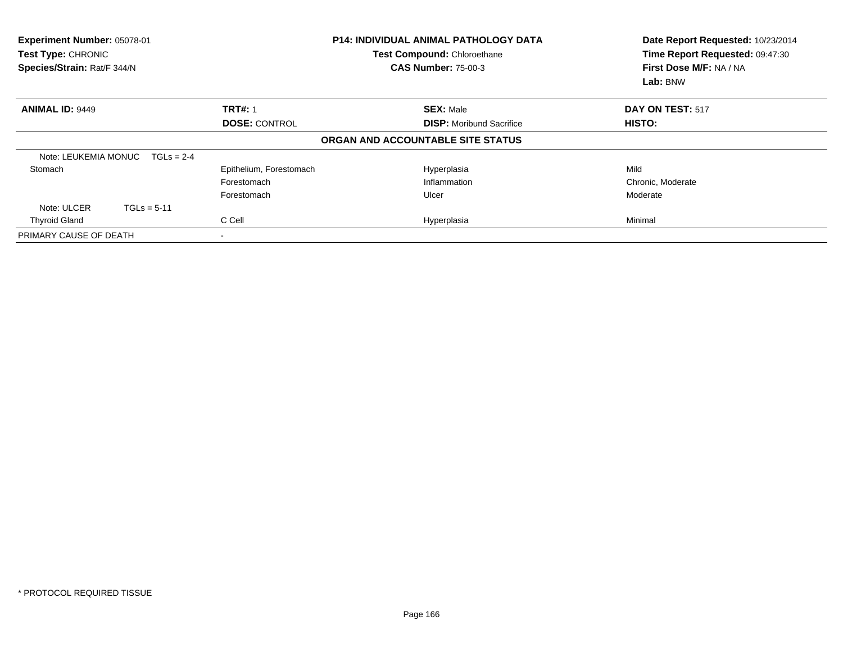| Experiment Number: 05078-01<br><b>Test Type: CHRONIC</b><br>Species/Strain: Rat/F 344/N |               |                         | <b>P14: INDIVIDUAL ANIMAL PATHOLOGY DATA</b><br>Test Compound: Chloroethane<br><b>CAS Number: 75-00-3</b> |  | Date Report Requested: 10/23/2014<br>Time Report Requested: 09:47:30<br>First Dose M/F: NA / NA<br>Lab: BNW |
|-----------------------------------------------------------------------------------------|---------------|-------------------------|-----------------------------------------------------------------------------------------------------------|--|-------------------------------------------------------------------------------------------------------------|
| <b>ANIMAL ID: 9449</b>                                                                  |               | <b>TRT#: 1</b>          | <b>SEX: Male</b>                                                                                          |  | DAY ON TEST: 517                                                                                            |
|                                                                                         |               | <b>DOSE: CONTROL</b>    | <b>DISP:</b> Moribund Sacrifice                                                                           |  | HISTO:                                                                                                      |
|                                                                                         |               |                         | ORGAN AND ACCOUNTABLE SITE STATUS                                                                         |  |                                                                                                             |
| Note: LEUKEMIA MONUC                                                                    | $TGLs = 2-4$  |                         |                                                                                                           |  |                                                                                                             |
| Stomach                                                                                 |               | Epithelium, Forestomach | Hyperplasia                                                                                               |  | Mild                                                                                                        |
|                                                                                         |               | Forestomach             | Inflammation                                                                                              |  | Chronic, Moderate                                                                                           |
|                                                                                         |               | Forestomach             | Ulcer                                                                                                     |  | Moderate                                                                                                    |
| Note: ULCER                                                                             | $TGLs = 5-11$ |                         |                                                                                                           |  |                                                                                                             |
| <b>Thyroid Gland</b>                                                                    |               | C Cell                  | Hyperplasia                                                                                               |  | Minimal                                                                                                     |
| PRIMARY CAUSE OF DEATH                                                                  |               |                         |                                                                                                           |  |                                                                                                             |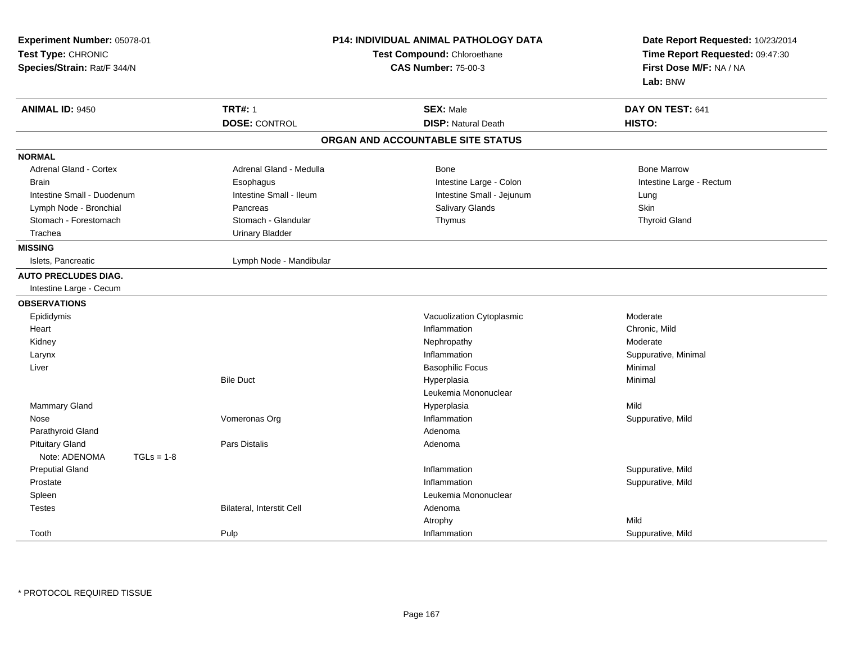| Experiment Number: 05078-01<br>Test Type: CHRONIC<br>Species/Strain: Rat/F 344/N |                                  | P14: INDIVIDUAL ANIMAL PATHOLOGY DATA<br>Test Compound: Chloroethane<br><b>CAS Number: 75-00-3</b> | Date Report Requested: 10/23/2014<br>Time Report Requested: 09:47:30<br>First Dose M/F: NA / NA<br>Lab: BNW |  |
|----------------------------------------------------------------------------------|----------------------------------|----------------------------------------------------------------------------------------------------|-------------------------------------------------------------------------------------------------------------|--|
| <b>ANIMAL ID: 9450</b>                                                           | <b>TRT#: 1</b>                   | <b>SEX: Male</b>                                                                                   | DAY ON TEST: 641                                                                                            |  |
|                                                                                  | <b>DOSE: CONTROL</b>             | <b>DISP: Natural Death</b>                                                                         | HISTO:                                                                                                      |  |
|                                                                                  |                                  | ORGAN AND ACCOUNTABLE SITE STATUS                                                                  |                                                                                                             |  |
| <b>NORMAL</b>                                                                    |                                  |                                                                                                    |                                                                                                             |  |
| <b>Adrenal Gland - Cortex</b>                                                    | Adrenal Gland - Medulla          | Bone                                                                                               | <b>Bone Marrow</b>                                                                                          |  |
| <b>Brain</b>                                                                     | Esophagus                        | Intestine Large - Colon                                                                            | Intestine Large - Rectum                                                                                    |  |
| Intestine Small - Duodenum                                                       | Intestine Small - Ileum          | Intestine Small - Jejunum                                                                          | Lung                                                                                                        |  |
| Lymph Node - Bronchial                                                           | Pancreas                         | Salivary Glands                                                                                    | Skin                                                                                                        |  |
| Stomach - Forestomach                                                            | Stomach - Glandular              | Thymus                                                                                             | <b>Thyroid Gland</b>                                                                                        |  |
| Trachea                                                                          | <b>Urinary Bladder</b>           |                                                                                                    |                                                                                                             |  |
| <b>MISSING</b>                                                                   |                                  |                                                                                                    |                                                                                                             |  |
| Islets, Pancreatic                                                               | Lymph Node - Mandibular          |                                                                                                    |                                                                                                             |  |
| <b>AUTO PRECLUDES DIAG.</b>                                                      |                                  |                                                                                                    |                                                                                                             |  |
| Intestine Large - Cecum                                                          |                                  |                                                                                                    |                                                                                                             |  |
| <b>OBSERVATIONS</b>                                                              |                                  |                                                                                                    |                                                                                                             |  |
| Epididymis                                                                       |                                  | Vacuolization Cytoplasmic                                                                          | Moderate                                                                                                    |  |
| Heart                                                                            |                                  | Inflammation                                                                                       | Chronic, Mild                                                                                               |  |
| Kidney                                                                           |                                  | Nephropathy                                                                                        | Moderate                                                                                                    |  |
| Larynx                                                                           |                                  | Inflammation                                                                                       | Suppurative, Minimal                                                                                        |  |
| Liver                                                                            |                                  | <b>Basophilic Focus</b>                                                                            | Minimal                                                                                                     |  |
|                                                                                  | <b>Bile Duct</b>                 | Hyperplasia                                                                                        | Minimal                                                                                                     |  |
|                                                                                  |                                  | Leukemia Mononuclear                                                                               |                                                                                                             |  |
| Mammary Gland                                                                    |                                  | Hyperplasia                                                                                        | Mild                                                                                                        |  |
| Nose                                                                             | Vomeronas Org                    | Inflammation                                                                                       | Suppurative, Mild                                                                                           |  |
| Parathyroid Gland                                                                |                                  | Adenoma                                                                                            |                                                                                                             |  |
| <b>Pituitary Gland</b>                                                           | <b>Pars Distalis</b>             | Adenoma                                                                                            |                                                                                                             |  |
| Note: ADENOMA<br>$TGLs = 1-8$                                                    |                                  |                                                                                                    |                                                                                                             |  |
| <b>Preputial Gland</b>                                                           |                                  | Inflammation                                                                                       | Suppurative, Mild                                                                                           |  |
| Prostate                                                                         |                                  | Inflammation                                                                                       | Suppurative, Mild                                                                                           |  |
| Spleen                                                                           |                                  | Leukemia Mononuclear                                                                               |                                                                                                             |  |
| <b>Testes</b>                                                                    | <b>Bilateral, Interstit Cell</b> | Adenoma                                                                                            |                                                                                                             |  |
|                                                                                  |                                  | Atrophy                                                                                            | Mild                                                                                                        |  |
| Tooth                                                                            | Pulp                             | Inflammation                                                                                       | Suppurative, Mild                                                                                           |  |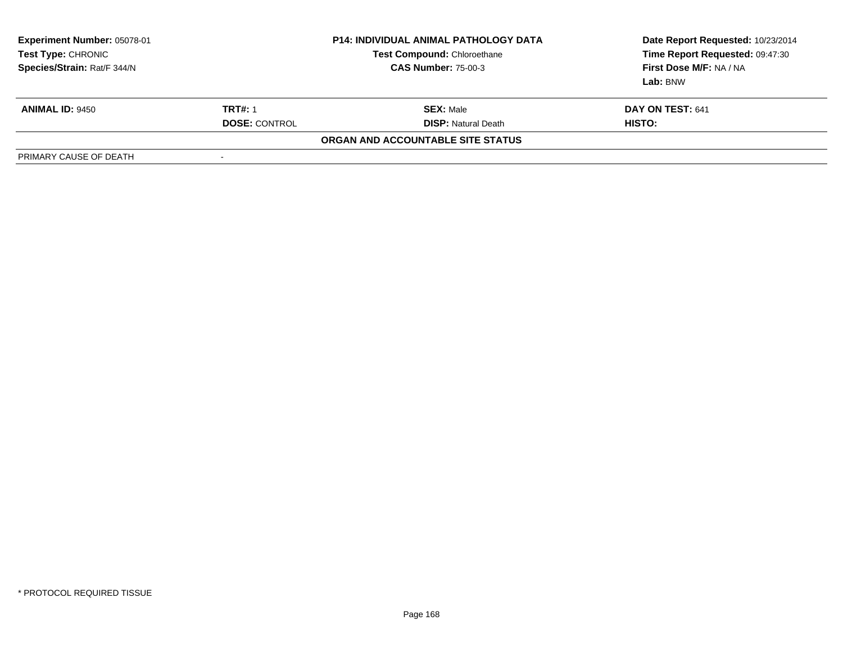| <b>Experiment Number: 05078-01</b><br><b>Test Type: CHRONIC</b><br>Species/Strain: Rat/F 344/N |                          | <b>P14: INDIVIDUAL ANIMAL PATHOLOGY DATA</b><br><b>Test Compound: Chloroethane</b><br><b>CAS Number: 75-00-3</b> | Date Report Requested: 10/23/2014<br>Time Report Requested: 09:47:30<br>First Dose M/F: NA / NA<br>Lab: BNW |
|------------------------------------------------------------------------------------------------|--------------------------|------------------------------------------------------------------------------------------------------------------|-------------------------------------------------------------------------------------------------------------|
| <b>ANIMAL ID: 9450</b>                                                                         | <b>TRT#: 1</b>           | <b>SEX:</b> Male                                                                                                 | DAY ON TEST: 641                                                                                            |
|                                                                                                | <b>DOSE: CONTROL</b>     | <b>DISP:</b> Natural Death                                                                                       | HISTO:                                                                                                      |
|                                                                                                |                          | ORGAN AND ACCOUNTABLE SITE STATUS                                                                                |                                                                                                             |
| PRIMARY CAUSE OF DEATH                                                                         | $\overline{\phantom{a}}$ |                                                                                                                  |                                                                                                             |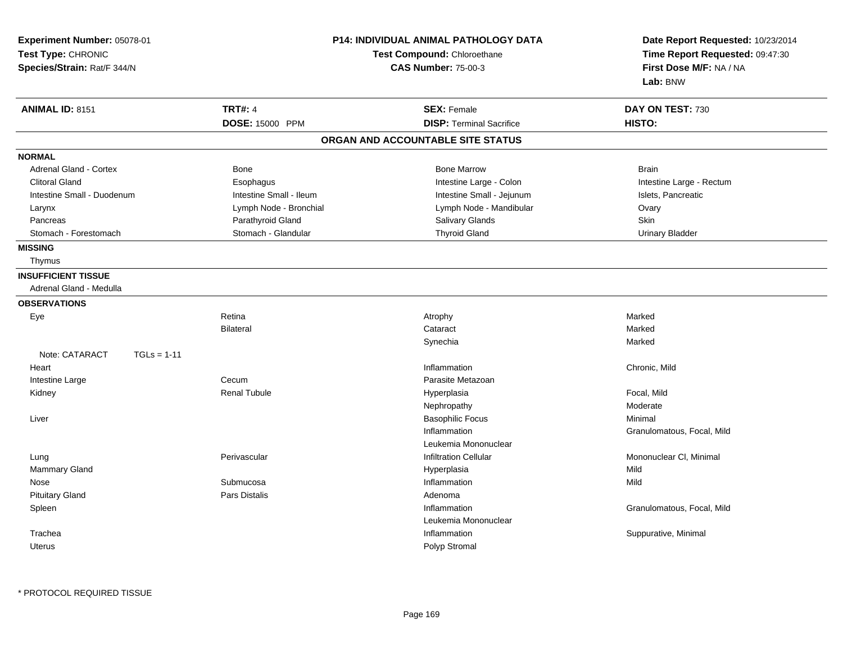| Experiment Number: 05078-01<br>Test Type: CHRONIC<br>Species/Strain: Rat/F 344/N |                         | <b>P14: INDIVIDUAL ANIMAL PATHOLOGY DATA</b><br>Test Compound: Chloroethane<br><b>CAS Number: 75-00-3</b> | Date Report Requested: 10/23/2014<br>Time Report Requested: 09:47:30<br>First Dose M/F: NA / NA<br>Lab: BNW |  |
|----------------------------------------------------------------------------------|-------------------------|-----------------------------------------------------------------------------------------------------------|-------------------------------------------------------------------------------------------------------------|--|
| <b>ANIMAL ID: 8151</b>                                                           | <b>TRT#: 4</b>          | <b>SEX: Female</b>                                                                                        | DAY ON TEST: 730                                                                                            |  |
|                                                                                  | DOSE: 15000 PPM         | <b>DISP: Terminal Sacrifice</b>                                                                           | HISTO:                                                                                                      |  |
|                                                                                  |                         | ORGAN AND ACCOUNTABLE SITE STATUS                                                                         |                                                                                                             |  |
| <b>NORMAL</b>                                                                    |                         |                                                                                                           |                                                                                                             |  |
| <b>Adrenal Gland - Cortex</b>                                                    | Bone                    | <b>Bone Marrow</b>                                                                                        | <b>Brain</b>                                                                                                |  |
| <b>Clitoral Gland</b>                                                            | Esophagus               | Intestine Large - Colon                                                                                   | Intestine Large - Rectum                                                                                    |  |
| Intestine Small - Duodenum                                                       | Intestine Small - Ileum | Intestine Small - Jejunum                                                                                 | Islets, Pancreatic                                                                                          |  |
| Larynx                                                                           | Lymph Node - Bronchial  | Lymph Node - Mandibular                                                                                   | Ovary                                                                                                       |  |
| Pancreas                                                                         | Parathyroid Gland       | Salivary Glands                                                                                           | <b>Skin</b>                                                                                                 |  |
| Stomach - Forestomach                                                            | Stomach - Glandular     | <b>Thyroid Gland</b>                                                                                      | <b>Urinary Bladder</b>                                                                                      |  |
| <b>MISSING</b>                                                                   |                         |                                                                                                           |                                                                                                             |  |
| Thymus                                                                           |                         |                                                                                                           |                                                                                                             |  |
| <b>INSUFFICIENT TISSUE</b>                                                       |                         |                                                                                                           |                                                                                                             |  |
| Adrenal Gland - Medulla                                                          |                         |                                                                                                           |                                                                                                             |  |
| <b>OBSERVATIONS</b>                                                              |                         |                                                                                                           |                                                                                                             |  |
| Eye                                                                              | Retina                  | Atrophy                                                                                                   | Marked                                                                                                      |  |
|                                                                                  | <b>Bilateral</b>        | Cataract                                                                                                  | Marked                                                                                                      |  |
|                                                                                  |                         | Synechia                                                                                                  | Marked                                                                                                      |  |
| Note: CATARACT<br>$TGLs = 1-11$                                                  |                         |                                                                                                           |                                                                                                             |  |
| Heart                                                                            |                         | Inflammation                                                                                              | Chronic, Mild                                                                                               |  |
| Intestine Large                                                                  | Cecum                   | Parasite Metazoan                                                                                         |                                                                                                             |  |
| Kidney                                                                           | <b>Renal Tubule</b>     | Hyperplasia                                                                                               | Focal, Mild                                                                                                 |  |
|                                                                                  |                         | Nephropathy                                                                                               | Moderate                                                                                                    |  |
| Liver                                                                            |                         | <b>Basophilic Focus</b>                                                                                   | Minimal                                                                                                     |  |
|                                                                                  |                         | Inflammation                                                                                              | Granulomatous, Focal, Mild                                                                                  |  |
|                                                                                  |                         | Leukemia Mononuclear                                                                                      |                                                                                                             |  |
| Lung                                                                             | Perivascular            | <b>Infiltration Cellular</b>                                                                              | Mononuclear CI, Minimal                                                                                     |  |
| Mammary Gland                                                                    |                         | Hyperplasia                                                                                               | Mild                                                                                                        |  |
| Nose                                                                             | Submucosa               | Inflammation                                                                                              | Mild                                                                                                        |  |
| <b>Pituitary Gland</b>                                                           | <b>Pars Distalis</b>    | Adenoma                                                                                                   |                                                                                                             |  |
| Spleen                                                                           |                         | Inflammation                                                                                              | Granulomatous, Focal, Mild                                                                                  |  |
|                                                                                  |                         | Leukemia Mononuclear                                                                                      |                                                                                                             |  |
| Trachea                                                                          |                         | Inflammation                                                                                              | Suppurative, Minimal                                                                                        |  |
| <b>Uterus</b>                                                                    |                         | Polyp Stromal                                                                                             |                                                                                                             |  |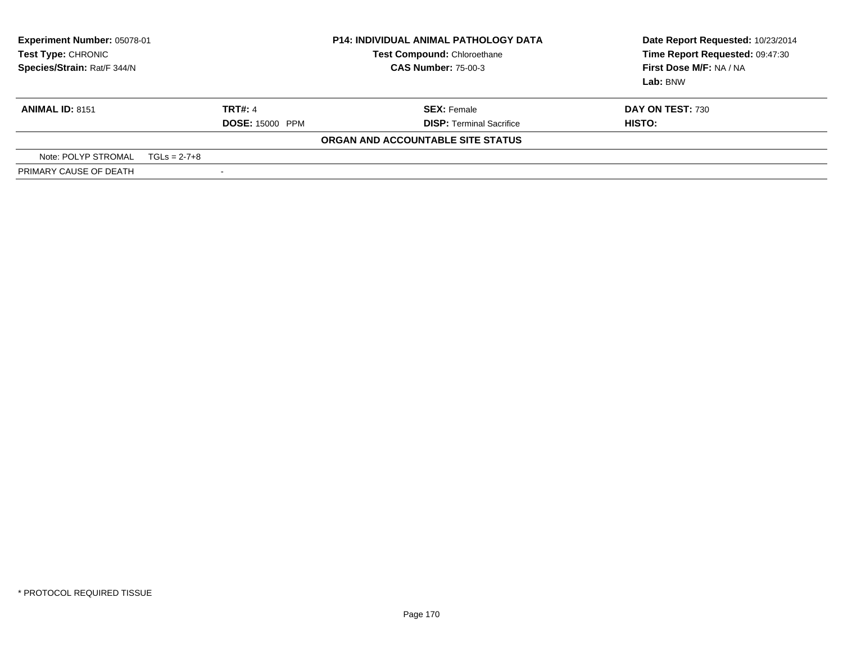| <b>Experiment Number: 05078-01</b><br><b>Test Type: CHRONIC</b><br>Species/Strain: Rat/F 344/N | <b>P14: INDIVIDUAL ANIMAL PATHOLOGY DATA</b><br><b>Test Compound: Chloroethane</b><br><b>CAS Number: 75-00-3</b> |                                          | Date Report Requested: 10/23/2014<br>Time Report Requested: 09:47:30<br>First Dose M/F: NA / NA<br>Lab: BNW |                            |
|------------------------------------------------------------------------------------------------|------------------------------------------------------------------------------------------------------------------|------------------------------------------|-------------------------------------------------------------------------------------------------------------|----------------------------|
| <b>ANIMAL ID: 8151</b>                                                                         |                                                                                                                  | <b>TRT#: 4</b><br><b>DOSE: 15000 PPM</b> | <b>SEX:</b> Female<br><b>DISP: Terminal Sacrifice</b>                                                       | DAY ON TEST: 730<br>HISTO: |
|                                                                                                |                                                                                                                  |                                          | ORGAN AND ACCOUNTABLE SITE STATUS                                                                           |                            |
| Note: POLYP STROMAL                                                                            | $TGLs = 2-7+8$                                                                                                   |                                          |                                                                                                             |                            |
| PRIMARY CAUSE OF DEATH                                                                         |                                                                                                                  |                                          |                                                                                                             |                            |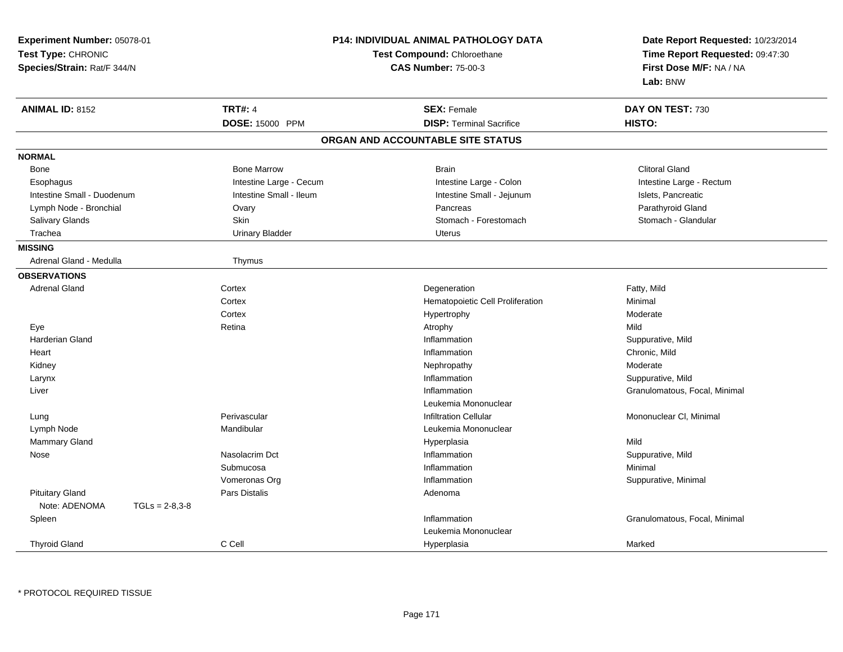| Experiment Number: 05078-01<br>Test Type: CHRONIC<br>Species/Strain: Rat/F 344/N |                         | <b>P14: INDIVIDUAL ANIMAL PATHOLOGY DATA</b><br><b>Test Compound: Chloroethane</b><br><b>CAS Number: 75-00-3</b> | Date Report Requested: 10/23/2014<br>Time Report Requested: 09:47:30<br>First Dose M/F: NA / NA<br>Lab: BNW |
|----------------------------------------------------------------------------------|-------------------------|------------------------------------------------------------------------------------------------------------------|-------------------------------------------------------------------------------------------------------------|
| <b>ANIMAL ID: 8152</b>                                                           | <b>TRT#: 4</b>          | <b>SEX: Female</b>                                                                                               | DAY ON TEST: 730                                                                                            |
|                                                                                  | DOSE: 15000 PPM         | <b>DISP: Terminal Sacrifice</b>                                                                                  | HISTO:                                                                                                      |
|                                                                                  |                         | ORGAN AND ACCOUNTABLE SITE STATUS                                                                                |                                                                                                             |
| <b>NORMAL</b>                                                                    |                         |                                                                                                                  |                                                                                                             |
| Bone                                                                             | <b>Bone Marrow</b>      | <b>Brain</b>                                                                                                     | <b>Clitoral Gland</b>                                                                                       |
| Esophagus                                                                        | Intestine Large - Cecum | Intestine Large - Colon                                                                                          | Intestine Large - Rectum                                                                                    |
| Intestine Small - Duodenum                                                       | Intestine Small - Ileum | Intestine Small - Jejunum                                                                                        | Islets, Pancreatic                                                                                          |
| Lymph Node - Bronchial                                                           | Ovary                   | Pancreas                                                                                                         | Parathyroid Gland                                                                                           |
| Salivary Glands                                                                  | Skin                    | Stomach - Forestomach                                                                                            | Stomach - Glandular                                                                                         |
| Trachea                                                                          | <b>Urinary Bladder</b>  | <b>Uterus</b>                                                                                                    |                                                                                                             |
| <b>MISSING</b>                                                                   |                         |                                                                                                                  |                                                                                                             |
| Adrenal Gland - Medulla                                                          | Thymus                  |                                                                                                                  |                                                                                                             |
| <b>OBSERVATIONS</b>                                                              |                         |                                                                                                                  |                                                                                                             |
| <b>Adrenal Gland</b>                                                             | Cortex                  | Degeneration                                                                                                     | Fatty, Mild                                                                                                 |
|                                                                                  | Cortex                  | Hematopoietic Cell Proliferation                                                                                 | Minimal                                                                                                     |
|                                                                                  | Cortex                  | Hypertrophy                                                                                                      | Moderate                                                                                                    |
| Eye                                                                              | Retina                  | Atrophy                                                                                                          | Mild                                                                                                        |
| <b>Harderian Gland</b>                                                           |                         | Inflammation                                                                                                     | Suppurative, Mild                                                                                           |
| Heart                                                                            |                         | Inflammation                                                                                                     | Chronic, Mild                                                                                               |
| Kidney                                                                           |                         | Nephropathy                                                                                                      | Moderate                                                                                                    |
| Larynx                                                                           |                         | Inflammation                                                                                                     | Suppurative, Mild                                                                                           |
| Liver                                                                            |                         | Inflammation                                                                                                     | Granulomatous, Focal, Minimal                                                                               |
|                                                                                  |                         | Leukemia Mononuclear                                                                                             |                                                                                                             |
| Lung                                                                             | Perivascular            | <b>Infiltration Cellular</b>                                                                                     | Mononuclear CI, Minimal                                                                                     |
| Lymph Node                                                                       | Mandibular              | Leukemia Mononuclear                                                                                             |                                                                                                             |
| <b>Mammary Gland</b>                                                             |                         | Hyperplasia                                                                                                      | Mild                                                                                                        |
| Nose                                                                             | Nasolacrim Dct          | Inflammation                                                                                                     | Suppurative, Mild                                                                                           |
|                                                                                  | Submucosa               | Inflammation                                                                                                     | Minimal                                                                                                     |
|                                                                                  | Vomeronas Org           | Inflammation                                                                                                     | Suppurative, Minimal                                                                                        |
| <b>Pituitary Gland</b>                                                           | Pars Distalis           | Adenoma                                                                                                          |                                                                                                             |
| Note: ADENOMA<br>$TGLs = 2-8,3-8$                                                |                         |                                                                                                                  |                                                                                                             |
| Spleen                                                                           |                         | Inflammation                                                                                                     | Granulomatous, Focal, Minimal                                                                               |
|                                                                                  |                         | Leukemia Mononuclear                                                                                             |                                                                                                             |
| <b>Thyroid Gland</b>                                                             | C Cell                  | Hyperplasia                                                                                                      | Marked                                                                                                      |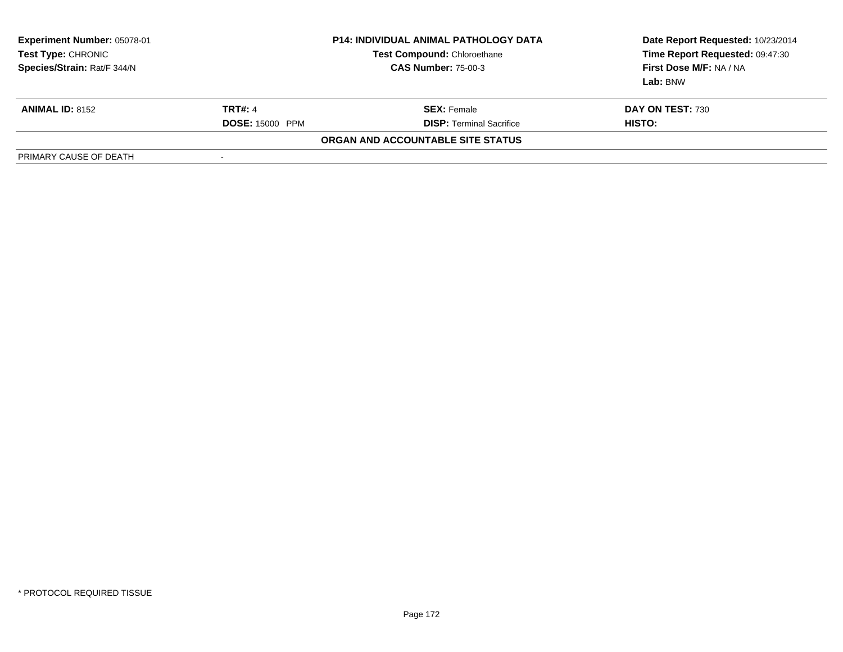| <b>Experiment Number: 05078-01</b><br>Test Type: CHRONIC<br>Species/Strain: Rat/F 344/N |                        | <b>P14: INDIVIDUAL ANIMAL PATHOLOGY DATA</b><br><b>Test Compound: Chloroethane</b><br><b>CAS Number: 75-00-3</b> | Date Report Requested: 10/23/2014<br>Time Report Requested: 09:47:30<br>First Dose M/F: NA / NA<br>Lab: BNW |
|-----------------------------------------------------------------------------------------|------------------------|------------------------------------------------------------------------------------------------------------------|-------------------------------------------------------------------------------------------------------------|
| <b>ANIMAL ID: 8152</b>                                                                  | <b>TRT#: 4</b>         | <b>SEX: Female</b>                                                                                               | <b>DAY ON TEST: 730</b>                                                                                     |
|                                                                                         | <b>DOSE: 15000 PPM</b> | <b>DISP: Terminal Sacrifice</b>                                                                                  | HISTO:                                                                                                      |
|                                                                                         |                        | ORGAN AND ACCOUNTABLE SITE STATUS                                                                                |                                                                                                             |
| PRIMARY CAUSE OF DEATH                                                                  | -                      |                                                                                                                  |                                                                                                             |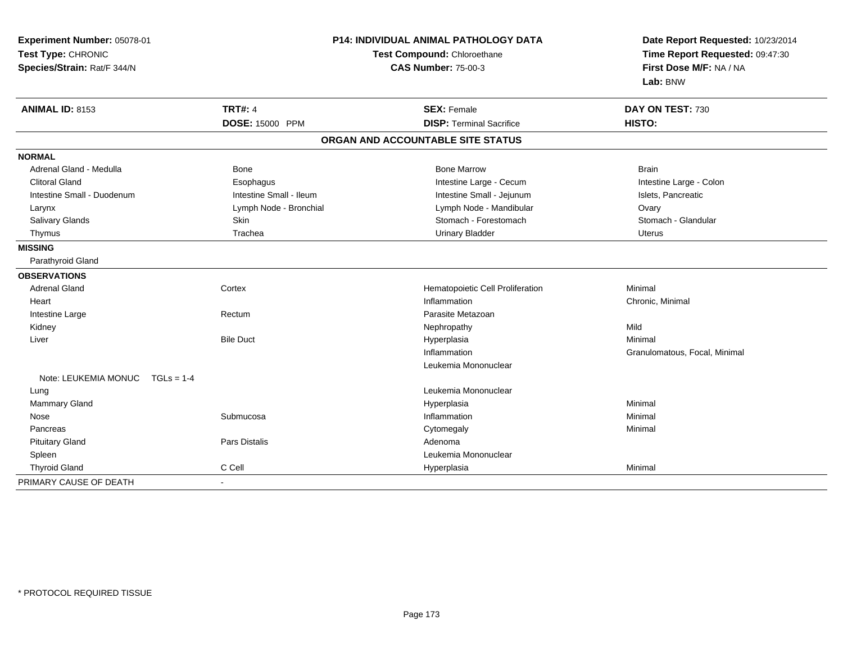| Experiment Number: 05078-01<br>Test Type: CHRONIC<br>Species/Strain: Rat/F 344/N |                         | <b>P14: INDIVIDUAL ANIMAL PATHOLOGY DATA</b><br>Test Compound: Chloroethane<br><b>CAS Number: 75-00-3</b> | Date Report Requested: 10/23/2014<br>Time Report Requested: 09:47:30<br>First Dose M/F: NA / NA<br>Lab: BNW |  |
|----------------------------------------------------------------------------------|-------------------------|-----------------------------------------------------------------------------------------------------------|-------------------------------------------------------------------------------------------------------------|--|
| <b>ANIMAL ID: 8153</b>                                                           | <b>TRT#: 4</b>          | <b>SEX: Female</b>                                                                                        | DAY ON TEST: 730                                                                                            |  |
|                                                                                  | DOSE: 15000 PPM         | <b>DISP: Terminal Sacrifice</b>                                                                           | HISTO:                                                                                                      |  |
|                                                                                  |                         | ORGAN AND ACCOUNTABLE SITE STATUS                                                                         |                                                                                                             |  |
| <b>NORMAL</b>                                                                    |                         |                                                                                                           |                                                                                                             |  |
| Adrenal Gland - Medulla                                                          | <b>Bone</b>             | <b>Bone Marrow</b>                                                                                        | <b>Brain</b>                                                                                                |  |
| <b>Clitoral Gland</b>                                                            | Esophagus               | Intestine Large - Cecum                                                                                   | Intestine Large - Colon                                                                                     |  |
| Intestine Small - Duodenum                                                       | Intestine Small - Ileum | Intestine Small - Jejunum                                                                                 | Islets, Pancreatic                                                                                          |  |
| Larynx                                                                           | Lymph Node - Bronchial  | Lymph Node - Mandibular                                                                                   | Ovary                                                                                                       |  |
| Salivary Glands                                                                  | Skin                    | Stomach - Forestomach                                                                                     | Stomach - Glandular                                                                                         |  |
| Thymus                                                                           | Trachea                 | <b>Urinary Bladder</b>                                                                                    | <b>Uterus</b>                                                                                               |  |
| <b>MISSING</b>                                                                   |                         |                                                                                                           |                                                                                                             |  |
| Parathyroid Gland                                                                |                         |                                                                                                           |                                                                                                             |  |
| <b>OBSERVATIONS</b>                                                              |                         |                                                                                                           |                                                                                                             |  |
| <b>Adrenal Gland</b>                                                             | Cortex                  | Hematopoietic Cell Proliferation                                                                          | Minimal                                                                                                     |  |
| Heart                                                                            |                         | Inflammation                                                                                              | Chronic, Minimal                                                                                            |  |
| Intestine Large                                                                  | Rectum                  | Parasite Metazoan                                                                                         |                                                                                                             |  |
| Kidney                                                                           |                         | Nephropathy                                                                                               | Mild                                                                                                        |  |
| Liver                                                                            | <b>Bile Duct</b>        | Hyperplasia                                                                                               | Minimal                                                                                                     |  |
|                                                                                  |                         | Inflammation                                                                                              | Granulomatous, Focal, Minimal                                                                               |  |
|                                                                                  |                         | Leukemia Mononuclear                                                                                      |                                                                                                             |  |
| Note: LEUKEMIA MONUC                                                             | $TGLs = 1-4$            |                                                                                                           |                                                                                                             |  |
| Lung                                                                             |                         | Leukemia Mononuclear                                                                                      |                                                                                                             |  |
| Mammary Gland                                                                    |                         | Hyperplasia                                                                                               | Minimal                                                                                                     |  |
| Nose                                                                             | Submucosa               | Inflammation                                                                                              | Minimal                                                                                                     |  |
| Pancreas                                                                         |                         | Cytomegaly                                                                                                | Minimal                                                                                                     |  |
| <b>Pituitary Gland</b>                                                           | Pars Distalis           | Adenoma                                                                                                   |                                                                                                             |  |
| Spleen                                                                           |                         | Leukemia Mononuclear                                                                                      |                                                                                                             |  |
| <b>Thyroid Gland</b>                                                             | C Cell                  | Hyperplasia                                                                                               | Minimal                                                                                                     |  |
| PRIMARY CAUSE OF DEATH                                                           | $\blacksquare$          |                                                                                                           |                                                                                                             |  |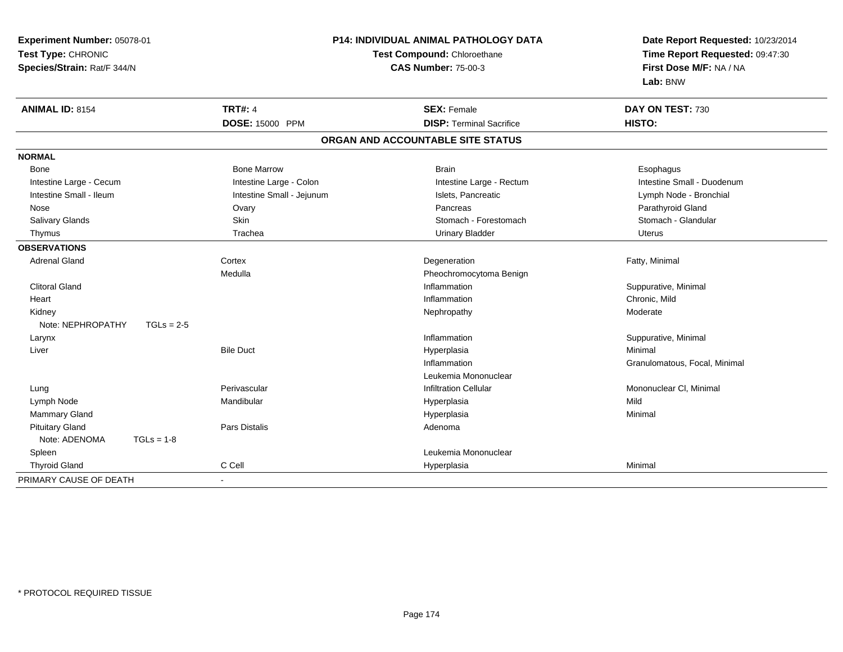| Experiment Number: 05078-01 |                           | P14: INDIVIDUAL ANIMAL PATHOLOGY DATA | Date Report Requested: 10/23/2014<br>Time Report Requested: 09:47:30<br>First Dose M/F: NA / NA |
|-----------------------------|---------------------------|---------------------------------------|-------------------------------------------------------------------------------------------------|
| Test Type: CHRONIC          |                           | Test Compound: Chloroethane           |                                                                                                 |
| Species/Strain: Rat/F 344/N |                           | <b>CAS Number: 75-00-3</b>            |                                                                                                 |
|                             |                           |                                       | Lab: BNW                                                                                        |
| <b>ANIMAL ID: 8154</b>      | <b>TRT#: 4</b>            | <b>SEX: Female</b>                    | DAY ON TEST: 730                                                                                |
|                             | DOSE: 15000 PPM           | <b>DISP: Terminal Sacrifice</b>       | <b>HISTO:</b>                                                                                   |
|                             |                           | ORGAN AND ACCOUNTABLE SITE STATUS     |                                                                                                 |
| <b>NORMAL</b>               |                           |                                       |                                                                                                 |
| Bone                        | <b>Bone Marrow</b>        | <b>Brain</b>                          | Esophagus                                                                                       |
| Intestine Large - Cecum     | Intestine Large - Colon   | Intestine Large - Rectum              | Intestine Small - Duodenum                                                                      |
| Intestine Small - Ileum     | Intestine Small - Jejunum | Islets, Pancreatic                    | Lymph Node - Bronchial                                                                          |
| Nose                        | Ovary                     | Pancreas                              | Parathyroid Gland                                                                               |
| Salivary Glands             | Skin                      | Stomach - Forestomach                 | Stomach - Glandular                                                                             |
| Thymus                      | Trachea                   | <b>Urinary Bladder</b>                | <b>Uterus</b>                                                                                   |
| <b>OBSERVATIONS</b>         |                           |                                       |                                                                                                 |
| <b>Adrenal Gland</b>        | Cortex                    | Degeneration                          | Fatty, Minimal                                                                                  |
|                             | Medulla                   | Pheochromocytoma Benign               |                                                                                                 |
| <b>Clitoral Gland</b>       |                           | Inflammation                          | Suppurative, Minimal                                                                            |
| Heart                       |                           | Inflammation                          | Chronic, Mild                                                                                   |
| Kidney                      |                           | Nephropathy                           | Moderate                                                                                        |
| Note: NEPHROPATHY           | $TGLs = 2-5$              |                                       |                                                                                                 |
| Larynx                      |                           | Inflammation                          | Suppurative, Minimal                                                                            |
| Liver                       | <b>Bile Duct</b>          | Hyperplasia                           | Minimal                                                                                         |
|                             |                           | Inflammation                          | Granulomatous, Focal, Minimal                                                                   |
|                             |                           | Leukemia Mononuclear                  |                                                                                                 |
| Lung                        | Perivascular              | <b>Infiltration Cellular</b>          | Mononuclear CI, Minimal                                                                         |
| Lymph Node                  | Mandibular                | Hyperplasia                           | Mild                                                                                            |
| Mammary Gland               |                           | Hyperplasia                           | Minimal                                                                                         |
| <b>Pituitary Gland</b>      | Pars Distalis             | Adenoma                               |                                                                                                 |
| Note: ADENOMA               | $TGLs = 1-8$              |                                       |                                                                                                 |
| Spleen                      |                           | Leukemia Mononuclear                  |                                                                                                 |
| <b>Thyroid Gland</b>        | C Cell                    | Hyperplasia                           | Minimal                                                                                         |
| PRIMARY CAUSE OF DEATH      | $\blacksquare$            |                                       |                                                                                                 |
|                             |                           |                                       |                                                                                                 |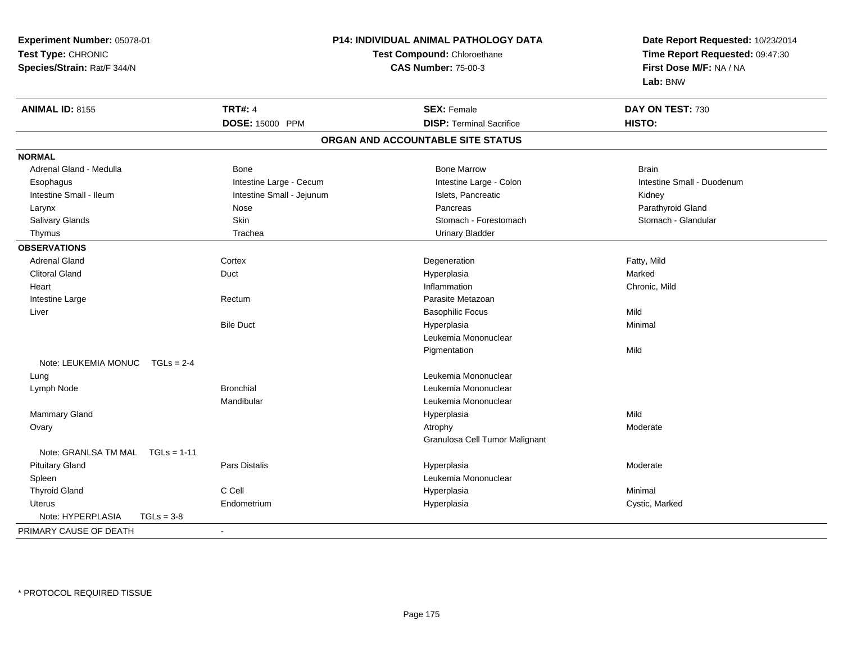| Experiment Number: 05078-01           |                           | P14: INDIVIDUAL ANIMAL PATHOLOGY DATA | Date Report Requested: 10/23/2014 |  |
|---------------------------------------|---------------------------|---------------------------------------|-----------------------------------|--|
| Test Type: CHRONIC                    |                           | Test Compound: Chloroethane           | Time Report Requested: 09:47:30   |  |
| Species/Strain: Rat/F 344/N           |                           | <b>CAS Number: 75-00-3</b>            | First Dose M/F: NA / NA           |  |
|                                       |                           |                                       | Lab: BNW                          |  |
| <b>ANIMAL ID: 8155</b>                | <b>TRT#: 4</b>            | <b>SEX: Female</b>                    | DAY ON TEST: 730                  |  |
|                                       | DOSE: 15000 PPM           | <b>DISP: Terminal Sacrifice</b>       | HISTO:                            |  |
|                                       |                           | ORGAN AND ACCOUNTABLE SITE STATUS     |                                   |  |
| <b>NORMAL</b>                         |                           |                                       |                                   |  |
| Adrenal Gland - Medulla               | <b>Bone</b>               | <b>Bone Marrow</b>                    | <b>Brain</b>                      |  |
| Esophagus                             | Intestine Large - Cecum   | Intestine Large - Colon               | Intestine Small - Duodenum        |  |
| Intestine Small - Ileum               | Intestine Small - Jejunum | Islets, Pancreatic                    | Kidney                            |  |
| Larynx                                | Nose                      | Pancreas                              | Parathyroid Gland                 |  |
| Salivary Glands                       | Skin                      | Stomach - Forestomach                 | Stomach - Glandular               |  |
| Thymus                                | Trachea                   | <b>Urinary Bladder</b>                |                                   |  |
| <b>OBSERVATIONS</b>                   |                           |                                       |                                   |  |
| <b>Adrenal Gland</b>                  | Cortex                    | Degeneration                          | Fatty, Mild                       |  |
| <b>Clitoral Gland</b>                 | Duct                      | Hyperplasia                           | Marked                            |  |
| Heart                                 |                           | Inflammation                          | Chronic, Mild                     |  |
| Intestine Large                       | Rectum                    | Parasite Metazoan                     |                                   |  |
| Liver                                 |                           | <b>Basophilic Focus</b>               | Mild                              |  |
|                                       | <b>Bile Duct</b>          | Hyperplasia                           | Minimal                           |  |
|                                       |                           | Leukemia Mononuclear                  |                                   |  |
|                                       |                           | Pigmentation                          | Mild                              |  |
| Note: LEUKEMIA MONUC<br>$TGLs = 2-4$  |                           |                                       |                                   |  |
| Lung                                  |                           | Leukemia Mononuclear                  |                                   |  |
| Lymph Node                            | <b>Bronchial</b>          | Leukemia Mononuclear                  |                                   |  |
|                                       | Mandibular                | Leukemia Mononuclear                  |                                   |  |
| Mammary Gland                         |                           | Hyperplasia                           | Mild                              |  |
| Ovary                                 |                           | Atrophy                               | Moderate                          |  |
|                                       |                           | Granulosa Cell Tumor Malignant        |                                   |  |
| Note: GRANLSA TM MAL<br>$TGLs = 1-11$ |                           |                                       |                                   |  |
| <b>Pituitary Gland</b>                | Pars Distalis             | Hyperplasia                           | Moderate                          |  |
| Spleen                                |                           | Leukemia Mononuclear                  |                                   |  |
| <b>Thyroid Gland</b>                  | C Cell                    | Hyperplasia                           | Minimal                           |  |
| Uterus                                | Endometrium               | Hyperplasia                           | Cystic, Marked                    |  |
| Note: HYPERPLASIA<br>$TGLs = 3-8$     |                           |                                       |                                   |  |
| PRIMARY CAUSE OF DEATH                | $\sim$                    |                                       |                                   |  |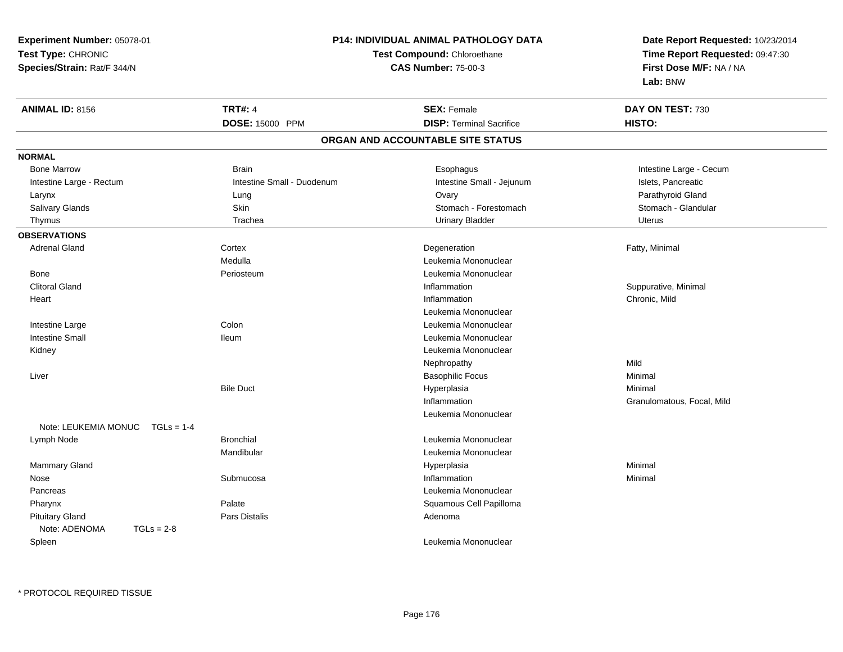**Experiment Number:** 05078-01**Test Type:** CHRONIC **Species/Strain:** Rat/F 344/N**P14: INDIVIDUAL ANIMAL PATHOLOGY DATATest Compound:** Chloroethane**CAS Number:** 75-00-3**Date Report Requested:** 10/23/2014**Time Report Requested:** 09:47:30**First Dose M/F:** NA / NA**Lab:** BNW**ANIMAL ID:** 8156**6 DAY ON TEST:** 730 **DOSE:** 15000 PPM**DISP:** Terminal Sacrifice **HISTO: ORGAN AND ACCOUNTABLE SITE STATUSNORMALBone Marrow** Brain **Brain Esophagus** Esophagus **Intestine Large - Cecum** Intestine Large - Rectum **Intestine Small - Duodenum** Intestine Small - Jejunum Intestine Small - Jejunum Islets, Pancreatic Parathyroid Gland Larynx Lung Ovary Parathyroid GlandStomach - Glandular Salivary Glands **Skin Stomach - Forestomach - Skin** Skin Stomach - Forestomach - Stomach - Forestomach - Stomach - Glandular Stomach - Stomach - Stomach - Stomach - Stomach - Stomach - Stomach - Stomach - Stomach - Stomach Thymus and the Urinary School of Trachea Urinary Bladder Urinary Bladder Chronicle Urinary Bladder Urinary Bladder **OBSERVATIONS** Adrenal Glandd and the Cortex Cortex of the Cortex of the Cortex of the Cortex of the Cortex of the Degeneration of the Cortex of the Cortex of the Degeneration of the Cortex of the Cortex of the Cortex of the Cortex of the Cortex of t Medulla Leukemia Mononuclear Bone PeriosteumLeukemia Mononuclear<br>Inflammation Clitoral Glandd in the suppurative, Minimal of the Suppurative, Minimal of the Suppurative, Minimal of the Suppurative, Minimal of the Suppurative, Minimal of the Suppurative, Minimal of the Suppurative,  $\alpha$ **Heart** t the contract of the contract of the contract of the contract of the contract of the contract of the contract of the contract of the contract of the contract of the contract of the contract of the contract of the contract Inflammation Chronic, Mild Leukemia Mononuclear Intestine Large Colon Leukemia Mononuclear Intestine Small Ileum Leukemia Mononuclear Kidney Leukemia Mononuclear Nephropathyy Mild Minimal Liver Basophilic Focuss Minimal Bile Duct Hyperplasiaa and a studies of the studies of the Minimal Inflammation Granulomatous, Focal, Mild Leukemia MononuclearNote: LEUKEMIA MONUC TGLs = 1-4 Lymph NodeBronchial **Contract Contract Contract Contract Contract Contract Contract Contract Contract Contract Contract Contract Contract Contract Contract Contract Contract Contract Contract Contract Contract Contract Contract Cont** Mandibular Leukemia Mononuclear Mammary Glandd and the control of the control of the control of the Hyperplasia and the control of the Minimal of the control of the control of the control of the control of the control of the control of the control of the control of t Nose Submucosa Inflammation Minimal Pancreas Leukemia Mononuclear Pharynxx Palate Palate **Call Papilloma Cell Papilloma Cell Papilloma**  Pituitary Glandd and the contract of Pars Distalis and the contract of Adenoma and Adenoma and the Adenoma and the Adenoma and  $\lambda$ Note: ADENOMA TGLs = 2-8 SpleenLeukemia Mononuclear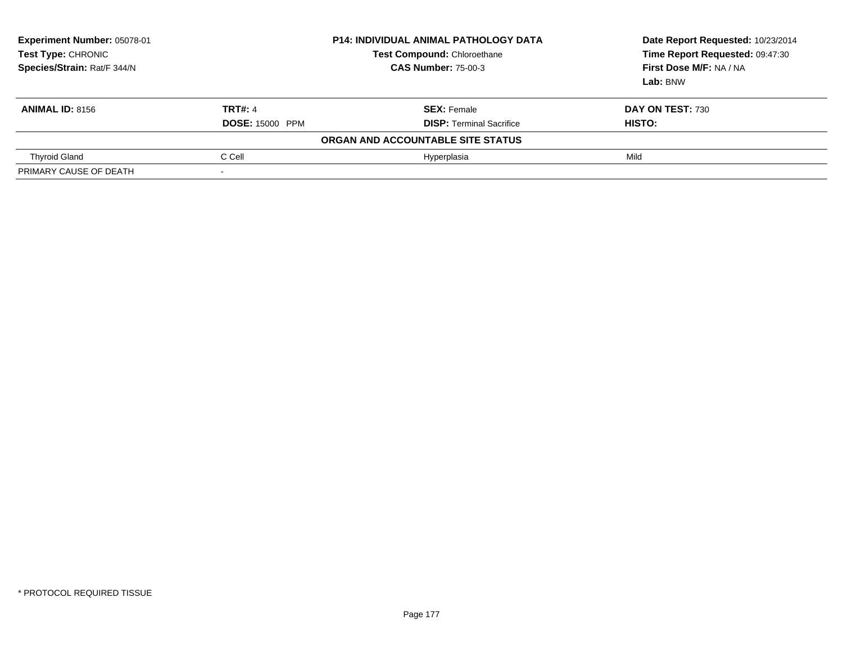| Experiment Number: 05078-01<br>Test Type: CHRONIC<br>Species/Strain: Rat/F 344/N | <b>P14: INDIVIDUAL ANIMAL PATHOLOGY DATA</b><br><b>Test Compound: Chloroethane</b><br><b>CAS Number: 75-00-3</b> |                                   | Date Report Requested: 10/23/2014<br>Time Report Requested: 09:47:30<br>First Dose M/F: NA / NA<br>Lab: BNW |  |
|----------------------------------------------------------------------------------|------------------------------------------------------------------------------------------------------------------|-----------------------------------|-------------------------------------------------------------------------------------------------------------|--|
| <b>ANIMAL ID: 8156</b>                                                           | <b>TRT#: 4</b>                                                                                                   | <b>SEX: Female</b>                | DAY ON TEST: 730                                                                                            |  |
|                                                                                  | <b>DOSE: 15000 PPM</b>                                                                                           | <b>DISP:</b> Terminal Sacrifice   | <b>HISTO:</b>                                                                                               |  |
|                                                                                  |                                                                                                                  | ORGAN AND ACCOUNTABLE SITE STATUS |                                                                                                             |  |
| <b>Thyroid Gland</b>                                                             | C Cell                                                                                                           | Hyperplasia                       | Mild                                                                                                        |  |
| PRIMARY CAUSE OF DEATH                                                           |                                                                                                                  |                                   |                                                                                                             |  |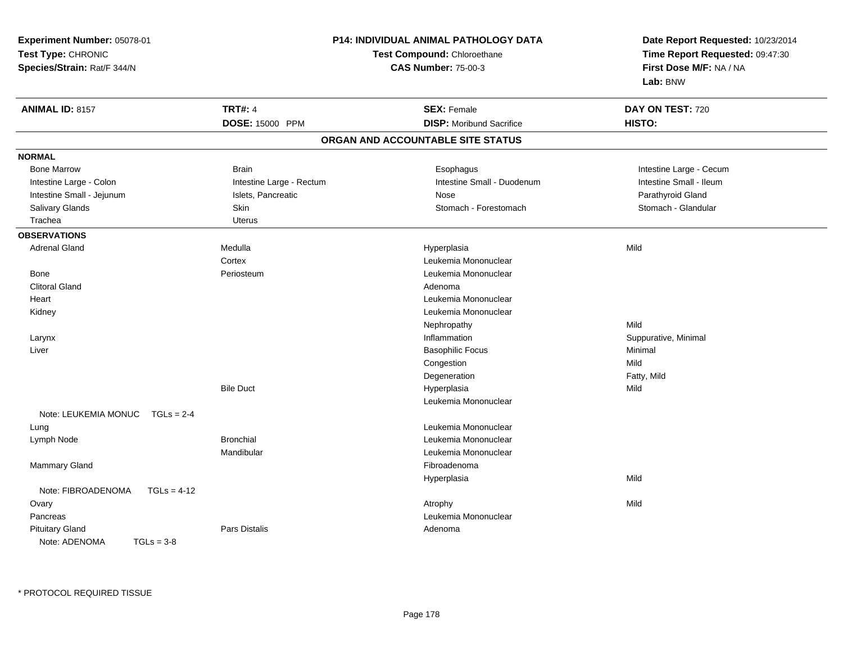| Experiment Number: 05078-01          |                             | P14: INDIVIDUAL ANIMAL PATHOLOGY DATA | Date Report Requested: 10/23/2014 |  |
|--------------------------------------|-----------------------------|---------------------------------------|-----------------------------------|--|
| Test Type: CHRONIC                   | Test Compound: Chloroethane |                                       | Time Report Requested: 09:47:30   |  |
| Species/Strain: Rat/F 344/N          |                             | <b>CAS Number: 75-00-3</b>            | First Dose M/F: NA / NA           |  |
|                                      |                             |                                       | Lab: BNW                          |  |
| <b>ANIMAL ID: 8157</b>               | <b>TRT#: 4</b>              | <b>SEX: Female</b>                    | DAY ON TEST: 720                  |  |
|                                      | DOSE: 15000 PPM             | <b>DISP:</b> Moribund Sacrifice       | HISTO:                            |  |
|                                      |                             | ORGAN AND ACCOUNTABLE SITE STATUS     |                                   |  |
| <b>NORMAL</b>                        |                             |                                       |                                   |  |
| <b>Bone Marrow</b>                   | <b>Brain</b>                | Esophagus                             | Intestine Large - Cecum           |  |
| Intestine Large - Colon              | Intestine Large - Rectum    | Intestine Small - Duodenum            | Intestine Small - Ileum           |  |
| Intestine Small - Jejunum            | Islets, Pancreatic          | Nose                                  | Parathyroid Gland                 |  |
| Salivary Glands                      | Skin                        | Stomach - Forestomach                 | Stomach - Glandular               |  |
| Trachea                              | <b>Uterus</b>               |                                       |                                   |  |
| <b>OBSERVATIONS</b>                  |                             |                                       |                                   |  |
| <b>Adrenal Gland</b>                 | Medulla                     | Hyperplasia                           | Mild                              |  |
|                                      | Cortex                      | Leukemia Mononuclear                  |                                   |  |
| Bone                                 | Periosteum                  | Leukemia Mononuclear                  |                                   |  |
| <b>Clitoral Gland</b>                |                             | Adenoma                               |                                   |  |
| Heart                                |                             | Leukemia Mononuclear                  |                                   |  |
| Kidney                               |                             | Leukemia Mononuclear                  |                                   |  |
|                                      |                             | Nephropathy                           | Mild                              |  |
| Larynx                               |                             | Inflammation                          | Suppurative, Minimal              |  |
| Liver                                |                             | <b>Basophilic Focus</b>               | Minimal                           |  |
|                                      |                             | Congestion                            | Mild                              |  |
|                                      |                             | Degeneration                          | Fatty, Mild                       |  |
|                                      | <b>Bile Duct</b>            | Hyperplasia                           | Mild                              |  |
|                                      |                             | Leukemia Mononuclear                  |                                   |  |
| Note: LEUKEMIA MONUC<br>$TGLS = 2-4$ |                             |                                       |                                   |  |
| Lung                                 |                             | Leukemia Mononuclear                  |                                   |  |
| Lymph Node                           | <b>Bronchial</b>            | Leukemia Mononuclear                  |                                   |  |
|                                      | Mandibular                  | Leukemia Mononuclear                  |                                   |  |
| Mammary Gland                        |                             | Fibroadenoma                          |                                   |  |
|                                      |                             | Hyperplasia                           | Mild                              |  |
| Note: FIBROADENOMA<br>$TGLs = 4-12$  |                             |                                       |                                   |  |
| Ovary                                |                             | Atrophy                               | Mild                              |  |
| Pancreas                             |                             | Leukemia Mononuclear                  |                                   |  |
| <b>Pituitary Gland</b>               | Pars Distalis               | Adenoma                               |                                   |  |
| Note: ADENOMA<br>$TGLs = 3-8$        |                             |                                       |                                   |  |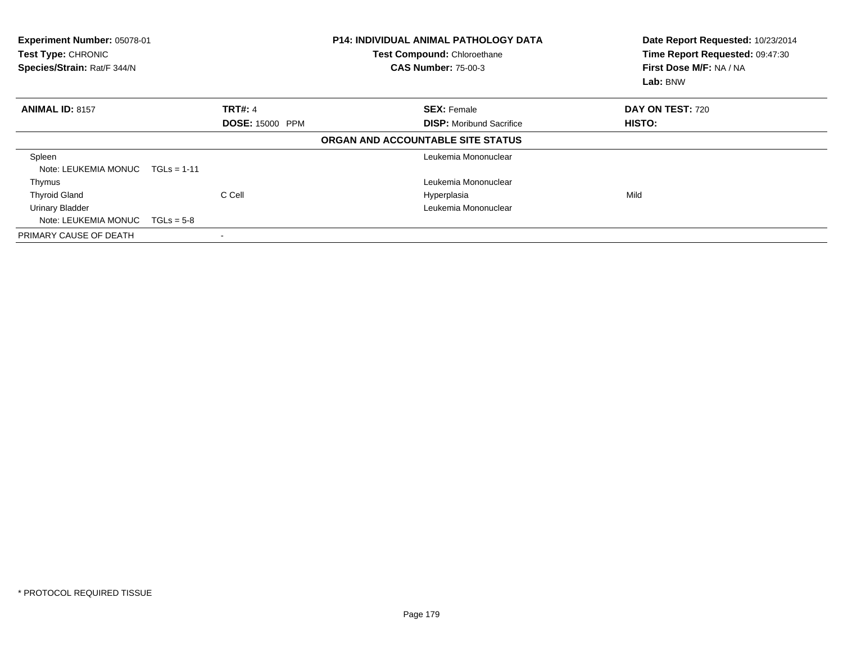| Experiment Number: 05078-01<br>Test Type: CHRONIC<br>Species/Strain: Rat/F 344/N |                          | <b>P14: INDIVIDUAL ANIMAL PATHOLOGY DATA</b><br>Test Compound: Chloroethane<br><b>CAS Number: 75-00-3</b> | Date Report Requested: 10/23/2014<br>Time Report Requested: 09:47:30<br>First Dose M/F: NA / NA<br>Lab: BNW |
|----------------------------------------------------------------------------------|--------------------------|-----------------------------------------------------------------------------------------------------------|-------------------------------------------------------------------------------------------------------------|
| <b>ANIMAL ID: 8157</b>                                                           | <b>TRT#: 4</b>           | <b>SEX: Female</b>                                                                                        | DAY ON TEST: 720                                                                                            |
|                                                                                  | <b>DOSE: 15000 PPM</b>   | <b>DISP:</b> Moribund Sacrifice                                                                           | HISTO:                                                                                                      |
|                                                                                  |                          | ORGAN AND ACCOUNTABLE SITE STATUS                                                                         |                                                                                                             |
| Spleen                                                                           |                          | Leukemia Mononuclear                                                                                      |                                                                                                             |
| Note: LEUKEMIA MONUC                                                             | $TGLS = 1-11$            |                                                                                                           |                                                                                                             |
| Thymus                                                                           |                          | Leukemia Mononuclear                                                                                      |                                                                                                             |
| <b>Thyroid Gland</b>                                                             | C Cell                   | Hyperplasia                                                                                               | Mild                                                                                                        |
| <b>Urinary Bladder</b>                                                           |                          | Leukemia Mononuclear                                                                                      |                                                                                                             |
| Note: LEUKEMIA MONUC                                                             | $TGLs = 5-8$             |                                                                                                           |                                                                                                             |
| PRIMARY CAUSE OF DEATH                                                           | $\overline{\phantom{a}}$ |                                                                                                           |                                                                                                             |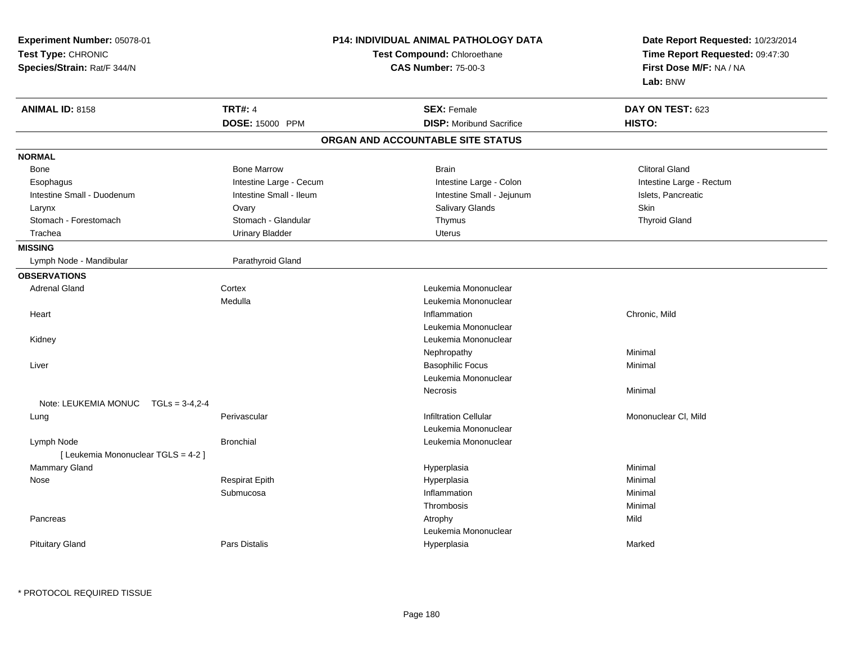| Experiment Number: 05078-01<br>Test Type: CHRONIC<br>Species/Strain: Rat/F 344/N |                         | <b>P14: INDIVIDUAL ANIMAL PATHOLOGY DATA</b><br>Test Compound: Chloroethane<br><b>CAS Number: 75-00-3</b> | Date Report Requested: 10/23/2014<br>Time Report Requested: 09:47:30<br>First Dose M/F: NA / NA<br>Lab: BNW |
|----------------------------------------------------------------------------------|-------------------------|-----------------------------------------------------------------------------------------------------------|-------------------------------------------------------------------------------------------------------------|
| <b>ANIMAL ID: 8158</b>                                                           | <b>TRT#: 4</b>          | <b>SEX: Female</b>                                                                                        | DAY ON TEST: 623                                                                                            |
|                                                                                  | DOSE: 15000 PPM         | <b>DISP:</b> Moribund Sacrifice                                                                           | HISTO:                                                                                                      |
|                                                                                  |                         | ORGAN AND ACCOUNTABLE SITE STATUS                                                                         |                                                                                                             |
| <b>NORMAL</b>                                                                    |                         |                                                                                                           |                                                                                                             |
| Bone                                                                             | <b>Bone Marrow</b>      | <b>Brain</b>                                                                                              | <b>Clitoral Gland</b>                                                                                       |
| Esophagus                                                                        | Intestine Large - Cecum | Intestine Large - Colon                                                                                   | Intestine Large - Rectum                                                                                    |
| Intestine Small - Duodenum                                                       | Intestine Small - Ileum | Intestine Small - Jejunum                                                                                 | Islets, Pancreatic                                                                                          |
| Larynx                                                                           | Ovary                   | Salivary Glands                                                                                           | <b>Skin</b>                                                                                                 |
| Stomach - Forestomach                                                            | Stomach - Glandular     | Thymus                                                                                                    | <b>Thyroid Gland</b>                                                                                        |
| Trachea                                                                          | <b>Urinary Bladder</b>  | <b>Uterus</b>                                                                                             |                                                                                                             |
| <b>MISSING</b>                                                                   |                         |                                                                                                           |                                                                                                             |
| Lymph Node - Mandibular                                                          | Parathyroid Gland       |                                                                                                           |                                                                                                             |
| <b>OBSERVATIONS</b>                                                              |                         |                                                                                                           |                                                                                                             |
| <b>Adrenal Gland</b><br>Cortex                                                   |                         | Leukemia Mononuclear                                                                                      |                                                                                                             |
|                                                                                  | Medulla                 | Leukemia Mononuclear                                                                                      |                                                                                                             |
| Heart                                                                            |                         | Inflammation                                                                                              | Chronic, Mild                                                                                               |
|                                                                                  |                         | Leukemia Mononuclear                                                                                      |                                                                                                             |
| Kidney                                                                           |                         | Leukemia Mononuclear                                                                                      |                                                                                                             |
|                                                                                  |                         | Nephropathy                                                                                               | Minimal                                                                                                     |
| Liver                                                                            |                         | <b>Basophilic Focus</b>                                                                                   | Minimal                                                                                                     |
|                                                                                  |                         | Leukemia Mononuclear                                                                                      |                                                                                                             |
|                                                                                  |                         | Necrosis                                                                                                  | Minimal                                                                                                     |
| Note: LEUKEMIA MONUC $TGLs = 3-4,2-4$                                            |                         |                                                                                                           |                                                                                                             |
| Lung                                                                             | Perivascular            | <b>Infiltration Cellular</b>                                                                              | Mononuclear CI, Mild                                                                                        |
|                                                                                  |                         | Leukemia Mononuclear                                                                                      |                                                                                                             |
| Lymph Node                                                                       | <b>Bronchial</b>        | Leukemia Mononuclear                                                                                      |                                                                                                             |
| [ Leukemia Mononuclear TGLS = 4-2 ]                                              |                         |                                                                                                           |                                                                                                             |
| Mammary Gland                                                                    |                         | Hyperplasia                                                                                               | Minimal                                                                                                     |
| Nose                                                                             | <b>Respirat Epith</b>   | Hyperplasia                                                                                               | Minimal                                                                                                     |
|                                                                                  | Submucosa               | Inflammation                                                                                              | Minimal                                                                                                     |
|                                                                                  |                         | Thrombosis                                                                                                | Minimal                                                                                                     |
| Pancreas                                                                         |                         | Atrophy                                                                                                   | Mild                                                                                                        |
|                                                                                  |                         | Leukemia Mononuclear                                                                                      |                                                                                                             |
| <b>Pituitary Gland</b>                                                           | Pars Distalis           | Hyperplasia                                                                                               | Marked                                                                                                      |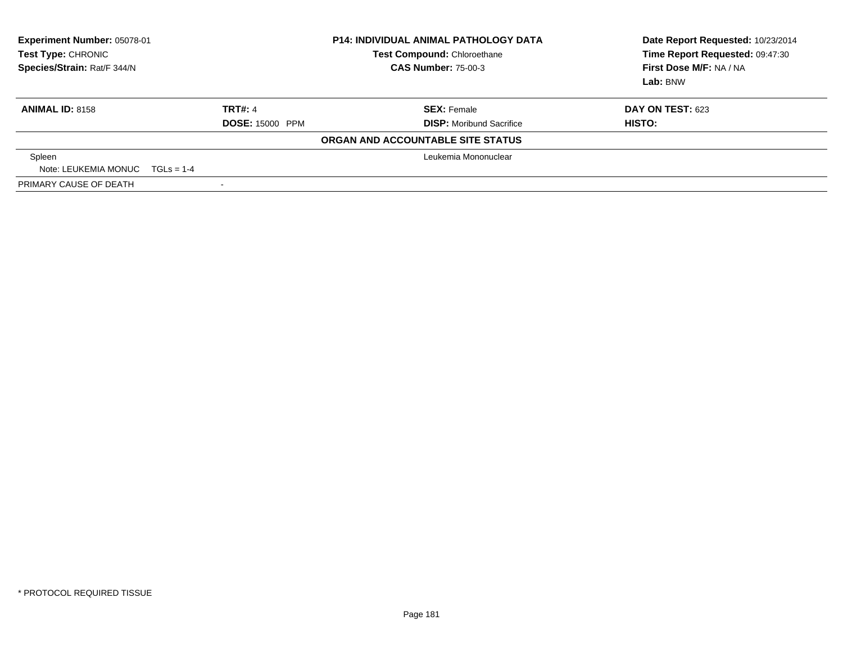| <b>Experiment Number: 05078-01</b><br>Test Type: CHRONIC<br>Species/Strain: Rat/F 344/N |                          | <b>P14: INDIVIDUAL ANIMAL PATHOLOGY DATA</b><br>Test Compound: Chloroethane<br><b>CAS Number: 75-00-3</b> | Date Report Requested: 10/23/2014<br>Time Report Requested: 09:47:30<br>First Dose M/F: NA / NA<br>Lab: BNW |
|-----------------------------------------------------------------------------------------|--------------------------|-----------------------------------------------------------------------------------------------------------|-------------------------------------------------------------------------------------------------------------|
| <b>ANIMAL ID: 8158</b>                                                                  | <b>TRT#: 4</b>           | <b>SEX: Female</b>                                                                                        | <b>DAY ON TEST: 623</b>                                                                                     |
|                                                                                         | <b>DOSE: 15000 PPM</b>   | <b>DISP:</b> Moribund Sacrifice                                                                           | HISTO:                                                                                                      |
|                                                                                         |                          | ORGAN AND ACCOUNTABLE SITE STATUS                                                                         |                                                                                                             |
| Spleen                                                                                  |                          | Leukemia Mononuclear                                                                                      |                                                                                                             |
| Note: LEUKEMIA MONUC $TGLs = 1-4$                                                       |                          |                                                                                                           |                                                                                                             |
| PRIMARY CAUSE OF DEATH                                                                  | $\overline{\phantom{0}}$ |                                                                                                           |                                                                                                             |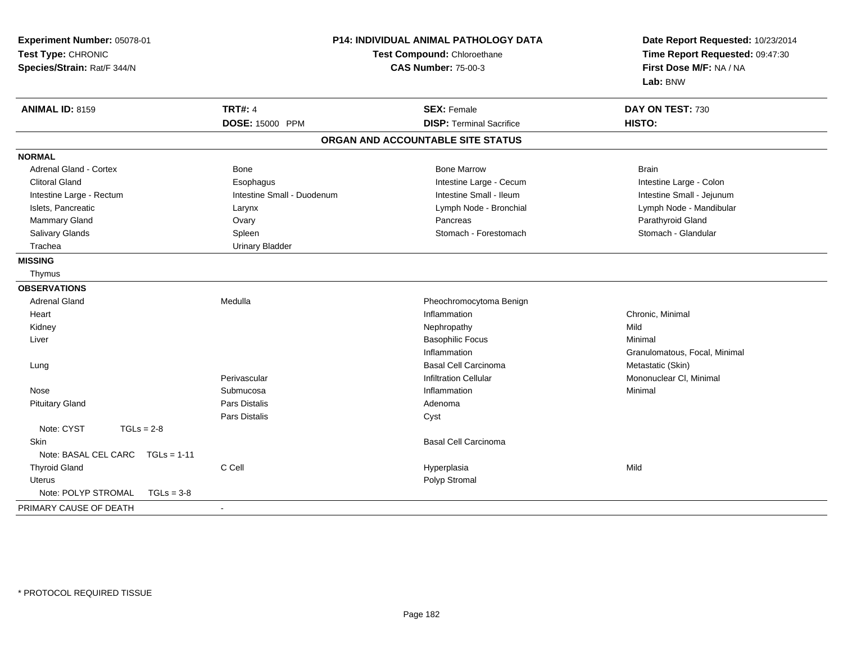| Experiment Number: 05078-01<br>Test Type: CHRONIC<br>Species/Strain: Rat/F 344/N | <b>P14: INDIVIDUAL ANIMAL PATHOLOGY DATA</b><br>Test Compound: Chloroethane<br><b>CAS Number: 75-00-3</b> |                                   | Date Report Requested: 10/23/2014<br>Time Report Requested: 09:47:30<br>First Dose M/F: NA / NA<br>Lab: BNW |  |
|----------------------------------------------------------------------------------|-----------------------------------------------------------------------------------------------------------|-----------------------------------|-------------------------------------------------------------------------------------------------------------|--|
| <b>ANIMAL ID: 8159</b>                                                           | <b>TRT#: 4</b>                                                                                            | <b>SEX: Female</b>                | DAY ON TEST: 730                                                                                            |  |
|                                                                                  | DOSE: 15000 PPM                                                                                           | <b>DISP: Terminal Sacrifice</b>   | HISTO:                                                                                                      |  |
|                                                                                  |                                                                                                           | ORGAN AND ACCOUNTABLE SITE STATUS |                                                                                                             |  |
| <b>NORMAL</b>                                                                    |                                                                                                           |                                   |                                                                                                             |  |
| Adrenal Gland - Cortex                                                           | <b>Bone</b>                                                                                               | <b>Bone Marrow</b>                | <b>Brain</b>                                                                                                |  |
| <b>Clitoral Gland</b>                                                            | Esophagus                                                                                                 | Intestine Large - Cecum           | Intestine Large - Colon                                                                                     |  |
| Intestine Large - Rectum                                                         | Intestine Small - Duodenum                                                                                | Intestine Small - Ileum           | Intestine Small - Jejunum                                                                                   |  |
| Islets, Pancreatic                                                               | Larynx                                                                                                    | Lymph Node - Bronchial            | Lymph Node - Mandibular                                                                                     |  |
| Mammary Gland                                                                    | Ovary                                                                                                     | Pancreas                          | Parathyroid Gland                                                                                           |  |
| Salivary Glands                                                                  | Spleen                                                                                                    | Stomach - Forestomach             | Stomach - Glandular                                                                                         |  |
| Trachea                                                                          | <b>Urinary Bladder</b>                                                                                    |                                   |                                                                                                             |  |
| <b>MISSING</b>                                                                   |                                                                                                           |                                   |                                                                                                             |  |
| Thymus                                                                           |                                                                                                           |                                   |                                                                                                             |  |
| <b>OBSERVATIONS</b>                                                              |                                                                                                           |                                   |                                                                                                             |  |
| <b>Adrenal Gland</b>                                                             | Medulla                                                                                                   | Pheochromocytoma Benign           |                                                                                                             |  |
| Heart                                                                            |                                                                                                           | Inflammation                      | Chronic, Minimal                                                                                            |  |
| Kidney                                                                           |                                                                                                           | Nephropathy                       | Mild                                                                                                        |  |
| Liver                                                                            |                                                                                                           | <b>Basophilic Focus</b>           | Minimal                                                                                                     |  |
|                                                                                  |                                                                                                           | Inflammation                      | Granulomatous, Focal, Minimal                                                                               |  |
| Lung                                                                             |                                                                                                           | <b>Basal Cell Carcinoma</b>       | Metastatic (Skin)                                                                                           |  |
|                                                                                  | Perivascular                                                                                              | <b>Infiltration Cellular</b>      | Mononuclear CI, Minimal                                                                                     |  |
| Nose                                                                             | Submucosa                                                                                                 | Inflammation                      | Minimal                                                                                                     |  |
| <b>Pituitary Gland</b>                                                           | <b>Pars Distalis</b>                                                                                      | Adenoma                           |                                                                                                             |  |
|                                                                                  | Pars Distalis                                                                                             | Cyst                              |                                                                                                             |  |
| Note: CYST<br>$TGLs = 2-8$                                                       |                                                                                                           |                                   |                                                                                                             |  |
| <b>Skin</b>                                                                      |                                                                                                           | <b>Basal Cell Carcinoma</b>       |                                                                                                             |  |
| Note: BASAL CEL CARC<br>$TGLs = 1-11$                                            |                                                                                                           |                                   |                                                                                                             |  |
| <b>Thyroid Gland</b>                                                             | C Cell                                                                                                    | Hyperplasia                       | Mild                                                                                                        |  |
| <b>Uterus</b>                                                                    |                                                                                                           | Polyp Stromal                     |                                                                                                             |  |
| Note: POLYP STROMAL<br>$TGLs = 3-8$                                              |                                                                                                           |                                   |                                                                                                             |  |
| PRIMARY CAUSE OF DEATH                                                           | $\blacksquare$                                                                                            |                                   |                                                                                                             |  |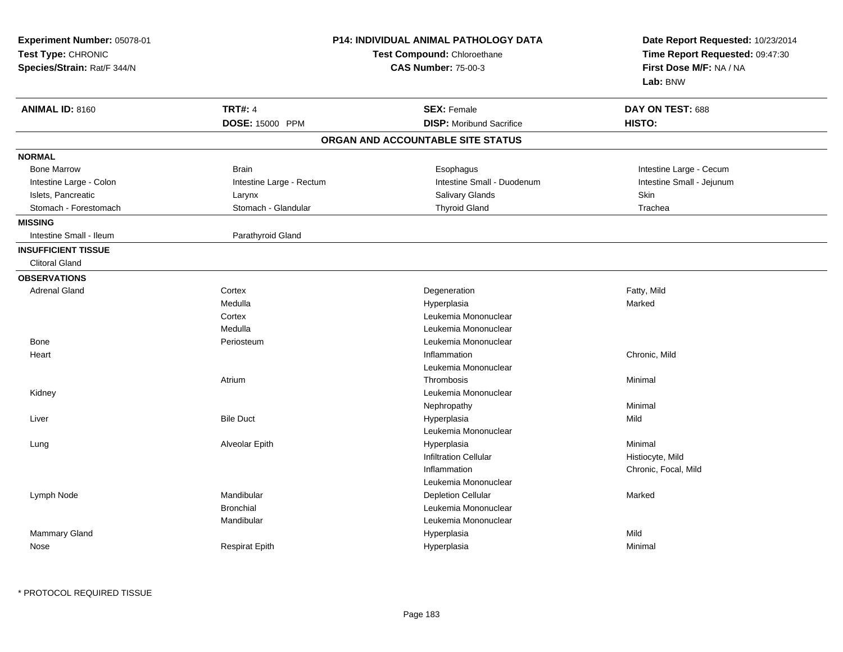| Experiment Number: 05078-01<br>Test Type: CHRONIC<br>Species/Strain: Rat/F 344/N | P14: INDIVIDUAL ANIMAL PATHOLOGY DATA<br>Test Compound: Chloroethane<br><b>CAS Number: 75-00-3</b> |                                   | Date Report Requested: 10/23/2014<br>Time Report Requested: 09:47:30<br>First Dose M/F: NA / NA<br>Lab: BNW |  |
|----------------------------------------------------------------------------------|----------------------------------------------------------------------------------------------------|-----------------------------------|-------------------------------------------------------------------------------------------------------------|--|
| <b>ANIMAL ID: 8160</b>                                                           | <b>TRT#: 4</b>                                                                                     | <b>SEX: Female</b>                | DAY ON TEST: 688                                                                                            |  |
|                                                                                  | DOSE: 15000 PPM                                                                                    | <b>DISP:</b> Moribund Sacrifice   | HISTO:                                                                                                      |  |
|                                                                                  |                                                                                                    | ORGAN AND ACCOUNTABLE SITE STATUS |                                                                                                             |  |
| <b>NORMAL</b>                                                                    |                                                                                                    |                                   |                                                                                                             |  |
| <b>Bone Marrow</b>                                                               | <b>Brain</b>                                                                                       | Esophagus                         | Intestine Large - Cecum                                                                                     |  |
| Intestine Large - Colon                                                          | Intestine Large - Rectum                                                                           | Intestine Small - Duodenum        | Intestine Small - Jejunum                                                                                   |  |
| Islets, Pancreatic                                                               | Larynx                                                                                             | Salivary Glands                   | Skin                                                                                                        |  |
| Stomach - Forestomach                                                            | Stomach - Glandular                                                                                | <b>Thyroid Gland</b>              | Trachea                                                                                                     |  |
| <b>MISSING</b>                                                                   |                                                                                                    |                                   |                                                                                                             |  |
| Intestine Small - Ileum                                                          | Parathyroid Gland                                                                                  |                                   |                                                                                                             |  |
| <b>INSUFFICIENT TISSUE</b>                                                       |                                                                                                    |                                   |                                                                                                             |  |
| <b>Clitoral Gland</b>                                                            |                                                                                                    |                                   |                                                                                                             |  |
| <b>OBSERVATIONS</b>                                                              |                                                                                                    |                                   |                                                                                                             |  |
| <b>Adrenal Gland</b>                                                             | Cortex                                                                                             | Degeneration                      | Fatty, Mild                                                                                                 |  |
|                                                                                  | Medulla                                                                                            | Hyperplasia                       | Marked                                                                                                      |  |
|                                                                                  | Cortex                                                                                             | Leukemia Mononuclear              |                                                                                                             |  |
|                                                                                  | Medulla                                                                                            | Leukemia Mononuclear              |                                                                                                             |  |
| <b>Bone</b>                                                                      | Periosteum                                                                                         | Leukemia Mononuclear              |                                                                                                             |  |
| Heart                                                                            |                                                                                                    | Inflammation                      | Chronic, Mild                                                                                               |  |
|                                                                                  |                                                                                                    | Leukemia Mononuclear              |                                                                                                             |  |
|                                                                                  | Atrium                                                                                             | Thrombosis                        | Minimal                                                                                                     |  |
| Kidney                                                                           |                                                                                                    | Leukemia Mononuclear              |                                                                                                             |  |
|                                                                                  |                                                                                                    | Nephropathy                       | Minimal                                                                                                     |  |
| Liver                                                                            | <b>Bile Duct</b>                                                                                   | Hyperplasia                       | Mild                                                                                                        |  |
|                                                                                  |                                                                                                    | Leukemia Mononuclear              |                                                                                                             |  |
| Lung                                                                             | Alveolar Epith                                                                                     | Hyperplasia                       | Minimal                                                                                                     |  |
|                                                                                  |                                                                                                    | <b>Infiltration Cellular</b>      | Histiocyte, Mild                                                                                            |  |
|                                                                                  |                                                                                                    | Inflammation                      | Chronic, Focal, Mild                                                                                        |  |
|                                                                                  |                                                                                                    | Leukemia Mononuclear              |                                                                                                             |  |
| Lymph Node                                                                       | Mandibular                                                                                         | <b>Depletion Cellular</b>         | Marked                                                                                                      |  |
|                                                                                  | <b>Bronchial</b>                                                                                   | Leukemia Mononuclear              |                                                                                                             |  |
|                                                                                  | Mandibular                                                                                         | Leukemia Mononuclear              |                                                                                                             |  |
| Mammary Gland                                                                    |                                                                                                    | Hyperplasia                       | Mild                                                                                                        |  |
| Nose                                                                             | <b>Respirat Epith</b>                                                                              | Hyperplasia                       | Minimal                                                                                                     |  |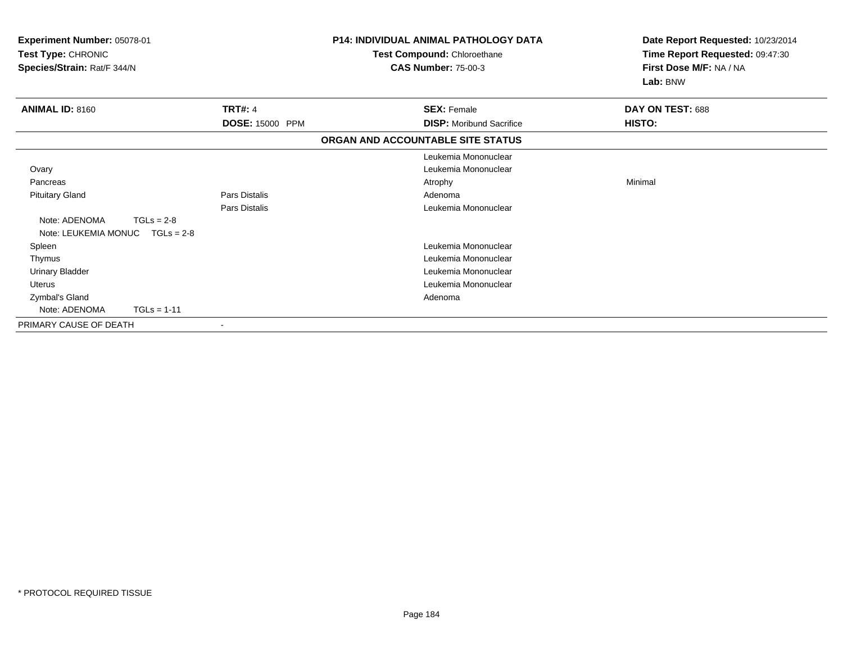| Experiment Number: 05078-01<br>Test Type: CHRONIC<br>Species/Strain: Rat/F 344/N |                        | <b>P14: INDIVIDUAL ANIMAL PATHOLOGY DATA</b><br>Test Compound: Chloroethane<br><b>CAS Number: 75-00-3</b> | Date Report Requested: 10/23/2014<br>Time Report Requested: 09:47:30<br>First Dose M/F: NA / NA<br>Lab: BNW |
|----------------------------------------------------------------------------------|------------------------|-----------------------------------------------------------------------------------------------------------|-------------------------------------------------------------------------------------------------------------|
| <b>ANIMAL ID: 8160</b>                                                           | <b>TRT#: 4</b>         | <b>SEX: Female</b>                                                                                        | DAY ON TEST: 688                                                                                            |
|                                                                                  | <b>DOSE: 15000 PPM</b> | <b>DISP:</b> Moribund Sacrifice                                                                           | <b>HISTO:</b>                                                                                               |
|                                                                                  |                        | ORGAN AND ACCOUNTABLE SITE STATUS                                                                         |                                                                                                             |
|                                                                                  |                        | Leukemia Mononuclear                                                                                      |                                                                                                             |
| Ovary                                                                            |                        | Leukemia Mononuclear                                                                                      |                                                                                                             |
| Pancreas                                                                         |                        | Atrophy                                                                                                   | Minimal                                                                                                     |
| <b>Pituitary Gland</b>                                                           | <b>Pars Distalis</b>   | Adenoma                                                                                                   |                                                                                                             |
|                                                                                  | <b>Pars Distalis</b>   | Leukemia Mononuclear                                                                                      |                                                                                                             |
| Note: ADENOMA<br>$TGLs = 2-8$<br>$TGLs = 2-8$<br>Note: LEUKEMIA MONUC            |                        |                                                                                                           |                                                                                                             |
| Spleen                                                                           |                        | Leukemia Mononuclear                                                                                      |                                                                                                             |
| Thymus                                                                           |                        | Leukemia Mononuclear                                                                                      |                                                                                                             |
| <b>Urinary Bladder</b>                                                           |                        | Leukemia Mononuclear                                                                                      |                                                                                                             |
| Uterus                                                                           |                        | Leukemia Mononuclear                                                                                      |                                                                                                             |
| Zymbal's Gland                                                                   |                        | Adenoma                                                                                                   |                                                                                                             |
| $TGLs = 1-11$<br>Note: ADENOMA                                                   |                        |                                                                                                           |                                                                                                             |
| PRIMARY CAUSE OF DEATH                                                           |                        |                                                                                                           |                                                                                                             |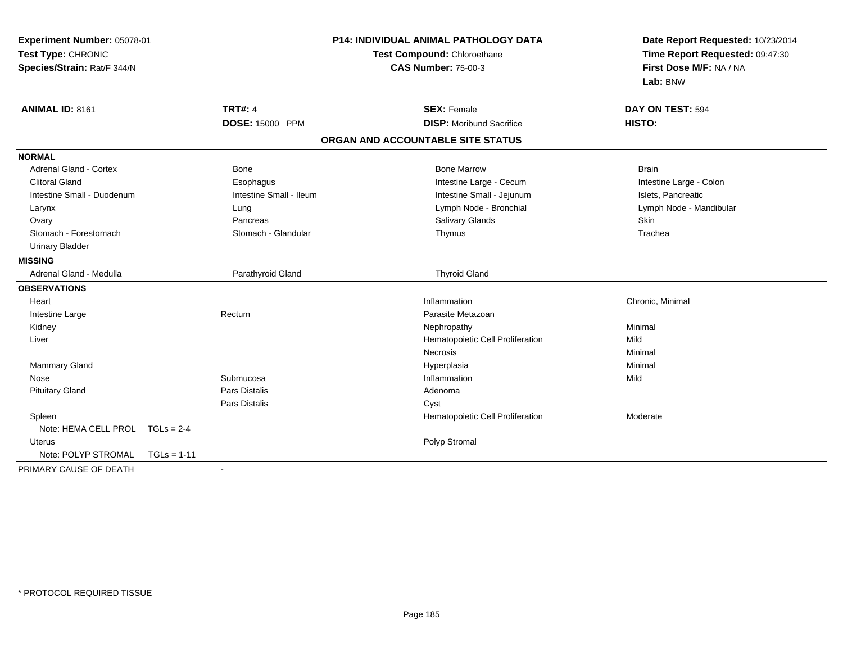| Experiment Number: 05078-01<br>Test Type: CHRONIC<br>Species/Strain: Rat/F 344/N |                         | <b>P14: INDIVIDUAL ANIMAL PATHOLOGY DATA</b><br>Test Compound: Chloroethane<br><b>CAS Number: 75-00-3</b> |                                  | Date Report Requested: 10/23/2014<br>Time Report Requested: 09:47:30<br>First Dose M/F: NA / NA<br>Lab: BNW |
|----------------------------------------------------------------------------------|-------------------------|-----------------------------------------------------------------------------------------------------------|----------------------------------|-------------------------------------------------------------------------------------------------------------|
| <b>ANIMAL ID: 8161</b>                                                           | <b>TRT#: 4</b>          |                                                                                                           | <b>SEX: Female</b>               | DAY ON TEST: 594                                                                                            |
|                                                                                  | DOSE: 15000 PPM         |                                                                                                           | <b>DISP:</b> Moribund Sacrifice  | HISTO:                                                                                                      |
|                                                                                  |                         | ORGAN AND ACCOUNTABLE SITE STATUS                                                                         |                                  |                                                                                                             |
| <b>NORMAL</b>                                                                    |                         |                                                                                                           |                                  |                                                                                                             |
| <b>Adrenal Gland - Cortex</b>                                                    | <b>Bone</b>             |                                                                                                           | <b>Bone Marrow</b>               | <b>Brain</b>                                                                                                |
| <b>Clitoral Gland</b>                                                            | Esophagus               |                                                                                                           | Intestine Large - Cecum          | Intestine Large - Colon                                                                                     |
| Intestine Small - Duodenum                                                       | Intestine Small - Ileum |                                                                                                           | Intestine Small - Jejunum        | Islets, Pancreatic                                                                                          |
| Larynx                                                                           | Lung                    |                                                                                                           | Lymph Node - Bronchial           | Lymph Node - Mandibular                                                                                     |
| Ovary                                                                            | Pancreas                |                                                                                                           | Salivary Glands                  | Skin                                                                                                        |
| Stomach - Forestomach                                                            | Stomach - Glandular     |                                                                                                           | Thymus                           | Trachea                                                                                                     |
| <b>Urinary Bladder</b>                                                           |                         |                                                                                                           |                                  |                                                                                                             |
| <b>MISSING</b>                                                                   |                         |                                                                                                           |                                  |                                                                                                             |
| Adrenal Gland - Medulla                                                          | Parathyroid Gland       |                                                                                                           | <b>Thyroid Gland</b>             |                                                                                                             |
| <b>OBSERVATIONS</b>                                                              |                         |                                                                                                           |                                  |                                                                                                             |
| Heart                                                                            |                         |                                                                                                           | Inflammation                     | Chronic, Minimal                                                                                            |
| Intestine Large                                                                  | Rectum                  |                                                                                                           | Parasite Metazoan                |                                                                                                             |
| Kidney                                                                           |                         |                                                                                                           | Nephropathy                      | Minimal                                                                                                     |
| Liver                                                                            |                         |                                                                                                           | Hematopoietic Cell Proliferation | Mild                                                                                                        |
|                                                                                  |                         |                                                                                                           | <b>Necrosis</b>                  | Minimal                                                                                                     |
| Mammary Gland                                                                    |                         |                                                                                                           | Hyperplasia                      | Minimal                                                                                                     |
| Nose                                                                             | Submucosa               |                                                                                                           | Inflammation                     | Mild                                                                                                        |
| <b>Pituitary Gland</b>                                                           | <b>Pars Distalis</b>    |                                                                                                           | Adenoma                          |                                                                                                             |
|                                                                                  | <b>Pars Distalis</b>    | Cyst                                                                                                      |                                  |                                                                                                             |
| Spleen                                                                           |                         |                                                                                                           | Hematopoietic Cell Proliferation | Moderate                                                                                                    |
| Note: HEMA CELL PROL TGLs = 2-4                                                  |                         |                                                                                                           |                                  |                                                                                                             |
| Uterus                                                                           |                         |                                                                                                           | Polyp Stromal                    |                                                                                                             |
| Note: POLYP STROMAL                                                              | $TGLs = 1-11$           |                                                                                                           |                                  |                                                                                                             |
| PRIMARY CAUSE OF DEATH                                                           |                         |                                                                                                           |                                  |                                                                                                             |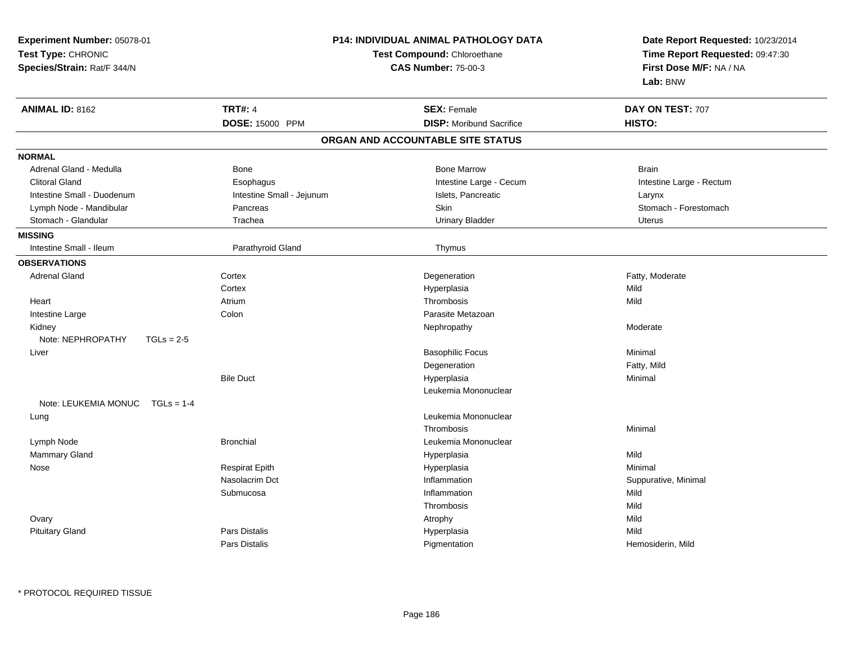| Experiment Number: 05078-01<br>Test Type: CHRONIC<br>Species/Strain: Rat/F 344/N |                           | P14: INDIVIDUAL ANIMAL PATHOLOGY DATA<br>Test Compound: Chloroethane<br><b>CAS Number: 75-00-3</b> | Date Report Requested: 10/23/2014<br>Time Report Requested: 09:47:30<br>First Dose M/F: NA / NA<br>Lab: BNW |  |
|----------------------------------------------------------------------------------|---------------------------|----------------------------------------------------------------------------------------------------|-------------------------------------------------------------------------------------------------------------|--|
| <b>ANIMAL ID: 8162</b>                                                           | <b>TRT#: 4</b>            | <b>SEX: Female</b>                                                                                 | DAY ON TEST: 707                                                                                            |  |
|                                                                                  | <b>DOSE: 15000 PPM</b>    | <b>DISP:</b> Moribund Sacrifice                                                                    | HISTO:                                                                                                      |  |
|                                                                                  |                           | ORGAN AND ACCOUNTABLE SITE STATUS                                                                  |                                                                                                             |  |
| <b>NORMAL</b>                                                                    |                           |                                                                                                    |                                                                                                             |  |
| Adrenal Gland - Medulla                                                          | Bone                      | <b>Bone Marrow</b>                                                                                 | <b>Brain</b>                                                                                                |  |
| <b>Clitoral Gland</b>                                                            | Esophagus                 | Intestine Large - Cecum                                                                            | Intestine Large - Rectum                                                                                    |  |
| Intestine Small - Duodenum                                                       | Intestine Small - Jejunum | Islets, Pancreatic                                                                                 | Larynx                                                                                                      |  |
| Lymph Node - Mandibular                                                          | Pancreas                  | Skin                                                                                               | Stomach - Forestomach                                                                                       |  |
| Stomach - Glandular                                                              | Trachea                   | <b>Urinary Bladder</b>                                                                             | <b>Uterus</b>                                                                                               |  |
| <b>MISSING</b>                                                                   |                           |                                                                                                    |                                                                                                             |  |
| Intestine Small - Ileum                                                          | Parathyroid Gland         | Thymus                                                                                             |                                                                                                             |  |
| <b>OBSERVATIONS</b>                                                              |                           |                                                                                                    |                                                                                                             |  |
| <b>Adrenal Gland</b>                                                             | Cortex                    | Degeneration                                                                                       | Fatty, Moderate                                                                                             |  |
|                                                                                  | Cortex                    | Hyperplasia                                                                                        | Mild                                                                                                        |  |
| Heart                                                                            | Atrium                    | Thrombosis                                                                                         | Mild                                                                                                        |  |
| Intestine Large                                                                  | Colon                     | Parasite Metazoan                                                                                  |                                                                                                             |  |
| Kidney                                                                           |                           | Nephropathy                                                                                        | Moderate                                                                                                    |  |
| Note: NEPHROPATHY<br>$TGLs = 2-5$                                                |                           |                                                                                                    |                                                                                                             |  |
| Liver                                                                            |                           | <b>Basophilic Focus</b>                                                                            | Minimal                                                                                                     |  |
|                                                                                  |                           | Degeneration                                                                                       | Fatty, Mild                                                                                                 |  |
|                                                                                  | <b>Bile Duct</b>          | Hyperplasia                                                                                        | Minimal                                                                                                     |  |
|                                                                                  |                           | Leukemia Mononuclear                                                                               |                                                                                                             |  |
| Note: LEUKEMIA MONUC TGLs = 1-4                                                  |                           |                                                                                                    |                                                                                                             |  |
| Lung                                                                             |                           | Leukemia Mononuclear                                                                               |                                                                                                             |  |
|                                                                                  |                           | Thrombosis                                                                                         | Minimal                                                                                                     |  |
| Lymph Node                                                                       | <b>Bronchial</b>          | Leukemia Mononuclear                                                                               |                                                                                                             |  |
| Mammary Gland                                                                    |                           | Hyperplasia                                                                                        | Mild                                                                                                        |  |
| Nose                                                                             | <b>Respirat Epith</b>     | Hyperplasia                                                                                        | Minimal                                                                                                     |  |
|                                                                                  | Nasolacrim Dct            | Inflammation                                                                                       | Suppurative, Minimal                                                                                        |  |
|                                                                                  | Submucosa                 | Inflammation                                                                                       | Mild                                                                                                        |  |
|                                                                                  |                           | Thrombosis                                                                                         | Mild                                                                                                        |  |
| Ovary                                                                            |                           | Atrophy                                                                                            | Mild                                                                                                        |  |
| <b>Pituitary Gland</b>                                                           | Pars Distalis             | Hyperplasia                                                                                        | Mild                                                                                                        |  |
|                                                                                  | Pars Distalis             | Pigmentation                                                                                       | Hemosiderin, Mild                                                                                           |  |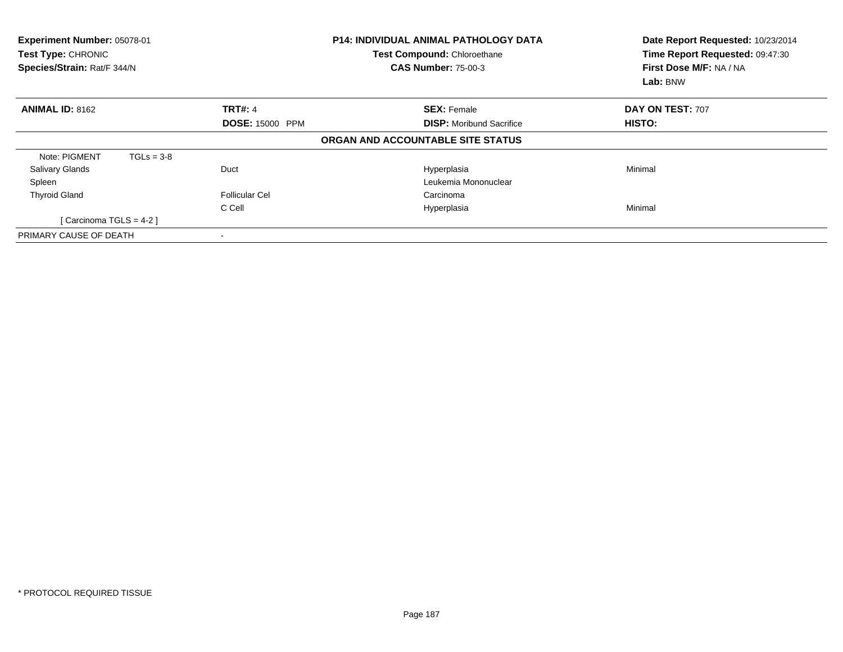| Experiment Number: 05078-01<br>Test Type: CHRONIC<br>Species/Strain: Rat/F 344/N |              |                          | <b>P14: INDIVIDUAL ANIMAL PATHOLOGY DATA</b><br>Test Compound: Chloroethane<br><b>CAS Number: 75-00-3</b> | Date Report Requested: 10/23/2014<br>Time Report Requested: 09:47:30<br>First Dose M/F: NA / NA<br>Lab: BNW |
|----------------------------------------------------------------------------------|--------------|--------------------------|-----------------------------------------------------------------------------------------------------------|-------------------------------------------------------------------------------------------------------------|
| <b>ANIMAL ID: 8162</b>                                                           |              | <b>TRT#: 4</b>           | <b>SEX: Female</b>                                                                                        | DAY ON TEST: 707                                                                                            |
|                                                                                  |              | <b>DOSE: 15000 PPM</b>   | <b>DISP:</b> Moribund Sacrifice                                                                           | HISTO:                                                                                                      |
|                                                                                  |              |                          | ORGAN AND ACCOUNTABLE SITE STATUS                                                                         |                                                                                                             |
| Note: PIGMENT                                                                    | $TGLs = 3-8$ |                          |                                                                                                           |                                                                                                             |
| <b>Salivary Glands</b>                                                           |              | Duct                     | Hyperplasia                                                                                               | Minimal                                                                                                     |
| Spleen                                                                           |              |                          | Leukemia Mononuclear                                                                                      |                                                                                                             |
| <b>Thyroid Gland</b>                                                             |              | <b>Follicular Cel</b>    | Carcinoma                                                                                                 |                                                                                                             |
|                                                                                  |              | C Cell                   | Hyperplasia                                                                                               | Minimal                                                                                                     |
| [Carcinoma TGLS = 4-2]                                                           |              |                          |                                                                                                           |                                                                                                             |
| PRIMARY CAUSE OF DEATH                                                           |              | $\overline{\phantom{a}}$ |                                                                                                           |                                                                                                             |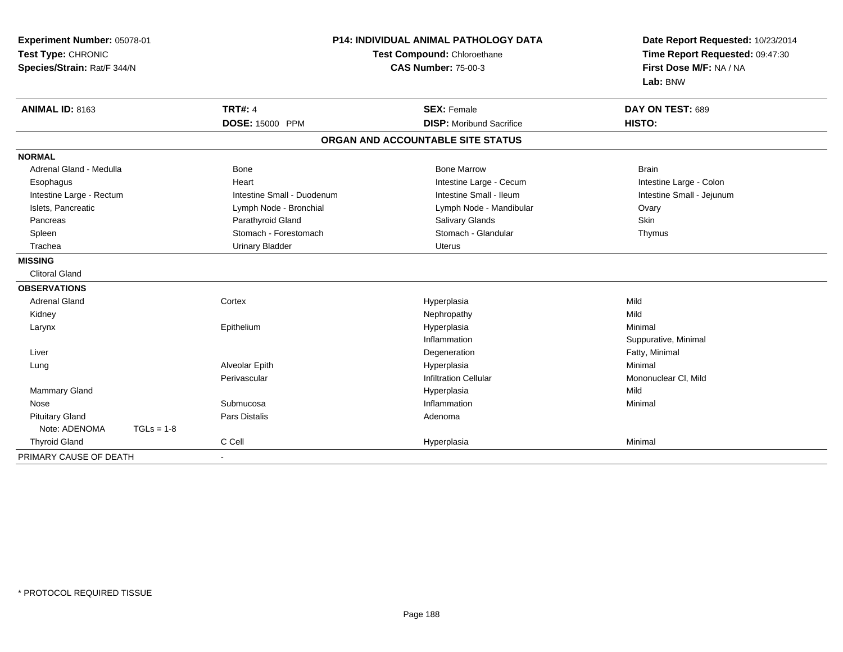| Experiment Number: 05078-01<br>Test Type: CHRONIC<br>Species/Strain: Rat/F 344/N |                            | <b>P14: INDIVIDUAL ANIMAL PATHOLOGY DATA</b><br>Test Compound: Chloroethane<br><b>CAS Number: 75-00-3</b> | Date Report Requested: 10/23/2014<br>Time Report Requested: 09:47:30<br>First Dose M/F: NA / NA<br>Lab: BNW |  |
|----------------------------------------------------------------------------------|----------------------------|-----------------------------------------------------------------------------------------------------------|-------------------------------------------------------------------------------------------------------------|--|
| <b>ANIMAL ID: 8163</b>                                                           | <b>TRT#: 4</b>             | <b>SEX: Female</b>                                                                                        | DAY ON TEST: 689                                                                                            |  |
|                                                                                  | <b>DOSE: 15000 PPM</b>     | <b>DISP:</b> Moribund Sacrifice                                                                           | HISTO:                                                                                                      |  |
|                                                                                  |                            | ORGAN AND ACCOUNTABLE SITE STATUS                                                                         |                                                                                                             |  |
| <b>NORMAL</b>                                                                    |                            |                                                                                                           |                                                                                                             |  |
| Adrenal Gland - Medulla                                                          | <b>Bone</b>                | <b>Bone Marrow</b>                                                                                        | <b>Brain</b>                                                                                                |  |
| Esophagus                                                                        | Heart                      | Intestine Large - Cecum                                                                                   | Intestine Large - Colon                                                                                     |  |
| Intestine Large - Rectum                                                         | Intestine Small - Duodenum | Intestine Small - Ileum                                                                                   | Intestine Small - Jejunum                                                                                   |  |
| Islets, Pancreatic                                                               | Lymph Node - Bronchial     | Lymph Node - Mandibular                                                                                   | Ovary                                                                                                       |  |
| Pancreas                                                                         | Parathyroid Gland          | Salivary Glands                                                                                           | Skin                                                                                                        |  |
| Spleen                                                                           | Stomach - Forestomach      | Stomach - Glandular                                                                                       | Thymus                                                                                                      |  |
| Trachea                                                                          | <b>Urinary Bladder</b>     | <b>Uterus</b>                                                                                             |                                                                                                             |  |
| <b>MISSING</b>                                                                   |                            |                                                                                                           |                                                                                                             |  |
| <b>Clitoral Gland</b>                                                            |                            |                                                                                                           |                                                                                                             |  |
| <b>OBSERVATIONS</b>                                                              |                            |                                                                                                           |                                                                                                             |  |
| <b>Adrenal Gland</b>                                                             | Cortex                     | Hyperplasia                                                                                               | Mild                                                                                                        |  |
| Kidney                                                                           |                            | Nephropathy                                                                                               | Mild                                                                                                        |  |
| Larynx                                                                           | Epithelium                 | Hyperplasia                                                                                               | Minimal                                                                                                     |  |
|                                                                                  |                            | Inflammation                                                                                              | Suppurative, Minimal                                                                                        |  |
| Liver                                                                            |                            | Degeneration                                                                                              | Fatty, Minimal                                                                                              |  |
| Lung                                                                             | Alveolar Epith             | Hyperplasia                                                                                               | Minimal                                                                                                     |  |
|                                                                                  | Perivascular               | <b>Infiltration Cellular</b>                                                                              | Mononuclear CI, Mild                                                                                        |  |
| Mammary Gland                                                                    |                            | Hyperplasia                                                                                               | Mild                                                                                                        |  |
| Nose                                                                             | Submucosa                  | Inflammation                                                                                              | Minimal                                                                                                     |  |
| <b>Pituitary Gland</b>                                                           | Pars Distalis              | Adenoma                                                                                                   |                                                                                                             |  |
| Note: ADENOMA<br>$TGLs = 1-8$                                                    |                            |                                                                                                           |                                                                                                             |  |
| <b>Thyroid Gland</b>                                                             | C Cell                     | Hyperplasia                                                                                               | Minimal                                                                                                     |  |
| PRIMARY CAUSE OF DEATH                                                           | $\blacksquare$             |                                                                                                           |                                                                                                             |  |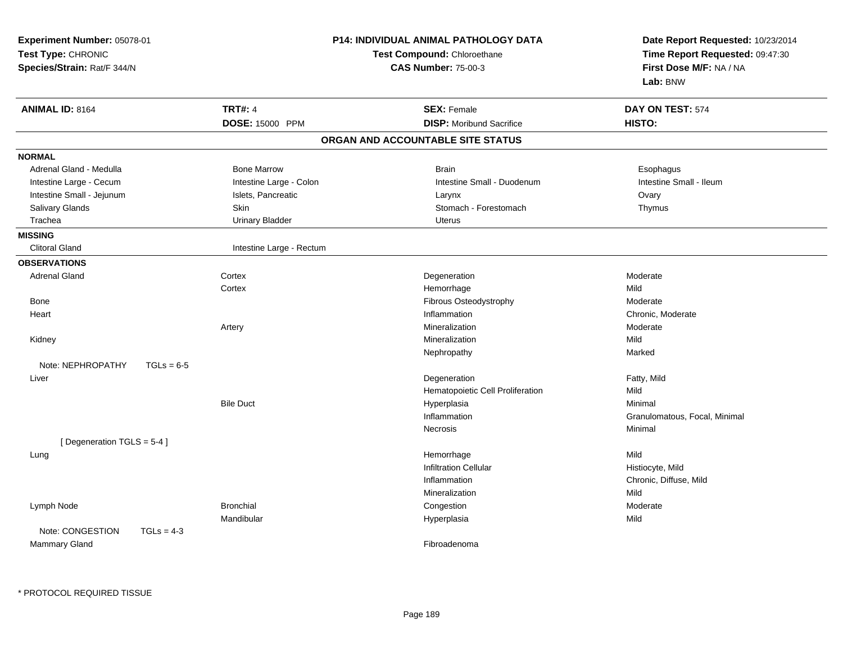| Experiment Number: 05078-01<br>Test Type: CHRONIC<br>Species/Strain: Rat/F 344/N |                          | P14: INDIVIDUAL ANIMAL PATHOLOGY DATA<br>Test Compound: Chloroethane<br><b>CAS Number: 75-00-3</b> | Date Report Requested: 10/23/2014<br>Time Report Requested: 09:47:30<br>First Dose M/F: NA / NA<br>Lab: BNW |
|----------------------------------------------------------------------------------|--------------------------|----------------------------------------------------------------------------------------------------|-------------------------------------------------------------------------------------------------------------|
| <b>ANIMAL ID: 8164</b>                                                           | <b>TRT#: 4</b>           | <b>SEX: Female</b>                                                                                 | DAY ON TEST: 574                                                                                            |
|                                                                                  | DOSE: 15000 PPM          | <b>DISP:</b> Moribund Sacrifice                                                                    | HISTO:                                                                                                      |
|                                                                                  |                          | ORGAN AND ACCOUNTABLE SITE STATUS                                                                  |                                                                                                             |
| <b>NORMAL</b>                                                                    |                          |                                                                                                    |                                                                                                             |
| Adrenal Gland - Medulla                                                          | <b>Bone Marrow</b>       | <b>Brain</b>                                                                                       | Esophagus                                                                                                   |
| Intestine Large - Cecum                                                          | Intestine Large - Colon  | Intestine Small - Duodenum                                                                         | Intestine Small - Ileum                                                                                     |
| Intestine Small - Jejunum                                                        | Islets, Pancreatic       | Larynx                                                                                             | Ovary                                                                                                       |
| Salivary Glands                                                                  | Skin                     | Stomach - Forestomach                                                                              | Thymus                                                                                                      |
| Trachea                                                                          | <b>Urinary Bladder</b>   | <b>Uterus</b>                                                                                      |                                                                                                             |
| <b>MISSING</b>                                                                   |                          |                                                                                                    |                                                                                                             |
| <b>Clitoral Gland</b>                                                            | Intestine Large - Rectum |                                                                                                    |                                                                                                             |
| <b>OBSERVATIONS</b>                                                              |                          |                                                                                                    |                                                                                                             |
| <b>Adrenal Gland</b>                                                             | Cortex                   | Degeneration                                                                                       | Moderate                                                                                                    |
|                                                                                  | Cortex                   | Hemorrhage                                                                                         | Mild                                                                                                        |
| Bone                                                                             |                          | Fibrous Osteodystrophy                                                                             | Moderate                                                                                                    |
| Heart                                                                            |                          | Inflammation                                                                                       | Chronic, Moderate                                                                                           |
|                                                                                  | Artery                   | Mineralization                                                                                     | Moderate                                                                                                    |
| Kidney                                                                           |                          | Mineralization                                                                                     | Mild                                                                                                        |
|                                                                                  |                          | Nephropathy                                                                                        | Marked                                                                                                      |
| Note: NEPHROPATHY                                                                | $TGLs = 6-5$             |                                                                                                    |                                                                                                             |
| Liver                                                                            |                          | Degeneration                                                                                       | Fatty, Mild                                                                                                 |
|                                                                                  |                          | Hematopoietic Cell Proliferation                                                                   | Mild                                                                                                        |
|                                                                                  | <b>Bile Duct</b>         | Hyperplasia                                                                                        | Minimal                                                                                                     |
|                                                                                  |                          | Inflammation                                                                                       | Granulomatous, Focal, Minimal                                                                               |
|                                                                                  |                          | Necrosis                                                                                           | Minimal                                                                                                     |
| [Degeneration TGLS = 5-4]                                                        |                          |                                                                                                    |                                                                                                             |
| Lung                                                                             |                          | Hemorrhage                                                                                         | Mild                                                                                                        |
|                                                                                  |                          | <b>Infiltration Cellular</b>                                                                       | Histiocyte, Mild                                                                                            |
|                                                                                  |                          | Inflammation                                                                                       | Chronic, Diffuse, Mild                                                                                      |
|                                                                                  |                          | Mineralization                                                                                     | Mild                                                                                                        |
| Lymph Node                                                                       | <b>Bronchial</b>         | Congestion                                                                                         | Moderate                                                                                                    |
| Note: CONGESTION                                                                 | Mandibular               | Hyperplasia                                                                                        | Mild                                                                                                        |
| Mammary Gland                                                                    | $TGLs = 4-3$             | Fibroadenoma                                                                                       |                                                                                                             |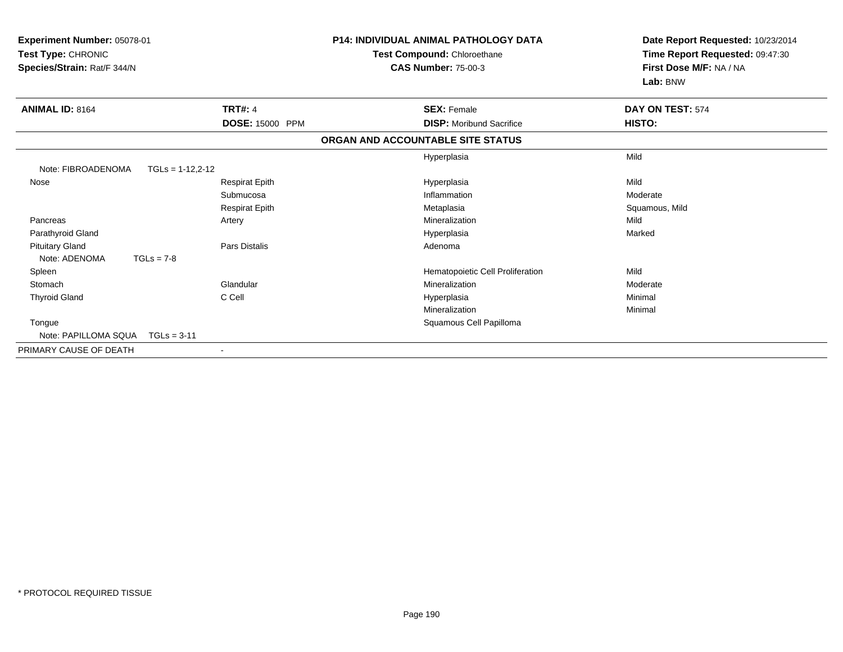| Experiment Number: 05078-01<br>Test Type: CHRONIC<br>Species/Strain: Rat/F 344/N |                        | <b>P14: INDIVIDUAL ANIMAL PATHOLOGY DATA</b><br>Test Compound: Chloroethane<br><b>CAS Number: 75-00-3</b> |                                   | Date Report Requested: 10/23/2014<br>Time Report Requested: 09:47:30<br>First Dose M/F: NA / NA<br>Lab: BNW |
|----------------------------------------------------------------------------------|------------------------|-----------------------------------------------------------------------------------------------------------|-----------------------------------|-------------------------------------------------------------------------------------------------------------|
| <b>ANIMAL ID: 8164</b>                                                           | <b>TRT#: 4</b>         |                                                                                                           | <b>SEX: Female</b>                | DAY ON TEST: 574                                                                                            |
|                                                                                  | <b>DOSE: 15000 PPM</b> |                                                                                                           | <b>DISP:</b> Moribund Sacrifice   | HISTO:                                                                                                      |
|                                                                                  |                        |                                                                                                           | ORGAN AND ACCOUNTABLE SITE STATUS |                                                                                                             |
|                                                                                  |                        |                                                                                                           | Hyperplasia                       | Mild                                                                                                        |
| Note: FIBROADENOMA<br>$TGLs = 1-12,2-12$                                         |                        |                                                                                                           |                                   |                                                                                                             |
| Nose                                                                             | <b>Respirat Epith</b>  |                                                                                                           | Hyperplasia                       | Mild                                                                                                        |
|                                                                                  | Submucosa              |                                                                                                           | Inflammation                      | Moderate                                                                                                    |
|                                                                                  | <b>Respirat Epith</b>  |                                                                                                           | Metaplasia                        | Squamous, Mild                                                                                              |
| Pancreas                                                                         | Artery                 |                                                                                                           | Mineralization                    | Mild                                                                                                        |
| Parathyroid Gland                                                                |                        |                                                                                                           | Hyperplasia                       | Marked                                                                                                      |
| <b>Pituitary Gland</b>                                                           | Pars Distalis          |                                                                                                           | Adenoma                           |                                                                                                             |
| $TGLs = 7-8$<br>Note: ADENOMA                                                    |                        |                                                                                                           |                                   |                                                                                                             |
| Spleen                                                                           |                        |                                                                                                           | Hematopoietic Cell Proliferation  | Mild                                                                                                        |
| Stomach                                                                          | Glandular              |                                                                                                           | Mineralization                    | Moderate                                                                                                    |
| <b>Thyroid Gland</b>                                                             | C Cell                 |                                                                                                           | Hyperplasia                       | Minimal                                                                                                     |
|                                                                                  |                        |                                                                                                           | Mineralization                    | Minimal                                                                                                     |
| Tongue                                                                           |                        |                                                                                                           | Squamous Cell Papilloma           |                                                                                                             |
| Note: PAPILLOMA SOUA<br>$TGLs = 3-11$                                            |                        |                                                                                                           |                                   |                                                                                                             |
| PRIMARY CAUSE OF DEATH                                                           |                        |                                                                                                           |                                   |                                                                                                             |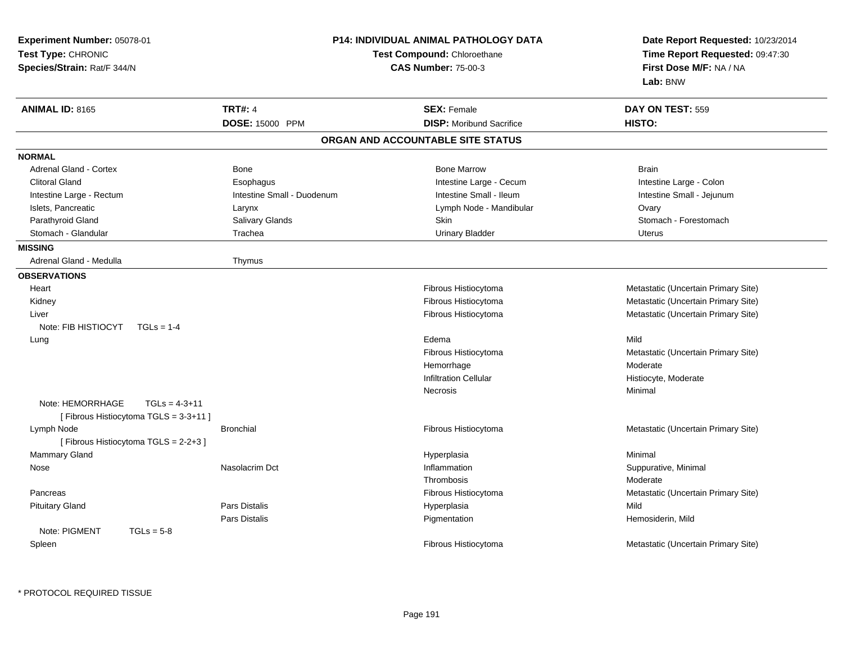| <b>ANIMAL ID: 8165</b><br><b>TRT#: 4</b><br><b>SEX: Female</b><br>DAY ON TEST: 559<br>DOSE: 15000 PPM<br><b>DISP:</b> Moribund Sacrifice<br>HISTO:<br>ORGAN AND ACCOUNTABLE SITE STATUS<br><b>Adrenal Gland - Cortex</b><br><b>Bone Marrow</b><br>Bone<br><b>Brain</b><br><b>Clitoral Gland</b><br>Intestine Large - Cecum<br>Intestine Large - Colon<br>Esophagus<br>Intestine Small - Duodenum<br>Intestine Small - Ileum<br>Intestine Small - Jejunum<br>Intestine Large - Rectum<br>Islets, Pancreatic<br>Lymph Node - Mandibular<br>Larynx<br>Ovary<br>Parathyroid Gland<br>Salivary Glands<br>Skin<br>Stomach - Forestomach<br>Stomach - Glandular<br>Trachea<br><b>Urinary Bladder</b><br>Uterus<br>Adrenal Gland - Medulla<br>Thymus<br>Fibrous Histiocytoma<br>Metastatic (Uncertain Primary Site)<br>Heart<br>Metastatic (Uncertain Primary Site)<br>Kidney<br>Fibrous Histiocytoma<br>Fibrous Histiocytoma<br>Metastatic (Uncertain Primary Site)<br>Liver<br>Note: FIB HISTIOCYT<br>$TGLs = 1-4$<br>Edema<br>Mild<br>Lung<br>Metastatic (Uncertain Primary Site)<br>Fibrous Histiocytoma<br>Hemorrhage<br>Moderate<br><b>Infiltration Cellular</b><br>Histiocyte, Moderate<br>Necrosis<br>Minimal<br>Note: HEMORRHAGE<br>$TGLs = 4-3+11$<br>[Fibrous Histiocytoma TGLS = 3-3+11]<br>Lymph Node<br><b>Bronchial</b><br>Fibrous Histiocytoma<br>Metastatic (Uncertain Primary Site)<br>[Fibrous Histiocytoma TGLS = 2-2+3]<br>Mammary Gland<br>Hyperplasia<br>Minimal<br>Nasolacrim Dct<br>Inflammation<br>Suppurative, Minimal<br>Nose<br>Moderate<br>Thrombosis<br>Pancreas<br>Fibrous Histiocytoma<br>Metastatic (Uncertain Primary Site)<br>Mild<br><b>Pituitary Gland</b><br>Pars Distalis<br>Hyperplasia<br>Pars Distalis<br>Pigmentation<br>Hemosiderin, Mild<br>Note: PIGMENT<br>$TGLs = 5-8$<br>Fibrous Histiocytoma<br>Metastatic (Uncertain Primary Site)<br>Spleen | Experiment Number: 05078-01<br>Test Type: CHRONIC<br>Species/Strain: Rat/F 344/N | <b>P14: INDIVIDUAL ANIMAL PATHOLOGY DATA</b><br>Test Compound: Chloroethane<br><b>CAS Number: 75-00-3</b> | Date Report Requested: 10/23/2014<br>Time Report Requested: 09:47:30<br>First Dose M/F: NA / NA<br>Lab: BNW |
|------------------------------------------------------------------------------------------------------------------------------------------------------------------------------------------------------------------------------------------------------------------------------------------------------------------------------------------------------------------------------------------------------------------------------------------------------------------------------------------------------------------------------------------------------------------------------------------------------------------------------------------------------------------------------------------------------------------------------------------------------------------------------------------------------------------------------------------------------------------------------------------------------------------------------------------------------------------------------------------------------------------------------------------------------------------------------------------------------------------------------------------------------------------------------------------------------------------------------------------------------------------------------------------------------------------------------------------------------------------------------------------------------------------------------------------------------------------------------------------------------------------------------------------------------------------------------------------------------------------------------------------------------------------------------------------------------------------------------------------------------------------------------------------------------------------------------------------------------------------------------------------|----------------------------------------------------------------------------------|-----------------------------------------------------------------------------------------------------------|-------------------------------------------------------------------------------------------------------------|
|                                                                                                                                                                                                                                                                                                                                                                                                                                                                                                                                                                                                                                                                                                                                                                                                                                                                                                                                                                                                                                                                                                                                                                                                                                                                                                                                                                                                                                                                                                                                                                                                                                                                                                                                                                                                                                                                                          |                                                                                  |                                                                                                           |                                                                                                             |
|                                                                                                                                                                                                                                                                                                                                                                                                                                                                                                                                                                                                                                                                                                                                                                                                                                                                                                                                                                                                                                                                                                                                                                                                                                                                                                                                                                                                                                                                                                                                                                                                                                                                                                                                                                                                                                                                                          |                                                                                  |                                                                                                           |                                                                                                             |
|                                                                                                                                                                                                                                                                                                                                                                                                                                                                                                                                                                                                                                                                                                                                                                                                                                                                                                                                                                                                                                                                                                                                                                                                                                                                                                                                                                                                                                                                                                                                                                                                                                                                                                                                                                                                                                                                                          |                                                                                  |                                                                                                           |                                                                                                             |
|                                                                                                                                                                                                                                                                                                                                                                                                                                                                                                                                                                                                                                                                                                                                                                                                                                                                                                                                                                                                                                                                                                                                                                                                                                                                                                                                                                                                                                                                                                                                                                                                                                                                                                                                                                                                                                                                                          | <b>NORMAL</b>                                                                    |                                                                                                           |                                                                                                             |
|                                                                                                                                                                                                                                                                                                                                                                                                                                                                                                                                                                                                                                                                                                                                                                                                                                                                                                                                                                                                                                                                                                                                                                                                                                                                                                                                                                                                                                                                                                                                                                                                                                                                                                                                                                                                                                                                                          |                                                                                  |                                                                                                           |                                                                                                             |
|                                                                                                                                                                                                                                                                                                                                                                                                                                                                                                                                                                                                                                                                                                                                                                                                                                                                                                                                                                                                                                                                                                                                                                                                                                                                                                                                                                                                                                                                                                                                                                                                                                                                                                                                                                                                                                                                                          |                                                                                  |                                                                                                           |                                                                                                             |
|                                                                                                                                                                                                                                                                                                                                                                                                                                                                                                                                                                                                                                                                                                                                                                                                                                                                                                                                                                                                                                                                                                                                                                                                                                                                                                                                                                                                                                                                                                                                                                                                                                                                                                                                                                                                                                                                                          |                                                                                  |                                                                                                           |                                                                                                             |
|                                                                                                                                                                                                                                                                                                                                                                                                                                                                                                                                                                                                                                                                                                                                                                                                                                                                                                                                                                                                                                                                                                                                                                                                                                                                                                                                                                                                                                                                                                                                                                                                                                                                                                                                                                                                                                                                                          |                                                                                  |                                                                                                           |                                                                                                             |
|                                                                                                                                                                                                                                                                                                                                                                                                                                                                                                                                                                                                                                                                                                                                                                                                                                                                                                                                                                                                                                                                                                                                                                                                                                                                                                                                                                                                                                                                                                                                                                                                                                                                                                                                                                                                                                                                                          |                                                                                  |                                                                                                           |                                                                                                             |
|                                                                                                                                                                                                                                                                                                                                                                                                                                                                                                                                                                                                                                                                                                                                                                                                                                                                                                                                                                                                                                                                                                                                                                                                                                                                                                                                                                                                                                                                                                                                                                                                                                                                                                                                                                                                                                                                                          |                                                                                  |                                                                                                           |                                                                                                             |
|                                                                                                                                                                                                                                                                                                                                                                                                                                                                                                                                                                                                                                                                                                                                                                                                                                                                                                                                                                                                                                                                                                                                                                                                                                                                                                                                                                                                                                                                                                                                                                                                                                                                                                                                                                                                                                                                                          | <b>MISSING</b>                                                                   |                                                                                                           |                                                                                                             |
|                                                                                                                                                                                                                                                                                                                                                                                                                                                                                                                                                                                                                                                                                                                                                                                                                                                                                                                                                                                                                                                                                                                                                                                                                                                                                                                                                                                                                                                                                                                                                                                                                                                                                                                                                                                                                                                                                          |                                                                                  |                                                                                                           |                                                                                                             |
|                                                                                                                                                                                                                                                                                                                                                                                                                                                                                                                                                                                                                                                                                                                                                                                                                                                                                                                                                                                                                                                                                                                                                                                                                                                                                                                                                                                                                                                                                                                                                                                                                                                                                                                                                                                                                                                                                          | <b>OBSERVATIONS</b>                                                              |                                                                                                           |                                                                                                             |
|                                                                                                                                                                                                                                                                                                                                                                                                                                                                                                                                                                                                                                                                                                                                                                                                                                                                                                                                                                                                                                                                                                                                                                                                                                                                                                                                                                                                                                                                                                                                                                                                                                                                                                                                                                                                                                                                                          |                                                                                  |                                                                                                           |                                                                                                             |
|                                                                                                                                                                                                                                                                                                                                                                                                                                                                                                                                                                                                                                                                                                                                                                                                                                                                                                                                                                                                                                                                                                                                                                                                                                                                                                                                                                                                                                                                                                                                                                                                                                                                                                                                                                                                                                                                                          |                                                                                  |                                                                                                           |                                                                                                             |
|                                                                                                                                                                                                                                                                                                                                                                                                                                                                                                                                                                                                                                                                                                                                                                                                                                                                                                                                                                                                                                                                                                                                                                                                                                                                                                                                                                                                                                                                                                                                                                                                                                                                                                                                                                                                                                                                                          |                                                                                  |                                                                                                           |                                                                                                             |
|                                                                                                                                                                                                                                                                                                                                                                                                                                                                                                                                                                                                                                                                                                                                                                                                                                                                                                                                                                                                                                                                                                                                                                                                                                                                                                                                                                                                                                                                                                                                                                                                                                                                                                                                                                                                                                                                                          |                                                                                  |                                                                                                           |                                                                                                             |
|                                                                                                                                                                                                                                                                                                                                                                                                                                                                                                                                                                                                                                                                                                                                                                                                                                                                                                                                                                                                                                                                                                                                                                                                                                                                                                                                                                                                                                                                                                                                                                                                                                                                                                                                                                                                                                                                                          |                                                                                  |                                                                                                           |                                                                                                             |
|                                                                                                                                                                                                                                                                                                                                                                                                                                                                                                                                                                                                                                                                                                                                                                                                                                                                                                                                                                                                                                                                                                                                                                                                                                                                                                                                                                                                                                                                                                                                                                                                                                                                                                                                                                                                                                                                                          |                                                                                  |                                                                                                           |                                                                                                             |
|                                                                                                                                                                                                                                                                                                                                                                                                                                                                                                                                                                                                                                                                                                                                                                                                                                                                                                                                                                                                                                                                                                                                                                                                                                                                                                                                                                                                                                                                                                                                                                                                                                                                                                                                                                                                                                                                                          |                                                                                  |                                                                                                           |                                                                                                             |
|                                                                                                                                                                                                                                                                                                                                                                                                                                                                                                                                                                                                                                                                                                                                                                                                                                                                                                                                                                                                                                                                                                                                                                                                                                                                                                                                                                                                                                                                                                                                                                                                                                                                                                                                                                                                                                                                                          |                                                                                  |                                                                                                           |                                                                                                             |
|                                                                                                                                                                                                                                                                                                                                                                                                                                                                                                                                                                                                                                                                                                                                                                                                                                                                                                                                                                                                                                                                                                                                                                                                                                                                                                                                                                                                                                                                                                                                                                                                                                                                                                                                                                                                                                                                                          |                                                                                  |                                                                                                           |                                                                                                             |
|                                                                                                                                                                                                                                                                                                                                                                                                                                                                                                                                                                                                                                                                                                                                                                                                                                                                                                                                                                                                                                                                                                                                                                                                                                                                                                                                                                                                                                                                                                                                                                                                                                                                                                                                                                                                                                                                                          |                                                                                  |                                                                                                           |                                                                                                             |
|                                                                                                                                                                                                                                                                                                                                                                                                                                                                                                                                                                                                                                                                                                                                                                                                                                                                                                                                                                                                                                                                                                                                                                                                                                                                                                                                                                                                                                                                                                                                                                                                                                                                                                                                                                                                                                                                                          |                                                                                  |                                                                                                           |                                                                                                             |
|                                                                                                                                                                                                                                                                                                                                                                                                                                                                                                                                                                                                                                                                                                                                                                                                                                                                                                                                                                                                                                                                                                                                                                                                                                                                                                                                                                                                                                                                                                                                                                                                                                                                                                                                                                                                                                                                                          |                                                                                  |                                                                                                           |                                                                                                             |
|                                                                                                                                                                                                                                                                                                                                                                                                                                                                                                                                                                                                                                                                                                                                                                                                                                                                                                                                                                                                                                                                                                                                                                                                                                                                                                                                                                                                                                                                                                                                                                                                                                                                                                                                                                                                                                                                                          |                                                                                  |                                                                                                           |                                                                                                             |
|                                                                                                                                                                                                                                                                                                                                                                                                                                                                                                                                                                                                                                                                                                                                                                                                                                                                                                                                                                                                                                                                                                                                                                                                                                                                                                                                                                                                                                                                                                                                                                                                                                                                                                                                                                                                                                                                                          |                                                                                  |                                                                                                           |                                                                                                             |
|                                                                                                                                                                                                                                                                                                                                                                                                                                                                                                                                                                                                                                                                                                                                                                                                                                                                                                                                                                                                                                                                                                                                                                                                                                                                                                                                                                                                                                                                                                                                                                                                                                                                                                                                                                                                                                                                                          |                                                                                  |                                                                                                           |                                                                                                             |
|                                                                                                                                                                                                                                                                                                                                                                                                                                                                                                                                                                                                                                                                                                                                                                                                                                                                                                                                                                                                                                                                                                                                                                                                                                                                                                                                                                                                                                                                                                                                                                                                                                                                                                                                                                                                                                                                                          |                                                                                  |                                                                                                           |                                                                                                             |
|                                                                                                                                                                                                                                                                                                                                                                                                                                                                                                                                                                                                                                                                                                                                                                                                                                                                                                                                                                                                                                                                                                                                                                                                                                                                                                                                                                                                                                                                                                                                                                                                                                                                                                                                                                                                                                                                                          |                                                                                  |                                                                                                           |                                                                                                             |
|                                                                                                                                                                                                                                                                                                                                                                                                                                                                                                                                                                                                                                                                                                                                                                                                                                                                                                                                                                                                                                                                                                                                                                                                                                                                                                                                                                                                                                                                                                                                                                                                                                                                                                                                                                                                                                                                                          |                                                                                  |                                                                                                           |                                                                                                             |
|                                                                                                                                                                                                                                                                                                                                                                                                                                                                                                                                                                                                                                                                                                                                                                                                                                                                                                                                                                                                                                                                                                                                                                                                                                                                                                                                                                                                                                                                                                                                                                                                                                                                                                                                                                                                                                                                                          |                                                                                  |                                                                                                           |                                                                                                             |
|                                                                                                                                                                                                                                                                                                                                                                                                                                                                                                                                                                                                                                                                                                                                                                                                                                                                                                                                                                                                                                                                                                                                                                                                                                                                                                                                                                                                                                                                                                                                                                                                                                                                                                                                                                                                                                                                                          |                                                                                  |                                                                                                           |                                                                                                             |
|                                                                                                                                                                                                                                                                                                                                                                                                                                                                                                                                                                                                                                                                                                                                                                                                                                                                                                                                                                                                                                                                                                                                                                                                                                                                                                                                                                                                                                                                                                                                                                                                                                                                                                                                                                                                                                                                                          |                                                                                  |                                                                                                           |                                                                                                             |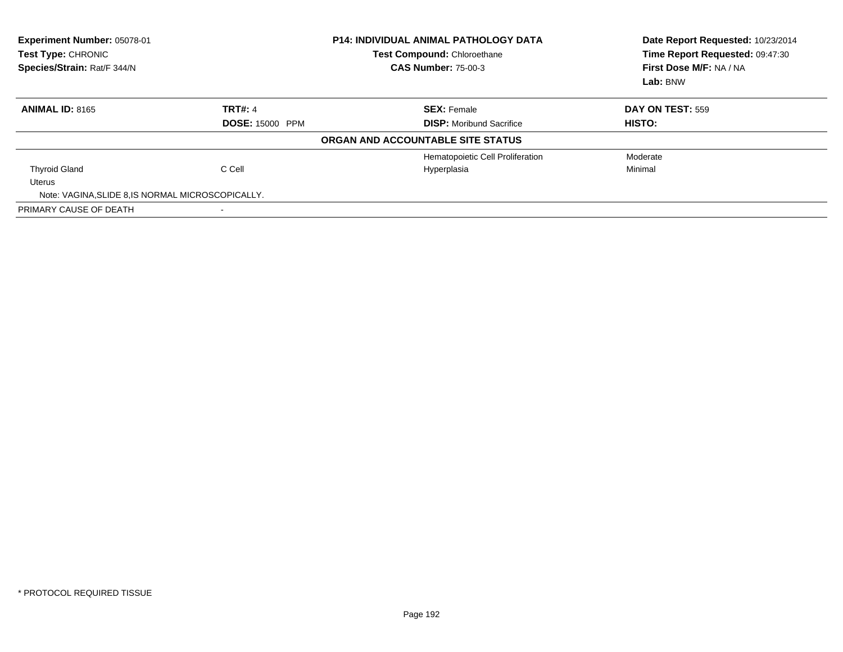| Experiment Number: 05078-01<br>Test Type: CHRONIC<br>Species/Strain: Rat/F 344/N |                | <b>P14: INDIVIDUAL ANIMAL PATHOLOGY DATA</b><br>Test Compound: Chloroethane<br><b>CAS Number: 75-00-3</b> | Date Report Requested: 10/23/2014<br>Time Report Requested: 09:47:30<br>First Dose M/F: NA / NA<br>Lab: BNW |
|----------------------------------------------------------------------------------|----------------|-----------------------------------------------------------------------------------------------------------|-------------------------------------------------------------------------------------------------------------|
| <b>ANIMAL ID: 8165</b>                                                           | <b>TRT#: 4</b> | <b>SEX: Female</b>                                                                                        | DAY ON TEST: 559                                                                                            |
| <b>DOSE: 15000 PPM</b>                                                           |                | <b>DISP:</b> Moribund Sacrifice                                                                           | HISTO:                                                                                                      |
|                                                                                  |                | ORGAN AND ACCOUNTABLE SITE STATUS                                                                         |                                                                                                             |
|                                                                                  |                | Hematopoietic Cell Proliferation                                                                          | Moderate                                                                                                    |
| <b>Thyroid Gland</b>                                                             | C Cell         | Hyperplasia                                                                                               | Minimal                                                                                                     |
| Uterus                                                                           |                |                                                                                                           |                                                                                                             |
| Note: VAGINA, SLIDE 8, IS NORMAL MICROSCOPICALLY.                                |                |                                                                                                           |                                                                                                             |
| PRIMARY CAUSE OF DEATH                                                           |                |                                                                                                           |                                                                                                             |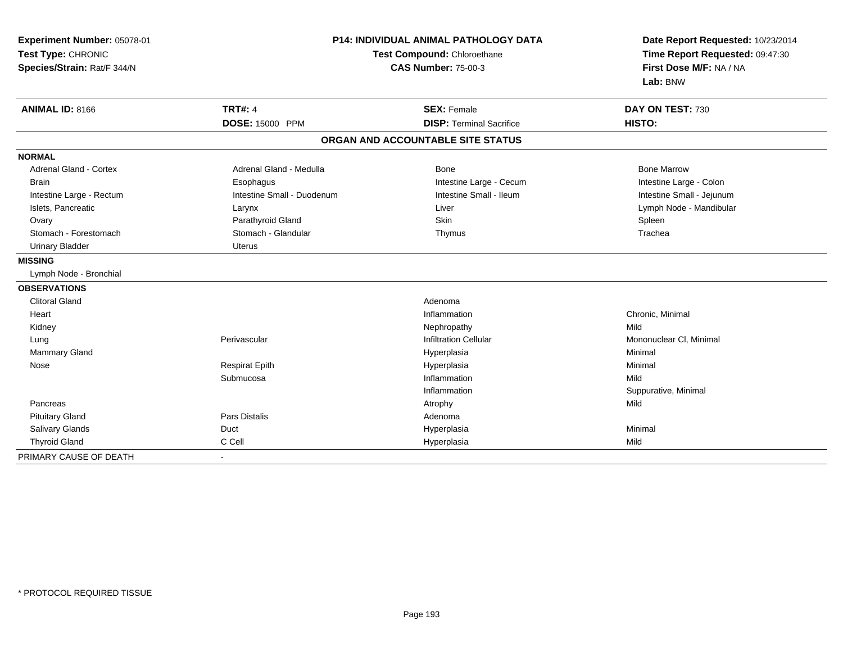| Experiment Number: 05078-01<br>Test Type: CHRONIC<br>Species/Strain: Rat/F 344/N | <b>P14: INDIVIDUAL ANIMAL PATHOLOGY DATA</b><br>Test Compound: Chloroethane<br><b>CAS Number: 75-00-3</b> |                                   | Date Report Requested: 10/23/2014<br>Time Report Requested: 09:47:30<br>First Dose M/F: NA / NA<br>Lab: BNW |  |
|----------------------------------------------------------------------------------|-----------------------------------------------------------------------------------------------------------|-----------------------------------|-------------------------------------------------------------------------------------------------------------|--|
| <b>ANIMAL ID: 8166</b>                                                           | <b>TRT#: 4</b>                                                                                            | <b>SEX: Female</b>                | DAY ON TEST: 730                                                                                            |  |
|                                                                                  | <b>DOSE: 15000 PPM</b>                                                                                    | <b>DISP: Terminal Sacrifice</b>   | HISTO:                                                                                                      |  |
|                                                                                  |                                                                                                           | ORGAN AND ACCOUNTABLE SITE STATUS |                                                                                                             |  |
| <b>NORMAL</b>                                                                    |                                                                                                           |                                   |                                                                                                             |  |
| <b>Adrenal Gland - Cortex</b>                                                    | Adrenal Gland - Medulla                                                                                   | Bone                              | <b>Bone Marrow</b>                                                                                          |  |
| <b>Brain</b>                                                                     | Esophagus                                                                                                 | Intestine Large - Cecum           | Intestine Large - Colon                                                                                     |  |
| Intestine Large - Rectum                                                         | Intestine Small - Duodenum                                                                                | Intestine Small - Ileum           | Intestine Small - Jejunum                                                                                   |  |
| Islets, Pancreatic                                                               | Larynx                                                                                                    | Liver                             | Lymph Node - Mandibular                                                                                     |  |
| Ovary                                                                            | Parathyroid Gland                                                                                         | Skin                              | Spleen                                                                                                      |  |
| Stomach - Forestomach                                                            | Stomach - Glandular                                                                                       | Thymus                            | Trachea                                                                                                     |  |
| <b>Urinary Bladder</b>                                                           | <b>Uterus</b>                                                                                             |                                   |                                                                                                             |  |
| <b>MISSING</b>                                                                   |                                                                                                           |                                   |                                                                                                             |  |
| Lymph Node - Bronchial                                                           |                                                                                                           |                                   |                                                                                                             |  |
| <b>OBSERVATIONS</b>                                                              |                                                                                                           |                                   |                                                                                                             |  |
| <b>Clitoral Gland</b>                                                            |                                                                                                           | Adenoma                           |                                                                                                             |  |
| Heart                                                                            |                                                                                                           | Inflammation                      | Chronic, Minimal                                                                                            |  |
| Kidney                                                                           |                                                                                                           | Nephropathy                       | Mild                                                                                                        |  |
| Lung                                                                             | Perivascular                                                                                              | <b>Infiltration Cellular</b>      | Mononuclear CI, Minimal                                                                                     |  |
| Mammary Gland                                                                    |                                                                                                           | Hyperplasia                       | Minimal                                                                                                     |  |
| Nose                                                                             | <b>Respirat Epith</b>                                                                                     | Hyperplasia                       | Minimal                                                                                                     |  |
|                                                                                  | Submucosa                                                                                                 | Inflammation                      | Mild                                                                                                        |  |
|                                                                                  |                                                                                                           | Inflammation                      | Suppurative, Minimal                                                                                        |  |
| Pancreas                                                                         |                                                                                                           | Atrophy                           | Mild                                                                                                        |  |
| <b>Pituitary Gland</b>                                                           | Pars Distalis                                                                                             | Adenoma                           |                                                                                                             |  |
| Salivary Glands                                                                  | Duct                                                                                                      | Hyperplasia                       | Minimal                                                                                                     |  |
| <b>Thyroid Gland</b>                                                             | C Cell                                                                                                    | Hyperplasia                       | Mild                                                                                                        |  |
| PRIMARY CAUSE OF DEATH                                                           |                                                                                                           |                                   |                                                                                                             |  |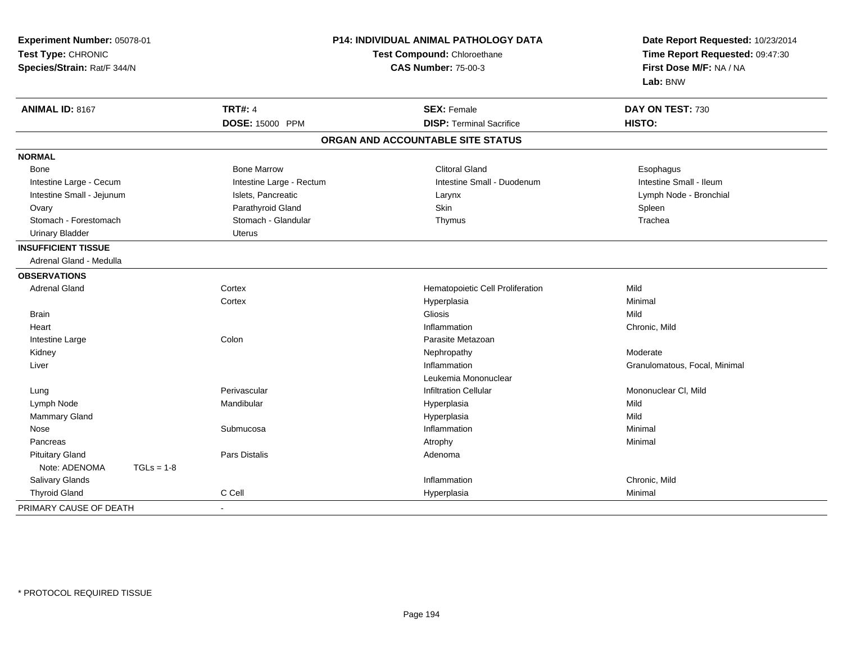| Experiment Number: 05078-01<br>Test Type: CHRONIC<br>Species/Strain: Rat/F 344/N |                          | P14: INDIVIDUAL ANIMAL PATHOLOGY DATA<br>Test Compound: Chloroethane<br><b>CAS Number: 75-00-3</b> |                               |
|----------------------------------------------------------------------------------|--------------------------|----------------------------------------------------------------------------------------------------|-------------------------------|
| <b>ANIMAL ID: 8167</b>                                                           | <b>TRT#: 4</b>           | <b>SEX: Female</b>                                                                                 | DAY ON TEST: 730              |
|                                                                                  | DOSE: 15000 PPM          | <b>DISP: Terminal Sacrifice</b>                                                                    | HISTO:                        |
|                                                                                  |                          | ORGAN AND ACCOUNTABLE SITE STATUS                                                                  |                               |
| <b>NORMAL</b>                                                                    |                          |                                                                                                    |                               |
| Bone                                                                             | <b>Bone Marrow</b>       | <b>Clitoral Gland</b>                                                                              | Esophagus                     |
| Intestine Large - Cecum                                                          | Intestine Large - Rectum | Intestine Small - Duodenum                                                                         | Intestine Small - Ileum       |
| Intestine Small - Jejunum                                                        | Islets, Pancreatic       | Larynx                                                                                             | Lymph Node - Bronchial        |
| Ovary                                                                            | Parathyroid Gland        | Skin                                                                                               | Spleen                        |
| Stomach - Forestomach                                                            | Stomach - Glandular      | Thymus                                                                                             | Trachea                       |
| <b>Urinary Bladder</b>                                                           | Uterus                   |                                                                                                    |                               |
| <b>INSUFFICIENT TISSUE</b>                                                       |                          |                                                                                                    |                               |
| Adrenal Gland - Medulla                                                          |                          |                                                                                                    |                               |
| <b>OBSERVATIONS</b>                                                              |                          |                                                                                                    |                               |
| <b>Adrenal Gland</b>                                                             | Cortex                   | Hematopoietic Cell Proliferation                                                                   | Mild                          |
|                                                                                  | Cortex                   | Hyperplasia                                                                                        | Minimal                       |
| <b>Brain</b>                                                                     |                          | Gliosis                                                                                            | Mild                          |
| Heart                                                                            |                          | Inflammation                                                                                       | Chronic, Mild                 |
| Intestine Large                                                                  | Colon                    | Parasite Metazoan                                                                                  |                               |
| Kidney                                                                           |                          | Nephropathy                                                                                        | Moderate                      |
| Liver                                                                            |                          | Inflammation                                                                                       | Granulomatous, Focal, Minimal |
|                                                                                  |                          | Leukemia Mononuclear                                                                               |                               |
| Lung                                                                             | Perivascular             | <b>Infiltration Cellular</b>                                                                       | Mononuclear CI, Mild          |
| Lymph Node                                                                       | Mandibular               | Hyperplasia                                                                                        | Mild                          |
| Mammary Gland                                                                    |                          | Hyperplasia                                                                                        | Mild                          |
| Nose                                                                             | Submucosa                | Inflammation                                                                                       | Minimal                       |
| Pancreas                                                                         |                          | Atrophy                                                                                            | Minimal                       |
| <b>Pituitary Gland</b>                                                           | Pars Distalis            | Adenoma                                                                                            |                               |
| Note: ADENOMA<br>$TGLs = 1-8$                                                    |                          |                                                                                                    |                               |
| Salivary Glands                                                                  |                          | Inflammation                                                                                       | Chronic, Mild                 |
| <b>Thyroid Gland</b>                                                             | C Cell                   | Hyperplasia                                                                                        | Minimal                       |
| PRIMARY CAUSE OF DEATH                                                           |                          |                                                                                                    |                               |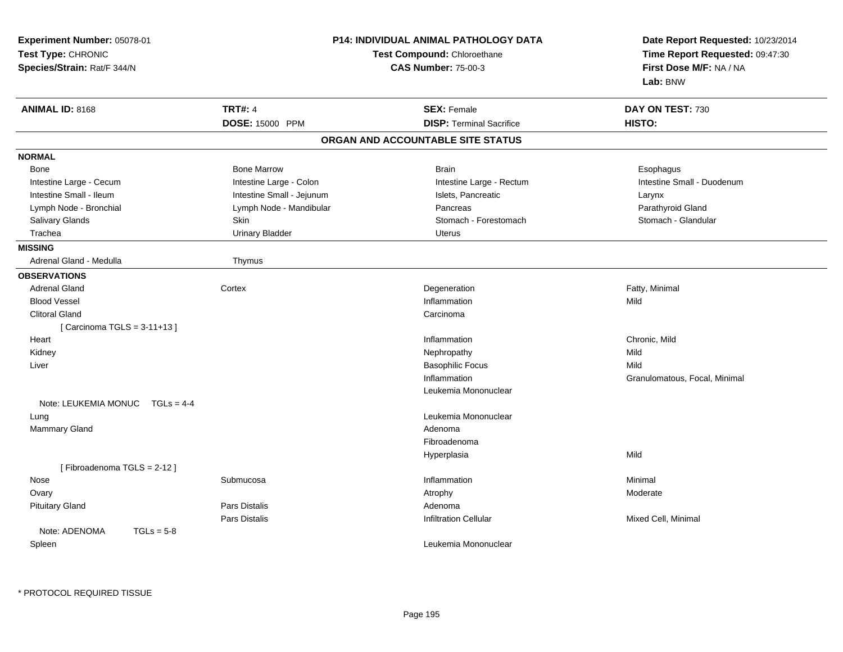| Experiment Number: 05078-01<br>Test Type: CHRONIC<br>Species/Strain: Rat/F 344/N |                           | <b>P14: INDIVIDUAL ANIMAL PATHOLOGY DATA</b><br>Test Compound: Chloroethane<br><b>CAS Number: 75-00-3</b> | Date Report Requested: 10/23/2014<br>Time Report Requested: 09:47:30<br>First Dose M/F: NA / NA<br>Lab: BNW |
|----------------------------------------------------------------------------------|---------------------------|-----------------------------------------------------------------------------------------------------------|-------------------------------------------------------------------------------------------------------------|
| <b>ANIMAL ID: 8168</b>                                                           | <b>TRT#: 4</b>            | <b>SEX: Female</b>                                                                                        | DAY ON TEST: 730                                                                                            |
|                                                                                  | DOSE: 15000 PPM           | <b>DISP: Terminal Sacrifice</b>                                                                           | HISTO:                                                                                                      |
|                                                                                  |                           | ORGAN AND ACCOUNTABLE SITE STATUS                                                                         |                                                                                                             |
| <b>NORMAL</b>                                                                    |                           |                                                                                                           |                                                                                                             |
| Bone                                                                             | <b>Bone Marrow</b>        | <b>Brain</b>                                                                                              | Esophagus                                                                                                   |
| Intestine Large - Cecum                                                          | Intestine Large - Colon   | Intestine Large - Rectum                                                                                  | Intestine Small - Duodenum                                                                                  |
| Intestine Small - Ileum                                                          | Intestine Small - Jejunum | Islets, Pancreatic                                                                                        | Larynx                                                                                                      |
| Lymph Node - Bronchial                                                           | Lymph Node - Mandibular   | Pancreas                                                                                                  | Parathyroid Gland                                                                                           |
| Salivary Glands                                                                  | Skin                      | Stomach - Forestomach                                                                                     | Stomach - Glandular                                                                                         |
| Trachea                                                                          | <b>Urinary Bladder</b>    | <b>Uterus</b>                                                                                             |                                                                                                             |
| <b>MISSING</b>                                                                   |                           |                                                                                                           |                                                                                                             |
| Adrenal Gland - Medulla                                                          | Thymus                    |                                                                                                           |                                                                                                             |
| <b>OBSERVATIONS</b>                                                              |                           |                                                                                                           |                                                                                                             |
| <b>Adrenal Gland</b>                                                             | Cortex                    | Degeneration                                                                                              | Fatty, Minimal                                                                                              |
| <b>Blood Vessel</b>                                                              |                           | Inflammation                                                                                              | Mild                                                                                                        |
| <b>Clitoral Gland</b>                                                            |                           | Carcinoma                                                                                                 |                                                                                                             |
| [ Carcinoma TGLS = 3-11+13 ]                                                     |                           |                                                                                                           |                                                                                                             |
| Heart                                                                            |                           | Inflammation                                                                                              | Chronic, Mild                                                                                               |
| Kidney                                                                           |                           | Nephropathy                                                                                               | Mild                                                                                                        |
| Liver                                                                            |                           | <b>Basophilic Focus</b>                                                                                   | Mild                                                                                                        |
|                                                                                  |                           | Inflammation                                                                                              | Granulomatous, Focal, Minimal                                                                               |
|                                                                                  |                           | Leukemia Mononuclear                                                                                      |                                                                                                             |
| Note: LEUKEMIA MONUC $TGLs = 4-4$                                                |                           |                                                                                                           |                                                                                                             |
| Lung                                                                             |                           | Leukemia Mononuclear                                                                                      |                                                                                                             |
| Mammary Gland                                                                    |                           | Adenoma                                                                                                   |                                                                                                             |
|                                                                                  |                           | Fibroadenoma                                                                                              |                                                                                                             |
|                                                                                  |                           | Hyperplasia                                                                                               | Mild                                                                                                        |
| [Fibroadenoma TGLS = 2-12]                                                       |                           |                                                                                                           |                                                                                                             |
| Nose                                                                             | Submucosa                 | Inflammation                                                                                              | Minimal                                                                                                     |
| Ovary                                                                            |                           | Atrophy                                                                                                   | Moderate                                                                                                    |
| <b>Pituitary Gland</b>                                                           | Pars Distalis             | Adenoma                                                                                                   |                                                                                                             |
|                                                                                  | Pars Distalis             | Infiltration Cellular                                                                                     | Mixed Cell, Minimal                                                                                         |
| Note: ADENOMA<br>$TGLs = 5-8$                                                    |                           |                                                                                                           |                                                                                                             |
| Spleen                                                                           |                           | Leukemia Mononuclear                                                                                      |                                                                                                             |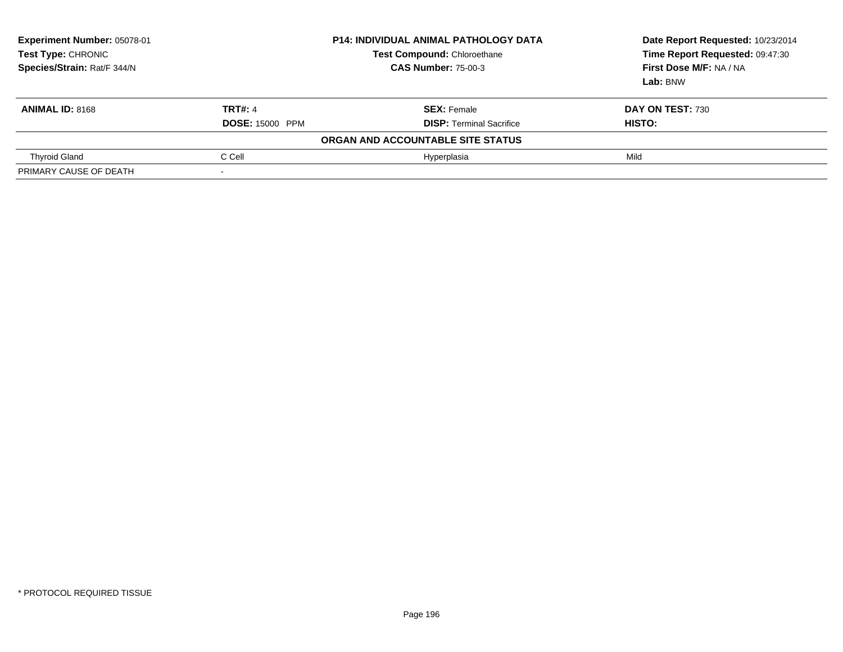| Experiment Number: 05078-01<br>Test Type: CHRONIC<br>Species/Strain: Rat/F 344/N | <b>P14: INDIVIDUAL ANIMAL PATHOLOGY DATA</b><br><b>Test Compound: Chloroethane</b><br><b>CAS Number: 75-00-3</b> |                                   | Date Report Requested: 10/23/2014<br>Time Report Requested: 09:47:30<br>First Dose M/F: NA / NA<br>Lab: BNW |  |
|----------------------------------------------------------------------------------|------------------------------------------------------------------------------------------------------------------|-----------------------------------|-------------------------------------------------------------------------------------------------------------|--|
| <b>ANIMAL ID: 8168</b>                                                           | <b>TRT#: 4</b>                                                                                                   | <b>SEX: Female</b>                | DAY ON TEST: 730                                                                                            |  |
|                                                                                  | <b>DOSE: 15000 PPM</b>                                                                                           | <b>DISP:</b> Terminal Sacrifice   | <b>HISTO:</b>                                                                                               |  |
|                                                                                  |                                                                                                                  | ORGAN AND ACCOUNTABLE SITE STATUS |                                                                                                             |  |
| <b>Thyroid Gland</b>                                                             | C Cell                                                                                                           | Hyperplasia                       | Mild                                                                                                        |  |
| PRIMARY CAUSE OF DEATH                                                           |                                                                                                                  |                                   |                                                                                                             |  |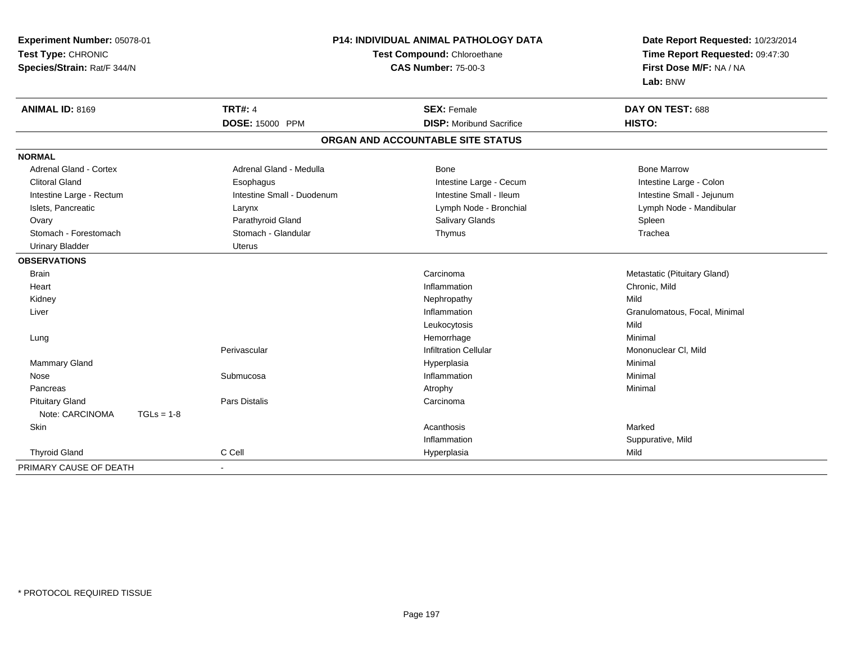| Experiment Number: 05078-01   |              | <b>P14: INDIVIDUAL ANIMAL PATHOLOGY DATA</b> |                                   | Date Report Requested: 10/23/2014 |
|-------------------------------|--------------|----------------------------------------------|-----------------------------------|-----------------------------------|
| Test Type: CHRONIC            |              |                                              | Test Compound: Chloroethane       | Time Report Requested: 09:47:30   |
| Species/Strain: Rat/F 344/N   |              |                                              | <b>CAS Number: 75-00-3</b>        | First Dose M/F: NA / NA           |
|                               |              |                                              |                                   | Lab: BNW                          |
| <b>ANIMAL ID: 8169</b>        |              | <b>TRT#: 4</b>                               | <b>SEX: Female</b>                | DAY ON TEST: 688                  |
|                               |              | <b>DOSE: 15000 PPM</b>                       | <b>DISP:</b> Moribund Sacrifice   | HISTO:                            |
|                               |              |                                              | ORGAN AND ACCOUNTABLE SITE STATUS |                                   |
| <b>NORMAL</b>                 |              |                                              |                                   |                                   |
| <b>Adrenal Gland - Cortex</b> |              | Adrenal Gland - Medulla                      | Bone                              | <b>Bone Marrow</b>                |
| <b>Clitoral Gland</b>         |              | Esophagus                                    | Intestine Large - Cecum           | Intestine Large - Colon           |
| Intestine Large - Rectum      |              | Intestine Small - Duodenum                   | Intestine Small - Ileum           | Intestine Small - Jejunum         |
| Islets, Pancreatic            |              | Larynx                                       | Lymph Node - Bronchial            | Lymph Node - Mandibular           |
| Ovary                         |              | Parathyroid Gland                            | <b>Salivary Glands</b>            | Spleen                            |
| Stomach - Forestomach         |              | Stomach - Glandular                          | Thymus                            | Trachea                           |
| <b>Urinary Bladder</b>        |              | Uterus                                       |                                   |                                   |
| <b>OBSERVATIONS</b>           |              |                                              |                                   |                                   |
| <b>Brain</b>                  |              |                                              | Carcinoma                         | Metastatic (Pituitary Gland)      |
| Heart                         |              |                                              | Inflammation                      | Chronic, Mild                     |
| Kidney                        |              |                                              | Nephropathy                       | Mild                              |
| Liver                         |              |                                              | Inflammation                      | Granulomatous, Focal, Minimal     |
|                               |              |                                              | Leukocytosis                      | Mild                              |
| Lung                          |              |                                              | Hemorrhage                        | Minimal                           |
|                               |              | Perivascular                                 | <b>Infiltration Cellular</b>      | Mononuclear CI, Mild              |
| <b>Mammary Gland</b>          |              |                                              | Hyperplasia                       | Minimal                           |
| Nose                          |              | Submucosa                                    | Inflammation                      | Minimal                           |
| Pancreas                      |              |                                              | Atrophy                           | Minimal                           |
| <b>Pituitary Gland</b>        |              | Pars Distalis                                | Carcinoma                         |                                   |
| Note: CARCINOMA               | $TGLs = 1-8$ |                                              |                                   |                                   |
| Skin                          |              |                                              | Acanthosis                        | Marked                            |
|                               |              |                                              | Inflammation                      | Suppurative, Mild                 |
| <b>Thyroid Gland</b>          |              | C Cell                                       | Hyperplasia                       | Mild                              |
| PRIMARY CAUSE OF DEATH        |              | $\blacksquare$                               |                                   |                                   |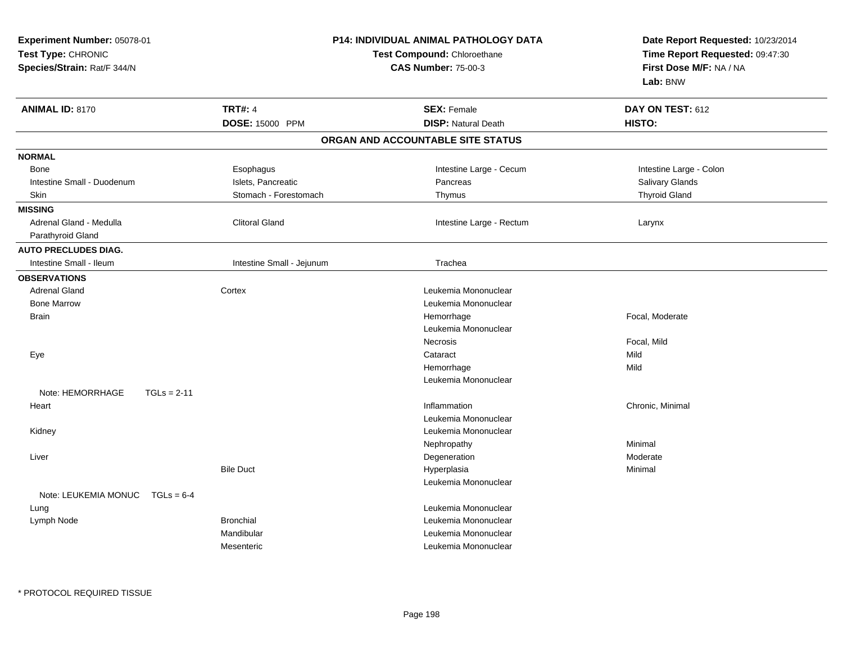| Experiment Number: 05078-01<br>Test Type: CHRONIC<br>Species/Strain: Rat/F 344/N |                           | <b>P14: INDIVIDUAL ANIMAL PATHOLOGY DATA</b><br>Test Compound: Chloroethane<br><b>CAS Number: 75-00-3</b> | Date Report Requested: 10/23/2014<br>Time Report Requested: 09:47:30<br>First Dose M/F: NA / NA<br>Lab: BNW |
|----------------------------------------------------------------------------------|---------------------------|-----------------------------------------------------------------------------------------------------------|-------------------------------------------------------------------------------------------------------------|
| <b>ANIMAL ID: 8170</b>                                                           | <b>TRT#: 4</b>            | <b>SEX: Female</b>                                                                                        | DAY ON TEST: 612                                                                                            |
|                                                                                  | DOSE: 15000 PPM           | <b>DISP: Natural Death</b>                                                                                | HISTO:                                                                                                      |
|                                                                                  |                           | ORGAN AND ACCOUNTABLE SITE STATUS                                                                         |                                                                                                             |
| <b>NORMAL</b>                                                                    |                           |                                                                                                           |                                                                                                             |
| Bone                                                                             | Esophagus                 | Intestine Large - Cecum                                                                                   | Intestine Large - Colon                                                                                     |
| Intestine Small - Duodenum                                                       | Islets, Pancreatic        | Pancreas                                                                                                  | Salivary Glands                                                                                             |
| Skin                                                                             | Stomach - Forestomach     | Thymus                                                                                                    | <b>Thyroid Gland</b>                                                                                        |
| <b>MISSING</b>                                                                   |                           |                                                                                                           |                                                                                                             |
| Adrenal Gland - Medulla                                                          | <b>Clitoral Gland</b>     | Intestine Large - Rectum                                                                                  | Larynx                                                                                                      |
| Parathyroid Gland                                                                |                           |                                                                                                           |                                                                                                             |
| <b>AUTO PRECLUDES DIAG.</b>                                                      |                           |                                                                                                           |                                                                                                             |
| Intestine Small - Ileum                                                          | Intestine Small - Jejunum | Trachea                                                                                                   |                                                                                                             |
| <b>OBSERVATIONS</b>                                                              |                           |                                                                                                           |                                                                                                             |
| <b>Adrenal Gland</b>                                                             | Cortex                    | Leukemia Mononuclear                                                                                      |                                                                                                             |
| <b>Bone Marrow</b>                                                               |                           | Leukemia Mononuclear                                                                                      |                                                                                                             |
| <b>Brain</b>                                                                     |                           | Hemorrhage                                                                                                | Focal, Moderate                                                                                             |
|                                                                                  |                           | Leukemia Mononuclear                                                                                      |                                                                                                             |
|                                                                                  |                           | Necrosis                                                                                                  | Focal, Mild                                                                                                 |
| Eye                                                                              |                           | Cataract                                                                                                  | Mild                                                                                                        |
|                                                                                  |                           | Hemorrhage                                                                                                | Mild                                                                                                        |
|                                                                                  |                           | Leukemia Mononuclear                                                                                      |                                                                                                             |
| Note: HEMORRHAGE                                                                 | $TGLs = 2-11$             |                                                                                                           |                                                                                                             |
| Heart                                                                            |                           | Inflammation                                                                                              | Chronic, Minimal                                                                                            |
|                                                                                  |                           | Leukemia Mononuclear                                                                                      |                                                                                                             |
| Kidney                                                                           |                           | Leukemia Mononuclear                                                                                      |                                                                                                             |
|                                                                                  |                           | Nephropathy                                                                                               | Minimal                                                                                                     |
| Liver                                                                            |                           | Degeneration                                                                                              | Moderate                                                                                                    |
|                                                                                  | <b>Bile Duct</b>          | Hyperplasia                                                                                               | Minimal                                                                                                     |
| Note: LEUKEMIA MONUC                                                             | $TGLs = 6-4$              | Leukemia Mononuclear                                                                                      |                                                                                                             |
| Lung                                                                             |                           | Leukemia Mononuclear                                                                                      |                                                                                                             |
| Lymph Node                                                                       | <b>Bronchial</b>          | Leukemia Mononuclear                                                                                      |                                                                                                             |
|                                                                                  | Mandibular                | Leukemia Mononuclear                                                                                      |                                                                                                             |
|                                                                                  | Mesenteric                | Leukemia Mononuclear                                                                                      |                                                                                                             |
|                                                                                  |                           |                                                                                                           |                                                                                                             |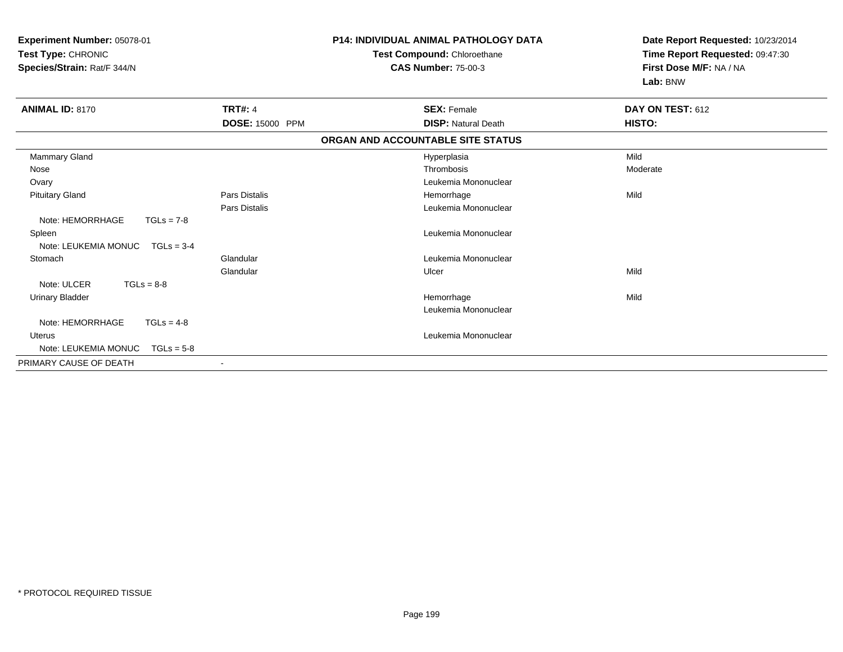| Experiment Number: 05078-01<br>Test Type: CHRONIC<br>Species/Strain: Rat/F 344/N |                      | <b>P14: INDIVIDUAL ANIMAL PATHOLOGY DATA</b><br>Test Compound: Chloroethane<br><b>CAS Number: 75-00-3</b> | Date Report Requested: 10/23/2014<br>Time Report Requested: 09:47:30<br>First Dose M/F: NA / NA<br>Lab: BNW |
|----------------------------------------------------------------------------------|----------------------|-----------------------------------------------------------------------------------------------------------|-------------------------------------------------------------------------------------------------------------|
| <b>ANIMAL ID: 8170</b>                                                           | <b>TRT#: 4</b>       | <b>SEX: Female</b>                                                                                        | DAY ON TEST: 612                                                                                            |
|                                                                                  | DOSE: 15000 PPM      | <b>DISP: Natural Death</b>                                                                                | HISTO:                                                                                                      |
|                                                                                  |                      | ORGAN AND ACCOUNTABLE SITE STATUS                                                                         |                                                                                                             |
| Mammary Gland                                                                    |                      | Hyperplasia                                                                                               | Mild                                                                                                        |
| Nose                                                                             |                      | Thrombosis                                                                                                | Moderate                                                                                                    |
| Ovary                                                                            |                      | Leukemia Mononuclear                                                                                      |                                                                                                             |
| <b>Pituitary Gland</b>                                                           | <b>Pars Distalis</b> | Hemorrhage                                                                                                | Mild                                                                                                        |
|                                                                                  | <b>Pars Distalis</b> | Leukemia Mononuclear                                                                                      |                                                                                                             |
| Note: HEMORRHAGE<br>$TGLs = 7-8$                                                 |                      |                                                                                                           |                                                                                                             |
| Spleen                                                                           |                      | Leukemia Mononuclear                                                                                      |                                                                                                             |
| Note: LEUKEMIA MONUC<br>$TGLs = 3-4$                                             |                      |                                                                                                           |                                                                                                             |
| Stomach                                                                          | Glandular            | Leukemia Mononuclear                                                                                      |                                                                                                             |
|                                                                                  | Glandular            | Ulcer                                                                                                     | Mild                                                                                                        |
| Note: ULCER<br>$TGLs = 8-8$                                                      |                      |                                                                                                           |                                                                                                             |
| <b>Urinary Bladder</b>                                                           |                      | Hemorrhage                                                                                                | Mild                                                                                                        |
|                                                                                  |                      | Leukemia Mononuclear                                                                                      |                                                                                                             |
| Note: HEMORRHAGE<br>$TGLs = 4-8$                                                 |                      |                                                                                                           |                                                                                                             |
| <b>Uterus</b>                                                                    |                      | Leukemia Mononuclear                                                                                      |                                                                                                             |
| Note: LEUKEMIA MONUC<br>$TGLs = 5-8$                                             |                      |                                                                                                           |                                                                                                             |
| PRIMARY CAUSE OF DEATH                                                           |                      |                                                                                                           |                                                                                                             |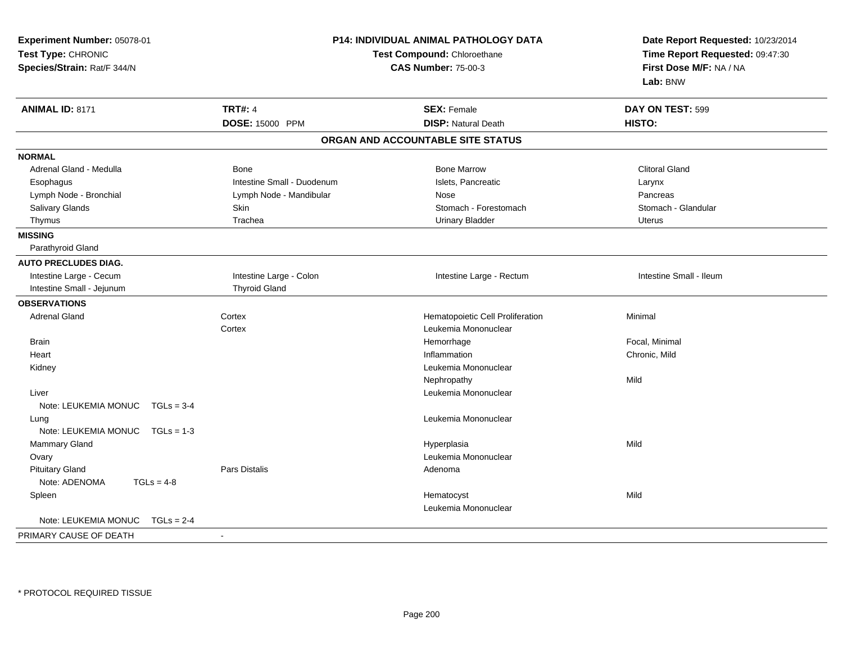| Experiment Number: 05078-01<br>Test Type: CHRONIC<br>Species/Strain: Rat/F 344/N | <b>P14: INDIVIDUAL ANIMAL PATHOLOGY DATA</b><br>Test Compound: Chloroethane<br><b>CAS Number: 75-00-3</b> |                                   | Date Report Requested: 10/23/2014<br>Time Report Requested: 09:47:30<br>First Dose M/F: NA / NA<br>Lab: BNW |
|----------------------------------------------------------------------------------|-----------------------------------------------------------------------------------------------------------|-----------------------------------|-------------------------------------------------------------------------------------------------------------|
| <b>ANIMAL ID: 8171</b>                                                           | <b>TRT#: 4</b>                                                                                            | <b>SEX: Female</b>                | DAY ON TEST: 599                                                                                            |
|                                                                                  | DOSE: 15000 PPM                                                                                           | <b>DISP: Natural Death</b>        | HISTO:                                                                                                      |
|                                                                                  |                                                                                                           | ORGAN AND ACCOUNTABLE SITE STATUS |                                                                                                             |
| <b>NORMAL</b>                                                                    |                                                                                                           |                                   |                                                                                                             |
| Adrenal Gland - Medulla                                                          | Bone                                                                                                      | <b>Bone Marrow</b>                | <b>Clitoral Gland</b>                                                                                       |
| Esophagus                                                                        | Intestine Small - Duodenum                                                                                | Islets, Pancreatic                | Larynx                                                                                                      |
| Lymph Node - Bronchial                                                           | Lymph Node - Mandibular                                                                                   | Nose                              | Pancreas                                                                                                    |
| Salivary Glands                                                                  | Skin                                                                                                      | Stomach - Forestomach             | Stomach - Glandular                                                                                         |
| Thymus                                                                           | Trachea                                                                                                   | <b>Urinary Bladder</b>            | <b>Uterus</b>                                                                                               |
| <b>MISSING</b>                                                                   |                                                                                                           |                                   |                                                                                                             |
| Parathyroid Gland                                                                |                                                                                                           |                                   |                                                                                                             |
| <b>AUTO PRECLUDES DIAG.</b>                                                      |                                                                                                           |                                   |                                                                                                             |
| Intestine Large - Cecum                                                          | Intestine Large - Colon                                                                                   | Intestine Large - Rectum          | Intestine Small - Ileum                                                                                     |
| Intestine Small - Jejunum                                                        | <b>Thyroid Gland</b>                                                                                      |                                   |                                                                                                             |
| <b>OBSERVATIONS</b>                                                              |                                                                                                           |                                   |                                                                                                             |
| <b>Adrenal Gland</b>                                                             | Cortex                                                                                                    | Hematopoietic Cell Proliferation  | Minimal                                                                                                     |
|                                                                                  | Cortex                                                                                                    | Leukemia Mononuclear              |                                                                                                             |
| Brain                                                                            |                                                                                                           | Hemorrhage                        | Focal, Minimal                                                                                              |
| Heart                                                                            |                                                                                                           | Inflammation                      | Chronic, Mild                                                                                               |
| Kidney                                                                           |                                                                                                           | Leukemia Mononuclear              |                                                                                                             |
|                                                                                  |                                                                                                           | Nephropathy                       | Mild                                                                                                        |
| Liver                                                                            |                                                                                                           | Leukemia Mononuclear              |                                                                                                             |
| Note: LEUKEMIA MONUC TGLs = 3-4                                                  |                                                                                                           |                                   |                                                                                                             |
| Lung                                                                             |                                                                                                           | Leukemia Mononuclear              |                                                                                                             |
| Note: LEUKEMIA MONUC TGLs = 1-3                                                  |                                                                                                           |                                   |                                                                                                             |
| Mammary Gland                                                                    |                                                                                                           | Hyperplasia                       | Mild                                                                                                        |
| Ovary                                                                            |                                                                                                           | Leukemia Mononuclear              |                                                                                                             |
| <b>Pituitary Gland</b>                                                           | <b>Pars Distalis</b>                                                                                      | Adenoma                           |                                                                                                             |
| Note: ADENOMA<br>$TGLs = 4-8$                                                    |                                                                                                           |                                   |                                                                                                             |
| Spleen                                                                           |                                                                                                           | Hematocyst                        | Mild                                                                                                        |
|                                                                                  |                                                                                                           | Leukemia Mononuclear              |                                                                                                             |
| Note: LEUKEMIA MONUC<br>$TGLs = 2-4$                                             |                                                                                                           |                                   |                                                                                                             |
| PRIMARY CAUSE OF DEATH                                                           | $\sim$                                                                                                    |                                   |                                                                                                             |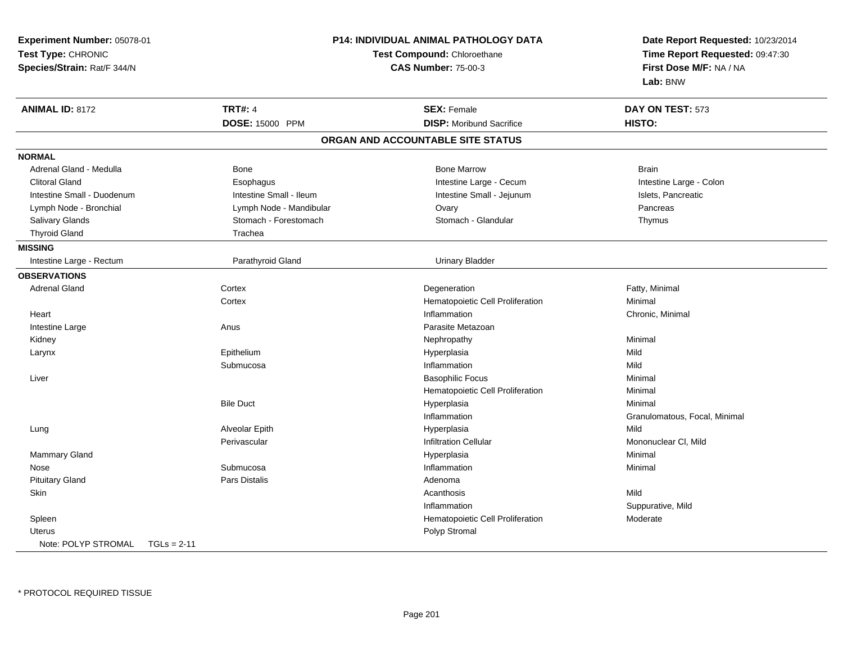|                                      | <b>P14: INDIVIDUAL ANIMAL PATHOLOGY DATA</b><br>Experiment Number: 05078-01<br>Test Type: CHRONIC<br>Test Compound: Chloroethane<br><b>CAS Number: 75-00-3</b> |                                   | Date Report Requested: 10/23/2014<br>Time Report Requested: 09:47:30<br>First Dose M/F: NA / NA |
|--------------------------------------|----------------------------------------------------------------------------------------------------------------------------------------------------------------|-----------------------------------|-------------------------------------------------------------------------------------------------|
|                                      |                                                                                                                                                                |                                   |                                                                                                 |
| Species/Strain: Rat/F 344/N          |                                                                                                                                                                |                                   |                                                                                                 |
|                                      |                                                                                                                                                                |                                   | Lab: BNW                                                                                        |
| <b>ANIMAL ID: 8172</b>               | <b>TRT#: 4</b>                                                                                                                                                 | <b>SEX: Female</b>                | DAY ON TEST: 573                                                                                |
|                                      | DOSE: 15000 PPM                                                                                                                                                | <b>DISP:</b> Moribund Sacrifice   | HISTO:                                                                                          |
|                                      |                                                                                                                                                                | ORGAN AND ACCOUNTABLE SITE STATUS |                                                                                                 |
| <b>NORMAL</b>                        |                                                                                                                                                                |                                   |                                                                                                 |
| Adrenal Gland - Medulla              | Bone                                                                                                                                                           | <b>Bone Marrow</b>                | <b>Brain</b>                                                                                    |
| <b>Clitoral Gland</b>                | Esophagus                                                                                                                                                      | Intestine Large - Cecum           | Intestine Large - Colon                                                                         |
| Intestine Small - Duodenum           | Intestine Small - Ileum                                                                                                                                        | Intestine Small - Jejunum         | Islets, Pancreatic                                                                              |
| Lymph Node - Bronchial               | Lymph Node - Mandibular                                                                                                                                        | Ovary                             | Pancreas                                                                                        |
| Salivary Glands                      | Stomach - Forestomach                                                                                                                                          | Stomach - Glandular               | Thymus                                                                                          |
| <b>Thyroid Gland</b>                 | Trachea                                                                                                                                                        |                                   |                                                                                                 |
| <b>MISSING</b>                       |                                                                                                                                                                |                                   |                                                                                                 |
| Intestine Large - Rectum             | Parathyroid Gland                                                                                                                                              | <b>Urinary Bladder</b>            |                                                                                                 |
| <b>OBSERVATIONS</b>                  |                                                                                                                                                                |                                   |                                                                                                 |
| <b>Adrenal Gland</b>                 | Cortex                                                                                                                                                         | Degeneration                      | Fatty, Minimal                                                                                  |
|                                      | Cortex                                                                                                                                                         | Hematopoietic Cell Proliferation  | Minimal                                                                                         |
| Heart                                |                                                                                                                                                                | Inflammation                      | Chronic, Minimal                                                                                |
| Intestine Large                      | Anus                                                                                                                                                           | Parasite Metazoan                 |                                                                                                 |
| Kidney                               |                                                                                                                                                                | Nephropathy                       | Minimal                                                                                         |
| Larynx                               | Epithelium                                                                                                                                                     | Hyperplasia                       | Mild                                                                                            |
|                                      | Submucosa                                                                                                                                                      | Inflammation                      | Mild                                                                                            |
| Liver                                |                                                                                                                                                                | <b>Basophilic Focus</b>           | Minimal                                                                                         |
|                                      |                                                                                                                                                                | Hematopoietic Cell Proliferation  | Minimal                                                                                         |
|                                      | <b>Bile Duct</b>                                                                                                                                               | Hyperplasia                       | Minimal                                                                                         |
|                                      |                                                                                                                                                                | Inflammation                      | Granulomatous, Focal, Minimal                                                                   |
| Lung                                 | Alveolar Epith                                                                                                                                                 | Hyperplasia                       | Mild                                                                                            |
|                                      | Perivascular                                                                                                                                                   | <b>Infiltration Cellular</b>      | Mononuclear CI, Mild                                                                            |
| <b>Mammary Gland</b>                 |                                                                                                                                                                | Hyperplasia                       | Minimal                                                                                         |
| Nose                                 | Submucosa                                                                                                                                                      | Inflammation                      | Minimal                                                                                         |
| <b>Pituitary Gland</b>               | <b>Pars Distalis</b>                                                                                                                                           | Adenoma                           |                                                                                                 |
| Skin                                 |                                                                                                                                                                | Acanthosis                        | Mild                                                                                            |
|                                      |                                                                                                                                                                | Inflammation                      | Suppurative, Mild                                                                               |
| Spleen                               |                                                                                                                                                                | Hematopoietic Cell Proliferation  | Moderate                                                                                        |
| Uterus                               |                                                                                                                                                                | Polyp Stromal                     |                                                                                                 |
| Note: POLYP STROMAL<br>$TGLs = 2-11$ |                                                                                                                                                                |                                   |                                                                                                 |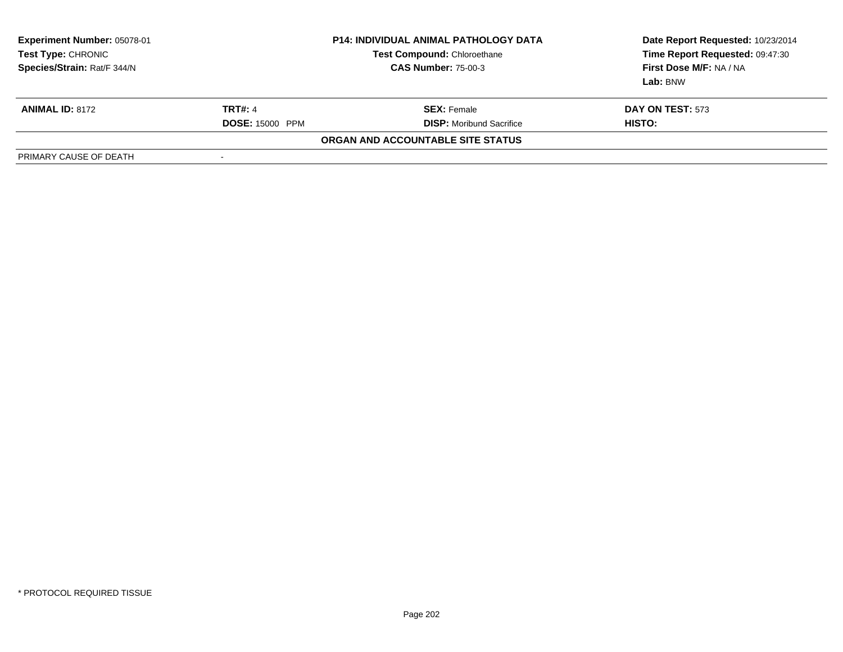| Experiment Number: 05078-01<br>Test Type: CHRONIC<br>Species/Strain: Rat/F 344/N | <b>P14: INDIVIDUAL ANIMAL PATHOLOGY DATA</b><br><b>Test Compound: Chloroethane</b><br><b>CAS Number: 75-00-3</b> |                                   | Date Report Requested: 10/23/2014<br>Time Report Requested: 09:47:30<br>First Dose M/F: NA / NA<br>Lab: BNW |
|----------------------------------------------------------------------------------|------------------------------------------------------------------------------------------------------------------|-----------------------------------|-------------------------------------------------------------------------------------------------------------|
| <b>ANIMAL ID: 8172</b>                                                           | <b>TRT#: 4</b>                                                                                                   | <b>SEX:</b> Female                | <b>DAY ON TEST: 573</b>                                                                                     |
|                                                                                  | <b>DOSE: 15000 PPM</b>                                                                                           | <b>DISP:</b> Moribund Sacrifice   | HISTO:                                                                                                      |
|                                                                                  |                                                                                                                  | ORGAN AND ACCOUNTABLE SITE STATUS |                                                                                                             |
| PRIMARY CAUSE OF DEATH                                                           | -                                                                                                                |                                   |                                                                                                             |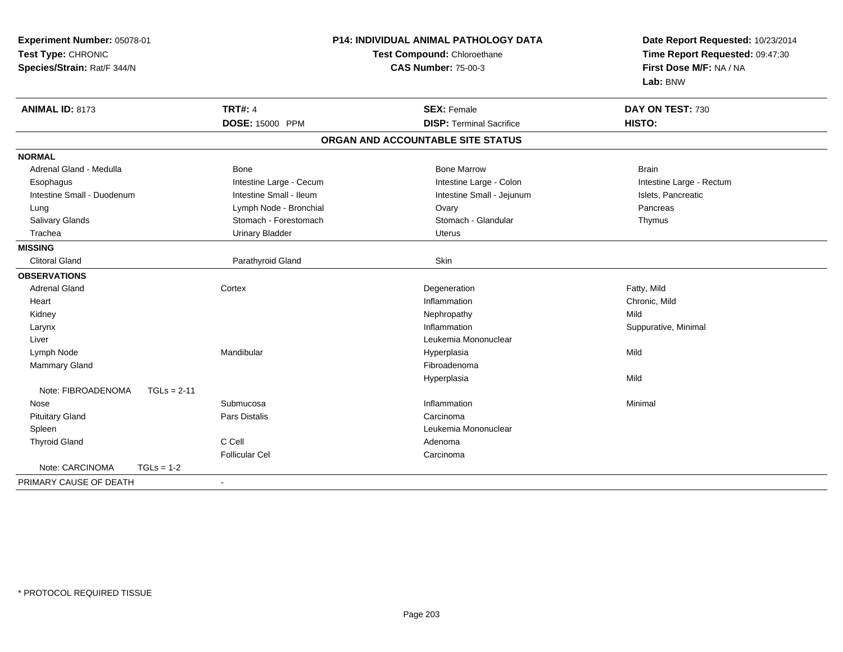| <b>TRT#: 4</b><br><b>SEX: Female</b><br>DAY ON TEST: 730<br><b>ANIMAL ID: 8173</b><br>HISTO:<br>DOSE: 15000 PPM<br><b>DISP: Terminal Sacrifice</b><br>ORGAN AND ACCOUNTABLE SITE STATUS<br><b>Bone Marrow</b><br>Adrenal Gland - Medulla<br>Bone<br><b>Brain</b><br>Intestine Large - Cecum<br>Intestine Large - Colon<br>Intestine Large - Rectum<br>Esophagus<br>Intestine Small - Ileum<br>Intestine Small - Duodenum<br>Intestine Small - Jejunum<br>Islets, Pancreatic<br>Lymph Node - Bronchial<br>Ovary<br>Pancreas<br>Lung<br>Stomach - Glandular<br>Salivary Glands<br>Stomach - Forestomach<br>Thymus<br><b>Urinary Bladder</b><br>Trachea<br><b>Uterus</b><br>Skin<br><b>Clitoral Gland</b><br>Parathyroid Gland<br><b>Adrenal Gland</b><br>Cortex<br>Degeneration<br>Fatty, Mild<br>Inflammation<br>Chronic, Mild<br>Heart<br>Mild<br>Kidney<br>Nephropathy<br>Inflammation<br>Suppurative, Minimal<br>Larynx<br>Leukemia Mononuclear<br>Liver<br>Mandibular<br>Mild<br>Lymph Node<br>Hyperplasia<br>Fibroadenoma<br>Mammary Gland<br>Mild<br>Hyperplasia<br>Note: FIBROADENOMA<br>$TGLs = 2-11$<br>Inflammation<br>Submucosa<br>Minimal<br>Nose<br>Pars Distalis<br><b>Pituitary Gland</b><br>Carcinoma<br>Spleen<br>Leukemia Mononuclear<br>C Cell<br><b>Thyroid Gland</b><br>Adenoma<br><b>Follicular Cel</b><br>Carcinoma<br>Note: CARCINOMA<br>$TGLs = 1-2$<br>PRIMARY CAUSE OF DEATH | Experiment Number: 05078-01<br>Test Type: CHRONIC<br>Species/Strain: Rat/F 344/N |  | <b>P14: INDIVIDUAL ANIMAL PATHOLOGY DATA</b><br>Test Compound: Chloroethane<br><b>CAS Number: 75-00-3</b> | Date Report Requested: 10/23/2014<br>Time Report Requested: 09:47:30<br>First Dose M/F: NA / NA<br>Lab: BNW |
|--------------------------------------------------------------------------------------------------------------------------------------------------------------------------------------------------------------------------------------------------------------------------------------------------------------------------------------------------------------------------------------------------------------------------------------------------------------------------------------------------------------------------------------------------------------------------------------------------------------------------------------------------------------------------------------------------------------------------------------------------------------------------------------------------------------------------------------------------------------------------------------------------------------------------------------------------------------------------------------------------------------------------------------------------------------------------------------------------------------------------------------------------------------------------------------------------------------------------------------------------------------------------------------------------------------------------------------------------------------------------------------------------------|----------------------------------------------------------------------------------|--|-----------------------------------------------------------------------------------------------------------|-------------------------------------------------------------------------------------------------------------|
|                                                                                                                                                                                                                                                                                                                                                                                                                                                                                                                                                                                                                                                                                                                                                                                                                                                                                                                                                                                                                                                                                                                                                                                                                                                                                                                                                                                                        |                                                                                  |  |                                                                                                           |                                                                                                             |
|                                                                                                                                                                                                                                                                                                                                                                                                                                                                                                                                                                                                                                                                                                                                                                                                                                                                                                                                                                                                                                                                                                                                                                                                                                                                                                                                                                                                        |                                                                                  |  |                                                                                                           |                                                                                                             |
|                                                                                                                                                                                                                                                                                                                                                                                                                                                                                                                                                                                                                                                                                                                                                                                                                                                                                                                                                                                                                                                                                                                                                                                                                                                                                                                                                                                                        |                                                                                  |  |                                                                                                           |                                                                                                             |
|                                                                                                                                                                                                                                                                                                                                                                                                                                                                                                                                                                                                                                                                                                                                                                                                                                                                                                                                                                                                                                                                                                                                                                                                                                                                                                                                                                                                        | <b>NORMAL</b>                                                                    |  |                                                                                                           |                                                                                                             |
|                                                                                                                                                                                                                                                                                                                                                                                                                                                                                                                                                                                                                                                                                                                                                                                                                                                                                                                                                                                                                                                                                                                                                                                                                                                                                                                                                                                                        |                                                                                  |  |                                                                                                           |                                                                                                             |
|                                                                                                                                                                                                                                                                                                                                                                                                                                                                                                                                                                                                                                                                                                                                                                                                                                                                                                                                                                                                                                                                                                                                                                                                                                                                                                                                                                                                        |                                                                                  |  |                                                                                                           |                                                                                                             |
|                                                                                                                                                                                                                                                                                                                                                                                                                                                                                                                                                                                                                                                                                                                                                                                                                                                                                                                                                                                                                                                                                                                                                                                                                                                                                                                                                                                                        |                                                                                  |  |                                                                                                           |                                                                                                             |
|                                                                                                                                                                                                                                                                                                                                                                                                                                                                                                                                                                                                                                                                                                                                                                                                                                                                                                                                                                                                                                                                                                                                                                                                                                                                                                                                                                                                        |                                                                                  |  |                                                                                                           |                                                                                                             |
|                                                                                                                                                                                                                                                                                                                                                                                                                                                                                                                                                                                                                                                                                                                                                                                                                                                                                                                                                                                                                                                                                                                                                                                                                                                                                                                                                                                                        |                                                                                  |  |                                                                                                           |                                                                                                             |
|                                                                                                                                                                                                                                                                                                                                                                                                                                                                                                                                                                                                                                                                                                                                                                                                                                                                                                                                                                                                                                                                                                                                                                                                                                                                                                                                                                                                        |                                                                                  |  |                                                                                                           |                                                                                                             |
|                                                                                                                                                                                                                                                                                                                                                                                                                                                                                                                                                                                                                                                                                                                                                                                                                                                                                                                                                                                                                                                                                                                                                                                                                                                                                                                                                                                                        | <b>MISSING</b>                                                                   |  |                                                                                                           |                                                                                                             |
|                                                                                                                                                                                                                                                                                                                                                                                                                                                                                                                                                                                                                                                                                                                                                                                                                                                                                                                                                                                                                                                                                                                                                                                                                                                                                                                                                                                                        |                                                                                  |  |                                                                                                           |                                                                                                             |
|                                                                                                                                                                                                                                                                                                                                                                                                                                                                                                                                                                                                                                                                                                                                                                                                                                                                                                                                                                                                                                                                                                                                                                                                                                                                                                                                                                                                        | <b>OBSERVATIONS</b>                                                              |  |                                                                                                           |                                                                                                             |
|                                                                                                                                                                                                                                                                                                                                                                                                                                                                                                                                                                                                                                                                                                                                                                                                                                                                                                                                                                                                                                                                                                                                                                                                                                                                                                                                                                                                        |                                                                                  |  |                                                                                                           |                                                                                                             |
|                                                                                                                                                                                                                                                                                                                                                                                                                                                                                                                                                                                                                                                                                                                                                                                                                                                                                                                                                                                                                                                                                                                                                                                                                                                                                                                                                                                                        |                                                                                  |  |                                                                                                           |                                                                                                             |
|                                                                                                                                                                                                                                                                                                                                                                                                                                                                                                                                                                                                                                                                                                                                                                                                                                                                                                                                                                                                                                                                                                                                                                                                                                                                                                                                                                                                        |                                                                                  |  |                                                                                                           |                                                                                                             |
|                                                                                                                                                                                                                                                                                                                                                                                                                                                                                                                                                                                                                                                                                                                                                                                                                                                                                                                                                                                                                                                                                                                                                                                                                                                                                                                                                                                                        |                                                                                  |  |                                                                                                           |                                                                                                             |
|                                                                                                                                                                                                                                                                                                                                                                                                                                                                                                                                                                                                                                                                                                                                                                                                                                                                                                                                                                                                                                                                                                                                                                                                                                                                                                                                                                                                        |                                                                                  |  |                                                                                                           |                                                                                                             |
|                                                                                                                                                                                                                                                                                                                                                                                                                                                                                                                                                                                                                                                                                                                                                                                                                                                                                                                                                                                                                                                                                                                                                                                                                                                                                                                                                                                                        |                                                                                  |  |                                                                                                           |                                                                                                             |
|                                                                                                                                                                                                                                                                                                                                                                                                                                                                                                                                                                                                                                                                                                                                                                                                                                                                                                                                                                                                                                                                                                                                                                                                                                                                                                                                                                                                        |                                                                                  |  |                                                                                                           |                                                                                                             |
|                                                                                                                                                                                                                                                                                                                                                                                                                                                                                                                                                                                                                                                                                                                                                                                                                                                                                                                                                                                                                                                                                                                                                                                                                                                                                                                                                                                                        |                                                                                  |  |                                                                                                           |                                                                                                             |
|                                                                                                                                                                                                                                                                                                                                                                                                                                                                                                                                                                                                                                                                                                                                                                                                                                                                                                                                                                                                                                                                                                                                                                                                                                                                                                                                                                                                        |                                                                                  |  |                                                                                                           |                                                                                                             |
|                                                                                                                                                                                                                                                                                                                                                                                                                                                                                                                                                                                                                                                                                                                                                                                                                                                                                                                                                                                                                                                                                                                                                                                                                                                                                                                                                                                                        |                                                                                  |  |                                                                                                           |                                                                                                             |
|                                                                                                                                                                                                                                                                                                                                                                                                                                                                                                                                                                                                                                                                                                                                                                                                                                                                                                                                                                                                                                                                                                                                                                                                                                                                                                                                                                                                        |                                                                                  |  |                                                                                                           |                                                                                                             |
|                                                                                                                                                                                                                                                                                                                                                                                                                                                                                                                                                                                                                                                                                                                                                                                                                                                                                                                                                                                                                                                                                                                                                                                                                                                                                                                                                                                                        |                                                                                  |  |                                                                                                           |                                                                                                             |
|                                                                                                                                                                                                                                                                                                                                                                                                                                                                                                                                                                                                                                                                                                                                                                                                                                                                                                                                                                                                                                                                                                                                                                                                                                                                                                                                                                                                        |                                                                                  |  |                                                                                                           |                                                                                                             |
|                                                                                                                                                                                                                                                                                                                                                                                                                                                                                                                                                                                                                                                                                                                                                                                                                                                                                                                                                                                                                                                                                                                                                                                                                                                                                                                                                                                                        |                                                                                  |  |                                                                                                           |                                                                                                             |
|                                                                                                                                                                                                                                                                                                                                                                                                                                                                                                                                                                                                                                                                                                                                                                                                                                                                                                                                                                                                                                                                                                                                                                                                                                                                                                                                                                                                        |                                                                                  |  |                                                                                                           |                                                                                                             |
|                                                                                                                                                                                                                                                                                                                                                                                                                                                                                                                                                                                                                                                                                                                                                                                                                                                                                                                                                                                                                                                                                                                                                                                                                                                                                                                                                                                                        |                                                                                  |  |                                                                                                           |                                                                                                             |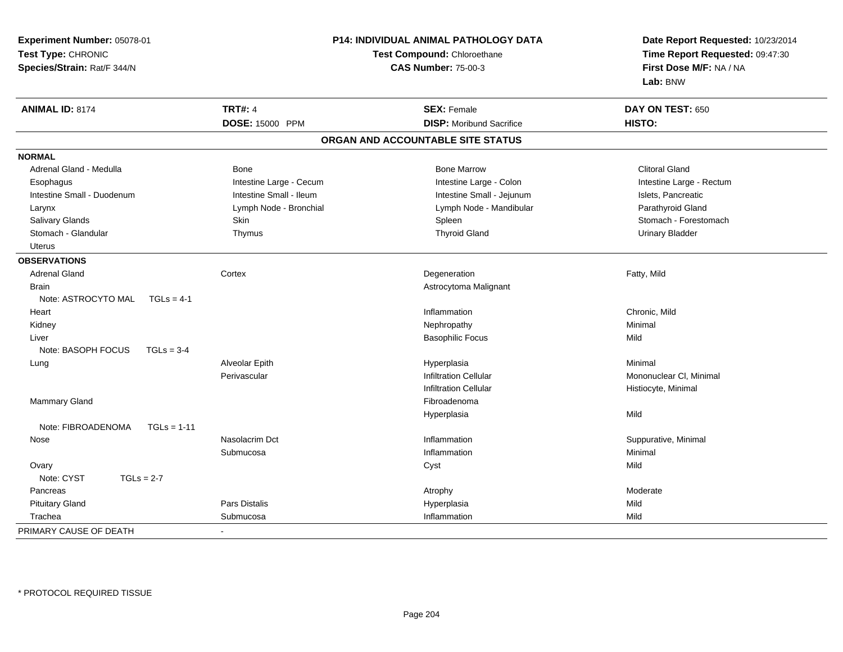| Experiment Number: 05078-01         |                             | P14: INDIVIDUAL ANIMAL PATHOLOGY DATA | Date Report Requested: 10/23/2014 |  |
|-------------------------------------|-----------------------------|---------------------------------------|-----------------------------------|--|
| Test Type: CHRONIC                  | Test Compound: Chloroethane |                                       | Time Report Requested: 09:47:30   |  |
| Species/Strain: Rat/F 344/N         |                             | <b>CAS Number: 75-00-3</b>            | First Dose M/F: NA / NA           |  |
|                                     |                             |                                       | Lab: BNW                          |  |
| <b>ANIMAL ID: 8174</b>              | <b>TRT#: 4</b>              | <b>SEX: Female</b>                    | DAY ON TEST: 650                  |  |
|                                     | DOSE: 15000 PPM             | <b>DISP:</b> Moribund Sacrifice       | HISTO:                            |  |
|                                     |                             | ORGAN AND ACCOUNTABLE SITE STATUS     |                                   |  |
| <b>NORMAL</b>                       |                             |                                       |                                   |  |
| Adrenal Gland - Medulla             | Bone                        | <b>Bone Marrow</b>                    | <b>Clitoral Gland</b>             |  |
| Esophagus                           | Intestine Large - Cecum     | Intestine Large - Colon               | Intestine Large - Rectum          |  |
| Intestine Small - Duodenum          | Intestine Small - Ileum     | Intestine Small - Jejunum             | Islets, Pancreatic                |  |
| Larynx                              | Lymph Node - Bronchial      | Lymph Node - Mandibular               | Parathyroid Gland                 |  |
| Salivary Glands                     | Skin                        | Spleen                                | Stomach - Forestomach             |  |
| Stomach - Glandular                 | Thymus                      | <b>Thyroid Gland</b>                  | <b>Urinary Bladder</b>            |  |
| <b>Uterus</b>                       |                             |                                       |                                   |  |
| <b>OBSERVATIONS</b>                 |                             |                                       |                                   |  |
| <b>Adrenal Gland</b>                | Cortex                      | Degeneration                          | Fatty, Mild                       |  |
| <b>Brain</b>                        |                             | Astrocytoma Malignant                 |                                   |  |
| Note: ASTROCYTO MAL<br>$TGLs = 4-1$ |                             |                                       |                                   |  |
| Heart                               |                             | Inflammation                          | Chronic, Mild                     |  |
| Kidney                              |                             | Nephropathy                           | Minimal                           |  |
| Liver                               |                             | <b>Basophilic Focus</b>               | Mild                              |  |
| Note: BASOPH FOCUS<br>$TGLs = 3-4$  |                             |                                       |                                   |  |
| Lung                                | Alveolar Epith              | Hyperplasia                           | Minimal                           |  |
|                                     | Perivascular                | <b>Infiltration Cellular</b>          | Mononuclear CI, Minimal           |  |
|                                     |                             | <b>Infiltration Cellular</b>          | Histiocyte, Minimal               |  |
| Mammary Gland                       |                             | Fibroadenoma                          |                                   |  |
|                                     |                             | Hyperplasia                           | Mild                              |  |
| Note: FIBROADENOMA<br>$TGLs = 1-11$ |                             |                                       |                                   |  |
| Nose                                | Nasolacrim Dct              | Inflammation                          | Suppurative, Minimal              |  |
|                                     | Submucosa                   | Inflammation                          | Minimal                           |  |
| Ovary                               |                             | Cyst                                  | Mild                              |  |
| Note: CYST<br>$TGLs = 2-7$          |                             |                                       |                                   |  |
| Pancreas                            |                             | Atrophy                               | Moderate                          |  |
| <b>Pituitary Gland</b>              | Pars Distalis               | Hyperplasia                           | Mild                              |  |
| Trachea                             | Submucosa                   | Inflammation                          | Mild                              |  |
| PRIMARY CAUSE OF DEATH              | $\blacksquare$              |                                       |                                   |  |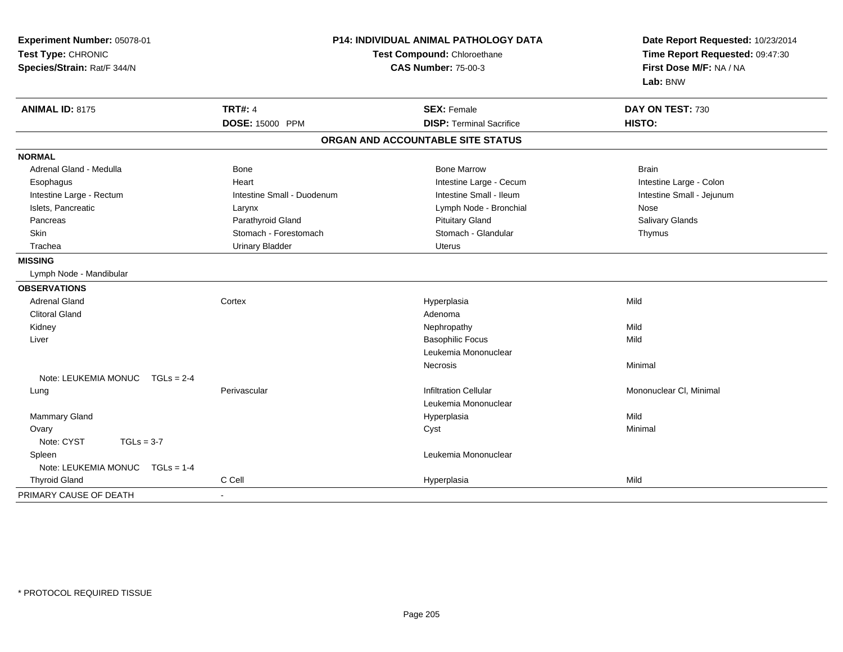| Experiment Number: 05078-01<br>Test Type: CHRONIC<br>Species/Strain: Rat/F 344/N |                            | P14: INDIVIDUAL ANIMAL PATHOLOGY DATA<br>Test Compound: Chloroethane<br><b>CAS Number: 75-00-3</b> | Date Report Requested: 10/23/2014<br>Time Report Requested: 09:47:30<br>First Dose M/F: NA / NA<br>Lab: BNW |
|----------------------------------------------------------------------------------|----------------------------|----------------------------------------------------------------------------------------------------|-------------------------------------------------------------------------------------------------------------|
| <b>ANIMAL ID: 8175</b>                                                           | <b>TRT#: 4</b>             | <b>SEX: Female</b>                                                                                 | DAY ON TEST: 730                                                                                            |
|                                                                                  | DOSE: 15000 PPM            | <b>DISP: Terminal Sacrifice</b>                                                                    | HISTO:                                                                                                      |
|                                                                                  |                            | ORGAN AND ACCOUNTABLE SITE STATUS                                                                  |                                                                                                             |
| <b>NORMAL</b>                                                                    |                            |                                                                                                    |                                                                                                             |
| Adrenal Gland - Medulla                                                          | Bone                       | <b>Bone Marrow</b>                                                                                 | <b>Brain</b>                                                                                                |
| Esophagus                                                                        | Heart                      | Intestine Large - Cecum                                                                            | Intestine Large - Colon                                                                                     |
| Intestine Large - Rectum                                                         | Intestine Small - Duodenum | Intestine Small - Ileum                                                                            | Intestine Small - Jejunum                                                                                   |
| Islets, Pancreatic                                                               | Larynx                     | Lymph Node - Bronchial                                                                             | Nose                                                                                                        |
| Pancreas                                                                         | Parathyroid Gland          | <b>Pituitary Gland</b>                                                                             | Salivary Glands                                                                                             |
| Skin                                                                             | Stomach - Forestomach      | Stomach - Glandular                                                                                | Thymus                                                                                                      |
| Trachea                                                                          | <b>Urinary Bladder</b>     | <b>Uterus</b>                                                                                      |                                                                                                             |
| <b>MISSING</b>                                                                   |                            |                                                                                                    |                                                                                                             |
| Lymph Node - Mandibular                                                          |                            |                                                                                                    |                                                                                                             |
| <b>OBSERVATIONS</b>                                                              |                            |                                                                                                    |                                                                                                             |
| <b>Adrenal Gland</b>                                                             | Cortex                     | Hyperplasia                                                                                        | Mild                                                                                                        |
| <b>Clitoral Gland</b>                                                            |                            | Adenoma                                                                                            |                                                                                                             |
| Kidney                                                                           |                            | Nephropathy                                                                                        | Mild                                                                                                        |
| Liver                                                                            |                            | <b>Basophilic Focus</b>                                                                            | Mild                                                                                                        |
|                                                                                  |                            | Leukemia Mononuclear                                                                               |                                                                                                             |
|                                                                                  |                            | <b>Necrosis</b>                                                                                    | Minimal                                                                                                     |
| Note: LEUKEMIA MONUC<br>$TGLs = 2-4$                                             |                            |                                                                                                    |                                                                                                             |
| Lung                                                                             | Perivascular               | <b>Infiltration Cellular</b>                                                                       | Mononuclear CI, Minimal                                                                                     |
|                                                                                  |                            | Leukemia Mononuclear                                                                               |                                                                                                             |
| Mammary Gland                                                                    |                            | Hyperplasia                                                                                        | Mild                                                                                                        |
| Ovary                                                                            |                            | Cyst                                                                                               | Minimal                                                                                                     |
| Note: CYST<br>$TGLs = 3-7$                                                       |                            |                                                                                                    |                                                                                                             |
| Spleen                                                                           |                            | Leukemia Mononuclear                                                                               |                                                                                                             |
| Note: LEUKEMIA MONUC<br>$TGLs = 1-4$                                             |                            |                                                                                                    |                                                                                                             |
| <b>Thyroid Gland</b>                                                             | C Cell                     | Hyperplasia                                                                                        | Mild                                                                                                        |
| PRIMARY CAUSE OF DEATH                                                           |                            |                                                                                                    |                                                                                                             |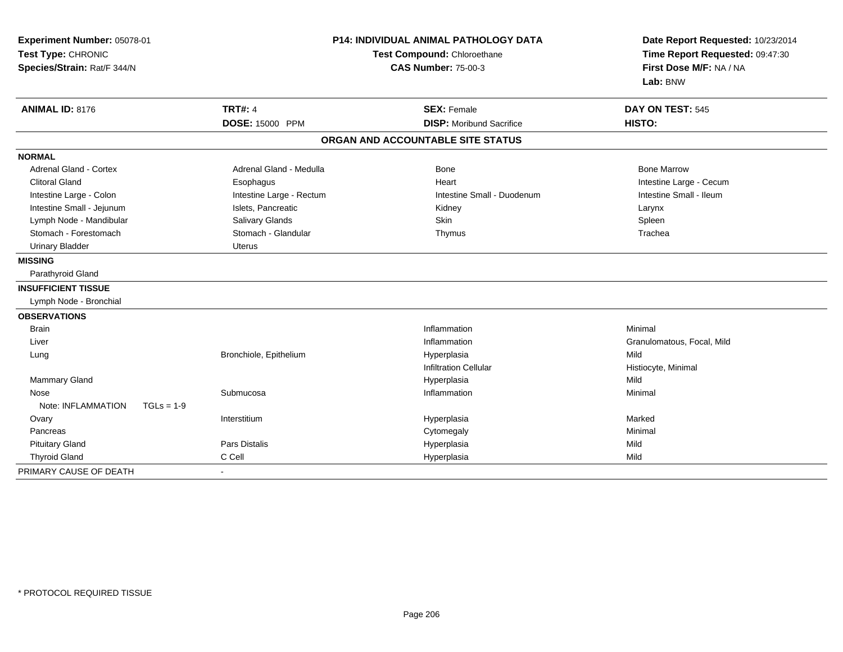| Experiment Number: 05078-01<br>Test Type: CHRONIC<br>Species/Strain: Rat/F 344/N | <b>P14: INDIVIDUAL ANIMAL PATHOLOGY DATA</b><br>Test Compound: Chloroethane<br><b>CAS Number: 75-00-3</b> |                                                       | Date Report Requested: 10/23/2014<br>Time Report Requested: 09:47:30<br>First Dose M/F: NA / NA<br>Lab: BNW |
|----------------------------------------------------------------------------------|-----------------------------------------------------------------------------------------------------------|-------------------------------------------------------|-------------------------------------------------------------------------------------------------------------|
| <b>ANIMAL ID: 8176</b>                                                           | <b>TRT#: 4</b><br>DOSE: 15000 PPM                                                                         | <b>SEX: Female</b><br><b>DISP: Moribund Sacrifice</b> | DAY ON TEST: 545<br>HISTO:                                                                                  |
|                                                                                  |                                                                                                           | ORGAN AND ACCOUNTABLE SITE STATUS                     |                                                                                                             |
| <b>NORMAL</b>                                                                    |                                                                                                           |                                                       |                                                                                                             |
| <b>Adrenal Gland - Cortex</b>                                                    | Adrenal Gland - Medulla                                                                                   | Bone                                                  | <b>Bone Marrow</b>                                                                                          |
| <b>Clitoral Gland</b>                                                            | Esophagus                                                                                                 | Heart                                                 | Intestine Large - Cecum                                                                                     |
| Intestine Large - Colon                                                          | Intestine Large - Rectum                                                                                  | Intestine Small - Duodenum                            | Intestine Small - Ileum                                                                                     |
| Intestine Small - Jejunum                                                        | Islets, Pancreatic                                                                                        | Kidney                                                | Larynx                                                                                                      |
| Lymph Node - Mandibular                                                          | Salivary Glands                                                                                           | <b>Skin</b>                                           | Spleen                                                                                                      |
| Stomach - Forestomach                                                            | Stomach - Glandular                                                                                       | Thymus                                                | Trachea                                                                                                     |
| <b>Urinary Bladder</b>                                                           | <b>Uterus</b>                                                                                             |                                                       |                                                                                                             |
| <b>MISSING</b>                                                                   |                                                                                                           |                                                       |                                                                                                             |
| Parathyroid Gland                                                                |                                                                                                           |                                                       |                                                                                                             |
| <b>INSUFFICIENT TISSUE</b>                                                       |                                                                                                           |                                                       |                                                                                                             |
| Lymph Node - Bronchial                                                           |                                                                                                           |                                                       |                                                                                                             |
| <b>OBSERVATIONS</b>                                                              |                                                                                                           |                                                       |                                                                                                             |
| <b>Brain</b>                                                                     |                                                                                                           | Inflammation                                          | Minimal                                                                                                     |
| Liver                                                                            |                                                                                                           | Inflammation                                          | Granulomatous, Focal, Mild                                                                                  |
| Lung                                                                             | Bronchiole, Epithelium                                                                                    | Hyperplasia                                           | Mild                                                                                                        |
|                                                                                  |                                                                                                           | <b>Infiltration Cellular</b>                          | Histiocyte, Minimal                                                                                         |
| <b>Mammary Gland</b>                                                             |                                                                                                           | Hyperplasia                                           | Mild                                                                                                        |
| Nose                                                                             | Submucosa                                                                                                 | Inflammation                                          | Minimal                                                                                                     |
| Note: INFLAMMATION<br>$TGLs = 1-9$                                               |                                                                                                           |                                                       |                                                                                                             |
| Ovary                                                                            | Interstitium                                                                                              | Hyperplasia                                           | Marked                                                                                                      |
| Pancreas                                                                         |                                                                                                           | Cytomegaly                                            | Minimal                                                                                                     |
| <b>Pituitary Gland</b>                                                           | Pars Distalis                                                                                             | Hyperplasia                                           | Mild                                                                                                        |
| <b>Thyroid Gland</b>                                                             | C Cell                                                                                                    | Hyperplasia                                           | Mild                                                                                                        |
| PRIMARY CAUSE OF DEATH                                                           | $\blacksquare$                                                                                            |                                                       |                                                                                                             |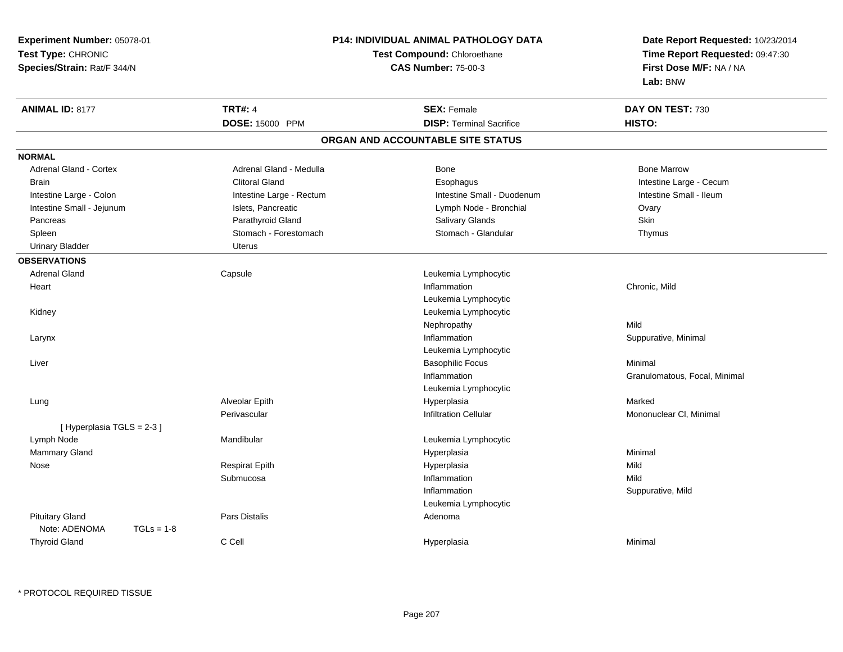| Experiment Number: 05078-01   | <b>P14: INDIVIDUAL ANIMAL PATHOLOGY DATA</b> |                                   | Date Report Requested: 10/23/2014 |
|-------------------------------|----------------------------------------------|-----------------------------------|-----------------------------------|
| Test Type: CHRONIC            | <b>Test Compound: Chloroethane</b>           |                                   | Time Report Requested: 09:47:30   |
| Species/Strain: Rat/F 344/N   |                                              | <b>CAS Number: 75-00-3</b>        | First Dose M/F: NA / NA           |
|                               |                                              |                                   | Lab: BNW                          |
| <b>ANIMAL ID: 8177</b>        | <b>TRT#: 4</b>                               | <b>SEX: Female</b>                | DAY ON TEST: 730                  |
|                               | DOSE: 15000 PPM                              | <b>DISP: Terminal Sacrifice</b>   | HISTO:                            |
|                               |                                              | ORGAN AND ACCOUNTABLE SITE STATUS |                                   |
| <b>NORMAL</b>                 |                                              |                                   |                                   |
| <b>Adrenal Gland - Cortex</b> | Adrenal Gland - Medulla                      | Bone                              | <b>Bone Marrow</b>                |
| <b>Brain</b>                  | <b>Clitoral Gland</b>                        | Esophagus                         | Intestine Large - Cecum           |
| Intestine Large - Colon       | Intestine Large - Rectum                     | Intestine Small - Duodenum        | Intestine Small - Ileum           |
| Intestine Small - Jejunum     | Islets, Pancreatic                           | Lymph Node - Bronchial            | Ovary                             |
| Pancreas                      | Parathyroid Gland                            | Salivary Glands                   | Skin                              |
| Spleen                        | Stomach - Forestomach                        | Stomach - Glandular               | Thymus                            |
| <b>Urinary Bladder</b>        | <b>Uterus</b>                                |                                   |                                   |
| <b>OBSERVATIONS</b>           |                                              |                                   |                                   |
| <b>Adrenal Gland</b>          | Capsule                                      | Leukemia Lymphocytic              |                                   |
| Heart                         |                                              | Inflammation                      | Chronic, Mild                     |
|                               |                                              | Leukemia Lymphocytic              |                                   |
| Kidney                        |                                              | Leukemia Lymphocytic              |                                   |
|                               |                                              | Nephropathy                       | Mild                              |
| Larynx                        |                                              | Inflammation                      | Suppurative, Minimal              |
|                               |                                              | Leukemia Lymphocytic              |                                   |
| Liver                         |                                              | <b>Basophilic Focus</b>           | Minimal                           |
|                               |                                              | Inflammation                      | Granulomatous, Focal, Minimal     |
|                               |                                              | Leukemia Lymphocytic              |                                   |
| Lung                          | Alveolar Epith                               | Hyperplasia                       | Marked                            |
|                               | Perivascular                                 | <b>Infiltration Cellular</b>      | Mononuclear CI, Minimal           |
| [ Hyperplasia TGLS = 2-3 ]    |                                              |                                   |                                   |
| Lymph Node                    | Mandibular                                   | Leukemia Lymphocytic              |                                   |
| Mammary Gland                 |                                              | Hyperplasia                       | Minimal                           |
| Nose                          | <b>Respirat Epith</b>                        | Hyperplasia                       | Mild                              |
|                               | Submucosa                                    | Inflammation                      | Mild                              |
|                               |                                              | Inflammation                      | Suppurative, Mild                 |
|                               |                                              | Leukemia Lymphocytic              |                                   |
| <b>Pituitary Gland</b>        | Pars Distalis                                | Adenoma                           |                                   |
| Note: ADENOMA<br>$TGLs = 1-8$ |                                              |                                   |                                   |
| <b>Thyroid Gland</b>          | C Cell                                       | Hyperplasia                       | Minimal                           |
|                               |                                              |                                   |                                   |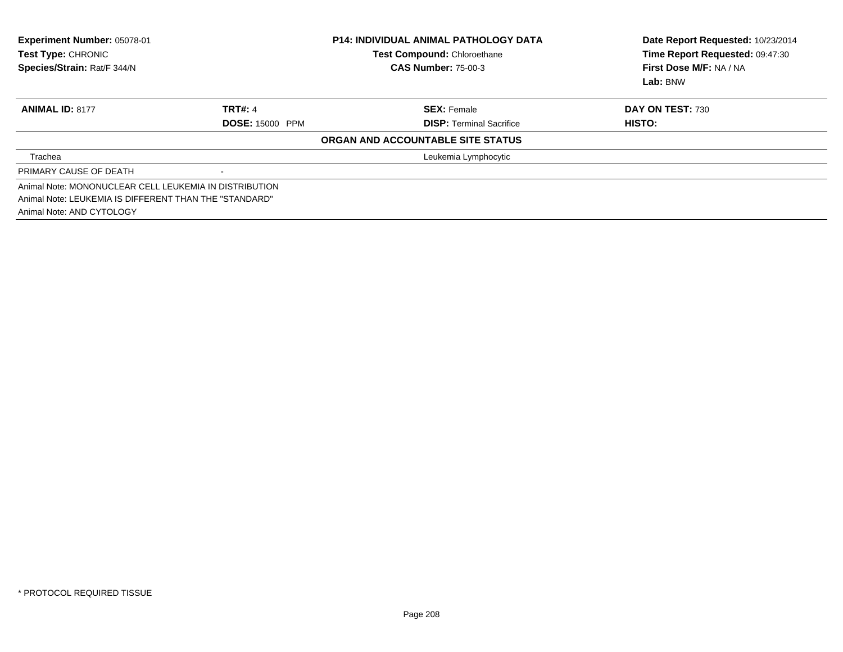| Experiment Number: 05078-01<br>Test Type: CHRONIC<br>Species/Strain: Rat/F 344/N | <b>P14: INDIVIDUAL ANIMAL PATHOLOGY DATA</b><br>Test Compound: Chloroethane<br><b>CAS Number: 75-00-3</b> |                                   | Date Report Requested: 10/23/2014<br>Time Report Requested: 09:47:30<br>First Dose M/F: NA / NA |
|----------------------------------------------------------------------------------|-----------------------------------------------------------------------------------------------------------|-----------------------------------|-------------------------------------------------------------------------------------------------|
|                                                                                  |                                                                                                           |                                   | Lab: BNW                                                                                        |
| <b>ANIMAL ID: 8177</b>                                                           | <b>TRT#: 4</b>                                                                                            | <b>SEX: Female</b>                | <b>DAY ON TEST: 730</b>                                                                         |
|                                                                                  | <b>DOSE: 15000 PPM</b>                                                                                    | <b>DISP:</b> Terminal Sacrifice   | HISTO:                                                                                          |
|                                                                                  |                                                                                                           | ORGAN AND ACCOUNTABLE SITE STATUS |                                                                                                 |
| Trachea                                                                          |                                                                                                           | Leukemia Lymphocytic              |                                                                                                 |
| PRIMARY CAUSE OF DEATH                                                           | $\blacksquare$                                                                                            |                                   |                                                                                                 |
| Animal Note: MONONUCLEAR CELL LEUKEMIA IN DISTRIBUTION                           |                                                                                                           |                                   |                                                                                                 |
| Animal Note: LEUKEMIA IS DIFFERENT THAN THE "STANDARD"                           |                                                                                                           |                                   |                                                                                                 |
| Animal Note: AND CYTOLOGY                                                        |                                                                                                           |                                   |                                                                                                 |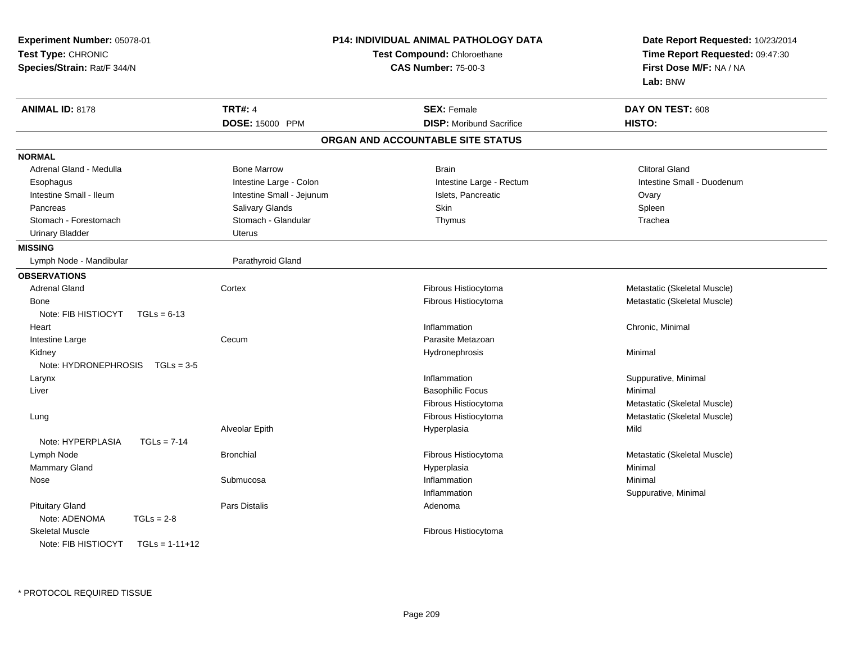| Experiment Number: 05078-01<br>Test Type: CHRONIC<br>Species/Strain: Rat/F 344/N |                           | <b>P14: INDIVIDUAL ANIMAL PATHOLOGY DATA</b><br>Test Compound: Chloroethane<br><b>CAS Number: 75-00-3</b> | Date Report Requested: 10/23/2014<br>Time Report Requested: 09:47:30<br>First Dose M/F: NA / NA<br>Lab: BNW |
|----------------------------------------------------------------------------------|---------------------------|-----------------------------------------------------------------------------------------------------------|-------------------------------------------------------------------------------------------------------------|
| <b>ANIMAL ID: 8178</b>                                                           | <b>TRT#: 4</b>            | <b>SEX: Female</b>                                                                                        | DAY ON TEST: 608                                                                                            |
|                                                                                  | DOSE: 15000 PPM           | <b>DISP:</b> Moribund Sacrifice                                                                           | HISTO:                                                                                                      |
|                                                                                  |                           | ORGAN AND ACCOUNTABLE SITE STATUS                                                                         |                                                                                                             |
| <b>NORMAL</b>                                                                    |                           |                                                                                                           |                                                                                                             |
| Adrenal Gland - Medulla                                                          | <b>Bone Marrow</b>        | <b>Brain</b>                                                                                              | <b>Clitoral Gland</b>                                                                                       |
| Esophagus                                                                        | Intestine Large - Colon   | Intestine Large - Rectum                                                                                  | Intestine Small - Duodenum                                                                                  |
| Intestine Small - Ileum                                                          | Intestine Small - Jejunum | Islets, Pancreatic                                                                                        | Ovary                                                                                                       |
| Pancreas                                                                         | Salivary Glands           | Skin                                                                                                      | Spleen                                                                                                      |
| Stomach - Forestomach                                                            | Stomach - Glandular       | Thymus                                                                                                    | Trachea                                                                                                     |
| <b>Urinary Bladder</b>                                                           | <b>Uterus</b>             |                                                                                                           |                                                                                                             |
| <b>MISSING</b>                                                                   |                           |                                                                                                           |                                                                                                             |
| Lymph Node - Mandibular                                                          | Parathyroid Gland         |                                                                                                           |                                                                                                             |
| <b>OBSERVATIONS</b>                                                              |                           |                                                                                                           |                                                                                                             |
| <b>Adrenal Gland</b>                                                             | Cortex                    | Fibrous Histiocytoma                                                                                      | Metastatic (Skeletal Muscle)                                                                                |
| Bone                                                                             |                           | Fibrous Histiocytoma                                                                                      | Metastatic (Skeletal Muscle)                                                                                |
| Note: FIB HISTIOCYT<br>$TGLs = 6-13$                                             |                           |                                                                                                           |                                                                                                             |
| Heart                                                                            |                           | Inflammation                                                                                              | Chronic, Minimal                                                                                            |
| Intestine Large                                                                  | Cecum                     | Parasite Metazoan                                                                                         |                                                                                                             |
| Kidney                                                                           |                           | Hydronephrosis                                                                                            | Minimal                                                                                                     |
| Note: $HYDRONEPHROSIS$ TGLs = 3-5                                                |                           |                                                                                                           |                                                                                                             |
| Larynx                                                                           |                           | Inflammation                                                                                              | Suppurative, Minimal                                                                                        |
| Liver                                                                            |                           | <b>Basophilic Focus</b>                                                                                   | Minimal                                                                                                     |
|                                                                                  |                           | Fibrous Histiocytoma                                                                                      | Metastatic (Skeletal Muscle)                                                                                |
| Lung                                                                             |                           | Fibrous Histiocytoma                                                                                      | Metastatic (Skeletal Muscle)                                                                                |
|                                                                                  | Alveolar Epith            | Hyperplasia                                                                                               | Mild                                                                                                        |
| Note: HYPERPLASIA<br>$TGLs = 7-14$                                               |                           |                                                                                                           |                                                                                                             |
| Lymph Node                                                                       | <b>Bronchial</b>          | Fibrous Histiocytoma                                                                                      | Metastatic (Skeletal Muscle)                                                                                |
| Mammary Gland                                                                    |                           | Hyperplasia                                                                                               | Minimal                                                                                                     |
| Nose                                                                             | Submucosa                 | Inflammation                                                                                              | Minimal                                                                                                     |
|                                                                                  |                           | Inflammation                                                                                              | Suppurative, Minimal                                                                                        |
| <b>Pituitary Gland</b>                                                           | Pars Distalis             | Adenoma                                                                                                   |                                                                                                             |
| Note: ADENOMA<br>$TGLs = 2-8$                                                    |                           |                                                                                                           |                                                                                                             |
| <b>Skeletal Muscle</b><br>Note: FIB HISTIOCYT                                    |                           | Fibrous Histiocytoma                                                                                      |                                                                                                             |
| $TGLs = 1-11+12$                                                                 |                           |                                                                                                           |                                                                                                             |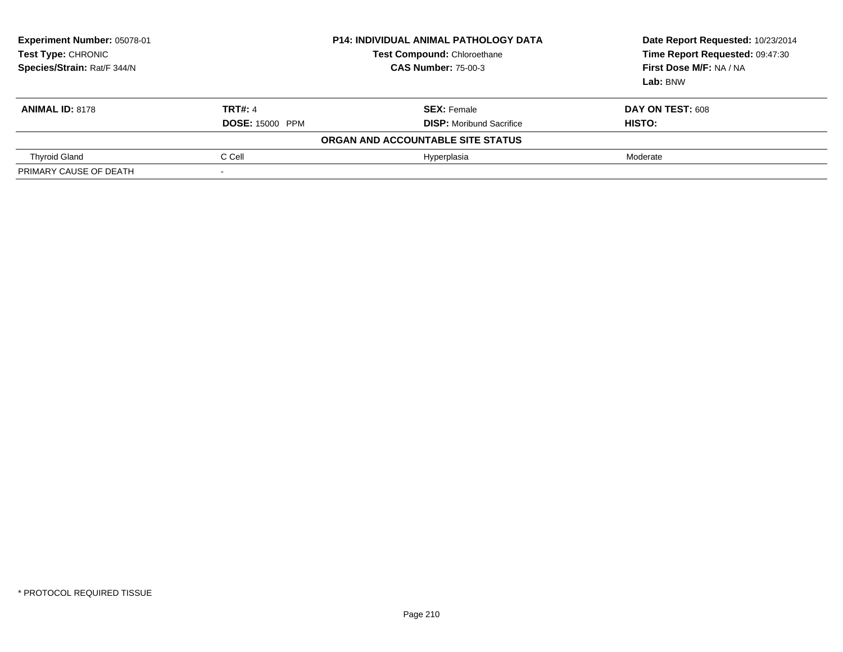| Experiment Number: 05078-01<br>Test Type: CHRONIC<br>Species/Strain: Rat/F 344/N | <b>P14: INDIVIDUAL ANIMAL PATHOLOGY DATA</b><br><b>Test Compound: Chloroethane</b><br><b>CAS Number: 75-00-3</b> |                                   | Date Report Requested: 10/23/2014<br>Time Report Requested: 09:47:30<br>First Dose M/F: NA / NA<br>Lab: BNW |
|----------------------------------------------------------------------------------|------------------------------------------------------------------------------------------------------------------|-----------------------------------|-------------------------------------------------------------------------------------------------------------|
| <b>ANIMAL ID: 8178</b>                                                           | <b>TRT#: 4</b>                                                                                                   | <b>SEX:</b> Female                | DAY ON TEST: 608                                                                                            |
|                                                                                  | <b>DOSE: 15000 PPM</b>                                                                                           | <b>DISP:</b> Moribund Sacrifice   | HISTO:                                                                                                      |
|                                                                                  |                                                                                                                  | ORGAN AND ACCOUNTABLE SITE STATUS |                                                                                                             |
| <b>Thyroid Gland</b>                                                             | C Cell                                                                                                           | Hyperplasia                       | Moderate                                                                                                    |
| PRIMARY CAUSE OF DEATH                                                           |                                                                                                                  |                                   |                                                                                                             |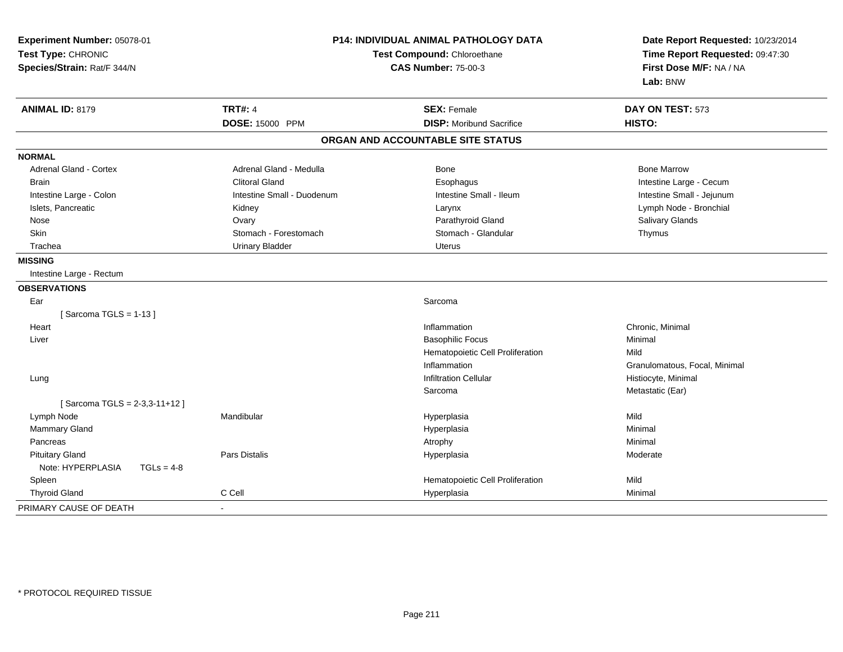| Experiment Number: 05078-01<br>Test Type: CHRONIC<br>Species/Strain: Rat/F 344/N |                            | <b>P14: INDIVIDUAL ANIMAL PATHOLOGY DATA</b><br>Test Compound: Chloroethane<br><b>CAS Number: 75-00-3</b> | Date Report Requested: 10/23/2014<br>Time Report Requested: 09:47:30<br>First Dose M/F: NA / NA<br>Lab: BNW |
|----------------------------------------------------------------------------------|----------------------------|-----------------------------------------------------------------------------------------------------------|-------------------------------------------------------------------------------------------------------------|
| <b>ANIMAL ID: 8179</b>                                                           | <b>TRT#: 4</b>             | <b>SEX: Female</b>                                                                                        | DAY ON TEST: 573                                                                                            |
|                                                                                  | DOSE: 15000 PPM            | <b>DISP:</b> Moribund Sacrifice                                                                           | HISTO:                                                                                                      |
|                                                                                  |                            | ORGAN AND ACCOUNTABLE SITE STATUS                                                                         |                                                                                                             |
| <b>NORMAL</b>                                                                    |                            |                                                                                                           |                                                                                                             |
| <b>Adrenal Gland - Cortex</b>                                                    | Adrenal Gland - Medulla    | Bone                                                                                                      | <b>Bone Marrow</b>                                                                                          |
| <b>Brain</b>                                                                     | <b>Clitoral Gland</b>      | Esophagus                                                                                                 | Intestine Large - Cecum                                                                                     |
| Intestine Large - Colon                                                          | Intestine Small - Duodenum | Intestine Small - Ileum                                                                                   | Intestine Small - Jejunum                                                                                   |
| Islets, Pancreatic                                                               | Kidney                     | Larynx                                                                                                    | Lymph Node - Bronchial                                                                                      |
| Nose                                                                             | Ovary                      | Parathyroid Gland                                                                                         | Salivary Glands                                                                                             |
| Skin                                                                             | Stomach - Forestomach      | Stomach - Glandular                                                                                       | Thymus                                                                                                      |
| Trachea                                                                          | <b>Urinary Bladder</b>     | <b>Uterus</b>                                                                                             |                                                                                                             |
| <b>MISSING</b>                                                                   |                            |                                                                                                           |                                                                                                             |
| Intestine Large - Rectum                                                         |                            |                                                                                                           |                                                                                                             |
| <b>OBSERVATIONS</b>                                                              |                            |                                                                                                           |                                                                                                             |
| Ear                                                                              |                            | Sarcoma                                                                                                   |                                                                                                             |
| [Sarcoma TGLS = $1-13$ ]                                                         |                            |                                                                                                           |                                                                                                             |
| Heart                                                                            |                            | Inflammation                                                                                              | Chronic, Minimal                                                                                            |
| Liver                                                                            |                            | <b>Basophilic Focus</b>                                                                                   | Minimal                                                                                                     |
|                                                                                  |                            | Hematopoietic Cell Proliferation                                                                          | Mild                                                                                                        |
|                                                                                  |                            | Inflammation                                                                                              | Granulomatous, Focal, Minimal                                                                               |
| Lung                                                                             |                            | <b>Infiltration Cellular</b>                                                                              | Histiocyte, Minimal                                                                                         |
|                                                                                  |                            | Sarcoma                                                                                                   | Metastatic (Ear)                                                                                            |
| [Sarcoma TGLS = 2-3,3-11+12]                                                     |                            |                                                                                                           |                                                                                                             |
| Lymph Node                                                                       | Mandibular                 | Hyperplasia                                                                                               | Mild                                                                                                        |
| Mammary Gland                                                                    |                            | Hyperplasia                                                                                               | Minimal                                                                                                     |
| Pancreas                                                                         |                            | Atrophy                                                                                                   | Minimal                                                                                                     |
| <b>Pituitary Gland</b>                                                           | <b>Pars Distalis</b>       | Hyperplasia                                                                                               | Moderate                                                                                                    |
| Note: HYPERPLASIA<br>$TGLs = 4-8$                                                |                            |                                                                                                           |                                                                                                             |
| Spleen                                                                           |                            | Hematopoietic Cell Proliferation                                                                          | Mild                                                                                                        |
| <b>Thyroid Gland</b>                                                             | C Cell                     | Hyperplasia                                                                                               | Minimal                                                                                                     |
| PRIMARY CAUSE OF DEATH                                                           |                            |                                                                                                           |                                                                                                             |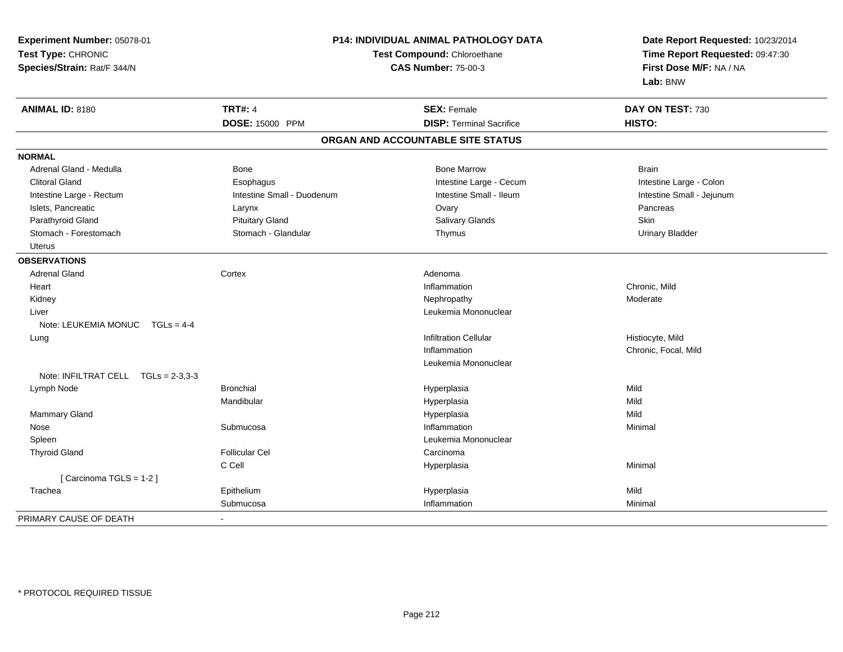| Experiment Number: 05078-01           | P14: INDIVIDUAL ANIMAL PATHOLOGY DATA<br>Test Compound: Chloroethane<br><b>CAS Number: 75-00-3</b> |                                   | Date Report Requested: 10/23/2014<br>Time Report Requested: 09:47:30<br>First Dose M/F: NA / NA |  |
|---------------------------------------|----------------------------------------------------------------------------------------------------|-----------------------------------|-------------------------------------------------------------------------------------------------|--|
| Test Type: CHRONIC                    |                                                                                                    |                                   |                                                                                                 |  |
| Species/Strain: Rat/F 344/N           |                                                                                                    |                                   |                                                                                                 |  |
|                                       |                                                                                                    |                                   | Lab: BNW                                                                                        |  |
| ANIMAL ID: 8180                       | <b>TRT#: 4</b>                                                                                     | <b>SEX: Female</b>                | DAY ON TEST: 730                                                                                |  |
|                                       | DOSE: 15000 PPM                                                                                    | <b>DISP: Terminal Sacrifice</b>   | HISTO:                                                                                          |  |
|                                       |                                                                                                    | ORGAN AND ACCOUNTABLE SITE STATUS |                                                                                                 |  |
| <b>NORMAL</b>                         |                                                                                                    |                                   |                                                                                                 |  |
| Adrenal Gland - Medulla               | Bone                                                                                               | <b>Bone Marrow</b>                | <b>Brain</b>                                                                                    |  |
| <b>Clitoral Gland</b>                 | Esophagus                                                                                          | Intestine Large - Cecum           | Intestine Large - Colon                                                                         |  |
| Intestine Large - Rectum              | Intestine Small - Duodenum                                                                         | Intestine Small - Ileum           | Intestine Small - Jejunum                                                                       |  |
| Islets, Pancreatic                    | Larynx                                                                                             | Ovary                             | Pancreas                                                                                        |  |
| Parathyroid Gland                     | <b>Pituitary Gland</b>                                                                             | <b>Salivary Glands</b>            | <b>Skin</b>                                                                                     |  |
| Stomach - Forestomach                 | Stomach - Glandular                                                                                | Thymus                            | <b>Urinary Bladder</b>                                                                          |  |
| <b>Uterus</b>                         |                                                                                                    |                                   |                                                                                                 |  |
| <b>OBSERVATIONS</b>                   |                                                                                                    |                                   |                                                                                                 |  |
| <b>Adrenal Gland</b>                  | Cortex                                                                                             | Adenoma                           |                                                                                                 |  |
| Heart                                 |                                                                                                    | Inflammation                      | Chronic, Mild                                                                                   |  |
| Kidney                                |                                                                                                    | Nephropathy                       | Moderate                                                                                        |  |
| Liver                                 |                                                                                                    | Leukemia Mononuclear              |                                                                                                 |  |
| Note: LEUKEMIA MONUC<br>$TGLs = 4-4$  |                                                                                                    |                                   |                                                                                                 |  |
| Lung                                  |                                                                                                    | <b>Infiltration Cellular</b>      | Histiocyte, Mild                                                                                |  |
|                                       |                                                                                                    | Inflammation                      | Chronic, Focal, Mild                                                                            |  |
|                                       |                                                                                                    | Leukemia Mononuclear              |                                                                                                 |  |
| Note: INFILTRAT CELL $TGLs = 2-3.3-3$ |                                                                                                    |                                   |                                                                                                 |  |
| Lymph Node                            | <b>Bronchial</b>                                                                                   | Hyperplasia                       | Mild                                                                                            |  |
|                                       | Mandibular                                                                                         | Hyperplasia                       | Mild                                                                                            |  |
| Mammary Gland                         |                                                                                                    | Hyperplasia                       | Mild                                                                                            |  |
| Nose                                  | Submucosa                                                                                          | Inflammation                      | Minimal                                                                                         |  |
| Spleen                                |                                                                                                    | Leukemia Mononuclear              |                                                                                                 |  |
| <b>Thyroid Gland</b>                  | <b>Follicular Cel</b>                                                                              | Carcinoma                         |                                                                                                 |  |
|                                       | C Cell                                                                                             | Hyperplasia                       | Minimal                                                                                         |  |
| [Carcinoma TGLS = 1-2]                |                                                                                                    |                                   |                                                                                                 |  |
| Trachea                               | Epithelium                                                                                         | Hyperplasia                       | Mild                                                                                            |  |
|                                       | Submucosa                                                                                          | Inflammation                      | Minimal                                                                                         |  |
| PRIMARY CAUSE OF DEATH                | $\blacksquare$                                                                                     |                                   |                                                                                                 |  |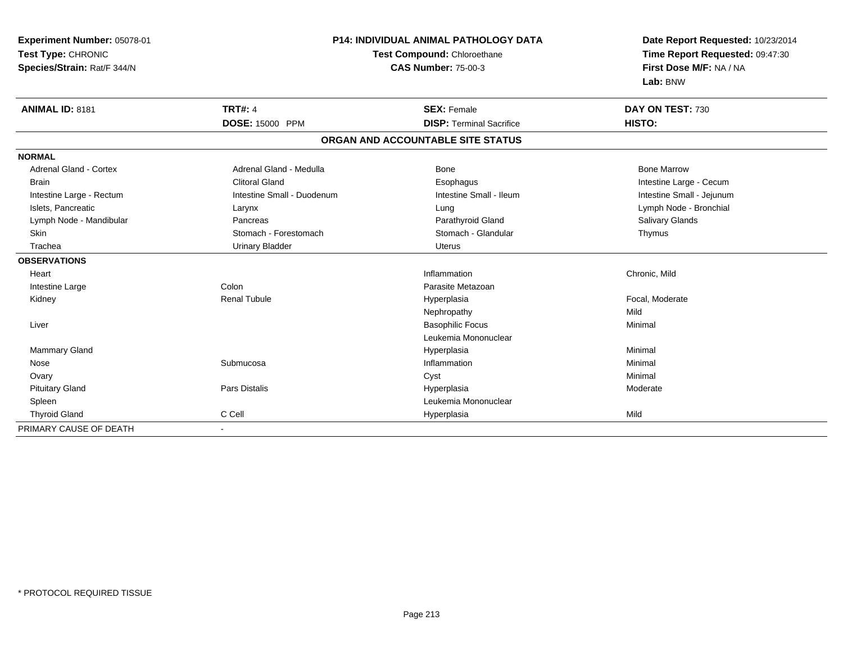| Experiment Number: 05078-01<br>Test Type: CHRONIC<br>Species/Strain: Rat/F 344/N |                            | <b>P14: INDIVIDUAL ANIMAL PATHOLOGY DATA</b><br>Test Compound: Chloroethane<br><b>CAS Number: 75-00-3</b> |                           |
|----------------------------------------------------------------------------------|----------------------------|-----------------------------------------------------------------------------------------------------------|---------------------------|
| <b>ANIMAL ID: 8181</b>                                                           | <b>TRT#: 4</b>             | <b>SEX: Female</b>                                                                                        | DAY ON TEST: 730          |
|                                                                                  | <b>DOSE: 15000 PPM</b>     | <b>DISP: Terminal Sacrifice</b>                                                                           | HISTO:                    |
|                                                                                  |                            | ORGAN AND ACCOUNTABLE SITE STATUS                                                                         |                           |
| <b>NORMAL</b>                                                                    |                            |                                                                                                           |                           |
| Adrenal Gland - Cortex                                                           | Adrenal Gland - Medulla    | Bone                                                                                                      | <b>Bone Marrow</b>        |
| <b>Brain</b>                                                                     | <b>Clitoral Gland</b>      | Esophagus                                                                                                 | Intestine Large - Cecum   |
| Intestine Large - Rectum                                                         | Intestine Small - Duodenum | Intestine Small - Ileum                                                                                   | Intestine Small - Jejunum |
| Islets, Pancreatic                                                               | Larynx                     | Lung                                                                                                      | Lymph Node - Bronchial    |
| Lymph Node - Mandibular                                                          | Pancreas                   | Parathyroid Gland                                                                                         | Salivary Glands           |
| <b>Skin</b>                                                                      | Stomach - Forestomach      | Stomach - Glandular                                                                                       | Thymus                    |
| Trachea                                                                          | <b>Urinary Bladder</b>     | <b>Uterus</b>                                                                                             |                           |
| <b>OBSERVATIONS</b>                                                              |                            |                                                                                                           |                           |
| Heart                                                                            |                            | Inflammation                                                                                              | Chronic, Mild             |
| Intestine Large                                                                  | Colon                      | Parasite Metazoan                                                                                         |                           |
| Kidney                                                                           | <b>Renal Tubule</b>        | Hyperplasia                                                                                               | Focal, Moderate           |
|                                                                                  |                            | Nephropathy                                                                                               | Mild                      |
| Liver                                                                            |                            | <b>Basophilic Focus</b>                                                                                   | Minimal                   |
|                                                                                  |                            | Leukemia Mononuclear                                                                                      |                           |
| <b>Mammary Gland</b>                                                             |                            | Hyperplasia                                                                                               | Minimal                   |
| Nose                                                                             | Submucosa                  | Inflammation                                                                                              | Minimal                   |
| Ovary                                                                            |                            | Cyst                                                                                                      | Minimal                   |
| <b>Pituitary Gland</b>                                                           | Pars Distalis              | Hyperplasia                                                                                               | Moderate                  |
| Spleen                                                                           |                            | Leukemia Mononuclear                                                                                      |                           |
| <b>Thyroid Gland</b>                                                             | C Cell                     | Hyperplasia                                                                                               | Mild                      |
| PRIMARY CAUSE OF DEATH                                                           | $\blacksquare$             |                                                                                                           |                           |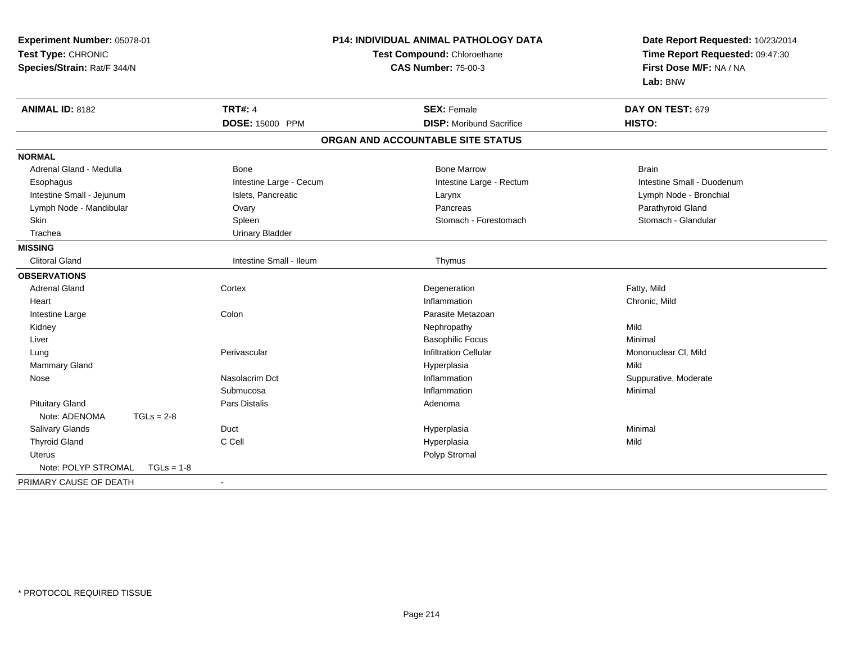| Experiment Number: 05078-01<br>Test Type: CHRONIC<br>Species/Strain: Rat/F 344/N |                         | P14: INDIVIDUAL ANIMAL PATHOLOGY DATA<br>Test Compound: Chloroethane<br><b>CAS Number: 75-00-3</b> | Date Report Requested: 10/23/2014<br>Time Report Requested: 09:47:30<br>First Dose M/F: NA / NA<br>Lab: BNW |
|----------------------------------------------------------------------------------|-------------------------|----------------------------------------------------------------------------------------------------|-------------------------------------------------------------------------------------------------------------|
| <b>ANIMAL ID: 8182</b>                                                           | <b>TRT#: 4</b>          | <b>SEX: Female</b>                                                                                 | DAY ON TEST: 679                                                                                            |
|                                                                                  | DOSE: 15000 PPM         | <b>DISP:</b> Moribund Sacrifice                                                                    | HISTO:                                                                                                      |
|                                                                                  |                         | ORGAN AND ACCOUNTABLE SITE STATUS                                                                  |                                                                                                             |
| <b>NORMAL</b>                                                                    |                         |                                                                                                    |                                                                                                             |
| Adrenal Gland - Medulla                                                          | Bone                    | <b>Bone Marrow</b>                                                                                 | <b>Brain</b>                                                                                                |
| Esophagus                                                                        | Intestine Large - Cecum | Intestine Large - Rectum                                                                           | Intestine Small - Duodenum                                                                                  |
| Intestine Small - Jejunum                                                        | Islets, Pancreatic      | Larynx                                                                                             | Lymph Node - Bronchial                                                                                      |
| Lymph Node - Mandibular                                                          | Ovary                   | Pancreas                                                                                           | Parathyroid Gland                                                                                           |
| Skin                                                                             | Spleen                  | Stomach - Forestomach                                                                              | Stomach - Glandular                                                                                         |
| Trachea                                                                          | <b>Urinary Bladder</b>  |                                                                                                    |                                                                                                             |
| <b>MISSING</b>                                                                   |                         |                                                                                                    |                                                                                                             |
| <b>Clitoral Gland</b>                                                            | Intestine Small - Ileum | Thymus                                                                                             |                                                                                                             |
| <b>OBSERVATIONS</b>                                                              |                         |                                                                                                    |                                                                                                             |
| <b>Adrenal Gland</b>                                                             | Cortex                  | Degeneration                                                                                       | Fatty, Mild                                                                                                 |
| Heart                                                                            |                         | Inflammation                                                                                       | Chronic, Mild                                                                                               |
| Intestine Large                                                                  | Colon                   | Parasite Metazoan                                                                                  |                                                                                                             |
| Kidney                                                                           |                         | Nephropathy                                                                                        | Mild                                                                                                        |
| Liver                                                                            |                         | <b>Basophilic Focus</b>                                                                            | Minimal                                                                                                     |
| Lung                                                                             | Perivascular            | <b>Infiltration Cellular</b>                                                                       | Mononuclear CI, Mild                                                                                        |
| Mammary Gland                                                                    |                         | Hyperplasia                                                                                        | Mild                                                                                                        |
| Nose                                                                             | Nasolacrim Dct          | Inflammation                                                                                       | Suppurative, Moderate                                                                                       |
|                                                                                  | Submucosa               | Inflammation                                                                                       | Minimal                                                                                                     |
| <b>Pituitary Gland</b>                                                           | Pars Distalis           | Adenoma                                                                                            |                                                                                                             |
| Note: ADENOMA<br>$TGLs = 2-8$                                                    |                         |                                                                                                    |                                                                                                             |
| Salivary Glands                                                                  | Duct                    | Hyperplasia                                                                                        | Minimal                                                                                                     |
| <b>Thyroid Gland</b>                                                             | C Cell                  | Hyperplasia                                                                                        | Mild                                                                                                        |
| <b>Uterus</b>                                                                    |                         | Polyp Stromal                                                                                      |                                                                                                             |
| Note: POLYP STROMAL<br>$TGLs = 1-8$                                              |                         |                                                                                                    |                                                                                                             |
| PRIMARY CAUSE OF DEATH                                                           | $\blacksquare$          |                                                                                                    |                                                                                                             |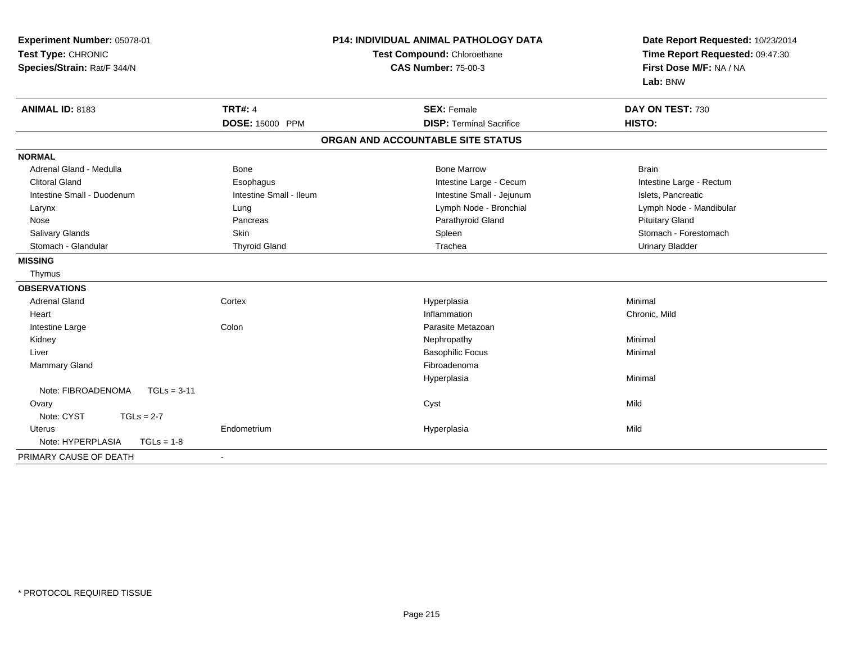| Experiment Number: 05078-01<br>Test Type: CHRONIC<br>Species/Strain: Rat/F 344/N |                         | <b>P14: INDIVIDUAL ANIMAL PATHOLOGY DATA</b><br>Test Compound: Chloroethane<br><b>CAS Number: 75-00-3</b> | Date Report Requested: 10/23/2014<br>Time Report Requested: 09:47:30<br>First Dose M/F: NA / NA<br>Lab: BNW |
|----------------------------------------------------------------------------------|-------------------------|-----------------------------------------------------------------------------------------------------------|-------------------------------------------------------------------------------------------------------------|
| <b>ANIMAL ID: 8183</b>                                                           | <b>TRT#: 4</b>          | <b>SEX: Female</b>                                                                                        | DAY ON TEST: 730                                                                                            |
|                                                                                  | <b>DOSE: 15000 PPM</b>  | <b>DISP: Terminal Sacrifice</b>                                                                           | HISTO:                                                                                                      |
|                                                                                  |                         | ORGAN AND ACCOUNTABLE SITE STATUS                                                                         |                                                                                                             |
| <b>NORMAL</b>                                                                    |                         |                                                                                                           |                                                                                                             |
| Adrenal Gland - Medulla                                                          | Bone                    | <b>Bone Marrow</b>                                                                                        | <b>Brain</b>                                                                                                |
| <b>Clitoral Gland</b>                                                            | Esophagus               | Intestine Large - Cecum                                                                                   | Intestine Large - Rectum                                                                                    |
| Intestine Small - Duodenum                                                       | Intestine Small - Ileum | Intestine Small - Jejunum                                                                                 | Islets, Pancreatic                                                                                          |
| Larynx                                                                           | Lung                    | Lymph Node - Bronchial                                                                                    | Lymph Node - Mandibular                                                                                     |
| Nose                                                                             | Pancreas                | Parathyroid Gland                                                                                         | <b>Pituitary Gland</b>                                                                                      |
| <b>Salivary Glands</b>                                                           | Skin                    | Spleen                                                                                                    | Stomach - Forestomach                                                                                       |
| Stomach - Glandular                                                              | <b>Thyroid Gland</b>    | Trachea                                                                                                   | <b>Urinary Bladder</b>                                                                                      |
| <b>MISSING</b>                                                                   |                         |                                                                                                           |                                                                                                             |
| Thymus                                                                           |                         |                                                                                                           |                                                                                                             |
| <b>OBSERVATIONS</b>                                                              |                         |                                                                                                           |                                                                                                             |
| <b>Adrenal Gland</b>                                                             | Cortex                  | Hyperplasia                                                                                               | Minimal                                                                                                     |
| Heart                                                                            |                         | Inflammation                                                                                              | Chronic, Mild                                                                                               |
| Intestine Large                                                                  | Colon                   | Parasite Metazoan                                                                                         |                                                                                                             |
| Kidney                                                                           |                         | Nephropathy                                                                                               | Minimal                                                                                                     |
| Liver                                                                            |                         | <b>Basophilic Focus</b>                                                                                   | Minimal                                                                                                     |
| Mammary Gland                                                                    |                         | Fibroadenoma                                                                                              |                                                                                                             |
|                                                                                  |                         | Hyperplasia                                                                                               | Minimal                                                                                                     |
| Note: FIBROADENOMA<br>$TGLs = 3-11$                                              |                         |                                                                                                           |                                                                                                             |
| Ovary                                                                            |                         | Cyst                                                                                                      | Mild                                                                                                        |
| Note: CYST<br>$TGLs = 2-7$                                                       |                         |                                                                                                           |                                                                                                             |
| <b>Uterus</b>                                                                    | Endometrium             | Hyperplasia                                                                                               | Mild                                                                                                        |
| Note: HYPERPLASIA<br>$TGLs = 1-8$                                                |                         |                                                                                                           |                                                                                                             |
| PRIMARY CAUSE OF DEATH                                                           | $\blacksquare$          |                                                                                                           |                                                                                                             |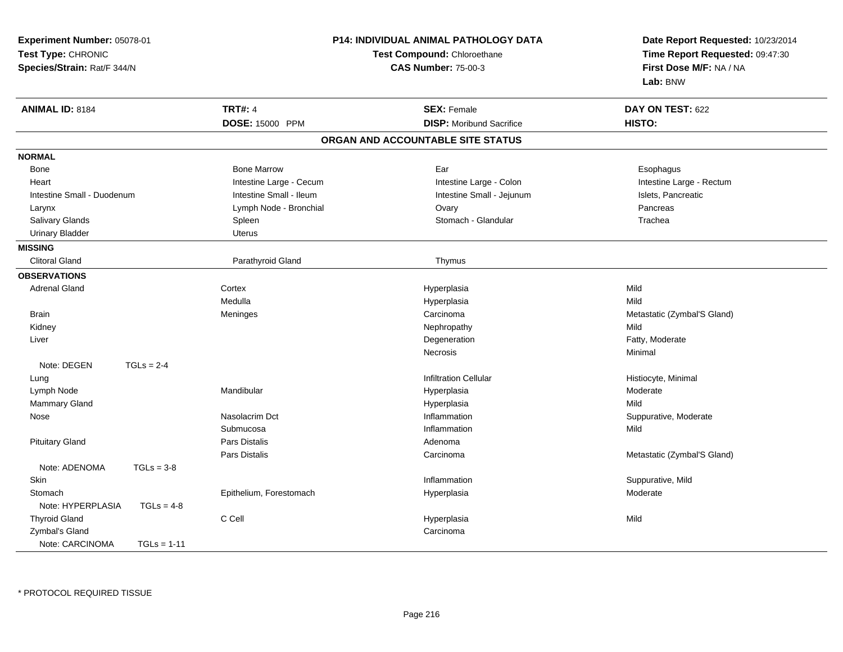| Experiment Number: 05078-01<br>Test Type: CHRONIC<br>Species/Strain: Rat/F 344/N |               |                         | P14: INDIVIDUAL ANIMAL PATHOLOGY DATA<br>Test Compound: Chloroethane<br><b>CAS Number: 75-00-3</b> | Date Report Requested: 10/23/2014<br>Time Report Requested: 09:47:30<br>First Dose M/F: NA / NA<br>Lab: BNW |
|----------------------------------------------------------------------------------|---------------|-------------------------|----------------------------------------------------------------------------------------------------|-------------------------------------------------------------------------------------------------------------|
| <b>ANIMAL ID: 8184</b>                                                           |               | <b>TRT#: 4</b>          | <b>SEX: Female</b>                                                                                 | DAY ON TEST: 622                                                                                            |
|                                                                                  |               | DOSE: 15000 PPM         | <b>DISP:</b> Moribund Sacrifice                                                                    | HISTO:                                                                                                      |
|                                                                                  |               |                         | ORGAN AND ACCOUNTABLE SITE STATUS                                                                  |                                                                                                             |
| <b>NORMAL</b>                                                                    |               |                         |                                                                                                    |                                                                                                             |
| <b>Bone</b>                                                                      |               | <b>Bone Marrow</b>      | Ear                                                                                                | Esophagus                                                                                                   |
| Heart                                                                            |               | Intestine Large - Cecum | Intestine Large - Colon                                                                            | Intestine Large - Rectum                                                                                    |
| Intestine Small - Duodenum                                                       |               | Intestine Small - Ileum | Intestine Small - Jejunum                                                                          | Islets, Pancreatic                                                                                          |
| Larynx                                                                           |               | Lymph Node - Bronchial  | Ovary                                                                                              | Pancreas                                                                                                    |
| Salivary Glands                                                                  |               | Spleen                  | Stomach - Glandular                                                                                | Trachea                                                                                                     |
| <b>Urinary Bladder</b>                                                           |               | Uterus                  |                                                                                                    |                                                                                                             |
| <b>MISSING</b>                                                                   |               |                         |                                                                                                    |                                                                                                             |
| <b>Clitoral Gland</b>                                                            |               | Parathyroid Gland       | Thymus                                                                                             |                                                                                                             |
| <b>OBSERVATIONS</b>                                                              |               |                         |                                                                                                    |                                                                                                             |
| <b>Adrenal Gland</b>                                                             |               | Cortex                  | Hyperplasia                                                                                        | Mild                                                                                                        |
|                                                                                  |               | Medulla                 | Hyperplasia                                                                                        | Mild                                                                                                        |
| <b>Brain</b>                                                                     |               | Meninges                | Carcinoma                                                                                          | Metastatic (Zymbal'S Gland)                                                                                 |
| Kidney                                                                           |               |                         | Nephropathy                                                                                        | Mild                                                                                                        |
| Liver                                                                            |               |                         | Degeneration                                                                                       | Fatty, Moderate                                                                                             |
|                                                                                  |               |                         | Necrosis                                                                                           | Minimal                                                                                                     |
| Note: DEGEN                                                                      | $TGLs = 2-4$  |                         |                                                                                                    |                                                                                                             |
| Lung                                                                             |               |                         | <b>Infiltration Cellular</b>                                                                       | Histiocyte, Minimal                                                                                         |
| Lymph Node                                                                       |               | Mandibular              | Hyperplasia                                                                                        | Moderate                                                                                                    |
| Mammary Gland                                                                    |               |                         | Hyperplasia                                                                                        | Mild                                                                                                        |
| Nose                                                                             |               | Nasolacrim Dct          | Inflammation                                                                                       | Suppurative, Moderate                                                                                       |
|                                                                                  |               | Submucosa               | Inflammation                                                                                       | Mild                                                                                                        |
| <b>Pituitary Gland</b>                                                           |               | Pars Distalis           | Adenoma                                                                                            |                                                                                                             |
|                                                                                  |               | Pars Distalis           | Carcinoma                                                                                          | Metastatic (Zymbal'S Gland)                                                                                 |
| Note: ADENOMA                                                                    | $TGLs = 3-8$  |                         |                                                                                                    |                                                                                                             |
| <b>Skin</b>                                                                      |               |                         | Inflammation                                                                                       | Suppurative, Mild                                                                                           |
| Stomach                                                                          |               | Epithelium, Forestomach | Hyperplasia                                                                                        | Moderate                                                                                                    |
| Note: HYPERPLASIA                                                                | $TGLs = 4-8$  |                         |                                                                                                    |                                                                                                             |
| <b>Thyroid Gland</b>                                                             |               | C Cell                  | Hyperplasia                                                                                        | Mild                                                                                                        |
| Zymbal's Gland                                                                   |               |                         | Carcinoma                                                                                          |                                                                                                             |
| Note: CARCINOMA                                                                  | $TGLs = 1-11$ |                         |                                                                                                    |                                                                                                             |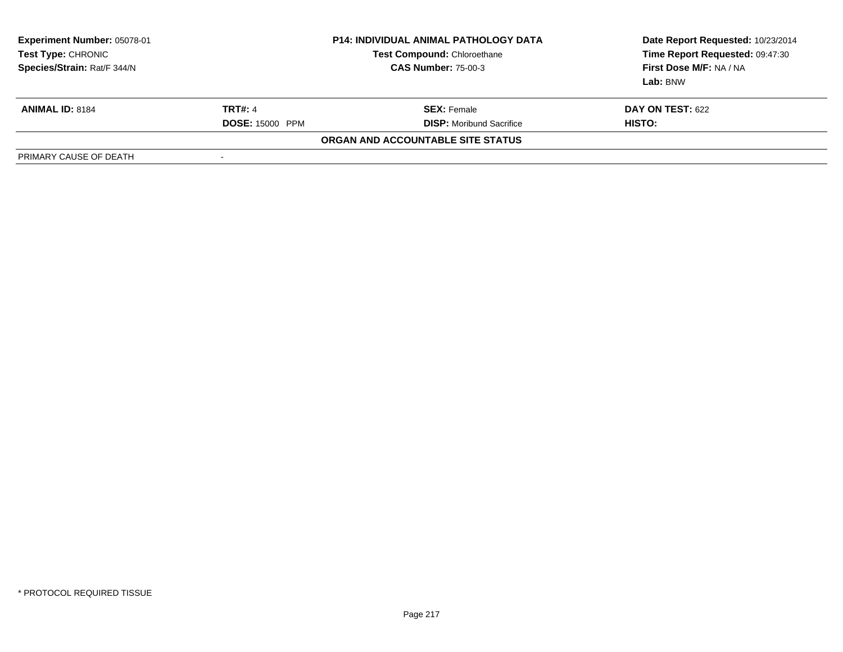| Experiment Number: 05078-01<br>Test Type: CHRONIC<br>Species/Strain: Rat/F 344/N | <b>P14: INDIVIDUAL ANIMAL PATHOLOGY DATA</b><br><b>Test Compound: Chloroethane</b><br><b>CAS Number: 75-00-3</b> |                                   | Date Report Requested: 10/23/2014<br>Time Report Requested: 09:47:30<br>First Dose M/F: NA / NA<br>Lab: BNW |
|----------------------------------------------------------------------------------|------------------------------------------------------------------------------------------------------------------|-----------------------------------|-------------------------------------------------------------------------------------------------------------|
| <b>ANIMAL ID: 8184</b>                                                           | <b>TRT#: 4</b>                                                                                                   | <b>SEX: Female</b>                | <b>DAY ON TEST: 622</b>                                                                                     |
|                                                                                  | <b>DOSE: 15000 PPM</b>                                                                                           | <b>DISP:</b> Moribund Sacrifice   | HISTO:                                                                                                      |
|                                                                                  |                                                                                                                  | ORGAN AND ACCOUNTABLE SITE STATUS |                                                                                                             |
| PRIMARY CAUSE OF DEATH                                                           |                                                                                                                  |                                   |                                                                                                             |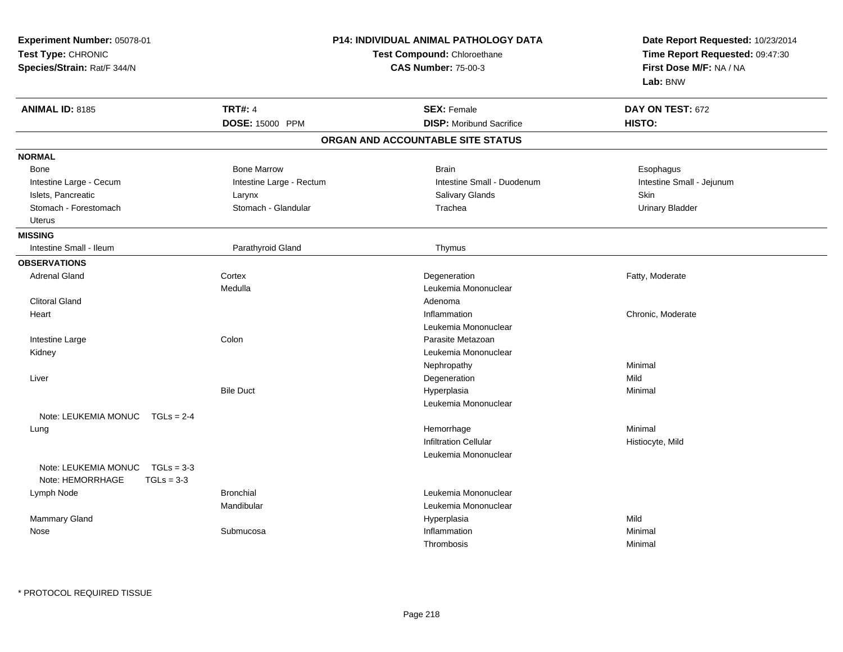| <b>Experiment Number: 05078-01</b><br>Test Type: CHRONIC<br>Species/Strain: Rat/F 344/N |                          | P14: INDIVIDUAL ANIMAL PATHOLOGY DATA<br>Test Compound: Chloroethane<br><b>CAS Number: 75-00-3</b> | Date Report Requested: 10/23/2014<br>Time Report Requested: 09:47:30<br>First Dose M/F: NA / NA<br>Lab: BNW |  |
|-----------------------------------------------------------------------------------------|--------------------------|----------------------------------------------------------------------------------------------------|-------------------------------------------------------------------------------------------------------------|--|
| <b>ANIMAL ID: 8185</b>                                                                  | <b>TRT#: 4</b>           | <b>SEX: Female</b>                                                                                 | DAY ON TEST: 672                                                                                            |  |
|                                                                                         | DOSE: 15000 PPM          | <b>DISP:</b> Moribund Sacrifice                                                                    | HISTO:                                                                                                      |  |
|                                                                                         |                          | ORGAN AND ACCOUNTABLE SITE STATUS                                                                  |                                                                                                             |  |
| <b>NORMAL</b>                                                                           |                          |                                                                                                    |                                                                                                             |  |
| Bone                                                                                    | <b>Bone Marrow</b>       | <b>Brain</b>                                                                                       | Esophagus                                                                                                   |  |
| Intestine Large - Cecum                                                                 | Intestine Large - Rectum | Intestine Small - Duodenum                                                                         | Intestine Small - Jejunum                                                                                   |  |
| Islets, Pancreatic                                                                      | Larynx                   | <b>Salivary Glands</b>                                                                             | <b>Skin</b>                                                                                                 |  |
| Stomach - Forestomach                                                                   | Stomach - Glandular      | Trachea                                                                                            | <b>Urinary Bladder</b>                                                                                      |  |
| <b>Uterus</b>                                                                           |                          |                                                                                                    |                                                                                                             |  |
| <b>MISSING</b>                                                                          |                          |                                                                                                    |                                                                                                             |  |
| Intestine Small - Ileum                                                                 | Parathyroid Gland        | Thymus                                                                                             |                                                                                                             |  |
| <b>OBSERVATIONS</b>                                                                     |                          |                                                                                                    |                                                                                                             |  |
| <b>Adrenal Gland</b>                                                                    | Cortex                   | Degeneration                                                                                       | Fatty, Moderate                                                                                             |  |
|                                                                                         | Medulla                  | Leukemia Mononuclear                                                                               |                                                                                                             |  |
| <b>Clitoral Gland</b>                                                                   |                          | Adenoma                                                                                            |                                                                                                             |  |
| Heart                                                                                   |                          | Inflammation                                                                                       | Chronic, Moderate                                                                                           |  |
|                                                                                         |                          | Leukemia Mononuclear                                                                               |                                                                                                             |  |
| Intestine Large                                                                         | Colon                    | Parasite Metazoan                                                                                  |                                                                                                             |  |
| Kidney                                                                                  |                          | Leukemia Mononuclear                                                                               |                                                                                                             |  |
|                                                                                         |                          | Nephropathy                                                                                        | Minimal                                                                                                     |  |
| Liver                                                                                   |                          | Degeneration                                                                                       | Mild                                                                                                        |  |
|                                                                                         | <b>Bile Duct</b>         | Hyperplasia                                                                                        | Minimal                                                                                                     |  |
|                                                                                         |                          | Leukemia Mononuclear                                                                               |                                                                                                             |  |
| Note: LEUKEMIA MONUC TGLs = 2-4                                                         |                          |                                                                                                    |                                                                                                             |  |
| Lung                                                                                    |                          | Hemorrhage                                                                                         | Minimal                                                                                                     |  |
|                                                                                         |                          | <b>Infiltration Cellular</b>                                                                       | Histiocyte, Mild                                                                                            |  |
|                                                                                         |                          | Leukemia Mononuclear                                                                               |                                                                                                             |  |
| Note: LEUKEMIA MONUC<br>$TGLs = 3-3$                                                    |                          |                                                                                                    |                                                                                                             |  |
| Note: HEMORRHAGE<br>$TGLs = 3-3$                                                        |                          |                                                                                                    |                                                                                                             |  |
| Lymph Node                                                                              | <b>Bronchial</b>         | Leukemia Mononuclear                                                                               |                                                                                                             |  |
|                                                                                         | Mandibular               | Leukemia Mononuclear                                                                               |                                                                                                             |  |
| Mammary Gland                                                                           |                          | Hyperplasia                                                                                        | Mild                                                                                                        |  |
| Nose                                                                                    | Submucosa                | Inflammation                                                                                       | Minimal                                                                                                     |  |
|                                                                                         |                          | Thrombosis                                                                                         | Minimal                                                                                                     |  |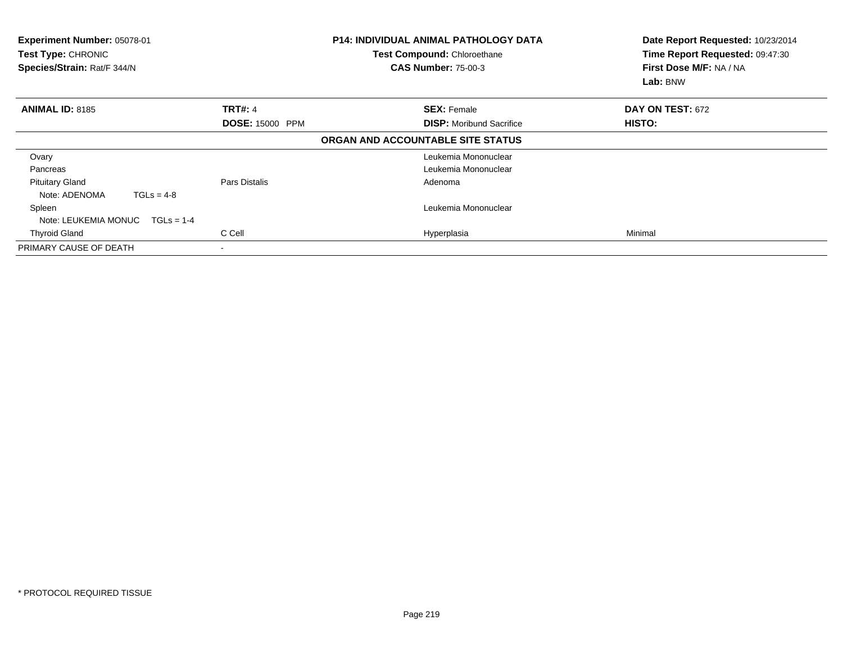| Experiment Number: 05078-01<br><b>Test Type: CHRONIC</b><br>Species/Strain: Rat/F 344/N |                        | <b>P14: INDIVIDUAL ANIMAL PATHOLOGY DATA</b><br>Test Compound: Chloroethane<br><b>CAS Number: 75-00-3</b> | Date Report Requested: 10/23/2014<br>Time Report Requested: 09:47:30<br>First Dose M/F: NA / NA<br>Lab: BNW |
|-----------------------------------------------------------------------------------------|------------------------|-----------------------------------------------------------------------------------------------------------|-------------------------------------------------------------------------------------------------------------|
| <b>ANIMAL ID: 8185</b>                                                                  | <b>TRT#: 4</b>         | <b>SEX: Female</b>                                                                                        | DAY ON TEST: 672                                                                                            |
|                                                                                         | <b>DOSE: 15000 PPM</b> | <b>DISP:</b> Moribund Sacrifice                                                                           | HISTO:                                                                                                      |
|                                                                                         |                        | ORGAN AND ACCOUNTABLE SITE STATUS                                                                         |                                                                                                             |
| Ovary                                                                                   |                        | Leukemia Mononuclear                                                                                      |                                                                                                             |
| Pancreas                                                                                |                        | Leukemia Mononuclear                                                                                      |                                                                                                             |
| <b>Pituitary Gland</b>                                                                  | Pars Distalis          | Adenoma                                                                                                   |                                                                                                             |
| Note: ADENOMA<br>$TGLs = 4-8$                                                           |                        |                                                                                                           |                                                                                                             |
| Spleen                                                                                  |                        | Leukemia Mononuclear                                                                                      |                                                                                                             |
| Note: LEUKEMIA MONUC<br>$TGLs = 1-4$                                                    |                        |                                                                                                           |                                                                                                             |
| <b>Thyroid Gland</b>                                                                    | C Cell                 | Hyperplasia                                                                                               | Minimal                                                                                                     |
| PRIMARY CAUSE OF DEATH                                                                  |                        |                                                                                                           |                                                                                                             |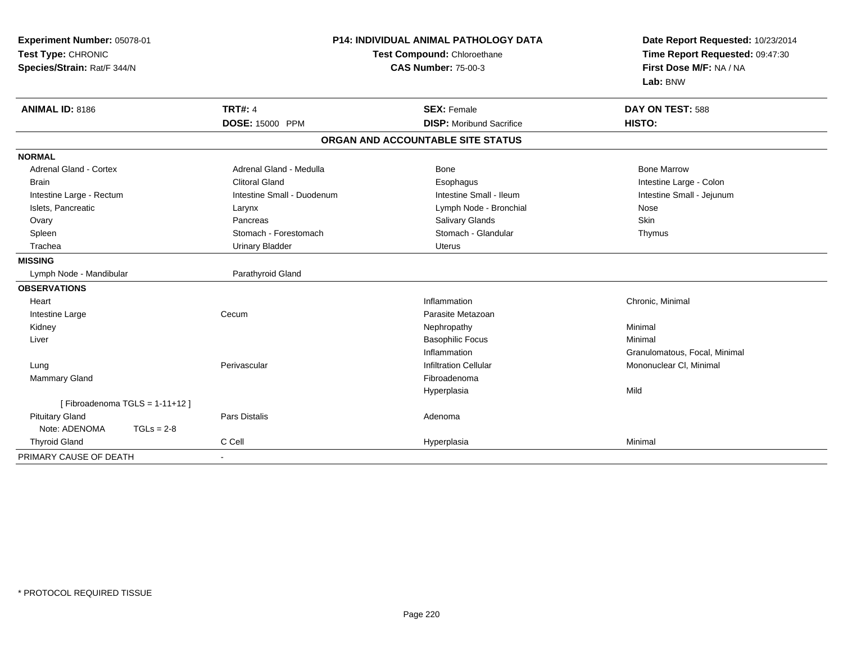| Experiment Number: 05078-01<br>Test Type: CHRONIC<br>Species/Strain: Rat/F 344/N | <b>P14: INDIVIDUAL ANIMAL PATHOLOGY DATA</b><br>Test Compound: Chloroethane<br><b>CAS Number: 75-00-3</b> |                                   | Date Report Requested: 10/23/2014<br>Time Report Requested: 09:47:30<br>First Dose M/F: NA / NA<br>Lab: BNW |
|----------------------------------------------------------------------------------|-----------------------------------------------------------------------------------------------------------|-----------------------------------|-------------------------------------------------------------------------------------------------------------|
| <b>ANIMAL ID: 8186</b>                                                           | <b>TRT#: 4</b>                                                                                            | <b>SEX: Female</b>                | DAY ON TEST: 588                                                                                            |
|                                                                                  | <b>DOSE: 15000 PPM</b>                                                                                    | <b>DISP:</b> Moribund Sacrifice   | HISTO:                                                                                                      |
|                                                                                  |                                                                                                           | ORGAN AND ACCOUNTABLE SITE STATUS |                                                                                                             |
| <b>NORMAL</b>                                                                    |                                                                                                           |                                   |                                                                                                             |
| <b>Adrenal Gland - Cortex</b>                                                    | Adrenal Gland - Medulla                                                                                   | <b>Bone</b>                       | <b>Bone Marrow</b>                                                                                          |
| <b>Brain</b>                                                                     | <b>Clitoral Gland</b>                                                                                     | Esophagus                         | Intestine Large - Colon                                                                                     |
| Intestine Large - Rectum                                                         | Intestine Small - Duodenum                                                                                | Intestine Small - Ileum           | Intestine Small - Jejunum                                                                                   |
| Islets, Pancreatic                                                               | Larynx                                                                                                    | Lymph Node - Bronchial            | Nose                                                                                                        |
| Ovary                                                                            | Pancreas                                                                                                  | Salivary Glands                   | Skin                                                                                                        |
| Spleen                                                                           | Stomach - Forestomach                                                                                     | Stomach - Glandular               | Thymus                                                                                                      |
| Trachea                                                                          | <b>Urinary Bladder</b>                                                                                    | <b>Uterus</b>                     |                                                                                                             |
| <b>MISSING</b>                                                                   |                                                                                                           |                                   |                                                                                                             |
| Lymph Node - Mandibular                                                          | Parathyroid Gland                                                                                         |                                   |                                                                                                             |
| <b>OBSERVATIONS</b>                                                              |                                                                                                           |                                   |                                                                                                             |
| Heart                                                                            |                                                                                                           | Inflammation                      | Chronic, Minimal                                                                                            |
| Intestine Large                                                                  | Cecum                                                                                                     | Parasite Metazoan                 |                                                                                                             |
| Kidney                                                                           |                                                                                                           | Nephropathy                       | Minimal                                                                                                     |
| Liver                                                                            |                                                                                                           | <b>Basophilic Focus</b>           | Minimal                                                                                                     |
|                                                                                  |                                                                                                           | Inflammation                      | Granulomatous, Focal, Minimal                                                                               |
| Lung                                                                             | Perivascular                                                                                              | <b>Infiltration Cellular</b>      | Mononuclear CI, Minimal                                                                                     |
| Mammary Gland                                                                    |                                                                                                           | Fibroadenoma                      |                                                                                                             |
|                                                                                  |                                                                                                           | Hyperplasia                       | Mild                                                                                                        |
| [Fibroadenoma TGLS = $1-11+12$ ]                                                 |                                                                                                           |                                   |                                                                                                             |
| <b>Pituitary Gland</b>                                                           | <b>Pars Distalis</b>                                                                                      | Adenoma                           |                                                                                                             |
| Note: ADENOMA<br>$TGLs = 2-8$                                                    |                                                                                                           |                                   |                                                                                                             |
| <b>Thyroid Gland</b>                                                             | C Cell                                                                                                    | Hyperplasia                       | Minimal                                                                                                     |
| PRIMARY CAUSE OF DEATH                                                           | $\blacksquare$                                                                                            |                                   |                                                                                                             |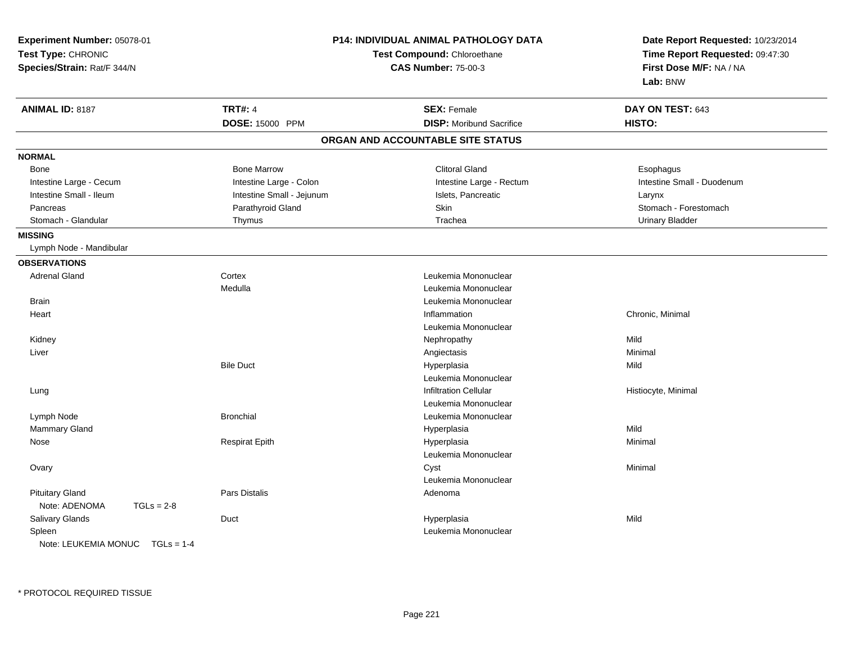| Experiment Number: 05078-01<br>Test Type: CHRONIC<br>Species/Strain: Rat/F 344/N |                           | <b>P14: INDIVIDUAL ANIMAL PATHOLOGY DATA</b><br>Test Compound: Chloroethane<br><b>CAS Number: 75-00-3</b> |                            |
|----------------------------------------------------------------------------------|---------------------------|-----------------------------------------------------------------------------------------------------------|----------------------------|
| ANIMAL ID: 8187                                                                  | <b>TRT#: 4</b>            | <b>SEX: Female</b>                                                                                        | DAY ON TEST: 643           |
|                                                                                  | DOSE: 15000 PPM           | <b>DISP:</b> Moribund Sacrifice                                                                           | HISTO:                     |
|                                                                                  |                           | ORGAN AND ACCOUNTABLE SITE STATUS                                                                         |                            |
| <b>NORMAL</b>                                                                    |                           |                                                                                                           |                            |
| Bone                                                                             | <b>Bone Marrow</b>        | <b>Clitoral Gland</b>                                                                                     | Esophagus                  |
| Intestine Large - Cecum                                                          | Intestine Large - Colon   | Intestine Large - Rectum                                                                                  | Intestine Small - Duodenum |
| Intestine Small - Ileum                                                          | Intestine Small - Jejunum | Islets, Pancreatic                                                                                        | Larynx                     |
| Pancreas                                                                         | Parathyroid Gland         | Skin                                                                                                      | Stomach - Forestomach      |
| Stomach - Glandular                                                              | Thymus                    | Trachea                                                                                                   | <b>Urinary Bladder</b>     |
| <b>MISSING</b>                                                                   |                           |                                                                                                           |                            |
| Lymph Node - Mandibular                                                          |                           |                                                                                                           |                            |
| <b>OBSERVATIONS</b>                                                              |                           |                                                                                                           |                            |
| <b>Adrenal Gland</b>                                                             | Cortex                    | Leukemia Mononuclear                                                                                      |                            |
|                                                                                  | Medulla                   | Leukemia Mononuclear                                                                                      |                            |
| <b>Brain</b>                                                                     |                           | Leukemia Mononuclear                                                                                      |                            |
| Heart                                                                            |                           | Inflammation                                                                                              | Chronic, Minimal           |
|                                                                                  |                           | Leukemia Mononuclear                                                                                      |                            |
| Kidney                                                                           |                           | Nephropathy                                                                                               | Mild                       |
| Liver                                                                            |                           | Angiectasis                                                                                               | Minimal                    |
|                                                                                  | <b>Bile Duct</b>          | Hyperplasia                                                                                               | Mild                       |
|                                                                                  |                           | Leukemia Mononuclear                                                                                      |                            |
| Lung                                                                             |                           | <b>Infiltration Cellular</b>                                                                              | Histiocyte, Minimal        |
|                                                                                  |                           | Leukemia Mononuclear                                                                                      |                            |
| Lymph Node                                                                       | <b>Bronchial</b>          | Leukemia Mononuclear                                                                                      |                            |
| Mammary Gland                                                                    |                           | Hyperplasia                                                                                               | Mild                       |
| Nose                                                                             | <b>Respirat Epith</b>     | Hyperplasia                                                                                               | Minimal                    |
|                                                                                  |                           | Leukemia Mononuclear                                                                                      |                            |
| Ovary                                                                            |                           | Cyst                                                                                                      | Minimal                    |
|                                                                                  |                           | Leukemia Mononuclear                                                                                      |                            |
| <b>Pituitary Gland</b>                                                           | <b>Pars Distalis</b>      | Adenoma                                                                                                   |                            |
| Note: ADENOMA<br>$TGLs = 2-8$                                                    |                           |                                                                                                           |                            |
| <b>Salivary Glands</b>                                                           | Duct                      | Hyperplasia                                                                                               | Mild                       |
| Spleen                                                                           |                           | Leukemia Mononuclear                                                                                      |                            |
| Note: $I$ FUKFMIA MONUC TGI $s = 1-4$                                            |                           |                                                                                                           |                            |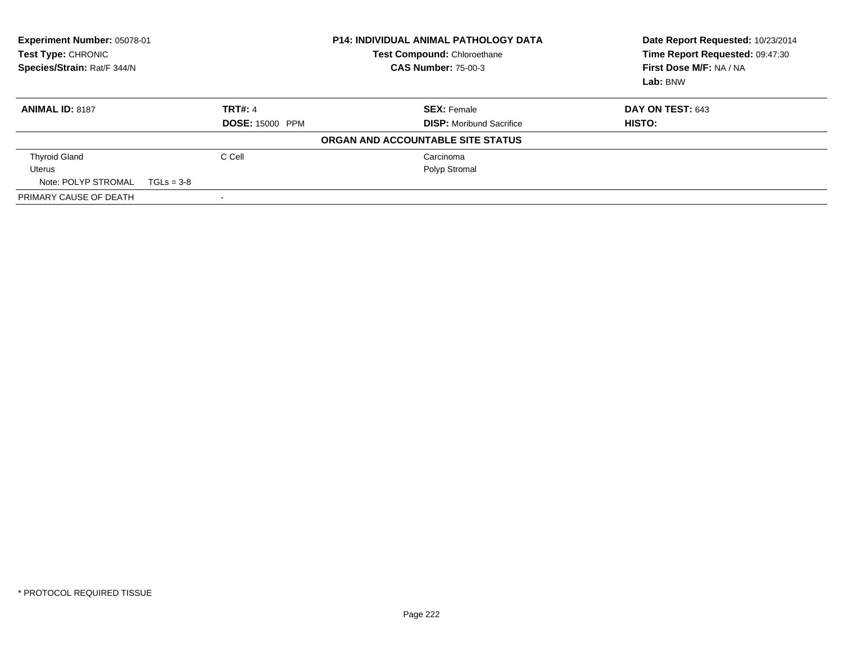| Experiment Number: 05078-01<br>Test Type: CHRONIC<br>Species/Strain: Rat/F 344/N |                        | <b>P14: INDIVIDUAL ANIMAL PATHOLOGY DATA</b><br><b>Test Compound: Chloroethane</b><br><b>CAS Number: 75-00-3</b> | Date Report Requested: 10/23/2014<br>Time Report Requested: 09:47:30<br>First Dose M/F: NA / NA<br>Lab: BNW |
|----------------------------------------------------------------------------------|------------------------|------------------------------------------------------------------------------------------------------------------|-------------------------------------------------------------------------------------------------------------|
| <b>ANIMAL ID: 8187</b>                                                           | <b>TRT#: 4</b>         | <b>SEX: Female</b>                                                                                               | DAY ON TEST: 643                                                                                            |
|                                                                                  | <b>DOSE: 15000 PPM</b> | <b>DISP:</b> Moribund Sacrifice                                                                                  | <b>HISTO:</b>                                                                                               |
|                                                                                  |                        | ORGAN AND ACCOUNTABLE SITE STATUS                                                                                |                                                                                                             |
| <b>Thyroid Gland</b>                                                             | C Cell                 | Carcinoma                                                                                                        |                                                                                                             |
| Uterus                                                                           |                        | Polyp Stromal                                                                                                    |                                                                                                             |
| Note: POLYP STROMAL                                                              | $TGLs = 3-8$           |                                                                                                                  |                                                                                                             |
| PRIMARY CAUSE OF DEATH                                                           |                        |                                                                                                                  |                                                                                                             |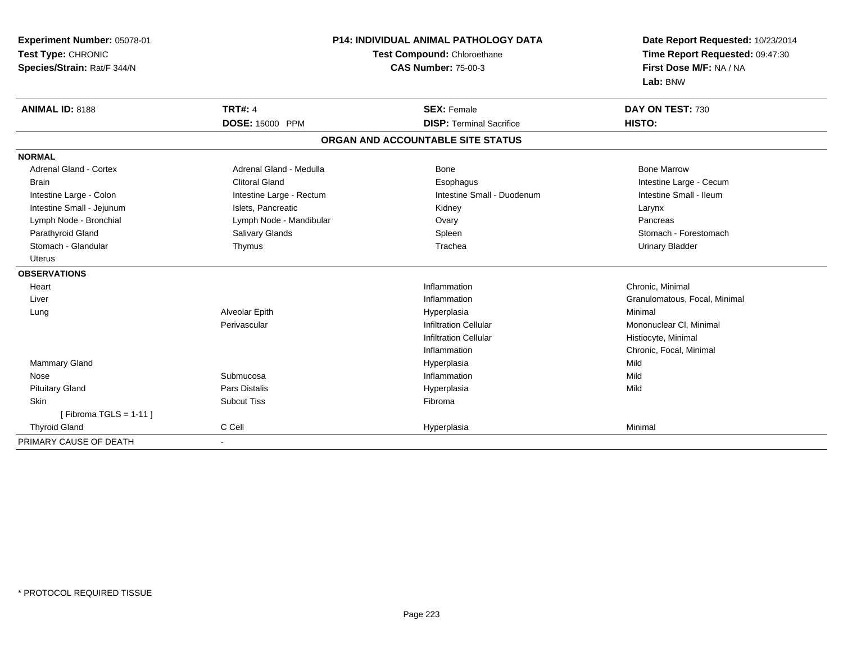| Experiment Number: 05078-01   | <b>P14: INDIVIDUAL ANIMAL PATHOLOGY DATA</b> |                                   | Date Report Requested: 10/23/2014 |
|-------------------------------|----------------------------------------------|-----------------------------------|-----------------------------------|
| Test Type: CHRONIC            |                                              | Test Compound: Chloroethane       | Time Report Requested: 09:47:30   |
| Species/Strain: Rat/F 344/N   |                                              | <b>CAS Number: 75-00-3</b>        | First Dose M/F: NA / NA           |
|                               |                                              |                                   | Lab: BNW                          |
| <b>ANIMAL ID: 8188</b>        | <b>TRT#: 4</b>                               | <b>SEX: Female</b>                | DAY ON TEST: 730                  |
|                               | DOSE: 15000 PPM                              | <b>DISP: Terminal Sacrifice</b>   | HISTO:                            |
|                               |                                              | ORGAN AND ACCOUNTABLE SITE STATUS |                                   |
| <b>NORMAL</b>                 |                                              |                                   |                                   |
| <b>Adrenal Gland - Cortex</b> | Adrenal Gland - Medulla                      | <b>Bone</b>                       | <b>Bone Marrow</b>                |
| <b>Brain</b>                  | <b>Clitoral Gland</b>                        | Esophagus                         | Intestine Large - Cecum           |
| Intestine Large - Colon       | Intestine Large - Rectum                     | Intestine Small - Duodenum        | Intestine Small - Ileum           |
| Intestine Small - Jejunum     | Islets. Pancreatic                           | Kidney                            | Larynx                            |
| Lymph Node - Bronchial        | Lymph Node - Mandibular                      | Ovary                             | Pancreas                          |
| Parathyroid Gland             | Salivary Glands                              | Spleen                            | Stomach - Forestomach             |
| Stomach - Glandular           | Thymus                                       | Trachea                           | <b>Urinary Bladder</b>            |
| <b>Uterus</b>                 |                                              |                                   |                                   |
| <b>OBSERVATIONS</b>           |                                              |                                   |                                   |
| Heart                         |                                              | Inflammation                      | Chronic. Minimal                  |
| Liver                         |                                              | Inflammation                      | Granulomatous, Focal, Minimal     |
| Lung                          | Alveolar Epith                               | Hyperplasia                       | Minimal                           |
|                               | Perivascular                                 | <b>Infiltration Cellular</b>      | Mononuclear CI, Minimal           |
|                               |                                              | <b>Infiltration Cellular</b>      | Histiocyte, Minimal               |
|                               |                                              | Inflammation                      | Chronic, Focal, Minimal           |
| Mammary Gland                 |                                              | Hyperplasia                       | Mild                              |
| Nose                          | Submucosa                                    | Inflammation                      | Mild                              |
| <b>Pituitary Gland</b>        | <b>Pars Distalis</b>                         | Hyperplasia                       | Mild                              |
| <b>Skin</b>                   | <b>Subcut Tiss</b>                           | Fibroma                           |                                   |
| [Fibroma TGLS = $1-11$ ]      |                                              |                                   |                                   |
| <b>Thyroid Gland</b>          | C Cell                                       | Hyperplasia                       | Minimal                           |
| PRIMARY CAUSE OF DEATH        | $\blacksquare$                               |                                   |                                   |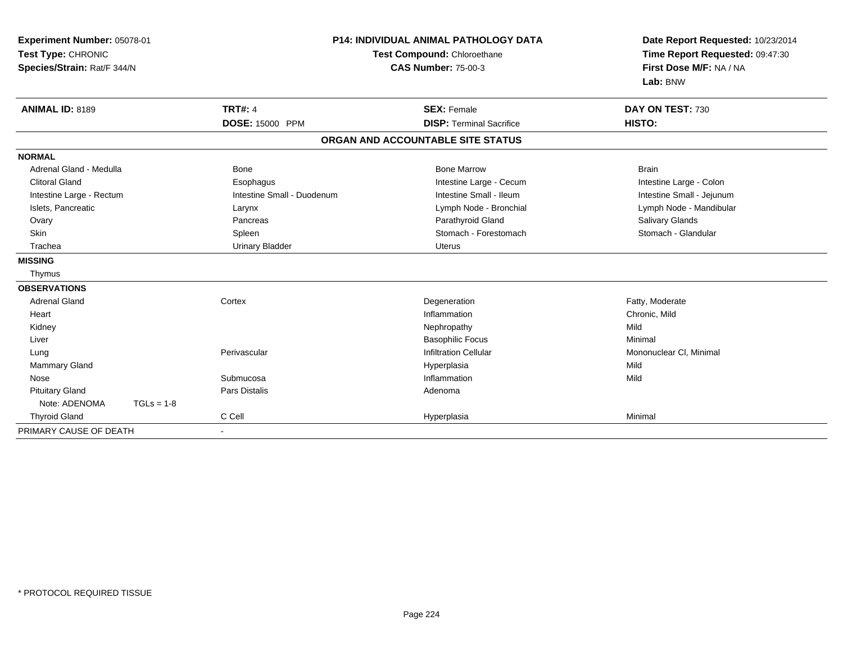| Experiment Number: 05078-01<br>Test Type: CHRONIC<br>Species/Strain: Rat/F 344/N |              |                            | <b>P14: INDIVIDUAL ANIMAL PATHOLOGY DATA</b><br>Test Compound: Chloroethane<br><b>CAS Number: 75-00-3</b> |                                   | Date Report Requested: 10/23/2014<br>Time Report Requested: 09:47:30<br>First Dose M/F: NA / NA<br>Lab: BNW |
|----------------------------------------------------------------------------------|--------------|----------------------------|-----------------------------------------------------------------------------------------------------------|-----------------------------------|-------------------------------------------------------------------------------------------------------------|
| <b>ANIMAL ID: 8189</b>                                                           |              | <b>TRT#: 4</b>             |                                                                                                           | <b>SEX: Female</b>                | DAY ON TEST: 730                                                                                            |
|                                                                                  |              | <b>DOSE: 15000 PPM</b>     |                                                                                                           | <b>DISP: Terminal Sacrifice</b>   | HISTO:                                                                                                      |
|                                                                                  |              |                            |                                                                                                           | ORGAN AND ACCOUNTABLE SITE STATUS |                                                                                                             |
| <b>NORMAL</b>                                                                    |              |                            |                                                                                                           |                                   |                                                                                                             |
| Adrenal Gland - Medulla                                                          |              | Bone                       |                                                                                                           | <b>Bone Marrow</b>                | <b>Brain</b>                                                                                                |
| <b>Clitoral Gland</b>                                                            |              | Esophagus                  |                                                                                                           | Intestine Large - Cecum           | Intestine Large - Colon                                                                                     |
| Intestine Large - Rectum                                                         |              | Intestine Small - Duodenum |                                                                                                           | Intestine Small - Ileum           | Intestine Small - Jejunum                                                                                   |
| Islets, Pancreatic                                                               |              | Larynx                     |                                                                                                           | Lymph Node - Bronchial            | Lymph Node - Mandibular                                                                                     |
| Ovary                                                                            |              | Pancreas                   |                                                                                                           | Parathyroid Gland                 | Salivary Glands                                                                                             |
| Skin                                                                             |              | Spleen                     |                                                                                                           | Stomach - Forestomach             | Stomach - Glandular                                                                                         |
| Trachea                                                                          |              | <b>Urinary Bladder</b>     |                                                                                                           | Uterus                            |                                                                                                             |
| <b>MISSING</b>                                                                   |              |                            |                                                                                                           |                                   |                                                                                                             |
| Thymus                                                                           |              |                            |                                                                                                           |                                   |                                                                                                             |
| <b>OBSERVATIONS</b>                                                              |              |                            |                                                                                                           |                                   |                                                                                                             |
| <b>Adrenal Gland</b>                                                             |              | Cortex                     |                                                                                                           | Degeneration                      | Fatty, Moderate                                                                                             |
| Heart                                                                            |              |                            |                                                                                                           | Inflammation                      | Chronic, Mild                                                                                               |
| Kidney                                                                           |              |                            |                                                                                                           | Nephropathy                       | Mild                                                                                                        |
| Liver                                                                            |              |                            |                                                                                                           | <b>Basophilic Focus</b>           | Minimal                                                                                                     |
| Lung                                                                             |              | Perivascular               |                                                                                                           | <b>Infiltration Cellular</b>      | Mononuclear CI, Minimal                                                                                     |
| Mammary Gland                                                                    |              |                            |                                                                                                           | Hyperplasia                       | Mild                                                                                                        |
| Nose                                                                             |              | Submucosa                  |                                                                                                           | Inflammation                      | Mild                                                                                                        |
| <b>Pituitary Gland</b>                                                           |              | Pars Distalis              |                                                                                                           | Adenoma                           |                                                                                                             |
| Note: ADENOMA                                                                    | $TGLs = 1-8$ |                            |                                                                                                           |                                   |                                                                                                             |
| <b>Thyroid Gland</b>                                                             |              | C Cell                     |                                                                                                           | Hyperplasia                       | Minimal                                                                                                     |
| PRIMARY CAUSE OF DEATH                                                           |              | $\blacksquare$             |                                                                                                           |                                   |                                                                                                             |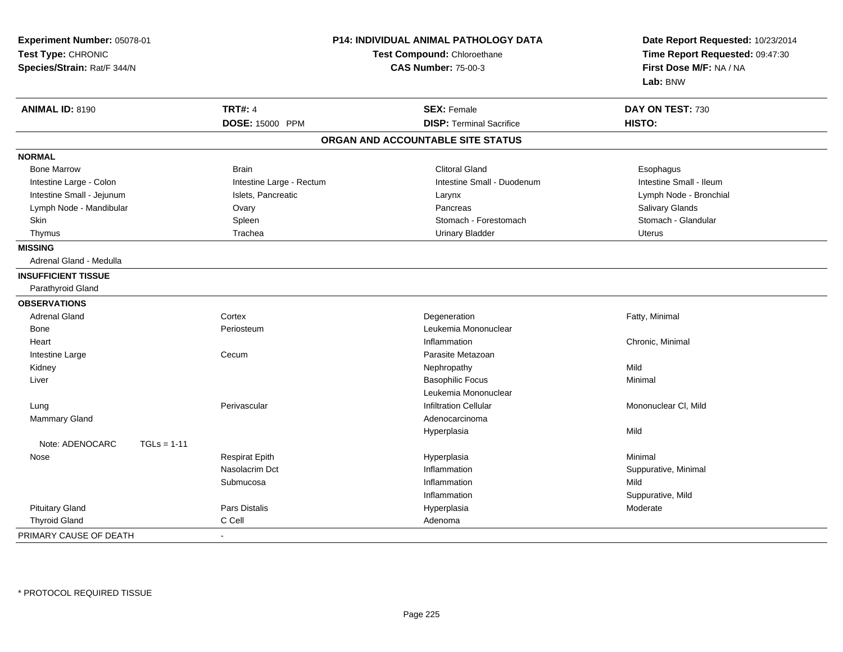| Experiment Number: 05078-01<br>Test Type: CHRONIC<br>Species/Strain: Rat/F 344/N |                          | <b>P14: INDIVIDUAL ANIMAL PATHOLOGY DATA</b><br>Test Compound: Chloroethane<br><b>CAS Number: 75-00-3</b> | Date Report Requested: 10/23/2014<br>Time Report Requested: 09:47:30<br>First Dose M/F: NA / NA<br>Lab: BNW |  |
|----------------------------------------------------------------------------------|--------------------------|-----------------------------------------------------------------------------------------------------------|-------------------------------------------------------------------------------------------------------------|--|
| <b>ANIMAL ID: 8190</b>                                                           | <b>TRT#: 4</b>           | <b>SEX: Female</b>                                                                                        | DAY ON TEST: 730                                                                                            |  |
|                                                                                  | DOSE: 15000 PPM          | <b>DISP: Terminal Sacrifice</b>                                                                           | HISTO:                                                                                                      |  |
|                                                                                  |                          | ORGAN AND ACCOUNTABLE SITE STATUS                                                                         |                                                                                                             |  |
| <b>NORMAL</b>                                                                    |                          |                                                                                                           |                                                                                                             |  |
| <b>Bone Marrow</b>                                                               | <b>Brain</b>             | <b>Clitoral Gland</b>                                                                                     | Esophagus                                                                                                   |  |
| Intestine Large - Colon                                                          | Intestine Large - Rectum | Intestine Small - Duodenum                                                                                | Intestine Small - Ileum                                                                                     |  |
| Intestine Small - Jejunum                                                        | Islets, Pancreatic       | Larynx                                                                                                    | Lymph Node - Bronchial                                                                                      |  |
| Lymph Node - Mandibular                                                          | Ovary                    | Pancreas                                                                                                  | Salivary Glands                                                                                             |  |
| Skin                                                                             | Spleen                   | Stomach - Forestomach                                                                                     | Stomach - Glandular                                                                                         |  |
| Thymus                                                                           | Trachea                  | <b>Urinary Bladder</b>                                                                                    | <b>Uterus</b>                                                                                               |  |
| <b>MISSING</b>                                                                   |                          |                                                                                                           |                                                                                                             |  |
| Adrenal Gland - Medulla                                                          |                          |                                                                                                           |                                                                                                             |  |
| <b>INSUFFICIENT TISSUE</b>                                                       |                          |                                                                                                           |                                                                                                             |  |
| Parathyroid Gland                                                                |                          |                                                                                                           |                                                                                                             |  |
| <b>OBSERVATIONS</b>                                                              |                          |                                                                                                           |                                                                                                             |  |
| <b>Adrenal Gland</b>                                                             | Cortex                   | Degeneration                                                                                              | Fatty, Minimal                                                                                              |  |
| Bone                                                                             | Periosteum               | Leukemia Mononuclear                                                                                      |                                                                                                             |  |
| Heart                                                                            |                          | Inflammation                                                                                              | Chronic, Minimal                                                                                            |  |
| Intestine Large                                                                  | Cecum                    | Parasite Metazoan                                                                                         |                                                                                                             |  |
| Kidney                                                                           |                          | Nephropathy                                                                                               | Mild                                                                                                        |  |
| Liver                                                                            |                          | <b>Basophilic Focus</b>                                                                                   | Minimal                                                                                                     |  |
|                                                                                  |                          | Leukemia Mononuclear                                                                                      |                                                                                                             |  |
| Lung                                                                             | Perivascular             | <b>Infiltration Cellular</b>                                                                              | Mononuclear CI, Mild                                                                                        |  |
| Mammary Gland                                                                    |                          | Adenocarcinoma                                                                                            |                                                                                                             |  |
|                                                                                  |                          | Hyperplasia                                                                                               | Mild                                                                                                        |  |
| Note: ADENOCARC<br>$TGLs = 1-11$                                                 |                          |                                                                                                           |                                                                                                             |  |
| Nose                                                                             | <b>Respirat Epith</b>    | Hyperplasia                                                                                               | Minimal                                                                                                     |  |
|                                                                                  | Nasolacrim Dct           | Inflammation                                                                                              | Suppurative, Minimal                                                                                        |  |
|                                                                                  | Submucosa                | Inflammation                                                                                              | Mild                                                                                                        |  |
|                                                                                  |                          | Inflammation                                                                                              | Suppurative, Mild                                                                                           |  |
| <b>Pituitary Gland</b>                                                           | <b>Pars Distalis</b>     | Hyperplasia                                                                                               | Moderate                                                                                                    |  |
| <b>Thyroid Gland</b>                                                             | C Cell                   | Adenoma                                                                                                   |                                                                                                             |  |
| PRIMARY CAUSE OF DEATH                                                           |                          |                                                                                                           |                                                                                                             |  |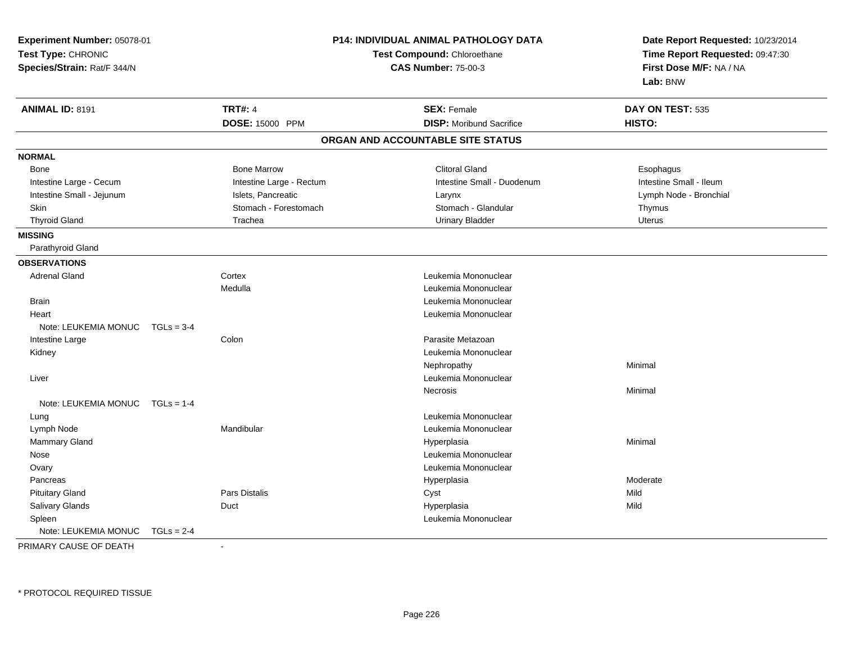| Experiment Number: 05078-01<br>Test Type: CHRONIC<br>Species/Strain: Rat/F 344/N |                          | P14: INDIVIDUAL ANIMAL PATHOLOGY DATA<br>Test Compound: Chloroethane<br><b>CAS Number: 75-00-3</b> | Date Report Requested: 10/23/2014<br>Time Report Requested: 09:47:30<br>First Dose M/F: NA / NA<br>Lab: BNW |
|----------------------------------------------------------------------------------|--------------------------|----------------------------------------------------------------------------------------------------|-------------------------------------------------------------------------------------------------------------|
| <b>ANIMAL ID: 8191</b>                                                           | <b>TRT#: 4</b>           | <b>SEX: Female</b>                                                                                 | DAY ON TEST: 535                                                                                            |
|                                                                                  | DOSE: 15000 PPM          | <b>DISP:</b> Moribund Sacrifice                                                                    | HISTO:                                                                                                      |
|                                                                                  |                          | ORGAN AND ACCOUNTABLE SITE STATUS                                                                  |                                                                                                             |
| <b>NORMAL</b>                                                                    |                          |                                                                                                    |                                                                                                             |
| <b>Bone</b>                                                                      | <b>Bone Marrow</b>       | <b>Clitoral Gland</b>                                                                              | Esophagus                                                                                                   |
| Intestine Large - Cecum                                                          | Intestine Large - Rectum | Intestine Small - Duodenum                                                                         | Intestine Small - Ileum                                                                                     |
| Intestine Small - Jejunum                                                        | Islets, Pancreatic       | Larynx                                                                                             | Lymph Node - Bronchial                                                                                      |
| Skin                                                                             | Stomach - Forestomach    | Stomach - Glandular                                                                                | Thymus                                                                                                      |
| <b>Thyroid Gland</b>                                                             | Trachea                  | <b>Urinary Bladder</b>                                                                             | <b>Uterus</b>                                                                                               |
| <b>MISSING</b>                                                                   |                          |                                                                                                    |                                                                                                             |
| Parathyroid Gland                                                                |                          |                                                                                                    |                                                                                                             |
| <b>OBSERVATIONS</b>                                                              |                          |                                                                                                    |                                                                                                             |
| <b>Adrenal Gland</b>                                                             | Cortex                   | Leukemia Mononuclear                                                                               |                                                                                                             |
|                                                                                  | Medulla                  | Leukemia Mononuclear                                                                               |                                                                                                             |
| <b>Brain</b>                                                                     |                          | Leukemia Mononuclear                                                                               |                                                                                                             |
| Heart                                                                            |                          | Leukemia Mononuclear                                                                               |                                                                                                             |
| Note: LEUKEMIA MONUC                                                             | $TGLs = 3-4$             |                                                                                                    |                                                                                                             |
| Intestine Large                                                                  | Colon                    | Parasite Metazoan                                                                                  |                                                                                                             |
| Kidney                                                                           |                          | Leukemia Mononuclear                                                                               |                                                                                                             |
|                                                                                  |                          | Nephropathy                                                                                        | Minimal                                                                                                     |
| Liver                                                                            |                          | Leukemia Mononuclear                                                                               |                                                                                                             |
|                                                                                  |                          | Necrosis                                                                                           | Minimal                                                                                                     |
| Note: LEUKEMIA MONUC                                                             | $TGLs = 1-4$             |                                                                                                    |                                                                                                             |
| Lung                                                                             |                          | Leukemia Mononuclear                                                                               |                                                                                                             |
| Lymph Node                                                                       | Mandibular               | Leukemia Mononuclear                                                                               |                                                                                                             |
| Mammary Gland                                                                    |                          | Hyperplasia                                                                                        | Minimal                                                                                                     |
| Nose                                                                             |                          | Leukemia Mononuclear                                                                               |                                                                                                             |
| Ovary                                                                            |                          | Leukemia Mononuclear                                                                               |                                                                                                             |
| Pancreas                                                                         |                          | Hyperplasia                                                                                        | Moderate                                                                                                    |
| <b>Pituitary Gland</b>                                                           | Pars Distalis            | Cyst                                                                                               | Mild                                                                                                        |
| Salivary Glands                                                                  | Duct                     | Hyperplasia                                                                                        | Mild                                                                                                        |
| Spleen                                                                           |                          | Leukemia Mononuclear                                                                               |                                                                                                             |
| Note: LEUKEMIA MONUC                                                             | $TGLs = 2-4$             |                                                                                                    |                                                                                                             |

PRIMARY CAUSE OF DEATH-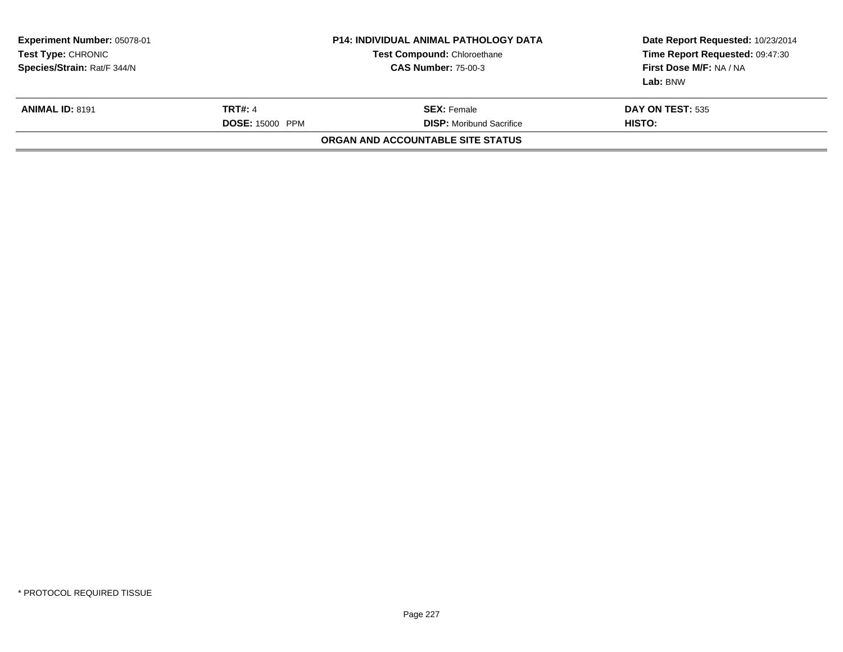| Experiment Number: 05078-01<br><b>Test Type:</b> CHRONIC<br>Species/Strain: Rat/F 344/N | <b>P14: INDIVIDUAL ANIMAL PATHOLOGY DATA</b><br><b>Test Compound: Chloroethane</b><br><b>CAS Number: 75-00-3</b> |                                                       | Date Report Requested: 10/23/2014<br>Time Report Requested: 09:47:30<br>First Dose M/F: NA / NA<br>Lab: BNW |
|-----------------------------------------------------------------------------------------|------------------------------------------------------------------------------------------------------------------|-------------------------------------------------------|-------------------------------------------------------------------------------------------------------------|
| <b>ANIMAL ID: 8191</b>                                                                  | <b>TRT#: 4</b><br><b>DOSE: 15000 PPM</b>                                                                         | <b>SEX:</b> Female<br><b>DISP:</b> Moribund Sacrifice | <b>DAY ON TEST: 535</b><br>HISTO:                                                                           |
|                                                                                         |                                                                                                                  | ORGAN AND ACCOUNTABLE SITE STATUS                     |                                                                                                             |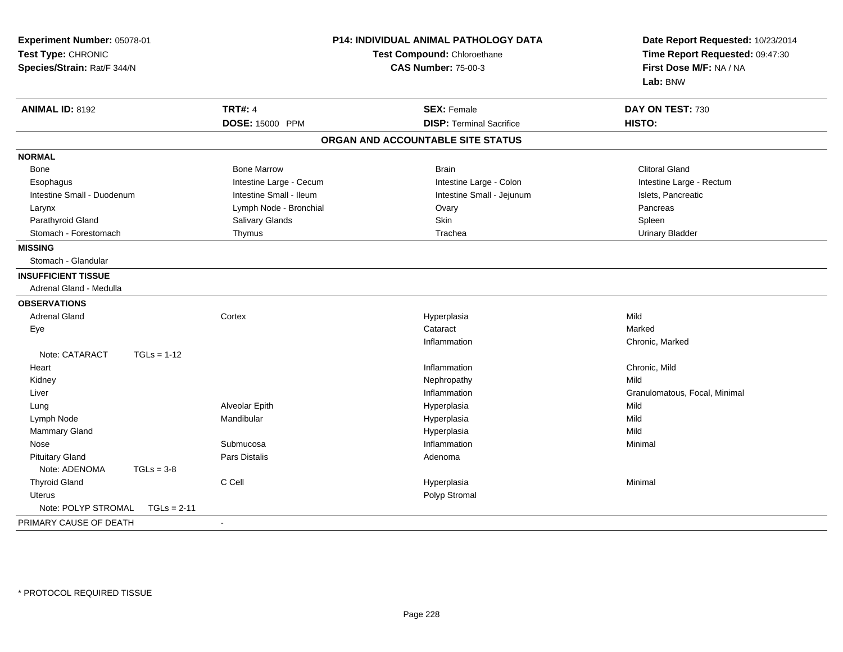| Experiment Number: 05078-01<br>Test Type: CHRONIC<br>Species/Strain: Rat/F 344/N |               |                         | P14: INDIVIDUAL ANIMAL PATHOLOGY DATA<br>Test Compound: Chloroethane<br><b>CAS Number: 75-00-3</b> | Date Report Requested: 10/23/2014<br>Time Report Requested: 09:47:30<br>First Dose M/F: NA / NA<br>Lab: BNW |
|----------------------------------------------------------------------------------|---------------|-------------------------|----------------------------------------------------------------------------------------------------|-------------------------------------------------------------------------------------------------------------|
| <b>ANIMAL ID: 8192</b>                                                           |               | <b>TRT#: 4</b>          | <b>SEX: Female</b>                                                                                 | DAY ON TEST: 730                                                                                            |
|                                                                                  |               | DOSE: 15000 PPM         | <b>DISP: Terminal Sacrifice</b>                                                                    | HISTO:                                                                                                      |
|                                                                                  |               |                         | ORGAN AND ACCOUNTABLE SITE STATUS                                                                  |                                                                                                             |
| <b>NORMAL</b>                                                                    |               |                         |                                                                                                    |                                                                                                             |
| Bone                                                                             |               | <b>Bone Marrow</b>      | <b>Brain</b>                                                                                       | <b>Clitoral Gland</b>                                                                                       |
| Esophagus                                                                        |               | Intestine Large - Cecum | Intestine Large - Colon                                                                            | Intestine Large - Rectum                                                                                    |
| Intestine Small - Duodenum                                                       |               | Intestine Small - Ileum | Intestine Small - Jejunum                                                                          | Islets, Pancreatic                                                                                          |
| Larynx                                                                           |               | Lymph Node - Bronchial  | Ovary                                                                                              | Pancreas                                                                                                    |
| Parathyroid Gland                                                                |               | Salivary Glands         | Skin                                                                                               | Spleen                                                                                                      |
| Stomach - Forestomach                                                            |               | Thymus                  | Trachea                                                                                            | <b>Urinary Bladder</b>                                                                                      |
| <b>MISSING</b>                                                                   |               |                         |                                                                                                    |                                                                                                             |
| Stomach - Glandular                                                              |               |                         |                                                                                                    |                                                                                                             |
| <b>INSUFFICIENT TISSUE</b>                                                       |               |                         |                                                                                                    |                                                                                                             |
| Adrenal Gland - Medulla                                                          |               |                         |                                                                                                    |                                                                                                             |
| <b>OBSERVATIONS</b>                                                              |               |                         |                                                                                                    |                                                                                                             |
| <b>Adrenal Gland</b>                                                             |               | Cortex                  | Hyperplasia                                                                                        | Mild                                                                                                        |
| Eye                                                                              |               |                         | Cataract                                                                                           | Marked                                                                                                      |
|                                                                                  |               |                         | Inflammation                                                                                       | Chronic, Marked                                                                                             |
| Note: CATARACT                                                                   | $TGLs = 1-12$ |                         |                                                                                                    |                                                                                                             |
| Heart                                                                            |               |                         | Inflammation                                                                                       | Chronic, Mild                                                                                               |
| Kidney                                                                           |               |                         | Nephropathy                                                                                        | Mild                                                                                                        |
| Liver                                                                            |               |                         | Inflammation                                                                                       | Granulomatous, Focal, Minimal                                                                               |
| Lung                                                                             |               | Alveolar Epith          | Hyperplasia                                                                                        | Mild                                                                                                        |
| Lymph Node                                                                       |               | Mandibular              | Hyperplasia                                                                                        | Mild                                                                                                        |
| Mammary Gland                                                                    |               |                         | Hyperplasia                                                                                        | Mild                                                                                                        |
| Nose                                                                             |               | Submucosa               | Inflammation                                                                                       | Minimal                                                                                                     |
| <b>Pituitary Gland</b>                                                           |               | <b>Pars Distalis</b>    | Adenoma                                                                                            |                                                                                                             |
| Note: ADENOMA                                                                    | $TGLs = 3-8$  |                         |                                                                                                    |                                                                                                             |
| <b>Thyroid Gland</b>                                                             |               | C Cell                  | Hyperplasia                                                                                        | Minimal                                                                                                     |
| <b>Uterus</b>                                                                    |               |                         | Polyp Stromal                                                                                      |                                                                                                             |
| Note: POLYP STROMAL                                                              | $TGLs = 2-11$ |                         |                                                                                                    |                                                                                                             |
| PRIMARY CAUSE OF DEATH                                                           |               | $\sim$                  |                                                                                                    |                                                                                                             |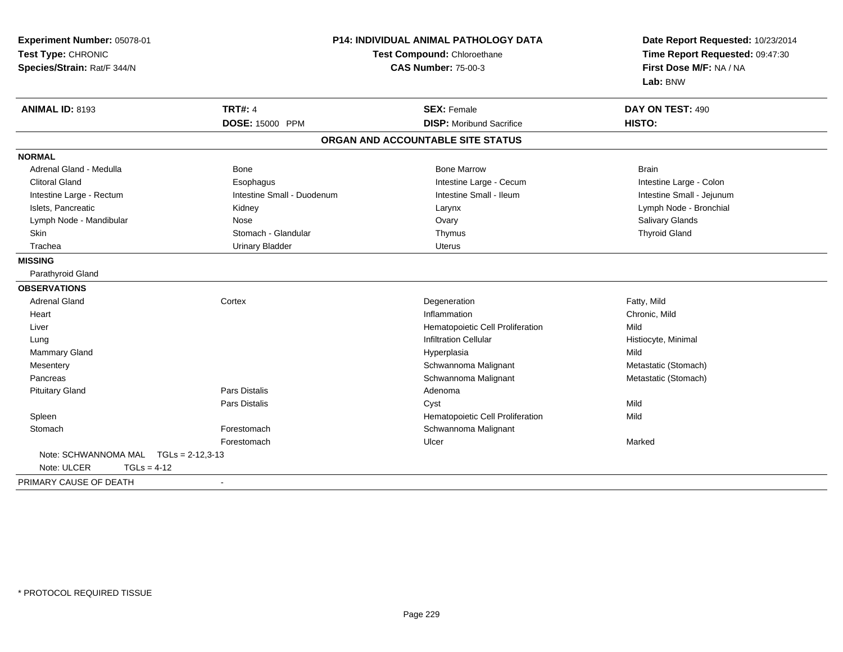| Experiment Number: 05078-01<br>Test Type: CHRONIC<br>Species/Strain: Rat/F 344/N |                            | <b>P14: INDIVIDUAL ANIMAL PATHOLOGY DATA</b><br>Test Compound: Chloroethane<br><b>CAS Number: 75-00-3</b> |                           |
|----------------------------------------------------------------------------------|----------------------------|-----------------------------------------------------------------------------------------------------------|---------------------------|
| <b>ANIMAL ID: 8193</b>                                                           | <b>TRT#: 4</b>             | <b>SEX: Female</b>                                                                                        | DAY ON TEST: 490          |
|                                                                                  | DOSE: 15000 PPM            | <b>DISP:</b> Moribund Sacrifice                                                                           | HISTO:                    |
|                                                                                  |                            | ORGAN AND ACCOUNTABLE SITE STATUS                                                                         |                           |
| <b>NORMAL</b>                                                                    |                            |                                                                                                           |                           |
| Adrenal Gland - Medulla                                                          | Bone                       | <b>Bone Marrow</b>                                                                                        | <b>Brain</b>              |
| <b>Clitoral Gland</b>                                                            | Esophagus                  | Intestine Large - Cecum                                                                                   | Intestine Large - Colon   |
| Intestine Large - Rectum                                                         | Intestine Small - Duodenum | Intestine Small - Ileum                                                                                   | Intestine Small - Jejunum |
| Islets, Pancreatic                                                               | Kidney                     | Larynx                                                                                                    | Lymph Node - Bronchial    |
| Lymph Node - Mandibular                                                          | Nose                       | Ovary                                                                                                     | Salivary Glands           |
| Skin                                                                             | Stomach - Glandular        | Thymus                                                                                                    | <b>Thyroid Gland</b>      |
| Trachea                                                                          | <b>Urinary Bladder</b>     | <b>Uterus</b>                                                                                             |                           |
| <b>MISSING</b>                                                                   |                            |                                                                                                           |                           |
| Parathyroid Gland                                                                |                            |                                                                                                           |                           |
| <b>OBSERVATIONS</b>                                                              |                            |                                                                                                           |                           |
| <b>Adrenal Gland</b>                                                             | Cortex                     | Degeneration                                                                                              | Fatty, Mild               |
| Heart                                                                            |                            | Inflammation                                                                                              | Chronic, Mild             |
| Liver                                                                            |                            | Hematopoietic Cell Proliferation                                                                          | Mild                      |
| Lung                                                                             |                            | <b>Infiltration Cellular</b>                                                                              | Histiocyte, Minimal       |
| Mammary Gland                                                                    |                            | Hyperplasia                                                                                               | Mild                      |
| Mesentery                                                                        |                            | Schwannoma Malignant                                                                                      | Metastatic (Stomach)      |
| Pancreas                                                                         |                            | Schwannoma Malignant                                                                                      | Metastatic (Stomach)      |
| <b>Pituitary Gland</b>                                                           | <b>Pars Distalis</b>       | Adenoma                                                                                                   |                           |
|                                                                                  | Pars Distalis              | Cyst                                                                                                      | Mild                      |
| Spleen                                                                           |                            | Hematopoietic Cell Proliferation                                                                          | Mild                      |
| Stomach                                                                          | Forestomach                | Schwannoma Malignant                                                                                      |                           |
|                                                                                  | Forestomach                | Ulcer                                                                                                     | Marked                    |
| Note: SCHWANNOMA MAL                                                             | $TGLs = 2-12,3-13$         |                                                                                                           |                           |
| Note: ULCER<br>$TGLs = 4-12$                                                     |                            |                                                                                                           |                           |
| PRIMARY CAUSE OF DEATH                                                           | $\blacksquare$             |                                                                                                           |                           |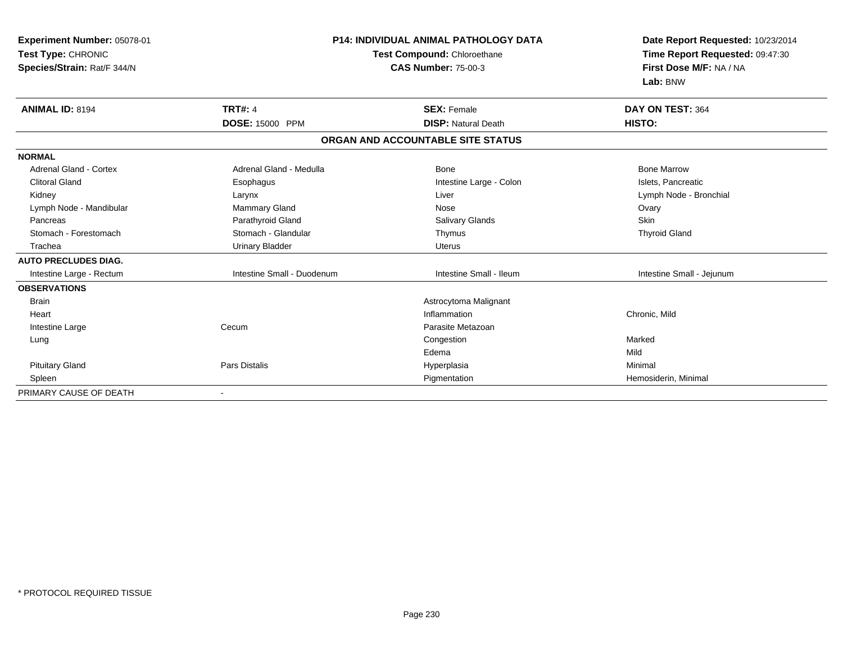| Experiment Number: 05078-01<br>Test Type: CHRONIC<br>Species/Strain: Rat/F 344/N |                            | <b>P14: INDIVIDUAL ANIMAL PATHOLOGY DATA</b><br>Test Compound: Chloroethane<br><b>CAS Number: 75-00-3</b> | Date Report Requested: 10/23/2014<br>Time Report Requested: 09:47:30<br>First Dose M/F: NA / NA<br>Lab: BNW |
|----------------------------------------------------------------------------------|----------------------------|-----------------------------------------------------------------------------------------------------------|-------------------------------------------------------------------------------------------------------------|
| <b>ANIMAL ID: 8194</b>                                                           | <b>TRT#: 4</b>             | <b>SEX: Female</b>                                                                                        | DAY ON TEST: 364                                                                                            |
|                                                                                  | DOSE: 15000 PPM            | <b>DISP: Natural Death</b>                                                                                | HISTO:                                                                                                      |
|                                                                                  |                            | ORGAN AND ACCOUNTABLE SITE STATUS                                                                         |                                                                                                             |
| <b>NORMAL</b>                                                                    |                            |                                                                                                           |                                                                                                             |
| Adrenal Gland - Cortex                                                           | Adrenal Gland - Medulla    | Bone                                                                                                      | <b>Bone Marrow</b>                                                                                          |
| <b>Clitoral Gland</b>                                                            | Esophagus                  | Intestine Large - Colon                                                                                   | Islets, Pancreatic                                                                                          |
| Kidney                                                                           | Larynx                     | Liver                                                                                                     | Lymph Node - Bronchial                                                                                      |
| Lymph Node - Mandibular                                                          | Mammary Gland              | Nose                                                                                                      | Ovary                                                                                                       |
| Pancreas                                                                         | Parathyroid Gland          | <b>Salivary Glands</b>                                                                                    | Skin                                                                                                        |
| Stomach - Forestomach                                                            | Stomach - Glandular        | Thymus                                                                                                    | <b>Thyroid Gland</b>                                                                                        |
| Trachea                                                                          | <b>Urinary Bladder</b>     | <b>Uterus</b>                                                                                             |                                                                                                             |
| <b>AUTO PRECLUDES DIAG.</b>                                                      |                            |                                                                                                           |                                                                                                             |
| Intestine Large - Rectum                                                         | Intestine Small - Duodenum | Intestine Small - Ileum                                                                                   | Intestine Small - Jejunum                                                                                   |
| <b>OBSERVATIONS</b>                                                              |                            |                                                                                                           |                                                                                                             |
| <b>Brain</b>                                                                     |                            | Astrocytoma Malignant                                                                                     |                                                                                                             |
| Heart                                                                            |                            | Inflammation                                                                                              | Chronic, Mild                                                                                               |
| Intestine Large                                                                  | Cecum                      | Parasite Metazoan                                                                                         |                                                                                                             |
| Lung                                                                             |                            | Congestion                                                                                                | Marked                                                                                                      |
|                                                                                  |                            | Edema                                                                                                     | Mild                                                                                                        |
| <b>Pituitary Gland</b>                                                           | <b>Pars Distalis</b>       | Hyperplasia                                                                                               | Minimal                                                                                                     |
| Spleen                                                                           |                            | Pigmentation                                                                                              | Hemosiderin, Minimal                                                                                        |
| PRIMARY CAUSE OF DEATH                                                           |                            |                                                                                                           |                                                                                                             |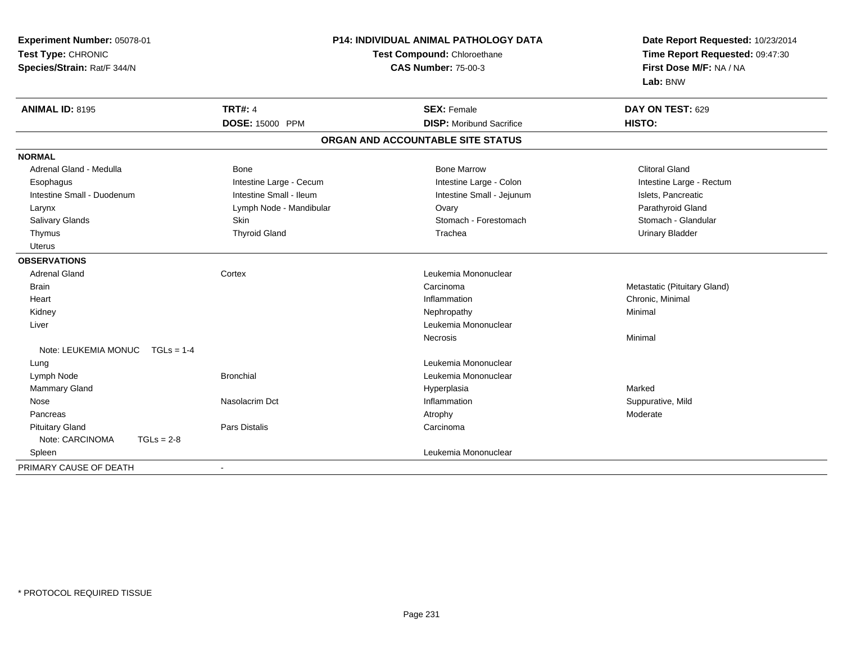| Experiment Number: 05078-01       | <b>P14: INDIVIDUAL ANIMAL PATHOLOGY DATA</b> |                                   | Date Report Requested: 10/23/2014 |
|-----------------------------------|----------------------------------------------|-----------------------------------|-----------------------------------|
| Test Type: CHRONIC                |                                              | Test Compound: Chloroethane       | Time Report Requested: 09:47:30   |
| Species/Strain: Rat/F 344/N       |                                              | <b>CAS Number: 75-00-3</b>        | First Dose M/F: NA / NA           |
|                                   |                                              |                                   | Lab: BNW                          |
| <b>ANIMAL ID: 8195</b>            | <b>TRT#: 4</b>                               | <b>SEX: Female</b>                | DAY ON TEST: 629                  |
|                                   | <b>DOSE: 15000 PPM</b>                       | <b>DISP:</b> Moribund Sacrifice   | HISTO:                            |
|                                   |                                              | ORGAN AND ACCOUNTABLE SITE STATUS |                                   |
| <b>NORMAL</b>                     |                                              |                                   |                                   |
| Adrenal Gland - Medulla           | Bone                                         | <b>Bone Marrow</b>                | <b>Clitoral Gland</b>             |
| Esophagus                         | Intestine Large - Cecum                      | Intestine Large - Colon           | Intestine Large - Rectum          |
| Intestine Small - Duodenum        | Intestine Small - Ileum                      | Intestine Small - Jejunum         | Islets, Pancreatic                |
| Larynx                            | Lymph Node - Mandibular                      | Ovary                             | Parathyroid Gland                 |
| <b>Salivary Glands</b>            | Skin                                         | Stomach - Forestomach             | Stomach - Glandular               |
| Thymus                            | <b>Thyroid Gland</b>                         | Trachea                           | <b>Urinary Bladder</b>            |
| <b>Uterus</b>                     |                                              |                                   |                                   |
| <b>OBSERVATIONS</b>               |                                              |                                   |                                   |
| <b>Adrenal Gland</b>              | Cortex                                       | Leukemia Mononuclear              |                                   |
| <b>Brain</b>                      |                                              | Carcinoma                         | Metastatic (Pituitary Gland)      |
| Heart                             |                                              | Inflammation                      | Chronic, Minimal                  |
| Kidney                            |                                              | Nephropathy                       | Minimal                           |
| Liver                             |                                              | Leukemia Mononuclear              |                                   |
|                                   |                                              | Necrosis                          | Minimal                           |
| Note: LEUKEMIA MONUC $TGLs = 1-4$ |                                              |                                   |                                   |
| Lung                              |                                              | Leukemia Mononuclear              |                                   |
| Lymph Node                        | <b>Bronchial</b>                             | Leukemia Mononuclear              |                                   |
| <b>Mammary Gland</b>              |                                              | Hyperplasia                       | Marked                            |
| Nose                              | Nasolacrim Dct                               | Inflammation                      | Suppurative, Mild                 |
| Pancreas                          |                                              | Atrophy                           | Moderate                          |
| <b>Pituitary Gland</b>            | Pars Distalis                                | Carcinoma                         |                                   |
| Note: CARCINOMA<br>$TGLs = 2-8$   |                                              |                                   |                                   |
| Spleen                            |                                              | Leukemia Mononuclear              |                                   |
| PRIMARY CAUSE OF DEATH            | $\blacksquare$                               |                                   |                                   |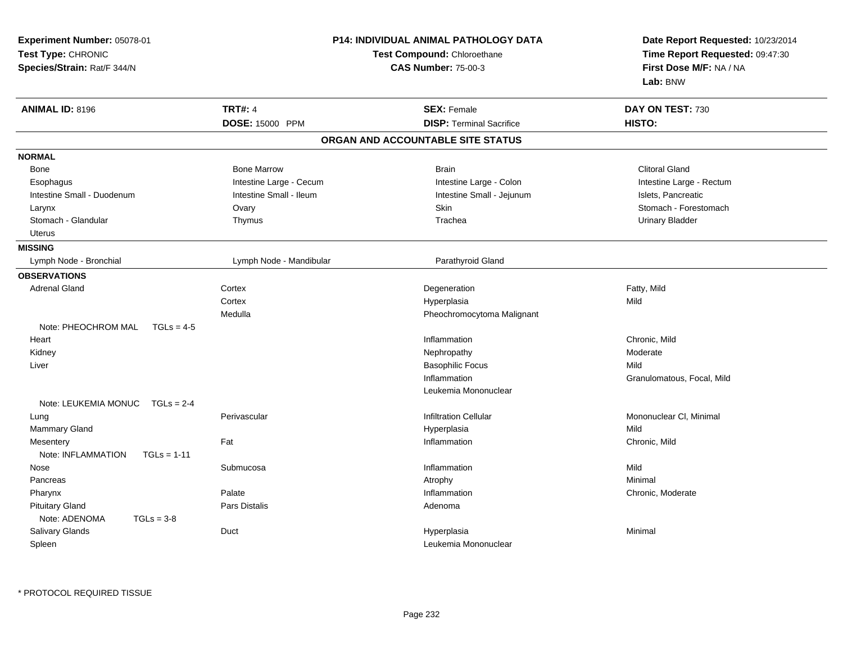| Experiment Number: 05078-01<br>Test Type: CHRONIC<br>Species/Strain: Rat/F 344/N |                         | <b>P14: INDIVIDUAL ANIMAL PATHOLOGY DATA</b><br>Test Compound: Chloroethane<br><b>CAS Number: 75-00-3</b> | Date Report Requested: 10/23/2014<br>Time Report Requested: 09:47:30<br>First Dose M/F: NA / NA<br>Lab: BNW |
|----------------------------------------------------------------------------------|-------------------------|-----------------------------------------------------------------------------------------------------------|-------------------------------------------------------------------------------------------------------------|
| <b>ANIMAL ID: 8196</b>                                                           | <b>TRT#: 4</b>          | <b>SEX: Female</b>                                                                                        | DAY ON TEST: 730                                                                                            |
|                                                                                  | DOSE: 15000 PPM         | <b>DISP: Terminal Sacrifice</b>                                                                           | HISTO:                                                                                                      |
|                                                                                  |                         | ORGAN AND ACCOUNTABLE SITE STATUS                                                                         |                                                                                                             |
| <b>NORMAL</b>                                                                    |                         |                                                                                                           |                                                                                                             |
| <b>Bone</b>                                                                      | <b>Bone Marrow</b>      | <b>Brain</b>                                                                                              | <b>Clitoral Gland</b>                                                                                       |
| Esophagus                                                                        | Intestine Large - Cecum | Intestine Large - Colon                                                                                   | Intestine Large - Rectum                                                                                    |
| Intestine Small - Duodenum                                                       | Intestine Small - Ileum | Intestine Small - Jejunum                                                                                 | Islets, Pancreatic                                                                                          |
| Larynx                                                                           | Ovary                   | Skin                                                                                                      | Stomach - Forestomach                                                                                       |
| Stomach - Glandular                                                              | Thymus                  | Trachea                                                                                                   | <b>Urinary Bladder</b>                                                                                      |
| Uterus                                                                           |                         |                                                                                                           |                                                                                                             |
| <b>MISSING</b>                                                                   |                         |                                                                                                           |                                                                                                             |
| Lymph Node - Bronchial                                                           | Lymph Node - Mandibular | Parathyroid Gland                                                                                         |                                                                                                             |
| <b>OBSERVATIONS</b>                                                              |                         |                                                                                                           |                                                                                                             |
| <b>Adrenal Gland</b>                                                             | Cortex                  | Degeneration                                                                                              | Fatty, Mild                                                                                                 |
|                                                                                  | Cortex                  | Hyperplasia                                                                                               | Mild                                                                                                        |
|                                                                                  | Medulla                 | Pheochromocytoma Malignant                                                                                |                                                                                                             |
| Note: PHEOCHROM MAL<br>$TGLs = 4-5$                                              |                         |                                                                                                           |                                                                                                             |
| Heart                                                                            |                         | Inflammation                                                                                              | Chronic, Mild                                                                                               |
| Kidney                                                                           |                         | Nephropathy                                                                                               | Moderate                                                                                                    |
| Liver                                                                            |                         | <b>Basophilic Focus</b>                                                                                   | Mild                                                                                                        |
|                                                                                  |                         | Inflammation                                                                                              | Granulomatous, Focal, Mild                                                                                  |
|                                                                                  |                         | Leukemia Mononuclear                                                                                      |                                                                                                             |
| Note: LEUKEMIA MONUC TGLs = 2-4                                                  |                         |                                                                                                           |                                                                                                             |
| Lung                                                                             | Perivascular            | <b>Infiltration Cellular</b>                                                                              | Mononuclear CI, Minimal                                                                                     |
| <b>Mammary Gland</b>                                                             |                         | Hyperplasia                                                                                               | Mild                                                                                                        |
| Mesentery                                                                        | Fat                     | Inflammation                                                                                              | Chronic, Mild                                                                                               |
| Note: INFLAMMATION<br>$TGLs = 1-11$                                              |                         |                                                                                                           |                                                                                                             |
| Nose                                                                             | Submucosa               | Inflammation                                                                                              | Mild                                                                                                        |
| Pancreas                                                                         |                         | Atrophy                                                                                                   | Minimal                                                                                                     |
| Pharynx                                                                          | Palate                  | Inflammation                                                                                              | Chronic, Moderate                                                                                           |
| <b>Pituitary Gland</b>                                                           | Pars Distalis           | Adenoma                                                                                                   |                                                                                                             |
| Note: ADENOMA<br>$TGLs = 3-8$                                                    |                         |                                                                                                           |                                                                                                             |
| Salivary Glands                                                                  | Duct                    | Hyperplasia                                                                                               | Minimal                                                                                                     |
| Spleen                                                                           |                         | Leukemia Mononuclear                                                                                      |                                                                                                             |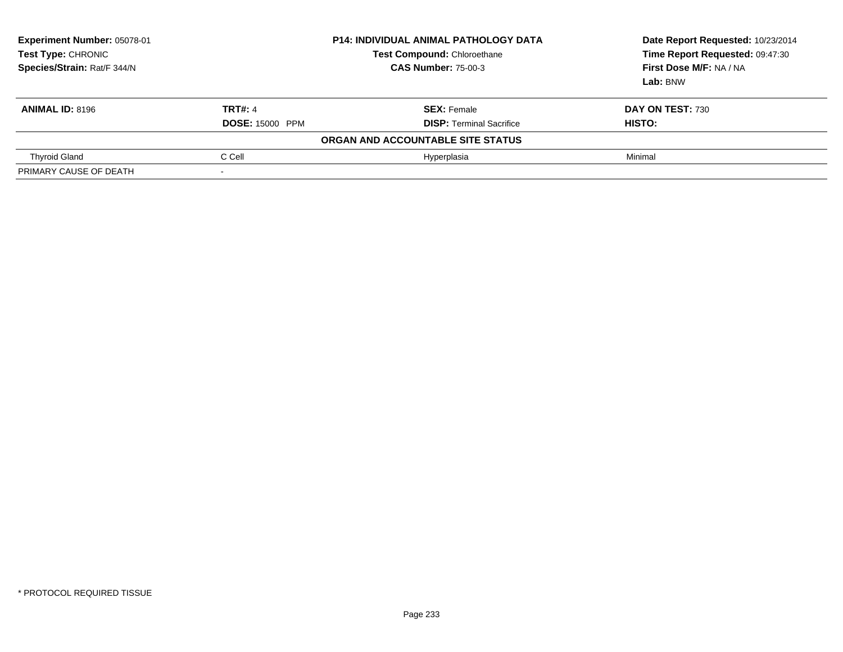| Experiment Number: 05078-01<br>Test Type: CHRONIC<br>Species/Strain: Rat/F 344/N | <b>P14: INDIVIDUAL ANIMAL PATHOLOGY DATA</b><br><b>Test Compound: Chloroethane</b><br><b>CAS Number: 75-00-3</b> |                                   | Date Report Requested: 10/23/2014<br>Time Report Requested: 09:47:30<br>First Dose M/F: NA / NA<br>Lab: BNW |
|----------------------------------------------------------------------------------|------------------------------------------------------------------------------------------------------------------|-----------------------------------|-------------------------------------------------------------------------------------------------------------|
| <b>ANIMAL ID: 8196</b>                                                           | <b>TRT#: 4</b>                                                                                                   | <b>SEX: Female</b>                | <b>DAY ON TEST: 730</b>                                                                                     |
|                                                                                  | <b>DOSE: 15000 PPM</b>                                                                                           | <b>DISP: Terminal Sacrifice</b>   | HISTO:                                                                                                      |
|                                                                                  |                                                                                                                  | ORGAN AND ACCOUNTABLE SITE STATUS |                                                                                                             |
| <b>Thyroid Gland</b>                                                             | C Cell                                                                                                           | Hyperplasia                       | Minimal                                                                                                     |
| PRIMARY CAUSE OF DEATH                                                           |                                                                                                                  |                                   |                                                                                                             |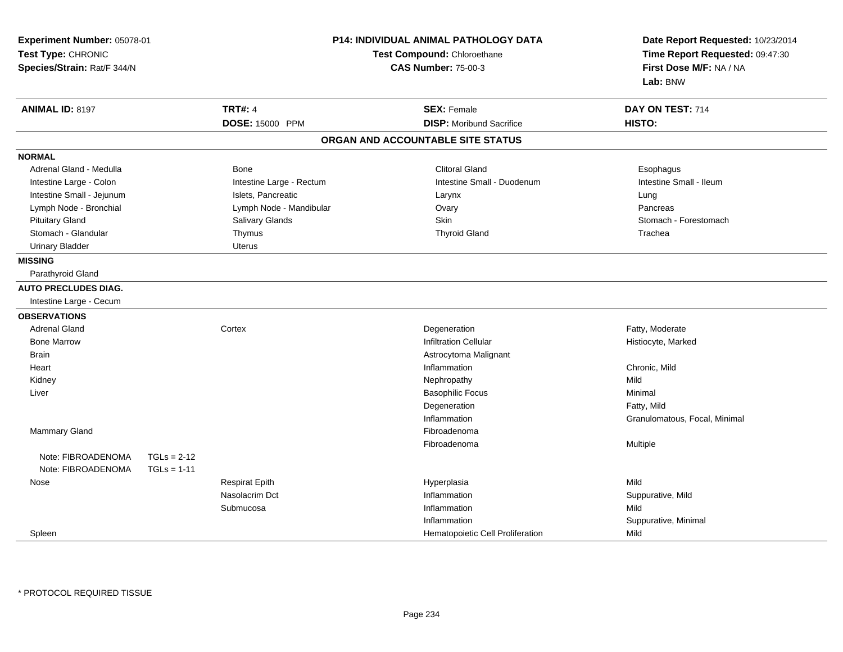| <b>P14: INDIVIDUAL ANIMAL PATHOLOGY DATA</b><br>Experiment Number: 05078-01<br>Test Type: CHRONIC<br>Test Compound: Chloroethane<br>Species/Strain: Rat/F 344/N<br><b>CAS Number: 75-00-3</b> |               |                          | Date Report Requested: 10/23/2014<br>Time Report Requested: 09:47:30<br>First Dose M/F: NA / NA<br>Lab: BNW |                                   |  |                               |  |
|-----------------------------------------------------------------------------------------------------------------------------------------------------------------------------------------------|---------------|--------------------------|-------------------------------------------------------------------------------------------------------------|-----------------------------------|--|-------------------------------|--|
| <b>ANIMAL ID: 8197</b>                                                                                                                                                                        |               | <b>TRT#: 4</b>           |                                                                                                             | <b>SEX: Female</b>                |  | DAY ON TEST: 714              |  |
|                                                                                                                                                                                               |               | DOSE: 15000 PPM          |                                                                                                             | <b>DISP:</b> Moribund Sacrifice   |  | <b>HISTO:</b>                 |  |
|                                                                                                                                                                                               |               |                          |                                                                                                             | ORGAN AND ACCOUNTABLE SITE STATUS |  |                               |  |
| <b>NORMAL</b>                                                                                                                                                                                 |               |                          |                                                                                                             |                                   |  |                               |  |
| Adrenal Gland - Medulla                                                                                                                                                                       |               | Bone                     |                                                                                                             | <b>Clitoral Gland</b>             |  | Esophagus                     |  |
| Intestine Large - Colon                                                                                                                                                                       |               | Intestine Large - Rectum |                                                                                                             | Intestine Small - Duodenum        |  | Intestine Small - Ileum       |  |
| Intestine Small - Jejunum                                                                                                                                                                     |               | Islets, Pancreatic       |                                                                                                             | Larynx                            |  | Lung                          |  |
| Lymph Node - Bronchial                                                                                                                                                                        |               | Lymph Node - Mandibular  |                                                                                                             | Ovary                             |  | Pancreas                      |  |
| <b>Pituitary Gland</b>                                                                                                                                                                        |               | Salivary Glands          |                                                                                                             | <b>Skin</b>                       |  | Stomach - Forestomach         |  |
| Stomach - Glandular                                                                                                                                                                           |               | Thymus                   |                                                                                                             | <b>Thyroid Gland</b>              |  | Trachea                       |  |
| <b>Urinary Bladder</b>                                                                                                                                                                        |               | <b>Uterus</b>            |                                                                                                             |                                   |  |                               |  |
| <b>MISSING</b>                                                                                                                                                                                |               |                          |                                                                                                             |                                   |  |                               |  |
| Parathyroid Gland                                                                                                                                                                             |               |                          |                                                                                                             |                                   |  |                               |  |
| <b>AUTO PRECLUDES DIAG.</b>                                                                                                                                                                   |               |                          |                                                                                                             |                                   |  |                               |  |
| Intestine Large - Cecum                                                                                                                                                                       |               |                          |                                                                                                             |                                   |  |                               |  |
| <b>OBSERVATIONS</b>                                                                                                                                                                           |               |                          |                                                                                                             |                                   |  |                               |  |
| <b>Adrenal Gland</b>                                                                                                                                                                          |               | Cortex                   |                                                                                                             | Degeneration                      |  | Fatty, Moderate               |  |
| <b>Bone Marrow</b>                                                                                                                                                                            |               |                          |                                                                                                             | <b>Infiltration Cellular</b>      |  | Histiocyte, Marked            |  |
| Brain                                                                                                                                                                                         |               |                          |                                                                                                             | Astrocytoma Malignant             |  |                               |  |
| Heart                                                                                                                                                                                         |               |                          |                                                                                                             | Inflammation                      |  | Chronic, Mild                 |  |
| Kidney                                                                                                                                                                                        |               |                          |                                                                                                             | Nephropathy                       |  | Mild                          |  |
| Liver                                                                                                                                                                                         |               |                          |                                                                                                             | <b>Basophilic Focus</b>           |  | Minimal                       |  |
|                                                                                                                                                                                               |               |                          |                                                                                                             | Degeneration                      |  | Fatty, Mild                   |  |
|                                                                                                                                                                                               |               |                          |                                                                                                             | Inflammation                      |  | Granulomatous, Focal, Minimal |  |
| Mammary Gland                                                                                                                                                                                 |               |                          |                                                                                                             | Fibroadenoma                      |  |                               |  |
|                                                                                                                                                                                               |               |                          |                                                                                                             | Fibroadenoma                      |  | Multiple                      |  |
| Note: FIBROADENOMA                                                                                                                                                                            | $TGLs = 2-12$ |                          |                                                                                                             |                                   |  |                               |  |
| Note: FIBROADENOMA                                                                                                                                                                            | $TGLs = 1-11$ |                          |                                                                                                             |                                   |  |                               |  |
| Nose                                                                                                                                                                                          |               | <b>Respirat Epith</b>    |                                                                                                             | Hyperplasia                       |  | Mild                          |  |
|                                                                                                                                                                                               |               | Nasolacrim Dct           |                                                                                                             | Inflammation                      |  | Suppurative, Mild             |  |
|                                                                                                                                                                                               |               | Submucosa                |                                                                                                             | Inflammation                      |  | Mild                          |  |
|                                                                                                                                                                                               |               |                          |                                                                                                             | Inflammation                      |  | Suppurative, Minimal          |  |
| Spleen                                                                                                                                                                                        |               |                          |                                                                                                             | Hematopoietic Cell Proliferation  |  | Mild                          |  |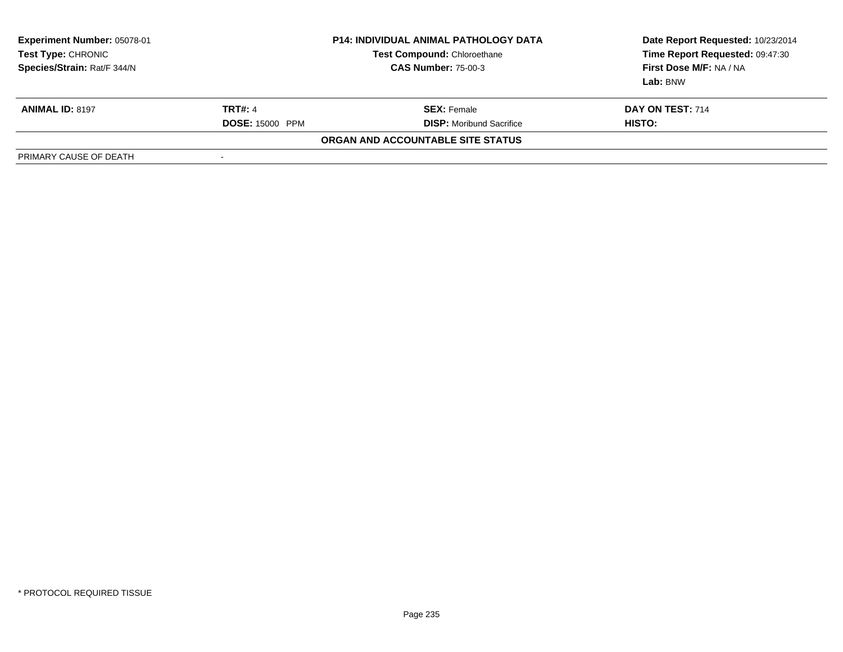| <b>Experiment Number: 05078-01</b><br>Test Type: CHRONIC<br>Species/Strain: Rat/F 344/N |                          | <b>P14: INDIVIDUAL ANIMAL PATHOLOGY DATA</b><br><b>Test Compound: Chloroethane</b><br><b>CAS Number: 75-00-3</b> | Date Report Requested: 10/23/2014<br>Time Report Requested: 09:47:30<br>First Dose M/F: NA / NA<br>Lab: BNW |
|-----------------------------------------------------------------------------------------|--------------------------|------------------------------------------------------------------------------------------------------------------|-------------------------------------------------------------------------------------------------------------|
| <b>ANIMAL ID: 8197</b>                                                                  | <b>TRT#: 4</b>           | <b>SEX:</b> Female                                                                                               | DAY ON TEST: 714                                                                                            |
|                                                                                         | <b>DOSE: 15000 PPM</b>   | <b>DISP:</b> Moribund Sacrifice                                                                                  | HISTO:                                                                                                      |
|                                                                                         |                          | ORGAN AND ACCOUNTABLE SITE STATUS                                                                                |                                                                                                             |
| PRIMARY CAUSE OF DEATH                                                                  | $\overline{\phantom{a}}$ |                                                                                                                  |                                                                                                             |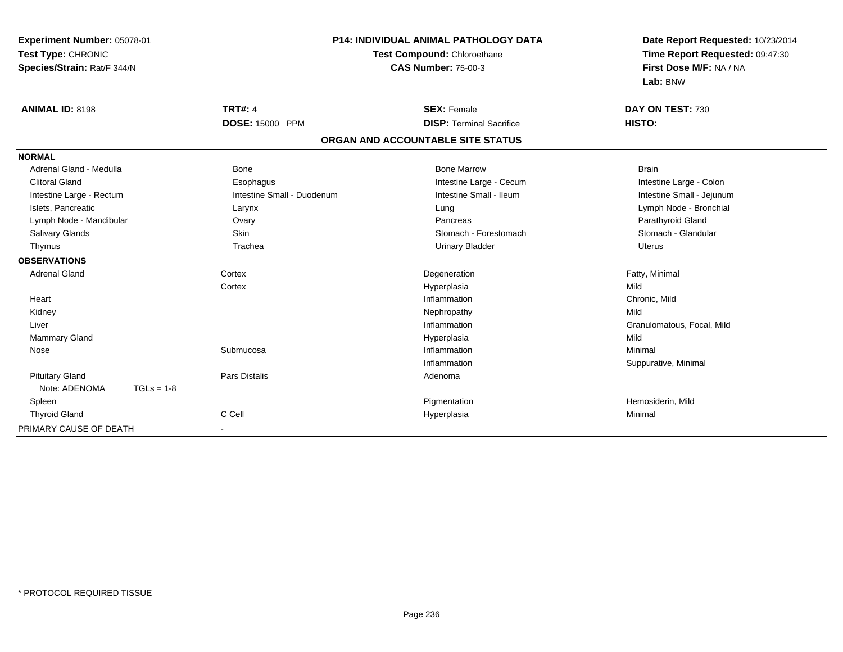| Experiment Number: 05078-01<br>Test Type: CHRONIC |                            | <b>P14: INDIVIDUAL ANIMAL PATHOLOGY DATA</b><br>Test Compound: Chloroethane | Date Report Requested: 10/23/2014<br>Time Report Requested: 09:47:30 |  |
|---------------------------------------------------|----------------------------|-----------------------------------------------------------------------------|----------------------------------------------------------------------|--|
| Species/Strain: Rat/F 344/N                       |                            | <b>CAS Number: 75-00-3</b>                                                  | First Dose M/F: NA / NA<br>Lab: BNW                                  |  |
| <b>ANIMAL ID: 8198</b>                            | <b>TRT#: 4</b>             | <b>SEX: Female</b>                                                          | DAY ON TEST: 730                                                     |  |
|                                                   | DOSE: 15000 PPM            | <b>DISP: Terminal Sacrifice</b>                                             | HISTO:                                                               |  |
|                                                   |                            | ORGAN AND ACCOUNTABLE SITE STATUS                                           |                                                                      |  |
| <b>NORMAL</b>                                     |                            |                                                                             |                                                                      |  |
| Adrenal Gland - Medulla                           | <b>Bone</b>                | <b>Bone Marrow</b>                                                          | <b>Brain</b>                                                         |  |
| <b>Clitoral Gland</b>                             | Esophagus                  | Intestine Large - Cecum                                                     | Intestine Large - Colon                                              |  |
| Intestine Large - Rectum                          | Intestine Small - Duodenum | Intestine Small - Ileum                                                     | Intestine Small - Jejunum                                            |  |
| Islets, Pancreatic                                | Larynx                     | Lung                                                                        | Lymph Node - Bronchial                                               |  |
| Lymph Node - Mandibular                           | Ovary                      | Pancreas                                                                    | Parathyroid Gland                                                    |  |
| Salivary Glands                                   | <b>Skin</b>                | Stomach - Forestomach                                                       | Stomach - Glandular                                                  |  |
| Thymus                                            | Trachea                    | <b>Urinary Bladder</b>                                                      | <b>Uterus</b>                                                        |  |
| <b>OBSERVATIONS</b>                               |                            |                                                                             |                                                                      |  |
| <b>Adrenal Gland</b>                              | Cortex                     | Degeneration                                                                | Fatty, Minimal                                                       |  |
|                                                   | Cortex                     | Hyperplasia                                                                 | Mild                                                                 |  |
| Heart                                             |                            | Inflammation                                                                | Chronic, Mild                                                        |  |
| Kidney                                            |                            | Nephropathy                                                                 | Mild                                                                 |  |
| Liver                                             |                            | Inflammation                                                                | Granulomatous, Focal, Mild                                           |  |
| <b>Mammary Gland</b>                              |                            | Hyperplasia                                                                 | Mild                                                                 |  |
| Nose                                              | Submucosa                  | Inflammation                                                                | Minimal                                                              |  |
|                                                   |                            | Inflammation                                                                | Suppurative, Minimal                                                 |  |
| <b>Pituitary Gland</b>                            | Pars Distalis              | Adenoma                                                                     |                                                                      |  |
| Note: ADENOMA<br>$TGLs = 1-8$                     |                            |                                                                             |                                                                      |  |
| Spleen                                            |                            | Pigmentation                                                                | Hemosiderin, Mild                                                    |  |
| <b>Thyroid Gland</b>                              | C Cell                     | Hyperplasia                                                                 | Minimal                                                              |  |
| PRIMARY CAUSE OF DEATH                            |                            |                                                                             |                                                                      |  |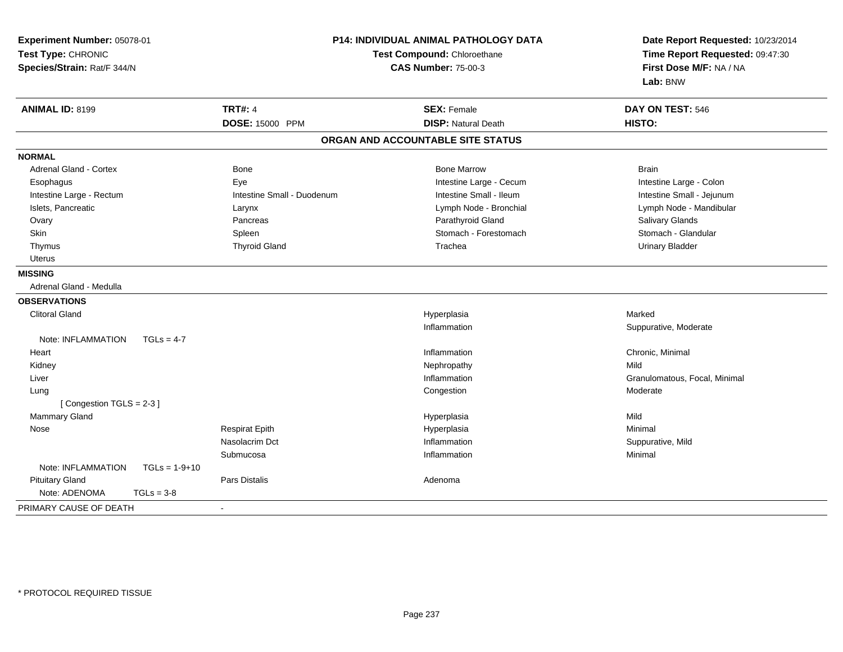| Experiment Number: 05078-01           | <b>P14: INDIVIDUAL ANIMAL PATHOLOGY DATA</b><br>Test Compound: Chloroethane<br><b>CAS Number: 75-00-3</b> |                                   | Date Report Requested: 10/23/2014 |  |
|---------------------------------------|-----------------------------------------------------------------------------------------------------------|-----------------------------------|-----------------------------------|--|
| Test Type: CHRONIC                    |                                                                                                           |                                   | Time Report Requested: 09:47:30   |  |
| Species/Strain: Rat/F 344/N           |                                                                                                           |                                   | First Dose M/F: NA / NA           |  |
|                                       |                                                                                                           |                                   | Lab: BNW                          |  |
| <b>ANIMAL ID: 8199</b>                | <b>TRT#: 4</b>                                                                                            | <b>SEX: Female</b>                | DAY ON TEST: 546                  |  |
|                                       | <b>DOSE: 15000 PPM</b>                                                                                    | <b>DISP: Natural Death</b>        | HISTO:                            |  |
|                                       |                                                                                                           | ORGAN AND ACCOUNTABLE SITE STATUS |                                   |  |
| <b>NORMAL</b>                         |                                                                                                           |                                   |                                   |  |
| <b>Adrenal Gland - Cortex</b>         | Bone                                                                                                      | <b>Bone Marrow</b>                | <b>Brain</b>                      |  |
| Esophagus                             | Eye                                                                                                       | Intestine Large - Cecum           | Intestine Large - Colon           |  |
| Intestine Large - Rectum              | Intestine Small - Duodenum                                                                                | Intestine Small - Ileum           | Intestine Small - Jejunum         |  |
| Islets, Pancreatic                    | Larynx                                                                                                    | Lymph Node - Bronchial            | Lymph Node - Mandibular           |  |
| Ovary                                 | Pancreas                                                                                                  | Parathyroid Gland                 | Salivary Glands                   |  |
| Skin                                  | Spleen                                                                                                    | Stomach - Forestomach             | Stomach - Glandular               |  |
| Thymus                                | <b>Thyroid Gland</b>                                                                                      | Trachea                           | <b>Urinary Bladder</b>            |  |
| <b>Uterus</b>                         |                                                                                                           |                                   |                                   |  |
| <b>MISSING</b>                        |                                                                                                           |                                   |                                   |  |
| Adrenal Gland - Medulla               |                                                                                                           |                                   |                                   |  |
| <b>OBSERVATIONS</b>                   |                                                                                                           |                                   |                                   |  |
| <b>Clitoral Gland</b>                 |                                                                                                           | Hyperplasia                       | Marked                            |  |
|                                       |                                                                                                           | Inflammation                      | Suppurative, Moderate             |  |
| Note: INFLAMMATION<br>$TGLs = 4-7$    |                                                                                                           |                                   |                                   |  |
| Heart                                 |                                                                                                           | Inflammation                      | Chronic, Minimal                  |  |
| Kidney                                |                                                                                                           | Nephropathy                       | Mild                              |  |
| Liver                                 |                                                                                                           | Inflammation                      | Granulomatous, Focal, Minimal     |  |
| Lung                                  |                                                                                                           | Congestion                        | Moderate                          |  |
| [Congestion TGLS = 2-3]               |                                                                                                           |                                   |                                   |  |
| Mammary Gland                         |                                                                                                           | Hyperplasia                       | Mild                              |  |
| Nose                                  | <b>Respirat Epith</b>                                                                                     | Hyperplasia                       | Minimal                           |  |
|                                       | Nasolacrim Dct                                                                                            | Inflammation                      | Suppurative, Mild                 |  |
|                                       | Submucosa                                                                                                 | Inflammation                      | Minimal                           |  |
| Note: INFLAMMATION<br>$TGLs = 1-9+10$ |                                                                                                           |                                   |                                   |  |
| <b>Pituitary Gland</b>                | <b>Pars Distalis</b>                                                                                      | Adenoma                           |                                   |  |
| Note: ADENOMA<br>$TGLs = 3-8$         |                                                                                                           |                                   |                                   |  |
| PRIMARY CAUSE OF DEATH                | $\blacksquare$                                                                                            |                                   |                                   |  |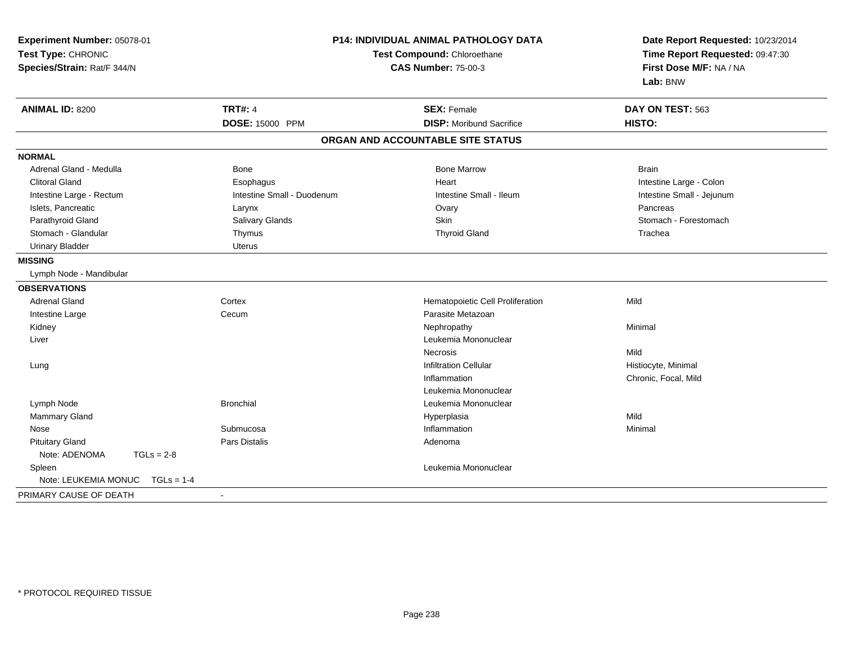| Experiment Number: 05078-01<br>Test Type: CHRONIC<br>Species/Strain: Rat/F 344/N | <b>P14: INDIVIDUAL ANIMAL PATHOLOGY DATA</b><br>Test Compound: Chloroethane<br><b>CAS Number: 75-00-3</b> |                                   | Date Report Requested: 10/23/2014<br>Time Report Requested: 09:47:30<br>First Dose M/F: NA / NA<br>Lab: BNW |
|----------------------------------------------------------------------------------|-----------------------------------------------------------------------------------------------------------|-----------------------------------|-------------------------------------------------------------------------------------------------------------|
| <b>ANIMAL ID: 8200</b>                                                           | <b>TRT#: 4</b>                                                                                            | <b>SEX: Female</b>                | DAY ON TEST: 563                                                                                            |
|                                                                                  | DOSE: 15000 PPM                                                                                           | <b>DISP:</b> Moribund Sacrifice   | <b>HISTO:</b>                                                                                               |
|                                                                                  |                                                                                                           | ORGAN AND ACCOUNTABLE SITE STATUS |                                                                                                             |
| <b>NORMAL</b>                                                                    |                                                                                                           |                                   |                                                                                                             |
| Adrenal Gland - Medulla                                                          | <b>Bone</b>                                                                                               | <b>Bone Marrow</b>                | <b>Brain</b>                                                                                                |
| <b>Clitoral Gland</b>                                                            | Esophagus                                                                                                 | Heart                             | Intestine Large - Colon                                                                                     |
| Intestine Large - Rectum                                                         | Intestine Small - Duodenum                                                                                | Intestine Small - Ileum           | Intestine Small - Jejunum                                                                                   |
| Islets, Pancreatic                                                               | Larynx                                                                                                    | Ovary                             | Pancreas                                                                                                    |
| Parathyroid Gland                                                                | Salivary Glands                                                                                           | <b>Skin</b>                       | Stomach - Forestomach                                                                                       |
| Stomach - Glandular                                                              | Thymus                                                                                                    | <b>Thyroid Gland</b>              | Trachea                                                                                                     |
| <b>Urinary Bladder</b>                                                           | Uterus                                                                                                    |                                   |                                                                                                             |
| <b>MISSING</b>                                                                   |                                                                                                           |                                   |                                                                                                             |
| Lymph Node - Mandibular                                                          |                                                                                                           |                                   |                                                                                                             |
| <b>OBSERVATIONS</b>                                                              |                                                                                                           |                                   |                                                                                                             |
| <b>Adrenal Gland</b>                                                             | Cortex                                                                                                    | Hematopoietic Cell Proliferation  | Mild                                                                                                        |
| Intestine Large                                                                  | Cecum                                                                                                     | Parasite Metazoan                 |                                                                                                             |
| Kidney                                                                           |                                                                                                           | Nephropathy                       | Minimal                                                                                                     |
| Liver                                                                            |                                                                                                           | Leukemia Mononuclear              |                                                                                                             |
|                                                                                  |                                                                                                           | <b>Necrosis</b>                   | Mild                                                                                                        |
| Lung                                                                             |                                                                                                           | <b>Infiltration Cellular</b>      | Histiocyte, Minimal                                                                                         |
|                                                                                  |                                                                                                           | Inflammation                      | Chronic, Focal, Mild                                                                                        |
|                                                                                  |                                                                                                           | Leukemia Mononuclear              |                                                                                                             |
| Lymph Node                                                                       | <b>Bronchial</b>                                                                                          | Leukemia Mononuclear              |                                                                                                             |
| <b>Mammary Gland</b>                                                             |                                                                                                           | Hyperplasia                       | Mild                                                                                                        |
| Nose                                                                             | Submucosa                                                                                                 | Inflammation                      | Minimal                                                                                                     |
| <b>Pituitary Gland</b>                                                           | Pars Distalis                                                                                             | Adenoma                           |                                                                                                             |
| Note: ADENOMA<br>$TGLs = 2-8$                                                    |                                                                                                           |                                   |                                                                                                             |
| Spleen                                                                           |                                                                                                           | Leukemia Mononuclear              |                                                                                                             |
| Note: LEUKEMIA MONUC<br>$TGLs = 1-4$                                             |                                                                                                           |                                   |                                                                                                             |
| PRIMARY CAUSE OF DEATH                                                           | $\blacksquare$                                                                                            |                                   |                                                                                                             |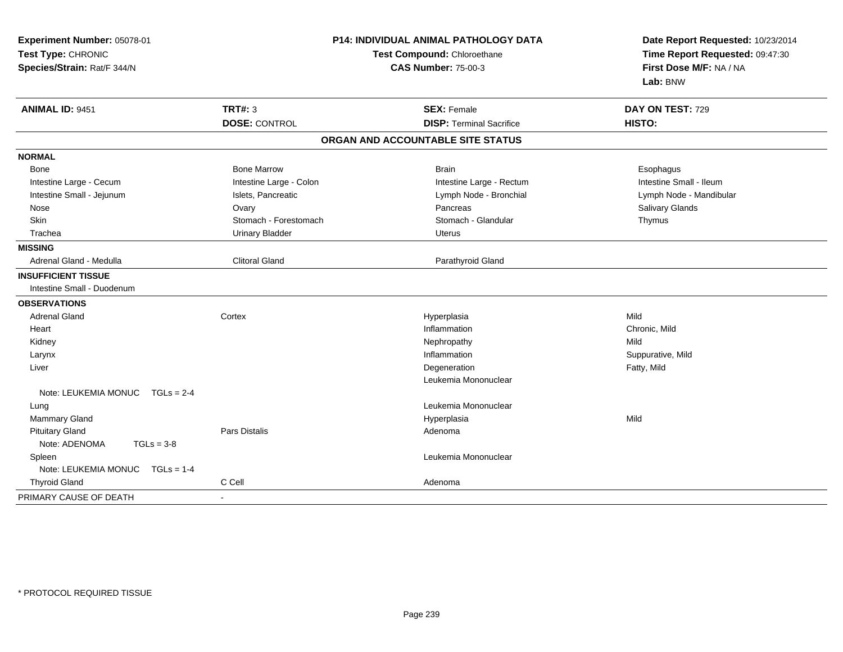| Experiment Number: 05078-01<br>Test Type: CHRONIC<br>Species/Strain: Rat/F 344/N | P14: INDIVIDUAL ANIMAL PATHOLOGY DATA<br>Test Compound: Chloroethane<br><b>CAS Number: 75-00-3</b> |                                   | Date Report Requested: 10/23/2014<br>Time Report Requested: 09:47:30<br>First Dose M/F: NA / NA<br>Lab: BNW |  |
|----------------------------------------------------------------------------------|----------------------------------------------------------------------------------------------------|-----------------------------------|-------------------------------------------------------------------------------------------------------------|--|
| <b>ANIMAL ID: 9451</b>                                                           | <b>TRT#: 3</b>                                                                                     | <b>SEX: Female</b>                | DAY ON TEST: 729                                                                                            |  |
|                                                                                  | <b>DOSE: CONTROL</b>                                                                               | <b>DISP: Terminal Sacrifice</b>   | <b>HISTO:</b>                                                                                               |  |
|                                                                                  |                                                                                                    | ORGAN AND ACCOUNTABLE SITE STATUS |                                                                                                             |  |
| <b>NORMAL</b>                                                                    |                                                                                                    |                                   |                                                                                                             |  |
| Bone                                                                             | <b>Bone Marrow</b>                                                                                 | <b>Brain</b>                      | Esophagus                                                                                                   |  |
| Intestine Large - Cecum                                                          | Intestine Large - Colon                                                                            | Intestine Large - Rectum          | Intestine Small - Ileum                                                                                     |  |
| Intestine Small - Jejunum                                                        | Islets, Pancreatic                                                                                 | Lymph Node - Bronchial            | Lymph Node - Mandibular                                                                                     |  |
| Nose                                                                             | Ovary                                                                                              | Pancreas                          | Salivary Glands                                                                                             |  |
| Skin                                                                             | Stomach - Forestomach                                                                              | Stomach - Glandular               | Thymus                                                                                                      |  |
| Trachea                                                                          | <b>Urinary Bladder</b>                                                                             | <b>Uterus</b>                     |                                                                                                             |  |
| <b>MISSING</b>                                                                   |                                                                                                    |                                   |                                                                                                             |  |
| Adrenal Gland - Medulla                                                          | <b>Clitoral Gland</b>                                                                              | Parathyroid Gland                 |                                                                                                             |  |
| <b>INSUFFICIENT TISSUE</b>                                                       |                                                                                                    |                                   |                                                                                                             |  |
| Intestine Small - Duodenum                                                       |                                                                                                    |                                   |                                                                                                             |  |
| <b>OBSERVATIONS</b>                                                              |                                                                                                    |                                   |                                                                                                             |  |
| <b>Adrenal Gland</b>                                                             | Cortex                                                                                             | Hyperplasia                       | Mild                                                                                                        |  |
| Heart                                                                            |                                                                                                    | Inflammation                      | Chronic, Mild                                                                                               |  |
| Kidney                                                                           |                                                                                                    | Nephropathy                       | Mild                                                                                                        |  |
| Larynx                                                                           |                                                                                                    | Inflammation                      | Suppurative, Mild                                                                                           |  |
| Liver                                                                            |                                                                                                    | Degeneration                      | Fatty, Mild                                                                                                 |  |
|                                                                                  |                                                                                                    | Leukemia Mononuclear              |                                                                                                             |  |
| Note: LEUKEMIA MONUC<br>$TGLs = 2-4$                                             |                                                                                                    |                                   |                                                                                                             |  |
| Lung                                                                             |                                                                                                    | Leukemia Mononuclear              |                                                                                                             |  |
| <b>Mammary Gland</b>                                                             |                                                                                                    | Hyperplasia                       | Mild                                                                                                        |  |
| <b>Pituitary Gland</b>                                                           | Pars Distalis                                                                                      | Adenoma                           |                                                                                                             |  |
| Note: ADENOMA<br>$TGLs = 3-8$                                                    |                                                                                                    |                                   |                                                                                                             |  |
| Spleen                                                                           |                                                                                                    | Leukemia Mononuclear              |                                                                                                             |  |
| Note: LEUKEMIA MONUC<br>$TGLs = 1-4$                                             |                                                                                                    |                                   |                                                                                                             |  |
| <b>Thyroid Gland</b>                                                             | C Cell                                                                                             | Adenoma                           |                                                                                                             |  |
| PRIMARY CAUSE OF DEATH                                                           |                                                                                                    |                                   |                                                                                                             |  |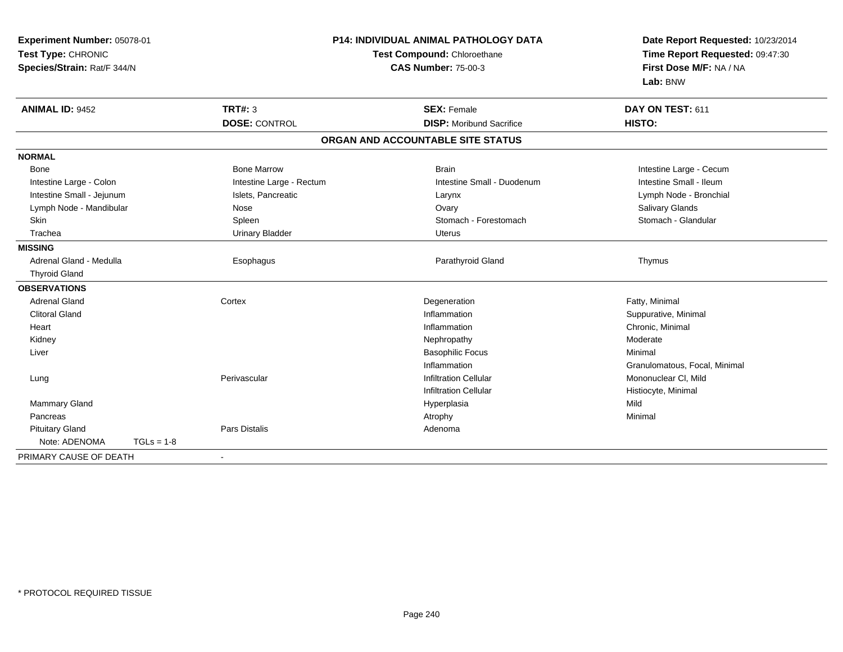| Experiment Number: 05078-01<br>Test Type: CHRONIC<br>Species/Strain: Rat/F 344/N |                          | <b>P14: INDIVIDUAL ANIMAL PATHOLOGY DATA</b><br>Test Compound: Chloroethane<br><b>CAS Number: 75-00-3</b> |                               |
|----------------------------------------------------------------------------------|--------------------------|-----------------------------------------------------------------------------------------------------------|-------------------------------|
| <b>ANIMAL ID: 9452</b>                                                           | TRT#: 3                  | <b>SEX: Female</b>                                                                                        | DAY ON TEST: 611              |
|                                                                                  | <b>DOSE: CONTROL</b>     | <b>DISP:</b> Moribund Sacrifice                                                                           | HISTO:                        |
|                                                                                  |                          | ORGAN AND ACCOUNTABLE SITE STATUS                                                                         |                               |
| <b>NORMAL</b>                                                                    |                          |                                                                                                           |                               |
| Bone                                                                             | <b>Bone Marrow</b>       | <b>Brain</b>                                                                                              | Intestine Large - Cecum       |
| Intestine Large - Colon                                                          | Intestine Large - Rectum | Intestine Small - Duodenum                                                                                | Intestine Small - Ileum       |
| Intestine Small - Jejunum                                                        | Islets, Pancreatic       | Larynx                                                                                                    | Lymph Node - Bronchial        |
| Lymph Node - Mandibular                                                          | Nose                     | Ovary                                                                                                     | Salivary Glands               |
| <b>Skin</b>                                                                      | Spleen                   | Stomach - Forestomach                                                                                     | Stomach - Glandular           |
| Trachea                                                                          | <b>Urinary Bladder</b>   | <b>Uterus</b>                                                                                             |                               |
| <b>MISSING</b>                                                                   |                          |                                                                                                           |                               |
| Adrenal Gland - Medulla                                                          | Esophagus                | Parathyroid Gland                                                                                         | Thymus                        |
| <b>Thyroid Gland</b>                                                             |                          |                                                                                                           |                               |
| <b>OBSERVATIONS</b>                                                              |                          |                                                                                                           |                               |
| <b>Adrenal Gland</b>                                                             | Cortex                   | Degeneration                                                                                              | Fatty, Minimal                |
| <b>Clitoral Gland</b>                                                            |                          | Inflammation                                                                                              | Suppurative, Minimal          |
| Heart                                                                            |                          | Inflammation                                                                                              | Chronic, Minimal              |
| Kidney                                                                           |                          | Nephropathy                                                                                               | Moderate                      |
| Liver                                                                            |                          | <b>Basophilic Focus</b>                                                                                   | Minimal                       |
|                                                                                  |                          | Inflammation                                                                                              | Granulomatous, Focal, Minimal |
| Lung                                                                             | Perivascular             | <b>Infiltration Cellular</b>                                                                              | Mononuclear CI, Mild          |
|                                                                                  |                          | <b>Infiltration Cellular</b>                                                                              | Histiocyte, Minimal           |
| Mammary Gland                                                                    |                          | Hyperplasia                                                                                               | Mild                          |
| Pancreas                                                                         |                          | Atrophy                                                                                                   | Minimal                       |
| <b>Pituitary Gland</b>                                                           | Pars Distalis            | Adenoma                                                                                                   |                               |
| Note: ADENOMA<br>$TGLs = 1-8$                                                    |                          |                                                                                                           |                               |
| PRIMARY CAUSE OF DEATH                                                           |                          |                                                                                                           |                               |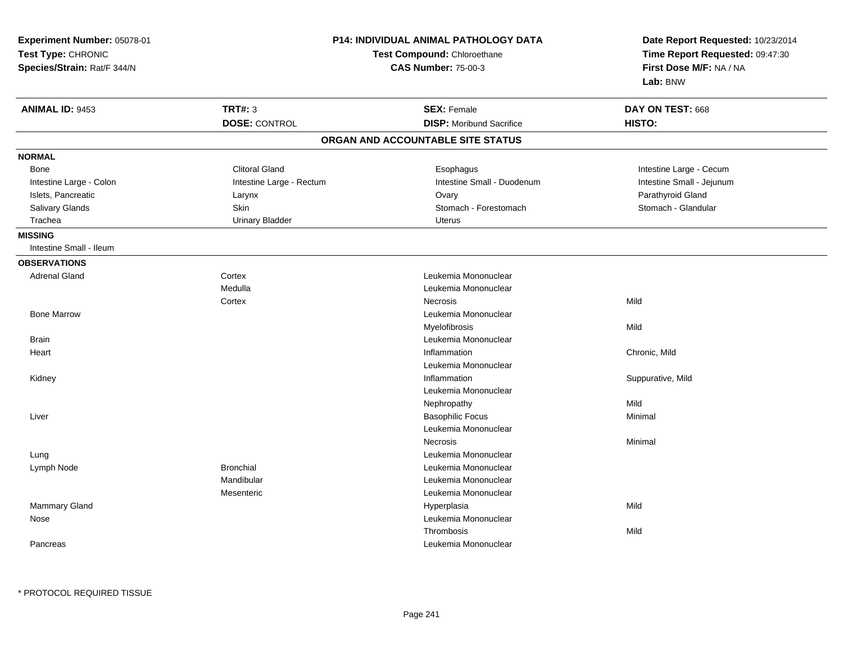| <b>TRT#: 3</b><br><b>ANIMAL ID: 9453</b><br><b>SEX: Female</b><br>DAY ON TEST: 668<br><b>DOSE: CONTROL</b><br><b>DISP:</b> Moribund Sacrifice<br>HISTO:<br>ORGAN AND ACCOUNTABLE SITE STATUS<br><b>Clitoral Gland</b><br>Intestine Large - Cecum<br><b>Bone</b><br>Esophagus<br>Intestine Large - Rectum<br>Intestine Small - Duodenum<br>Intestine Small - Jejunum<br>Intestine Large - Colon<br>Parathyroid Gland<br>Islets, Pancreatic<br>Ovary<br>Larynx<br>Stomach - Forestomach<br>Stomach - Glandular<br>Salivary Glands<br>Skin<br><b>Urinary Bladder</b><br>Trachea<br><b>Uterus</b><br>Intestine Small - Ileum<br><b>OBSERVATIONS</b><br>Cortex<br><b>Adrenal Gland</b><br>Leukemia Mononuclear<br>Medulla<br>Leukemia Mononuclear<br>Mild<br>Cortex<br><b>Necrosis</b><br><b>Bone Marrow</b><br>Leukemia Mononuclear<br>Myelofibrosis<br>Mild<br><b>Brain</b><br>Leukemia Mononuclear<br>Chronic, Mild<br>Heart<br>Inflammation<br>Leukemia Mononuclear<br>Inflammation<br>Suppurative, Mild<br>Kidney<br>Leukemia Mononuclear<br>Mild<br>Nephropathy<br>Minimal<br><b>Basophilic Focus</b><br>Liver<br>Leukemia Mononuclear<br>Necrosis<br>Minimal<br>Leukemia Mononuclear<br>Lung<br><b>Bronchial</b><br>Leukemia Mononuclear<br>Lymph Node<br>Mandibular<br>Leukemia Mononuclear<br>Leukemia Mononuclear<br>Mesenteric<br><b>Mammary Gland</b><br>Mild<br>Hyperplasia<br>Leukemia Mononuclear<br>Nose<br>Mild<br>Thrombosis<br>Leukemia Mononuclear<br>Pancreas | Experiment Number: 05078-01<br>Test Type: CHRONIC<br>Species/Strain: Rat/F 344/N | P14: INDIVIDUAL ANIMAL PATHOLOGY DATA<br>Test Compound: Chloroethane<br><b>CAS Number: 75-00-3</b> |  | Date Report Requested: 10/23/2014<br>Time Report Requested: 09:47:30<br>First Dose M/F: NA / NA<br>Lab: BNW |
|-------------------------------------------------------------------------------------------------------------------------------------------------------------------------------------------------------------------------------------------------------------------------------------------------------------------------------------------------------------------------------------------------------------------------------------------------------------------------------------------------------------------------------------------------------------------------------------------------------------------------------------------------------------------------------------------------------------------------------------------------------------------------------------------------------------------------------------------------------------------------------------------------------------------------------------------------------------------------------------------------------------------------------------------------------------------------------------------------------------------------------------------------------------------------------------------------------------------------------------------------------------------------------------------------------------------------------------------------------------------------------------------------------------------------------------------------------------------------------|----------------------------------------------------------------------------------|----------------------------------------------------------------------------------------------------|--|-------------------------------------------------------------------------------------------------------------|
|                                                                                                                                                                                                                                                                                                                                                                                                                                                                                                                                                                                                                                                                                                                                                                                                                                                                                                                                                                                                                                                                                                                                                                                                                                                                                                                                                                                                                                                                               |                                                                                  |                                                                                                    |  |                                                                                                             |
|                                                                                                                                                                                                                                                                                                                                                                                                                                                                                                                                                                                                                                                                                                                                                                                                                                                                                                                                                                                                                                                                                                                                                                                                                                                                                                                                                                                                                                                                               |                                                                                  |                                                                                                    |  |                                                                                                             |
|                                                                                                                                                                                                                                                                                                                                                                                                                                                                                                                                                                                                                                                                                                                                                                                                                                                                                                                                                                                                                                                                                                                                                                                                                                                                                                                                                                                                                                                                               | <b>NORMAL</b>                                                                    |                                                                                                    |  |                                                                                                             |
|                                                                                                                                                                                                                                                                                                                                                                                                                                                                                                                                                                                                                                                                                                                                                                                                                                                                                                                                                                                                                                                                                                                                                                                                                                                                                                                                                                                                                                                                               |                                                                                  |                                                                                                    |  |                                                                                                             |
|                                                                                                                                                                                                                                                                                                                                                                                                                                                                                                                                                                                                                                                                                                                                                                                                                                                                                                                                                                                                                                                                                                                                                                                                                                                                                                                                                                                                                                                                               |                                                                                  |                                                                                                    |  |                                                                                                             |
|                                                                                                                                                                                                                                                                                                                                                                                                                                                                                                                                                                                                                                                                                                                                                                                                                                                                                                                                                                                                                                                                                                                                                                                                                                                                                                                                                                                                                                                                               |                                                                                  |                                                                                                    |  |                                                                                                             |
|                                                                                                                                                                                                                                                                                                                                                                                                                                                                                                                                                                                                                                                                                                                                                                                                                                                                                                                                                                                                                                                                                                                                                                                                                                                                                                                                                                                                                                                                               |                                                                                  |                                                                                                    |  |                                                                                                             |
|                                                                                                                                                                                                                                                                                                                                                                                                                                                                                                                                                                                                                                                                                                                                                                                                                                                                                                                                                                                                                                                                                                                                                                                                                                                                                                                                                                                                                                                                               |                                                                                  |                                                                                                    |  |                                                                                                             |
|                                                                                                                                                                                                                                                                                                                                                                                                                                                                                                                                                                                                                                                                                                                                                                                                                                                                                                                                                                                                                                                                                                                                                                                                                                                                                                                                                                                                                                                                               | <b>MISSING</b>                                                                   |                                                                                                    |  |                                                                                                             |
|                                                                                                                                                                                                                                                                                                                                                                                                                                                                                                                                                                                                                                                                                                                                                                                                                                                                                                                                                                                                                                                                                                                                                                                                                                                                                                                                                                                                                                                                               |                                                                                  |                                                                                                    |  |                                                                                                             |
|                                                                                                                                                                                                                                                                                                                                                                                                                                                                                                                                                                                                                                                                                                                                                                                                                                                                                                                                                                                                                                                                                                                                                                                                                                                                                                                                                                                                                                                                               |                                                                                  |                                                                                                    |  |                                                                                                             |
|                                                                                                                                                                                                                                                                                                                                                                                                                                                                                                                                                                                                                                                                                                                                                                                                                                                                                                                                                                                                                                                                                                                                                                                                                                                                                                                                                                                                                                                                               |                                                                                  |                                                                                                    |  |                                                                                                             |
|                                                                                                                                                                                                                                                                                                                                                                                                                                                                                                                                                                                                                                                                                                                                                                                                                                                                                                                                                                                                                                                                                                                                                                                                                                                                                                                                                                                                                                                                               |                                                                                  |                                                                                                    |  |                                                                                                             |
|                                                                                                                                                                                                                                                                                                                                                                                                                                                                                                                                                                                                                                                                                                                                                                                                                                                                                                                                                                                                                                                                                                                                                                                                                                                                                                                                                                                                                                                                               |                                                                                  |                                                                                                    |  |                                                                                                             |
|                                                                                                                                                                                                                                                                                                                                                                                                                                                                                                                                                                                                                                                                                                                                                                                                                                                                                                                                                                                                                                                                                                                                                                                                                                                                                                                                                                                                                                                                               |                                                                                  |                                                                                                    |  |                                                                                                             |
|                                                                                                                                                                                                                                                                                                                                                                                                                                                                                                                                                                                                                                                                                                                                                                                                                                                                                                                                                                                                                                                                                                                                                                                                                                                                                                                                                                                                                                                                               |                                                                                  |                                                                                                    |  |                                                                                                             |
|                                                                                                                                                                                                                                                                                                                                                                                                                                                                                                                                                                                                                                                                                                                                                                                                                                                                                                                                                                                                                                                                                                                                                                                                                                                                                                                                                                                                                                                                               |                                                                                  |                                                                                                    |  |                                                                                                             |
|                                                                                                                                                                                                                                                                                                                                                                                                                                                                                                                                                                                                                                                                                                                                                                                                                                                                                                                                                                                                                                                                                                                                                                                                                                                                                                                                                                                                                                                                               |                                                                                  |                                                                                                    |  |                                                                                                             |
|                                                                                                                                                                                                                                                                                                                                                                                                                                                                                                                                                                                                                                                                                                                                                                                                                                                                                                                                                                                                                                                                                                                                                                                                                                                                                                                                                                                                                                                                               |                                                                                  |                                                                                                    |  |                                                                                                             |
|                                                                                                                                                                                                                                                                                                                                                                                                                                                                                                                                                                                                                                                                                                                                                                                                                                                                                                                                                                                                                                                                                                                                                                                                                                                                                                                                                                                                                                                                               |                                                                                  |                                                                                                    |  |                                                                                                             |
|                                                                                                                                                                                                                                                                                                                                                                                                                                                                                                                                                                                                                                                                                                                                                                                                                                                                                                                                                                                                                                                                                                                                                                                                                                                                                                                                                                                                                                                                               |                                                                                  |                                                                                                    |  |                                                                                                             |
|                                                                                                                                                                                                                                                                                                                                                                                                                                                                                                                                                                                                                                                                                                                                                                                                                                                                                                                                                                                                                                                                                                                                                                                                                                                                                                                                                                                                                                                                               |                                                                                  |                                                                                                    |  |                                                                                                             |
|                                                                                                                                                                                                                                                                                                                                                                                                                                                                                                                                                                                                                                                                                                                                                                                                                                                                                                                                                                                                                                                                                                                                                                                                                                                                                                                                                                                                                                                                               |                                                                                  |                                                                                                    |  |                                                                                                             |
|                                                                                                                                                                                                                                                                                                                                                                                                                                                                                                                                                                                                                                                                                                                                                                                                                                                                                                                                                                                                                                                                                                                                                                                                                                                                                                                                                                                                                                                                               |                                                                                  |                                                                                                    |  |                                                                                                             |
|                                                                                                                                                                                                                                                                                                                                                                                                                                                                                                                                                                                                                                                                                                                                                                                                                                                                                                                                                                                                                                                                                                                                                                                                                                                                                                                                                                                                                                                                               |                                                                                  |                                                                                                    |  |                                                                                                             |
|                                                                                                                                                                                                                                                                                                                                                                                                                                                                                                                                                                                                                                                                                                                                                                                                                                                                                                                                                                                                                                                                                                                                                                                                                                                                                                                                                                                                                                                                               |                                                                                  |                                                                                                    |  |                                                                                                             |
|                                                                                                                                                                                                                                                                                                                                                                                                                                                                                                                                                                                                                                                                                                                                                                                                                                                                                                                                                                                                                                                                                                                                                                                                                                                                                                                                                                                                                                                                               |                                                                                  |                                                                                                    |  |                                                                                                             |
|                                                                                                                                                                                                                                                                                                                                                                                                                                                                                                                                                                                                                                                                                                                                                                                                                                                                                                                                                                                                                                                                                                                                                                                                                                                                                                                                                                                                                                                                               |                                                                                  |                                                                                                    |  |                                                                                                             |
|                                                                                                                                                                                                                                                                                                                                                                                                                                                                                                                                                                                                                                                                                                                                                                                                                                                                                                                                                                                                                                                                                                                                                                                                                                                                                                                                                                                                                                                                               |                                                                                  |                                                                                                    |  |                                                                                                             |
|                                                                                                                                                                                                                                                                                                                                                                                                                                                                                                                                                                                                                                                                                                                                                                                                                                                                                                                                                                                                                                                                                                                                                                                                                                                                                                                                                                                                                                                                               |                                                                                  |                                                                                                    |  |                                                                                                             |
|                                                                                                                                                                                                                                                                                                                                                                                                                                                                                                                                                                                                                                                                                                                                                                                                                                                                                                                                                                                                                                                                                                                                                                                                                                                                                                                                                                                                                                                                               |                                                                                  |                                                                                                    |  |                                                                                                             |
|                                                                                                                                                                                                                                                                                                                                                                                                                                                                                                                                                                                                                                                                                                                                                                                                                                                                                                                                                                                                                                                                                                                                                                                                                                                                                                                                                                                                                                                                               |                                                                                  |                                                                                                    |  |                                                                                                             |
|                                                                                                                                                                                                                                                                                                                                                                                                                                                                                                                                                                                                                                                                                                                                                                                                                                                                                                                                                                                                                                                                                                                                                                                                                                                                                                                                                                                                                                                                               |                                                                                  |                                                                                                    |  |                                                                                                             |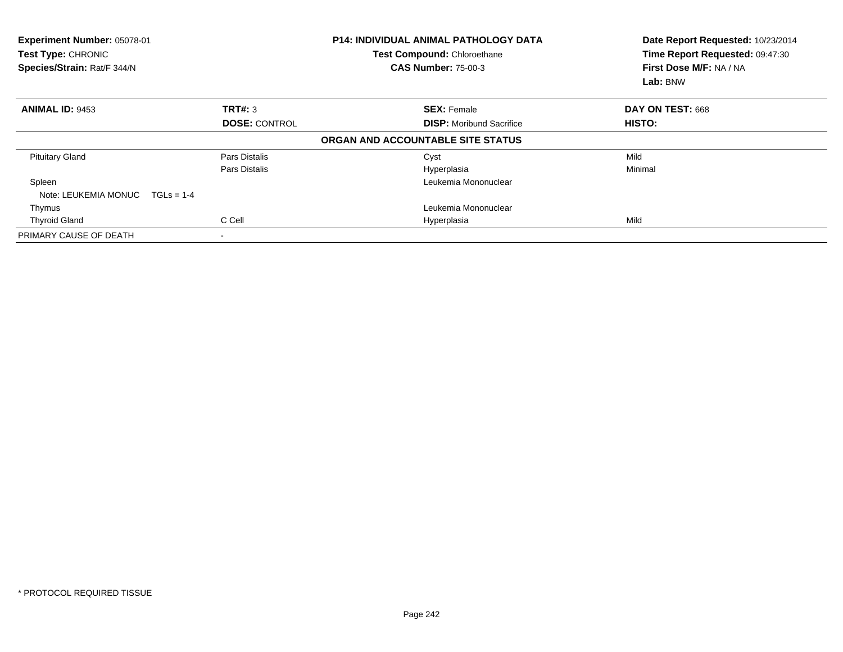| Experiment Number: 05078-01<br>Test Type: CHRONIC<br>Species/Strain: Rat/F 344/N |                      | <b>P14: INDIVIDUAL ANIMAL PATHOLOGY DATA</b><br>Test Compound: Chloroethane<br><b>CAS Number: 75-00-3</b> | Date Report Requested: 10/23/2014<br>Time Report Requested: 09:47:30<br>First Dose M/F: NA / NA<br>Lab: BNW |  |
|----------------------------------------------------------------------------------|----------------------|-----------------------------------------------------------------------------------------------------------|-------------------------------------------------------------------------------------------------------------|--|
| <b>ANIMAL ID: 9453</b>                                                           | TRT#: 3              | <b>SEX: Female</b>                                                                                        | DAY ON TEST: 668                                                                                            |  |
|                                                                                  | <b>DOSE: CONTROL</b> | <b>DISP:</b> Moribund Sacrifice                                                                           | HISTO:                                                                                                      |  |
|                                                                                  |                      | ORGAN AND ACCOUNTABLE SITE STATUS                                                                         |                                                                                                             |  |
| <b>Pituitary Gland</b>                                                           | Pars Distalis        | Cyst                                                                                                      | Mild                                                                                                        |  |
|                                                                                  | Pars Distalis        | Hyperplasia                                                                                               | Minimal                                                                                                     |  |
| Spleen                                                                           |                      | Leukemia Mononuclear                                                                                      |                                                                                                             |  |
| Note: LEUKEMIA MONUC                                                             | $TGLS = 1-4$         |                                                                                                           |                                                                                                             |  |
| Thymus                                                                           |                      | Leukemia Mononuclear                                                                                      |                                                                                                             |  |
| <b>Thyroid Gland</b>                                                             | C Cell               | Hyperplasia                                                                                               | Mild                                                                                                        |  |
| PRIMARY CAUSE OF DEATH                                                           |                      |                                                                                                           |                                                                                                             |  |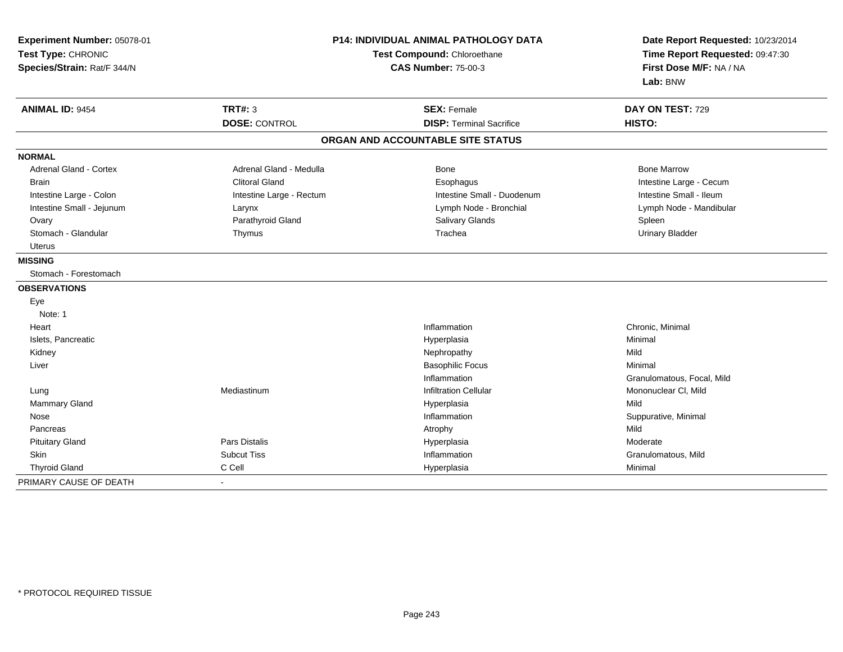| Experiment Number: 05078-01<br>Test Type: CHRONIC<br>Species/Strain: Rat/F 344/N | <b>P14: INDIVIDUAL ANIMAL PATHOLOGY DATA</b><br>Test Compound: Chloroethane<br><b>CAS Number: 75-00-3</b> |                                   | Date Report Requested: 10/23/2014<br>Time Report Requested: 09:47:30<br>First Dose M/F: NA / NA<br>Lab: BNW |
|----------------------------------------------------------------------------------|-----------------------------------------------------------------------------------------------------------|-----------------------------------|-------------------------------------------------------------------------------------------------------------|
| <b>ANIMAL ID: 9454</b>                                                           | <b>TRT#: 3</b>                                                                                            | <b>SEX: Female</b>                | DAY ON TEST: 729                                                                                            |
|                                                                                  | <b>DOSE: CONTROL</b>                                                                                      | <b>DISP: Terminal Sacrifice</b>   | HISTO:                                                                                                      |
|                                                                                  |                                                                                                           | ORGAN AND ACCOUNTABLE SITE STATUS |                                                                                                             |
| <b>NORMAL</b>                                                                    |                                                                                                           |                                   |                                                                                                             |
| <b>Adrenal Gland - Cortex</b>                                                    | Adrenal Gland - Medulla                                                                                   | <b>Bone</b>                       | <b>Bone Marrow</b>                                                                                          |
| <b>Brain</b>                                                                     | <b>Clitoral Gland</b>                                                                                     | Esophagus                         | Intestine Large - Cecum                                                                                     |
| Intestine Large - Colon                                                          | Intestine Large - Rectum                                                                                  | Intestine Small - Duodenum        | Intestine Small - Ileum                                                                                     |
| Intestine Small - Jejunum                                                        | Larynx                                                                                                    | Lymph Node - Bronchial            | Lymph Node - Mandibular                                                                                     |
| Ovary                                                                            | Parathyroid Gland                                                                                         | Salivary Glands                   | Spleen                                                                                                      |
| Stomach - Glandular                                                              | Thymus                                                                                                    | Trachea                           | <b>Urinary Bladder</b>                                                                                      |
| Uterus                                                                           |                                                                                                           |                                   |                                                                                                             |
| <b>MISSING</b>                                                                   |                                                                                                           |                                   |                                                                                                             |
| Stomach - Forestomach                                                            |                                                                                                           |                                   |                                                                                                             |
| <b>OBSERVATIONS</b>                                                              |                                                                                                           |                                   |                                                                                                             |
| Eye                                                                              |                                                                                                           |                                   |                                                                                                             |
| Note: 1                                                                          |                                                                                                           |                                   |                                                                                                             |
| Heart                                                                            |                                                                                                           | Inflammation                      | Chronic, Minimal                                                                                            |
| Islets, Pancreatic                                                               |                                                                                                           | Hyperplasia                       | Minimal                                                                                                     |
| Kidney                                                                           |                                                                                                           | Nephropathy                       | Mild                                                                                                        |
| Liver                                                                            |                                                                                                           | <b>Basophilic Focus</b>           | Minimal                                                                                                     |
|                                                                                  |                                                                                                           | Inflammation                      | Granulomatous, Focal, Mild                                                                                  |
| Lung                                                                             | Mediastinum                                                                                               | <b>Infiltration Cellular</b>      | Mononuclear CI, Mild                                                                                        |
| Mammary Gland                                                                    |                                                                                                           | Hyperplasia                       | Mild                                                                                                        |
| Nose                                                                             |                                                                                                           | Inflammation                      | Suppurative, Minimal                                                                                        |
| Pancreas                                                                         |                                                                                                           | Atrophy                           | Mild                                                                                                        |
| <b>Pituitary Gland</b>                                                           | <b>Pars Distalis</b>                                                                                      | Hyperplasia                       | Moderate                                                                                                    |
| Skin                                                                             | <b>Subcut Tiss</b>                                                                                        | Inflammation                      | Granulomatous, Mild                                                                                         |
| <b>Thyroid Gland</b>                                                             | C Cell                                                                                                    | Hyperplasia                       | Minimal                                                                                                     |
| PRIMARY CAUSE OF DEATH                                                           |                                                                                                           |                                   |                                                                                                             |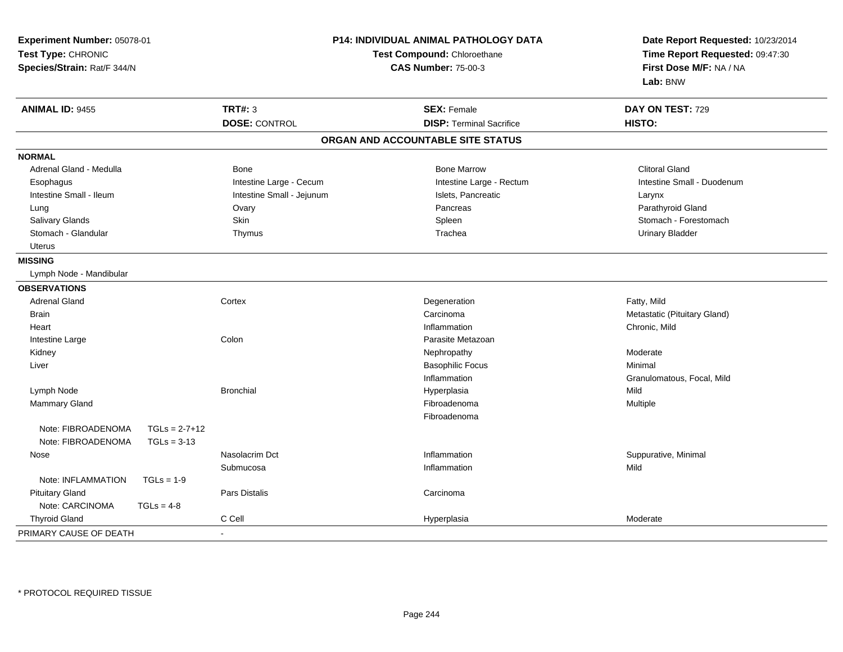| Experiment Number: 05078-01<br>Test Type: CHRONIC<br>Species/Strain: Rat/F 344/N | P14: INDIVIDUAL ANIMAL PATHOLOGY DATA<br>Test Compound: Chloroethane<br><b>CAS Number: 75-00-3</b> |                                   | Date Report Requested: 10/23/2014<br>Time Report Requested: 09:47:30<br>First Dose M/F: NA / NA<br>Lab: BNW |  |
|----------------------------------------------------------------------------------|----------------------------------------------------------------------------------------------------|-----------------------------------|-------------------------------------------------------------------------------------------------------------|--|
| <b>ANIMAL ID: 9455</b>                                                           | <b>TRT#: 3</b>                                                                                     | <b>SEX: Female</b>                | DAY ON TEST: 729                                                                                            |  |
|                                                                                  | <b>DOSE: CONTROL</b>                                                                               | <b>DISP: Terminal Sacrifice</b>   | HISTO:                                                                                                      |  |
|                                                                                  |                                                                                                    | ORGAN AND ACCOUNTABLE SITE STATUS |                                                                                                             |  |
| <b>NORMAL</b>                                                                    |                                                                                                    |                                   |                                                                                                             |  |
| Adrenal Gland - Medulla                                                          | Bone                                                                                               | <b>Bone Marrow</b>                | <b>Clitoral Gland</b>                                                                                       |  |
| Esophagus                                                                        | Intestine Large - Cecum                                                                            | Intestine Large - Rectum          | Intestine Small - Duodenum                                                                                  |  |
| Intestine Small - Ileum                                                          | Intestine Small - Jejunum                                                                          | Islets, Pancreatic                | Larynx                                                                                                      |  |
| Lung                                                                             | Ovary                                                                                              | Pancreas                          | Parathyroid Gland                                                                                           |  |
| Salivary Glands                                                                  | Skin                                                                                               | Spleen                            | Stomach - Forestomach                                                                                       |  |
| Stomach - Glandular                                                              | Thymus                                                                                             | Trachea                           | <b>Urinary Bladder</b>                                                                                      |  |
| <b>Uterus</b>                                                                    |                                                                                                    |                                   |                                                                                                             |  |
| <b>MISSING</b>                                                                   |                                                                                                    |                                   |                                                                                                             |  |
| Lymph Node - Mandibular                                                          |                                                                                                    |                                   |                                                                                                             |  |
| <b>OBSERVATIONS</b>                                                              |                                                                                                    |                                   |                                                                                                             |  |
| <b>Adrenal Gland</b>                                                             | Cortex                                                                                             | Degeneration                      | Fatty, Mild                                                                                                 |  |
| <b>Brain</b>                                                                     |                                                                                                    | Carcinoma                         | Metastatic (Pituitary Gland)                                                                                |  |
| Heart                                                                            |                                                                                                    | Inflammation                      | Chronic, Mild                                                                                               |  |
| Intestine Large                                                                  | Colon                                                                                              | Parasite Metazoan                 |                                                                                                             |  |
| Kidney                                                                           |                                                                                                    | Nephropathy                       | Moderate                                                                                                    |  |
| Liver                                                                            |                                                                                                    | <b>Basophilic Focus</b>           | Minimal                                                                                                     |  |
|                                                                                  |                                                                                                    | Inflammation                      | Granulomatous, Focal, Mild                                                                                  |  |
| Lymph Node                                                                       | <b>Bronchial</b>                                                                                   | Hyperplasia                       | Mild                                                                                                        |  |
| <b>Mammary Gland</b>                                                             |                                                                                                    | Fibroadenoma                      | Multiple                                                                                                    |  |
|                                                                                  |                                                                                                    | Fibroadenoma                      |                                                                                                             |  |
| Note: FIBROADENOMA<br>$TGLs = 2-7+12$                                            |                                                                                                    |                                   |                                                                                                             |  |
| Note: FIBROADENOMA<br>$TGLs = 3-13$                                              |                                                                                                    |                                   |                                                                                                             |  |
| Nose                                                                             | Nasolacrim Dct                                                                                     | Inflammation                      | Suppurative, Minimal                                                                                        |  |
|                                                                                  | Submucosa                                                                                          | Inflammation                      | Mild                                                                                                        |  |
| Note: INFLAMMATION<br>$TGLs = 1-9$                                               |                                                                                                    |                                   |                                                                                                             |  |
| <b>Pituitary Gland</b>                                                           | Pars Distalis                                                                                      | Carcinoma                         |                                                                                                             |  |
| Note: CARCINOMA<br>$TGLs = 4-8$                                                  |                                                                                                    |                                   |                                                                                                             |  |
| <b>Thyroid Gland</b>                                                             | C Cell                                                                                             | Hyperplasia                       | Moderate                                                                                                    |  |
| PRIMARY CAUSE OF DEATH                                                           | $\sim$                                                                                             |                                   |                                                                                                             |  |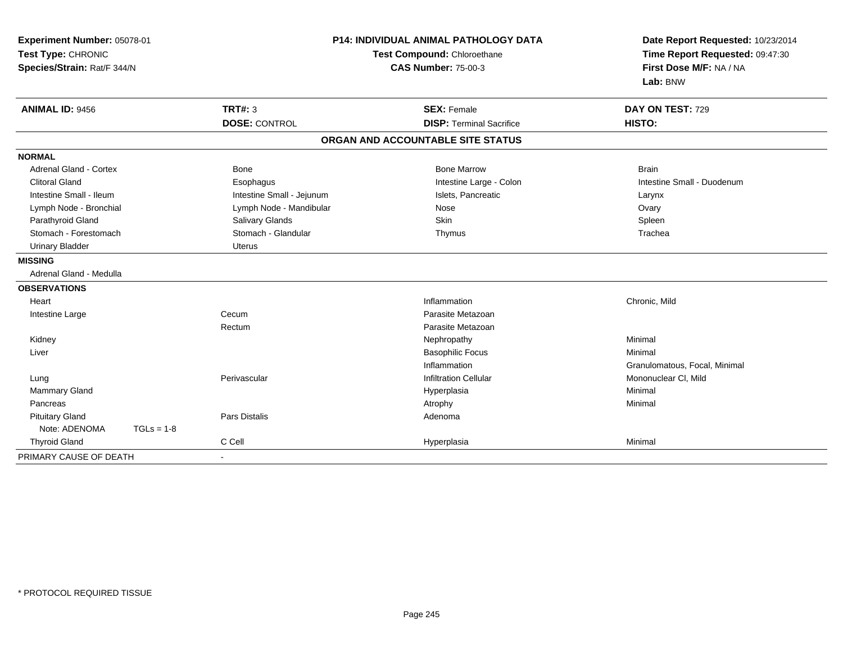| Experiment Number: 05078-01<br>Test Type: CHRONIC<br>Species/Strain: Rat/F 344/N |              |                           | <b>P14: INDIVIDUAL ANIMAL PATHOLOGY DATA</b><br>Test Compound: Chloroethane<br><b>CAS Number: 75-00-3</b> | Date Report Requested: 10/23/2014<br>Time Report Requested: 09:47:30<br>First Dose M/F: NA / NA<br>Lab: BNW |
|----------------------------------------------------------------------------------|--------------|---------------------------|-----------------------------------------------------------------------------------------------------------|-------------------------------------------------------------------------------------------------------------|
| <b>ANIMAL ID: 9456</b>                                                           |              | <b>TRT#: 3</b>            | <b>SEX: Female</b>                                                                                        | DAY ON TEST: 729                                                                                            |
|                                                                                  |              | <b>DOSE: CONTROL</b>      | <b>DISP: Terminal Sacrifice</b>                                                                           | HISTO:                                                                                                      |
|                                                                                  |              |                           | ORGAN AND ACCOUNTABLE SITE STATUS                                                                         |                                                                                                             |
| <b>NORMAL</b>                                                                    |              |                           |                                                                                                           |                                                                                                             |
| Adrenal Gland - Cortex                                                           |              | Bone                      | <b>Bone Marrow</b>                                                                                        | <b>Brain</b>                                                                                                |
| <b>Clitoral Gland</b>                                                            |              | Esophagus                 | Intestine Large - Colon                                                                                   | Intestine Small - Duodenum                                                                                  |
| Intestine Small - Ileum                                                          |              | Intestine Small - Jejunum | Islets, Pancreatic                                                                                        | Larynx                                                                                                      |
| Lymph Node - Bronchial                                                           |              | Lymph Node - Mandibular   | Nose                                                                                                      | Ovary                                                                                                       |
| Parathyroid Gland                                                                |              | Salivary Glands           | Skin                                                                                                      | Spleen                                                                                                      |
| Stomach - Forestomach                                                            |              | Stomach - Glandular       | Thymus                                                                                                    | Trachea                                                                                                     |
| <b>Urinary Bladder</b>                                                           |              | <b>Uterus</b>             |                                                                                                           |                                                                                                             |
| <b>MISSING</b>                                                                   |              |                           |                                                                                                           |                                                                                                             |
| Adrenal Gland - Medulla                                                          |              |                           |                                                                                                           |                                                                                                             |
| <b>OBSERVATIONS</b>                                                              |              |                           |                                                                                                           |                                                                                                             |
| Heart                                                                            |              |                           | Inflammation                                                                                              | Chronic, Mild                                                                                               |
| Intestine Large                                                                  |              | Cecum                     | Parasite Metazoan                                                                                         |                                                                                                             |
|                                                                                  |              | Rectum                    | Parasite Metazoan                                                                                         |                                                                                                             |
| Kidney                                                                           |              |                           | Nephropathy                                                                                               | Minimal                                                                                                     |
| Liver                                                                            |              |                           | <b>Basophilic Focus</b>                                                                                   | Minimal                                                                                                     |
|                                                                                  |              |                           | Inflammation                                                                                              | Granulomatous, Focal, Minimal                                                                               |
| Lung                                                                             |              | Perivascular              | <b>Infiltration Cellular</b>                                                                              | Mononuclear CI, Mild                                                                                        |
| <b>Mammary Gland</b>                                                             |              |                           | Hyperplasia                                                                                               | Minimal                                                                                                     |
| Pancreas                                                                         |              |                           | Atrophy                                                                                                   | Minimal                                                                                                     |
| <b>Pituitary Gland</b>                                                           |              | <b>Pars Distalis</b>      | Adenoma                                                                                                   |                                                                                                             |
| Note: ADENOMA                                                                    | $TGLs = 1-8$ |                           |                                                                                                           |                                                                                                             |
| <b>Thyroid Gland</b>                                                             |              | C Cell                    | Hyperplasia                                                                                               | Minimal                                                                                                     |
| PRIMARY CAUSE OF DEATH                                                           |              |                           |                                                                                                           |                                                                                                             |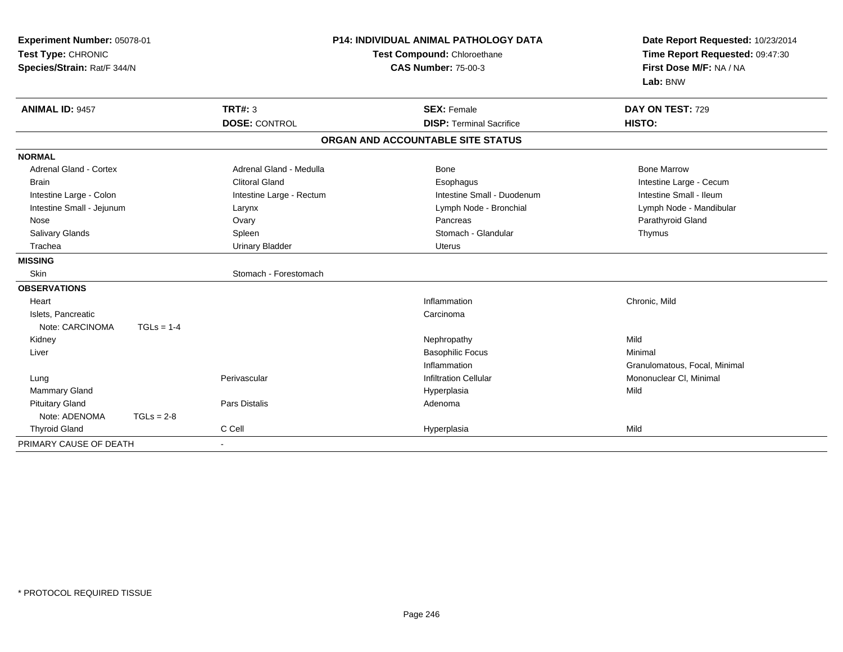| Experiment Number: 05078-01<br>Test Type: CHRONIC<br>Species/Strain: Rat/F 344/N |              | <b>P14: INDIVIDUAL ANIMAL PATHOLOGY DATA</b><br>Test Compound: Chloroethane<br><b>CAS Number: 75-00-3</b> |                                   | Date Report Requested: 10/23/2014<br>Time Report Requested: 09:47:30<br>First Dose M/F: NA / NA<br>Lab: BNW |
|----------------------------------------------------------------------------------|--------------|-----------------------------------------------------------------------------------------------------------|-----------------------------------|-------------------------------------------------------------------------------------------------------------|
| <b>ANIMAL ID: 9457</b>                                                           |              | TRT#: 3                                                                                                   | <b>SEX: Female</b>                | DAY ON TEST: 729                                                                                            |
|                                                                                  |              | <b>DOSE: CONTROL</b>                                                                                      | <b>DISP: Terminal Sacrifice</b>   | HISTO:                                                                                                      |
|                                                                                  |              |                                                                                                           | ORGAN AND ACCOUNTABLE SITE STATUS |                                                                                                             |
| <b>NORMAL</b>                                                                    |              |                                                                                                           |                                   |                                                                                                             |
| Adrenal Gland - Cortex                                                           |              | Adrenal Gland - Medulla                                                                                   | Bone                              | <b>Bone Marrow</b>                                                                                          |
| <b>Brain</b>                                                                     |              | <b>Clitoral Gland</b>                                                                                     | Esophagus                         | Intestine Large - Cecum                                                                                     |
| Intestine Large - Colon                                                          |              | Intestine Large - Rectum                                                                                  | Intestine Small - Duodenum        | Intestine Small - Ileum                                                                                     |
| Intestine Small - Jejunum                                                        |              | Larynx                                                                                                    | Lymph Node - Bronchial            | Lymph Node - Mandibular                                                                                     |
| Nose                                                                             |              | Ovary                                                                                                     | Pancreas                          | Parathyroid Gland                                                                                           |
| Salivary Glands                                                                  |              | Spleen                                                                                                    | Stomach - Glandular               | Thymus                                                                                                      |
| Trachea                                                                          |              | <b>Urinary Bladder</b>                                                                                    | <b>Uterus</b>                     |                                                                                                             |
| <b>MISSING</b>                                                                   |              |                                                                                                           |                                   |                                                                                                             |
| Skin                                                                             |              | Stomach - Forestomach                                                                                     |                                   |                                                                                                             |
| <b>OBSERVATIONS</b>                                                              |              |                                                                                                           |                                   |                                                                                                             |
| Heart                                                                            |              |                                                                                                           | Inflammation                      | Chronic, Mild                                                                                               |
| Islets, Pancreatic                                                               |              |                                                                                                           | Carcinoma                         |                                                                                                             |
| Note: CARCINOMA                                                                  | $TGLs = 1-4$ |                                                                                                           |                                   |                                                                                                             |
| Kidney                                                                           |              |                                                                                                           | Nephropathy                       | Mild                                                                                                        |
| Liver                                                                            |              |                                                                                                           | <b>Basophilic Focus</b>           | Minimal                                                                                                     |
|                                                                                  |              |                                                                                                           | Inflammation                      | Granulomatous, Focal, Minimal                                                                               |
| Lung                                                                             |              | Perivascular                                                                                              | <b>Infiltration Cellular</b>      | Mononuclear CI, Minimal                                                                                     |
| <b>Mammary Gland</b>                                                             |              |                                                                                                           | Hyperplasia                       | Mild                                                                                                        |
| <b>Pituitary Gland</b>                                                           |              | <b>Pars Distalis</b>                                                                                      | Adenoma                           |                                                                                                             |
| Note: ADENOMA                                                                    | $TGLs = 2-8$ |                                                                                                           |                                   |                                                                                                             |
| <b>Thyroid Gland</b>                                                             |              | C Cell                                                                                                    | Hyperplasia                       | Mild                                                                                                        |
| PRIMARY CAUSE OF DEATH                                                           |              |                                                                                                           |                                   |                                                                                                             |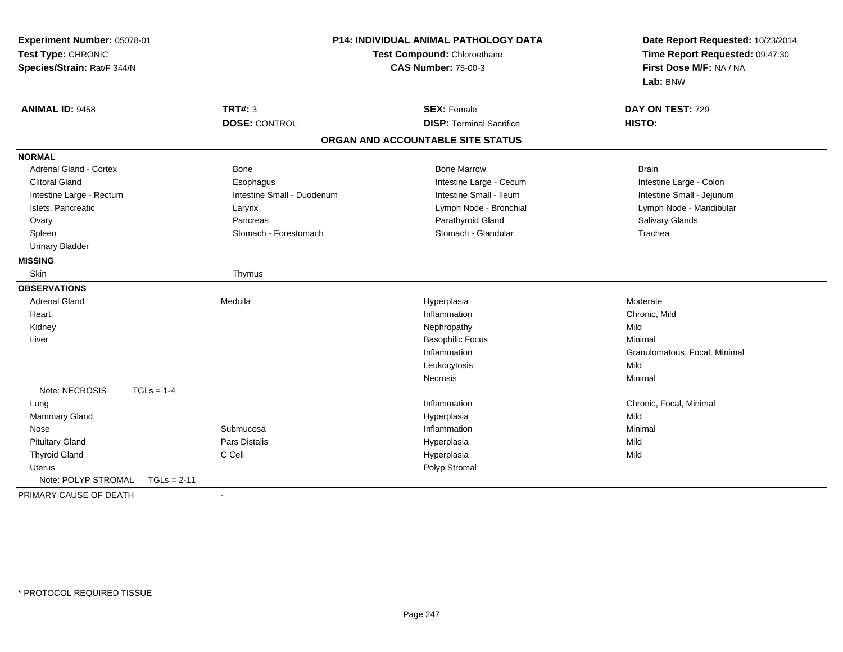| Experiment Number: 05078-01<br>Test Type: CHRONIC<br>Species/Strain: Rat/F 344/N | <b>P14: INDIVIDUAL ANIMAL PATHOLOGY DATA</b><br>Test Compound: Chloroethane<br><b>CAS Number: 75-00-3</b> |                                   | Date Report Requested: 10/23/2014<br>Time Report Requested: 09:47:30<br>First Dose M/F: NA / NA<br>Lab: BNW |
|----------------------------------------------------------------------------------|-----------------------------------------------------------------------------------------------------------|-----------------------------------|-------------------------------------------------------------------------------------------------------------|
| <b>ANIMAL ID: 9458</b>                                                           | <b>TRT#: 3</b>                                                                                            | <b>SEX: Female</b>                | DAY ON TEST: 729                                                                                            |
|                                                                                  | <b>DOSE: CONTROL</b>                                                                                      | <b>DISP: Terminal Sacrifice</b>   | HISTO:                                                                                                      |
|                                                                                  |                                                                                                           | ORGAN AND ACCOUNTABLE SITE STATUS |                                                                                                             |
| <b>NORMAL</b>                                                                    |                                                                                                           |                                   |                                                                                                             |
| Adrenal Gland - Cortex                                                           | <b>Bone</b>                                                                                               | <b>Bone Marrow</b>                | <b>Brain</b>                                                                                                |
| <b>Clitoral Gland</b>                                                            | Esophagus                                                                                                 | Intestine Large - Cecum           | Intestine Large - Colon                                                                                     |
| Intestine Large - Rectum                                                         | Intestine Small - Duodenum                                                                                | Intestine Small - Ileum           | Intestine Small - Jejunum                                                                                   |
| Islets, Pancreatic                                                               | Larynx                                                                                                    | Lymph Node - Bronchial            | Lymph Node - Mandibular                                                                                     |
| Ovary                                                                            | Pancreas                                                                                                  | Parathyroid Gland                 | Salivary Glands                                                                                             |
| Spleen                                                                           | Stomach - Forestomach                                                                                     | Stomach - Glandular               | Trachea                                                                                                     |
| <b>Urinary Bladder</b>                                                           |                                                                                                           |                                   |                                                                                                             |
| <b>MISSING</b>                                                                   |                                                                                                           |                                   |                                                                                                             |
| Skin                                                                             | Thymus                                                                                                    |                                   |                                                                                                             |
| <b>OBSERVATIONS</b>                                                              |                                                                                                           |                                   |                                                                                                             |
| <b>Adrenal Gland</b>                                                             | Medulla                                                                                                   | Hyperplasia                       | Moderate                                                                                                    |
| Heart                                                                            |                                                                                                           | Inflammation                      | Chronic, Mild                                                                                               |
| Kidney                                                                           |                                                                                                           | Nephropathy                       | Mild                                                                                                        |
| Liver                                                                            |                                                                                                           | <b>Basophilic Focus</b>           | Minimal                                                                                                     |
|                                                                                  |                                                                                                           | Inflammation                      | Granulomatous, Focal, Minimal                                                                               |
|                                                                                  |                                                                                                           | Leukocytosis                      | Mild                                                                                                        |
|                                                                                  |                                                                                                           | Necrosis                          | Minimal                                                                                                     |
| Note: NECROSIS<br>$TGLs = 1-4$                                                   |                                                                                                           |                                   |                                                                                                             |
| Lung                                                                             |                                                                                                           | Inflammation                      | Chronic, Focal, Minimal                                                                                     |
| Mammary Gland                                                                    |                                                                                                           | Hyperplasia                       | Mild                                                                                                        |
| Nose                                                                             | Submucosa                                                                                                 | Inflammation                      | Minimal                                                                                                     |
| <b>Pituitary Gland</b>                                                           | <b>Pars Distalis</b>                                                                                      | Hyperplasia                       | Mild                                                                                                        |
| <b>Thyroid Gland</b>                                                             | C Cell                                                                                                    | Hyperplasia                       | Mild                                                                                                        |
| <b>Uterus</b>                                                                    |                                                                                                           | Polyp Stromal                     |                                                                                                             |
| Note: POLYP STROMAL<br>$TGLs = 2-11$                                             |                                                                                                           |                                   |                                                                                                             |
| PRIMARY CAUSE OF DEATH                                                           |                                                                                                           |                                   |                                                                                                             |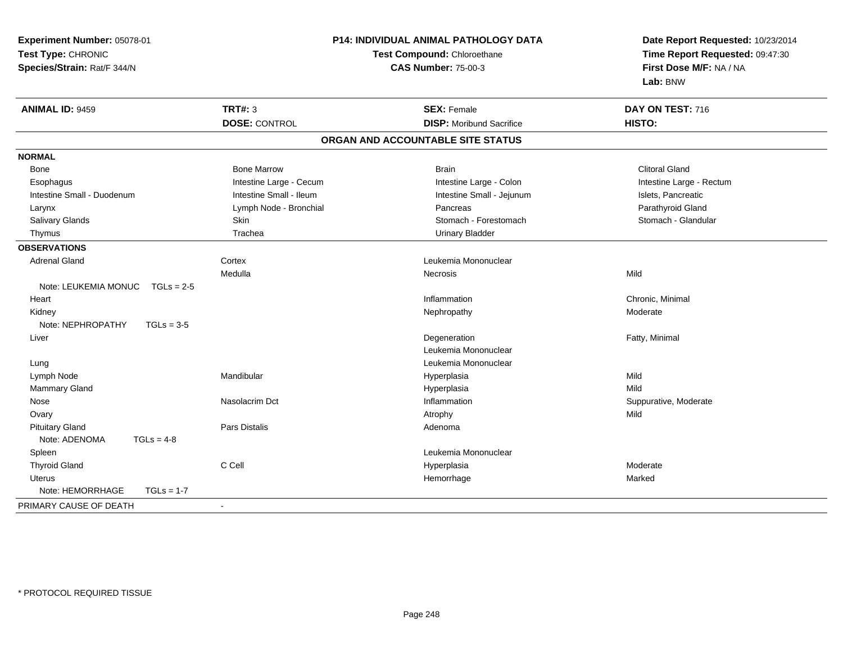| Experiment Number: 05078-01          |                         | P14: INDIVIDUAL ANIMAL PATHOLOGY DATA | Date Report Requested: 10/23/2014<br>Time Report Requested: 09:47:30<br>First Dose M/F: NA / NA |
|--------------------------------------|-------------------------|---------------------------------------|-------------------------------------------------------------------------------------------------|
| Test Type: CHRONIC                   |                         | Test Compound: Chloroethane           |                                                                                                 |
| Species/Strain: Rat/F 344/N          |                         | <b>CAS Number: 75-00-3</b>            |                                                                                                 |
|                                      |                         |                                       | Lab: BNW                                                                                        |
| <b>ANIMAL ID: 9459</b>               | <b>TRT#: 3</b>          | <b>SEX: Female</b>                    | DAY ON TEST: 716                                                                                |
|                                      | <b>DOSE: CONTROL</b>    | <b>DISP:</b> Moribund Sacrifice       | HISTO:                                                                                          |
|                                      |                         | ORGAN AND ACCOUNTABLE SITE STATUS     |                                                                                                 |
| <b>NORMAL</b>                        |                         |                                       |                                                                                                 |
| Bone                                 | <b>Bone Marrow</b>      | <b>Brain</b>                          | <b>Clitoral Gland</b>                                                                           |
| Esophagus                            | Intestine Large - Cecum | Intestine Large - Colon               | Intestine Large - Rectum                                                                        |
| Intestine Small - Duodenum           | Intestine Small - Ileum | Intestine Small - Jejunum             | Islets, Pancreatic                                                                              |
| Larynx                               | Lymph Node - Bronchial  | Pancreas                              | Parathyroid Gland                                                                               |
| Salivary Glands                      | Skin                    | Stomach - Forestomach                 | Stomach - Glandular                                                                             |
| Thymus                               | Trachea                 | <b>Urinary Bladder</b>                |                                                                                                 |
| <b>OBSERVATIONS</b>                  |                         |                                       |                                                                                                 |
| <b>Adrenal Gland</b>                 | Cortex                  | Leukemia Mononuclear                  |                                                                                                 |
|                                      | Medulla                 | Necrosis                              | Mild                                                                                            |
| Note: LEUKEMIA MONUC<br>$TGLs = 2-5$ |                         |                                       |                                                                                                 |
| Heart                                |                         | Inflammation                          | Chronic, Minimal                                                                                |
| Kidney                               |                         | Nephropathy                           | Moderate                                                                                        |
| Note: NEPHROPATHY<br>$TGLs = 3-5$    |                         |                                       |                                                                                                 |
| Liver                                |                         | Degeneration                          | Fatty, Minimal                                                                                  |
|                                      |                         | Leukemia Mononuclear                  |                                                                                                 |
| Lung                                 |                         | Leukemia Mononuclear                  |                                                                                                 |
| Lymph Node                           | Mandibular              | Hyperplasia                           | Mild                                                                                            |
| Mammary Gland                        |                         | Hyperplasia                           | Mild                                                                                            |
| Nose                                 | Nasolacrim Dct          | Inflammation                          | Suppurative, Moderate                                                                           |
| Ovary                                |                         | Atrophy                               | Mild                                                                                            |
| <b>Pituitary Gland</b>               | Pars Distalis           | Adenoma                               |                                                                                                 |
| Note: ADENOMA<br>$TGLs = 4-8$        |                         |                                       |                                                                                                 |
| Spleen                               |                         | Leukemia Mononuclear                  |                                                                                                 |
| <b>Thyroid Gland</b>                 | C Cell                  | Hyperplasia                           | Moderate                                                                                        |
| Uterus                               |                         | Hemorrhage                            | Marked                                                                                          |
| Note: HEMORRHAGE<br>$TGLs = 1-7$     |                         |                                       |                                                                                                 |
| PRIMARY CAUSE OF DEATH               | $\blacksquare$          |                                       |                                                                                                 |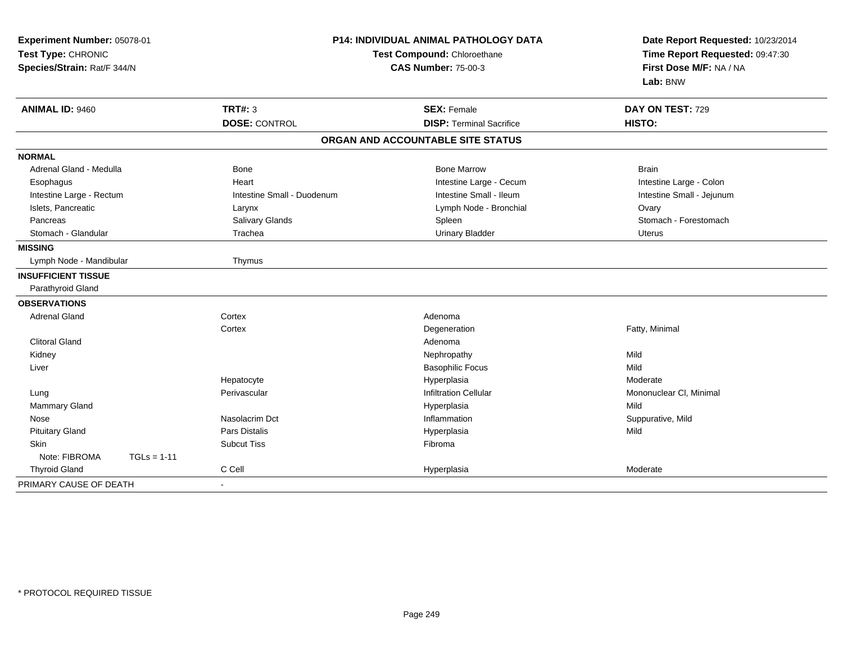| Experiment Number: 05078-01<br>Test Type: CHRONIC<br>Species/Strain: Rat/F 344/N |                            | <b>P14: INDIVIDUAL ANIMAL PATHOLOGY DATA</b><br>Test Compound: Chloroethane<br><b>CAS Number: 75-00-3</b> | Date Report Requested: 10/23/2014<br>Time Report Requested: 09:47:30<br>First Dose M/F: NA / NA<br>Lab: BNW |
|----------------------------------------------------------------------------------|----------------------------|-----------------------------------------------------------------------------------------------------------|-------------------------------------------------------------------------------------------------------------|
| <b>ANIMAL ID: 9460</b>                                                           | <b>TRT#: 3</b>             | <b>SEX: Female</b>                                                                                        | DAY ON TEST: 729                                                                                            |
|                                                                                  | <b>DOSE: CONTROL</b>       | <b>DISP: Terminal Sacrifice</b>                                                                           | HISTO:                                                                                                      |
|                                                                                  |                            | ORGAN AND ACCOUNTABLE SITE STATUS                                                                         |                                                                                                             |
| <b>NORMAL</b>                                                                    |                            |                                                                                                           |                                                                                                             |
| Adrenal Gland - Medulla                                                          | <b>Bone</b>                | <b>Bone Marrow</b>                                                                                        | <b>Brain</b>                                                                                                |
| Esophagus                                                                        | Heart                      | Intestine Large - Cecum                                                                                   | Intestine Large - Colon                                                                                     |
| Intestine Large - Rectum                                                         | Intestine Small - Duodenum | Intestine Small - Ileum                                                                                   | Intestine Small - Jejunum                                                                                   |
| Islets, Pancreatic                                                               | Larynx                     | Lymph Node - Bronchial                                                                                    | Ovary                                                                                                       |
| Pancreas                                                                         | Salivary Glands            | Spleen                                                                                                    | Stomach - Forestomach                                                                                       |
| Stomach - Glandular                                                              | Trachea                    | <b>Urinary Bladder</b>                                                                                    | Uterus                                                                                                      |
| <b>MISSING</b>                                                                   |                            |                                                                                                           |                                                                                                             |
| Lymph Node - Mandibular                                                          | Thymus                     |                                                                                                           |                                                                                                             |
| <b>INSUFFICIENT TISSUE</b>                                                       |                            |                                                                                                           |                                                                                                             |
| Parathyroid Gland                                                                |                            |                                                                                                           |                                                                                                             |
| <b>OBSERVATIONS</b>                                                              |                            |                                                                                                           |                                                                                                             |
| <b>Adrenal Gland</b>                                                             | Cortex                     | Adenoma                                                                                                   |                                                                                                             |
|                                                                                  | Cortex                     | Degeneration                                                                                              | Fatty, Minimal                                                                                              |
| <b>Clitoral Gland</b>                                                            |                            | Adenoma                                                                                                   |                                                                                                             |
| Kidney                                                                           |                            | Nephropathy                                                                                               | Mild                                                                                                        |
| Liver                                                                            |                            | <b>Basophilic Focus</b>                                                                                   | Mild                                                                                                        |
|                                                                                  | Hepatocyte                 | Hyperplasia                                                                                               | Moderate                                                                                                    |
| Lung                                                                             | Perivascular               | <b>Infiltration Cellular</b>                                                                              | Mononuclear CI, Minimal                                                                                     |
| Mammary Gland                                                                    |                            | Hyperplasia                                                                                               | Mild                                                                                                        |
| Nose                                                                             | Nasolacrim Dct             | Inflammation                                                                                              | Suppurative, Mild                                                                                           |
| <b>Pituitary Gland</b>                                                           | Pars Distalis              | Hyperplasia                                                                                               | Mild                                                                                                        |
| <b>Skin</b>                                                                      | <b>Subcut Tiss</b>         | Fibroma                                                                                                   |                                                                                                             |
| Note: FIBROMA<br>$TGLs = 1-11$                                                   |                            |                                                                                                           |                                                                                                             |
| <b>Thyroid Gland</b>                                                             | C Cell                     | Hyperplasia                                                                                               | Moderate                                                                                                    |
| PRIMARY CAUSE OF DEATH                                                           | $\blacksquare$             |                                                                                                           |                                                                                                             |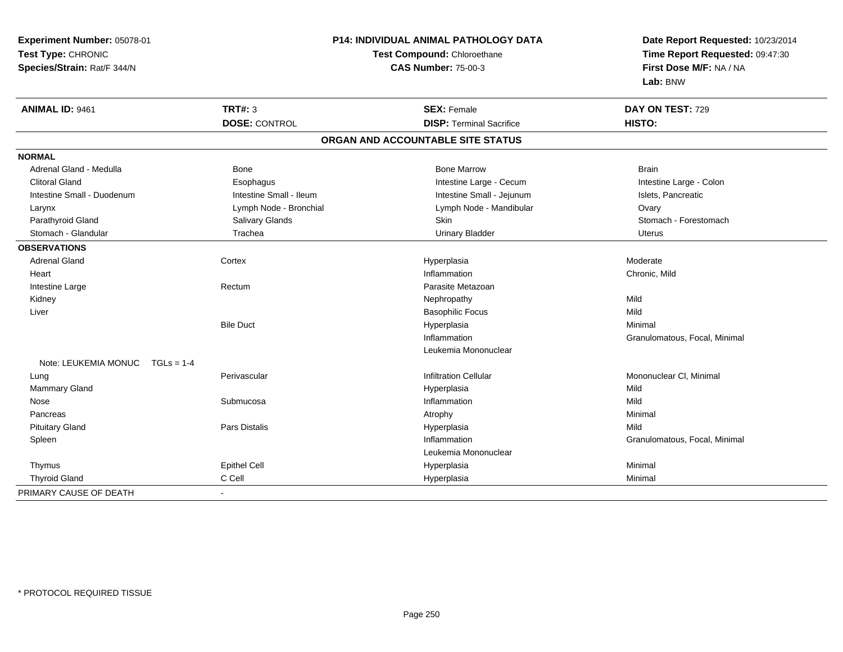| Experiment Number: 05078-01          |                         | P14: INDIVIDUAL ANIMAL PATHOLOGY DATA | Date Report Requested: 10/23/2014                          |
|--------------------------------------|-------------------------|---------------------------------------|------------------------------------------------------------|
| Test Type: CHRONIC                   |                         | <b>Test Compound: Chloroethane</b>    |                                                            |
| Species/Strain: Rat/F 344/N          |                         | <b>CAS Number: 75-00-3</b>            | Time Report Requested: 09:47:30<br>First Dose M/F: NA / NA |
|                                      |                         |                                       | Lab: BNW                                                   |
| ANIMAL ID: 9461                      | <b>TRT#: 3</b>          | <b>SEX: Female</b>                    | DAY ON TEST: 729                                           |
|                                      | <b>DOSE: CONTROL</b>    | <b>DISP: Terminal Sacrifice</b>       | HISTO:                                                     |
|                                      |                         | ORGAN AND ACCOUNTABLE SITE STATUS     |                                                            |
| <b>NORMAL</b>                        |                         |                                       |                                                            |
| Adrenal Gland - Medulla              | Bone                    | <b>Bone Marrow</b>                    | <b>Brain</b>                                               |
| <b>Clitoral Gland</b>                | Esophagus               | Intestine Large - Cecum               | Intestine Large - Colon                                    |
| Intestine Small - Duodenum           | Intestine Small - Ileum | Intestine Small - Jejunum             | Islets, Pancreatic                                         |
| Larynx                               | Lymph Node - Bronchial  | Lymph Node - Mandibular               | Ovary                                                      |
| Parathyroid Gland                    | <b>Salivary Glands</b>  | Skin                                  | Stomach - Forestomach                                      |
| Stomach - Glandular                  | Trachea                 | <b>Urinary Bladder</b>                | Uterus                                                     |
| <b>OBSERVATIONS</b>                  |                         |                                       |                                                            |
| <b>Adrenal Gland</b>                 | Cortex                  | Hyperplasia                           | Moderate                                                   |
| Heart                                |                         | Inflammation                          | Chronic, Mild                                              |
| Intestine Large                      | Rectum                  | Parasite Metazoan                     |                                                            |
| Kidney                               |                         | Nephropathy                           | Mild                                                       |
| Liver                                |                         | <b>Basophilic Focus</b>               | Mild                                                       |
|                                      | <b>Bile Duct</b>        | Hyperplasia                           | Minimal                                                    |
|                                      |                         | Inflammation                          | Granulomatous, Focal, Minimal                              |
|                                      |                         | Leukemia Mononuclear                  |                                                            |
| Note: LEUKEMIA MONUC<br>$TGLs = 1-4$ |                         |                                       |                                                            |
| Lung                                 | Perivascular            | <b>Infiltration Cellular</b>          | Mononuclear CI, Minimal                                    |
| Mammary Gland                        |                         | Hyperplasia                           | Mild                                                       |
| Nose                                 | Submucosa               | Inflammation                          | Mild                                                       |
| Pancreas                             |                         | Atrophy                               | Minimal                                                    |
| <b>Pituitary Gland</b>               | <b>Pars Distalis</b>    | Hyperplasia                           | Mild                                                       |
| Spleen                               |                         | Inflammation                          | Granulomatous, Focal, Minimal                              |
|                                      |                         | Leukemia Mononuclear                  |                                                            |
| Thymus                               | <b>Epithel Cell</b>     | Hyperplasia                           | Minimal                                                    |
| <b>Thyroid Gland</b>                 | C Cell                  | Hyperplasia                           | Minimal                                                    |
| PRIMARY CAUSE OF DEATH               | $\blacksquare$          |                                       |                                                            |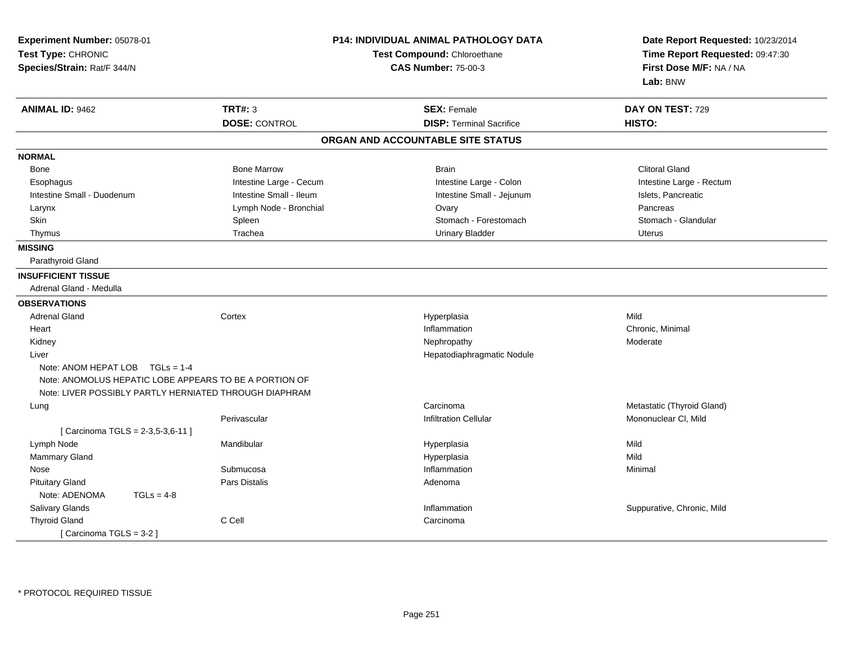| Experiment Number: 05078-01<br>Test Type: CHRONIC<br>Species/Strain: Rat/F 344/N                                                                    | <b>P14: INDIVIDUAL ANIMAL PATHOLOGY DATA</b><br>Test Compound: Chloroethane<br><b>CAS Number: 75-00-3</b> |                                   | Date Report Requested: 10/23/2014<br>Time Report Requested: 09:47:30<br>First Dose M/F: NA / NA<br>Lab: BNW |
|-----------------------------------------------------------------------------------------------------------------------------------------------------|-----------------------------------------------------------------------------------------------------------|-----------------------------------|-------------------------------------------------------------------------------------------------------------|
| <b>ANIMAL ID: 9462</b>                                                                                                                              | <b>TRT#: 3</b>                                                                                            | <b>SEX: Female</b>                | DAY ON TEST: 729                                                                                            |
|                                                                                                                                                     | <b>DOSE: CONTROL</b>                                                                                      | <b>DISP: Terminal Sacrifice</b>   | HISTO:                                                                                                      |
|                                                                                                                                                     |                                                                                                           | ORGAN AND ACCOUNTABLE SITE STATUS |                                                                                                             |
| <b>NORMAL</b>                                                                                                                                       |                                                                                                           |                                   |                                                                                                             |
| Bone                                                                                                                                                | <b>Bone Marrow</b>                                                                                        | <b>Brain</b>                      | <b>Clitoral Gland</b>                                                                                       |
| Esophagus                                                                                                                                           | Intestine Large - Cecum                                                                                   | Intestine Large - Colon           | Intestine Large - Rectum                                                                                    |
| Intestine Small - Duodenum                                                                                                                          | Intestine Small - Ileum                                                                                   | Intestine Small - Jejunum         | Islets, Pancreatic                                                                                          |
| Larynx                                                                                                                                              | Lymph Node - Bronchial                                                                                    | Ovary                             | Pancreas                                                                                                    |
| Skin                                                                                                                                                | Spleen                                                                                                    | Stomach - Forestomach             | Stomach - Glandular                                                                                         |
| Thymus                                                                                                                                              | Trachea                                                                                                   | <b>Urinary Bladder</b>            | <b>Uterus</b>                                                                                               |
| <b>MISSING</b>                                                                                                                                      |                                                                                                           |                                   |                                                                                                             |
| Parathyroid Gland                                                                                                                                   |                                                                                                           |                                   |                                                                                                             |
| <b>INSUFFICIENT TISSUE</b>                                                                                                                          |                                                                                                           |                                   |                                                                                                             |
| Adrenal Gland - Medulla                                                                                                                             |                                                                                                           |                                   |                                                                                                             |
| <b>OBSERVATIONS</b>                                                                                                                                 |                                                                                                           |                                   |                                                                                                             |
| <b>Adrenal Gland</b>                                                                                                                                | Cortex                                                                                                    | Hyperplasia                       | Mild                                                                                                        |
| Heart                                                                                                                                               |                                                                                                           | Inflammation                      | Chronic, Minimal                                                                                            |
| Kidney                                                                                                                                              |                                                                                                           | Nephropathy                       | Moderate                                                                                                    |
| Liver                                                                                                                                               |                                                                                                           | Hepatodiaphragmatic Nodule        |                                                                                                             |
| Note: ANOM HEPAT LOB TGLs = 1-4<br>Note: ANOMOLUS HEPATIC LOBE APPEARS TO BE A PORTION OF<br>Note: LIVER POSSIBLY PARTLY HERNIATED THROUGH DIAPHRAM |                                                                                                           |                                   |                                                                                                             |
| Lung                                                                                                                                                |                                                                                                           | Carcinoma                         | Metastatic (Thyroid Gland)                                                                                  |
|                                                                                                                                                     | Perivascular                                                                                              | <b>Infiltration Cellular</b>      | Mononuclear CI, Mild                                                                                        |
| [ Carcinoma TGLS = 2-3,5-3,6-11 ]                                                                                                                   |                                                                                                           |                                   |                                                                                                             |
| Lymph Node                                                                                                                                          | Mandibular                                                                                                | Hyperplasia                       | Mild                                                                                                        |
| Mammary Gland                                                                                                                                       |                                                                                                           | Hyperplasia                       | Mild                                                                                                        |
| Nose                                                                                                                                                | Submucosa                                                                                                 | Inflammation                      | Minimal                                                                                                     |
| <b>Pituitary Gland</b>                                                                                                                              | Pars Distalis                                                                                             | Adenoma                           |                                                                                                             |
| Note: ADENOMA<br>$TGLs = 4-8$                                                                                                                       |                                                                                                           |                                   |                                                                                                             |
| Salivary Glands                                                                                                                                     |                                                                                                           | Inflammation                      | Suppurative, Chronic, Mild                                                                                  |
| <b>Thyroid Gland</b>                                                                                                                                | C Cell                                                                                                    | Carcinoma                         |                                                                                                             |
| [Carcinoma TGLS = 3-2]                                                                                                                              |                                                                                                           |                                   |                                                                                                             |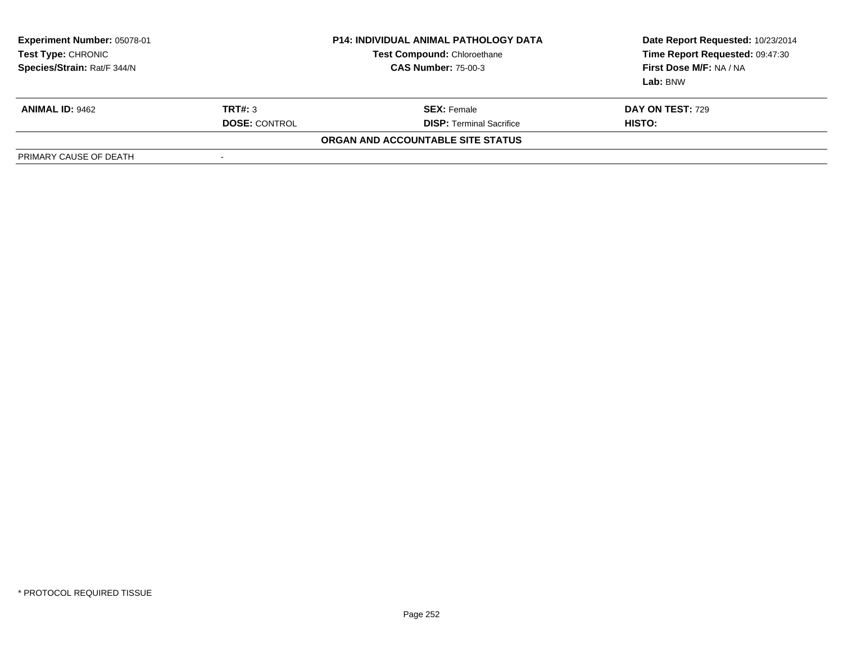| <b>Experiment Number: 05078-01</b><br><b>Test Type: CHRONIC</b><br>Species/Strain: Rat/F 344/N |                          | <b>P14: INDIVIDUAL ANIMAL PATHOLOGY DATA</b><br><b>Test Compound: Chloroethane</b><br><b>CAS Number: 75-00-3</b> | Date Report Requested: 10/23/2014<br>Time Report Requested: 09:47:30<br>First Dose M/F: NA / NA<br>Lab: BNW |
|------------------------------------------------------------------------------------------------|--------------------------|------------------------------------------------------------------------------------------------------------------|-------------------------------------------------------------------------------------------------------------|
| <b>ANIMAL ID: 9462</b>                                                                         | TRT#: 3                  | <b>SEX:</b> Female                                                                                               | <b>DAY ON TEST: 729</b>                                                                                     |
|                                                                                                | <b>DOSE: CONTROL</b>     | <b>DISP: Terminal Sacrifice</b>                                                                                  | <b>HISTO:</b>                                                                                               |
|                                                                                                |                          | ORGAN AND ACCOUNTABLE SITE STATUS                                                                                |                                                                                                             |
| PRIMARY CAUSE OF DEATH                                                                         | $\overline{\phantom{a}}$ |                                                                                                                  |                                                                                                             |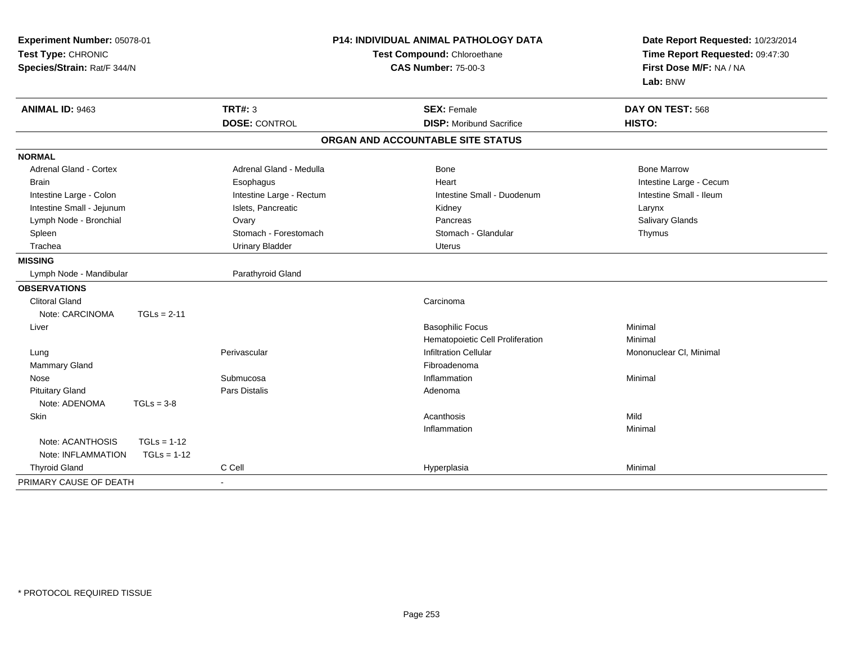| Experiment Number: 05078-01<br>Test Type: CHRONIC<br>Species/Strain: Rat/F 344/N |                          | <b>P14: INDIVIDUAL ANIMAL PATHOLOGY DATA</b><br>Test Compound: Chloroethane<br><b>CAS Number: 75-00-3</b> | Date Report Requested: 10/23/2014<br>Time Report Requested: 09:47:30<br>First Dose M/F: NA / NA<br>Lab: BNW |
|----------------------------------------------------------------------------------|--------------------------|-----------------------------------------------------------------------------------------------------------|-------------------------------------------------------------------------------------------------------------|
| ANIMAL ID: 9463                                                                  | <b>TRT#: 3</b>           | <b>SEX: Female</b>                                                                                        | DAY ON TEST: 568                                                                                            |
|                                                                                  | <b>DOSE: CONTROL</b>     | <b>DISP:</b> Moribund Sacrifice                                                                           | HISTO:                                                                                                      |
|                                                                                  |                          | ORGAN AND ACCOUNTABLE SITE STATUS                                                                         |                                                                                                             |
| <b>NORMAL</b>                                                                    |                          |                                                                                                           |                                                                                                             |
| <b>Adrenal Gland - Cortex</b>                                                    | Adrenal Gland - Medulla  | Bone                                                                                                      | <b>Bone Marrow</b>                                                                                          |
| <b>Brain</b>                                                                     | Esophagus                | Heart                                                                                                     | Intestine Large - Cecum                                                                                     |
| Intestine Large - Colon                                                          | Intestine Large - Rectum | Intestine Small - Duodenum                                                                                | Intestine Small - Ileum                                                                                     |
| Intestine Small - Jejunum                                                        | Islets, Pancreatic       | Kidney                                                                                                    | Larynx                                                                                                      |
| Lymph Node - Bronchial                                                           | Ovary                    | Pancreas                                                                                                  | Salivary Glands                                                                                             |
| Spleen                                                                           | Stomach - Forestomach    | Stomach - Glandular                                                                                       | Thymus                                                                                                      |
| Trachea                                                                          | <b>Urinary Bladder</b>   | <b>Uterus</b>                                                                                             |                                                                                                             |
| <b>MISSING</b>                                                                   |                          |                                                                                                           |                                                                                                             |
| Lymph Node - Mandibular                                                          | Parathyroid Gland        |                                                                                                           |                                                                                                             |
| <b>OBSERVATIONS</b>                                                              |                          |                                                                                                           |                                                                                                             |
| <b>Clitoral Gland</b>                                                            |                          | Carcinoma                                                                                                 |                                                                                                             |
| Note: CARCINOMA<br>$TGLs = 2-11$                                                 |                          |                                                                                                           |                                                                                                             |
| Liver                                                                            |                          | <b>Basophilic Focus</b>                                                                                   | Minimal                                                                                                     |
|                                                                                  |                          | Hematopoietic Cell Proliferation                                                                          | Minimal                                                                                                     |
| Lung                                                                             | Perivascular             | <b>Infiltration Cellular</b>                                                                              | Mononuclear CI, Minimal                                                                                     |
| <b>Mammary Gland</b>                                                             |                          | Fibroadenoma                                                                                              |                                                                                                             |
| Nose                                                                             | Submucosa                | Inflammation                                                                                              | Minimal                                                                                                     |
| <b>Pituitary Gland</b>                                                           | <b>Pars Distalis</b>     | Adenoma                                                                                                   |                                                                                                             |
| Note: ADENOMA<br>$TGLs = 3-8$                                                    |                          |                                                                                                           |                                                                                                             |
| Skin                                                                             |                          | Acanthosis                                                                                                | Mild                                                                                                        |
|                                                                                  |                          | Inflammation                                                                                              | Minimal                                                                                                     |
| Note: ACANTHOSIS<br>$TGLs = 1-12$                                                |                          |                                                                                                           |                                                                                                             |
| Note: INFLAMMATION<br>$TGLs = 1-12$                                              |                          |                                                                                                           |                                                                                                             |
| <b>Thyroid Gland</b>                                                             | C Cell                   | Hyperplasia                                                                                               | Minimal                                                                                                     |
| PRIMARY CAUSE OF DEATH                                                           |                          |                                                                                                           |                                                                                                             |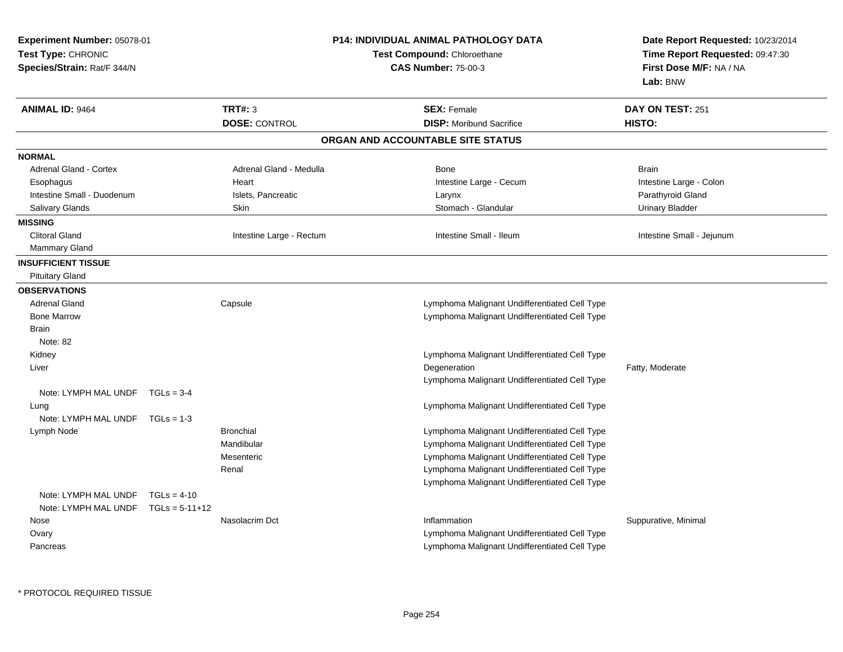| Experiment Number: 05078-01<br>Test Type: CHRONIC<br>Species/Strain: Rat/F 344/N |               |                          | <b>P14: INDIVIDUAL ANIMAL PATHOLOGY DATA</b><br>Test Compound: Chloroethane<br><b>CAS Number: 75-00-3</b> | Date Report Requested: 10/23/2014<br>Time Report Requested: 09:47:30<br>First Dose M/F: NA / NA<br>Lab: BNW |
|----------------------------------------------------------------------------------|---------------|--------------------------|-----------------------------------------------------------------------------------------------------------|-------------------------------------------------------------------------------------------------------------|
| <b>ANIMAL ID: 9464</b>                                                           |               | <b>TRT#: 3</b>           | <b>SEX: Female</b>                                                                                        | DAY ON TEST: 251                                                                                            |
|                                                                                  |               | <b>DOSE: CONTROL</b>     | <b>DISP:</b> Moribund Sacrifice                                                                           | HISTO:                                                                                                      |
|                                                                                  |               |                          | ORGAN AND ACCOUNTABLE SITE STATUS                                                                         |                                                                                                             |
| <b>NORMAL</b>                                                                    |               |                          |                                                                                                           |                                                                                                             |
| Adrenal Gland - Cortex                                                           |               | Adrenal Gland - Medulla  | <b>Bone</b>                                                                                               | <b>Brain</b>                                                                                                |
| Esophagus                                                                        |               | Heart                    | Intestine Large - Cecum                                                                                   | Intestine Large - Colon                                                                                     |
| Intestine Small - Duodenum                                                       |               | Islets, Pancreatic       | Larynx                                                                                                    | Parathyroid Gland                                                                                           |
| Salivary Glands                                                                  |               | Skin                     | Stomach - Glandular                                                                                       | <b>Urinary Bladder</b>                                                                                      |
| <b>MISSING</b>                                                                   |               |                          |                                                                                                           |                                                                                                             |
| <b>Clitoral Gland</b>                                                            |               | Intestine Large - Rectum | Intestine Small - Ileum                                                                                   | Intestine Small - Jejunum                                                                                   |
| <b>Mammary Gland</b>                                                             |               |                          |                                                                                                           |                                                                                                             |
| <b>INSUFFICIENT TISSUE</b><br><b>Pituitary Gland</b>                             |               |                          |                                                                                                           |                                                                                                             |
| <b>OBSERVATIONS</b>                                                              |               |                          |                                                                                                           |                                                                                                             |
| <b>Adrenal Gland</b>                                                             |               | Capsule                  | Lymphoma Malignant Undifferentiated Cell Type                                                             |                                                                                                             |
| <b>Bone Marrow</b>                                                               |               |                          | Lymphoma Malignant Undifferentiated Cell Type                                                             |                                                                                                             |
| <b>Brain</b>                                                                     |               |                          |                                                                                                           |                                                                                                             |
| Note: 82                                                                         |               |                          |                                                                                                           |                                                                                                             |
| Kidney                                                                           |               |                          | Lymphoma Malignant Undifferentiated Cell Type                                                             |                                                                                                             |
| Liver                                                                            |               |                          | Degeneration                                                                                              | Fatty, Moderate                                                                                             |
|                                                                                  |               |                          | Lymphoma Malignant Undifferentiated Cell Type                                                             |                                                                                                             |
| Note: LYMPH MAL UNDF TGLs = 3-4                                                  |               |                          |                                                                                                           |                                                                                                             |
| Lung                                                                             |               |                          | Lymphoma Malignant Undifferentiated Cell Type                                                             |                                                                                                             |
| Note: LYMPH MAL UNDF TGLs = 1-3                                                  |               |                          |                                                                                                           |                                                                                                             |
| Lymph Node                                                                       |               | <b>Bronchial</b>         | Lymphoma Malignant Undifferentiated Cell Type                                                             |                                                                                                             |
|                                                                                  |               | Mandibular               | Lymphoma Malignant Undifferentiated Cell Type                                                             |                                                                                                             |
|                                                                                  |               | Mesenteric               | Lymphoma Malignant Undifferentiated Cell Type                                                             |                                                                                                             |
|                                                                                  |               | Renal                    | Lymphoma Malignant Undifferentiated Cell Type                                                             |                                                                                                             |
|                                                                                  |               |                          | Lymphoma Malignant Undifferentiated Cell Type                                                             |                                                                                                             |
| Note: LYMPH MAL UNDF                                                             | $TGLs = 4-10$ |                          |                                                                                                           |                                                                                                             |
| Note: LYMPH MAL UNDF $TGLs = 5-11+12$                                            |               |                          |                                                                                                           |                                                                                                             |
| Nose                                                                             |               | Nasolacrim Dct           | Inflammation                                                                                              | Suppurative, Minimal                                                                                        |
| Ovary                                                                            |               |                          | Lymphoma Malignant Undifferentiated Cell Type                                                             |                                                                                                             |
| Pancreas                                                                         |               |                          | Lymphoma Malignant Undifferentiated Cell Type                                                             |                                                                                                             |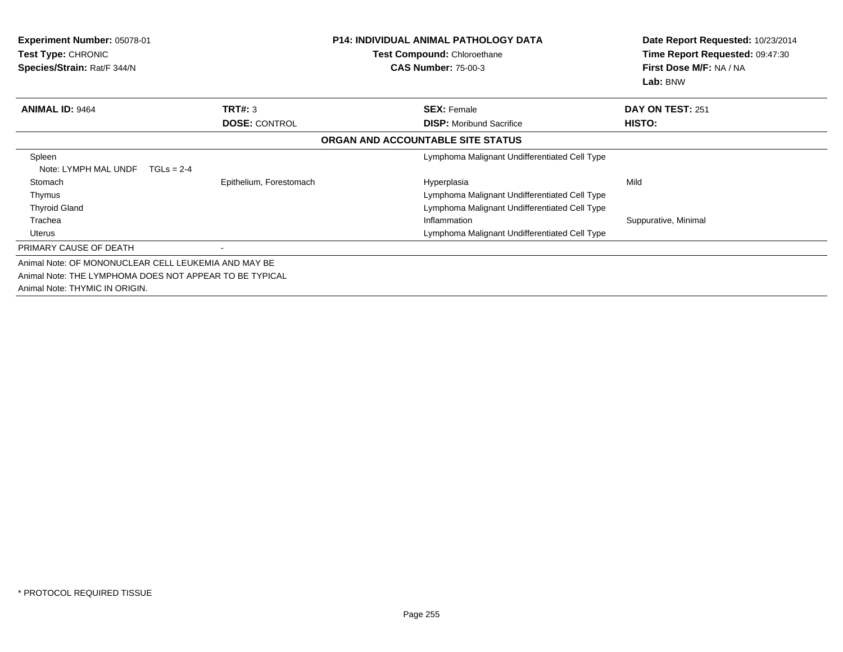| Experiment Number: 05078-01<br><b>Test Type: CHRONIC</b><br>Species/Strain: Rat/F 344/N |                         | <b>P14: INDIVIDUAL ANIMAL PATHOLOGY DATA</b><br><b>Test Compound: Chloroethane</b><br><b>CAS Number: 75-00-3</b> | Date Report Requested: 10/23/2014<br>Time Report Requested: 09:47:30<br>First Dose M/F: NA / NA<br>Lab: BNW |
|-----------------------------------------------------------------------------------------|-------------------------|------------------------------------------------------------------------------------------------------------------|-------------------------------------------------------------------------------------------------------------|
| <b>ANIMAL ID: 9464</b>                                                                  | TRT#: 3                 | <b>SEX: Female</b>                                                                                               | DAY ON TEST: 251                                                                                            |
|                                                                                         | <b>DOSE: CONTROL</b>    | <b>DISP:</b> Moribund Sacrifice                                                                                  | HISTO:                                                                                                      |
|                                                                                         |                         | ORGAN AND ACCOUNTABLE SITE STATUS                                                                                |                                                                                                             |
| Spleen<br>Note: LYMPH MAL UNDF<br>$TGLS = 2-4$                                          |                         | Lymphoma Malignant Undifferentiated Cell Type                                                                    |                                                                                                             |
| Stomach                                                                                 | Epithelium, Forestomach | Hyperplasia                                                                                                      | Mild                                                                                                        |
| Thymus                                                                                  |                         | Lymphoma Malignant Undifferentiated Cell Type                                                                    |                                                                                                             |
| <b>Thyroid Gland</b>                                                                    |                         | Lymphoma Malignant Undifferentiated Cell Type                                                                    |                                                                                                             |
| Trachea                                                                                 |                         | Inflammation                                                                                                     | Suppurative, Minimal                                                                                        |
| Uterus                                                                                  |                         | Lymphoma Malignant Undifferentiated Cell Type                                                                    |                                                                                                             |
| PRIMARY CAUSE OF DEATH                                                                  |                         |                                                                                                                  |                                                                                                             |
| Animal Note: OF MONONUCLEAR CELL LEUKEMIA AND MAY BE                                    |                         |                                                                                                                  |                                                                                                             |
| Animal Note: THE LYMPHOMA DOES NOT APPEAR TO BE TYPICAL                                 |                         |                                                                                                                  |                                                                                                             |
| Animal Note: THYMIC IN ORIGIN.                                                          |                         |                                                                                                                  |                                                                                                             |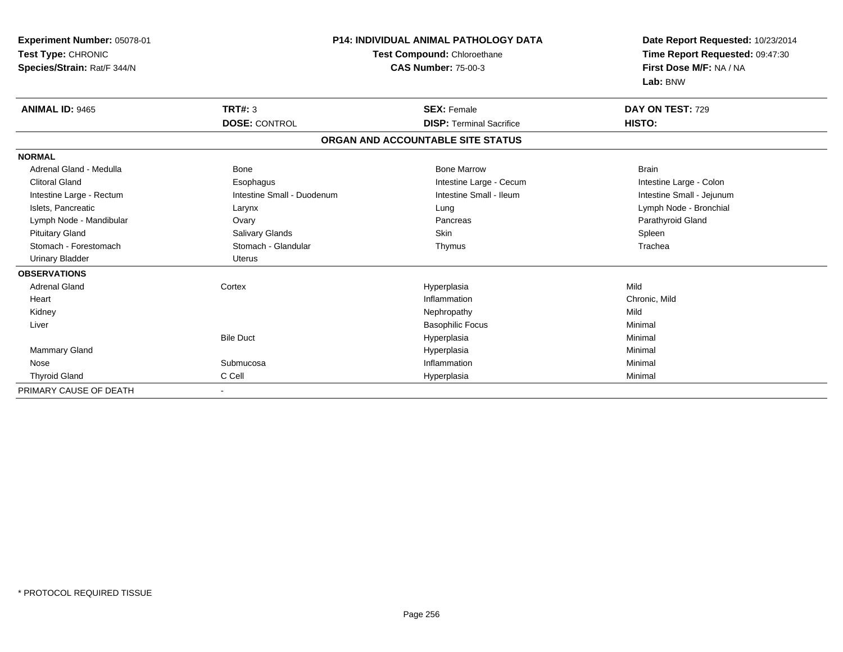| <b>P14: INDIVIDUAL ANIMAL PATHOLOGY DATA</b><br>Experiment Number: 05078-01<br>Test Type: CHRONIC<br>Test Compound: Chloroethane<br><b>CAS Number: 75-00-3</b><br>Species/Strain: Rat/F 344/N |                            |                                   | Date Report Requested: 10/23/2014<br>Time Report Requested: 09:47:30<br>First Dose M/F: NA / NA<br>Lab: BNW |  |
|-----------------------------------------------------------------------------------------------------------------------------------------------------------------------------------------------|----------------------------|-----------------------------------|-------------------------------------------------------------------------------------------------------------|--|
| <b>ANIMAL ID: 9465</b>                                                                                                                                                                        | TRT#: 3                    | <b>SEX: Female</b>                | DAY ON TEST: 729                                                                                            |  |
|                                                                                                                                                                                               | <b>DOSE: CONTROL</b>       | <b>DISP: Terminal Sacrifice</b>   | HISTO:                                                                                                      |  |
|                                                                                                                                                                                               |                            | ORGAN AND ACCOUNTABLE SITE STATUS |                                                                                                             |  |
| <b>NORMAL</b>                                                                                                                                                                                 |                            |                                   |                                                                                                             |  |
| Adrenal Gland - Medulla                                                                                                                                                                       | Bone                       | <b>Bone Marrow</b>                | <b>Brain</b>                                                                                                |  |
| <b>Clitoral Gland</b>                                                                                                                                                                         | Esophagus                  | Intestine Large - Cecum           | Intestine Large - Colon                                                                                     |  |
| Intestine Large - Rectum                                                                                                                                                                      | Intestine Small - Duodenum | Intestine Small - Ileum           | Intestine Small - Jejunum                                                                                   |  |
| Islets, Pancreatic                                                                                                                                                                            | Larynx                     | Lung                              | Lymph Node - Bronchial                                                                                      |  |
| Lymph Node - Mandibular                                                                                                                                                                       | Ovary                      | Pancreas                          | Parathyroid Gland                                                                                           |  |
| <b>Pituitary Gland</b>                                                                                                                                                                        | Salivary Glands            | Skin                              | Spleen                                                                                                      |  |
| Stomach - Forestomach                                                                                                                                                                         | Stomach - Glandular        | Thymus                            | Trachea                                                                                                     |  |
| <b>Urinary Bladder</b>                                                                                                                                                                        | <b>Uterus</b>              |                                   |                                                                                                             |  |
| <b>OBSERVATIONS</b>                                                                                                                                                                           |                            |                                   |                                                                                                             |  |
| <b>Adrenal Gland</b>                                                                                                                                                                          | Cortex                     | Hyperplasia                       | Mild                                                                                                        |  |
| Heart                                                                                                                                                                                         |                            | Inflammation                      | Chronic, Mild                                                                                               |  |
| Kidney                                                                                                                                                                                        |                            | Nephropathy                       | Mild                                                                                                        |  |
| Liver                                                                                                                                                                                         |                            | <b>Basophilic Focus</b>           | Minimal                                                                                                     |  |
|                                                                                                                                                                                               | <b>Bile Duct</b>           | Hyperplasia                       | Minimal                                                                                                     |  |
| <b>Mammary Gland</b>                                                                                                                                                                          |                            | Hyperplasia                       | Minimal                                                                                                     |  |
| Nose                                                                                                                                                                                          | Submucosa                  | Inflammation                      | Minimal                                                                                                     |  |
| <b>Thyroid Gland</b>                                                                                                                                                                          | C Cell                     | Hyperplasia                       | Minimal                                                                                                     |  |
| PRIMARY CAUSE OF DEATH                                                                                                                                                                        |                            |                                   |                                                                                                             |  |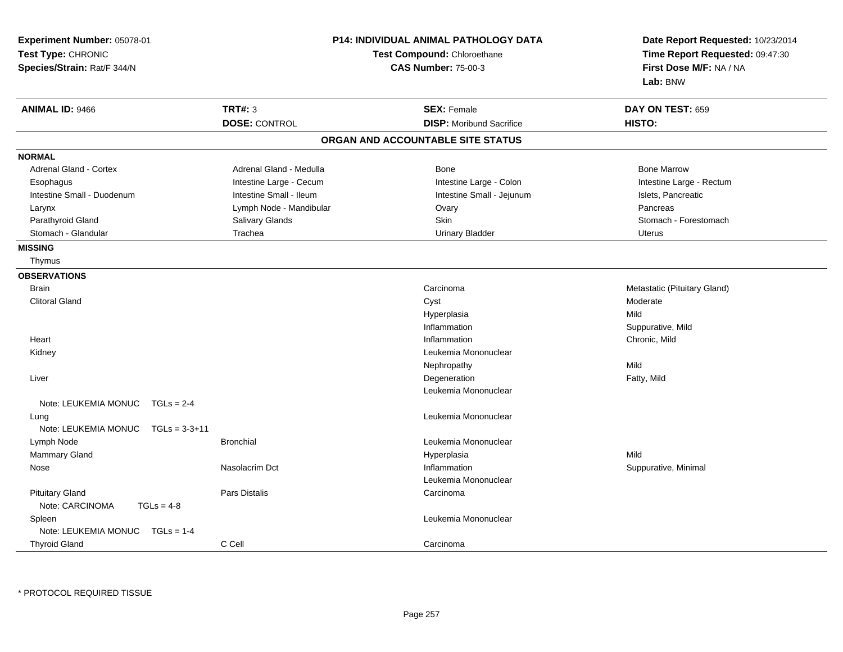| Experiment Number: 05078-01<br>Test Type: CHRONIC<br>Species/Strain: Rat/F 344/N |                         | <b>P14: INDIVIDUAL ANIMAL PATHOLOGY DATA</b><br>Test Compound: Chloroethane<br><b>CAS Number: 75-00-3</b> | Date Report Requested: 10/23/2014<br>Time Report Requested: 09:47:30<br>First Dose M/F: NA / NA<br>Lab: BNW |
|----------------------------------------------------------------------------------|-------------------------|-----------------------------------------------------------------------------------------------------------|-------------------------------------------------------------------------------------------------------------|
| <b>ANIMAL ID: 9466</b>                                                           | <b>TRT#: 3</b>          | <b>SEX: Female</b>                                                                                        | DAY ON TEST: 659                                                                                            |
|                                                                                  | <b>DOSE: CONTROL</b>    | <b>DISP:</b> Moribund Sacrifice                                                                           | HISTO:                                                                                                      |
|                                                                                  |                         | ORGAN AND ACCOUNTABLE SITE STATUS                                                                         |                                                                                                             |
| <b>NORMAL</b>                                                                    |                         |                                                                                                           |                                                                                                             |
| <b>Adrenal Gland - Cortex</b>                                                    | Adrenal Gland - Medulla | Bone                                                                                                      | <b>Bone Marrow</b>                                                                                          |
| Esophagus                                                                        | Intestine Large - Cecum | Intestine Large - Colon                                                                                   | Intestine Large - Rectum                                                                                    |
| Intestine Small - Duodenum                                                       | Intestine Small - Ileum | Intestine Small - Jejunum                                                                                 | Islets, Pancreatic                                                                                          |
| Larynx                                                                           | Lymph Node - Mandibular | Ovary                                                                                                     | Pancreas                                                                                                    |
| Parathyroid Gland                                                                | Salivary Glands         | <b>Skin</b>                                                                                               | Stomach - Forestomach                                                                                       |
| Stomach - Glandular                                                              | Trachea                 | <b>Urinary Bladder</b>                                                                                    | Uterus                                                                                                      |
| <b>MISSING</b>                                                                   |                         |                                                                                                           |                                                                                                             |
| Thymus                                                                           |                         |                                                                                                           |                                                                                                             |
| <b>OBSERVATIONS</b>                                                              |                         |                                                                                                           |                                                                                                             |
| <b>Brain</b>                                                                     |                         | Carcinoma                                                                                                 | Metastatic (Pituitary Gland)                                                                                |
| <b>Clitoral Gland</b>                                                            |                         | Cyst                                                                                                      | Moderate                                                                                                    |
|                                                                                  |                         | Hyperplasia                                                                                               | Mild                                                                                                        |
|                                                                                  |                         | Inflammation                                                                                              | Suppurative, Mild                                                                                           |
| Heart                                                                            |                         | Inflammation                                                                                              | Chronic, Mild                                                                                               |
| Kidney                                                                           |                         | Leukemia Mononuclear                                                                                      |                                                                                                             |
|                                                                                  |                         | Nephropathy                                                                                               | Mild                                                                                                        |
| Liver                                                                            |                         | Degeneration                                                                                              | Fatty, Mild                                                                                                 |
|                                                                                  |                         | Leukemia Mononuclear                                                                                      |                                                                                                             |
| Note: LEUKEMIA MONUC<br>$TGLs = 2-4$                                             |                         |                                                                                                           |                                                                                                             |
| Lung<br>Note: LEUKEMIA MONUC<br>$TGLs = 3-3+11$                                  |                         | Leukemia Mononuclear                                                                                      |                                                                                                             |
| Lymph Node                                                                       | <b>Bronchial</b>        | Leukemia Mononuclear                                                                                      |                                                                                                             |
| Mammary Gland                                                                    |                         | Hyperplasia                                                                                               | Mild                                                                                                        |
| Nose                                                                             | Nasolacrim Dct          | Inflammation                                                                                              | Suppurative, Minimal                                                                                        |
|                                                                                  |                         | Leukemia Mononuclear                                                                                      |                                                                                                             |
| <b>Pituitary Gland</b><br>Note: CARCINOMA<br>$TGLs = 4-8$                        | Pars Distalis           | Carcinoma                                                                                                 |                                                                                                             |
| Spleen<br>Note: LEUKEMIA MONUC<br>$TGLs = 1-4$                                   |                         | Leukemia Mononuclear                                                                                      |                                                                                                             |
| <b>Thyroid Gland</b>                                                             | C Cell                  | Carcinoma                                                                                                 |                                                                                                             |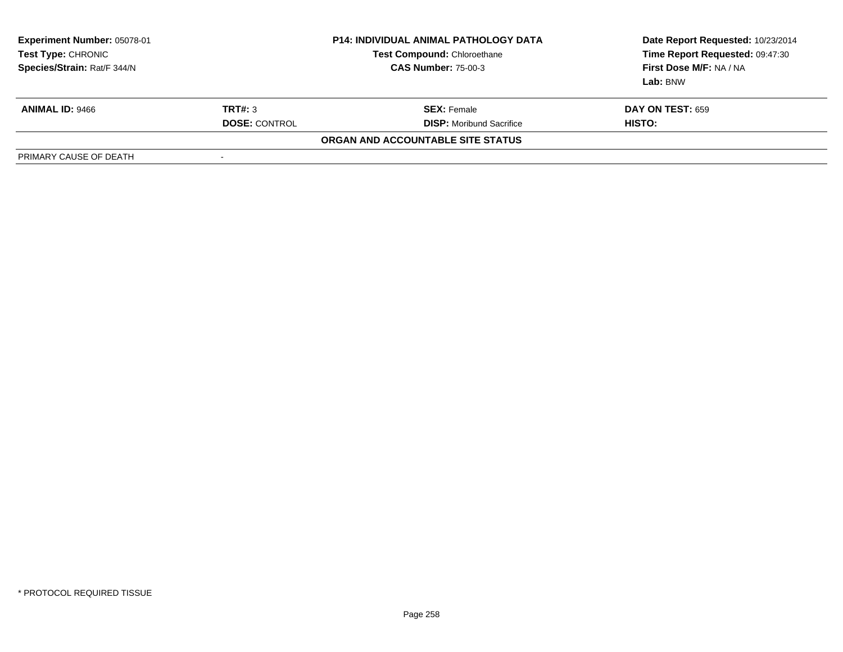| Experiment Number: 05078-01<br>Test Type: CHRONIC<br>Species/Strain: Rat/F 344/N |                      | <b>P14: INDIVIDUAL ANIMAL PATHOLOGY DATA</b><br><b>Test Compound: Chloroethane</b><br><b>CAS Number: 75-00-3</b> | Date Report Requested: 10/23/2014<br>Time Report Requested: 09:47:30<br>First Dose M/F: NA / NA<br>Lab: BNW |
|----------------------------------------------------------------------------------|----------------------|------------------------------------------------------------------------------------------------------------------|-------------------------------------------------------------------------------------------------------------|
| <b>ANIMAL ID: 9466</b>                                                           | TRT#: 3              | <b>SEX:</b> Female                                                                                               | <b>DAY ON TEST: 659</b>                                                                                     |
|                                                                                  | <b>DOSE: CONTROL</b> | <b>DISP:</b> Moribund Sacrifice                                                                                  | HISTO:                                                                                                      |
|                                                                                  |                      | ORGAN AND ACCOUNTABLE SITE STATUS                                                                                |                                                                                                             |
| PRIMARY CAUSE OF DEATH                                                           | -                    |                                                                                                                  |                                                                                                             |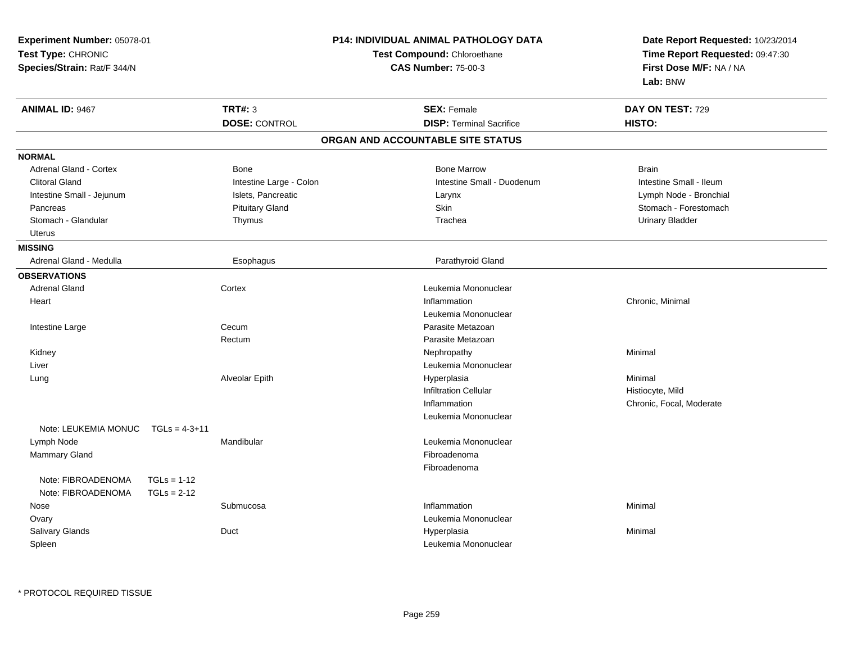| Experiment Number: 05078-01<br>Test Type: CHRONIC<br>Species/Strain: Rat/F 344/N |                         | <b>P14: INDIVIDUAL ANIMAL PATHOLOGY DATA</b><br>Test Compound: Chloroethane<br><b>CAS Number: 75-00-3</b> | Date Report Requested: 10/23/2014<br>Time Report Requested: 09:47:30<br>First Dose M/F: NA / NA<br>Lab: BNW |  |
|----------------------------------------------------------------------------------|-------------------------|-----------------------------------------------------------------------------------------------------------|-------------------------------------------------------------------------------------------------------------|--|
| <b>ANIMAL ID: 9467</b>                                                           | <b>TRT#: 3</b>          | <b>SEX: Female</b>                                                                                        | DAY ON TEST: 729                                                                                            |  |
|                                                                                  | <b>DOSE: CONTROL</b>    | <b>DISP: Terminal Sacrifice</b>                                                                           | HISTO:                                                                                                      |  |
|                                                                                  |                         | ORGAN AND ACCOUNTABLE SITE STATUS                                                                         |                                                                                                             |  |
| <b>NORMAL</b>                                                                    |                         |                                                                                                           |                                                                                                             |  |
| <b>Adrenal Gland - Cortex</b>                                                    | <b>Bone</b>             | <b>Bone Marrow</b>                                                                                        | <b>Brain</b>                                                                                                |  |
| <b>Clitoral Gland</b>                                                            | Intestine Large - Colon | Intestine Small - Duodenum                                                                                | Intestine Small - Ileum                                                                                     |  |
| Intestine Small - Jejunum                                                        | Islets, Pancreatic      | Larynx                                                                                                    | Lymph Node - Bronchial                                                                                      |  |
| Pancreas                                                                         | <b>Pituitary Gland</b>  | Skin                                                                                                      | Stomach - Forestomach                                                                                       |  |
| Stomach - Glandular                                                              | Thymus                  | Trachea                                                                                                   | <b>Urinary Bladder</b>                                                                                      |  |
| <b>Uterus</b>                                                                    |                         |                                                                                                           |                                                                                                             |  |
| <b>MISSING</b>                                                                   |                         |                                                                                                           |                                                                                                             |  |
| Adrenal Gland - Medulla                                                          | Esophagus               | Parathyroid Gland                                                                                         |                                                                                                             |  |
| <b>OBSERVATIONS</b>                                                              |                         |                                                                                                           |                                                                                                             |  |
| <b>Adrenal Gland</b>                                                             | Cortex                  | Leukemia Mononuclear                                                                                      |                                                                                                             |  |
| Heart                                                                            |                         | Inflammation                                                                                              | Chronic, Minimal                                                                                            |  |
|                                                                                  |                         | Leukemia Mononuclear                                                                                      |                                                                                                             |  |
| Intestine Large                                                                  | Cecum                   | Parasite Metazoan                                                                                         |                                                                                                             |  |
|                                                                                  | Rectum                  | Parasite Metazoan                                                                                         |                                                                                                             |  |
| Kidney                                                                           |                         | Nephropathy                                                                                               | Minimal                                                                                                     |  |
| Liver                                                                            |                         | Leukemia Mononuclear                                                                                      |                                                                                                             |  |
| Lung                                                                             | Alveolar Epith          | Hyperplasia                                                                                               | Minimal                                                                                                     |  |
|                                                                                  |                         | <b>Infiltration Cellular</b>                                                                              | Histiocyte, Mild                                                                                            |  |
|                                                                                  |                         | Inflammation                                                                                              | Chronic, Focal, Moderate                                                                                    |  |
|                                                                                  |                         | Leukemia Mononuclear                                                                                      |                                                                                                             |  |
| Note: LEUKEMIA MONUC<br>$TGLs = 4-3+11$                                          |                         |                                                                                                           |                                                                                                             |  |
| Lymph Node                                                                       | Mandibular              | Leukemia Mononuclear                                                                                      |                                                                                                             |  |
| Mammary Gland                                                                    |                         | Fibroadenoma                                                                                              |                                                                                                             |  |
|                                                                                  |                         | Fibroadenoma                                                                                              |                                                                                                             |  |
| Note: FIBROADENOMA<br>$TGLs = 1-12$                                              |                         |                                                                                                           |                                                                                                             |  |
| Note: FIBROADENOMA<br>$TGLs = 2-12$                                              |                         |                                                                                                           |                                                                                                             |  |
| Nose                                                                             | Submucosa               | Inflammation                                                                                              | Minimal                                                                                                     |  |
| Ovary                                                                            |                         | Leukemia Mononuclear                                                                                      |                                                                                                             |  |
| Salivary Glands                                                                  | Duct                    | Hyperplasia                                                                                               | Minimal                                                                                                     |  |
| Spleen                                                                           |                         | Leukemia Mononuclear                                                                                      |                                                                                                             |  |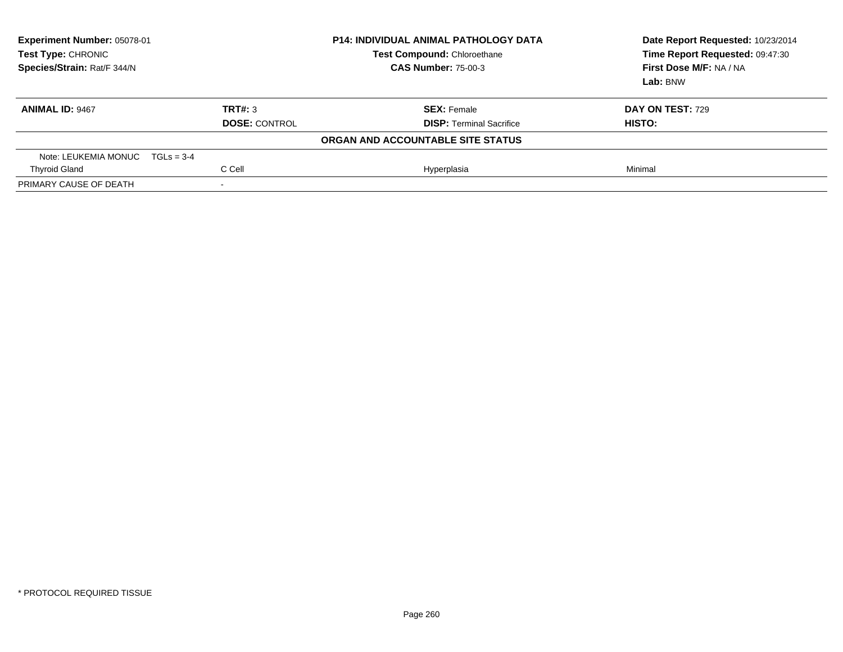| Experiment Number: 05078-01<br><b>Test Type: CHRONIC</b><br>Species/Strain: Rat/F 344/N |                      | <b>P14: INDIVIDUAL ANIMAL PATHOLOGY DATA</b><br><b>Test Compound: Chloroethane</b><br><b>CAS Number: 75-00-3</b> | Date Report Requested: 10/23/2014<br>Time Report Requested: 09:47:30<br>First Dose M/F: NA / NA<br>Lab: BNW |
|-----------------------------------------------------------------------------------------|----------------------|------------------------------------------------------------------------------------------------------------------|-------------------------------------------------------------------------------------------------------------|
| <b>ANIMAL ID: 9467</b>                                                                  | TRT#: 3              | <b>SEX: Female</b>                                                                                               | <b>DAY ON TEST: 729</b>                                                                                     |
|                                                                                         | <b>DOSE: CONTROL</b> | <b>DISP: Terminal Sacrifice</b>                                                                                  | HISTO:                                                                                                      |
|                                                                                         |                      | ORGAN AND ACCOUNTABLE SITE STATUS                                                                                |                                                                                                             |
| Note: LEUKEMIA MONUC $TGLs = 3-4$                                                       |                      |                                                                                                                  |                                                                                                             |
| <b>Thyroid Gland</b>                                                                    | C Cell               | Hyperplasia                                                                                                      | Minimal                                                                                                     |
| PRIMARY CAUSE OF DEATH                                                                  | $\,$                 |                                                                                                                  |                                                                                                             |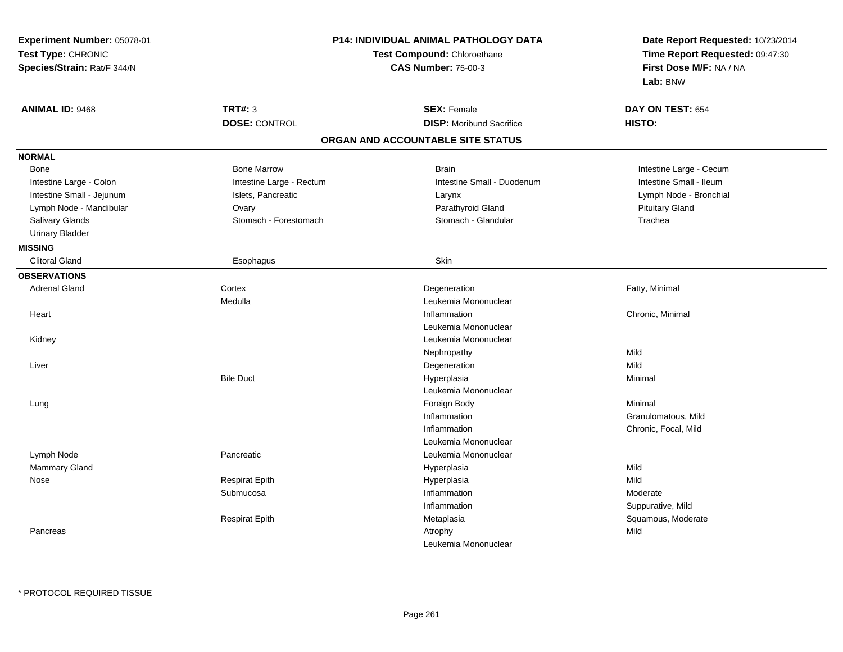| Experiment Number: 05078-01<br>Test Type: CHRONIC<br>Species/Strain: Rat/F 344/N |                          | P14: INDIVIDUAL ANIMAL PATHOLOGY DATA<br>Test Compound: Chloroethane<br><b>CAS Number: 75-00-3</b> | Date Report Requested: 10/23/2014<br>Time Report Requested: 09:47:30<br>First Dose M/F: NA / NA<br>Lab: BNW |
|----------------------------------------------------------------------------------|--------------------------|----------------------------------------------------------------------------------------------------|-------------------------------------------------------------------------------------------------------------|
| <b>ANIMAL ID: 9468</b>                                                           | <b>TRT#: 3</b>           | <b>SEX: Female</b>                                                                                 | DAY ON TEST: 654                                                                                            |
|                                                                                  | <b>DOSE: CONTROL</b>     | <b>DISP:</b> Moribund Sacrifice                                                                    | HISTO:                                                                                                      |
|                                                                                  |                          | ORGAN AND ACCOUNTABLE SITE STATUS                                                                  |                                                                                                             |
| <b>NORMAL</b>                                                                    |                          |                                                                                                    |                                                                                                             |
| Bone                                                                             | <b>Bone Marrow</b>       | <b>Brain</b>                                                                                       | Intestine Large - Cecum                                                                                     |
| Intestine Large - Colon                                                          | Intestine Large - Rectum | Intestine Small - Duodenum                                                                         | Intestine Small - Ileum                                                                                     |
| Intestine Small - Jejunum                                                        | Islets, Pancreatic       | Larynx                                                                                             | Lymph Node - Bronchial                                                                                      |
| Lymph Node - Mandibular                                                          | Ovary                    | Parathyroid Gland                                                                                  | <b>Pituitary Gland</b>                                                                                      |
| Salivary Glands                                                                  | Stomach - Forestomach    | Stomach - Glandular                                                                                | Trachea                                                                                                     |
| <b>Urinary Bladder</b>                                                           |                          |                                                                                                    |                                                                                                             |
| <b>MISSING</b>                                                                   |                          |                                                                                                    |                                                                                                             |
| <b>Clitoral Gland</b>                                                            | Esophagus                | Skin                                                                                               |                                                                                                             |
| <b>OBSERVATIONS</b>                                                              |                          |                                                                                                    |                                                                                                             |
| <b>Adrenal Gland</b>                                                             | Cortex                   | Degeneration                                                                                       | Fatty, Minimal                                                                                              |
|                                                                                  | Medulla                  | Leukemia Mononuclear                                                                               |                                                                                                             |
| Heart                                                                            |                          | Inflammation                                                                                       | Chronic, Minimal                                                                                            |
|                                                                                  |                          | Leukemia Mononuclear                                                                               |                                                                                                             |
| Kidney                                                                           |                          | Leukemia Mononuclear                                                                               |                                                                                                             |
|                                                                                  |                          | Nephropathy                                                                                        | Mild                                                                                                        |
| Liver                                                                            |                          | Degeneration                                                                                       | Mild                                                                                                        |
|                                                                                  | <b>Bile Duct</b>         | Hyperplasia                                                                                        | Minimal                                                                                                     |
|                                                                                  |                          | Leukemia Mononuclear                                                                               |                                                                                                             |
| Lung                                                                             |                          | Foreign Body                                                                                       | Minimal                                                                                                     |
|                                                                                  |                          | Inflammation                                                                                       | Granulomatous, Mild                                                                                         |
|                                                                                  |                          | Inflammation                                                                                       | Chronic, Focal, Mild                                                                                        |
|                                                                                  |                          | Leukemia Mononuclear                                                                               |                                                                                                             |
| Lymph Node                                                                       | Pancreatic               | Leukemia Mononuclear                                                                               |                                                                                                             |
| Mammary Gland                                                                    |                          | Hyperplasia                                                                                        | Mild                                                                                                        |
| Nose                                                                             | <b>Respirat Epith</b>    | Hyperplasia                                                                                        | Mild                                                                                                        |
|                                                                                  | Submucosa                | Inflammation                                                                                       | Moderate                                                                                                    |
|                                                                                  |                          | Inflammation                                                                                       | Suppurative, Mild                                                                                           |
|                                                                                  | <b>Respirat Epith</b>    | Metaplasia                                                                                         | Squamous, Moderate                                                                                          |
| Pancreas                                                                         |                          | Atrophy                                                                                            | Mild                                                                                                        |
|                                                                                  |                          | Leukemia Mononuclear                                                                               |                                                                                                             |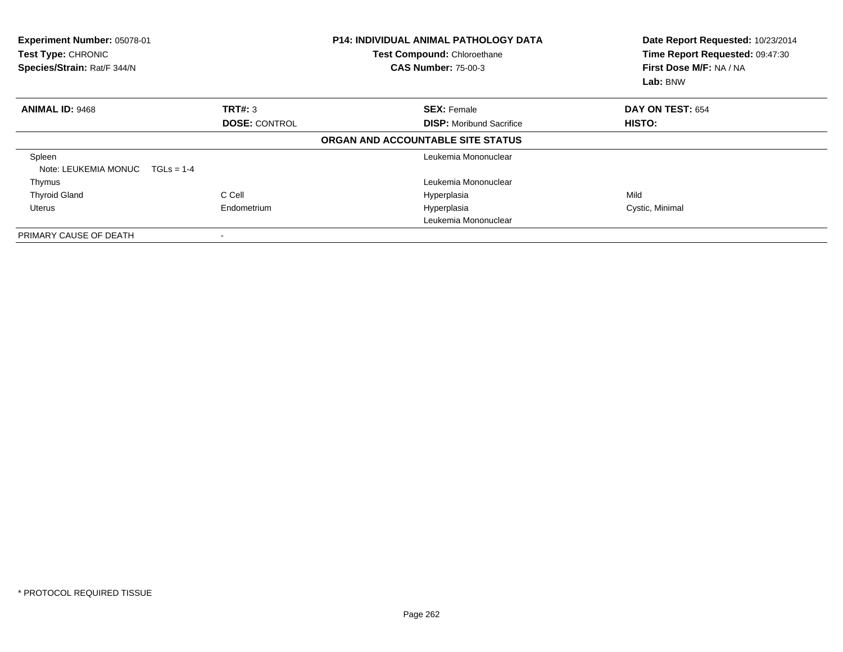| Experiment Number: 05078-01<br>Test Type: CHRONIC<br>Species/Strain: Rat/F 344/N | <b>P14: INDIVIDUAL ANIMAL PATHOLOGY DATA</b><br><b>Test Compound: Chloroethane</b><br><b>CAS Number: 75-00-3</b> |                                   | Date Report Requested: 10/23/2014<br>Time Report Requested: 09:47:30<br>First Dose M/F: NA / NA<br>Lab: BNW |  |
|----------------------------------------------------------------------------------|------------------------------------------------------------------------------------------------------------------|-----------------------------------|-------------------------------------------------------------------------------------------------------------|--|
| <b>ANIMAL ID: 9468</b>                                                           | TRT#: 3                                                                                                          | <b>SEX: Female</b>                | DAY ON TEST: 654                                                                                            |  |
|                                                                                  | <b>DOSE: CONTROL</b>                                                                                             | <b>DISP:</b> Moribund Sacrifice   | HISTO:                                                                                                      |  |
|                                                                                  |                                                                                                                  | ORGAN AND ACCOUNTABLE SITE STATUS |                                                                                                             |  |
| Spleen                                                                           |                                                                                                                  | Leukemia Mononuclear              |                                                                                                             |  |
| Note: LEUKEMIA MONUC                                                             | $TGLs = 1-4$                                                                                                     |                                   |                                                                                                             |  |
| Thymus                                                                           |                                                                                                                  | Leukemia Mononuclear              |                                                                                                             |  |
| <b>Thyroid Gland</b>                                                             | C Cell                                                                                                           | Hyperplasia                       | Mild                                                                                                        |  |
| Uterus                                                                           | Endometrium                                                                                                      | Hyperplasia                       | Cystic, Minimal                                                                                             |  |
|                                                                                  |                                                                                                                  | Leukemia Mononuclear              |                                                                                                             |  |
| PRIMARY CAUSE OF DEATH                                                           | $\overline{\phantom{a}}$                                                                                         |                                   |                                                                                                             |  |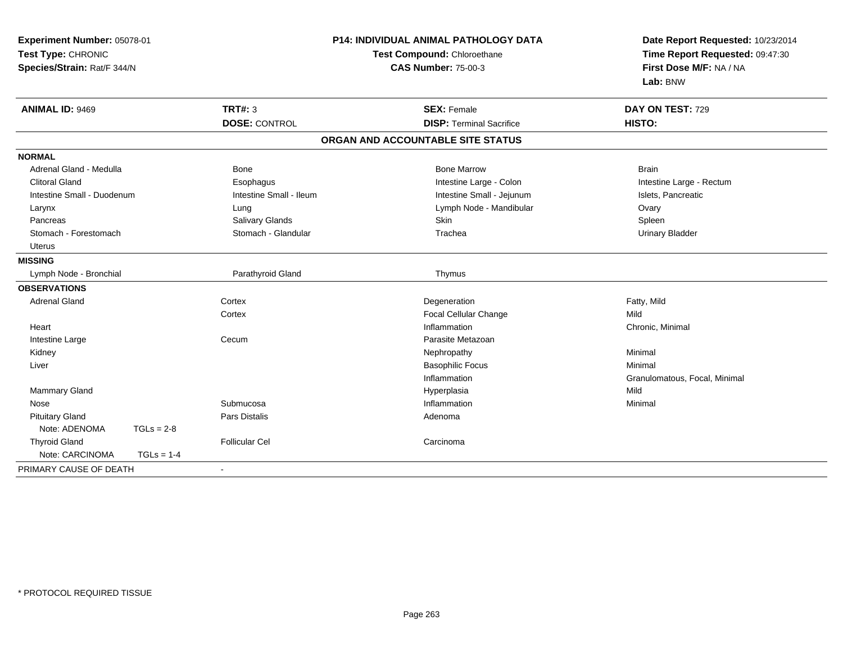| Experiment Number: 05078-01<br>Test Type: CHRONIC<br>Species/Strain: Rat/F 344/N |              |                         | <b>P14: INDIVIDUAL ANIMAL PATHOLOGY DATA</b><br>Test Compound: Chloroethane<br><b>CAS Number: 75-00-3</b> | Date Report Requested: 10/23/2014<br>Time Report Requested: 09:47:30<br>First Dose M/F: NA / NA<br>Lab: BNW |
|----------------------------------------------------------------------------------|--------------|-------------------------|-----------------------------------------------------------------------------------------------------------|-------------------------------------------------------------------------------------------------------------|
| <b>ANIMAL ID: 9469</b>                                                           |              | TRT#: 3                 | <b>SEX: Female</b>                                                                                        | DAY ON TEST: 729                                                                                            |
|                                                                                  |              | <b>DOSE: CONTROL</b>    | <b>DISP: Terminal Sacrifice</b>                                                                           | HISTO:                                                                                                      |
|                                                                                  |              |                         | ORGAN AND ACCOUNTABLE SITE STATUS                                                                         |                                                                                                             |
| <b>NORMAL</b>                                                                    |              |                         |                                                                                                           |                                                                                                             |
| Adrenal Gland - Medulla                                                          |              | <b>Bone</b>             | <b>Bone Marrow</b>                                                                                        | <b>Brain</b>                                                                                                |
| <b>Clitoral Gland</b>                                                            |              | Esophagus               | Intestine Large - Colon                                                                                   | Intestine Large - Rectum                                                                                    |
| Intestine Small - Duodenum                                                       |              | Intestine Small - Ileum | Intestine Small - Jejunum                                                                                 | Islets, Pancreatic                                                                                          |
| Larynx                                                                           |              | Lung                    | Lymph Node - Mandibular                                                                                   | Ovary                                                                                                       |
| Pancreas                                                                         |              | Salivary Glands         | Skin                                                                                                      | Spleen                                                                                                      |
| Stomach - Forestomach                                                            |              | Stomach - Glandular     | Trachea                                                                                                   | <b>Urinary Bladder</b>                                                                                      |
| Uterus                                                                           |              |                         |                                                                                                           |                                                                                                             |
| <b>MISSING</b>                                                                   |              |                         |                                                                                                           |                                                                                                             |
| Lymph Node - Bronchial                                                           |              | Parathyroid Gland       | Thymus                                                                                                    |                                                                                                             |
| <b>OBSERVATIONS</b>                                                              |              |                         |                                                                                                           |                                                                                                             |
| Adrenal Gland                                                                    |              | Cortex                  | Degeneration                                                                                              | Fatty, Mild                                                                                                 |
|                                                                                  |              | Cortex                  | Focal Cellular Change                                                                                     | Mild                                                                                                        |
| Heart                                                                            |              |                         | Inflammation                                                                                              | Chronic, Minimal                                                                                            |
| Intestine Large                                                                  |              | Cecum                   | Parasite Metazoan                                                                                         |                                                                                                             |
| Kidney                                                                           |              |                         | Nephropathy                                                                                               | Minimal                                                                                                     |
| Liver                                                                            |              |                         | <b>Basophilic Focus</b>                                                                                   | Minimal                                                                                                     |
|                                                                                  |              |                         | Inflammation                                                                                              | Granulomatous, Focal, Minimal                                                                               |
| Mammary Gland                                                                    |              |                         | Hyperplasia                                                                                               | Mild                                                                                                        |
| Nose                                                                             |              | Submucosa               | Inflammation                                                                                              | Minimal                                                                                                     |
| <b>Pituitary Gland</b>                                                           |              | Pars Distalis           | Adenoma                                                                                                   |                                                                                                             |
| Note: ADENOMA                                                                    | $TGLs = 2-8$ |                         |                                                                                                           |                                                                                                             |
| <b>Thyroid Gland</b>                                                             |              | <b>Follicular Cel</b>   | Carcinoma                                                                                                 |                                                                                                             |
| Note: CARCINOMA                                                                  | $TGLs = 1-4$ |                         |                                                                                                           |                                                                                                             |
| PRIMARY CAUSE OF DEATH                                                           |              |                         |                                                                                                           |                                                                                                             |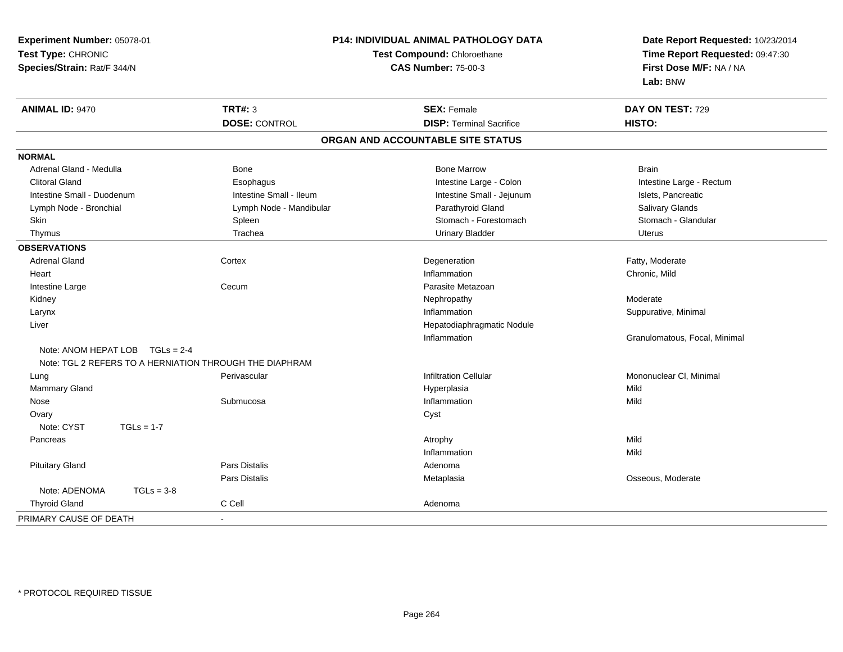| Experiment Number: 05078-01                             | <b>P14: INDIVIDUAL ANIMAL PATHOLOGY DATA</b> |                                   | Date Report Requested: 10/23/2014                          |
|---------------------------------------------------------|----------------------------------------------|-----------------------------------|------------------------------------------------------------|
| Test Type: CHRONIC                                      |                                              | Test Compound: Chloroethane       | Time Report Requested: 09:47:30<br>First Dose M/F: NA / NA |
| Species/Strain: Rat/F 344/N                             |                                              | <b>CAS Number: 75-00-3</b>        |                                                            |
|                                                         |                                              |                                   | Lab: BNW                                                   |
| <b>ANIMAL ID: 9470</b>                                  | <b>TRT#: 3</b>                               | <b>SEX: Female</b>                | DAY ON TEST: 729                                           |
|                                                         | <b>DOSE: CONTROL</b>                         | <b>DISP: Terminal Sacrifice</b>   | HISTO:                                                     |
|                                                         |                                              | ORGAN AND ACCOUNTABLE SITE STATUS |                                                            |
| <b>NORMAL</b>                                           |                                              |                                   |                                                            |
| Adrenal Gland - Medulla                                 | Bone                                         | <b>Bone Marrow</b>                | <b>Brain</b>                                               |
| <b>Clitoral Gland</b>                                   | Esophagus                                    | Intestine Large - Colon           | Intestine Large - Rectum                                   |
| Intestine Small - Duodenum                              | Intestine Small - Ileum                      | Intestine Small - Jejunum         | Islets, Pancreatic                                         |
| Lymph Node - Bronchial                                  | Lymph Node - Mandibular                      | Parathyroid Gland                 | Salivary Glands                                            |
| Skin                                                    | Spleen                                       | Stomach - Forestomach             | Stomach - Glandular                                        |
| Thymus                                                  | Trachea                                      | <b>Urinary Bladder</b>            | <b>Uterus</b>                                              |
| <b>OBSERVATIONS</b>                                     |                                              |                                   |                                                            |
| <b>Adrenal Gland</b>                                    | Cortex                                       | Degeneration                      | Fatty, Moderate                                            |
| Heart                                                   |                                              | Inflammation                      | Chronic, Mild                                              |
| Intestine Large                                         | Cecum                                        | Parasite Metazoan                 |                                                            |
| Kidney                                                  |                                              | Nephropathy                       | Moderate                                                   |
| Larynx                                                  |                                              | Inflammation                      | Suppurative, Minimal                                       |
| Liver                                                   |                                              | Hepatodiaphragmatic Nodule        |                                                            |
|                                                         |                                              | Inflammation                      | Granulomatous, Focal, Minimal                              |
| Note: ANOM HEPAT LOB TGLs = 2-4                         |                                              |                                   |                                                            |
| Note: TGL 2 REFERS TO A HERNIATION THROUGH THE DIAPHRAM |                                              |                                   |                                                            |
| Lung                                                    | Perivascular                                 | <b>Infiltration Cellular</b>      | Mononuclear CI, Minimal                                    |
| Mammary Gland                                           |                                              | Hyperplasia                       | Mild                                                       |
| Nose                                                    | Submucosa                                    | Inflammation                      | Mild                                                       |
| Ovary                                                   |                                              | Cyst                              |                                                            |
| Note: CYST<br>$TGLs = 1-7$                              |                                              |                                   |                                                            |
| Pancreas                                                |                                              | Atrophy                           | Mild                                                       |
|                                                         |                                              | Inflammation                      | Mild                                                       |
| <b>Pituitary Gland</b>                                  | Pars Distalis                                | Adenoma                           |                                                            |
|                                                         | Pars Distalis                                | Metaplasia                        | Osseous, Moderate                                          |
| Note: ADENOMA<br>$TGLs = 3-8$                           |                                              |                                   |                                                            |
| <b>Thyroid Gland</b>                                    | C Cell                                       | Adenoma                           |                                                            |
| PRIMARY CAUSE OF DEATH                                  | $\blacksquare$                               |                                   |                                                            |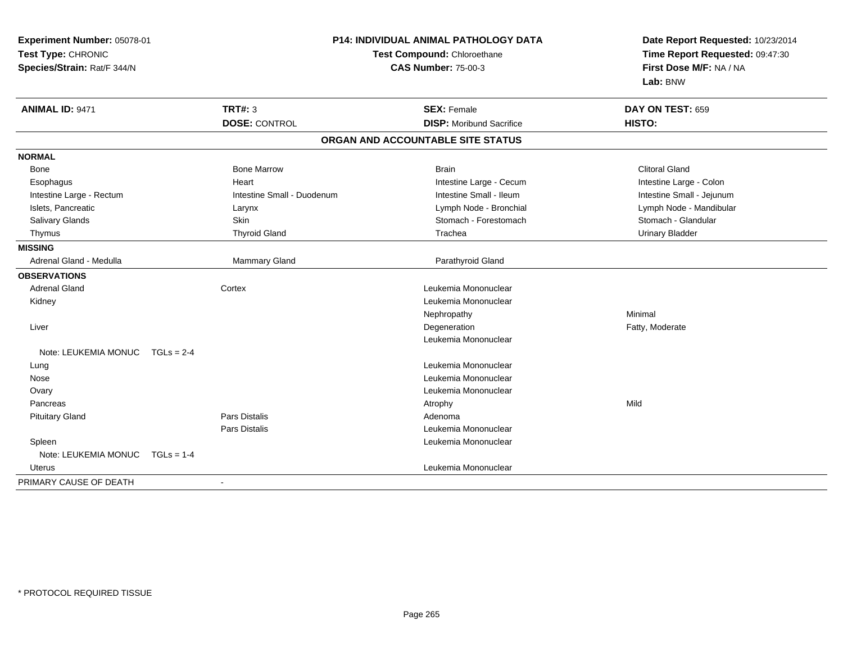| Experiment Number: 05078-01<br>Test Type: CHRONIC<br>Species/Strain: Rat/F 344/N |                            | <b>P14: INDIVIDUAL ANIMAL PATHOLOGY DATA</b><br>Test Compound: Chloroethane<br><b>CAS Number: 75-00-3</b> | Date Report Requested: 10/23/2014<br>Time Report Requested: 09:47:30<br>First Dose M/F: NA / NA<br>Lab: BNW |  |
|----------------------------------------------------------------------------------|----------------------------|-----------------------------------------------------------------------------------------------------------|-------------------------------------------------------------------------------------------------------------|--|
| <b>ANIMAL ID: 9471</b>                                                           | <b>TRT#: 3</b>             | <b>SEX: Female</b>                                                                                        | DAY ON TEST: 659                                                                                            |  |
|                                                                                  | <b>DOSE: CONTROL</b>       | <b>DISP:</b> Moribund Sacrifice                                                                           | <b>HISTO:</b>                                                                                               |  |
|                                                                                  |                            | ORGAN AND ACCOUNTABLE SITE STATUS                                                                         |                                                                                                             |  |
| <b>NORMAL</b>                                                                    |                            |                                                                                                           |                                                                                                             |  |
| Bone                                                                             | <b>Bone Marrow</b>         | <b>Brain</b>                                                                                              | <b>Clitoral Gland</b>                                                                                       |  |
| Esophagus                                                                        | Heart                      | Intestine Large - Cecum                                                                                   | Intestine Large - Colon                                                                                     |  |
| Intestine Large - Rectum                                                         | Intestine Small - Duodenum | Intestine Small - Ileum                                                                                   | Intestine Small - Jejunum                                                                                   |  |
| Islets, Pancreatic                                                               | Larynx                     | Lymph Node - Bronchial                                                                                    | Lymph Node - Mandibular                                                                                     |  |
| Salivary Glands                                                                  | Skin                       | Stomach - Forestomach                                                                                     | Stomach - Glandular                                                                                         |  |
| Thymus                                                                           | <b>Thyroid Gland</b>       | Trachea                                                                                                   | <b>Urinary Bladder</b>                                                                                      |  |
| <b>MISSING</b>                                                                   |                            |                                                                                                           |                                                                                                             |  |
| Adrenal Gland - Medulla                                                          | <b>Mammary Gland</b>       | Parathyroid Gland                                                                                         |                                                                                                             |  |
| <b>OBSERVATIONS</b>                                                              |                            |                                                                                                           |                                                                                                             |  |
| <b>Adrenal Gland</b>                                                             | Cortex                     | Leukemia Mononuclear                                                                                      |                                                                                                             |  |
| Kidney                                                                           |                            | Leukemia Mononuclear                                                                                      |                                                                                                             |  |
|                                                                                  |                            | Nephropathy                                                                                               | Minimal                                                                                                     |  |
| Liver                                                                            |                            | Degeneration                                                                                              | Fatty, Moderate                                                                                             |  |
|                                                                                  |                            | Leukemia Mononuclear                                                                                      |                                                                                                             |  |
| Note: LEUKEMIA MONUC                                                             | $TGLs = 2-4$               |                                                                                                           |                                                                                                             |  |
| Lung                                                                             |                            | Leukemia Mononuclear                                                                                      |                                                                                                             |  |
| Nose                                                                             |                            | Leukemia Mononuclear                                                                                      |                                                                                                             |  |
| Ovary                                                                            |                            | Leukemia Mononuclear                                                                                      |                                                                                                             |  |
| Pancreas                                                                         |                            | Atrophy                                                                                                   | Mild                                                                                                        |  |
| <b>Pituitary Gland</b>                                                           | <b>Pars Distalis</b>       | Adenoma                                                                                                   |                                                                                                             |  |
|                                                                                  | <b>Pars Distalis</b>       | Leukemia Mononuclear                                                                                      |                                                                                                             |  |
| Spleen                                                                           |                            | Leukemia Mononuclear                                                                                      |                                                                                                             |  |
| Note: LEUKEMIA MONUC TGLs = 1-4                                                  |                            |                                                                                                           |                                                                                                             |  |
| Uterus                                                                           |                            | Leukemia Mononuclear                                                                                      |                                                                                                             |  |
| PRIMARY CAUSE OF DEATH                                                           |                            |                                                                                                           |                                                                                                             |  |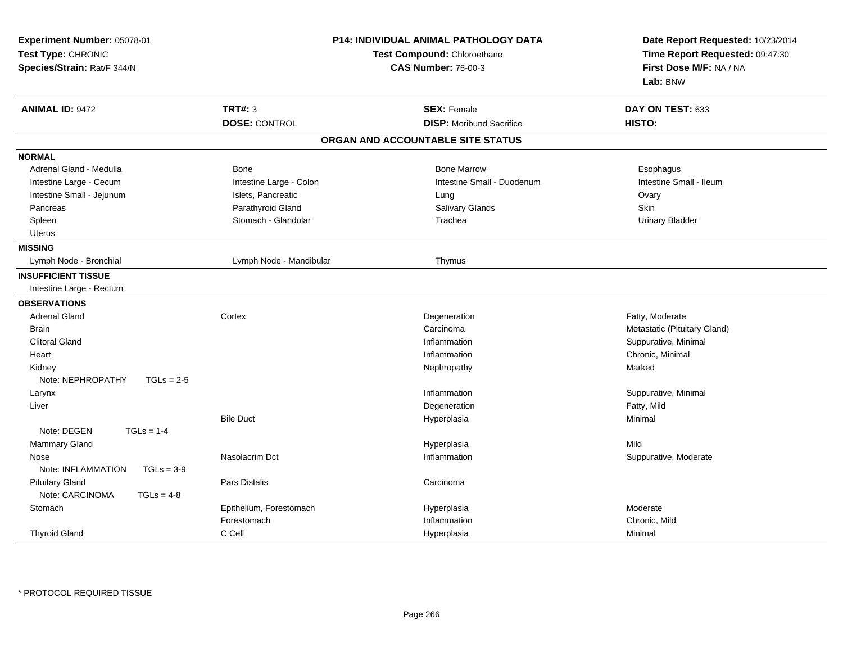| Experiment Number: 05078-01<br>Test Type: CHRONIC<br>Species/Strain: Rat/F 344/N | <b>P14: INDIVIDUAL ANIMAL PATHOLOGY DATA</b><br>Test Compound: Chloroethane<br><b>CAS Number: 75-00-3</b> |                                   | Date Report Requested: 10/23/2014<br>Time Report Requested: 09:47:30<br>First Dose M/F: NA / NA<br>Lab: BNW |  |
|----------------------------------------------------------------------------------|-----------------------------------------------------------------------------------------------------------|-----------------------------------|-------------------------------------------------------------------------------------------------------------|--|
| <b>ANIMAL ID: 9472</b>                                                           | <b>TRT#: 3</b>                                                                                            | <b>SEX: Female</b>                | DAY ON TEST: 633                                                                                            |  |
|                                                                                  | <b>DOSE: CONTROL</b>                                                                                      | <b>DISP:</b> Moribund Sacrifice   | HISTO:                                                                                                      |  |
|                                                                                  |                                                                                                           | ORGAN AND ACCOUNTABLE SITE STATUS |                                                                                                             |  |
| <b>NORMAL</b>                                                                    |                                                                                                           |                                   |                                                                                                             |  |
| Adrenal Gland - Medulla                                                          | Bone                                                                                                      | <b>Bone Marrow</b>                | Esophagus                                                                                                   |  |
| Intestine Large - Cecum                                                          | Intestine Large - Colon                                                                                   | Intestine Small - Duodenum        | Intestine Small - Ileum                                                                                     |  |
| Intestine Small - Jejunum                                                        | Islets, Pancreatic                                                                                        | Lung                              | Ovary                                                                                                       |  |
| Pancreas                                                                         | Parathyroid Gland                                                                                         | Salivary Glands                   | Skin                                                                                                        |  |
| Spleen                                                                           | Stomach - Glandular                                                                                       | Trachea                           | <b>Urinary Bladder</b>                                                                                      |  |
| Uterus                                                                           |                                                                                                           |                                   |                                                                                                             |  |
| <b>MISSING</b>                                                                   |                                                                                                           |                                   |                                                                                                             |  |
| Lymph Node - Bronchial                                                           | Lymph Node - Mandibular                                                                                   | Thymus                            |                                                                                                             |  |
| <b>INSUFFICIENT TISSUE</b>                                                       |                                                                                                           |                                   |                                                                                                             |  |
| Intestine Large - Rectum                                                         |                                                                                                           |                                   |                                                                                                             |  |
| <b>OBSERVATIONS</b>                                                              |                                                                                                           |                                   |                                                                                                             |  |
| <b>Adrenal Gland</b>                                                             | Cortex                                                                                                    | Degeneration                      | Fatty, Moderate                                                                                             |  |
| <b>Brain</b>                                                                     |                                                                                                           | Carcinoma                         | Metastatic (Pituitary Gland)                                                                                |  |
| <b>Clitoral Gland</b>                                                            |                                                                                                           | Inflammation                      | Suppurative, Minimal                                                                                        |  |
| Heart                                                                            |                                                                                                           | Inflammation                      | Chronic, Minimal                                                                                            |  |
| Kidney                                                                           |                                                                                                           | Nephropathy                       | Marked                                                                                                      |  |
| Note: NEPHROPATHY<br>$TGLs = 2-5$                                                |                                                                                                           |                                   |                                                                                                             |  |
| Larynx                                                                           |                                                                                                           | Inflammation                      | Suppurative, Minimal                                                                                        |  |
| Liver                                                                            |                                                                                                           | Degeneration                      | Fatty, Mild                                                                                                 |  |
|                                                                                  | <b>Bile Duct</b>                                                                                          | Hyperplasia                       | Minimal                                                                                                     |  |
| Note: DEGEN<br>$TGLs = 1-4$                                                      |                                                                                                           |                                   |                                                                                                             |  |
| Mammary Gland                                                                    |                                                                                                           | Hyperplasia                       | Mild                                                                                                        |  |
| Nose                                                                             | Nasolacrim Dct                                                                                            | Inflammation                      | Suppurative, Moderate                                                                                       |  |
| Note: INFLAMMATION<br>$TGLs = 3-9$                                               |                                                                                                           |                                   |                                                                                                             |  |
| <b>Pituitary Gland</b>                                                           | Pars Distalis                                                                                             | Carcinoma                         |                                                                                                             |  |
| Note: CARCINOMA<br>$TGLs = 4-8$                                                  |                                                                                                           |                                   |                                                                                                             |  |
| Stomach                                                                          | Epithelium, Forestomach                                                                                   | Hyperplasia                       | Moderate                                                                                                    |  |
|                                                                                  | Forestomach                                                                                               | Inflammation                      | Chronic, Mild                                                                                               |  |
| <b>Thyroid Gland</b>                                                             | C Cell                                                                                                    | Hyperplasia                       | Minimal                                                                                                     |  |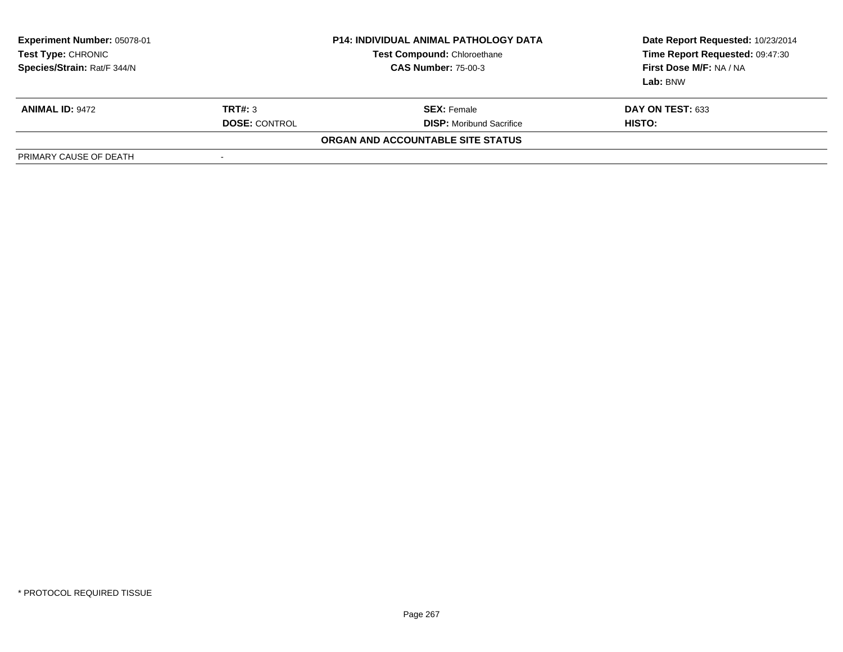| <b>Experiment Number: 05078-01</b><br>Test Type: CHRONIC<br>Species/Strain: Rat/F 344/N | <b>P14: INDIVIDUAL ANIMAL PATHOLOGY DATA</b><br><b>Test Compound: Chloroethane</b><br><b>CAS Number: 75-00-3</b> |                                   | Date Report Requested: 10/23/2014<br>Time Report Requested: 09:47:30<br>First Dose M/F: NA / NA<br>Lab: BNW |  |
|-----------------------------------------------------------------------------------------|------------------------------------------------------------------------------------------------------------------|-----------------------------------|-------------------------------------------------------------------------------------------------------------|--|
| <b>ANIMAL ID: 9472</b>                                                                  | TRT#: 3                                                                                                          | <b>SEX: Female</b>                | <b>DAY ON TEST: 633</b>                                                                                     |  |
|                                                                                         | <b>DOSE: CONTROL</b>                                                                                             | <b>DISP:</b> Moribund Sacrifice   | HISTO:                                                                                                      |  |
|                                                                                         |                                                                                                                  | ORGAN AND ACCOUNTABLE SITE STATUS |                                                                                                             |  |
| PRIMARY CAUSE OF DEATH                                                                  | -                                                                                                                |                                   |                                                                                                             |  |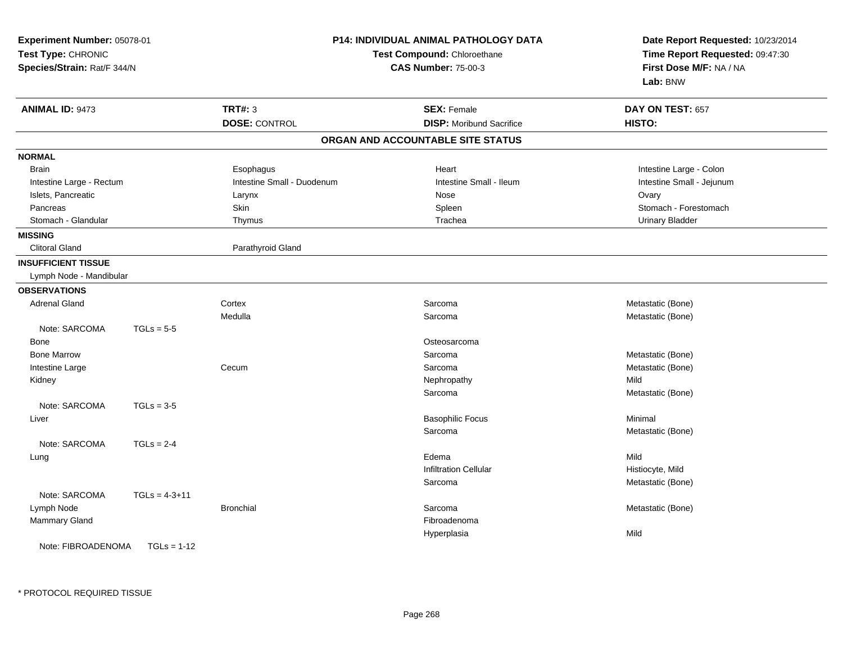| Experiment Number: 05078-01<br>Test Type: CHRONIC<br>Species/Strain: Rat/F 344/N |                 |                            | P14: INDIVIDUAL ANIMAL PATHOLOGY DATA<br>Test Compound: Chloroethane<br><b>CAS Number: 75-00-3</b> | Date Report Requested: 10/23/2014<br>Time Report Requested: 09:47:30<br>First Dose M/F: NA / NA<br>Lab: BNW |  |
|----------------------------------------------------------------------------------|-----------------|----------------------------|----------------------------------------------------------------------------------------------------|-------------------------------------------------------------------------------------------------------------|--|
| <b>ANIMAL ID: 9473</b>                                                           |                 | <b>TRT#: 3</b>             | <b>SEX: Female</b>                                                                                 | DAY ON TEST: 657                                                                                            |  |
|                                                                                  |                 | <b>DOSE: CONTROL</b>       | <b>DISP:</b> Moribund Sacrifice                                                                    | HISTO:                                                                                                      |  |
|                                                                                  |                 |                            | ORGAN AND ACCOUNTABLE SITE STATUS                                                                  |                                                                                                             |  |
| <b>NORMAL</b>                                                                    |                 |                            |                                                                                                    |                                                                                                             |  |
| <b>Brain</b>                                                                     |                 | Esophagus                  | Heart                                                                                              | Intestine Large - Colon                                                                                     |  |
| Intestine Large - Rectum                                                         |                 | Intestine Small - Duodenum | Intestine Small - Ileum                                                                            | Intestine Small - Jejunum                                                                                   |  |
| Islets, Pancreatic                                                               |                 | Larynx                     | Nose                                                                                               | Ovary                                                                                                       |  |
| Pancreas                                                                         |                 | Skin                       | Spleen                                                                                             | Stomach - Forestomach                                                                                       |  |
| Stomach - Glandular                                                              |                 | Thymus                     | Trachea                                                                                            | <b>Urinary Bladder</b>                                                                                      |  |
| <b>MISSING</b>                                                                   |                 |                            |                                                                                                    |                                                                                                             |  |
| <b>Clitoral Gland</b>                                                            |                 | Parathyroid Gland          |                                                                                                    |                                                                                                             |  |
| <b>INSUFFICIENT TISSUE</b>                                                       |                 |                            |                                                                                                    |                                                                                                             |  |
| Lymph Node - Mandibular                                                          |                 |                            |                                                                                                    |                                                                                                             |  |
| <b>OBSERVATIONS</b>                                                              |                 |                            |                                                                                                    |                                                                                                             |  |
| <b>Adrenal Gland</b>                                                             |                 | Cortex                     | Sarcoma                                                                                            | Metastatic (Bone)                                                                                           |  |
|                                                                                  |                 | Medulla                    | Sarcoma                                                                                            | Metastatic (Bone)                                                                                           |  |
| Note: SARCOMA                                                                    | $TGLs = 5-5$    |                            |                                                                                                    |                                                                                                             |  |
| Bone                                                                             |                 |                            | Osteosarcoma                                                                                       |                                                                                                             |  |
| <b>Bone Marrow</b>                                                               |                 |                            | Sarcoma                                                                                            | Metastatic (Bone)                                                                                           |  |
| Intestine Large                                                                  |                 | Cecum                      | Sarcoma                                                                                            | Metastatic (Bone)                                                                                           |  |
| Kidney                                                                           |                 |                            | Nephropathy                                                                                        | Mild                                                                                                        |  |
|                                                                                  |                 |                            | Sarcoma                                                                                            | Metastatic (Bone)                                                                                           |  |
| Note: SARCOMA                                                                    | $TGLs = 3-5$    |                            |                                                                                                    |                                                                                                             |  |
| Liver                                                                            |                 |                            | <b>Basophilic Focus</b>                                                                            | Minimal                                                                                                     |  |
|                                                                                  |                 |                            | Sarcoma                                                                                            | Metastatic (Bone)                                                                                           |  |
| Note: SARCOMA                                                                    | $TGLs = 2-4$    |                            |                                                                                                    |                                                                                                             |  |
| Lung                                                                             |                 |                            | Edema                                                                                              | Mild                                                                                                        |  |
|                                                                                  |                 |                            | <b>Infiltration Cellular</b>                                                                       | Histiocyte, Mild                                                                                            |  |
|                                                                                  |                 |                            | Sarcoma                                                                                            | Metastatic (Bone)                                                                                           |  |
| Note: SARCOMA                                                                    | $TGLs = 4-3+11$ |                            |                                                                                                    |                                                                                                             |  |
| Lymph Node                                                                       |                 | <b>Bronchial</b>           | Sarcoma                                                                                            | Metastatic (Bone)                                                                                           |  |
| Mammary Gland                                                                    |                 |                            | Fibroadenoma                                                                                       |                                                                                                             |  |
|                                                                                  |                 |                            | Hyperplasia                                                                                        | Mild                                                                                                        |  |
| Note: FIBROADENOMA                                                               | $TGLs = 1-12$   |                            |                                                                                                    |                                                                                                             |  |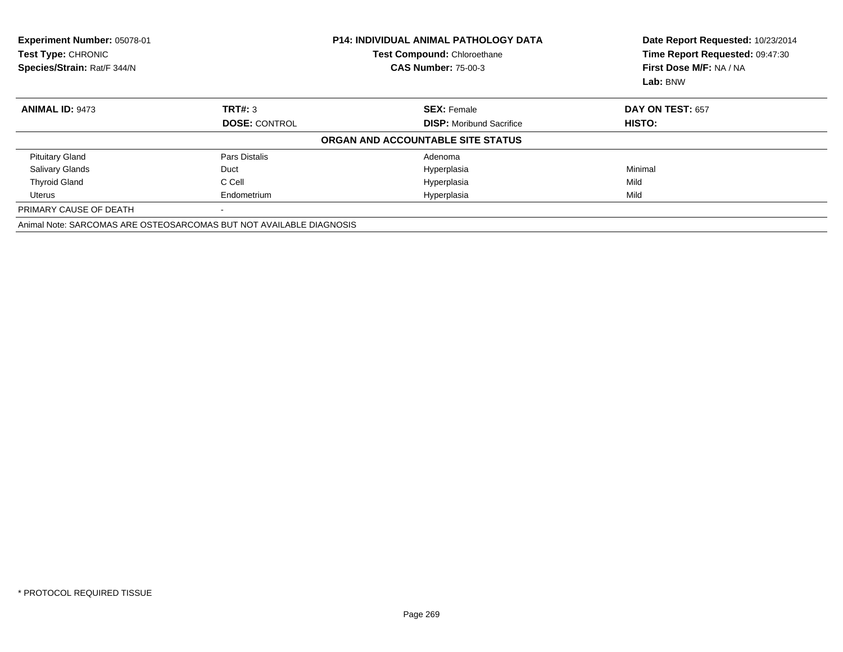| Experiment Number: 05078-01<br>Test Type: CHRONIC<br>Species/Strain: Rat/F 344/N |                      | <b>P14: INDIVIDUAL ANIMAL PATHOLOGY DATA</b><br><b>Test Compound: Chloroethane</b><br><b>CAS Number: 75-00-3</b> | Date Report Requested: 10/23/2014<br>Time Report Requested: 09:47:30<br>First Dose M/F: NA / NA<br>Lab: BNW |  |
|----------------------------------------------------------------------------------|----------------------|------------------------------------------------------------------------------------------------------------------|-------------------------------------------------------------------------------------------------------------|--|
| <b>ANIMAL ID: 9473</b>                                                           | TRT#: 3              | <b>SEX: Female</b>                                                                                               | <b>DAY ON TEST: 657</b>                                                                                     |  |
|                                                                                  | <b>DOSE: CONTROL</b> | <b>DISP:</b> Moribund Sacrifice                                                                                  | <b>HISTO:</b>                                                                                               |  |
|                                                                                  |                      | ORGAN AND ACCOUNTABLE SITE STATUS                                                                                |                                                                                                             |  |
| <b>Pituitary Gland</b>                                                           | Pars Distalis        | Adenoma                                                                                                          |                                                                                                             |  |
| <b>Salivary Glands</b>                                                           | Duct                 | Hyperplasia                                                                                                      | Minimal                                                                                                     |  |
| <b>Thyroid Gland</b>                                                             | C Cell               | Hyperplasia                                                                                                      | Mild                                                                                                        |  |
| Uterus                                                                           | Endometrium          | Hyperplasia                                                                                                      | Mild                                                                                                        |  |
| PRIMARY CAUSE OF DEATH                                                           |                      |                                                                                                                  |                                                                                                             |  |
| Animal Note: SARCOMAS ARE OSTEOSARCOMAS BUT NOT AVAILABLE DIAGNOSIS              |                      |                                                                                                                  |                                                                                                             |  |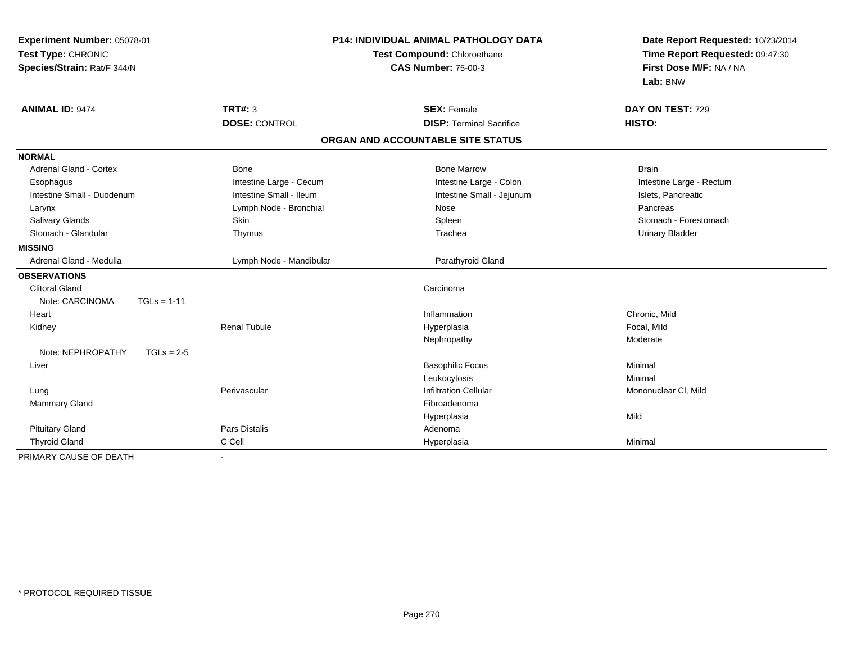| Experiment Number: 05078-01<br>Test Type: CHRONIC<br>Species/Strain: Rat/F 344/N |                         | <b>P14: INDIVIDUAL ANIMAL PATHOLOGY DATA</b><br>Test Compound: Chloroethane<br><b>CAS Number: 75-00-3</b> | Date Report Requested: 10/23/2014<br>Time Report Requested: 09:47:30<br>First Dose M/F: NA / NA<br>Lab: BNW |  |
|----------------------------------------------------------------------------------|-------------------------|-----------------------------------------------------------------------------------------------------------|-------------------------------------------------------------------------------------------------------------|--|
| <b>ANIMAL ID: 9474</b>                                                           | TRT#: 3                 | <b>SEX: Female</b>                                                                                        | DAY ON TEST: 729                                                                                            |  |
|                                                                                  | <b>DOSE: CONTROL</b>    | <b>DISP: Terminal Sacrifice</b>                                                                           | HISTO:                                                                                                      |  |
|                                                                                  |                         | ORGAN AND ACCOUNTABLE SITE STATUS                                                                         |                                                                                                             |  |
| <b>NORMAL</b>                                                                    |                         |                                                                                                           |                                                                                                             |  |
| <b>Adrenal Gland - Cortex</b>                                                    | <b>Bone</b>             | <b>Bone Marrow</b>                                                                                        | <b>Brain</b>                                                                                                |  |
| Esophagus                                                                        | Intestine Large - Cecum | Intestine Large - Colon                                                                                   | Intestine Large - Rectum                                                                                    |  |
| Intestine Small - Duodenum                                                       | Intestine Small - Ileum | Intestine Small - Jejunum                                                                                 | Islets, Pancreatic                                                                                          |  |
| Larynx                                                                           | Lymph Node - Bronchial  | Nose                                                                                                      | Pancreas                                                                                                    |  |
| Salivary Glands                                                                  | Skin                    | Spleen                                                                                                    | Stomach - Forestomach                                                                                       |  |
| Stomach - Glandular                                                              | Thymus                  | Trachea                                                                                                   | <b>Urinary Bladder</b>                                                                                      |  |
| <b>MISSING</b>                                                                   |                         |                                                                                                           |                                                                                                             |  |
| Adrenal Gland - Medulla                                                          | Lymph Node - Mandibular | Parathyroid Gland                                                                                         |                                                                                                             |  |
| <b>OBSERVATIONS</b>                                                              |                         |                                                                                                           |                                                                                                             |  |
| <b>Clitoral Gland</b>                                                            |                         | Carcinoma                                                                                                 |                                                                                                             |  |
| $TGLs = 1-11$<br>Note: CARCINOMA                                                 |                         |                                                                                                           |                                                                                                             |  |
| Heart                                                                            |                         | Inflammation                                                                                              | Chronic, Mild                                                                                               |  |
| Kidney                                                                           | <b>Renal Tubule</b>     | Hyperplasia                                                                                               | Focal, Mild                                                                                                 |  |
|                                                                                  |                         | Nephropathy                                                                                               | Moderate                                                                                                    |  |
| Note: NEPHROPATHY<br>$TGLs = 2-5$                                                |                         |                                                                                                           |                                                                                                             |  |
| Liver                                                                            |                         | <b>Basophilic Focus</b>                                                                                   | Minimal                                                                                                     |  |
|                                                                                  |                         | Leukocytosis                                                                                              | Minimal                                                                                                     |  |
| Lung                                                                             | Perivascular            | <b>Infiltration Cellular</b>                                                                              | Mononuclear CI, Mild                                                                                        |  |
| Mammary Gland                                                                    |                         | Fibroadenoma                                                                                              |                                                                                                             |  |
|                                                                                  |                         | Hyperplasia                                                                                               | Mild                                                                                                        |  |
| <b>Pituitary Gland</b>                                                           | Pars Distalis           | Adenoma                                                                                                   |                                                                                                             |  |
| <b>Thyroid Gland</b>                                                             | C Cell                  | Hyperplasia                                                                                               | Minimal                                                                                                     |  |
| PRIMARY CAUSE OF DEATH                                                           |                         |                                                                                                           |                                                                                                             |  |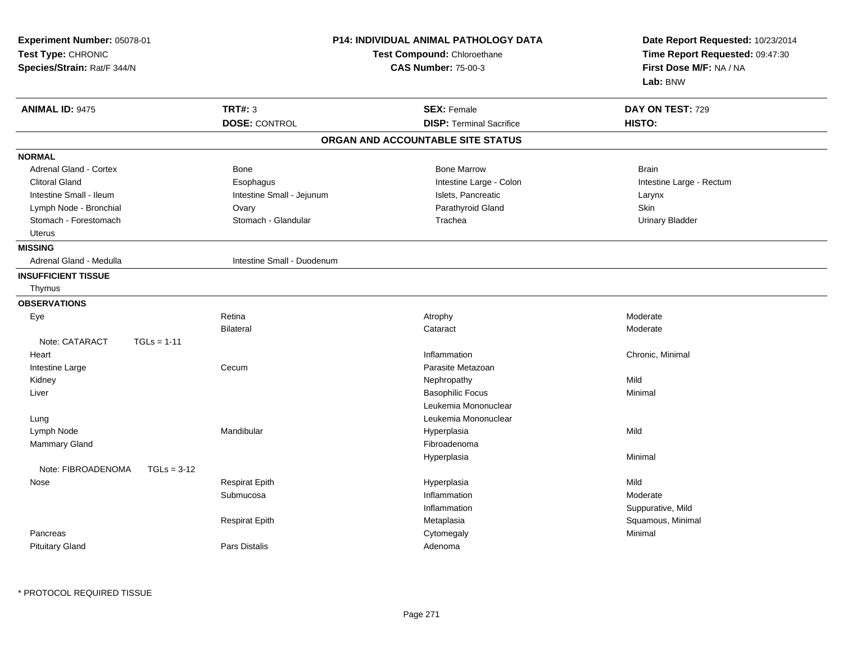| Experiment Number: 05078-01<br>Test Type: CHRONIC<br>Species/Strain: Rat/F 344/N | P14: INDIVIDUAL ANIMAL PATHOLOGY DATA<br>Test Compound: Chloroethane<br><b>CAS Number: 75-00-3</b> |                                   | Date Report Requested: 10/23/2014<br>Time Report Requested: 09:47:30<br>First Dose M/F: NA / NA<br>Lab: BNW |  |
|----------------------------------------------------------------------------------|----------------------------------------------------------------------------------------------------|-----------------------------------|-------------------------------------------------------------------------------------------------------------|--|
| <b>ANIMAL ID: 9475</b>                                                           | <b>TRT#: 3</b>                                                                                     | <b>SEX: Female</b>                | DAY ON TEST: 729                                                                                            |  |
|                                                                                  | <b>DOSE: CONTROL</b>                                                                               | <b>DISP: Terminal Sacrifice</b>   | HISTO:                                                                                                      |  |
|                                                                                  |                                                                                                    | ORGAN AND ACCOUNTABLE SITE STATUS |                                                                                                             |  |
| <b>NORMAL</b>                                                                    |                                                                                                    |                                   |                                                                                                             |  |
| <b>Adrenal Gland - Cortex</b>                                                    | <b>Bone</b>                                                                                        | <b>Bone Marrow</b>                | <b>Brain</b>                                                                                                |  |
| <b>Clitoral Gland</b>                                                            | Esophagus                                                                                          | Intestine Large - Colon           | Intestine Large - Rectum                                                                                    |  |
| Intestine Small - Ileum                                                          | Intestine Small - Jejunum                                                                          | Islets, Pancreatic                | Larynx                                                                                                      |  |
| Lymph Node - Bronchial                                                           | Ovary                                                                                              | Parathyroid Gland                 | Skin                                                                                                        |  |
| Stomach - Forestomach                                                            | Stomach - Glandular                                                                                | Trachea                           | <b>Urinary Bladder</b>                                                                                      |  |
| Uterus                                                                           |                                                                                                    |                                   |                                                                                                             |  |
| <b>MISSING</b>                                                                   |                                                                                                    |                                   |                                                                                                             |  |
| Adrenal Gland - Medulla                                                          | Intestine Small - Duodenum                                                                         |                                   |                                                                                                             |  |
| <b>INSUFFICIENT TISSUE</b>                                                       |                                                                                                    |                                   |                                                                                                             |  |
| Thymus                                                                           |                                                                                                    |                                   |                                                                                                             |  |
| <b>OBSERVATIONS</b>                                                              |                                                                                                    |                                   |                                                                                                             |  |
| Eye                                                                              | Retina                                                                                             | Atrophy                           | Moderate                                                                                                    |  |
|                                                                                  | <b>Bilateral</b>                                                                                   | Cataract                          | Moderate                                                                                                    |  |
| Note: CATARACT<br>$TGLs = 1-11$                                                  |                                                                                                    |                                   |                                                                                                             |  |
| Heart                                                                            |                                                                                                    | Inflammation                      | Chronic, Minimal                                                                                            |  |
| Intestine Large                                                                  | Cecum                                                                                              | Parasite Metazoan                 |                                                                                                             |  |
| Kidney                                                                           |                                                                                                    | Nephropathy                       | Mild                                                                                                        |  |
| Liver                                                                            |                                                                                                    | <b>Basophilic Focus</b>           | Minimal                                                                                                     |  |
|                                                                                  |                                                                                                    | Leukemia Mononuclear              |                                                                                                             |  |
| Lung                                                                             |                                                                                                    | Leukemia Mononuclear              |                                                                                                             |  |
| Lymph Node                                                                       | Mandibular                                                                                         | Hyperplasia                       | Mild                                                                                                        |  |
| Mammary Gland                                                                    |                                                                                                    | Fibroadenoma                      |                                                                                                             |  |
| Note: FIBROADENOMA<br>$TGLs = 3-12$                                              |                                                                                                    | Hyperplasia                       | Minimal                                                                                                     |  |
| Nose                                                                             | <b>Respirat Epith</b>                                                                              | Hyperplasia                       | Mild                                                                                                        |  |
|                                                                                  | Submucosa                                                                                          | Inflammation                      | Moderate                                                                                                    |  |
|                                                                                  |                                                                                                    | Inflammation                      | Suppurative, Mild                                                                                           |  |
|                                                                                  | <b>Respirat Epith</b>                                                                              | Metaplasia                        | Squamous, Minimal                                                                                           |  |
| Pancreas                                                                         |                                                                                                    | Cytomegaly                        | Minimal                                                                                                     |  |
| <b>Pituitary Gland</b>                                                           | <b>Pars Distalis</b>                                                                               | Adenoma                           |                                                                                                             |  |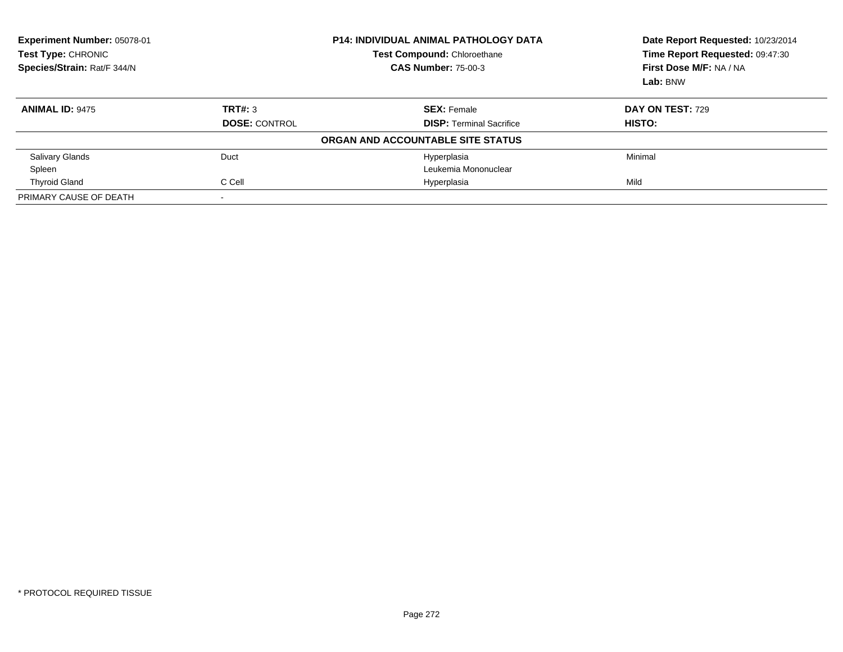| Experiment Number: 05078-01<br>Test Type: CHRONIC<br>Species/Strain: Rat/F 344/N |                      | P14: INDIVIDUAL ANIMAL PATHOLOGY DATA<br><b>Test Compound: Chloroethane</b><br><b>CAS Number: 75-00-3</b> | Date Report Requested: 10/23/2014<br>Time Report Requested: 09:47:30<br>First Dose M/F: NA / NA |  |
|----------------------------------------------------------------------------------|----------------------|-----------------------------------------------------------------------------------------------------------|-------------------------------------------------------------------------------------------------|--|
|                                                                                  |                      |                                                                                                           | Lab: BNW                                                                                        |  |
| <b>ANIMAL ID: 9475</b>                                                           | TRT#: 3              | <b>SEX: Female</b>                                                                                        | DAY ON TEST: 729                                                                                |  |
|                                                                                  | <b>DOSE: CONTROL</b> | <b>DISP:</b> Terminal Sacrifice                                                                           | <b>HISTO:</b>                                                                                   |  |
|                                                                                  |                      | ORGAN AND ACCOUNTABLE SITE STATUS                                                                         |                                                                                                 |  |
| <b>Salivary Glands</b>                                                           | Duct                 | Hyperplasia                                                                                               | Minimal                                                                                         |  |
| Spleen                                                                           |                      | Leukemia Mononuclear                                                                                      |                                                                                                 |  |
| <b>Thyroid Gland</b>                                                             | C Cell               | Hyperplasia                                                                                               | Mild                                                                                            |  |
| PRIMARY CAUSE OF DEATH                                                           |                      |                                                                                                           |                                                                                                 |  |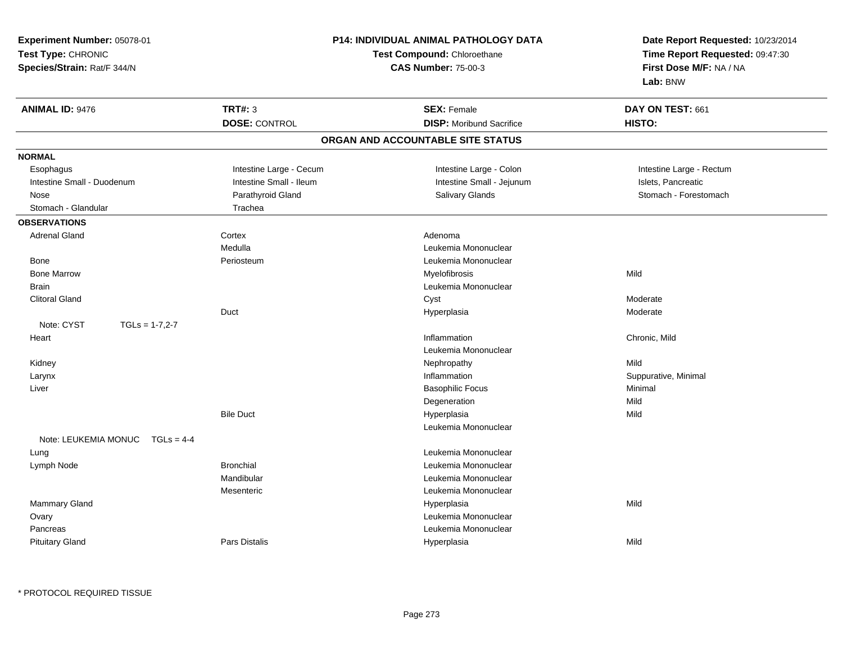**Experiment Number:** 05078-01**Test Type:** CHRONIC **Species/Strain:** Rat/F 344/N**P14: INDIVIDUAL ANIMAL PATHOLOGY DATATest Compound:** Chloroethane**CAS Number:** 75-00-3**Date Report Requested:** 10/23/2014**Time Report Requested:** 09:47:30**First Dose M/F:** NA / NA**Lab:** BNW**ANIMAL ID:** 9476 **TRT#:** <sup>3</sup> **SEX:** Female **DAY ON TEST:** <sup>661</sup> **DOSE:** CONTROL**DISP:** Moribund Sacrifice **HISTO: ORGAN AND ACCOUNTABLE SITE STATUSNORMAL**Esophagus Intestine Large - Cecum **Intestine Large - Colon** Intestine Large - Rectum Intestine Large - Rectum Intestine Small - Duodenum **Intestine Small - Ileum** Intestine Small - Ileum Intestine Small - Jejunum Islets, Pancreatic Stomach - Forestomach Nose Parathyroid Gland Salivary Glands Stomach - ForestomachStomach - Glandular Trachea **OBSERVATIONS** Adrenal Glandd and the Cortex Cortex and the Adenoma Medulla Leukemia Mononuclear Bone PeriosteumLeukemia Mononuclear<br>Myelofibrosis Bone Marroww which is a matter of the Myelofibrosis and the Myelofibrosis and the Mild of the Mild of the Mild of the Mild of the Mild of the Mild of the Mild of the Mild of the Mild of the Mild of the Mild of the Mild of the Mild of Brain Leukemia Mononuclear Clitoral Glandd and the control of the control of the control of the control of the control of the control of the control of the control of the control of the control of the control of the control of the control of the control of the co Duct Hyperplasia Moderate Note:  $CYST$   $TGLs = 1-7,2-7$  Heartt the contract of the contract of the contract of the contract of the contract of the contract of the contract of the contract of the contract of the contract of the contract of the contract of the contract of the contract Inflammation **Chronic**, Mild Leukemia Mononuclear Kidneyy the controller of the controller of the controller of the controller of the controller of the controller of the controller of the controller of the controller of the controller of the controller of the controller of the n Suppurative, Minimal Larynx**x** and the contract of the contract of the contract of the contract of the contract of the contract of the contract of the contract of the contract of the contract of the contract of the contract of the contract of the co Liver Basophilic Focuss Minimal Degenerationn Mild Bile Duct Hyperplasiaa Mild Leukemia MononuclearNote: LEUKEMIA MONUC TGLs = 4-4 Lung Leukemia Mononuclear Lymph Node Bronchial Leukemia Mononuclear Mandibular Leukemia Mononuclear Mesenteric Leukemia Mononuclear Mammary Glandd and the control of the control of the control of the Hyperplasia and the control of the Mild of the control of the control of the control of the control of the control of the control of the control of the control of the Ovary Leukemia Mononuclear Pancreas Leukemia Mononuclear Pituitary GlandPars Distalis Hyperplasia Mild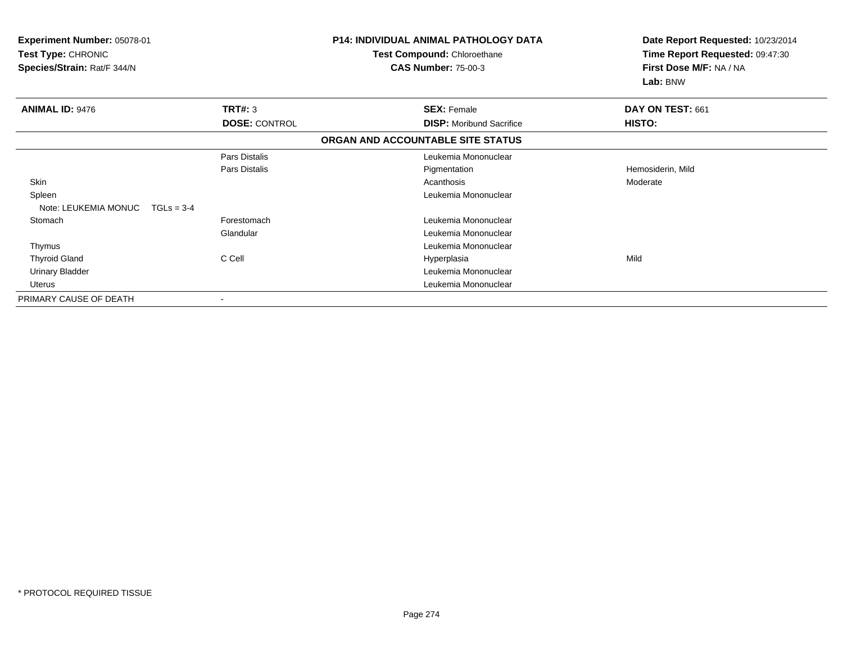| Experiment Number: 05078-01<br>Test Type: CHRONIC<br>Species/Strain: Rat/F 344/N |                      | <b>P14: INDIVIDUAL ANIMAL PATHOLOGY DATA</b><br><b>Test Compound: Chloroethane</b><br><b>CAS Number: 75-00-3</b> | Date Report Requested: 10/23/2014<br>Time Report Requested: 09:47:30<br>First Dose M/F: NA / NA<br>Lab: BNW |  |
|----------------------------------------------------------------------------------|----------------------|------------------------------------------------------------------------------------------------------------------|-------------------------------------------------------------------------------------------------------------|--|
| <b>ANIMAL ID: 9476</b>                                                           | TRT#: 3              | <b>SEX: Female</b>                                                                                               | DAY ON TEST: 661                                                                                            |  |
|                                                                                  | <b>DOSE: CONTROL</b> | <b>DISP:</b> Moribund Sacrifice                                                                                  | HISTO:                                                                                                      |  |
|                                                                                  |                      | ORGAN AND ACCOUNTABLE SITE STATUS                                                                                |                                                                                                             |  |
|                                                                                  | Pars Distalis        | Leukemia Mononuclear                                                                                             |                                                                                                             |  |
|                                                                                  | Pars Distalis        | Pigmentation                                                                                                     | Hemosiderin, Mild                                                                                           |  |
| Skin                                                                             |                      | Acanthosis                                                                                                       | Moderate                                                                                                    |  |
| Spleen                                                                           |                      | Leukemia Mononuclear                                                                                             |                                                                                                             |  |
| Note: LEUKEMIA MONUC<br>$TGLs = 3-4$                                             |                      |                                                                                                                  |                                                                                                             |  |
| Stomach                                                                          | Forestomach          | Leukemia Mononuclear                                                                                             |                                                                                                             |  |
|                                                                                  | Glandular            | Leukemia Mononuclear                                                                                             |                                                                                                             |  |
| Thymus                                                                           |                      | Leukemia Mononuclear                                                                                             |                                                                                                             |  |
| <b>Thyroid Gland</b>                                                             | C Cell               | Hyperplasia                                                                                                      | Mild                                                                                                        |  |
| <b>Urinary Bladder</b>                                                           |                      | Leukemia Mononuclear                                                                                             |                                                                                                             |  |
| <b>Uterus</b>                                                                    |                      | Leukemia Mononuclear                                                                                             |                                                                                                             |  |
| PRIMARY CAUSE OF DEATH                                                           |                      |                                                                                                                  |                                                                                                             |  |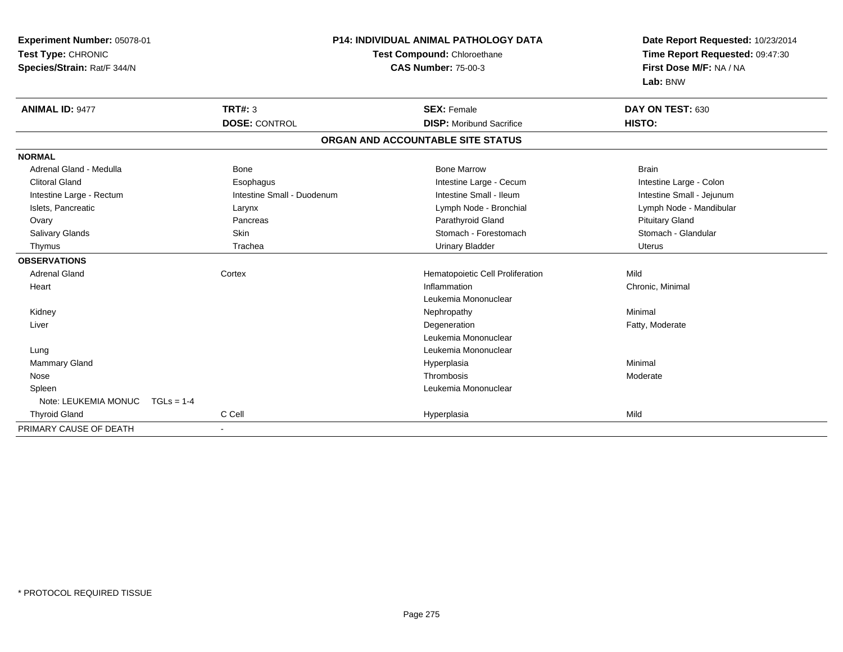| Experiment Number: 05078-01          |                            | <b>P14: INDIVIDUAL ANIMAL PATHOLOGY DATA</b> | Date Report Requested: 10/23/2014 |
|--------------------------------------|----------------------------|----------------------------------------------|-----------------------------------|
| Test Type: CHRONIC                   |                            | Test Compound: Chloroethane                  | Time Report Requested: 09:47:30   |
| Species/Strain: Rat/F 344/N          |                            | <b>CAS Number: 75-00-3</b>                   | First Dose M/F: NA / NA           |
|                                      |                            |                                              | Lab: BNW                          |
| <b>ANIMAL ID: 9477</b>               | <b>TRT#: 3</b>             | <b>SEX: Female</b>                           | DAY ON TEST: 630                  |
|                                      | <b>DOSE: CONTROL</b>       | <b>DISP:</b> Moribund Sacrifice              | HISTO:                            |
|                                      |                            | ORGAN AND ACCOUNTABLE SITE STATUS            |                                   |
| <b>NORMAL</b>                        |                            |                                              |                                   |
| Adrenal Gland - Medulla              | <b>Bone</b>                | <b>Bone Marrow</b>                           | <b>Brain</b>                      |
| <b>Clitoral Gland</b>                | Esophagus                  | Intestine Large - Cecum                      | Intestine Large - Colon           |
| Intestine Large - Rectum             | Intestine Small - Duodenum | Intestine Small - Ileum                      | Intestine Small - Jejunum         |
| Islets, Pancreatic                   | Larynx                     | Lymph Node - Bronchial                       | Lymph Node - Mandibular           |
| Ovary                                | Pancreas                   | Parathyroid Gland                            | <b>Pituitary Gland</b>            |
| Salivary Glands                      | Skin                       | Stomach - Forestomach                        | Stomach - Glandular               |
| Thymus                               | Trachea                    | <b>Urinary Bladder</b>                       | <b>Uterus</b>                     |
| <b>OBSERVATIONS</b>                  |                            |                                              |                                   |
| <b>Adrenal Gland</b>                 | Cortex                     | Hematopoietic Cell Proliferation             | Mild                              |
| Heart                                |                            | Inflammation                                 | Chronic, Minimal                  |
|                                      |                            | Leukemia Mononuclear                         |                                   |
| Kidney                               |                            | Nephropathy                                  | Minimal                           |
| Liver                                |                            | Degeneration                                 | Fatty, Moderate                   |
|                                      |                            | Leukemia Mononuclear                         |                                   |
| Lung                                 |                            | Leukemia Mononuclear                         |                                   |
| Mammary Gland                        |                            | Hyperplasia                                  | Minimal                           |
| Nose                                 |                            | Thrombosis                                   | Moderate                          |
| Spleen                               |                            | Leukemia Mononuclear                         |                                   |
| Note: LEUKEMIA MONUC<br>$TGLs = 1-4$ |                            |                                              |                                   |
| <b>Thyroid Gland</b>                 | C Cell                     | Hyperplasia                                  | Mild                              |
| PRIMARY CAUSE OF DEATH               | $\overline{\phantom{a}}$   |                                              |                                   |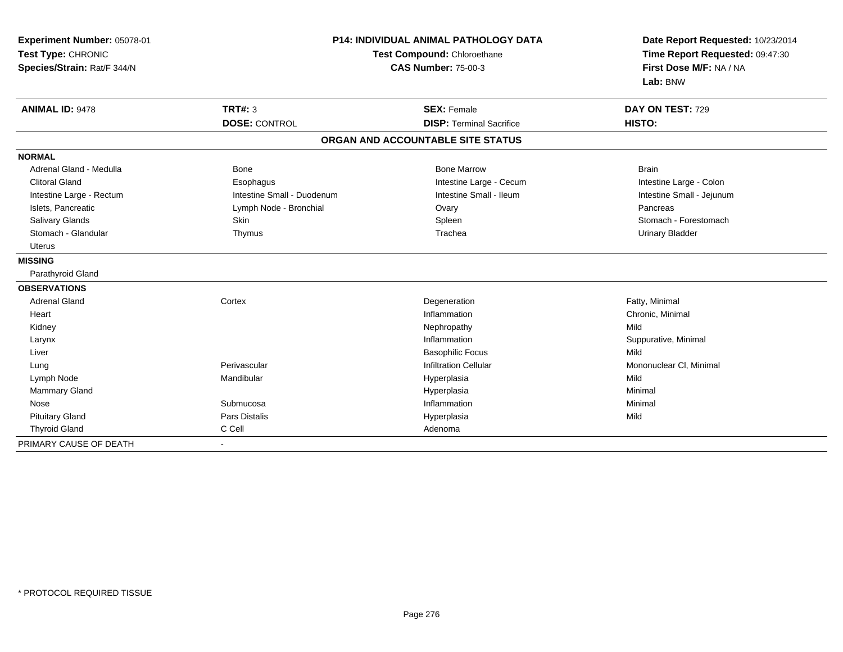| Experiment Number: 05078-01<br>Test Type: CHRONIC<br>Species/Strain: Rat/F 344/N |                            | <b>P14: INDIVIDUAL ANIMAL PATHOLOGY DATA</b><br>Test Compound: Chloroethane<br><b>CAS Number: 75-00-3</b> |                           |  |
|----------------------------------------------------------------------------------|----------------------------|-----------------------------------------------------------------------------------------------------------|---------------------------|--|
| <b>ANIMAL ID: 9478</b>                                                           | TRT#: 3                    | <b>SEX: Female</b>                                                                                        | DAY ON TEST: 729          |  |
|                                                                                  | <b>DOSE: CONTROL</b>       | <b>DISP: Terminal Sacrifice</b>                                                                           | HISTO:                    |  |
|                                                                                  |                            | ORGAN AND ACCOUNTABLE SITE STATUS                                                                         |                           |  |
| <b>NORMAL</b>                                                                    |                            |                                                                                                           |                           |  |
| Adrenal Gland - Medulla                                                          | Bone                       | <b>Bone Marrow</b>                                                                                        | <b>Brain</b>              |  |
| <b>Clitoral Gland</b>                                                            | Esophagus                  | Intestine Large - Cecum                                                                                   | Intestine Large - Colon   |  |
| Intestine Large - Rectum                                                         | Intestine Small - Duodenum | Intestine Small - Ileum                                                                                   | Intestine Small - Jejunum |  |
| Islets, Pancreatic                                                               | Lymph Node - Bronchial     | Ovary                                                                                                     | Pancreas                  |  |
| <b>Salivary Glands</b>                                                           | <b>Skin</b>                | Spleen                                                                                                    | Stomach - Forestomach     |  |
| Stomach - Glandular                                                              | Thymus                     | Trachea                                                                                                   | <b>Urinary Bladder</b>    |  |
| <b>Uterus</b>                                                                    |                            |                                                                                                           |                           |  |
| <b>MISSING</b>                                                                   |                            |                                                                                                           |                           |  |
| Parathyroid Gland                                                                |                            |                                                                                                           |                           |  |
| <b>OBSERVATIONS</b>                                                              |                            |                                                                                                           |                           |  |
| <b>Adrenal Gland</b>                                                             | Cortex                     | Degeneration                                                                                              | Fatty, Minimal            |  |
| Heart                                                                            |                            | Inflammation                                                                                              | Chronic, Minimal          |  |
| Kidney                                                                           |                            | Nephropathy                                                                                               | Mild                      |  |
| Larynx                                                                           |                            | Inflammation                                                                                              | Suppurative, Minimal      |  |
| Liver                                                                            |                            | <b>Basophilic Focus</b>                                                                                   | Mild                      |  |
| Lung                                                                             | Perivascular               | <b>Infiltration Cellular</b>                                                                              | Mononuclear CI, Minimal   |  |
| Lymph Node                                                                       | Mandibular                 | Hyperplasia                                                                                               | Mild                      |  |
| Mammary Gland                                                                    |                            | Hyperplasia                                                                                               | Minimal                   |  |
| Nose                                                                             | Submucosa                  | Inflammation                                                                                              | Minimal                   |  |
| <b>Pituitary Gland</b>                                                           | <b>Pars Distalis</b>       | Hyperplasia                                                                                               | Mild                      |  |
| <b>Thyroid Gland</b>                                                             | C Cell                     | Adenoma                                                                                                   |                           |  |
| PRIMARY CAUSE OF DEATH                                                           | $\blacksquare$             |                                                                                                           |                           |  |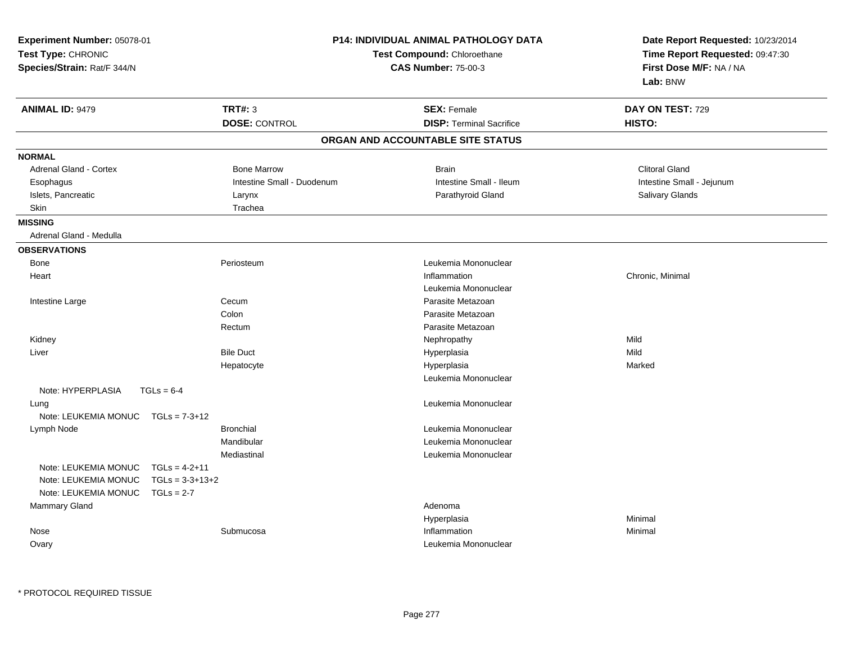| Experiment Number: 05078-01<br>Test Type: CHRONIC<br>Species/Strain: Rat/F 344/N |                                                      | <b>P14: INDIVIDUAL ANIMAL PATHOLOGY DATA</b><br>Test Compound: Chloroethane<br><b>CAS Number: 75-00-3</b> |  | Date Report Requested: 10/23/2014<br>Time Report Requested: 09:47:30<br>First Dose M/F: NA / NA<br>Lab: BNW |                            |
|----------------------------------------------------------------------------------|------------------------------------------------------|-----------------------------------------------------------------------------------------------------------|--|-------------------------------------------------------------------------------------------------------------|----------------------------|
| <b>ANIMAL ID: 9479</b>                                                           |                                                      | <b>TRT#: 3</b><br><b>DOSE: CONTROL</b>                                                                    |  | <b>SEX: Female</b><br><b>DISP: Terminal Sacrifice</b>                                                       | DAY ON TEST: 729<br>HISTO: |
|                                                                                  |                                                      |                                                                                                           |  | ORGAN AND ACCOUNTABLE SITE STATUS                                                                           |                            |
| <b>NORMAL</b>                                                                    |                                                      |                                                                                                           |  |                                                                                                             |                            |
| Adrenal Gland - Cortex                                                           |                                                      | <b>Bone Marrow</b>                                                                                        |  | <b>Brain</b>                                                                                                | <b>Clitoral Gland</b>      |
| Esophagus                                                                        |                                                      | Intestine Small - Duodenum                                                                                |  | Intestine Small - Ileum                                                                                     | Intestine Small - Jejunum  |
| Islets, Pancreatic                                                               |                                                      | Larynx                                                                                                    |  | Parathyroid Gland                                                                                           | Salivary Glands            |
| <b>Skin</b>                                                                      |                                                      | Trachea                                                                                                   |  |                                                                                                             |                            |
| <b>MISSING</b>                                                                   |                                                      |                                                                                                           |  |                                                                                                             |                            |
| Adrenal Gland - Medulla                                                          |                                                      |                                                                                                           |  |                                                                                                             |                            |
| <b>OBSERVATIONS</b>                                                              |                                                      |                                                                                                           |  |                                                                                                             |                            |
| <b>Bone</b>                                                                      |                                                      | Periosteum                                                                                                |  | Leukemia Mononuclear                                                                                        |                            |
| Heart                                                                            |                                                      |                                                                                                           |  | Inflammation                                                                                                | Chronic, Minimal           |
|                                                                                  |                                                      |                                                                                                           |  | Leukemia Mononuclear                                                                                        |                            |
| Intestine Large                                                                  |                                                      | Cecum                                                                                                     |  | Parasite Metazoan                                                                                           |                            |
|                                                                                  |                                                      | Colon                                                                                                     |  | Parasite Metazoan                                                                                           |                            |
|                                                                                  |                                                      | Rectum                                                                                                    |  | Parasite Metazoan                                                                                           |                            |
| Kidney                                                                           |                                                      |                                                                                                           |  | Nephropathy                                                                                                 | Mild                       |
| Liver                                                                            |                                                      | <b>Bile Duct</b>                                                                                          |  | Hyperplasia                                                                                                 | Mild                       |
|                                                                                  |                                                      | Hepatocyte                                                                                                |  | Hyperplasia                                                                                                 | Marked                     |
|                                                                                  |                                                      |                                                                                                           |  | Leukemia Mononuclear                                                                                        |                            |
| Note: HYPERPLASIA                                                                | $TGLs = 6-4$                                         |                                                                                                           |  |                                                                                                             |                            |
| Lung                                                                             |                                                      |                                                                                                           |  | Leukemia Mononuclear                                                                                        |                            |
| Note: LEUKEMIA MONUC                                                             | $TGLs = 7-3+12$                                      |                                                                                                           |  |                                                                                                             |                            |
| Lymph Node                                                                       |                                                      | <b>Bronchial</b>                                                                                          |  | Leukemia Mononuclear                                                                                        |                            |
|                                                                                  |                                                      | Mandibular                                                                                                |  | Leukemia Mononuclear                                                                                        |                            |
|                                                                                  |                                                      | Mediastinal                                                                                               |  | Leukemia Mononuclear                                                                                        |                            |
| Note: LEUKEMIA MONUC<br>Note: LEUKEMIA MONUC<br>Note: LEUKEMIA MONUC             | $TGLs = 4-2+11$<br>$TGLs = 3-3+13+2$<br>$TGLs = 2-7$ |                                                                                                           |  |                                                                                                             |                            |
| Mammary Gland                                                                    |                                                      |                                                                                                           |  | Adenoma                                                                                                     |                            |
|                                                                                  |                                                      |                                                                                                           |  | Hyperplasia                                                                                                 | Minimal                    |
| Nose                                                                             |                                                      | Submucosa                                                                                                 |  | Inflammation                                                                                                | Minimal                    |
| Ovary                                                                            |                                                      |                                                                                                           |  | Leukemia Mononuclear                                                                                        |                            |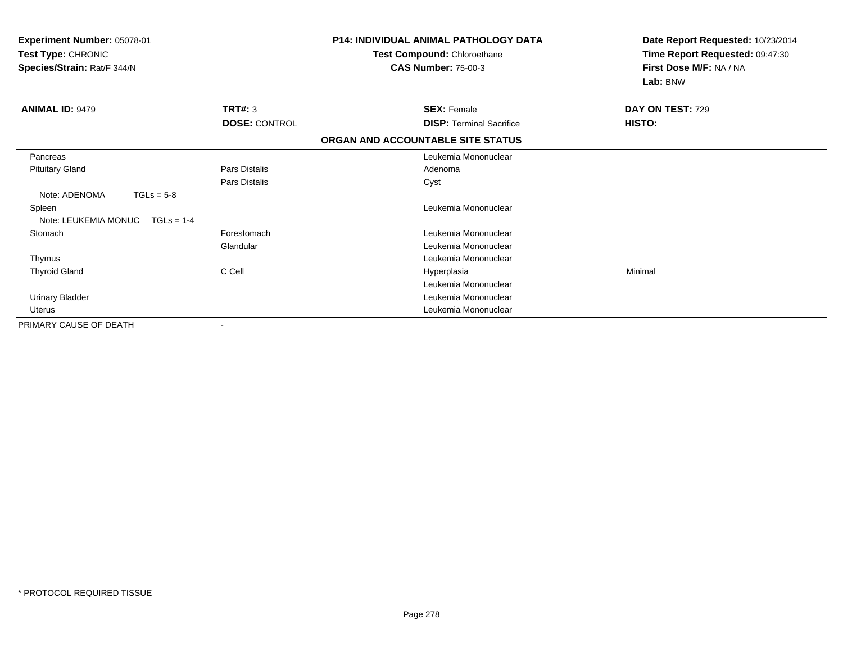| <b>Experiment Number: 05078-01</b><br>Test Type: CHRONIC<br>Species/Strain: Rat/F 344/N |                      | <b>P14: INDIVIDUAL ANIMAL PATHOLOGY DATA</b><br>Test Compound: Chloroethane<br><b>CAS Number: 75-00-3</b> | Date Report Requested: 10/23/2014<br>Time Report Requested: 09:47:30<br>First Dose M/F: NA / NA<br>Lab: BNW |
|-----------------------------------------------------------------------------------------|----------------------|-----------------------------------------------------------------------------------------------------------|-------------------------------------------------------------------------------------------------------------|
| <b>ANIMAL ID: 9479</b>                                                                  | TRT#: 3              | <b>SEX: Female</b>                                                                                        | DAY ON TEST: 729                                                                                            |
|                                                                                         | <b>DOSE: CONTROL</b> | <b>DISP: Terminal Sacrifice</b>                                                                           | HISTO:                                                                                                      |
|                                                                                         |                      | ORGAN AND ACCOUNTABLE SITE STATUS                                                                         |                                                                                                             |
| Pancreas                                                                                |                      | Leukemia Mononuclear                                                                                      |                                                                                                             |
| <b>Pituitary Gland</b>                                                                  | Pars Distalis        | Adenoma                                                                                                   |                                                                                                             |
|                                                                                         | <b>Pars Distalis</b> | Cyst                                                                                                      |                                                                                                             |
| Note: ADENOMA<br>$TGLs = 5-8$                                                           |                      |                                                                                                           |                                                                                                             |
| Spleen                                                                                  |                      | Leukemia Mononuclear                                                                                      |                                                                                                             |
| Note: LEUKEMIA MONUC<br>$TGLs = 1-4$                                                    |                      |                                                                                                           |                                                                                                             |
| Stomach                                                                                 | Forestomach          | Leukemia Mononuclear                                                                                      |                                                                                                             |
|                                                                                         | Glandular            | Leukemia Mononuclear                                                                                      |                                                                                                             |
| Thymus                                                                                  |                      | Leukemia Mononuclear                                                                                      |                                                                                                             |
| <b>Thyroid Gland</b>                                                                    | C Cell               | Hyperplasia                                                                                               | Minimal                                                                                                     |
|                                                                                         |                      | Leukemia Mononuclear                                                                                      |                                                                                                             |
| <b>Urinary Bladder</b>                                                                  |                      | Leukemia Mononuclear                                                                                      |                                                                                                             |
| <b>Uterus</b>                                                                           |                      | Leukemia Mononuclear                                                                                      |                                                                                                             |
| PRIMARY CAUSE OF DEATH                                                                  |                      |                                                                                                           |                                                                                                             |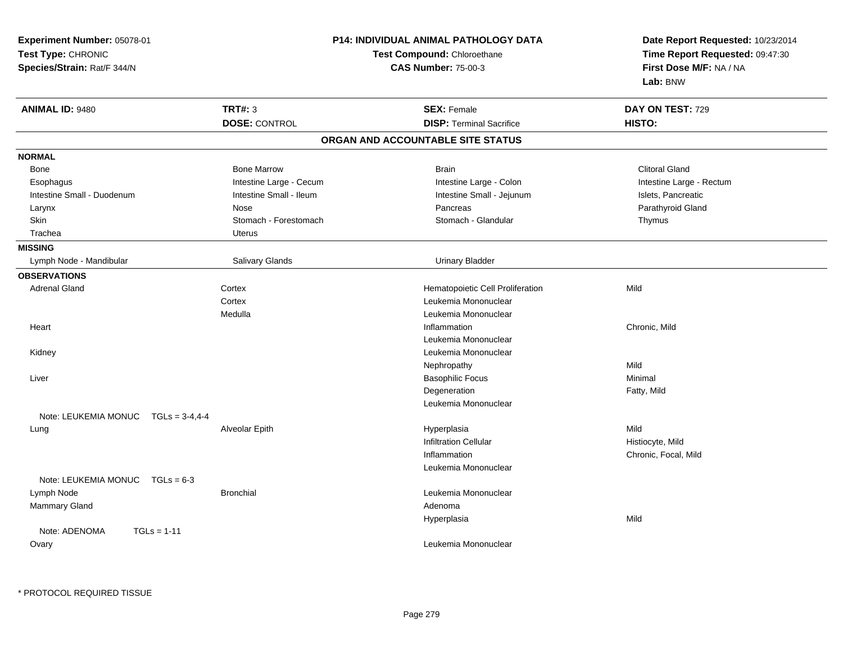| Experiment Number: 05078-01<br>Test Type: CHRONIC<br>Species/Strain: Rat/F 344/N |                                        | <b>P14: INDIVIDUAL ANIMAL PATHOLOGY DATA</b><br>Test Compound: Chloroethane<br><b>CAS Number: 75-00-3</b> | Date Report Requested: 10/23/2014<br>Time Report Requested: 09:47:30<br>First Dose M/F: NA / NA<br>Lab: BNW |
|----------------------------------------------------------------------------------|----------------------------------------|-----------------------------------------------------------------------------------------------------------|-------------------------------------------------------------------------------------------------------------|
| <b>ANIMAL ID: 9480</b>                                                           | <b>TRT#: 3</b><br><b>DOSE: CONTROL</b> | <b>SEX: Female</b><br><b>DISP: Terminal Sacrifice</b>                                                     | DAY ON TEST: 729<br>HISTO:                                                                                  |
|                                                                                  |                                        | ORGAN AND ACCOUNTABLE SITE STATUS                                                                         |                                                                                                             |
| <b>NORMAL</b>                                                                    |                                        |                                                                                                           |                                                                                                             |
| Bone                                                                             | <b>Bone Marrow</b>                     | <b>Brain</b>                                                                                              | <b>Clitoral Gland</b>                                                                                       |
| Esophagus                                                                        | Intestine Large - Cecum                | Intestine Large - Colon                                                                                   | Intestine Large - Rectum                                                                                    |
| Intestine Small - Duodenum                                                       | Intestine Small - Ileum                | Intestine Small - Jejunum                                                                                 | Islets, Pancreatic                                                                                          |
| Larynx                                                                           | Nose                                   | Pancreas                                                                                                  | Parathyroid Gland                                                                                           |
| Skin                                                                             | Stomach - Forestomach                  | Stomach - Glandular                                                                                       | Thymus                                                                                                      |
| Trachea                                                                          | <b>Uterus</b>                          |                                                                                                           |                                                                                                             |
| <b>MISSING</b>                                                                   |                                        |                                                                                                           |                                                                                                             |
| Lymph Node - Mandibular                                                          | Salivary Glands                        | <b>Urinary Bladder</b>                                                                                    |                                                                                                             |
| <b>OBSERVATIONS</b>                                                              |                                        |                                                                                                           |                                                                                                             |
| <b>Adrenal Gland</b>                                                             | Cortex                                 | Hematopoietic Cell Proliferation                                                                          | Mild                                                                                                        |
|                                                                                  | Cortex                                 | Leukemia Mononuclear                                                                                      |                                                                                                             |
|                                                                                  | Medulla                                | Leukemia Mononuclear                                                                                      |                                                                                                             |
| Heart                                                                            |                                        | Inflammation                                                                                              | Chronic, Mild                                                                                               |
|                                                                                  |                                        | Leukemia Mononuclear                                                                                      |                                                                                                             |
| Kidney                                                                           |                                        | Leukemia Mononuclear                                                                                      |                                                                                                             |
|                                                                                  |                                        | Nephropathy                                                                                               | Mild                                                                                                        |
| Liver                                                                            |                                        | <b>Basophilic Focus</b>                                                                                   | Minimal                                                                                                     |
|                                                                                  |                                        | Degeneration                                                                                              | Fatty, Mild                                                                                                 |
|                                                                                  |                                        | Leukemia Mononuclear                                                                                      |                                                                                                             |
| Note: LEUKEMIA MONUC<br>$TGLs = 3-4,4-4$                                         |                                        |                                                                                                           |                                                                                                             |
| Lung                                                                             | Alveolar Epith                         | Hyperplasia                                                                                               | Mild                                                                                                        |
|                                                                                  |                                        | <b>Infiltration Cellular</b>                                                                              | Histiocyte, Mild                                                                                            |
|                                                                                  |                                        | Inflammation                                                                                              | Chronic, Focal, Mild                                                                                        |
|                                                                                  |                                        | Leukemia Mononuclear                                                                                      |                                                                                                             |
| Note: LEUKEMIA MONUC TGLs = 6-3                                                  |                                        |                                                                                                           |                                                                                                             |
| Lymph Node                                                                       | <b>Bronchial</b>                       | Leukemia Mononuclear                                                                                      |                                                                                                             |
| Mammary Gland                                                                    |                                        | Adenoma                                                                                                   |                                                                                                             |
|                                                                                  |                                        | Hyperplasia                                                                                               | Mild                                                                                                        |
| Note: ADENOMA<br>$TGLs = 1-11$<br>Ovary                                          |                                        | Leukemia Mononuclear                                                                                      |                                                                                                             |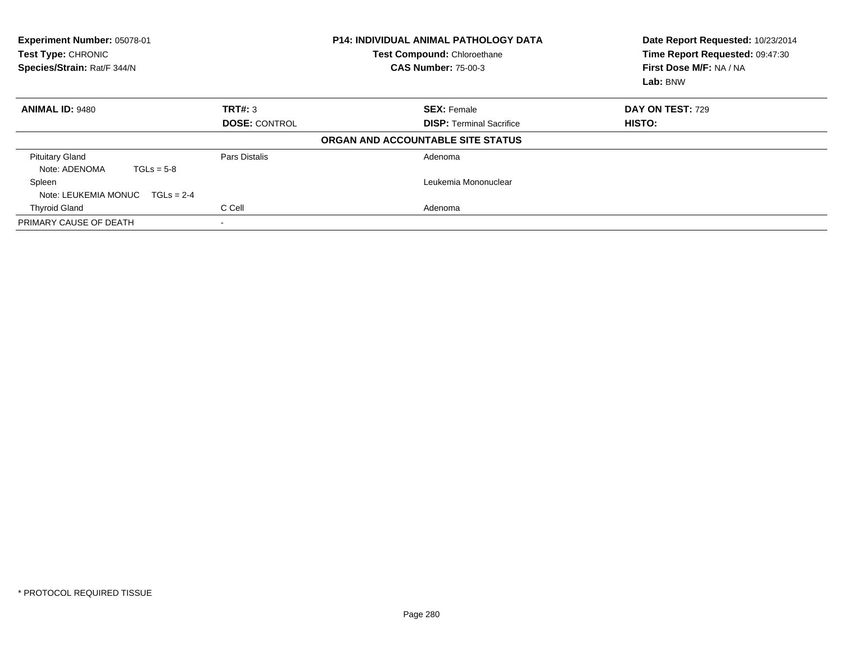| Experiment Number: 05078-01<br>Test Type: CHRONIC<br>Species/Strain: Rat/F 344/N |                      | <b>P14: INDIVIDUAL ANIMAL PATHOLOGY DATA</b><br>Test Compound: Chloroethane<br><b>CAS Number: 75-00-3</b> | Date Report Requested: 10/23/2014<br>Time Report Requested: 09:47:30<br>First Dose M/F: NA / NA<br>Lab: BNW |
|----------------------------------------------------------------------------------|----------------------|-----------------------------------------------------------------------------------------------------------|-------------------------------------------------------------------------------------------------------------|
| <b>ANIMAL ID: 9480</b>                                                           | TRT#: 3              | <b>SEX: Female</b>                                                                                        | <b>DAY ON TEST: 729</b>                                                                                     |
|                                                                                  | <b>DOSE: CONTROL</b> | <b>DISP: Terminal Sacrifice</b>                                                                           | HISTO:                                                                                                      |
|                                                                                  |                      | ORGAN AND ACCOUNTABLE SITE STATUS                                                                         |                                                                                                             |
| <b>Pituitary Gland</b><br>Note: ADENOMA<br>$TGLs = 5-8$                          | Pars Distalis        | Adenoma                                                                                                   |                                                                                                             |
| Spleen                                                                           |                      | Leukemia Mononuclear                                                                                      |                                                                                                             |
| Note: LEUKEMIA MONUC<br>$TGLs = 2-4$                                             |                      |                                                                                                           |                                                                                                             |
| <b>Thyroid Gland</b>                                                             | C Cell               | Adenoma                                                                                                   |                                                                                                             |
| PRIMARY CAUSE OF DEATH                                                           |                      |                                                                                                           |                                                                                                             |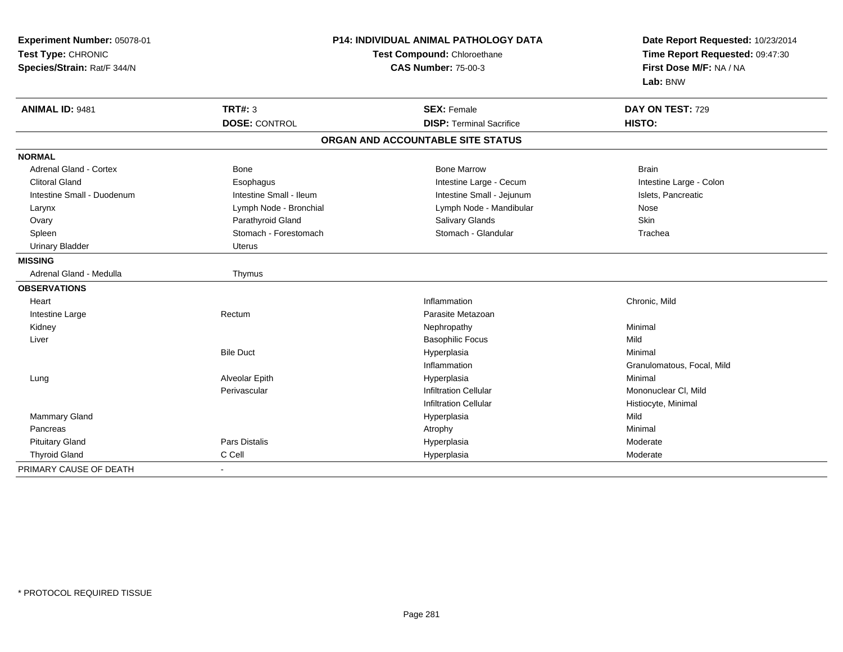| Experiment Number: 05078-01<br>Test Type: CHRONIC<br>Species/Strain: Rat/F 344/N | <b>P14: INDIVIDUAL ANIMAL PATHOLOGY DATA</b><br>Test Compound: Chloroethane<br><b>CAS Number: 75-00-3</b> |                                   | Date Report Requested: 10/23/2014<br>Time Report Requested: 09:47:30<br>First Dose M/F: NA / NA<br>Lab: BNW |
|----------------------------------------------------------------------------------|-----------------------------------------------------------------------------------------------------------|-----------------------------------|-------------------------------------------------------------------------------------------------------------|
| ANIMAL ID: 9481                                                                  | TRT#: 3                                                                                                   | <b>SEX: Female</b>                | DAY ON TEST: 729                                                                                            |
|                                                                                  | <b>DOSE: CONTROL</b>                                                                                      | <b>DISP: Terminal Sacrifice</b>   | HISTO:                                                                                                      |
|                                                                                  |                                                                                                           | ORGAN AND ACCOUNTABLE SITE STATUS |                                                                                                             |
| <b>NORMAL</b>                                                                    |                                                                                                           |                                   |                                                                                                             |
| <b>Adrenal Gland - Cortex</b>                                                    | <b>Bone</b>                                                                                               | <b>Bone Marrow</b>                | <b>Brain</b>                                                                                                |
| <b>Clitoral Gland</b>                                                            | Esophagus                                                                                                 | Intestine Large - Cecum           | Intestine Large - Colon                                                                                     |
| Intestine Small - Duodenum                                                       | Intestine Small - Ileum                                                                                   | Intestine Small - Jejunum         | Islets, Pancreatic                                                                                          |
| Larynx                                                                           | Lymph Node - Bronchial                                                                                    | Lymph Node - Mandibular           | Nose                                                                                                        |
| Ovary                                                                            | Parathyroid Gland                                                                                         | Salivary Glands                   | Skin                                                                                                        |
| Spleen                                                                           | Stomach - Forestomach                                                                                     | Stomach - Glandular               | Trachea                                                                                                     |
| <b>Urinary Bladder</b>                                                           | <b>Uterus</b>                                                                                             |                                   |                                                                                                             |
| <b>MISSING</b>                                                                   |                                                                                                           |                                   |                                                                                                             |
| Adrenal Gland - Medulla                                                          | Thymus                                                                                                    |                                   |                                                                                                             |
| <b>OBSERVATIONS</b>                                                              |                                                                                                           |                                   |                                                                                                             |
| Heart                                                                            |                                                                                                           | Inflammation                      | Chronic, Mild                                                                                               |
| Intestine Large                                                                  | Rectum                                                                                                    | Parasite Metazoan                 |                                                                                                             |
| Kidney                                                                           |                                                                                                           | Nephropathy                       | Minimal                                                                                                     |
| Liver                                                                            |                                                                                                           | <b>Basophilic Focus</b>           | Mild                                                                                                        |
|                                                                                  | <b>Bile Duct</b>                                                                                          | Hyperplasia                       | Minimal                                                                                                     |
|                                                                                  |                                                                                                           | Inflammation                      | Granulomatous, Focal, Mild                                                                                  |
| Lung                                                                             | Alveolar Epith                                                                                            | Hyperplasia                       | Minimal                                                                                                     |
|                                                                                  | Perivascular                                                                                              | <b>Infiltration Cellular</b>      | Mononuclear CI, Mild                                                                                        |
|                                                                                  |                                                                                                           | <b>Infiltration Cellular</b>      | Histiocyte, Minimal                                                                                         |
| <b>Mammary Gland</b>                                                             |                                                                                                           | Hyperplasia                       | Mild                                                                                                        |
| Pancreas                                                                         |                                                                                                           | Atrophy                           | Minimal                                                                                                     |
| <b>Pituitary Gland</b>                                                           | Pars Distalis                                                                                             | Hyperplasia                       | Moderate                                                                                                    |
| <b>Thyroid Gland</b>                                                             | C Cell                                                                                                    | Hyperplasia                       | Moderate                                                                                                    |
| PRIMARY CAUSE OF DEATH                                                           |                                                                                                           |                                   |                                                                                                             |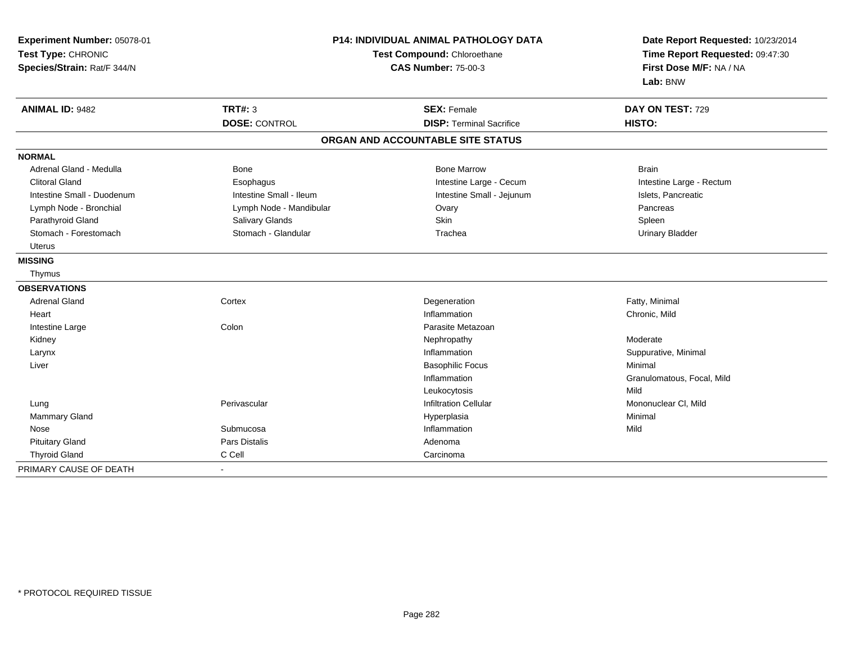| Experiment Number: 05078-01<br>Test Type: CHRONIC<br>Species/Strain: Rat/F 344/N | P14: INDIVIDUAL ANIMAL PATHOLOGY DATA<br>Test Compound: Chloroethane<br><b>CAS Number: 75-00-3</b> |                                   | Date Report Requested: 10/23/2014<br>Time Report Requested: 09:47:30<br>First Dose M/F: NA / NA<br>Lab: BNW |
|----------------------------------------------------------------------------------|----------------------------------------------------------------------------------------------------|-----------------------------------|-------------------------------------------------------------------------------------------------------------|
| <b>ANIMAL ID: 9482</b>                                                           | TRT#: 3                                                                                            | <b>SEX: Female</b>                | DAY ON TEST: 729                                                                                            |
|                                                                                  | <b>DOSE: CONTROL</b>                                                                               | <b>DISP: Terminal Sacrifice</b>   | HISTO:                                                                                                      |
|                                                                                  |                                                                                                    | ORGAN AND ACCOUNTABLE SITE STATUS |                                                                                                             |
| <b>NORMAL</b>                                                                    |                                                                                                    |                                   |                                                                                                             |
| Adrenal Gland - Medulla                                                          | Bone                                                                                               | <b>Bone Marrow</b>                | <b>Brain</b>                                                                                                |
| <b>Clitoral Gland</b>                                                            | Esophagus                                                                                          | Intestine Large - Cecum           | Intestine Large - Rectum                                                                                    |
| Intestine Small - Duodenum                                                       | Intestine Small - Ileum                                                                            | Intestine Small - Jejunum         | Islets, Pancreatic                                                                                          |
| Lymph Node - Bronchial                                                           | Lymph Node - Mandibular                                                                            | Ovary                             | Pancreas                                                                                                    |
| Parathyroid Gland                                                                | Salivary Glands                                                                                    | <b>Skin</b>                       | Spleen                                                                                                      |
| Stomach - Forestomach                                                            | Stomach - Glandular                                                                                | Trachea                           | <b>Urinary Bladder</b>                                                                                      |
| <b>Uterus</b>                                                                    |                                                                                                    |                                   |                                                                                                             |
| <b>MISSING</b>                                                                   |                                                                                                    |                                   |                                                                                                             |
| Thymus                                                                           |                                                                                                    |                                   |                                                                                                             |
| <b>OBSERVATIONS</b>                                                              |                                                                                                    |                                   |                                                                                                             |
| <b>Adrenal Gland</b>                                                             | Cortex                                                                                             | Degeneration                      | Fatty, Minimal                                                                                              |
| Heart                                                                            |                                                                                                    | Inflammation                      | Chronic, Mild                                                                                               |
| Intestine Large                                                                  | Colon                                                                                              | Parasite Metazoan                 |                                                                                                             |
| Kidney                                                                           |                                                                                                    | Nephropathy                       | Moderate                                                                                                    |
| Larynx                                                                           |                                                                                                    | Inflammation                      | Suppurative, Minimal                                                                                        |
| Liver                                                                            |                                                                                                    | <b>Basophilic Focus</b>           | Minimal                                                                                                     |
|                                                                                  |                                                                                                    | Inflammation                      | Granulomatous, Focal, Mild                                                                                  |
|                                                                                  |                                                                                                    | Leukocytosis                      | Mild                                                                                                        |
| Lung                                                                             | Perivascular                                                                                       | Infiltration Cellular             | Mononuclear CI, Mild                                                                                        |
| <b>Mammary Gland</b>                                                             |                                                                                                    | Hyperplasia                       | Minimal                                                                                                     |
| Nose                                                                             | Submucosa                                                                                          | Inflammation                      | Mild                                                                                                        |
| <b>Pituitary Gland</b>                                                           | <b>Pars Distalis</b>                                                                               | Adenoma                           |                                                                                                             |
| <b>Thyroid Gland</b>                                                             | C Cell                                                                                             | Carcinoma                         |                                                                                                             |
| PRIMARY CAUSE OF DEATH                                                           |                                                                                                    |                                   |                                                                                                             |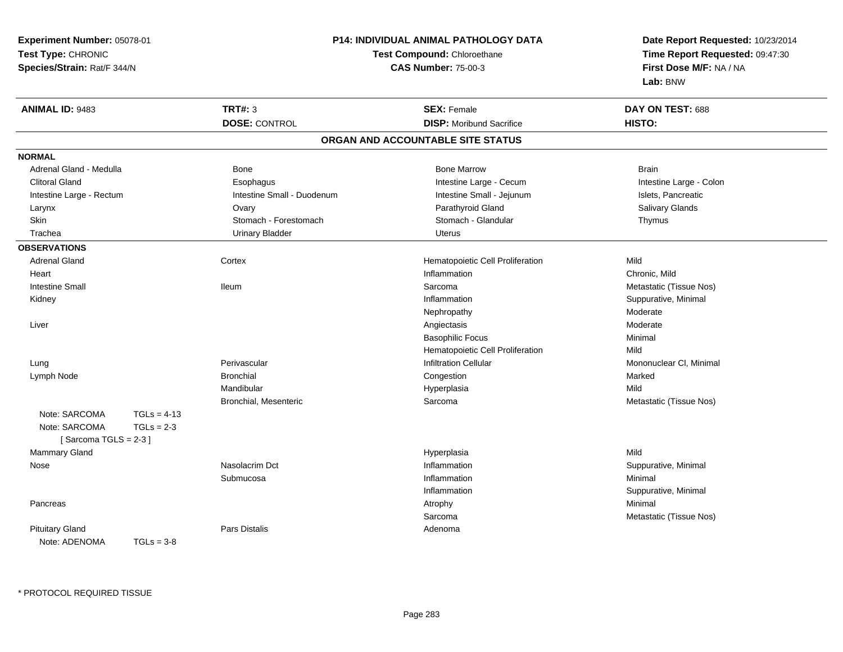**Experiment Number:** 05078-01**Test Type:** CHRONIC **Species/Strain:** Rat/F 344/N**P14: INDIVIDUAL ANIMAL PATHOLOGY DATATest Compound:** Chloroethane**CAS Number:** 75-00-3**Date Report Requested:** 10/23/2014**Time Report Requested:** 09:47:30**First Dose M/F:** NA / NA**Lab:** BNW**ANIMAL ID:** 9483 **TRT#:** <sup>3</sup> **SEX:** Female **DAY ON TEST:** <sup>688</sup> **DOSE:** CONTROL**DISP:** Moribund Sacrifice **HISTO: ORGAN AND ACCOUNTABLE SITE STATUSNORMAL**Adrenal Gland - Medulla Bone Bone Bone Marrow Bone Marrow Brain Brain Brain Brain Intestine Large - Colon Clitoral Gland **Esophagus** Esophagus **Intestine Large - Cecum** Intestine Large - Cecum Intestine Large - Rectum **Intestine Small - Duodenum** Intestine Small - Jejunum Intestine Small - Jejunum Islets, Pancreatic **Salivary Glands**  Larynx Ovary Parathyroid Gland Salivary GlandsSkin Stomach - Forestomach Stomach Stomach Stomach Stomach Stomach Stomach - Glandular Thymus Trachea Urinary Bladder Uterus**OBSERVATIONS** Adrenal Gland Cortex Hematopoietic Cell Proliferation Mild **Heart** t the contract of the contract of the contract of the contract of the contract of the contract of the contract of the contract of the contract of the contract of the contract of the contract of the contract of the contract Chronic, Mild Intestine Small Ileum Sarcoma Metastatic (Tissue Nos) Kidneyy the control of the control of the control of the control of the control of the control of the control of the control of the control of the control of the control of the control of the control of the control of the contro Suppurative, Minimal Nephropathy Moderates Moderate Liverr and the contract of the contract of the contract of the contract of the contract of the contract of the contract of the contract of the contract of the contract of the contract of the contract of the contract of the cont Basophilic Focus Minimal Hematopoietic Cell Proliferationn Mild Lung Perivascular Infiltration Cellular Mononuclear Cl, Minimal Lymph Nodee the congestion of the Bronchial Congestion Congestion and the congestion of the congestion of the congestion Mandibular Hyperplasiaa Mild Bronchial, Mesenteric Sarcoma Metastatic (Tissue Nos) Note: SARCOMA TGLs = 4-13  $TGLs = 2-3$ Note: SARCOMA  $[$  Sarcoma TGLS = 2-3  $]$  Mammary Glandd and the control of the control of the control of the Hyperplasia and the control of the Mild of the control of the control of the control of the control of the control of the control of the control of the control of the Nose Nasolacrim Dct Inflammation Suppurative, Minimal Submucosaa magnetic control of the Inflammation and the Inflammation of the Inflammation of the Minimal Inflammation Suppurative, Minimal Pancreass the control of the control of the control of the control of the control of the control of the control of the control of the control of the control of the control of the control of the control of the control of the contro Sarcoma Metastatic (Tissue Nos) Pituitary Glandd and the contract of Pars Distalis and the contract of Adenoma and Adenoma and the Adenoma and the Adenoma and  $\lambda$ Note: ADENOMA TGLs = 3-8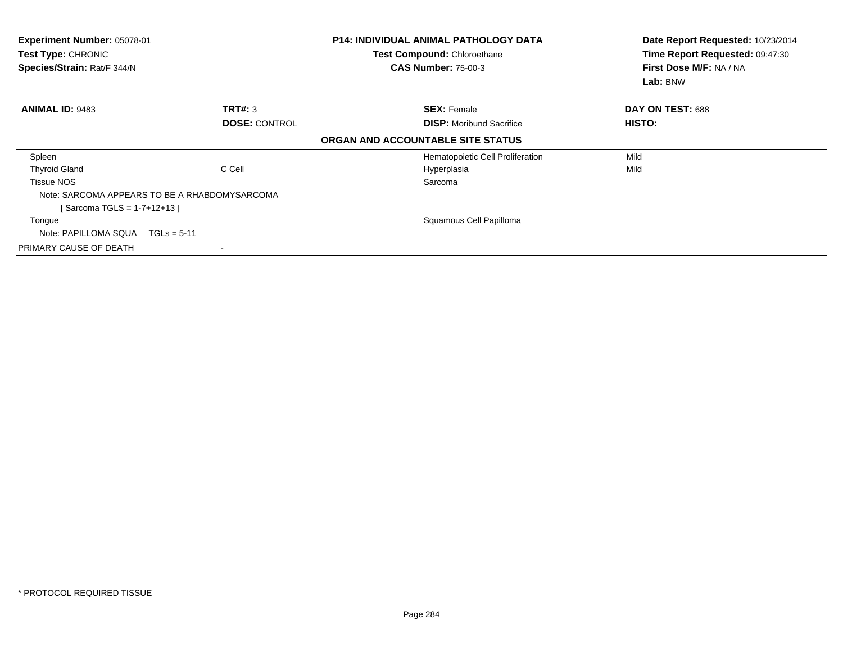| Experiment Number: 05078-01<br><b>Test Type: CHRONIC</b><br>Species/Strain: Rat/F 344/N |                                               | <b>P14: INDIVIDUAL ANIMAL PATHOLOGY DATA</b><br>Test Compound: Chloroethane<br><b>CAS Number: 75-00-3</b> | Date Report Requested: 10/23/2014<br>Time Report Requested: 09:47:30<br>First Dose M/F: NA / NA<br>Lab: BNW |
|-----------------------------------------------------------------------------------------|-----------------------------------------------|-----------------------------------------------------------------------------------------------------------|-------------------------------------------------------------------------------------------------------------|
| <b>ANIMAL ID: 9483</b>                                                                  | TRT#: 3                                       | <b>SEX: Female</b>                                                                                        | DAY ON TEST: 688                                                                                            |
|                                                                                         | <b>DOSE: CONTROL</b>                          | <b>DISP:</b> Moribund Sacrifice                                                                           | HISTO:                                                                                                      |
|                                                                                         |                                               | ORGAN AND ACCOUNTABLE SITE STATUS                                                                         |                                                                                                             |
| Spleen                                                                                  |                                               | Hematopoietic Cell Proliferation                                                                          | Mild                                                                                                        |
| <b>Thyroid Gland</b>                                                                    | C Cell                                        | Hyperplasia                                                                                               | Mild                                                                                                        |
| <b>Tissue NOS</b>                                                                       |                                               | Sarcoma                                                                                                   |                                                                                                             |
|                                                                                         | Note: SARCOMA APPEARS TO BE A RHABDOMYSARCOMA |                                                                                                           |                                                                                                             |
| [Sarcoma TGLS = 1-7+12+13]                                                              |                                               |                                                                                                           |                                                                                                             |
| Tongue                                                                                  |                                               | Squamous Cell Papilloma                                                                                   |                                                                                                             |
| Note: PAPILLOMA SQUA TGLs = 5-11                                                        |                                               |                                                                                                           |                                                                                                             |
| PRIMARY CAUSE OF DEATH                                                                  |                                               |                                                                                                           |                                                                                                             |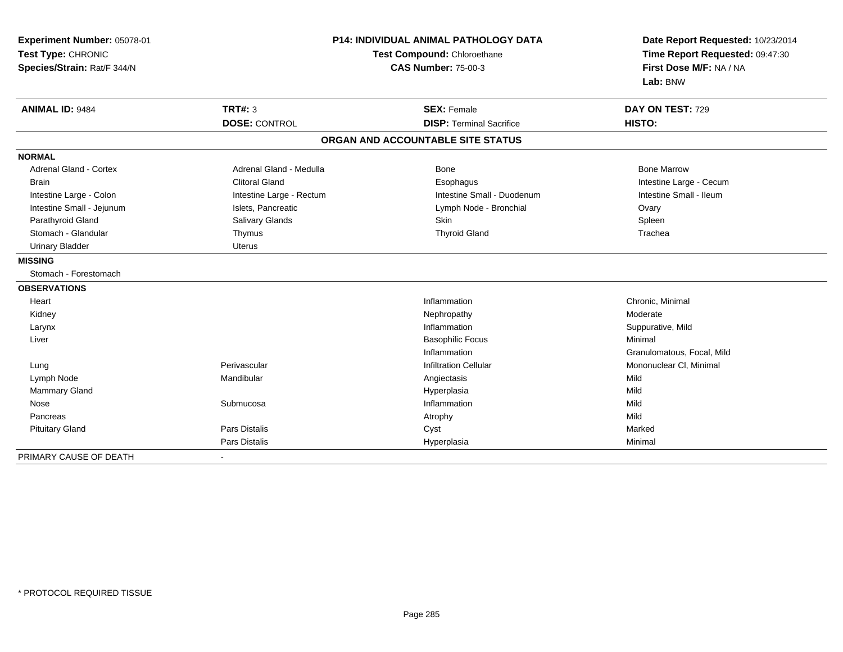| Experiment Number: 05078-01<br>Test Type: CHRONIC<br>Species/Strain: Rat/F 344/N | <b>P14: INDIVIDUAL ANIMAL PATHOLOGY DATA</b><br>Test Compound: Chloroethane<br><b>CAS Number: 75-00-3</b> |                                   | Date Report Requested: 10/23/2014<br>Time Report Requested: 09:47:30<br>First Dose M/F: NA / NA<br>Lab: BNW |
|----------------------------------------------------------------------------------|-----------------------------------------------------------------------------------------------------------|-----------------------------------|-------------------------------------------------------------------------------------------------------------|
| <b>ANIMAL ID: 9484</b>                                                           | <b>TRT#: 3</b>                                                                                            | <b>SEX: Female</b>                | DAY ON TEST: 729                                                                                            |
|                                                                                  | <b>DOSE: CONTROL</b>                                                                                      | <b>DISP: Terminal Sacrifice</b>   | HISTO:                                                                                                      |
|                                                                                  |                                                                                                           | ORGAN AND ACCOUNTABLE SITE STATUS |                                                                                                             |
| <b>NORMAL</b>                                                                    |                                                                                                           |                                   |                                                                                                             |
| <b>Adrenal Gland - Cortex</b>                                                    | Adrenal Gland - Medulla                                                                                   | <b>Bone</b>                       | <b>Bone Marrow</b>                                                                                          |
| <b>Brain</b>                                                                     | <b>Clitoral Gland</b>                                                                                     | Esophagus                         | Intestine Large - Cecum                                                                                     |
| Intestine Large - Colon                                                          | Intestine Large - Rectum                                                                                  | Intestine Small - Duodenum        | Intestine Small - Ileum                                                                                     |
| Intestine Small - Jejunum                                                        | Islets, Pancreatic                                                                                        | Lymph Node - Bronchial            | Ovary                                                                                                       |
| Parathyroid Gland                                                                | Salivary Glands                                                                                           | <b>Skin</b>                       | Spleen                                                                                                      |
| Stomach - Glandular                                                              | Thymus                                                                                                    | <b>Thyroid Gland</b>              | Trachea                                                                                                     |
| <b>Urinary Bladder</b>                                                           | <b>Uterus</b>                                                                                             |                                   |                                                                                                             |
| <b>MISSING</b>                                                                   |                                                                                                           |                                   |                                                                                                             |
| Stomach - Forestomach                                                            |                                                                                                           |                                   |                                                                                                             |
| <b>OBSERVATIONS</b>                                                              |                                                                                                           |                                   |                                                                                                             |
| Heart                                                                            |                                                                                                           | Inflammation                      | Chronic, Minimal                                                                                            |
| Kidney                                                                           |                                                                                                           | Nephropathy                       | Moderate                                                                                                    |
| Larynx                                                                           |                                                                                                           | Inflammation                      | Suppurative, Mild                                                                                           |
| Liver                                                                            |                                                                                                           | <b>Basophilic Focus</b>           | Minimal                                                                                                     |
|                                                                                  |                                                                                                           | Inflammation                      | Granulomatous, Focal, Mild                                                                                  |
| Lung                                                                             | Perivascular                                                                                              | <b>Infiltration Cellular</b>      | Mononuclear CI, Minimal                                                                                     |
| Lymph Node                                                                       | Mandibular                                                                                                | Angiectasis                       | Mild                                                                                                        |
| <b>Mammary Gland</b>                                                             |                                                                                                           | Hyperplasia                       | Mild                                                                                                        |
| Nose                                                                             | Submucosa                                                                                                 | Inflammation                      | Mild                                                                                                        |
| Pancreas                                                                         |                                                                                                           | Atrophy                           | Mild                                                                                                        |
| <b>Pituitary Gland</b>                                                           | Pars Distalis                                                                                             | Cyst                              | Marked                                                                                                      |
|                                                                                  | <b>Pars Distalis</b>                                                                                      | Hyperplasia                       | Minimal                                                                                                     |
| PRIMARY CAUSE OF DEATH                                                           | $\blacksquare$                                                                                            |                                   |                                                                                                             |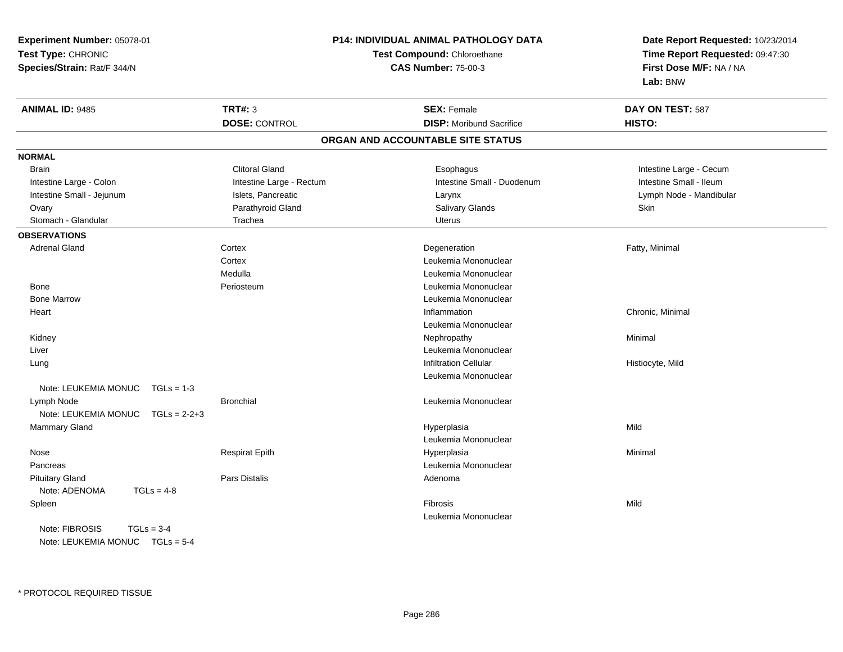| Experiment Number: 05078-01          |                                                           | P14: INDIVIDUAL ANIMAL PATHOLOGY DATA | Date Report Requested: 10/23/2014                          |
|--------------------------------------|-----------------------------------------------------------|---------------------------------------|------------------------------------------------------------|
| Test Type: CHRONIC                   | Test Compound: Chloroethane<br><b>CAS Number: 75-00-3</b> |                                       | Time Report Requested: 09:47:30<br>First Dose M/F: NA / NA |
| Species/Strain: Rat/F 344/N          |                                                           |                                       |                                                            |
|                                      |                                                           |                                       | Lab: BNW                                                   |
| <b>ANIMAL ID: 9485</b>               | <b>TRT#: 3</b>                                            | <b>SEX: Female</b>                    | DAY ON TEST: 587                                           |
|                                      | <b>DOSE: CONTROL</b>                                      | <b>DISP:</b> Moribund Sacrifice       | HISTO:                                                     |
|                                      |                                                           | ORGAN AND ACCOUNTABLE SITE STATUS     |                                                            |
| <b>NORMAL</b>                        |                                                           |                                       |                                                            |
| <b>Brain</b>                         | <b>Clitoral Gland</b>                                     | Esophagus                             | Intestine Large - Cecum                                    |
| Intestine Large - Colon              | Intestine Large - Rectum                                  | Intestine Small - Duodenum            | Intestine Small - Ileum                                    |
| Intestine Small - Jejunum            | Islets, Pancreatic                                        | Larynx                                | Lymph Node - Mandibular                                    |
| Ovary                                | Parathyroid Gland                                         | Salivary Glands                       | Skin                                                       |
| Stomach - Glandular                  | Trachea                                                   | <b>Uterus</b>                         |                                                            |
| <b>OBSERVATIONS</b>                  |                                                           |                                       |                                                            |
| <b>Adrenal Gland</b>                 | Cortex                                                    | Degeneration                          | Fatty, Minimal                                             |
|                                      | Cortex                                                    | Leukemia Mononuclear                  |                                                            |
|                                      | Medulla                                                   | Leukemia Mononuclear                  |                                                            |
| Bone                                 | Periosteum                                                | Leukemia Mononuclear                  |                                                            |
| <b>Bone Marrow</b>                   |                                                           | Leukemia Mononuclear                  |                                                            |
| Heart                                |                                                           | Inflammation                          | Chronic, Minimal                                           |
|                                      |                                                           | Leukemia Mononuclear                  |                                                            |
| Kidney                               |                                                           | Nephropathy                           | Minimal                                                    |
| Liver                                |                                                           | Leukemia Mononuclear                  |                                                            |
| Lung                                 |                                                           | <b>Infiltration Cellular</b>          | Histiocyte, Mild                                           |
|                                      |                                                           | Leukemia Mononuclear                  |                                                            |
| Note: LEUKEMIA MONUC<br>$TGLs = 1-3$ |                                                           |                                       |                                                            |
| Lymph Node                           | <b>Bronchial</b>                                          | Leukemia Mononuclear                  |                                                            |
| Note: LEUKEMIA MONUC TGLs = 2-2+3    |                                                           |                                       |                                                            |
| Mammary Gland                        |                                                           | Hyperplasia                           | Mild                                                       |
|                                      |                                                           | Leukemia Mononuclear                  |                                                            |
| Nose                                 | Respirat Epith                                            | Hyperplasia                           | Minimal                                                    |
| Pancreas                             |                                                           | Leukemia Mononuclear                  |                                                            |
| <b>Pituitary Gland</b>               | Pars Distalis                                             | Adenoma                               |                                                            |
| Note: ADENOMA<br>$TGLs = 4-8$        |                                                           |                                       |                                                            |
| Spleen                               |                                                           | <b>Fibrosis</b>                       | Mild                                                       |
|                                      |                                                           | Leukemia Mononuclear                  |                                                            |
| Note: FIBROSIS<br>$TGLs = 3-4$       |                                                           |                                       |                                                            |
| Note: LEUKEMIA MONUC TGLs = 5-4      |                                                           |                                       |                                                            |

\* PROTOCOL REQUIRED TISSUE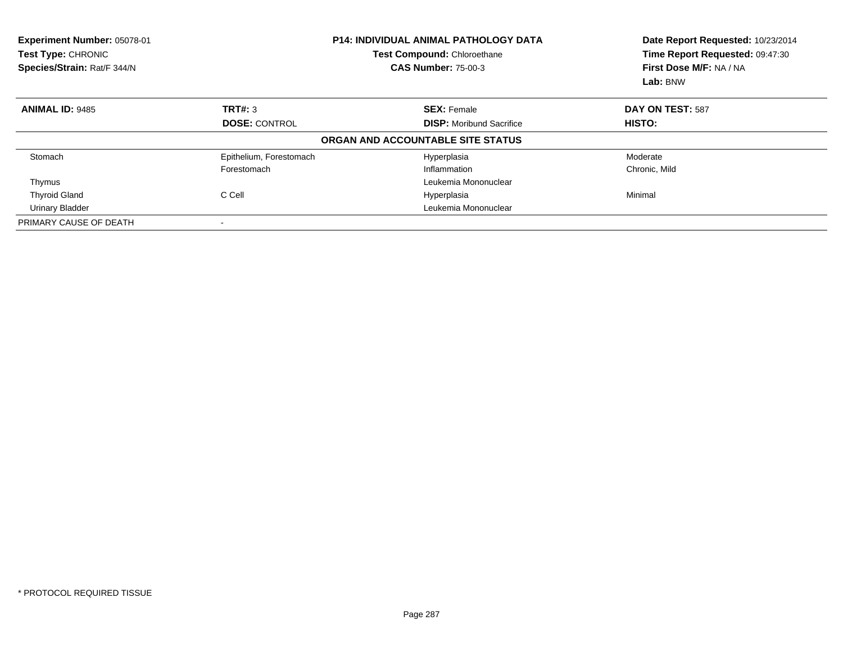| Experiment Number: 05078-01<br>Test Type: CHRONIC<br>Species/Strain: Rat/F 344/N |                         | <b>P14: INDIVIDUAL ANIMAL PATHOLOGY DATA</b><br>Test Compound: Chloroethane<br><b>CAS Number: 75-00-3</b> | Date Report Requested: 10/23/2014<br>Time Report Requested: 09:47:30<br>First Dose M/F: NA / NA<br>Lab: BNW |
|----------------------------------------------------------------------------------|-------------------------|-----------------------------------------------------------------------------------------------------------|-------------------------------------------------------------------------------------------------------------|
| <b>ANIMAL ID: 9485</b>                                                           | TRT#: 3                 | <b>SEX: Female</b>                                                                                        | DAY ON TEST: 587                                                                                            |
|                                                                                  | <b>DOSE: CONTROL</b>    | <b>DISP:</b> Moribund Sacrifice                                                                           | HISTO:                                                                                                      |
|                                                                                  |                         | ORGAN AND ACCOUNTABLE SITE STATUS                                                                         |                                                                                                             |
| Stomach                                                                          | Epithelium, Forestomach | Hyperplasia                                                                                               | Moderate                                                                                                    |
|                                                                                  | Forestomach             | Inflammation                                                                                              | Chronic, Mild                                                                                               |
| Thymus                                                                           |                         | Leukemia Mononuclear                                                                                      |                                                                                                             |
| <b>Thyroid Gland</b>                                                             | C Cell                  | Hyperplasia                                                                                               | Minimal                                                                                                     |
| <b>Urinary Bladder</b>                                                           |                         | Leukemia Mononuclear                                                                                      |                                                                                                             |
| PRIMARY CAUSE OF DEATH                                                           |                         |                                                                                                           |                                                                                                             |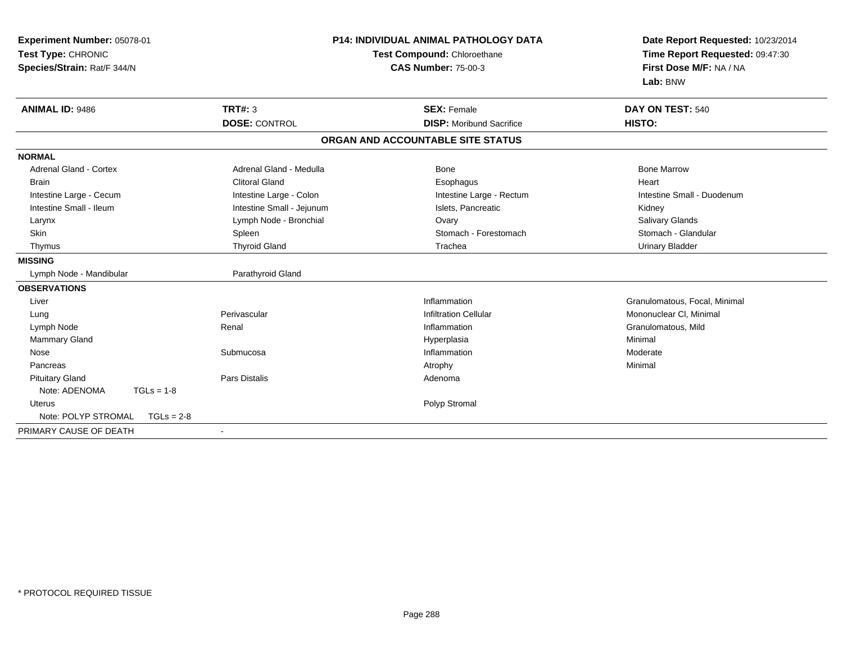| Experiment Number: 05078-01<br>Test Type: CHRONIC<br>Species/Strain: Rat/F 344/N | <b>P14: INDIVIDUAL ANIMAL PATHOLOGY DATA</b><br>Test Compound: Chloroethane<br><b>CAS Number: 75-00-3</b> |                                   | Date Report Requested: 10/23/2014<br>Time Report Requested: 09:47:30<br>First Dose M/F: NA / NA<br>Lab: BNW |  |
|----------------------------------------------------------------------------------|-----------------------------------------------------------------------------------------------------------|-----------------------------------|-------------------------------------------------------------------------------------------------------------|--|
| <b>ANIMAL ID: 9486</b>                                                           | <b>TRT#: 3</b>                                                                                            | <b>SEX: Female</b>                | DAY ON TEST: 540                                                                                            |  |
|                                                                                  | <b>DOSE: CONTROL</b>                                                                                      | <b>DISP:</b> Moribund Sacrifice   | HISTO:                                                                                                      |  |
|                                                                                  |                                                                                                           | ORGAN AND ACCOUNTABLE SITE STATUS |                                                                                                             |  |
| <b>NORMAL</b>                                                                    |                                                                                                           |                                   |                                                                                                             |  |
| <b>Adrenal Gland - Cortex</b>                                                    | Adrenal Gland - Medulla                                                                                   | <b>Bone</b>                       | <b>Bone Marrow</b>                                                                                          |  |
| Brain                                                                            | <b>Clitoral Gland</b>                                                                                     | Esophagus                         | Heart                                                                                                       |  |
| Intestine Large - Cecum                                                          | Intestine Large - Colon                                                                                   | Intestine Large - Rectum          | Intestine Small - Duodenum                                                                                  |  |
| Intestine Small - Ileum                                                          | Intestine Small - Jejunum                                                                                 | Islets, Pancreatic                | Kidney                                                                                                      |  |
| Larynx                                                                           | Lymph Node - Bronchial                                                                                    | Ovary                             | Salivary Glands                                                                                             |  |
| Skin                                                                             | Spleen                                                                                                    | Stomach - Forestomach             | Stomach - Glandular                                                                                         |  |
| Thymus                                                                           | <b>Thyroid Gland</b>                                                                                      | Trachea                           | <b>Urinary Bladder</b>                                                                                      |  |
| <b>MISSING</b>                                                                   |                                                                                                           |                                   |                                                                                                             |  |
| Lymph Node - Mandibular                                                          | Parathyroid Gland                                                                                         |                                   |                                                                                                             |  |
| <b>OBSERVATIONS</b>                                                              |                                                                                                           |                                   |                                                                                                             |  |
| Liver                                                                            |                                                                                                           | Inflammation                      | Granulomatous, Focal, Minimal                                                                               |  |
| Lung                                                                             | Perivascular                                                                                              | <b>Infiltration Cellular</b>      | Mononuclear CI, Minimal                                                                                     |  |
| Lymph Node                                                                       | Renal                                                                                                     | Inflammation                      | Granulomatous, Mild                                                                                         |  |
| <b>Mammary Gland</b>                                                             |                                                                                                           | Hyperplasia                       | Minimal                                                                                                     |  |
| Nose                                                                             | Submucosa                                                                                                 | Inflammation                      | Moderate                                                                                                    |  |
| Pancreas                                                                         |                                                                                                           | Atrophy                           | Minimal                                                                                                     |  |
| <b>Pituitary Gland</b>                                                           | <b>Pars Distalis</b>                                                                                      | Adenoma                           |                                                                                                             |  |
| Note: ADENOMA<br>$TGLs = 1-8$                                                    |                                                                                                           |                                   |                                                                                                             |  |
| <b>Uterus</b>                                                                    |                                                                                                           | Polyp Stromal                     |                                                                                                             |  |
| Note: POLYP STROMAL<br>$TGLs = 2-8$                                              |                                                                                                           |                                   |                                                                                                             |  |
| PRIMARY CAUSE OF DEATH                                                           | $\blacksquare$                                                                                            |                                   |                                                                                                             |  |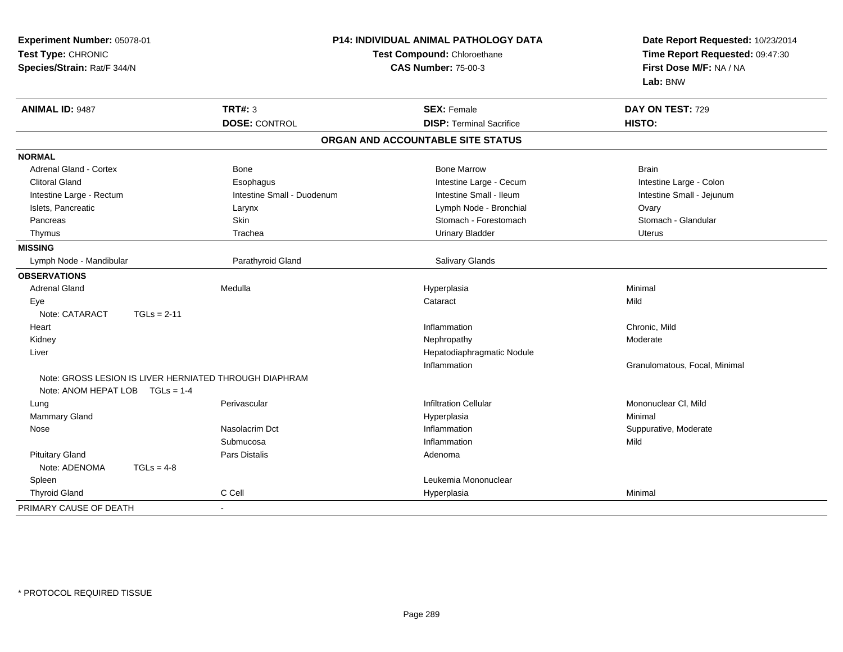| Experiment Number: 05078-01<br>Test Type: CHRONIC<br>Species/Strain: Rat/F 344/N |               | <b>P14: INDIVIDUAL ANIMAL PATHOLOGY DATA</b><br>Test Compound: Chloroethane<br><b>CAS Number: 75-00-3</b> |  | Date Report Requested: 10/23/2014<br>Time Report Requested: 09:47:30<br>First Dose M/F: NA / NA<br>Lab: BNW |                               |
|----------------------------------------------------------------------------------|---------------|-----------------------------------------------------------------------------------------------------------|--|-------------------------------------------------------------------------------------------------------------|-------------------------------|
| <b>ANIMAL ID: 9487</b>                                                           |               | <b>TRT#: 3</b>                                                                                            |  | <b>SEX: Female</b>                                                                                          | DAY ON TEST: 729              |
|                                                                                  |               | <b>DOSE: CONTROL</b>                                                                                      |  | <b>DISP: Terminal Sacrifice</b>                                                                             | HISTO:                        |
|                                                                                  |               |                                                                                                           |  | ORGAN AND ACCOUNTABLE SITE STATUS                                                                           |                               |
| <b>NORMAL</b>                                                                    |               |                                                                                                           |  |                                                                                                             |                               |
| <b>Adrenal Gland - Cortex</b>                                                    |               | Bone                                                                                                      |  | <b>Bone Marrow</b>                                                                                          | <b>Brain</b>                  |
| <b>Clitoral Gland</b>                                                            |               | Esophagus                                                                                                 |  | Intestine Large - Cecum                                                                                     | Intestine Large - Colon       |
| Intestine Large - Rectum                                                         |               | Intestine Small - Duodenum                                                                                |  | Intestine Small - Ileum                                                                                     | Intestine Small - Jejunum     |
| Islets, Pancreatic                                                               |               | Larynx                                                                                                    |  | Lymph Node - Bronchial                                                                                      | Ovary                         |
| Pancreas                                                                         |               | <b>Skin</b>                                                                                               |  | Stomach - Forestomach                                                                                       | Stomach - Glandular           |
| Thymus                                                                           |               | Trachea                                                                                                   |  | <b>Urinary Bladder</b>                                                                                      | <b>Uterus</b>                 |
| <b>MISSING</b>                                                                   |               |                                                                                                           |  |                                                                                                             |                               |
| Lymph Node - Mandibular                                                          |               | Parathyroid Gland                                                                                         |  | <b>Salivary Glands</b>                                                                                      |                               |
| <b>OBSERVATIONS</b>                                                              |               |                                                                                                           |  |                                                                                                             |                               |
| <b>Adrenal Gland</b>                                                             |               | Medulla                                                                                                   |  | Hyperplasia                                                                                                 | Minimal                       |
| Eye                                                                              |               |                                                                                                           |  | Cataract                                                                                                    | Mild                          |
| Note: CATARACT                                                                   | $TGLs = 2-11$ |                                                                                                           |  |                                                                                                             |                               |
| Heart                                                                            |               |                                                                                                           |  | Inflammation                                                                                                | Chronic, Mild                 |
| Kidney                                                                           |               |                                                                                                           |  | Nephropathy                                                                                                 | Moderate                      |
| Liver                                                                            |               |                                                                                                           |  | Hepatodiaphragmatic Nodule                                                                                  |                               |
|                                                                                  |               |                                                                                                           |  | Inflammation                                                                                                | Granulomatous, Focal, Minimal |
|                                                                                  |               | Note: GROSS LESION IS LIVER HERNIATED THROUGH DIAPHRAM                                                    |  |                                                                                                             |                               |
| Note: ANOM HEPAT LOB $TGLs = 1-4$                                                |               |                                                                                                           |  |                                                                                                             |                               |
| Lung                                                                             |               | Perivascular                                                                                              |  | <b>Infiltration Cellular</b>                                                                                | Mononuclear CI, Mild          |
| Mammary Gland                                                                    |               |                                                                                                           |  | Hyperplasia                                                                                                 | Minimal                       |
| Nose                                                                             |               | Nasolacrim Dct                                                                                            |  | Inflammation                                                                                                | Suppurative, Moderate         |
|                                                                                  |               | Submucosa                                                                                                 |  | Inflammation                                                                                                | Mild                          |
| <b>Pituitary Gland</b>                                                           |               | Pars Distalis                                                                                             |  | Adenoma                                                                                                     |                               |
| Note: ADENOMA                                                                    | $TGLs = 4-8$  |                                                                                                           |  |                                                                                                             |                               |
| Spleen                                                                           |               |                                                                                                           |  | Leukemia Mononuclear                                                                                        |                               |
| <b>Thyroid Gland</b>                                                             |               | C Cell                                                                                                    |  | Hyperplasia                                                                                                 | Minimal                       |
| PRIMARY CAUSE OF DEATH                                                           |               |                                                                                                           |  |                                                                                                             |                               |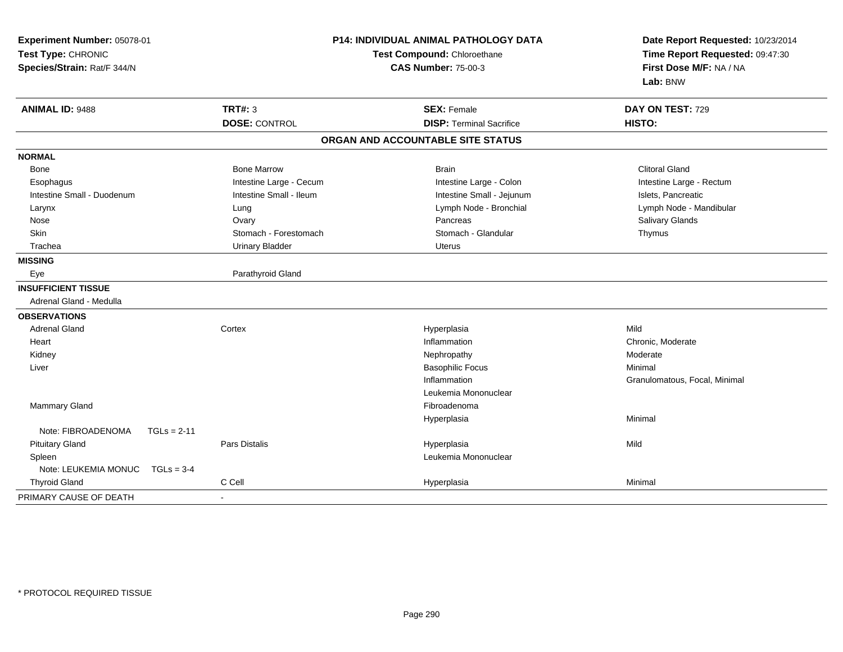| Experiment Number: 05078-01<br>Test Type: CHRONIC<br>Species/Strain: Rat/F 344/N |                         | P14: INDIVIDUAL ANIMAL PATHOLOGY DATA<br>Test Compound: Chloroethane<br><b>CAS Number: 75-00-3</b> | Date Report Requested: 10/23/2014<br>Time Report Requested: 09:47:30<br>First Dose M/F: NA / NA<br>Lab: BNW |  |
|----------------------------------------------------------------------------------|-------------------------|----------------------------------------------------------------------------------------------------|-------------------------------------------------------------------------------------------------------------|--|
| <b>ANIMAL ID: 9488</b>                                                           | <b>TRT#: 3</b>          | <b>SEX: Female</b><br><b>DISP: Terminal Sacrifice</b>                                              | DAY ON TEST: 729<br>HISTO:                                                                                  |  |
|                                                                                  | <b>DOSE: CONTROL</b>    |                                                                                                    |                                                                                                             |  |
|                                                                                  |                         | ORGAN AND ACCOUNTABLE SITE STATUS                                                                  |                                                                                                             |  |
| <b>NORMAL</b>                                                                    |                         |                                                                                                    |                                                                                                             |  |
| Bone                                                                             | <b>Bone Marrow</b>      | <b>Brain</b>                                                                                       | <b>Clitoral Gland</b>                                                                                       |  |
| Esophagus                                                                        | Intestine Large - Cecum | Intestine Large - Colon                                                                            | Intestine Large - Rectum                                                                                    |  |
| Intestine Small - Duodenum                                                       | Intestine Small - Ileum | Intestine Small - Jejunum                                                                          | Islets, Pancreatic                                                                                          |  |
| Larynx                                                                           | Lung                    | Lymph Node - Bronchial                                                                             | Lymph Node - Mandibular                                                                                     |  |
| Nose                                                                             | Ovary                   | Pancreas                                                                                           | Salivary Glands                                                                                             |  |
| Skin                                                                             | Stomach - Forestomach   | Stomach - Glandular                                                                                | Thymus                                                                                                      |  |
| Trachea                                                                          | <b>Urinary Bladder</b>  | <b>Uterus</b>                                                                                      |                                                                                                             |  |
| <b>MISSING</b>                                                                   |                         |                                                                                                    |                                                                                                             |  |
| Eye                                                                              | Parathyroid Gland       |                                                                                                    |                                                                                                             |  |
| <b>INSUFFICIENT TISSUE</b>                                                       |                         |                                                                                                    |                                                                                                             |  |
| Adrenal Gland - Medulla                                                          |                         |                                                                                                    |                                                                                                             |  |
| <b>OBSERVATIONS</b>                                                              |                         |                                                                                                    |                                                                                                             |  |
| <b>Adrenal Gland</b>                                                             | Cortex                  | Hyperplasia                                                                                        | Mild                                                                                                        |  |
| Heart                                                                            |                         | Inflammation                                                                                       | Chronic, Moderate                                                                                           |  |
| Kidney                                                                           |                         | Nephropathy                                                                                        | Moderate                                                                                                    |  |
| Liver                                                                            |                         | <b>Basophilic Focus</b>                                                                            | Minimal                                                                                                     |  |
|                                                                                  |                         | Inflammation                                                                                       | Granulomatous, Focal, Minimal                                                                               |  |
|                                                                                  |                         | Leukemia Mononuclear                                                                               |                                                                                                             |  |
| <b>Mammary Gland</b>                                                             |                         | Fibroadenoma                                                                                       |                                                                                                             |  |
|                                                                                  |                         | Hyperplasia                                                                                        | Minimal                                                                                                     |  |
| Note: FIBROADENOMA                                                               | $TGLs = 2-11$           |                                                                                                    |                                                                                                             |  |
| <b>Pituitary Gland</b>                                                           | Pars Distalis           | Hyperplasia                                                                                        | Mild                                                                                                        |  |
| Spleen                                                                           |                         | Leukemia Mononuclear                                                                               |                                                                                                             |  |
| Note: LEUKEMIA MONUC                                                             | $TGLs = 3-4$            |                                                                                                    |                                                                                                             |  |
| <b>Thyroid Gland</b>                                                             | C Cell                  | Hyperplasia                                                                                        | Minimal                                                                                                     |  |
| PRIMARY CAUSE OF DEATH                                                           | $\sim$                  |                                                                                                    |                                                                                                             |  |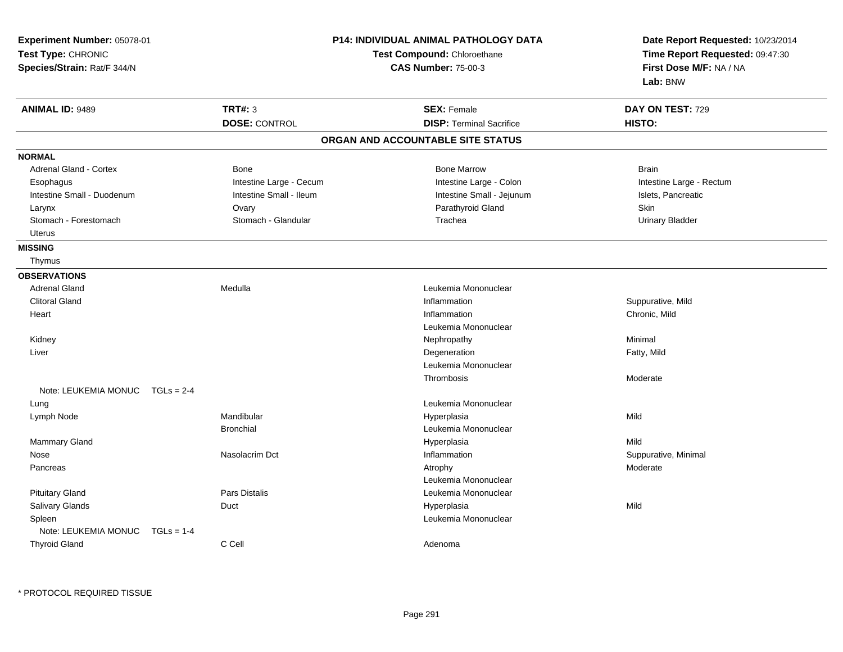| Experiment Number: 05078-01<br>Test Type: CHRONIC<br>Species/Strain: Rat/F 344/N |                                        | <b>P14: INDIVIDUAL ANIMAL PATHOLOGY DATA</b><br><b>Test Compound: Chloroethane</b><br><b>CAS Number: 75-00-3</b> | Date Report Requested: 10/23/2014<br>Time Report Requested: 09:47:30<br>First Dose M/F: NA / NA<br>Lab: BNW |
|----------------------------------------------------------------------------------|----------------------------------------|------------------------------------------------------------------------------------------------------------------|-------------------------------------------------------------------------------------------------------------|
| <b>ANIMAL ID: 9489</b>                                                           | <b>TRT#: 3</b><br><b>DOSE: CONTROL</b> | <b>SEX: Female</b><br><b>DISP: Terminal Sacrifice</b>                                                            | DAY ON TEST: 729<br>HISTO:                                                                                  |
|                                                                                  |                                        | ORGAN AND ACCOUNTABLE SITE STATUS                                                                                |                                                                                                             |
| <b>NORMAL</b>                                                                    |                                        |                                                                                                                  |                                                                                                             |
| Adrenal Gland - Cortex                                                           | Bone                                   | <b>Bone Marrow</b>                                                                                               | <b>Brain</b>                                                                                                |
| Esophagus                                                                        | Intestine Large - Cecum                | Intestine Large - Colon                                                                                          | Intestine Large - Rectum                                                                                    |
| Intestine Small - Duodenum                                                       | Intestine Small - Ileum                | Intestine Small - Jejunum                                                                                        | Islets, Pancreatic                                                                                          |
| Larynx                                                                           | Ovary                                  | Parathyroid Gland                                                                                                | <b>Skin</b>                                                                                                 |
| Stomach - Forestomach                                                            | Stomach - Glandular                    | Trachea                                                                                                          | <b>Urinary Bladder</b>                                                                                      |
| Uterus                                                                           |                                        |                                                                                                                  |                                                                                                             |
| <b>MISSING</b>                                                                   |                                        |                                                                                                                  |                                                                                                             |
| Thymus                                                                           |                                        |                                                                                                                  |                                                                                                             |
| <b>OBSERVATIONS</b>                                                              |                                        |                                                                                                                  |                                                                                                             |
| <b>Adrenal Gland</b>                                                             | Medulla                                | Leukemia Mononuclear                                                                                             |                                                                                                             |
| <b>Clitoral Gland</b>                                                            |                                        | Inflammation                                                                                                     | Suppurative, Mild                                                                                           |
| Heart                                                                            |                                        | Inflammation                                                                                                     | Chronic, Mild                                                                                               |
|                                                                                  |                                        | Leukemia Mononuclear                                                                                             |                                                                                                             |
| Kidney                                                                           |                                        | Nephropathy                                                                                                      | Minimal                                                                                                     |
| Liver                                                                            |                                        | Degeneration                                                                                                     | Fatty, Mild                                                                                                 |
|                                                                                  |                                        | Leukemia Mononuclear                                                                                             |                                                                                                             |
|                                                                                  |                                        | Thrombosis                                                                                                       | Moderate                                                                                                    |
| Note: LEUKEMIA MONUC TGLs = 2-4                                                  |                                        |                                                                                                                  |                                                                                                             |
| Lung                                                                             |                                        | Leukemia Mononuclear                                                                                             |                                                                                                             |
| Lymph Node                                                                       | Mandibular                             | Hyperplasia                                                                                                      | Mild                                                                                                        |
|                                                                                  | <b>Bronchial</b>                       | Leukemia Mononuclear                                                                                             |                                                                                                             |
| <b>Mammary Gland</b>                                                             |                                        | Hyperplasia                                                                                                      | Mild                                                                                                        |
| Nose                                                                             | Nasolacrim Dct                         | Inflammation                                                                                                     | Suppurative, Minimal                                                                                        |
| Pancreas                                                                         |                                        | Atrophy                                                                                                          | Moderate                                                                                                    |
|                                                                                  |                                        | Leukemia Mononuclear                                                                                             |                                                                                                             |
| <b>Pituitary Gland</b>                                                           | <b>Pars Distalis</b>                   | Leukemia Mononuclear                                                                                             |                                                                                                             |
| Salivary Glands                                                                  | Duct                                   | Hyperplasia                                                                                                      | Mild                                                                                                        |
| Spleen                                                                           |                                        | Leukemia Mononuclear                                                                                             |                                                                                                             |
| Note: LEUKEMIA MONUC $TGLs = 1-4$                                                |                                        |                                                                                                                  |                                                                                                             |
| <b>Thyroid Gland</b>                                                             | C Cell                                 | Adenoma                                                                                                          |                                                                                                             |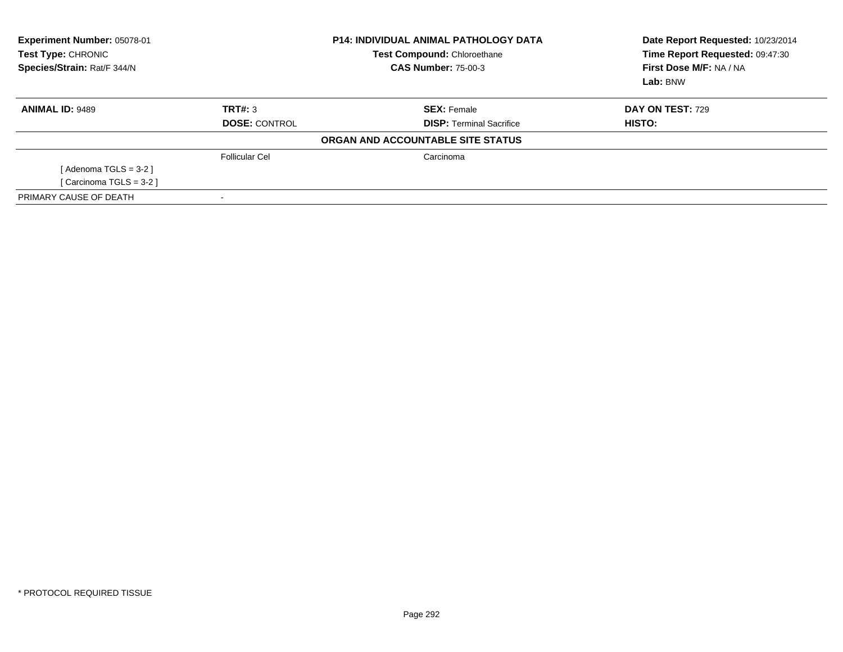| <b>Experiment Number: 05078-01</b><br>Test Type: CHRONIC<br>Species/Strain: Rat/F 344/N |                       | <b>P14: INDIVIDUAL ANIMAL PATHOLOGY DATA</b><br>Test Compound: Chloroethane<br><b>CAS Number: 75-00-3</b> | Date Report Requested: 10/23/2014<br>Time Report Requested: 09:47:30<br>First Dose M/F: NA / NA<br>Lab: BNW |
|-----------------------------------------------------------------------------------------|-----------------------|-----------------------------------------------------------------------------------------------------------|-------------------------------------------------------------------------------------------------------------|
| <b>ANIMAL ID: 9489</b>                                                                  | TRT#: 3               | <b>SEX: Female</b>                                                                                        | DAY ON TEST: 729                                                                                            |
|                                                                                         | <b>DOSE: CONTROL</b>  | <b>DISP:</b> Terminal Sacrifice                                                                           | HISTO:                                                                                                      |
|                                                                                         |                       | ORGAN AND ACCOUNTABLE SITE STATUS                                                                         |                                                                                                             |
|                                                                                         | <b>Follicular Cel</b> | Carcinoma                                                                                                 |                                                                                                             |
| [Adenoma TGLS = $3-2$ ]                                                                 |                       |                                                                                                           |                                                                                                             |
| [ Carcinoma TGLS = 3-2 ]                                                                |                       |                                                                                                           |                                                                                                             |
| PRIMARY CAUSE OF DEATH                                                                  |                       |                                                                                                           |                                                                                                             |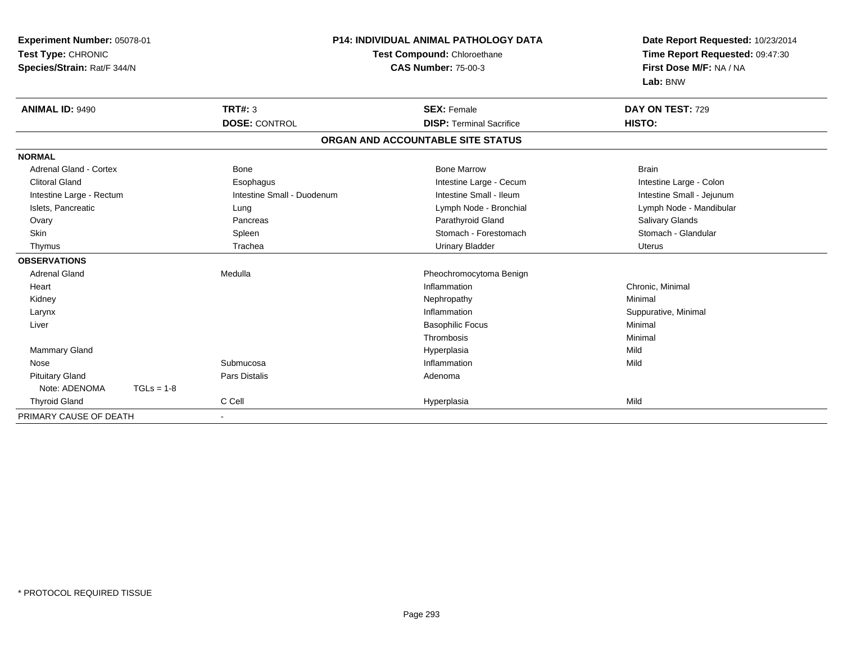| Experiment Number: 05078-01<br>Test Type: CHRONIC<br>Species/Strain: Rat/F 344/N |              |                            | <b>P14: INDIVIDUAL ANIMAL PATHOLOGY DATA</b><br>Test Compound: Chloroethane<br><b>CAS Number: 75-00-3</b> |                                   | Date Report Requested: 10/23/2014                          |
|----------------------------------------------------------------------------------|--------------|----------------------------|-----------------------------------------------------------------------------------------------------------|-----------------------------------|------------------------------------------------------------|
|                                                                                  |              |                            |                                                                                                           |                                   | Time Report Requested: 09:47:30<br>First Dose M/F: NA / NA |
|                                                                                  |              |                            |                                                                                                           |                                   | Lab: BNW                                                   |
| <b>ANIMAL ID: 9490</b>                                                           |              | <b>TRT#: 3</b>             |                                                                                                           | <b>SEX: Female</b>                | DAY ON TEST: 729                                           |
|                                                                                  |              | <b>DOSE: CONTROL</b>       |                                                                                                           | <b>DISP: Terminal Sacrifice</b>   | HISTO:                                                     |
|                                                                                  |              |                            |                                                                                                           | ORGAN AND ACCOUNTABLE SITE STATUS |                                                            |
| <b>NORMAL</b>                                                                    |              |                            |                                                                                                           |                                   |                                                            |
| Adrenal Gland - Cortex                                                           |              | <b>Bone</b>                |                                                                                                           | <b>Bone Marrow</b>                | <b>Brain</b>                                               |
| <b>Clitoral Gland</b>                                                            |              | Esophagus                  |                                                                                                           | Intestine Large - Cecum           | Intestine Large - Colon                                    |
| Intestine Large - Rectum                                                         |              | Intestine Small - Duodenum |                                                                                                           | Intestine Small - Ileum           | Intestine Small - Jejunum                                  |
| Islets, Pancreatic                                                               |              | Lung                       |                                                                                                           | Lymph Node - Bronchial            | Lymph Node - Mandibular                                    |
| Ovary                                                                            |              | Pancreas                   |                                                                                                           | Parathyroid Gland                 | Salivary Glands                                            |
| Skin                                                                             |              | Spleen                     |                                                                                                           | Stomach - Forestomach             | Stomach - Glandular                                        |
| Thymus                                                                           |              | Trachea                    |                                                                                                           | <b>Urinary Bladder</b>            | <b>Uterus</b>                                              |
| <b>OBSERVATIONS</b>                                                              |              |                            |                                                                                                           |                                   |                                                            |
| <b>Adrenal Gland</b>                                                             |              | Medulla                    |                                                                                                           | Pheochromocytoma Benign           |                                                            |
| Heart                                                                            |              |                            |                                                                                                           | Inflammation                      | Chronic, Minimal                                           |
| Kidney                                                                           |              |                            |                                                                                                           | Nephropathy                       | Minimal                                                    |
| Larynx                                                                           |              |                            |                                                                                                           | Inflammation                      | Suppurative, Minimal                                       |
| Liver                                                                            |              |                            |                                                                                                           | <b>Basophilic Focus</b>           | Minimal                                                    |
|                                                                                  |              |                            |                                                                                                           | Thrombosis                        | Minimal                                                    |
| <b>Mammary Gland</b>                                                             |              |                            |                                                                                                           | Hyperplasia                       | Mild                                                       |
| Nose                                                                             |              | Submucosa                  |                                                                                                           | Inflammation                      | Mild                                                       |
| <b>Pituitary Gland</b>                                                           |              | Pars Distalis              |                                                                                                           | Adenoma                           |                                                            |
| Note: ADENOMA                                                                    | $TGLs = 1-8$ |                            |                                                                                                           |                                   |                                                            |
| <b>Thyroid Gland</b>                                                             |              | C Cell                     |                                                                                                           | Hyperplasia                       | Mild                                                       |
| PRIMARY CAUSE OF DEATH                                                           |              | $\sim$                     |                                                                                                           |                                   |                                                            |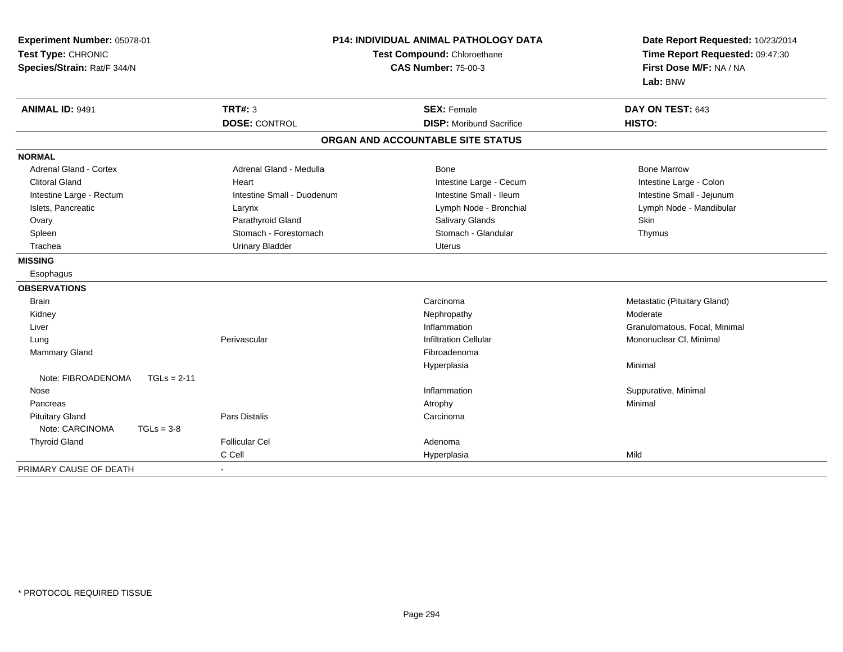| Experiment Number: 05078-01<br>Test Type: CHRONIC<br>Species/Strain: Rat/F 344/N |                            | P14: INDIVIDUAL ANIMAL PATHOLOGY DATA<br>Test Compound: Chloroethane<br><b>CAS Number: 75-00-3</b> | Date Report Requested: 10/23/2014<br>Time Report Requested: 09:47:30<br>First Dose M/F: NA / NA<br>Lab: BNW |  |
|----------------------------------------------------------------------------------|----------------------------|----------------------------------------------------------------------------------------------------|-------------------------------------------------------------------------------------------------------------|--|
| <b>ANIMAL ID: 9491</b>                                                           | <b>TRT#: 3</b>             | <b>SEX: Female</b>                                                                                 | DAY ON TEST: 643                                                                                            |  |
|                                                                                  | <b>DOSE: CONTROL</b>       | <b>DISP:</b> Moribund Sacrifice                                                                    | HISTO:                                                                                                      |  |
|                                                                                  |                            | ORGAN AND ACCOUNTABLE SITE STATUS                                                                  |                                                                                                             |  |
| <b>NORMAL</b>                                                                    |                            |                                                                                                    |                                                                                                             |  |
| <b>Adrenal Gland - Cortex</b>                                                    | Adrenal Gland - Medulla    | Bone                                                                                               | <b>Bone Marrow</b>                                                                                          |  |
| <b>Clitoral Gland</b>                                                            | Heart                      | Intestine Large - Cecum                                                                            | Intestine Large - Colon                                                                                     |  |
| Intestine Large - Rectum                                                         | Intestine Small - Duodenum | Intestine Small - Ileum                                                                            | Intestine Small - Jejunum                                                                                   |  |
| Islets, Pancreatic                                                               | Larynx                     | Lymph Node - Bronchial                                                                             | Lymph Node - Mandibular                                                                                     |  |
| Ovary                                                                            | Parathyroid Gland          | Salivary Glands                                                                                    | Skin                                                                                                        |  |
| Spleen                                                                           | Stomach - Forestomach      | Stomach - Glandular                                                                                | Thymus                                                                                                      |  |
| Trachea                                                                          | <b>Urinary Bladder</b>     | Uterus                                                                                             |                                                                                                             |  |
| <b>MISSING</b>                                                                   |                            |                                                                                                    |                                                                                                             |  |
| Esophagus                                                                        |                            |                                                                                                    |                                                                                                             |  |
| <b>OBSERVATIONS</b>                                                              |                            |                                                                                                    |                                                                                                             |  |
| <b>Brain</b>                                                                     |                            | Carcinoma                                                                                          | Metastatic (Pituitary Gland)                                                                                |  |
| Kidney                                                                           |                            | Nephropathy                                                                                        | Moderate                                                                                                    |  |
| Liver                                                                            |                            | Inflammation                                                                                       | Granulomatous, Focal, Minimal                                                                               |  |
| Lung                                                                             | Perivascular               | <b>Infiltration Cellular</b>                                                                       | Mononuclear CI, Minimal                                                                                     |  |
| Mammary Gland                                                                    |                            | Fibroadenoma                                                                                       |                                                                                                             |  |
|                                                                                  |                            | Hyperplasia                                                                                        | Minimal                                                                                                     |  |
| Note: FIBROADENOMA<br>$TGLs = 2-11$                                              |                            |                                                                                                    |                                                                                                             |  |
| Nose                                                                             |                            | Inflammation                                                                                       | Suppurative, Minimal                                                                                        |  |
| Pancreas                                                                         |                            | Atrophy                                                                                            | Minimal                                                                                                     |  |
| <b>Pituitary Gland</b>                                                           | Pars Distalis              | Carcinoma                                                                                          |                                                                                                             |  |
| Note: CARCINOMA<br>$TGLs = 3-8$                                                  |                            |                                                                                                    |                                                                                                             |  |
| <b>Thyroid Gland</b>                                                             | <b>Follicular Cel</b>      | Adenoma                                                                                            |                                                                                                             |  |
|                                                                                  | C Cell                     | Hyperplasia                                                                                        | Mild                                                                                                        |  |
| PRIMARY CAUSE OF DEATH                                                           | $\blacksquare$             |                                                                                                    |                                                                                                             |  |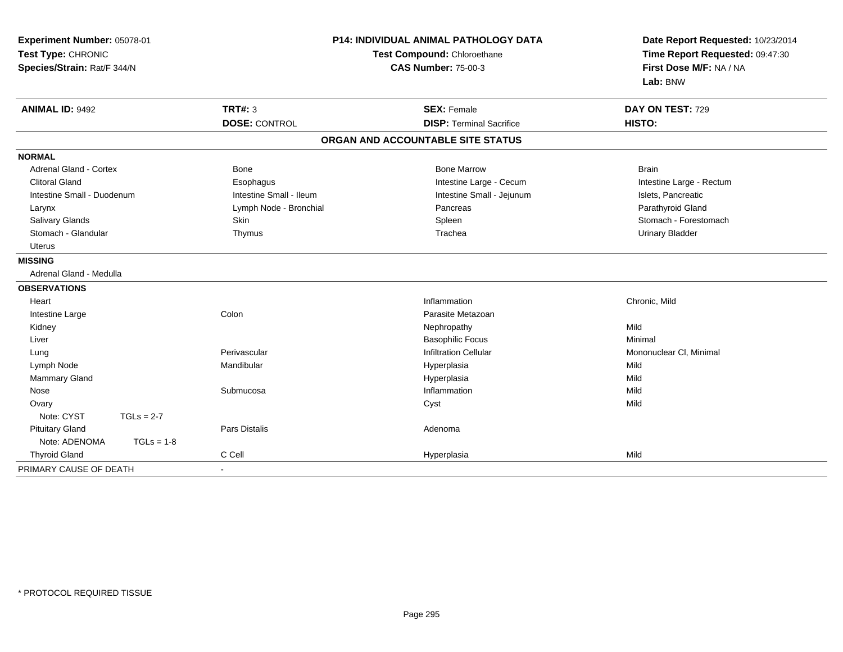| Experiment Number: 05078-01<br>Test Type: CHRONIC<br>Species/Strain: Rat/F 344/N |                         | P14: INDIVIDUAL ANIMAL PATHOLOGY DATA<br>Test Compound: Chloroethane<br><b>CAS Number: 75-00-3</b> | Date Report Requested: 10/23/2014<br>Time Report Requested: 09:47:30<br>First Dose M/F: NA / NA<br>Lab: BNW |  |
|----------------------------------------------------------------------------------|-------------------------|----------------------------------------------------------------------------------------------------|-------------------------------------------------------------------------------------------------------------|--|
| <b>ANIMAL ID: 9492</b>                                                           | <b>TRT#: 3</b>          | <b>SEX: Female</b>                                                                                 | DAY ON TEST: 729                                                                                            |  |
|                                                                                  | <b>DOSE: CONTROL</b>    | <b>DISP: Terminal Sacrifice</b>                                                                    | HISTO:                                                                                                      |  |
|                                                                                  |                         | ORGAN AND ACCOUNTABLE SITE STATUS                                                                  |                                                                                                             |  |
| <b>NORMAL</b>                                                                    |                         |                                                                                                    |                                                                                                             |  |
| <b>Adrenal Gland - Cortex</b>                                                    | <b>Bone</b>             | <b>Bone Marrow</b>                                                                                 | <b>Brain</b>                                                                                                |  |
| <b>Clitoral Gland</b>                                                            | Esophagus               | Intestine Large - Cecum                                                                            | Intestine Large - Rectum                                                                                    |  |
| Intestine Small - Duodenum                                                       | Intestine Small - Ileum | Intestine Small - Jejunum                                                                          | Islets, Pancreatic                                                                                          |  |
| Larynx                                                                           | Lymph Node - Bronchial  | Pancreas                                                                                           | Parathyroid Gland                                                                                           |  |
| Salivary Glands                                                                  | Skin                    | Spleen                                                                                             | Stomach - Forestomach                                                                                       |  |
| Stomach - Glandular                                                              | Thymus                  | Trachea                                                                                            | <b>Urinary Bladder</b>                                                                                      |  |
| <b>Uterus</b>                                                                    |                         |                                                                                                    |                                                                                                             |  |
| <b>MISSING</b>                                                                   |                         |                                                                                                    |                                                                                                             |  |
| Adrenal Gland - Medulla                                                          |                         |                                                                                                    |                                                                                                             |  |
| <b>OBSERVATIONS</b>                                                              |                         |                                                                                                    |                                                                                                             |  |
| Heart                                                                            |                         | Inflammation                                                                                       | Chronic, Mild                                                                                               |  |
| Intestine Large                                                                  | Colon                   | Parasite Metazoan                                                                                  |                                                                                                             |  |
| Kidney                                                                           |                         | Nephropathy                                                                                        | Mild                                                                                                        |  |
| Liver                                                                            |                         | <b>Basophilic Focus</b>                                                                            | Minimal                                                                                                     |  |
| Lung                                                                             | Perivascular            | <b>Infiltration Cellular</b>                                                                       | Mononuclear CI, Minimal                                                                                     |  |
| Lymph Node                                                                       | Mandibular              | Hyperplasia                                                                                        | Mild                                                                                                        |  |
| Mammary Gland                                                                    |                         | Hyperplasia                                                                                        | Mild                                                                                                        |  |
| Nose                                                                             | Submucosa               | Inflammation                                                                                       | Mild                                                                                                        |  |
| Ovary                                                                            |                         | Cyst                                                                                               | Mild                                                                                                        |  |
| Note: CYST<br>$TGLs = 2-7$                                                       |                         |                                                                                                    |                                                                                                             |  |
| <b>Pituitary Gland</b>                                                           | <b>Pars Distalis</b>    | Adenoma                                                                                            |                                                                                                             |  |
| Note: ADENOMA<br>$TGLs = 1-8$                                                    |                         |                                                                                                    |                                                                                                             |  |
| <b>Thyroid Gland</b>                                                             | C Cell                  | Hyperplasia                                                                                        | Mild                                                                                                        |  |
| PRIMARY CAUSE OF DEATH                                                           |                         |                                                                                                    |                                                                                                             |  |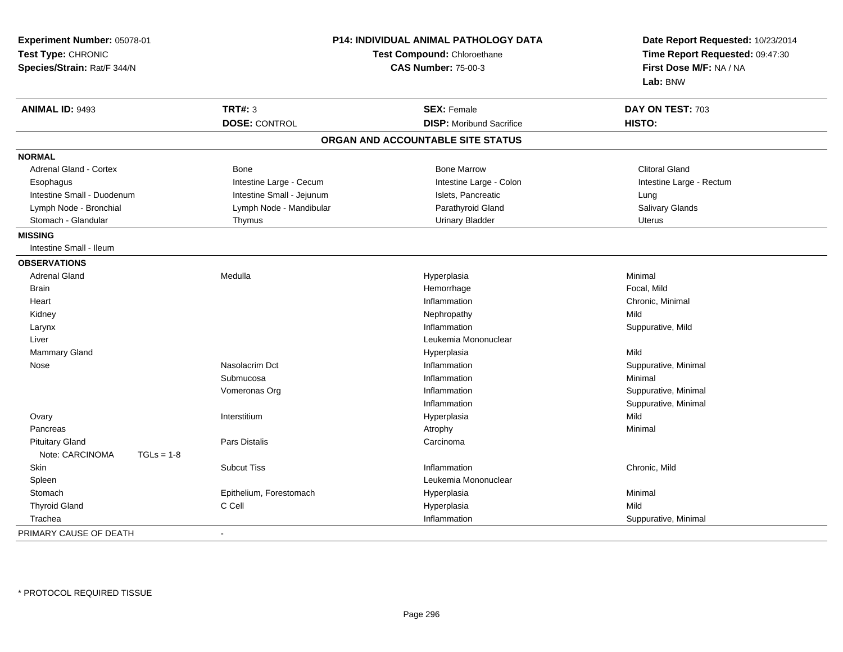| Experiment Number: 05078-01<br>Test Type: CHRONIC<br>Species/Strain: Rat/F 344/N | <b>P14: INDIVIDUAL ANIMAL PATHOLOGY DATA</b><br>Test Compound: Chloroethane<br><b>CAS Number: 75-00-3</b> |                                   | Date Report Requested: 10/23/2014<br>Time Report Requested: 09:47:30<br>First Dose M/F: NA / NA<br>Lab: BNW |  |
|----------------------------------------------------------------------------------|-----------------------------------------------------------------------------------------------------------|-----------------------------------|-------------------------------------------------------------------------------------------------------------|--|
| <b>ANIMAL ID: 9493</b>                                                           | TRT#: 3                                                                                                   | <b>SEX: Female</b>                | DAY ON TEST: 703                                                                                            |  |
|                                                                                  | <b>DOSE: CONTROL</b>                                                                                      | <b>DISP:</b> Moribund Sacrifice   | HISTO:                                                                                                      |  |
|                                                                                  |                                                                                                           | ORGAN AND ACCOUNTABLE SITE STATUS |                                                                                                             |  |
| <b>NORMAL</b>                                                                    |                                                                                                           |                                   |                                                                                                             |  |
| Adrenal Gland - Cortex                                                           | <b>Bone</b>                                                                                               | <b>Bone Marrow</b>                | <b>Clitoral Gland</b>                                                                                       |  |
| Esophagus                                                                        | Intestine Large - Cecum                                                                                   | Intestine Large - Colon           | Intestine Large - Rectum                                                                                    |  |
| Intestine Small - Duodenum                                                       | Intestine Small - Jejunum                                                                                 | Islets, Pancreatic                | Lung                                                                                                        |  |
| Lymph Node - Bronchial                                                           | Lymph Node - Mandibular                                                                                   | Parathyroid Gland                 | Salivary Glands                                                                                             |  |
| Stomach - Glandular                                                              | Thymus                                                                                                    | <b>Urinary Bladder</b>            | <b>Uterus</b>                                                                                               |  |
| <b>MISSING</b>                                                                   |                                                                                                           |                                   |                                                                                                             |  |
| Intestine Small - Ileum                                                          |                                                                                                           |                                   |                                                                                                             |  |
| <b>OBSERVATIONS</b>                                                              |                                                                                                           |                                   |                                                                                                             |  |
| <b>Adrenal Gland</b>                                                             | Medulla                                                                                                   | Hyperplasia                       | Minimal                                                                                                     |  |
| <b>Brain</b>                                                                     |                                                                                                           | Hemorrhage                        | Focal, Mild                                                                                                 |  |
| Heart                                                                            |                                                                                                           | Inflammation                      | Chronic, Minimal                                                                                            |  |
| Kidney                                                                           |                                                                                                           | Nephropathy                       | Mild                                                                                                        |  |
| Larynx                                                                           |                                                                                                           | Inflammation                      | Suppurative, Mild                                                                                           |  |
| Liver                                                                            |                                                                                                           | Leukemia Mononuclear              |                                                                                                             |  |
| Mammary Gland                                                                    |                                                                                                           | Hyperplasia                       | Mild                                                                                                        |  |
| Nose                                                                             | Nasolacrim Dct                                                                                            | Inflammation                      | Suppurative, Minimal                                                                                        |  |
|                                                                                  | Submucosa                                                                                                 | Inflammation                      | Minimal                                                                                                     |  |
|                                                                                  | Vomeronas Org                                                                                             | Inflammation                      | Suppurative, Minimal                                                                                        |  |
|                                                                                  |                                                                                                           | Inflammation                      | Suppurative, Minimal                                                                                        |  |
| Ovary                                                                            | Interstitium                                                                                              | Hyperplasia                       | Mild                                                                                                        |  |
| Pancreas                                                                         |                                                                                                           | Atrophy                           | Minimal                                                                                                     |  |
| <b>Pituitary Gland</b>                                                           | Pars Distalis                                                                                             | Carcinoma                         |                                                                                                             |  |
| Note: CARCINOMA<br>$TGLs = 1-8$                                                  |                                                                                                           |                                   |                                                                                                             |  |
| Skin                                                                             | <b>Subcut Tiss</b>                                                                                        | Inflammation                      | Chronic, Mild                                                                                               |  |
| Spleen                                                                           |                                                                                                           | Leukemia Mononuclear              |                                                                                                             |  |
| Stomach                                                                          | Epithelium, Forestomach                                                                                   | Hyperplasia                       | Minimal                                                                                                     |  |
| <b>Thyroid Gland</b>                                                             | C Cell                                                                                                    | Hyperplasia                       | Mild                                                                                                        |  |
| Trachea                                                                          |                                                                                                           | Inflammation                      | Suppurative, Minimal                                                                                        |  |
| PRIMARY CAUSE OF DEATH                                                           |                                                                                                           |                                   |                                                                                                             |  |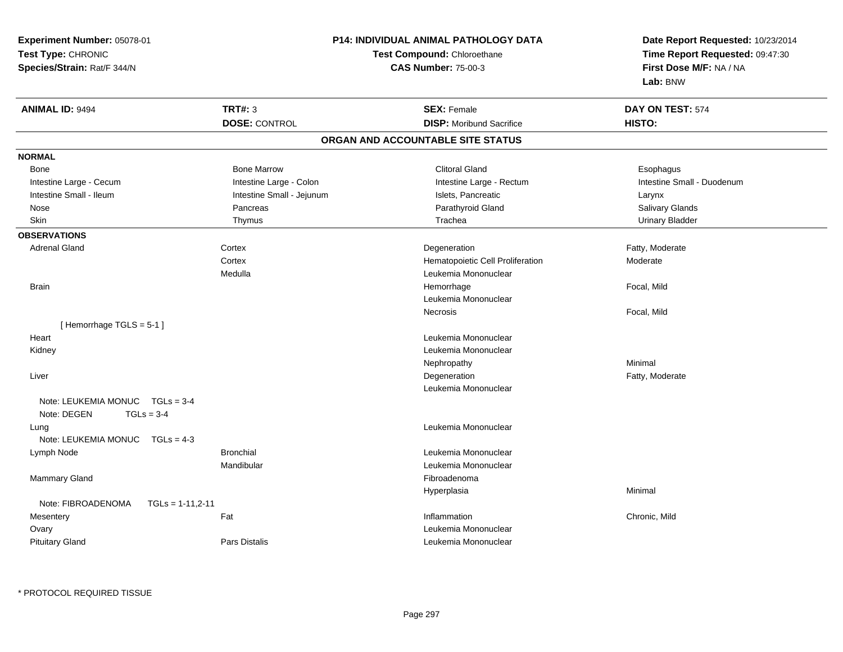**Experiment Number:** 05078-01**Test Type:** CHRONIC **Species/Strain:** Rat/F 344/N**P14: INDIVIDUAL ANIMAL PATHOLOGY DATATest Compound:** Chloroethane**CAS Number:** 75-00-3**Date Report Requested:** 10/23/2014**Time Report Requested:** 09:47:30**First Dose M/F:** NA / NA**Lab:** BNW**ANIMAL ID:** 9494**TRT#:** 3 **SEX:** Female **DAY ON TEST:** 574 **DOSE:** CONTROL**DISP:** Moribund Sacrifice **HISTO: ORGAN AND ACCOUNTABLE SITE STATUSNORMAL**Bone Bone Bone Marrow Bone Marrow Clitoral Gland Esophagus Intestine Large - Cecum **Intestine Large - Colon** Intestine Large - Rectum Intestine Large - Rectum Intestine Small - Duodenum Intestine Small - Ileum Larynx Intestine Small - Jejunum Intestine Small - Jejunum Islets, Pancreatic Larynx **Salivary Glands**  Nose Pancreas Parathyroid Gland Salivary Glands**Urinary Bladder**  Skin Thymus Trachea Urinary Bladder**OBSERVATIONS** Adrenal Glandd Cortex Cortex **Cortex and Cortex Cortex Cortex Corte** Extended Power and Degeneration Cortex Cortex and Degeneration **Cortex**  Hematopoietic Cell Proliferation Moderate Medulla Leukemia Mononuclear Brainn and the set of the set of the set of the set of the Hemorrhage set of the set of the Focal, Mild set of the set of the set of the set of the set of the set of the set of the set of the set of the set of the set of the se Leukemia MononuclearNecrosis Focal, Mild[ Hemorrhage TGLS = 5-1 ]**Heart**  Leukemia Mononuclear Kidney Leukemia Mononuclear Nephropathyy the contract of the Minimal Minimal Section 1996 and the contract of the Minimal Section 1997 and the contract of the contract of the contract of the contract of the contract of the contract of the contract of the contra Liverr and the control of the control of the control of the control of the control of the control of the control of Degeneration **Example 2 Fatty, Moderate** Leukemia MononuclearNote: LEUKEMIA MONUC TGLs = 3-4Note: DEGEN TGLs = 3-4 Lung Leukemia Mononuclear Note: LEUKEMIA MONUC TGLs = 4-3 Lymph NodeBronchial **Bronchial** Leukemia Mononuclear Mandibular Leukemia Mononuclear Mammary Glandd and the state of the state of the state of the state of the state of the state of the state of the state of the state of the state of the state of the state of the state of the state of the state of the state of the stat Hyperplasiaa and a studies of the studies of the Minimal Note: FIBROADENOMA TGLs = 1-11,2-11**Mesentery** y the contract of the state of the state of the state of the state of the state of the state of the state of t Inflammation Chronic, Mild **Ovary**  Leukemia Mononuclear Pituitary GlandPars Distalis **Contract Contract Contract Contract Contract Contract Contract Contract Contract Contract Contract Contract Contract Contract Contract Contract Contract Contract Contract Contract Contract Contract Contract** 

\* PROTOCOL REQUIRED TISSUE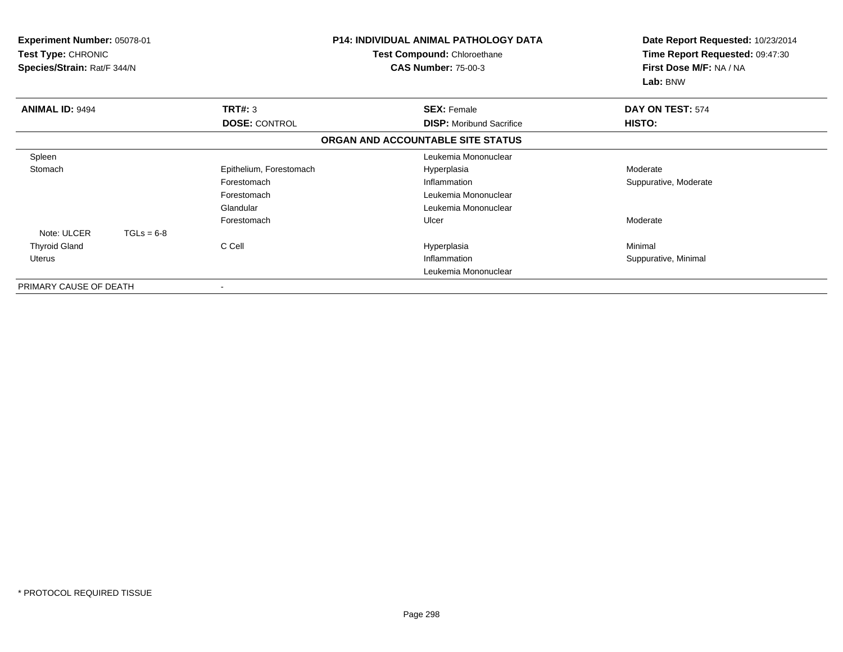| <b>Experiment Number: 05078-01</b><br>Test Type: CHRONIC<br>Species/Strain: Rat/F 344/N |              |                         | <b>P14: INDIVIDUAL ANIMAL PATHOLOGY DATA</b><br>Test Compound: Chloroethane<br><b>CAS Number: 75-00-3</b> | Date Report Requested: 10/23/2014<br>Time Report Requested: 09:47:30<br>First Dose M/F: NA / NA<br>Lab: BNW |
|-----------------------------------------------------------------------------------------|--------------|-------------------------|-----------------------------------------------------------------------------------------------------------|-------------------------------------------------------------------------------------------------------------|
| <b>ANIMAL ID: 9494</b>                                                                  |              | TRT#: 3                 | <b>SEX: Female</b>                                                                                        | DAY ON TEST: 574                                                                                            |
|                                                                                         |              | <b>DOSE: CONTROL</b>    | <b>DISP:</b> Moribund Sacrifice                                                                           | HISTO:                                                                                                      |
|                                                                                         |              |                         | ORGAN AND ACCOUNTABLE SITE STATUS                                                                         |                                                                                                             |
| Spleen                                                                                  |              |                         | Leukemia Mononuclear                                                                                      |                                                                                                             |
| Stomach                                                                                 |              | Epithelium, Forestomach | Hyperplasia                                                                                               | Moderate                                                                                                    |
|                                                                                         |              | Forestomach             | Inflammation                                                                                              | Suppurative, Moderate                                                                                       |
|                                                                                         |              | Forestomach             | Leukemia Mononuclear                                                                                      |                                                                                                             |
|                                                                                         |              | Glandular               | Leukemia Mononuclear                                                                                      |                                                                                                             |
|                                                                                         |              | Forestomach             | Ulcer                                                                                                     | Moderate                                                                                                    |
| Note: ULCER                                                                             | $TGLs = 6-8$ |                         |                                                                                                           |                                                                                                             |
| <b>Thyroid Gland</b>                                                                    |              | C Cell                  | Hyperplasia                                                                                               | Minimal                                                                                                     |
| Uterus                                                                                  |              |                         | Inflammation                                                                                              | Suppurative, Minimal                                                                                        |
|                                                                                         |              |                         | Leukemia Mononuclear                                                                                      |                                                                                                             |
| PRIMARY CAUSE OF DEATH                                                                  |              | $\blacksquare$          |                                                                                                           |                                                                                                             |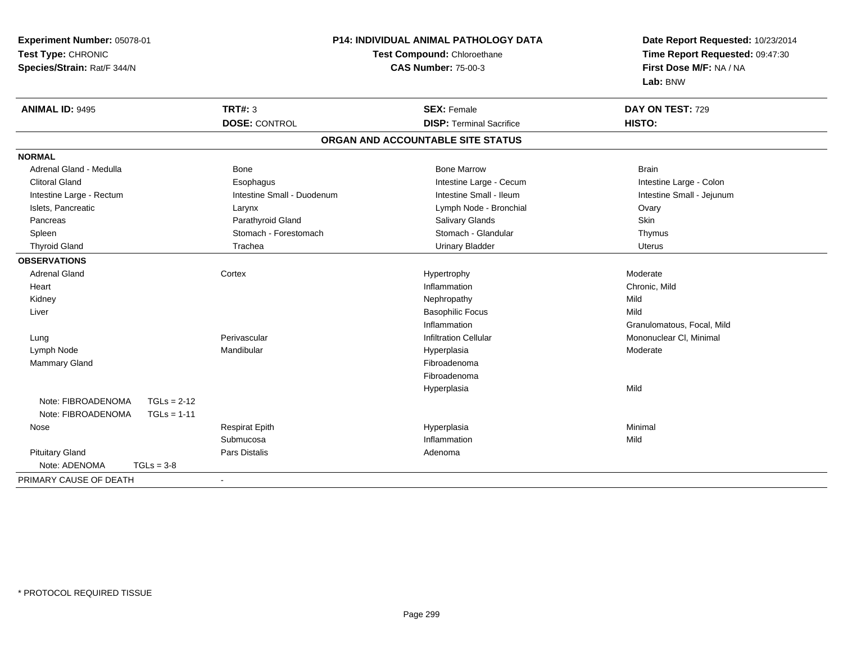| Experiment Number: 05078-01         |                            | P14: INDIVIDUAL ANIMAL PATHOLOGY DATA | Date Report Requested: 10/23/2014                          |  |
|-------------------------------------|----------------------------|---------------------------------------|------------------------------------------------------------|--|
| Test Type: CHRONIC                  |                            | Test Compound: Chloroethane           |                                                            |  |
| Species/Strain: Rat/F 344/N         |                            | <b>CAS Number: 75-00-3</b>            | Time Report Requested: 09:47:30<br>First Dose M/F: NA / NA |  |
|                                     |                            |                                       | Lab: BNW                                                   |  |
| <b>ANIMAL ID: 9495</b>              | <b>TRT#: 3</b>             | <b>SEX: Female</b>                    | DAY ON TEST: 729                                           |  |
|                                     | <b>DOSE: CONTROL</b>       | <b>DISP: Terminal Sacrifice</b>       | HISTO:                                                     |  |
|                                     |                            | ORGAN AND ACCOUNTABLE SITE STATUS     |                                                            |  |
| <b>NORMAL</b>                       |                            |                                       |                                                            |  |
| Adrenal Gland - Medulla             | Bone                       | <b>Bone Marrow</b>                    | <b>Brain</b>                                               |  |
| <b>Clitoral Gland</b>               | Esophagus                  | Intestine Large - Cecum               | Intestine Large - Colon                                    |  |
| Intestine Large - Rectum            | Intestine Small - Duodenum | Intestine Small - Ileum               | Intestine Small - Jejunum                                  |  |
| Islets, Pancreatic                  | Larynx                     | Lymph Node - Bronchial                | Ovary                                                      |  |
| Pancreas                            | Parathyroid Gland          | <b>Salivary Glands</b>                | Skin                                                       |  |
| Spleen                              | Stomach - Forestomach      | Stomach - Glandular                   | Thymus                                                     |  |
| <b>Thyroid Gland</b>                | Trachea                    | <b>Urinary Bladder</b>                | <b>Uterus</b>                                              |  |
| <b>OBSERVATIONS</b>                 |                            |                                       |                                                            |  |
| <b>Adrenal Gland</b>                | Cortex                     | Hypertrophy                           | Moderate                                                   |  |
| Heart                               |                            | Inflammation                          | Chronic, Mild                                              |  |
| Kidney                              |                            | Nephropathy                           | Mild                                                       |  |
| Liver                               |                            | <b>Basophilic Focus</b>               | Mild                                                       |  |
|                                     |                            | Inflammation                          | Granulomatous, Focal, Mild                                 |  |
| Lung                                | Perivascular               | <b>Infiltration Cellular</b>          | Mononuclear CI, Minimal                                    |  |
| Lymph Node                          | Mandibular                 | Hyperplasia                           | Moderate                                                   |  |
| <b>Mammary Gland</b>                |                            | Fibroadenoma                          |                                                            |  |
|                                     |                            | Fibroadenoma                          |                                                            |  |
|                                     |                            | Hyperplasia                           | Mild                                                       |  |
| Note: FIBROADENOMA<br>$TGLs = 2-12$ |                            |                                       |                                                            |  |
| Note: FIBROADENOMA<br>$TGLs = 1-11$ |                            |                                       |                                                            |  |
| Nose                                | <b>Respirat Epith</b>      | Hyperplasia                           | Minimal                                                    |  |
|                                     | Submucosa                  | Inflammation                          | Mild                                                       |  |
| <b>Pituitary Gland</b>              | Pars Distalis              | Adenoma                               |                                                            |  |
| Note: ADENOMA<br>$TGLs = 3-8$       |                            |                                       |                                                            |  |
| PRIMARY CAUSE OF DEATH              | $\sim$                     |                                       |                                                            |  |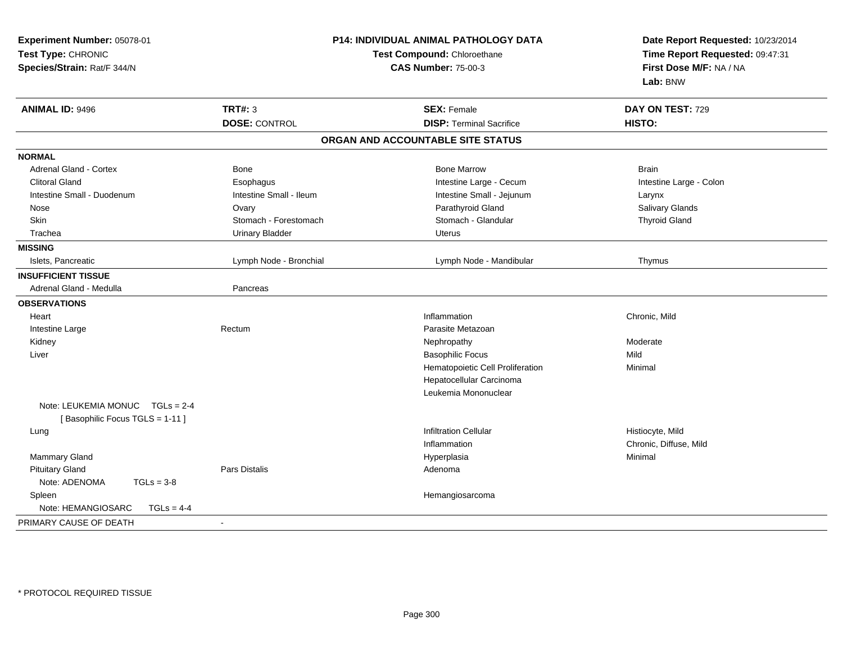| Experiment Number: 05078-01<br>Test Type: CHRONIC<br>Species/Strain: Rat/F 344/N |                         | <b>P14: INDIVIDUAL ANIMAL PATHOLOGY DATA</b><br>Test Compound: Chloroethane<br><b>CAS Number: 75-00-3</b> | Date Report Requested: 10/23/2014<br>Time Report Requested: 09:47:31<br>First Dose M/F: NA / NA<br>Lab: BNW |  |
|----------------------------------------------------------------------------------|-------------------------|-----------------------------------------------------------------------------------------------------------|-------------------------------------------------------------------------------------------------------------|--|
| <b>ANIMAL ID: 9496</b>                                                           | <b>TRT#: 3</b>          | <b>SEX: Female</b>                                                                                        | DAY ON TEST: 729                                                                                            |  |
|                                                                                  | <b>DOSE: CONTROL</b>    | <b>DISP: Terminal Sacrifice</b>                                                                           | HISTO:                                                                                                      |  |
|                                                                                  |                         | ORGAN AND ACCOUNTABLE SITE STATUS                                                                         |                                                                                                             |  |
| <b>NORMAL</b>                                                                    |                         |                                                                                                           |                                                                                                             |  |
| <b>Adrenal Gland - Cortex</b>                                                    | <b>Bone</b>             | <b>Bone Marrow</b>                                                                                        | <b>Brain</b>                                                                                                |  |
| <b>Clitoral Gland</b>                                                            | Esophagus               | Intestine Large - Cecum                                                                                   | Intestine Large - Colon                                                                                     |  |
| Intestine Small - Duodenum                                                       | Intestine Small - Ileum | Intestine Small - Jejunum                                                                                 | Larynx                                                                                                      |  |
| Nose                                                                             | Ovary                   | Parathyroid Gland                                                                                         | Salivary Glands                                                                                             |  |
| Skin                                                                             | Stomach - Forestomach   | Stomach - Glandular                                                                                       | <b>Thyroid Gland</b>                                                                                        |  |
| Trachea                                                                          | <b>Urinary Bladder</b>  | Uterus                                                                                                    |                                                                                                             |  |
| <b>MISSING</b>                                                                   |                         |                                                                                                           |                                                                                                             |  |
| Islets, Pancreatic                                                               | Lymph Node - Bronchial  | Lymph Node - Mandibular                                                                                   | Thymus                                                                                                      |  |
| <b>INSUFFICIENT TISSUE</b>                                                       |                         |                                                                                                           |                                                                                                             |  |
| Adrenal Gland - Medulla                                                          | Pancreas                |                                                                                                           |                                                                                                             |  |
| <b>OBSERVATIONS</b>                                                              |                         |                                                                                                           |                                                                                                             |  |
| Heart                                                                            |                         | Inflammation                                                                                              | Chronic, Mild                                                                                               |  |
| Intestine Large                                                                  | Rectum                  | Parasite Metazoan                                                                                         |                                                                                                             |  |
| Kidney                                                                           |                         | Nephropathy                                                                                               | Moderate                                                                                                    |  |
| Liver                                                                            |                         | <b>Basophilic Focus</b>                                                                                   | Mild                                                                                                        |  |
|                                                                                  |                         | Hematopoietic Cell Proliferation                                                                          | Minimal                                                                                                     |  |
|                                                                                  |                         | Hepatocellular Carcinoma                                                                                  |                                                                                                             |  |
|                                                                                  |                         | Leukemia Mononuclear                                                                                      |                                                                                                             |  |
| Note: LEUKEMIA MONUC TGLs = 2-4<br>[Basophilic Focus TGLS = 1-11]                |                         |                                                                                                           |                                                                                                             |  |
| Lung                                                                             |                         | <b>Infiltration Cellular</b>                                                                              | Histiocyte, Mild                                                                                            |  |
|                                                                                  |                         | Inflammation                                                                                              | Chronic, Diffuse, Mild                                                                                      |  |
| Mammary Gland                                                                    |                         | Hyperplasia                                                                                               | Minimal                                                                                                     |  |
| <b>Pituitary Gland</b>                                                           | <b>Pars Distalis</b>    | Adenoma                                                                                                   |                                                                                                             |  |
| Note: ADENOMA<br>$TGLs = 3-8$                                                    |                         |                                                                                                           |                                                                                                             |  |
| Spleen                                                                           |                         | Hemangiosarcoma                                                                                           |                                                                                                             |  |
| Note: HEMANGIOSARC<br>$TGLS = 4-4$                                               |                         |                                                                                                           |                                                                                                             |  |
| PRIMARY CAUSE OF DEATH                                                           | $\blacksquare$          |                                                                                                           |                                                                                                             |  |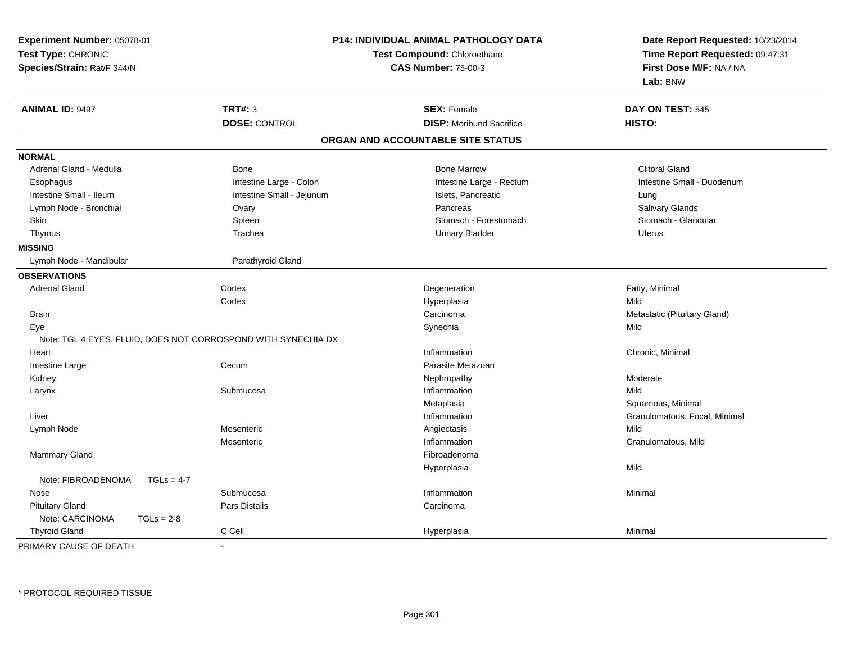| Experiment Number: 05078-01<br>Test Type: CHRONIC<br>Species/Strain: Rat/F 344/N | P14: INDIVIDUAL ANIMAL PATHOLOGY DATA<br>Test Compound: Chloroethane<br><b>CAS Number: 75-00-3</b> | Date Report Requested: 10/23/2014<br>Time Report Requested: 09:47:31<br>First Dose M/F: NA / NA<br>Lab: BNW |  |
|----------------------------------------------------------------------------------|----------------------------------------------------------------------------------------------------|-------------------------------------------------------------------------------------------------------------|--|
| <b>TRT#: 3</b><br><b>ANIMAL ID: 9497</b>                                         | <b>SEX: Female</b>                                                                                 | DAY ON TEST: 545                                                                                            |  |
| <b>DOSE: CONTROL</b>                                                             | <b>DISP:</b> Moribund Sacrifice                                                                    | HISTO:                                                                                                      |  |
|                                                                                  | ORGAN AND ACCOUNTABLE SITE STATUS                                                                  |                                                                                                             |  |
| <b>NORMAL</b>                                                                    |                                                                                                    |                                                                                                             |  |
| Adrenal Gland - Medulla<br>Bone                                                  | <b>Bone Marrow</b>                                                                                 | <b>Clitoral Gland</b>                                                                                       |  |
| Esophagus                                                                        | Intestine Large - Colon<br>Intestine Large - Rectum                                                | Intestine Small - Duodenum                                                                                  |  |
| Intestine Small - Ileum                                                          | Intestine Small - Jejunum<br>Islets, Pancreatic                                                    | Lung                                                                                                        |  |
| Lymph Node - Bronchial<br>Ovary                                                  | Pancreas                                                                                           | <b>Salivary Glands</b>                                                                                      |  |
| Skin<br>Spleen                                                                   | Stomach - Forestomach                                                                              | Stomach - Glandular                                                                                         |  |
| Thymus<br>Trachea                                                                | <b>Urinary Bladder</b>                                                                             | <b>Uterus</b>                                                                                               |  |
| <b>MISSING</b>                                                                   |                                                                                                    |                                                                                                             |  |
| Lymph Node - Mandibular<br>Parathyroid Gland                                     |                                                                                                    |                                                                                                             |  |
| <b>OBSERVATIONS</b>                                                              |                                                                                                    |                                                                                                             |  |
| <b>Adrenal Gland</b><br>Cortex                                                   | Degeneration                                                                                       | Fatty, Minimal                                                                                              |  |
| Cortex                                                                           | Hyperplasia                                                                                        | Mild                                                                                                        |  |
| <b>Brain</b>                                                                     | Carcinoma                                                                                          | Metastatic (Pituitary Gland)                                                                                |  |
| Eye                                                                              | Synechia                                                                                           | Mild                                                                                                        |  |
| Note: TGL 4 EYES, FLUID, DOES NOT CORROSPOND WITH SYNECHIA DX                    |                                                                                                    |                                                                                                             |  |
| Heart                                                                            | Inflammation                                                                                       | Chronic, Minimal                                                                                            |  |
| Intestine Large<br>Cecum                                                         | Parasite Metazoan                                                                                  |                                                                                                             |  |
| Kidney                                                                           | Nephropathy                                                                                        | Moderate                                                                                                    |  |
| Submucosa<br>Larynx                                                              | Inflammation                                                                                       | Mild                                                                                                        |  |
|                                                                                  | Metaplasia                                                                                         | Squamous, Minimal                                                                                           |  |
| Liver                                                                            | Inflammation                                                                                       | Granulomatous, Focal, Minimal                                                                               |  |
| Mesenteric<br>Lymph Node                                                         | Angiectasis                                                                                        | Mild                                                                                                        |  |
| Mesenteric                                                                       | Inflammation                                                                                       | Granulomatous, Mild                                                                                         |  |
| Mammary Gland                                                                    | Fibroadenoma                                                                                       |                                                                                                             |  |
|                                                                                  | Hyperplasia                                                                                        | Mild                                                                                                        |  |
| Note: FIBROADENOMA<br>$TGLs = 4-7$                                               |                                                                                                    |                                                                                                             |  |
| Submucosa<br>Nose                                                                | Inflammation                                                                                       | Minimal                                                                                                     |  |
| <b>Pituitary Gland</b><br>Pars Distalis                                          | Carcinoma                                                                                          |                                                                                                             |  |
| Note: CARCINOMA<br>$TGLs = 2-8$                                                  |                                                                                                    |                                                                                                             |  |
| C Cell<br><b>Thyroid Gland</b>                                                   | Hyperplasia                                                                                        | Minimal                                                                                                     |  |

PRIMARY CAUSE OF DEATH-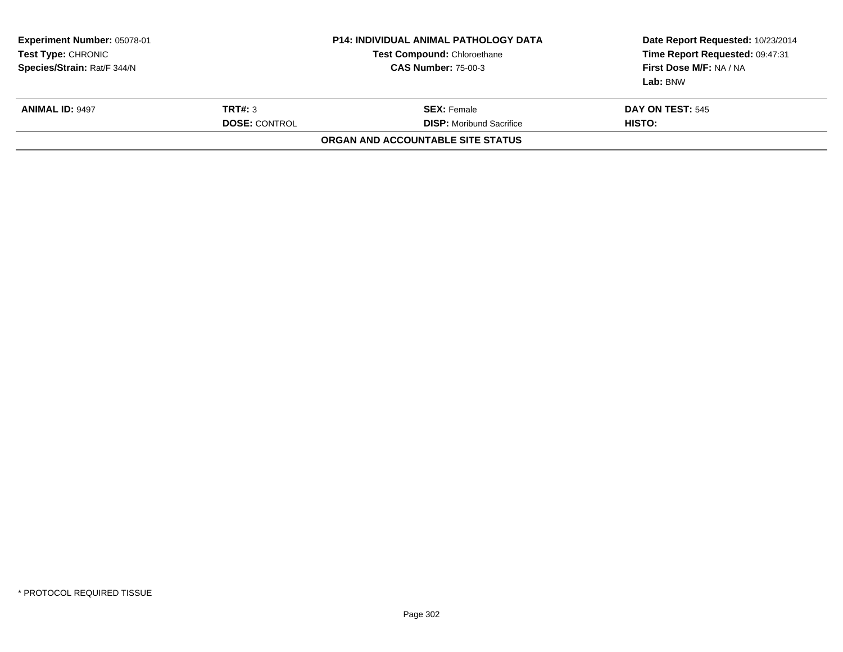| Experiment Number: 05078-01<br><b>Test Type: CHRONIC</b><br>Species/Strain: Rat/F 344/N |                                 | <b>P14: INDIVIDUAL ANIMAL PATHOLOGY DATA</b><br><b>Test Compound: Chloroethane</b><br><b>CAS Number: 75-00-3</b> | Date Report Requested: 10/23/2014<br>Time Report Requested: 09:47:31<br>First Dose M/F: NA / NA<br>Lab: BNW |  |  |  |
|-----------------------------------------------------------------------------------------|---------------------------------|------------------------------------------------------------------------------------------------------------------|-------------------------------------------------------------------------------------------------------------|--|--|--|
| <b>ANIMAL ID: 9497</b>                                                                  | TRT#: 3<br><b>DOSE: CONTROL</b> | <b>SEX:</b> Female<br><b>DISP:</b> Moribund Sacrifice                                                            | <b>DAY ON TEST: 545</b>                                                                                     |  |  |  |
| HISTO:<br>ORGAN AND ACCOUNTABLE SITE STATUS                                             |                                 |                                                                                                                  |                                                                                                             |  |  |  |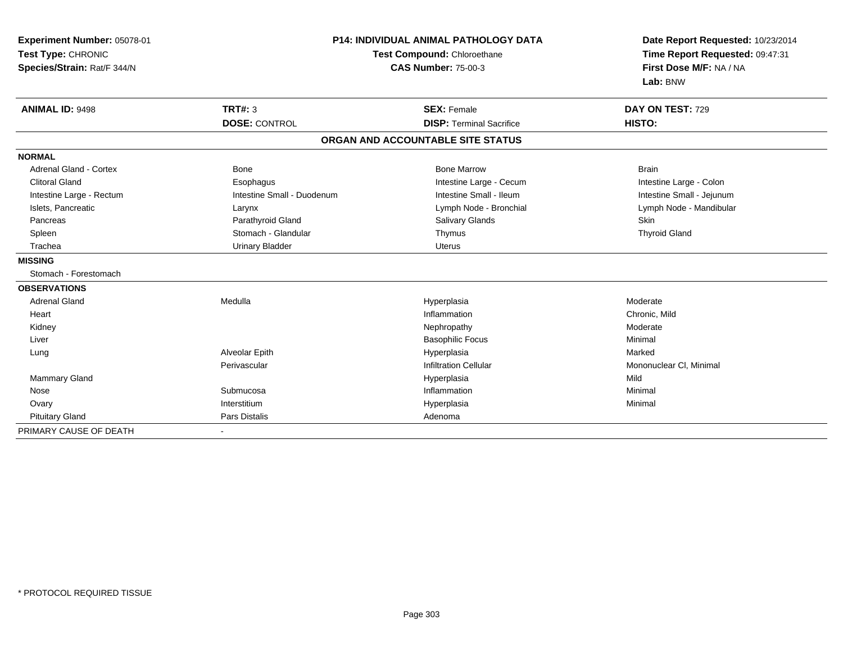| Experiment Number: 05078-01<br>Test Type: CHRONIC<br>Species/Strain: Rat/F 344/N | <b>P14: INDIVIDUAL ANIMAL PATHOLOGY DATA</b><br>Test Compound: Chloroethane<br><b>CAS Number: 75-00-3</b> |                                   | Date Report Requested: 10/23/2014<br>Time Report Requested: 09:47:31<br>First Dose M/F: NA / NA<br>Lab: BNW |
|----------------------------------------------------------------------------------|-----------------------------------------------------------------------------------------------------------|-----------------------------------|-------------------------------------------------------------------------------------------------------------|
| <b>ANIMAL ID: 9498</b>                                                           | <b>TRT#: 3</b>                                                                                            | <b>SEX: Female</b>                | DAY ON TEST: 729                                                                                            |
|                                                                                  | <b>DOSE: CONTROL</b>                                                                                      | <b>DISP: Terminal Sacrifice</b>   | HISTO:                                                                                                      |
|                                                                                  |                                                                                                           | ORGAN AND ACCOUNTABLE SITE STATUS |                                                                                                             |
| <b>NORMAL</b>                                                                    |                                                                                                           |                                   |                                                                                                             |
| <b>Adrenal Gland - Cortex</b>                                                    | <b>Bone</b>                                                                                               | <b>Bone Marrow</b>                | <b>Brain</b>                                                                                                |
| <b>Clitoral Gland</b>                                                            | Esophagus                                                                                                 | Intestine Large - Cecum           | Intestine Large - Colon                                                                                     |
| Intestine Large - Rectum                                                         | Intestine Small - Duodenum                                                                                | Intestine Small - Ileum           | Intestine Small - Jejunum                                                                                   |
| Islets, Pancreatic                                                               | Larynx                                                                                                    | Lymph Node - Bronchial            | Lymph Node - Mandibular                                                                                     |
| Pancreas                                                                         | Parathyroid Gland                                                                                         | Salivary Glands                   | <b>Skin</b>                                                                                                 |
| Spleen                                                                           | Stomach - Glandular                                                                                       | Thymus                            | <b>Thyroid Gland</b>                                                                                        |
| Trachea                                                                          | <b>Urinary Bladder</b>                                                                                    | <b>Uterus</b>                     |                                                                                                             |
| <b>MISSING</b>                                                                   |                                                                                                           |                                   |                                                                                                             |
| Stomach - Forestomach                                                            |                                                                                                           |                                   |                                                                                                             |
| <b>OBSERVATIONS</b>                                                              |                                                                                                           |                                   |                                                                                                             |
| <b>Adrenal Gland</b>                                                             | Medulla                                                                                                   | Hyperplasia                       | Moderate                                                                                                    |
| Heart                                                                            |                                                                                                           | Inflammation                      | Chronic, Mild                                                                                               |
| Kidney                                                                           |                                                                                                           | Nephropathy                       | Moderate                                                                                                    |
| Liver                                                                            |                                                                                                           | <b>Basophilic Focus</b>           | Minimal                                                                                                     |
| Lung                                                                             | Alveolar Epith                                                                                            | Hyperplasia                       | Marked                                                                                                      |
|                                                                                  | Perivascular                                                                                              | <b>Infiltration Cellular</b>      | Mononuclear CI, Minimal                                                                                     |
| <b>Mammary Gland</b>                                                             |                                                                                                           | Hyperplasia                       | Mild                                                                                                        |
| Nose                                                                             | Submucosa                                                                                                 | Inflammation                      | Minimal                                                                                                     |
| Ovary                                                                            | Interstitium                                                                                              | Hyperplasia                       | Minimal                                                                                                     |
| <b>Pituitary Gland</b>                                                           | Pars Distalis                                                                                             | Adenoma                           |                                                                                                             |
| PRIMARY CAUSE OF DEATH                                                           |                                                                                                           |                                   |                                                                                                             |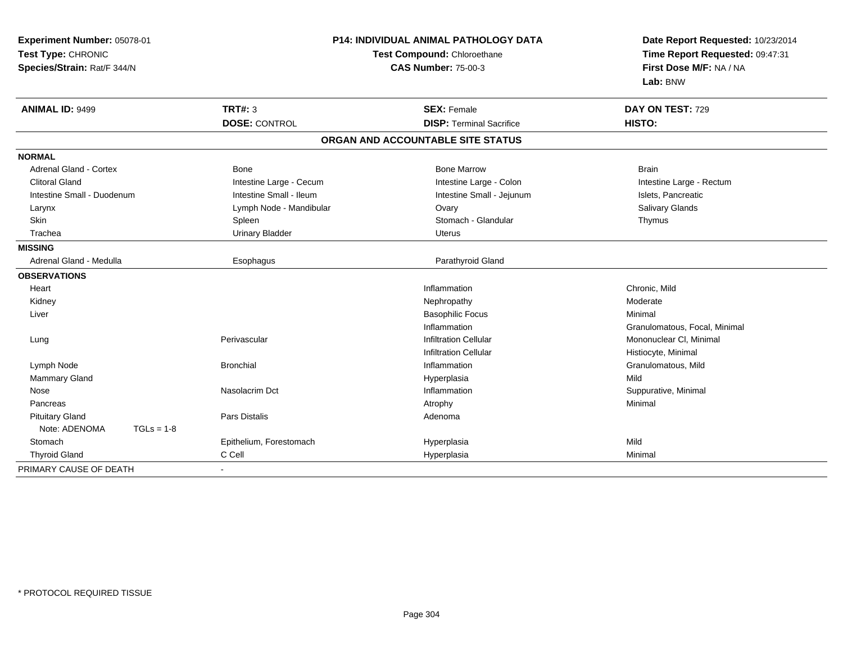| Experiment Number: 05078-01<br>Test Type: CHRONIC<br>Species/Strain: Rat/F 344/N |              | P14: INDIVIDUAL ANIMAL PATHOLOGY DATA<br>Test Compound: Chloroethane<br><b>CAS Number: 75-00-3</b> |                                   | Date Report Requested: 10/23/2014<br>Time Report Requested: 09:47:31<br>First Dose M/F: NA / NA<br>Lab: BNW |
|----------------------------------------------------------------------------------|--------------|----------------------------------------------------------------------------------------------------|-----------------------------------|-------------------------------------------------------------------------------------------------------------|
| <b>ANIMAL ID: 9499</b>                                                           |              | <b>TRT#: 3</b>                                                                                     | <b>SEX: Female</b>                | DAY ON TEST: 729                                                                                            |
|                                                                                  |              | <b>DOSE: CONTROL</b>                                                                               | <b>DISP: Terminal Sacrifice</b>   | HISTO:                                                                                                      |
|                                                                                  |              |                                                                                                    | ORGAN AND ACCOUNTABLE SITE STATUS |                                                                                                             |
| <b>NORMAL</b>                                                                    |              |                                                                                                    |                                   |                                                                                                             |
| <b>Adrenal Gland - Cortex</b>                                                    |              | <b>Bone</b>                                                                                        | <b>Bone Marrow</b>                | <b>Brain</b>                                                                                                |
| <b>Clitoral Gland</b>                                                            |              | Intestine Large - Cecum                                                                            | Intestine Large - Colon           | Intestine Large - Rectum                                                                                    |
| Intestine Small - Duodenum                                                       |              | Intestine Small - Ileum                                                                            | Intestine Small - Jejunum         | Islets, Pancreatic                                                                                          |
| Larynx                                                                           |              | Lymph Node - Mandibular                                                                            | Ovary                             | Salivary Glands                                                                                             |
| Skin                                                                             |              | Spleen                                                                                             | Stomach - Glandular               | Thymus                                                                                                      |
| Trachea                                                                          |              | <b>Urinary Bladder</b>                                                                             | Uterus                            |                                                                                                             |
| <b>MISSING</b>                                                                   |              |                                                                                                    |                                   |                                                                                                             |
| Adrenal Gland - Medulla                                                          |              | Esophagus                                                                                          | Parathyroid Gland                 |                                                                                                             |
| <b>OBSERVATIONS</b>                                                              |              |                                                                                                    |                                   |                                                                                                             |
| Heart                                                                            |              |                                                                                                    | Inflammation                      | Chronic, Mild                                                                                               |
| Kidney                                                                           |              |                                                                                                    | Nephropathy                       | Moderate                                                                                                    |
| Liver                                                                            |              |                                                                                                    | <b>Basophilic Focus</b>           | Minimal                                                                                                     |
|                                                                                  |              |                                                                                                    | Inflammation                      | Granulomatous, Focal, Minimal                                                                               |
| Lung                                                                             |              | Perivascular                                                                                       | <b>Infiltration Cellular</b>      | Mononuclear CI, Minimal                                                                                     |
|                                                                                  |              |                                                                                                    | <b>Infiltration Cellular</b>      | Histiocyte, Minimal                                                                                         |
| Lymph Node                                                                       |              | <b>Bronchial</b>                                                                                   | Inflammation                      | Granulomatous, Mild                                                                                         |
| <b>Mammary Gland</b>                                                             |              |                                                                                                    | Hyperplasia                       | Mild                                                                                                        |
| Nose                                                                             |              | Nasolacrim Dct                                                                                     | Inflammation                      | Suppurative, Minimal                                                                                        |
| Pancreas                                                                         |              |                                                                                                    | Atrophy                           | Minimal                                                                                                     |
| <b>Pituitary Gland</b>                                                           |              | <b>Pars Distalis</b>                                                                               | Adenoma                           |                                                                                                             |
| Note: ADENOMA                                                                    | $TGLs = 1-8$ |                                                                                                    |                                   |                                                                                                             |
| Stomach                                                                          |              | Epithelium, Forestomach                                                                            | Hyperplasia                       | Mild                                                                                                        |
| <b>Thyroid Gland</b>                                                             |              | C Cell                                                                                             | Hyperplasia                       | Minimal                                                                                                     |
| PRIMARY CAUSE OF DEATH                                                           |              |                                                                                                    |                                   |                                                                                                             |